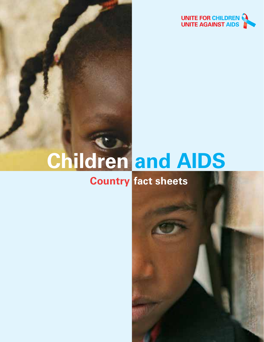

# **Children and AIDS**

**Country fact sheets** 

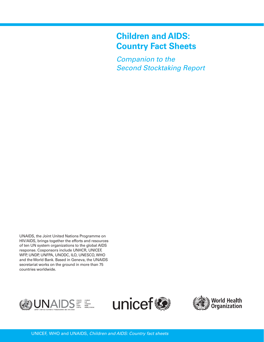## **Children and AIDS: Country Fact Sheets**

Companion to the Second Stocktaking Report

UNAIDS, the Joint United Nations Programme on HIV/AIDS, brings together the efforts and resources of ten UN system organizations to the global AIDS response. Cosponsors include UNHCR, UNICEF, WFP, UNDP, UNFPA, UNODC, ILO, UNESCO, WHO and the World Bank. Based in Geneva, the UNAIDS secretariat works on the ground in more than 75 countries worldwide.





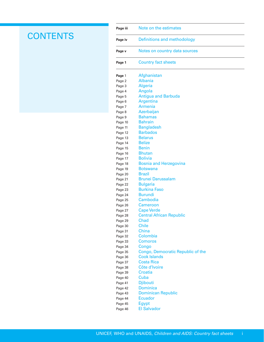# **CONTENTS**

| Page iii | Note on the estimates             |
|----------|-----------------------------------|
| Page iv  | Definitions and methodology       |
| Page v   | Notes on country data sources     |
| Page 1   | <b>Country fact sheets</b>        |
| Page 1   | Afghanistan                       |
| Page 2   | Albania                           |
| Page 3   | <b>Algeria</b>                    |
| Page 4   | Angola                            |
| Page 5   | <b>Antigua and Barbuda</b>        |
| Page 6   | Argentina                         |
| Page 7   | Armenia                           |
| Page 8   | Azerbaijan                        |
| Page 9   | <b>Bahamas</b>                    |
| Page 10  | <b>Bahrain</b>                    |
| Page 11  | <b>Bangladesh</b>                 |
| Page 12  | <b>Barbados</b>                   |
| Page 13  | <b>Belarus</b>                    |
| Page 14  | <b>Belize</b>                     |
| Page 15  | <b>Benin</b>                      |
| Page 16  | <b>Bhutan</b>                     |
| Page 17  | <b>Bolivia</b>                    |
| Page 18  | <b>Bosnia and Herzegovina</b>     |
| Page 19  | <b>Botswana</b>                   |
| Page 20  | <b>Brazil</b>                     |
| Page 21  | <b>Brunei Darussalam</b>          |
| Page 22  | <b>Bulgaria</b>                   |
| Page 23  | <b>Burkina Faso</b>               |
| Page 24  | <b>Burundi</b>                    |
| Page 25  | Cambodia                          |
| Page 26  | <b>Cameroon</b>                   |
| Page 27  | <b>Cape Verde</b>                 |
| Page 28  | <b>Central African Republic</b>   |
| Page 29  | Chad                              |
| Page 30  | <b>Chile</b>                      |
| Page 31  | China                             |
| Page 32  | Colombia                          |
| Page 33  | <b>Comoros</b>                    |
| Page 34  | Congo                             |
| Page 35  | Congo, Democratic Republic of the |
| Page 36  | <b>Cook Islands</b>               |
| Page 37  | <b>Costa Rica</b>                 |
| Page 38  | Côte d'Ivoire                     |
| Page 39  | Croatia                           |
| Page 40  | Cuba                              |
| Page 41  | <b>Djibouti</b>                   |
| Page 42  | <b>Dominica</b>                   |
| Page 43  | <b>Dominican Republic</b>         |
| Page 44  | <b>Ecuador</b>                    |
| Page 45  | Egypt                             |
| Page 46  | <b>El Salvador</b>                |
|          |                                   |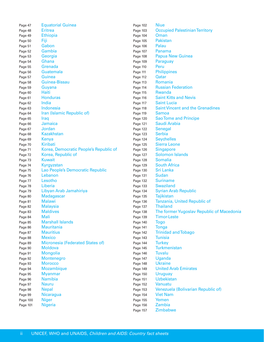| Page 47  | <b>Equatorial Guinea</b>               | Page 10 |
|----------|----------------------------------------|---------|
| Page 48  | <b>Eritrea</b>                         | Page 10 |
| Page 49  | <b>Ethiopia</b>                        | Page 10 |
| Page 50  | Fiji                                   | Page 10 |
| Page 51  | Gabon                                  | Page 10 |
| Page 52  | Gambia                                 | Page 10 |
| Page 53  | Georgia                                | Page 10 |
| Page 54  | Ghana                                  | Page 10 |
| Page 55  | Grenada                                | Page 11 |
| Page 56  | Guatemala                              | Page 11 |
| Page 57  | Guinea                                 | Page 11 |
| Page 58  | Guinea-Bissau                          | Page 11 |
| Page 59  | Guyana                                 | Page 11 |
| Page 60  | Haiti                                  | Page 11 |
| Page 61  | <b>Honduras</b>                        | Page 11 |
| Page 62  | India                                  | Page 11 |
| Page 63  | Indonesia                              | Page 11 |
| Page 64  | Iran (Islamic Republic of)             | Page 11 |
| Page 65  | Iraq                                   | Page 12 |
| Page 66  | Jamaica                                | Page 12 |
| Page 67  | Jordan                                 | Page 12 |
| Page 68  | <b>Kazakhstan</b>                      | Page 12 |
| Page 69  | Kenya                                  | Page 12 |
| Page 70  | Kiribati                               | Page 12 |
| Page 71  | Korea, Democratic People's Republic of | Page 12 |
| Page 72  | Korea, Republic of                     | Page 12 |
| Page 73  | <b>Kuwait</b>                          | Page 12 |
| Page 74  | Kyrgyzstan                             | Page 12 |
| Page 75  | Lao People's Democratic Republic       | Page 13 |
| Page 76  | Lebanon                                | Page 13 |
| Page 77  | Lesotho                                | Page 1: |
| Page 78  | Liberia                                | Page 1: |
| Page 79  | Libyan Arab Jamahiriya                 | Page 1: |
| Page 80  | <b>Madagascar</b>                      | Page 1: |
| Page 81  | <b>Malawi</b>                          | Page 1. |
| Page 82  | <b>Malaysia</b>                        | Page 1: |
| Page 83  | <b>Maldives</b>                        | Page 13 |
| Page 84  | Mali                                   | Page 13 |
| Page 85  | <b>Marshall Islands</b>                | Page 14 |
| Page 86  | <b>Mauritania</b>                      | Page 14 |
| Page 87  | <b>Mauritius</b>                       | Page 14 |
| Page 88  | <b>Mexico</b>                          | Page 14 |
| Page 89  | Micronesia (Federated States of)       | Page 14 |
| Page 90  | <b>Moldova</b>                         | Page 14 |
| Page 91  | <b>Mongolia</b>                        | Page 14 |
| Page 92  | Montenegro                             | Page 14 |
| Page 93  | <b>Morocco</b>                         | Page 14 |
| Page 94  | <b>Mozambique</b>                      | Page 14 |
| Page 95  | <b>Myanmar</b>                         | Page 1! |
| Page 96  | Namibia                                | Page 1! |
|          | <b>Nauru</b>                           | Page 1! |
| Page 97  | <b>Nepal</b>                           |         |
| Page 98  |                                        | Page 1! |
| Page 99  | Nicaragua                              | Page 1! |
| Page 100 | <b>Niger</b>                           | Page 1! |
| Page 101 | <b>Nigeria</b>                         | Page 1! |
|          |                                        | Page 1! |

| Page 102 | <b>Niue</b>                               |
|----------|-------------------------------------------|
| Page 103 | <b>Occupied Palestinian Territory</b>     |
| Page 104 | Oman                                      |
| Page 105 | Pakistan                                  |
| Page 106 | Palau                                     |
| Page 107 | Panama                                    |
| Page 108 | <b>Papua New Guinea</b>                   |
| Page 109 | Paraguay                                  |
| Page 110 | Peru                                      |
| Page 111 | <b>Philippines</b>                        |
| Page 112 | <b>Qatar</b>                              |
| Page 113 | Romania                                   |
| Page 114 | <b>Russian Federation</b>                 |
| Page 115 | <b>Rwanda</b>                             |
| Page 116 | <b>Saint Kitts and Nevis</b>              |
| Page 117 | <b>Saint Lucia</b>                        |
| Page 118 | <b>Saint Vincent and the Grenadines</b>   |
| Page 119 | Samoa                                     |
| Page 120 | <b>Sao Tome and Principe</b>              |
| Page 121 | Saudi Arabia                              |
| Page 122 | Senegal                                   |
| Page 123 | Serbia                                    |
| Page 124 | <b>Seychelles</b>                         |
| Page 125 | <b>Sierra Leone</b>                       |
| Page 126 | <b>Singapore</b>                          |
| Page 127 | <b>Solomon Islands</b>                    |
| Page 128 | Somalia                                   |
| Page 129 | <b>South Africa</b>                       |
| Page 130 | <b>Sri Lanka</b>                          |
| Page 131 | <b>Sudan</b>                              |
| Page 132 | Suriname                                  |
| Page 133 | <b>Swaziland</b>                          |
| Page 134 | <b>Syrian Arab Republic</b>               |
| Page 135 | <b>Tajikistan</b>                         |
| Page 136 | Tanzania, United Republic of              |
| Page 137 | <b>Thailand</b>                           |
| Page 138 | The former Yugoslav Republic of Macedonia |
| Page 139 | <b>Timor-Leste</b>                        |
| Page 140 | <b>Togo</b>                               |
| Page 141 | <b>Tonga</b>                              |
| Page 142 | <b>Trinidad and Tobago</b>                |
| Page 143 | <b>Tunisia</b>                            |
| Page 144 | <b>Turkey</b>                             |
| Page 145 | <b>Turkmenistan</b>                       |
| Page 146 | Tuvalu                                    |
| Page 147 | Uganda                                    |
| Page 148 | <b>Ukraine</b>                            |
| Page 149 | <b>United Arab Emirates</b>               |
| Page 150 | <b>Uruguay</b>                            |
| Page 151 | <b>Uzbekistan</b>                         |
| Page 152 | <b>Vanuatu</b>                            |
| Page 153 | <b>Venezuela (Bolivarian Republic of)</b> |
| Page 154 | <b>Viet Nam</b>                           |
| Page 155 | Yemen                                     |
| Page 156 | Zambia                                    |
| Page 157 | <b>Zimbabwe</b>                           |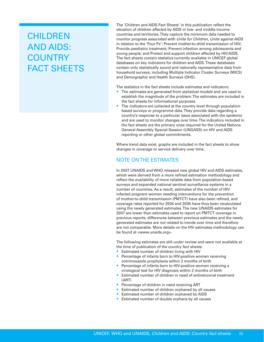## **CHILDREN** AND AIDS: **COUNTRY** FACT SHEETS

The 'Children and AIDS Fact Sheets' in this publication reflect the situation of children affected by AIDS in low- and middle-income countries and territories. They capture the minimum data needed to monitor progress associated with Unite for Children, Unite against AIDS in relation to the 'Four Ps': Prevent mother-to-child transmission of HIV; Provide paediatric treatment; Prevent infection among adolescents and young people; and Protect and support children affected by HIV/AIDS. The fact sheets contain statistics currently available in UNICEF global databases on key indicators for children and AIDS. These databases contain only statistically sound and nationally representative data from household surveys, including Multiple Indicator Cluster Surveys (MICS) and Demographic and Health Surveys (DHS).

The statistics in the fact sheets include estimates and indicators:

- The estimates are generated from statistical models and are used to establish the magnitude of the problem. The estimates are included in the fact sheets for informational purposes.
- The *indicators* are collected at the country level through populationbased surveys or programme data. They provide data regarding a country's response to a particular issue associated with the epidemic and are used to monitor changes over time. The indicators included in the fact sheets are the primary ones required for the United Nations General Assembly Special Session (UNGASS) on HIV and AIDS reporting or other global commitments.

Where trend data exist, graphs are included in the fact sheets to show changes in coverage or service delivery over time.

## NOTE ON THE ESTIMATES

In 2007, UNAIDS and WHO released new global HIV and AIDS estimates, which were derived from a more refined estimation methodology and reflect the availability of more reliable data from population-based surveys and expanded national sentinel surveillance systems in a number of countries. As a result, estimates of the number of HIVinfected pregnant women needing interventions for the prevention of mother-to-child transmission (PMTCT) have also been refined, and coverage rates reported for 2004 and 2005 have thus been recalculated using the newly generated estimates. The new UNAIDS estimates for 2007 are lower than estimates used to report on PMTCT coverage in previous reports; differences between previous estimates and the newly generated estimates are not related to trends over time and therefore are not comparable. More details on the HIV estimates methodology can be found at <www.unaids.org>.

The following estimates are still under review and were not available at the time of publication of the country fact sheets:

- **Estimated number of children living with HIV**
- Percentage of infants born to HIV-positive women receiving cotrimoxazole prophylaxis within 2 months of birth
- Percentage of infants born to HIV-positive women receiving a virological test for HIV diagnosis within 2 months of birth
- **•** Estimated number of children in need of antiretroviral treatment (ART)
- Percentage of children in need receiving ART
- **•** Estimated number of children orphaned by all causes
- **•** Estimated number of children orphaned by AIDS
- **•** Estimated number of double orphans by all causes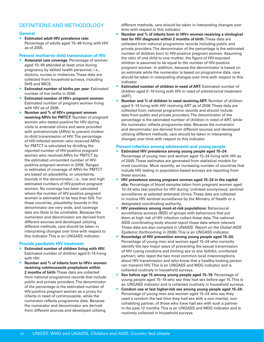## DEFINITIONS AND METHODOLOGY

#### **General**

**Estimated adult HIV prevalence rate:** Percentage of adults aged 15–49 living with HIV as of 2005.

#### **Prevent mother-to-child transmission of HIV**

- Antenatal care coverage: Percentage of women aged 15–49 attended at least once during pregnancy by skilled health personnel, i.e., doctors, nurses or midwives. These data are collected from household surveys, including DHS and MICS.
- **Estimated number of births per year:** Estimated number of live births in 2006.
- Estimated number of HIV+ pregnant women: Estimated number of pregnant women living with HIV as of 2006.
- s **Number and % of HIV+ pregnant women receiving ARVs for PMTCT:** Number of pregnant women who tested positive for HIV during visits to antenatal clinics and were provided with antiretrovirals (ARVs) to prevent motherto-child transmission of HIV. The percentage of HIV-infected women who received ARVs for PMTCT is calculated by dividing the reported number of HIV-positive pregnant women who received ARVs for PMTCT by the estimated unrounded number of HIVpositive pregnant women in 2006. Ranges in estimates of coverage of ARVs for PMTCT are based on plausibility, or uncertainty, bounds in the denominator, i.e., low and high estimated numbers of HIV-positive pregnant women. No coverage has been calculated where the number of HIV-positive pregnant women is estimated to be less than 500. For these countries, plausibility bounds in the denominator are very wide, and coverage data are likely to be unreliable. Because the numerator and denominator are derived from different sources and developed utilizing different methods, care should be taken in interpreting changes over time with respect to this indicator. This is an UNGASS indicator.

#### **Provide paediatric HIV treatment**

- **Estimated number of children living with HIV:** Estimated number of children aged 0–14 living with **HIV**
- s **Number and % of infants born to HIV+ women receiving cotrimoxazole prophylaxis within 2 months of birth:** These data are collected from national programme records that include public and private providers. The denominator of the percentage is the estimated number of HIV-positive pregnant women as a proxy for infants in need of cotrimoxazole, while the numerator reflects programme data. Because the numerator and denominator are derived from different sources and developed utilizing

different methods, care should be taken in interpreting changes over time with respect to this indicator.

- s **Number and % of infants born to HIV+ women receiving a virological test for HIV diagnosis within 2 months of birth:** These data are collected from national programme records including public and private providers. The denominator of the percentage is the estimated number of children born to HIV-positive pregnant women. Assuming the ratio of one child to one mother, the figure of HIV-exposed children is assumed to be equal to the number of HIV-positive pregnant women. In addition, because the denominator is based on an estimate while the numerator is based on programme data, care should be taken in interpreting changes over time with respect to this indicator.
- **Estimated number of children in need of ART:** Estimated number of children aged 0–14 living with HIV in need of antiretroviral treatment (ART).
- s **Number and % of children in need receiving ART:** Number of children aged 0–14 living with HIV receiving ART as of 2006. These data are collected from national programme records and should include data from public and private providers. The denominator of the percentage is the estimated number of children in need of ART, while the numerator reflects programme data. Because the numerator and denominator are derived from different sources and developed utilizing different methods, care should be taken in interpreting changes over time with respect to this indicator.

#### **Prevent infection among adolescents and young people**

- Estimated HIV prevalence among young people aged 15-24: Percentage of young men and women aged 15–24 living with HIV as of 2005. These estimates are generated from statistical models for most countries. More recently, an increasing number of countries that include HIV testing in population-based surveys are reporting from these sources.
- HIV prevalence among pregnant women aged 15-24 in the capital **city:** Percentage of blood samples taken from pregnant women aged 15–24 who test positive for HIV during 'unlinked anonymous' sentinel surveillance at selected antenatal clinics. These data are collected in routine HIV sentinel surveillance by the Ministry of Health or a designated coordinating authority.
- **HIV prevalence among most-at-risk populations: Behavioural** surveillance surveys (BSS) of groups with behaviours that put them at high risk of HIV infection collect these data. The national AIDS coordinating body should report these data where relevant. These data are also compiled in UNAIDS' Report on the Global AIDS Epidemic (forthcoming in 2008). This is an UNGASS indicator.
- s **Knowledge of HIV prevention among young people aged 15–24:** Percentage of young men and women aged 15–24 who correctly identify the two major ways of preventing the sexual transmission of HIV (using condoms and limiting sex to one faithful, uninfected partner), who reject the two most common local misconceptions about HIV transmission and who know that a healthy-looking person can transmit HIV. This is an UNGASS and MDG indicator and is collected routinely in household surveys.
- **Sex before age 15 among young people aged 15-19: Percentage of** young people aged 15–19 who say they had sex before age 15. This is an UNGASS indicator and is collected routinely in household surveys.
- s **Condom use at last higher-risk sex among young people aged 15–24:** Percentage of young men and women aged 15–24 who say they used a condom the last time they had sex with a non-marital, noncohabiting partner, of those who have had sex with such a partner in the past 12 months. This is an UNGASS and MDG indicator and is routinely collected in household surveys.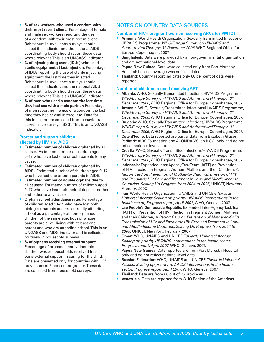- s **% of sex workers who used a condom with their most recent client:** Percentage of female and male sex workers reporting the use of a condom with their most recent client. Behavioural surveillance surveys should collect this indicator and the national AIDS coordinating body should report these data where relevant. This is an UNGASS indicator.
- s **% of injecting drug users (IDUs) who used sterile equipment at last injection:** Percentage of IDUs reporting the use of sterile injecting equipment the last time they injected. Behavioural surveillance surveys should collect this indicator, and the national AIDS coordinating body should report these data where relevant. This is an UNGASS indicator.
- s **% of men who used a condom the last time they had sex with a male partner:** Percentage of men reporting the use of a condom the last time they had sexual intercourse. Data for this indicator are collected from behavioural surveillance surveys (BSS). This is an UNGASS indicator.

#### **Protect and support children affected by HIV and AIDS**

- **Estimated number of children orphaned by all causes:** Estimated number of children aged 0–17 who have lost one or both parents to any cause.
- **•** Estimated number of children orphaned by **AIDS:** Estimated number of children aged 0–17 who have lost one or both parents to AIDS.
- s **Estimated number of double orphans due to all causes:** Estimated number of children aged 0–17 who have lost both their biological mother and father to any cause.
- **Orphan school attendance ratio: Percentage** of children aged 10–14 who have lost both biological parents and are currently attending school as a percentage of non-orphaned children of the same age, both of whose parents are alive, living with at least one parent and who are attending school. This is an UNGASS and MDG indicator and is collected routinely in household surveys.
- s **% of orphans receiving external support:** Percentage of orphaned and vulnerable children whose households received free basic external support in caring for the child. Data are presented only for countries with HIV prevalence of 5 per cent or greater. These data are collected from household surveys.

## NOTES ON COUNTRY DATA SOURCES

## **Number of HIV+ pregnant women receiving ARVs for PMTCT**

- Armenia: World Health Organization, Sexually Transmitted Infections/ HIV/AIDS Programme, WHO/Europe Survey on HIV/AIDS and Antiretroviral Therapy: 31 December 2006, WHO Regional Office for Europe, Copenhagen, 2007.
- Bangladesh: Data were provided by a non-governmental organization and are not national-level data.
- Papua New Guinea: Data were collected only from Port Moresby Hospital; hence, coverage was not calculated.
- Thailand: Country report indicates only 80 per cent of data were reported.

#### **Number of children in need receiving ART**

- s **Albania:** WHO, Sexually Transmitted Infections/HIV/AIDS Programme, WHO/Europe Survey on HIV/AIDS and Antiretroviral Therapy: 31 December 2006, WHO Regional Office for Europe, Copenhagen, 2007.
- s **Armenia:** WHO, Sexually Transmitted Infections/HIV/AIDS Programme, WHO/Europe Survey on HIV/AIDS and Antiretroviral Therapy: 31 December 2006, WHO Regional Office for Europe, Copenhagen, 2007.
- s **Bulgaria:** WHO, Sexually Transmitted Infections/HIV/AIDS Programme, WHO/Europe Survey on HIV/AIDS and Antiretroviral Therapy: 31 December 2006, WHO Regional Office for Europe, Copenhagen, 2007.
- s **Côte d'Ivoire:** Data reported are partial data from Elizabeth Glaser Pediatric AIDS Foundation and ACONDA-VS, an NGO, only and do not reflect national-level data.
- s **Croatia:** WHO, Sexually Transmitted Infections/HIV/AIDS Programme, WHO/Europe Survey on HIV/AIDS and Antiretroviral Therapy: 31 December 2006, WHO Regional Office for Europe, Copenhagen, 2007.
- **Indonesia:** Expanded Inter-Agency Task Team (IATT) on Prevention of HIV Infection in Pregnant Women, Mothers and their Children, A Report Card on Prevention of Mother-to-Child Transmission of HIV and Paediatric HIV Care and Treatment in Low- and Middle-Income Countries, Scaling Up Progress from 2004 to 2005, UNICEF, New York, February 2007.
- **Iran:** World Health Organization, UNAIDS and UNICEF, Towards Universal Access: Scaling up priority HIV/AIDS interventions in the health sector, Progress report, April 2007, WHO, Geneva, 2007.
- Lao People's Democratic Republic: Expanded Inter-Agency Task Team (IATT) on Prevention of HIV Infection in Pregnant Women, Mothers and their Children, A Report Card on Prevention of Mother-to-Child Transmission of HIV and Paediatric HIV Care and Treatment in Lowand Middle-Income Countries, Scaling Up Progress from 2004 to 2005, UNICEF, New York, February 2007.
- **Oman:** WHO, UNAIDS and UNICEF, Towards Universal Access: Scaling up priority HIV/AIDS interventions in the health sector, Progress report, April 2007, WHO, Geneva, 2007.
- Papua New Guinea: Data reported are from Port Moresby Hospital only and do not reflect national-level data.
- **Russian Federation: WHO, UNAIDS and UNICEF, Towards Universal** Access: Scaling up priority HIV/AIDS interventions in the health sector, Progress report, April 2007, WHO, Geneva, 2007.
- Thailand: Data are from 66 out of 76 provinces.
- **Venezuela:** Data are reported from WHO Region of the Americas.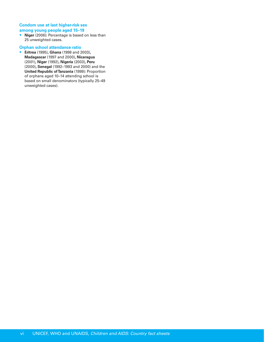## **Condom use at last higher-risk sex among young people aged 15–19**

**• Niger** (2006): Percentage is based on less than 25 unweighted cases.

## **Orphan school attendance ratio**

s **Eritrea** (1995)**, Ghana** (1998 and 2003)**, Madagascar** (1997 and 2000)**, Nicaragua**  (2001)**, Niger** (1992)**, Nigeria** (2003)**, Peru**  (2000)**, Senegal** (1992–1993 and 2000) and the **United Republic of Tanzania** (1999)**:** Proportion of orphans aged 10–14 attending school is based on small denominators (typically 25–49 unweighted cases).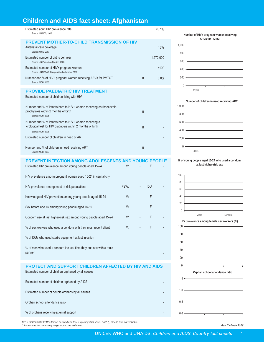## **Children and AIDS fact sheet: Afghanistan**

| Estimated adult HIV prevalence rate                                                                                             |      |              |           | < 0.1%        |                    |                                                       |
|---------------------------------------------------------------------------------------------------------------------------------|------|--------------|-----------|---------------|--------------------|-------------------------------------------------------|
| Source: UNAIDS, 2006                                                                                                            |      |              |           |               |                    | Number of HIV+ pregnant wome<br><b>ARVs for PMTCT</b> |
| PREVENT MOTHER-TO-CHILD TRANSMISSION OF HIV                                                                                     |      |              |           |               | 1,000              |                                                       |
| Antenatal care coverage<br>Source: MICS, 2003                                                                                   |      |              |           | 16%           |                    |                                                       |
| Estimated number of births per year<br>Source: UN Population Division, 2006                                                     |      |              | 1,272,000 |               | 800<br>600         |                                                       |
| Estimated number of HIV+ pregnant women<br>Source: UNAIDS/WHO unpublished estimates, 2007                                       |      |              |           | 100           | 400                |                                                       |
| Number and % of HIV+ pregnant women receiving ARVs for PMTCT                                                                    |      | 0            |           | 0.0%          | 200                |                                                       |
| Source: MOH, 2006                                                                                                               |      |              |           |               | 0                  |                                                       |
| <b>PROVIDE PAEDIATRIC HIV TREATMENT</b><br>Estimated number of children living with HIV                                         |      |              |           |               |                    | 2006                                                  |
|                                                                                                                                 |      |              |           |               |                    | Number of children in need re                         |
| Number and % of infants born to HIV+ women receiving cotrimoxazole<br>prophylaxis within 2 months of birth<br>Source: MOH, 2006 |      | $\mathbf{0}$ |           |               | 1,000<br>800       |                                                       |
| Number and % of infants born to HIV+ women receiving a                                                                          |      |              |           |               | 600                |                                                       |
| virological test for HIV diagnosis within 2 months of birth<br>Source: MOH. 2006                                                |      | $\mathbf{0}$ |           |               | 400                |                                                       |
| Estimated number of children in need of ART                                                                                     |      |              |           |               | 200                |                                                       |
| Number and % of children in need receiving ART                                                                                  |      | $\mathbf{0}$ |           |               | $\mathbf{0}$       |                                                       |
| Source: MOH, 2006                                                                                                               |      |              |           |               |                    | 2006                                                  |
| PREVENT INFECTION AMONG ADOLESCENTS AND                                                                                         |      | <b>YOUNG</b> |           | <b>PEOPLE</b> |                    | % of young people aged 15-24 who u                    |
| Estimated HIV prevalence among young people aged 15-24                                                                          | M:   |              | F:        |               |                    | at last higher-risk sex                               |
| HIV prevalence among pregnant women aged 15-24 in capital city                                                                  |      |              |           |               | 100                |                                                       |
| HIV prevalence among most-at-risk populations                                                                                   | FSW: |              | IDU:      |               | 80<br>60           |                                                       |
|                                                                                                                                 |      |              |           |               | 40                 |                                                       |
| Knowledge of HIV prevention among young people aged 15-24                                                                       | M:   |              | F:        |               |                    |                                                       |
| Sex before age 15 among young people aged 15-19                                                                                 | M:   |              | F:        |               | 20<br>$\mathbf{0}$ |                                                       |
| Condom use at last higher-risk sex among young people aged 15-24                                                                | M:   |              | F:        |               |                    | Male                                                  |
| % of sex workers who used a condom with their most recent client                                                                | M:   |              | F:        |               | 100                | HIV prevalence among female sex                       |
|                                                                                                                                 |      |              |           |               | 80                 |                                                       |
| % of IDUs who used sterile equipment at last injection                                                                          |      |              |           |               | 60                 |                                                       |
| % of men who used a condom the last time they had sex with a male                                                               |      |              |           |               | 40                 |                                                       |
| partner                                                                                                                         |      |              |           |               | 20                 |                                                       |
|                                                                                                                                 |      |              |           |               |                    |                                                       |
| <b>PROTECT AND SUPPORT CHILDREN AFFECTED BY HIV AND AIDS</b><br>Estimated number of children orphaned by all causes             |      |              |           |               | 0                  | Orphan school attendan                                |
| Estimated number of children orphaned by AIDS                                                                                   |      |              |           |               | 1.5                |                                                       |
| Estimated number of double orphans by all causes                                                                                |      |              |           |               | 1.0                |                                                       |
| Orphan school attendance ratio                                                                                                  |      |              |           |               | 0.5                |                                                       |
| % of orphans receiving external support                                                                                         |      |              |           |               | 0.0                |                                                       |
|                                                                                                                                 |      |              |           |               |                    |                                                       |

\* *Represents the uncertainty range around the estimates* rev. January 22, 2008 *M/F = male/female; FSW = female sex workers; IDU = injecting drug users. Dash (-) means data not available.*

Rev. 7 March 2008

| 1,000 |      |  |  |
|-------|------|--|--|
| 800   |      |  |  |
| 600   |      |  |  |
| 400   |      |  |  |
| 200   |      |  |  |
| 0     |      |  |  |
|       | 2006 |  |  |

**Number of HIV+ pregnant women receiving ARVs for PMTCT**

|       | Number of children in need receiving ART |
|-------|------------------------------------------|
| 1,000 |                                          |
| 800   |                                          |
| 600   |                                          |
| 400   |                                          |
| 200   |                                          |
| ſ     |                                          |
|       | 2006                                     |

**% of young people aged 15-24 who used a condom at last higher-risk sex**

| 100      |                                             |
|----------|---------------------------------------------|
| 80       |                                             |
| 60       |                                             |
| 40       |                                             |
| 20       |                                             |
| 0        |                                             |
|          | Female<br>Male                              |
|          | HIV prevalence among female sex workers (%) |
| 100      |                                             |
| 80       |                                             |
| 60       |                                             |
| 40       |                                             |
| 20       |                                             |
| $\Omega$ |                                             |
|          | Orphan school attendance ratio              |
| 1.5      |                                             |
|          |                                             |
| 1.0      |                                             |
|          |                                             |
| 0.5      |                                             |
| 0.0      |                                             |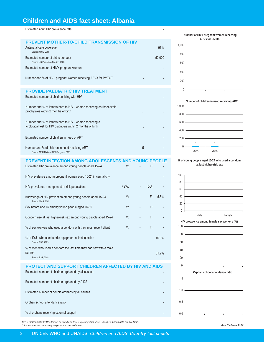## **Children and AIDS fact sheet: Albania**

#### Estimated adult HIV prevalence rate

#### **PREVENT MOTHER-TO-CHILD TRANSMISSION OF HIV**

| Antenatal care coverage<br>97%                                                           | ,uuu |  |
|------------------------------------------------------------------------------------------|------|--|
| Source: MICS, 2005                                                                       | 800  |  |
| Estimated number of births per year<br>52,000                                            |      |  |
| Source: UN Population Division, 2006                                                     | 600  |  |
| Estimated number of HIV+ pregnant women<br>$\overline{\phantom{a}}$                      | 400  |  |
|                                                                                          |      |  |
| Number and % of HIV+ pregnant women receiving ARVs for PMTCT<br>$\overline{\phantom{a}}$ | 200  |  |

## **PROVIDE PAEDIATRIC HIV TREATMENT**

| Estimated number of children living with HIV                                              |   |       |      |                               |
|-------------------------------------------------------------------------------------------|---|-------|------|-------------------------------|
|                                                                                           |   |       |      | Number of children in need re |
| Number and % of infants born to HIV+ women receiving cotrimoxazole                        |   | 1,000 |      |                               |
| prophylaxis within 2 months of birth                                                      |   | 800   |      |                               |
| Number and % of infants born to HIV+ women receiving a                                    |   | 600   |      |                               |
| virological test for HIV diagnosis within 2 months of birth                               |   | 400   |      |                               |
|                                                                                           |   |       |      |                               |
| Estimated number of children in need of ART                                               |   | 200   |      |                               |
|                                                                                           |   |       | 5    | 5                             |
| Number and % of children in need receiving ART<br>Source: MOH-National AIDS Program, 2006 | 5 |       | 2005 | 2006                          |

#### **PREVENT INFECTION AMONG ADOLESCENTS AND YOUNG PEOPLE**

| Estimated HIV prevalence among young people aged 15-24                | M:   | F:   |       |     | at last liigilei -ilsk s       |
|-----------------------------------------------------------------------|------|------|-------|-----|--------------------------------|
| HIV prevalence among pregnant women aged 15-24 in capital city        |      |      |       | 100 |                                |
|                                                                       |      |      |       | 80  |                                |
| HIV prevalence among most-at-risk populations                         | FSW: | IDU: |       | 60  |                                |
| Knowledge of HIV prevention among young people aged 15-24             | M:   | F:   | 5.6%  | 40  |                                |
| Source: MICS, 2005<br>Sex before age 15 among young people aged 15-19 | M:   | F:   |       | 20  |                                |
|                                                                       |      |      |       | 0   |                                |
| Condom use at last higher-risk sex among young people aged 15-24      | M:   | F:   |       |     | Male                           |
|                                                                       |      |      |       | 100 | HIV prevalence among female se |
| % of sex workers who used a condom with their most recent client      | M:   | F:   |       |     |                                |
| % of IDUs who used sterile equipment at last injection                |      |      | 46.0% | 80  |                                |
| Source: BSS, 2005                                                     |      |      |       | 60  |                                |
| % of men who used a condom the last time they had sex with a male     |      |      |       | 40  |                                |
| partner<br>Source: BSS, 2005                                          |      |      | 61.2% | 20  |                                |
|                                                                       |      |      |       |     |                                |

## **PROTECT AND SUPPORT CHILDREN AFFECTED BY HIV AND AIDS**

| Estimated number of children orphaned by all causes | - |     | Orphan school attenda |
|-----------------------------------------------------|---|-----|-----------------------|
| Estimated number of children orphaned by AIDS       | - | 1.5 |                       |
| Estimated number of double orphans by all causes    |   | 1.0 |                       |
| Orphan school attendance ratio                      |   | 0.5 |                       |
| % of orphans receiving external support             |   | 0.0 |                       |

 $*$  Represents the uncertainty range around the estimates *M/F = male/female; FSW = female sex workers; IDU = injecting drug users. Dash (-) means data not available.* **Number of HIV+ pregnant women receiving ARVs for PMTCT**

| 1,000 |  |
|-------|--|
| 800   |  |
| 600   |  |
| 400   |  |
| 200   |  |
|       |  |



**% of young people aged 15-24 who used a condom at last higher-risk sex**

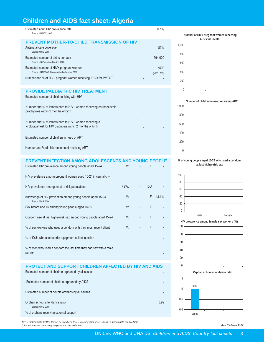## **Children and AIDS fact sheet: Algeria**

| Estimated adult HIV prevalence rate                                                   |      | 0.1%             |              |                         |                                                |
|---------------------------------------------------------------------------------------|------|------------------|--------------|-------------------------|------------------------------------------------|
| Source: UNAIDS, 2006                                                                  |      |                  |              |                         | Number of HIV+ pregnant women receiving        |
| <b>PREVENT MOTHER-TO-CHILD TRANSMISSION OF HIV</b>                                    |      |                  |              | <b>ARVs for PMTCT</b>   |                                                |
| Antenatal care coverage                                                               |      | 89%              | 1,000        |                         |                                                |
| Source: MICS, 2006                                                                    |      |                  |              |                         |                                                |
| Estimated number of births per year                                                   |      | 694,000          | 800          |                         |                                                |
| Source: UN Population Division, 2006                                                  |      |                  | 600          |                         |                                                |
| Estimated number of HIV+ pregnant women                                               |      | $500$            |              |                         |                                                |
| Source: UNAIDS/WHO unpublished estimates, 2007                                        |      |                  | 400          |                         |                                                |
| Number and % of HIV+ pregnant women receiving ARVs for PMTCT                          |      | $[<500 - 783]$ * |              |                         |                                                |
|                                                                                       |      |                  | 200          |                         |                                                |
|                                                                                       |      |                  |              |                         |                                                |
| <b>PROVIDE PAEDIATRIC HIV TREATMENT</b>                                               |      |                  | $\mathbf{0}$ |                         |                                                |
| Estimated number of children living with HIV                                          |      |                  |              |                         |                                                |
|                                                                                       |      |                  |              |                         | Number of children in need receiving ART       |
| Number and % of infants born to HIV+ women receiving cotrimoxazole                    |      |                  | 1,000        |                         |                                                |
| prophylaxis within 2 months of birth                                                  |      |                  |              |                         |                                                |
|                                                                                       |      |                  | 800          |                         |                                                |
| Number and % of infants born to HIV+ women receiving a                                |      |                  | 600          |                         |                                                |
| virological test for HIV diagnosis within 2 months of birth                           |      |                  |              |                         |                                                |
|                                                                                       |      |                  | 400          |                         |                                                |
| Estimated number of children in need of ART                                           |      |                  |              |                         |                                                |
|                                                                                       |      |                  | 200          |                         |                                                |
| Number and % of children in need receiving ART                                        |      |                  |              |                         |                                                |
|                                                                                       |      |                  | $\mathbf{0}$ |                         |                                                |
|                                                                                       |      |                  |              |                         |                                                |
| <b>PREVENT INFECTION AMONG ADOLESCENTS AND</b>                                        | G    | <b>PFOPLE</b>    |              | at last higher-risk sex | % of young people aged 15-24 who used a condom |
| M:<br>Estimated HIV prevalence among young people aged 15-24                          | F:   |                  |              |                         |                                                |
|                                                                                       |      |                  | 100          |                         |                                                |
| HIV prevalence among pregnant women aged 15-24 in capital city                        |      |                  |              |                         |                                                |
|                                                                                       |      |                  | 80           |                         |                                                |
| FSW:<br>HIV prevalence among most-at-risk populations                                 | IDU: |                  | 60           |                         |                                                |
|                                                                                       |      |                  | 40           |                         |                                                |
| Knowledge of HIV prevention among young people aged 15-24<br>M:<br>Source: MICS, 2006 |      | $F: 13.1\%$      |              |                         |                                                |
|                                                                                       |      |                  | 20           |                         |                                                |
| Sex before age 15 among young people aged 15-19<br>M:                                 | F:   |                  | 0            |                         |                                                |
|                                                                                       |      |                  |              | Male                    | Female                                         |
| Condom use at last higher-risk sex among young people aged 15-24<br>M:                | F:   |                  |              |                         | HIV prevalence among female sex workers (%)    |
|                                                                                       |      |                  | 100          |                         |                                                |
| % of sex workers who used a condom with their most recent client<br>M:                | F:   |                  |              |                         |                                                |
|                                                                                       |      |                  | 80           |                         |                                                |
| % of IDUs who used sterile equipment at last injection                                |      |                  | 60           |                         |                                                |
|                                                                                       |      |                  |              |                         |                                                |
| % of men who used a condom the last time they had sex with a male                     |      |                  | 40           |                         |                                                |
| partner                                                                               |      |                  |              |                         |                                                |
|                                                                                       |      |                  | 20           |                         |                                                |
| PROTECT AND SUPPORT CHILDREN AFFECTED BY HIV AND AIDS                                 |      |                  | 0            |                         |                                                |
| Estimated number of children orphaned by all causes                                   |      |                  |              |                         | Orphan school attendance ratio                 |
|                                                                                       |      |                  |              |                         |                                                |
| Estimated number of children orphaned by AIDS                                         |      |                  | 1.5          |                         |                                                |
|                                                                                       |      |                  |              | 0.99                    |                                                |
| Estimated number of double orphans by all causes                                      |      |                  | 1.0          |                         |                                                |
|                                                                                       |      |                  |              |                         |                                                |
| Orphan school attendance ratio                                                        |      | 0.99             | 0.5          |                         |                                                |
| Source: MICS, 2006                                                                    |      |                  |              |                         |                                                |
| % of orphans receiving external support                                               |      |                  | 0.0          |                         |                                                |
|                                                                                       |      |                  |              | 2006                    |                                                |

\* *Represents the uncertainty range around the estimates M/F = male/female; FSW = female sex workers; IDU = injecting drug users. Dash (-) means data not available.*

Rev. 7 March 2008

| 800   |                                          |
|-------|------------------------------------------|
| 600   |                                          |
| 400   |                                          |
| 200   |                                          |
| U     | Τ                                        |
| 1,000 | Number of children in need receiving ART |
|       |                                          |
| 800   |                                          |
| 600   |                                          |
| 400   |                                          |

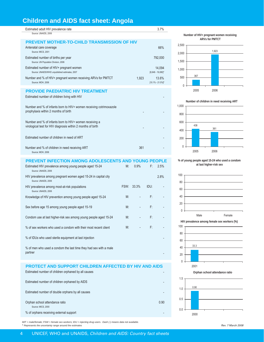## **Children and AIDS fact sheet: Angola**

| Estimated adult HIV prevalence rate                                                       |       | 3.7%                           |                |                               |                       |
|-------------------------------------------------------------------------------------------|-------|--------------------------------|----------------|-------------------------------|-----------------------|
| Source: UNAIDS, 2006                                                                      |       |                                |                | Number of HIV+ pregnant wome  | <b>ARVs for PMTCT</b> |
| <b>PREVENT MOTHER-TO-CHILD TRANSMISSION OF HIV</b>                                        |       |                                |                |                               |                       |
| Antenatal care coverage<br>Source: MICS, 2001                                             |       | 66%                            | 2,500<br>2,000 |                               | 1.923                 |
| Estimated number of births per year<br>Source: UN Population Division, 2006               |       | 792,000                        | 1,500          |                               |                       |
| Estimated number of HIV+ pregnant women<br>Source: UNAIDS/WHO unpublished estimates, 2007 |       | 14.094<br>[8,948 - 19,080]*    | 1,000          |                               |                       |
| Number and % of HIV+ pregnant women receiving ARVs for PMTCT<br>Source: MOH. 2006         | 1,923 | 13.6%<br>$[10.1\% - 21.5\%]$ * | 500            | 367                           |                       |
|                                                                                           |       |                                | 0              |                               |                       |
| <b>PROVIDE PAEDIATRIC HIV TREATMENT</b>                                                   |       |                                |                | 2005                          | 2006                  |
| Estimated number of children living with HIV                                              |       |                                |                | Number of children in need re |                       |
| Number and % of infants born to HIV+ women receiving cotrimoxazole                        |       |                                | 1.000          |                               |                       |
| prophylaxis within 2 months of birth                                                      |       |                                | 800            |                               |                       |
| Number and % of infants born to HIV+ women receiving a                                    |       |                                | 600            |                               |                       |
| virological test for HIV diagnosis within 2 months of birth                               |       |                                |                | 438                           |                       |
|                                                                                           |       |                                | 400            |                               | 361                   |
| Estimated number of children in need of ART                                               |       |                                | 200            |                               |                       |
|                                                                                           |       |                                | 0              |                               |                       |
| Number and % of children in need receiving ART<br>Source: MOH. 2006                       | 361   |                                |                | 2005                          | 2006                  |

#### **PREVENT INFECTION AMONG ADOLESCENTS AND YOUNG PEOPLE**

| Estimated HIV prevalence among young people aged 15-24<br>Source: UNAIDS, 2006         | M: | 0.9%       | F:   | 2.5% |           | at last liigilei -ilsk sex                |  |
|----------------------------------------------------------------------------------------|----|------------|------|------|-----------|-------------------------------------------|--|
| HIV prevalence among pregnant women aged 15-24 in capital city<br>Source: UNAIDS, 2006 |    |            |      | 2.8% | 100<br>80 |                                           |  |
| HIV prevalence among most-at-risk populations<br>Source: UNAIDS, 2006                  |    | FSW: 33.3% | IDU: |      | 60        |                                           |  |
| Knowledge of HIV prevention among young people aged 15-24                              | M: |            | F:   |      | 40        |                                           |  |
| Sex before age 15 among young people aged 15-19                                        | M: |            | F:   |      | 20        |                                           |  |
| Condom use at last higher-risk sex among young people aged 15-24                       | M: |            | F:   |      |           | Male<br>HIV prevalence among female sex w |  |
| % of sex workers who used a condom with their most recent client                       | M: |            | F:   |      | 100       |                                           |  |
| % of IDUs who used sterile equipment at last injection                                 |    |            |      |      | 80<br>60  |                                           |  |
| % of men who used a condom the last time they had sex with a male                      |    |            |      |      | 40        | 33.3                                      |  |
| partner                                                                                |    |            |      |      | $\sim$    |                                           |  |

## **PROTECT AND SUPPORT CHILDREN AFFECTED BY HIV AND AIDS**

| Estimated number of children orphaned by all causes  | $\overline{\phantom{0}}$ | Orphan school attenda |      |  |
|------------------------------------------------------|--------------------------|-----------------------|------|--|
| Estimated number of children orphaned by AIDS        | -                        | 1.5                   |      |  |
|                                                      |                          | 1.0                   | 0.90 |  |
| Estimated number of double orphans by all causes     | -                        | 0.5                   |      |  |
| Orphan school attendance ratio<br>Source: MICS, 2000 | 0.90                     |                       |      |  |
| % of orphans receiving external support              | -                        | 0.0                   | 2000 |  |

\* *Represents the uncertainty range around the estimates M/F = male/female; FSW = female sex workers; IDU = injecting drug users. Dash (-) means data not available.*







**% of young people aged 15-24 who used a condom at last higher-risk sex**

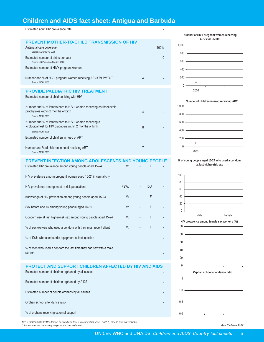## **Children and AIDS fact sheet: Antigua and Barbuda**

#### Estimated adult HIV prevalence rate

partner

## **PREVENT MOTHER-TO-CHILD TRANSMISSION OF HIV**

| Antenatal care coverage                                      |   | 100%         | 1,000 |      |  |
|--------------------------------------------------------------|---|--------------|-------|------|--|
| Source: PAHO/WHO, 2005                                       |   |              | 800   |      |  |
| Estimated number of births per year                          |   | $\mathbf{0}$ | 600   |      |  |
| Source: UN Population Division, 2006                         |   |              |       |      |  |
| Estimated number of HIV+ pregnant women                      |   |              | 400   |      |  |
|                                                              |   |              |       |      |  |
| Number and % of HIV+ pregnant women receiving ARVs for PMTCT |   |              | 200   |      |  |
| Source: MOH, 2006                                            | 4 |              |       |      |  |
|                                                              |   |              |       |      |  |
| <b>PROVIDE PAEDIATRIC HIV TREATMENT</b>                      |   |              |       | 2006 |  |

#### $E_{\text{obimated number of obildron limits with HIV}}$

| Estimated number of children living with HIV                       |   |                               |
|--------------------------------------------------------------------|---|-------------------------------|
|                                                                    |   | Number of children in need re |
| Number and % of infants born to HIV+ women receiving cotrimoxazole |   | 1,000                         |
| prophylaxis within 2 months of birth                               | 4 | 800                           |
| Source: MOH, 2006                                                  |   |                               |
| Number and % of infants born to HIV+ women receiving a             |   | 600                           |
| virological test for HIV diagnosis within 2 months of birth        | 0 |                               |
| Source: MOH, 2006                                                  |   | 400                           |
| Estimated number of children in need of ART                        |   | 200                           |
|                                                                    |   |                               |
| Number and % of children in need receiving ART                     |   |                               |
| Source: MOH, 2006                                                  |   | 2006                          |

## **PREVENT INFECTION AMONG ADOLESCENTS AND YOUNG PEOPLE**

| Estimated HIV prevalence among young people aged 15-24            | M:   | F:   |                                           | at last liigilei -ilsk s       |
|-------------------------------------------------------------------|------|------|-------------------------------------------|--------------------------------|
| HIV prevalence among pregnant women aged 15-24 in capital city    |      |      | 100                                       |                                |
| HIV prevalence among most-at-risk populations                     | FSW: | IDU: | 80<br>60                                  |                                |
| Knowledge of HIV prevention among young people aged 15-24         | M:   | F:   | 40                                        |                                |
| Sex before age 15 among young people aged 15-19                   | M:   | F:   | 20                                        |                                |
|                                                                   | M:   | F:   | 0                                         | Male                           |
| Condom use at last higher-risk sex among young people aged 15-24  |      |      | 100                                       | HIV prevalence among female se |
| % of sex workers who used a condom with their most recent client  | M:   | F:   | 80                                        |                                |
| % of IDUs who used sterile equipment at last injection            |      |      | 60                                        |                                |
| % of men who used a condom the last time they had sex with a male |      |      | $\Lambda$ <sup><math>\Lambda</math></sup> |                                |

## **PROTECT AND SUPPORT CHILDREN AFFECTED BY HIV AND AIDS**

| Estimated number of children orphaned by all causes |                          |     | Orphan school attenda |
|-----------------------------------------------------|--------------------------|-----|-----------------------|
| Estimated number of children orphaned by AIDS       | -                        | 1.5 |                       |
| Estimated number of double orphans by all causes    | $\overline{\phantom{0}}$ | 1.0 |                       |
| Orphan school attendance ratio                      | -                        | 0.5 |                       |
| % of orphans receiving external support             | -                        | 0.0 |                       |

 $*$  Represents the uncertainty range around the estimates *M/F = male/female; FSW = female sex workers; IDU = injecting drug users. Dash (-) means data not available.*

Rev. 7 March 2008

**Number of HIV+ pregnant women receiving ARVs for PMTCT**

-

| 1,000          |      |  |  |
|----------------|------|--|--|
| 800            |      |  |  |
| 600            |      |  |  |
| 400            |      |  |  |
| 200            |      |  |  |
| $\overline{0}$ | 4    |  |  |
|                | 2006 |  |  |

|       | Number of children in need receiving ART |
|-------|------------------------------------------|
| 1,000 |                                          |
| 800   |                                          |
| 600   |                                          |
| 400   |                                          |
| 200   |                                          |
|       | 7                                        |
|       | 2006                                     |

**% of young people aged 15-24 who used a condom at last higher-risk sex**

| 100 |                                             |        |
|-----|---------------------------------------------|--------|
| 80  |                                             |        |
| 60  |                                             |        |
| 40  |                                             |        |
| 20  |                                             |        |
| 0   |                                             |        |
|     | Male                                        | Female |
|     | HIV prevalence among female sex workers (%) |        |
| 100 |                                             |        |
| 80  |                                             |        |
| 60  |                                             |        |
| 40  |                                             |        |
| 20  |                                             |        |
|     |                                             |        |
| 0   |                                             |        |
|     | Orphan school attendance ratio              |        |
| 1.5 |                                             |        |
|     |                                             |        |
| 1.0 |                                             |        |
|     |                                             |        |
| 0.5 |                                             |        |
| 0.0 | T                                           | т<br>٦ |
|     |                                             |        |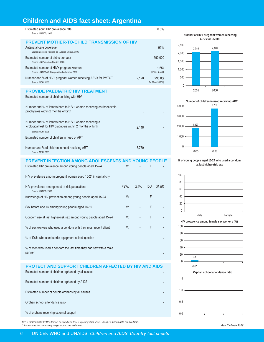## **Children and AIDS fact sheet: Argentina**

| Estimated adult HIV prevalence rate                                                       |       | 0.6%                               |              |       |                                                       |
|-------------------------------------------------------------------------------------------|-------|------------------------------------|--------------|-------|-------------------------------------------------------|
| Source: UNAIDS, 2006                                                                      |       |                                    |              |       | Number of HIV+ pregnant wome<br><b>ARVs for PMTCT</b> |
| <b>PREVENT MOTHER-TO-CHILD TRANSMISSION OF HIV</b>                                        |       |                                    | 2,500        |       |                                                       |
| Antenatal care coverage<br>Source: Encuesta Nacional de Nutrición y Salud, 2005           |       | 99%                                | 2,000        | 2.088 | 2,120                                                 |
| Estimated number of births per year<br>Source: UN Population Division, 2006               |       | 690,000                            | 1,500        |       |                                                       |
| Estimated number of HIV+ pregnant women<br>Source: UNAIDS/WHO unpublished estimates, 2007 |       | 1.654<br>$[1, 153 - 2, 255]$ *     | 1,000        |       |                                                       |
| Number and % of HIV+ pregnant women receiving ARVs for PMTCT<br>Source: MOH, 2006         | 2,120 | $>95.0\%$<br>$[94.0\% - 95.0\%]$ * | 500          |       |                                                       |
|                                                                                           |       |                                    | $\mathbf{0}$ |       |                                                       |
| <b>PROVIDE PAEDIATRIC HIV TREATMENT</b>                                                   |       |                                    |              | 2005  | 2006                                                  |
| Estimated number of children living with HIV                                              |       |                                    |              |       |                                                       |
|                                                                                           |       |                                    |              |       | Number of children in need re<br>3760                 |
| Number and % of infants born to HIV+ women receiving cotrimoxazole                        |       |                                    | 4,000        |       |                                                       |
| prophylaxis within 2 months of birth                                                      |       |                                    | 3,000        |       |                                                       |
| Number and % of infants born to HIV+ women receiving a                                    |       |                                    |              | 1,827 |                                                       |
| virological test for HIV diagnosis within 2 months of birth                               | 2,148 |                                    | 2,000        |       |                                                       |
| Source: MOH, 2006                                                                         |       |                                    |              |       |                                                       |
| Estimated number of children in need of ART                                               |       |                                    | 1,000        |       |                                                       |
|                                                                                           |       |                                    | $\mathbf{0}$ |       |                                                       |
| Number and % of children in need receiving ART<br>Source: MOH. 2006                       | 3.760 |                                    |              | 2005  | 2006                                                  |

## **PREVENT INFECTION AMONG ADOLESCENTS AND YOUNG PEOPLE**

| Estimated HIV prevalence among young people aged 15-24                | M:   | $\overline{\phantom{a}}$ | F:   |       |          | at last higher-risk s                  |
|-----------------------------------------------------------------------|------|--------------------------|------|-------|----------|----------------------------------------|
| HIV prevalence among pregnant women aged 15-24 in capital city        |      |                          |      |       | 100      |                                        |
| HIV prevalence among most-at-risk populations<br>Source: UNAIDS, 2006 | FSW: | 3.4%                     | IDU: | 23.0% | 80<br>60 |                                        |
| Knowledge of HIV prevention among young people aged 15-24             | M:   |                          | F:   |       | 40       |                                        |
| Sex before age 15 among young people aged 15-19                       | M:   |                          | F:   |       | 20<br>0  |                                        |
| Condom use at last higher-risk sex among young people aged 15-24      | M:   |                          | F:   |       |          | Male<br>HIV prevalence among female se |
| % of sex workers who used a condom with their most recent client      | M:   |                          | F:   |       | 100      |                                        |
| % of IDUs who used sterile equipment at last injection                |      |                          |      |       | 80<br>60 |                                        |
| % of men who used a condom the last time they had sex with a male     |      |                          |      |       | 40       |                                        |

#### **PROTECT AND SUPPORT CHILDREN AFFECTED BY HIV AND AIDS**

| Estimated number of children orphaned by all causes | $\overline{\phantom{0}}$ | Orphan school attenda |
|-----------------------------------------------------|--------------------------|-----------------------|
| Estimated number of children orphaned by AIDS       | -                        | 1.5                   |
| Estimated number of double orphans by all causes    | -                        | 1.0                   |
| Orphan school attendance ratio                      |                          | 0.5                   |
| % of orphans receiving external support             | -                        | 0.0                   |

\* *Represents the uncertainty range around the estimates M/F = male/female; FSW = female sex workers; IDU = injecting drug users. Dash (-) means data not available.*

partner







**% of young people aged 15-24 who used a condom at last higher-risk sex**

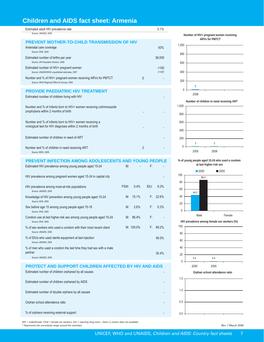## **Children and AIDS fact sheet: Armenia**

| Estimated adult HIV prevalence rate                                                                          | 0.1%                 |                                                       |
|--------------------------------------------------------------------------------------------------------------|----------------------|-------------------------------------------------------|
| Source: UNAIDS, 2006                                                                                         |                      | Number of HIV+ pregnant wome<br><b>ARVs for PMTCT</b> |
| <b>PREVENT MOTHER-TO-CHILD TRANSMISSION OF HIV</b>                                                           |                      | 1,000                                                 |
| Antenatal care coverage<br>Source: DHS. 2005                                                                 | 93%                  |                                                       |
| Estimated number of births per year<br>Source: UN Population Division, 2006                                  | 36,000               | 800<br>600                                            |
| Estimated number of HIV+ pregnant women<br>Source: UNAIDS/WHO unpublished estimates, 2007                    | < 100<br>$[< 100]$ * | 400                                                   |
| Number and % of HIV+ pregnant women receiving ARVs for PMTCT<br>Source: WHO Regional Office for Europe, 2006 | 5                    | 200                                                   |
| <b>PROVIDE PAEDIATRIC HIV TREATMENT</b>                                                                      |                      | 5<br>0                                                |
| Estimated number of children living with HIV                                                                 |                      | 2006                                                  |
|                                                                                                              |                      | Number of children in need re                         |
| Number and % of infants born to HIV+ women receiving cotrimoxazole                                           |                      | 1.000                                                 |
| prophylaxis within 2 months of birth                                                                         |                      | 800                                                   |
| Number and % of infants born to HIV+ women receiving a                                                       |                      | 600                                                   |
| virological test for HIV diagnosis within 2 months of birth                                                  |                      |                                                       |
|                                                                                                              |                      | 400                                                   |
| Estimated number of children in need of ART                                                                  |                      | 200                                                   |
| Number and % of children in need receiving ART                                                               | $\overline{2}$       | $\overline{2}$<br>3<br>0                              |
| Source: MOH. 2006                                                                                            |                      | 2005<br>2006                                          |
| <b>PREVENT INFECTION AMONG ADOLESCENTS AND YOUNG PEOPLE</b>                                                  |                      | % of young people aged 15-24 who u                    |
| M:<br>Estimated HIV prevalence among young people aged 15-24                                                 | F:                   | at last higher-risk sex                               |
|                                                                                                              |                      | ■2000<br>$\blacksquare$ 200<br>100                    |
| HIV prevalence among pregnant women aged 15-24 in capital city                                               |                      | 86.4                                                  |
| FSW:<br>HIV prevalence among most-at-risk populations                                                        | 0.4%<br>IDU:<br>9.3% | 80                                                    |
|                                                                                                              |                      |                                                       |

HIV prevalence among most-at-risk populations FSW: 0.4% IDU: 9.3% Source: UNAIDS, 2006  $\overline{a}$ Knowledge of HIV prevention among young people aged 15-24 M: 15.1% F: 22.6% Source: DHS, 2005 Sex before age 15 among young people aged 15-19 M: 2.6% F: 0.3% Source: DHS, 2005 Condom use at last higher-risk sex among young people aged 15-24 M: 86.4% F: Source: DHS, 2005 % of sex workers who used a condom with their most recent client M: 100.0% F: 89.2% Source: UNAIDS, 2006 <sup>2006</sup> <sup>89</sup> % of IDUs who used sterile equipment at last injection Source: UNAIDS, 2006 % of men who used a condom the last time they had sex with a male partner Source: UNAIDS, 2006 46.0% 30.4%

#### **PROTECT AND SUPPORT CHILDREN AFFECTED BY HIV AND AIDS**

| Estimated number of children orphaned by all causes | $\overline{\phantom{0}}$ |     | Orphan school attenda |
|-----------------------------------------------------|--------------------------|-----|-----------------------|
| Estimated number of children orphaned by AIDS       | -                        | 1.5 |                       |
| Estimated number of double orphans by all causes    | -                        | 1.0 |                       |
| Orphan school attendance ratio                      |                          | 0.5 |                       |
| % of orphans receiving external support             | -                        | 0.0 |                       |

\* *Represents the uncertainty range around the estimates M/F = male/female; FSW = female sex workers; IDU = injecting drug users. Dash (-) means data not available.*

Rev. 7 March 2008

 $\Omega$ 200 400 600 800 1,000 **ARVs for PMTCT** 5 2006

**Number of HIV+ pregnant women receiving** 



**% of young people aged 15-24 who used a condom at last higher-risk sex**

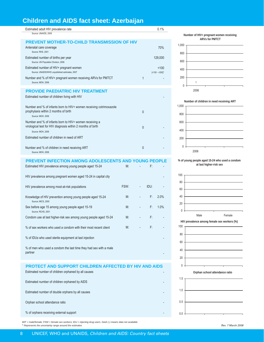## **Children and AIDS fact sheet: Azerbaijan**

| Estimated adult HIV prevalence rate                                                                                                                                    |      |              |      | 0.1%                |              |                                                       |
|------------------------------------------------------------------------------------------------------------------------------------------------------------------------|------|--------------|------|---------------------|--------------|-------------------------------------------------------|
| Source: UNAIDS, 2006                                                                                                                                                   |      |              |      |                     |              | Number of HIV+ pregnant wome<br><b>ARVs for PMTCT</b> |
| <b>PREVENT MOTHER-TO-CHILD TRANSMISSION OF HIV</b>                                                                                                                     |      |              |      |                     | 1,000        |                                                       |
| Antenatal care coverage<br>Source: RHS. 2001                                                                                                                           |      |              |      | 70%                 | 800          |                                                       |
| Estimated number of births per year<br>Source: UN Population Division, 2006                                                                                            |      |              |      | 129,000             | 600          |                                                       |
| Estimated number of HIV+ pregnant women                                                                                                                                |      |              |      | 100                 | 400          |                                                       |
| Source: UNAIDS/WHO unpublished estimates, 2007<br>Number and % of HIV+ pregnant women receiving ARVs for PMTCT                                                         |      | 1            |      | $5$ < 100 - < 2001* | 200          |                                                       |
| Source: MOH. 2006                                                                                                                                                      |      |              |      |                     | 0            | $\mathbf{1}$                                          |
| <b>PROVIDE PAEDIATRIC HIV TREATMENT</b>                                                                                                                                |      |              |      |                     |              | 2006                                                  |
| Estimated number of children living with HIV                                                                                                                           |      |              |      |                     |              | Number of children in need rec-                       |
| Number and % of infants born to HIV+ women receiving cotrimoxazole<br>prophylaxis within 2 months of birth                                                             |      |              |      |                     | 1,000        |                                                       |
| Source: MOH, 2006                                                                                                                                                      |      | $\mathbf{0}$ |      |                     | 800          |                                                       |
| Number and % of infants born to HIV+ women receiving a<br>virological test for HIV diagnosis within 2 months of birth                                                  |      | $\mathbf{0}$ |      |                     | 600          |                                                       |
| Source: MOH, 2006                                                                                                                                                      |      |              |      |                     | 400          |                                                       |
| Estimated number of children in need of ART                                                                                                                            |      |              |      |                     | 200          |                                                       |
| Number and % of children in need receiving ART<br>Source: MOH, 2006                                                                                                    |      | $\mathbf{0}$ |      |                     | 0            | 2006                                                  |
| PREVENT INFECTION AMONG ADOLESCENTS AND YOUNG PEOPLE                                                                                                                   |      |              |      |                     |              | % of young people aged 15-24 who u                    |
| Estimated HIV prevalence among young people aged 15-24                                                                                                                 | M:   |              | F:   |                     |              | at last higher-risk sex                               |
| HIV prevalence among pregnant women aged 15-24 in capital city                                                                                                         |      |              |      |                     | 100          |                                                       |
| HIV prevalence among most-at-risk populations                                                                                                                          | FSW: |              | IDU: |                     | 80           |                                                       |
|                                                                                                                                                                        |      |              |      |                     | 60           |                                                       |
| Knowledge of HIV prevention among young people aged 15-24<br>Source: MICS, 2000                                                                                        | M:   |              | F:   | 2.0%                | 40<br>20     |                                                       |
| Sex before age 15 among young people aged 15-19<br>Source: RCHS, 2001                                                                                                  | M:   |              | F:   | 1.0%                | $\mathbf{0}$ |                                                       |
| Condom use at last higher-risk sex among young people aged 15-24                                                                                                       | M:   |              | F:   |                     |              | Male                                                  |
| % of sex workers who used a condom with their most recent client                                                                                                       | M:   |              | F:   |                     | 100          | HIV prevalence among female sex                       |
|                                                                                                                                                                        |      |              |      |                     | 80           |                                                       |
| % of IDUs who used sterile equipment at last injection                                                                                                                 |      |              |      |                     | 60           |                                                       |
| % of men who used a condom the last time they had sex with a male                                                                                                      |      |              |      |                     | 40           |                                                       |
| partner                                                                                                                                                                |      |              |      |                     | 20           |                                                       |
| <b>PROTECT AND SUPPORT CHILDREN AFFECTED BY HIV AND AIDS</b>                                                                                                           |      |              |      |                     | $\mathbf{0}$ |                                                       |
| Estimated number of children orphaned by all causes                                                                                                                    |      |              |      |                     |              | Orphan school attendan                                |
| Estimated number of children orphaned by AIDS                                                                                                                          |      |              |      |                     | 1.5          |                                                       |
| Estimated number of double orphans by all causes                                                                                                                       |      |              |      |                     | 1.0          |                                                       |
| Orphan school attendance ratio                                                                                                                                         |      |              |      |                     | 0.5          |                                                       |
| % of orphans receiving external support                                                                                                                                |      |              |      |                     | 0.0          |                                                       |
| M/F = male/female; FSW = female sex workers; IDU = injecting drug users. Dash (-) means data not available.<br>* Represents the uncertainty range around the estimates |      |              |      |                     |              | R                                                     |

**Number of HIV+ pregnant women receiving ARVs for PMTCT**





**% of young people aged 15-24 who used a condom at last higher-risk sex**

| 100      |                                             |
|----------|---------------------------------------------|
| 80       |                                             |
| 60       |                                             |
| 40       |                                             |
| 20       |                                             |
| 0        |                                             |
|          | Male<br>Female                              |
|          | HIV prevalence among female sex workers (%) |
| 100      |                                             |
| 80       |                                             |
| 60       |                                             |
| 40       |                                             |
| 20       |                                             |
|          |                                             |
| $\Omega$ |                                             |
|          | Orphan school attendance ratio              |
| 1.5      |                                             |
|          |                                             |
| 1.0      |                                             |
|          |                                             |
| 0.5      |                                             |
| 0.0      | T<br>T                                      |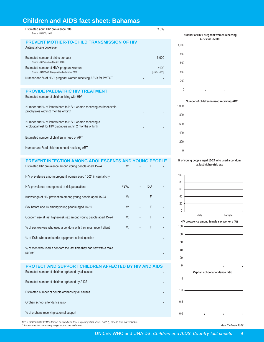## **Children and AIDS fact sheet: Bahamas**

| Estimated adult HIV prevalence rate                                                                                   |      |      | 3.3%                     |                                               |
|-----------------------------------------------------------------------------------------------------------------------|------|------|--------------------------|-----------------------------------------------|
| Source: UNAIDS, 2006                                                                                                  |      |      |                          | Number of HIV+ pregnant women receiving       |
| PREVENT MOTHER-TO-CHILD TRANSMISSION OF HIV                                                                           |      |      |                          | <b>ARVs for PMTCT</b>                         |
| Antenatal care coverage                                                                                               |      |      |                          | 1,000                                         |
|                                                                                                                       |      |      |                          | 800                                           |
| Estimated number of births per year                                                                                   |      |      | 6,000                    |                                               |
| Source: UN Population Division, 2006                                                                                  |      |      |                          | 600                                           |
| Estimated number of HIV+ pregnant women<br>Source: UNAIDS/WHO unpublished estimates, 2007                             |      |      | 100<br>$[< 100 - 200]$ * | 400                                           |
| Number and % of HIV+ pregnant women receiving ARVs for PMTCT                                                          |      |      |                          |                                               |
|                                                                                                                       |      |      |                          | 200                                           |
| <b>PROVIDE PAEDIATRIC HIV TREATMENT</b>                                                                               |      |      |                          | 0                                             |
| Estimated number of children living with HIV                                                                          |      |      |                          |                                               |
|                                                                                                                       |      |      |                          | Number of children in need receiving ART      |
| Number and % of infants born to HIV+ women receiving cotrimoxazole                                                    |      |      |                          | 1,000                                         |
| prophylaxis within 2 months of birth                                                                                  |      |      |                          | 800                                           |
|                                                                                                                       |      |      |                          |                                               |
| Number and % of infants born to HIV+ women receiving a<br>virological test for HIV diagnosis within 2 months of birth |      |      |                          | 600                                           |
|                                                                                                                       |      |      |                          | 400                                           |
| Estimated number of children in need of ART                                                                           |      |      |                          |                                               |
|                                                                                                                       |      |      |                          | 200                                           |
| Number and % of children in need receiving ART                                                                        |      |      |                          | $\mathbf{0}$                                  |
|                                                                                                                       |      |      |                          |                                               |
| <b>PREVENT INFECTION AMONG ADOLESCENTS AND</b>                                                                        |      |      |                          | % of young people aged 15-24 who used a condo |
| Estimated HIV prevalence among young people aged 15-24                                                                | M:   | F:   |                          | at last higher-risk sex                       |
|                                                                                                                       |      |      |                          | 100                                           |
| HIV prevalence among pregnant women aged 15-24 in capital city                                                        |      |      |                          |                                               |
| HIV prevalence among most-at-risk populations                                                                         | FSW: | IDU: |                          | 80                                            |
|                                                                                                                       |      |      |                          | 60                                            |
| Knowledge of HIV prevention among young people aged 15-24                                                             | M:   | F:   |                          | 40                                            |
|                                                                                                                       |      |      |                          | 20                                            |
| Sex before age 15 among young people aged 15-19                                                                       | M:   | F:   |                          | $\mathbf 0$                                   |
| Condom use at last higher-risk sex among young people aged 15-24                                                      | M:   | F:   |                          | Male<br>Female                                |
|                                                                                                                       |      |      |                          | HIV prevalence among female sex workers (%)   |
| % of sex workers who used a condom with their most recent client                                                      | M:   | F:   |                          | 100                                           |
|                                                                                                                       |      |      |                          | 80                                            |
| % of IDUs who used sterile equipment at last injection                                                                |      |      |                          | 60                                            |
| % of men who used a condom the last time they had sex with a male                                                     |      |      |                          |                                               |
| partner                                                                                                               |      |      |                          | 40                                            |
|                                                                                                                       |      |      |                          | 20                                            |
| PROTECT AND SUPPORT CHILDREN AFFECTED BY HIV AND AIDS                                                                 |      |      |                          | 0                                             |
| Estimated number of children orphaned by all causes                                                                   |      |      |                          |                                               |
|                                                                                                                       |      |      |                          | Orphan school attendance ratio                |
| Estimated number of children orphaned by AIDS                                                                         |      |      |                          | 1.5                                           |
|                                                                                                                       |      |      |                          |                                               |
| Estimated number of double orphans by all causes                                                                      |      |      |                          | 1.0                                           |
|                                                                                                                       |      |      |                          | 0.5                                           |
| Orphan school attendance ratio                                                                                        |      |      |                          |                                               |
| % of orphans receiving external support                                                                               |      |      |                          | $0.0\,$                                       |
|                                                                                                                       |      |      |                          |                                               |
|                                                                                                                       |      |      |                          |                                               |

*M/F = male/female; FSW = female sex workers; IDU = injecting drug users. Dash (-) means data not available.*<br>\* Represents the uncertainty range around the estimates

Rev. 7 March 2008

 $\overline{\phantom{0}}$ 

|                            | 1,000                                                                     |
|----------------------------|---------------------------------------------------------------------------|
| ,000                       | 800                                                                       |
|                            | 600                                                                       |
| 100<br>$-200$ <sup>*</sup> | 400                                                                       |
|                            | 200                                                                       |
|                            | 0                                                                         |
|                            |                                                                           |
|                            | Number of children in need receiving ART<br>1,000                         |
|                            | $800 -$                                                                   |
|                            | 600                                                                       |
|                            | $400 -$                                                                   |
|                            | $200 -$                                                                   |
|                            | 0                                                                         |
| PLE                        | % of young people aged 15-24 who used a condom<br>at last higher-risk sex |
|                            | the control of the control of the control of<br>$100 -$                   |
|                            | $80 -$                                                                    |
|                            | $60 -$<br>$40 -$                                                          |
|                            | $20 -$                                                                    |
|                            | $0 -$                                                                     |
|                            | Male<br>Female<br>HIV prevalence among female sex workers (%)             |
|                            | $100 -$                                                                   |
|                            | $80 -$                                                                    |
|                            | 60                                                                        |
|                            | 40                                                                        |
|                            | 20                                                                        |
| วร                         | 0<br>Orphan school attendance ratio                                       |
|                            | 1.5                                                                       |
|                            | $1.0\,$                                                                   |
|                            |                                                                           |
|                            | $0.5\,$                                                                   |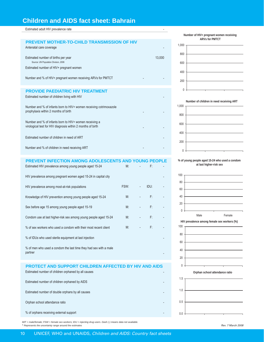## **Children and AIDS fact sheet: Bahrain**

#### Estimated adult HIV prevalence rate

## **PREVENT MOTHER-TO-CHILD TRANSMISSION OF HIV**

| Antenatal care coverage<br>-                                      |     |  |
|-------------------------------------------------------------------|-----|--|
|                                                                   | 800 |  |
| Estimated number of births per year<br>13,000                     |     |  |
| Source: UN Population Division, 2006                              | 600 |  |
| Estimated number of HIV+ pregnant women                           | 400 |  |
|                                                                   |     |  |
| Number and % of HIV+ pregnant women receiving ARVs for PMTCT<br>- | 200 |  |
|                                                                   |     |  |

## **PROVIDE PAEDIATRIC HIV TREATMENT**

| Estimated number of children living with HIV                                                                          |                               |
|-----------------------------------------------------------------------------------------------------------------------|-------------------------------|
|                                                                                                                       | Number of children in need re |
| Number and % of infants born to HIV+ women receiving cotrimoxazole                                                    | 1,000                         |
| prophylaxis within 2 months of birth                                                                                  | 800                           |
|                                                                                                                       |                               |
| Number and % of infants born to HIV+ women receiving a<br>virological test for HIV diagnosis within 2 months of birth | 600                           |
|                                                                                                                       | 400                           |
| Estimated number of children in need of ART                                                                           |                               |
|                                                                                                                       | 200                           |
| Number and % of children in need receiving ART                                                                        | $\sim$                        |

## **PREVENT INFECTION AMONG ADOLESCENTS AND YOUNG PEOPLE**

| M:   |          | F:   |          | at last liigilei -ilsk s |                                                       |                                        |
|------|----------|------|----------|--------------------------|-------------------------------------------------------|----------------------------------------|
|      |          |      |          | 100                      |                                                       |                                        |
| FSW: |          | IDU: |          | 80                       |                                                       |                                        |
|      |          |      |          | 40                       |                                                       |                                        |
|      |          |      |          | 20                       |                                                       |                                        |
|      |          |      |          | 0                        |                                                       |                                        |
| M:   |          | F:   |          |                          |                                                       |                                        |
| M:   |          | F:   |          | 100                      |                                                       |                                        |
|      |          |      |          | 80                       |                                                       |                                        |
|      |          |      |          |                          |                                                       |                                        |
|      | M:<br>M: |      | F:<br>F: |                          | 60<br>60<br>$\Lambda$ <sup><math>\Lambda</math></sup> | Male<br>HIV prevalence among female se |

**PROTECT AND SUPPORT CHILDREN AFFECTED BY HIV AND AIDS**

partner

| Estimated number of children orphaned by all causes |   |     | Orphan school attenda |
|-----------------------------------------------------|---|-----|-----------------------|
| Estimated number of children orphaned by AIDS       | - | 1.5 |                       |
| Estimated number of double orphans by all causes    | - | 1.0 |                       |
| Orphan school attendance ratio                      | - | 0.5 |                       |
| % of orphans receiving external support             | - | 0.0 |                       |

 $*$  Represents the uncertainty range around the estimates *M/F = male/female; FSW = female sex workers; IDU = injecting drug users. Dash (-) means data not available.* **Number of HIV+ pregnant women receiving ARVs for PMTCT**

| 1,000 |  |
|-------|--|
|       |  |
| 800   |  |
| 600   |  |
|       |  |
| 400   |  |
| 200   |  |
|       |  |
|       |  |

|       | Number of children in need receiving ART |
|-------|------------------------------------------|
| 1,000 |                                          |
| 800   |                                          |
| 600   |                                          |
| 400   |                                          |
| 200   |                                          |
|       |                                          |

-

-

**% of young people aged 15-24 who used a condom at last higher-risk sex**

| 100          |                                             |        |
|--------------|---------------------------------------------|--------|
| 80           |                                             |        |
| 60           |                                             |        |
| 40           |                                             |        |
| 20           |                                             |        |
| $\mathbf{0}$ |                                             |        |
|              | Male                                        | Female |
|              | HIV prevalence among female sex workers (%) |        |
| 100          |                                             |        |
| 80           |                                             |        |
| 60           |                                             |        |
| 40           |                                             |        |
| 20           |                                             |        |
| 0            | Ť                                           | ۳      |
|              | Orphan school attendance ratio              |        |
|              |                                             |        |
| 1.5          |                                             |        |
| 1.0          |                                             |        |
|              |                                             |        |
| 0.5          |                                             |        |
|              |                                             |        |
| 0.0          |                                             | T      |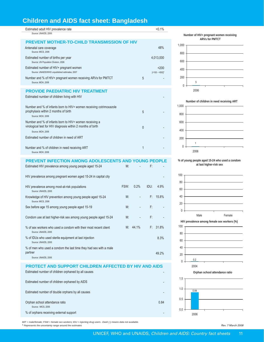## **Children and AIDS fact sheet: Bangladesh**

| Estimated adult HIV prevalence rate                                                       |      |             |              | < 0.1%              |                                                   |        |
|-------------------------------------------------------------------------------------------|------|-------------|--------------|---------------------|---------------------------------------------------|--------|
| Source: UNAIDS, 2006                                                                      |      |             |              |                     | Number of HIV+ pregnant women receiving           |        |
| PREVENT MOTHER-TO-CHILD TRANSMISSION OF HIV                                               |      |             |              |                     | <b>ARVs for PMTCT</b>                             |        |
| Antenatal care coverage<br>Source: MICS, 2006                                             |      |             |              | 48%                 | 1,000                                             |        |
| Estimated number of births per year                                                       |      |             |              | 4,013,000           | 800<br>600                                        |        |
| Source: UN Population Division, 2006<br>Estimated number of HIV+ pregnant women           |      |             |              | $200$               | 400                                               |        |
| Source: UNAIDS/WHO unpublished estimates, 2007                                            |      |             |              | $[< 100 - 500]$ *   |                                                   |        |
| Number and % of HIV+ pregnant women receiving ARVs for PMTCT<br>Source: MOH. 2006         |      |             | 5            |                     | 200<br>5<br>0                                     |        |
| <b>PROVIDE PAEDIATRIC HIV TREATMENT</b>                                                   |      |             |              |                     | 2006                                              |        |
| Estimated number of children living with HIV                                              |      |             |              |                     |                                                   |        |
| Number and % of infants born to HIV+ women receiving cotrimoxazole                        |      |             |              |                     | Number of children in need receiving ART<br>1,000 |        |
| prophylaxis within 2 months of birth<br>Source: MOH. 2006                                 |      |             | 5            |                     | 800                                               |        |
| Number and % of infants born to HIV+ women receiving a                                    |      |             |              |                     | 600                                               |        |
| virological test for HIV diagnosis within 2 months of birth                               |      |             | $\mathbf{0}$ |                     | 400                                               |        |
| Source: MOH, 2006<br>Estimated number of children in need of ART                          |      |             |              |                     |                                                   |        |
|                                                                                           |      |             |              |                     | 200<br>$\mathbf{1}$                               |        |
| Number and % of children in need receiving ART<br>Source: MOH, 2006                       |      |             | 1            |                     | $\Omega$<br>2006                                  |        |
| PREVENT INFECTION AMONG ADOLESCENTS AND                                                   |      |             |              | <b>YOUNG PEOPLE</b> | % of young people aged 15-24 who used a cond      |        |
| Estimated HIV prevalence among young people aged 15-24                                    | M:   |             | F:           |                     | at last higher-risk sex                           |        |
| HIV prevalence among pregnant women aged 15-24 in capital city                            |      |             |              |                     | 100                                               |        |
| HIV prevalence among most-at-risk populations                                             | FSW: | 0.2%        | IDU:         | 4.9%                | 80                                                |        |
| Source: UNAIDS, 2006                                                                      |      |             |              |                     | 60                                                |        |
| Knowledge of HIV prevention among young people aged 15-24<br>Source: MICS, 2006           | M:   |             | F:           | 15.8%               | 40<br>20                                          |        |
| Sex before age 15 among young people aged 15-19                                           | M:   |             | F:           |                     | 0                                                 |        |
| Condom use at last higher-risk sex among young people aged 15-24                          | M:   |             | F:           |                     | Male                                              | Female |
|                                                                                           |      |             |              |                     | HIV prevalence among female sex workers (%)       |        |
| % of sex workers who used a condom with their most recent client<br>Source: UNAIDS, 2006  |      | $M: 44.1\%$ |              | F: 31.8%            | 100<br>80                                         |        |
| % of IDUs who used sterile equipment at last injection                                    |      |             |              | 8.3%                | 60                                                |        |
| Source: UNAIDS, 2006<br>% of men who used a condom the last time they had sex with a male |      |             |              |                     | 40                                                |        |
| partner                                                                                   |      |             |              | 49.2%               | 20                                                |        |
| Source: UNAIDS, 2006                                                                      |      |             |              |                     | 0.2<br>0                                          |        |
| <b>PROTECT AND SUPPORT CHILDREN AFFECTED BY HIV AND AIDS</b>                              |      |             |              |                     | 2004                                              |        |
| Estimated number of children orphaned by all causes                                       |      |             |              |                     | Orphan school attendance ratio                    |        |
| Estimated number of children orphaned by AIDS                                             |      |             |              |                     | 1.5                                               |        |
| Estimated number of double orphans by all causes                                          |      |             |              |                     | 1.0<br>0.84                                       |        |
|                                                                                           |      |             |              |                     | 0.5                                               |        |
| Orphan school attendance ratio<br>Source: MICS, 2006                                      |      |             |              | 0.84                |                                                   |        |
| % of orphans receiving external support                                                   |      |             |              |                     | 0.0<br>2006                                       |        |
|                                                                                           |      |             |              |                     |                                                   |        |

\* *Represents the uncertainty range around the estimates M/F = male/female; FSW = female sex workers; IDU = injecting drug users. .Dash (-) means data not available.*

Rev. 7 March 2008

# 5 **ARVs for PMTCT**



people aged 15-24 who used a condom **at last higher-risk sex**



UNICEF, WHO and UNAIDS, Children and AIDS: Country fact sheets 11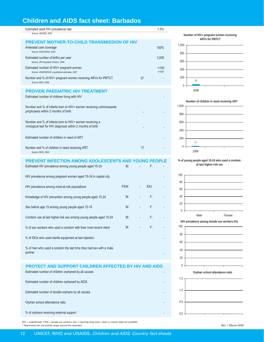## **Children and AIDS fact sheet: Barbados**

| Estimated adult HIV prevalence rate                                                                                   |      |    |      | 1.5%                 |                                    |                               |
|-----------------------------------------------------------------------------------------------------------------------|------|----|------|----------------------|------------------------------------|-------------------------------|
| Source: UNAIDS, 2006                                                                                                  |      |    |      |                      |                                    | Number of HIV+ pregnant wome  |
| <b>PREVENT MOTHER-TO-CHILD TRANSMISSION OF HIV</b>                                                                    |      |    |      |                      | 1,000                              | <b>ARVs for PMTCT</b>         |
| Antenatal care coverage<br>Source: PAHO/WHO, 2004                                                                     |      |    |      | 100%                 |                                    |                               |
| Estimated number of births per year                                                                                   |      |    |      | 3,000                | 800                                |                               |
| Source: UN Population Division, 2006                                                                                  |      |    |      |                      | 600                                |                               |
| Estimated number of HIV+ pregnant women<br>Source: UNAIDS/WHO unpublished estimates, 2007                             |      |    |      | < 100<br>$[< 100]$ * | 400                                |                               |
| Number and % of HIV+ pregnant women receiving ARVs for PMTCT<br>Source: MOH, 2006                                     |      | 37 |      |                      | 200<br>37                          |                               |
|                                                                                                                       |      |    |      |                      | 0<br>2006                          |                               |
| <b>PROVIDE PAEDIATRIC HIV TREATMENT</b><br>Estimated number of children living with HIV                               |      |    |      |                      |                                    |                               |
|                                                                                                                       |      |    |      |                      |                                    | Number of children in need re |
| Number and % of infants born to HIV+ women receiving cotrimoxazole<br>prophylaxis within 2 months of birth            |      |    |      |                      | 1,000                              |                               |
|                                                                                                                       |      |    |      |                      | 800                                |                               |
| Number and % of infants born to HIV+ women receiving a<br>virological test for HIV diagnosis within 2 months of birth |      |    |      |                      | 600                                |                               |
|                                                                                                                       |      |    |      |                      | 400                                |                               |
| Estimated number of children in need of ART                                                                           |      |    |      |                      | 200                                |                               |
| Number and % of children in need receiving ART                                                                        |      | 17 |      |                      | 17<br>0                            |                               |
| Source: MOH, 2006                                                                                                     |      |    |      |                      | 2006                               |                               |
| <b>PREVENT INFECTION AMONG ADOLESCENTS AND</b>                                                                        |      |    | NG   | <b>PEOPLE</b>        | % of young people aged 15-24 who u |                               |
| Estimated HIV prevalence among young people aged 15-24                                                                | M:   |    | F:   |                      |                                    | at last higher-risk sex       |
| HIV prevalence among pregnant women aged 15-24 in capital city                                                        |      |    |      |                      | 100                                |                               |
|                                                                                                                       |      |    |      |                      | 80                                 |                               |
| HIV prevalence among most-at-risk populations                                                                         | FSW: |    | IDU: |                      | 60                                 |                               |
| Knowledge of HIV prevention among young people aged 15-24                                                             | M:   |    | F:   |                      | 40                                 |                               |
| Sex before age 15 among young people aged 15-19                                                                       | M:   |    | F:   |                      | 20                                 |                               |
|                                                                                                                       |      |    |      |                      | 0<br>Male                          |                               |
| Condom use at last higher-risk sex among young people aged 15-24                                                      | M:   |    | F:   |                      | HIV prevalence among female sex    |                               |
| % of sex workers who used a condom with their most recent client                                                      | M:   |    | F:   |                      | 100                                |                               |
|                                                                                                                       |      |    |      |                      | 80                                 |                               |
| % of IDUs who used sterile equipment at last injection                                                                |      |    |      |                      | 60                                 |                               |
| % of men who used a condom the last time they had sex with a male                                                     |      |    |      |                      | 40                                 |                               |
| partner                                                                                                               |      |    |      |                      | 20                                 |                               |
| <b>PROTECT AND SUPPORT CHILDREN AFFECTED BY HIV AND AIDS</b>                                                          |      |    |      |                      | 0                                  |                               |
| Estimated number of children orphaned by all causes                                                                   |      |    |      |                      |                                    | Orphan school attendan        |
|                                                                                                                       |      |    |      |                      | 1.5                                |                               |
| Estimated number of children orphaned by AIDS                                                                         |      |    |      |                      |                                    |                               |
| Estimated number of double orphans by all causes                                                                      |      |    |      |                      | 1.0                                |                               |
| Orphan school attendance ratio                                                                                        |      |    |      |                      | 0.5                                |                               |
|                                                                                                                       |      |    |      |                      |                                    |                               |
| % of orphans receiving external support                                                                               |      |    |      |                      | $0.0\,$                            |                               |

\* *Represents the uncertainty range around the estimates M/F = male/female; FSW = female sex workers; IDU = injecting drug users. Dash (-) means data not available.* **Number of HIV+ pregnant women receiving ARVs for PMTCT**



|       | Number of children in need receiving ART |
|-------|------------------------------------------|
| 1,000 |                                          |
| 800   |                                          |
|       |                                          |
| 600   |                                          |
| 400   |                                          |
| 200   |                                          |
|       | 17                                       |
| Λ     |                                          |
|       | 2006                                     |

#### **% of young people aged 15-24 who used a condom at last higher-risk sex**

| 100 |                                             |
|-----|---------------------------------------------|
| 80  |                                             |
| 60  |                                             |
| 40  |                                             |
| 20  |                                             |
| 0   |                                             |
|     | Female<br>Male                              |
|     | HIV prevalence among female sex workers (%) |
| 100 |                                             |
| 80  |                                             |
| 60  |                                             |
|     |                                             |
| 40  |                                             |
| 20  |                                             |
| 0   |                                             |
|     | Orphan school attendance ratio              |
| 1.5 |                                             |
|     |                                             |
| 1.0 |                                             |
| 0.5 |                                             |
|     |                                             |
| 0.0 | T<br>T                                      |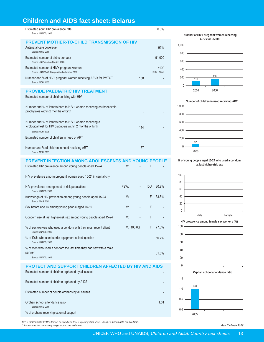## **Children and AIDS fact sheet: Belarus**

| Estimated adult HIV prevalence rate                                                       |           | 0.3%                      |                                        |
|-------------------------------------------------------------------------------------------|-----------|---------------------------|----------------------------------------|
| Source: UNAIDS, 2006                                                                      |           |                           | Number of HIV+ pregnant wome           |
| PREVENT MOTHER-TO-CHILD TRANSMISSION OF HIV                                               |           |                           | <b>ARVs for PMTCT</b>                  |
| Antenatal care coverage                                                                   |           | 99%                       | 1,000                                  |
| Source: MICS, 2005                                                                        |           |                           | 800                                    |
| Estimated number of births per year                                                       |           | 91,000                    | 600                                    |
| Source: UN Population Division, 2006                                                      |           |                           |                                        |
| Estimated number of HIV+ pregnant women<br>Source: UNAIDS/WHO unpublished estimates, 2007 |           | < 100<br>$[<100 - 200]$ * | 400                                    |
| Number and % of HIV+ pregnant women receiving ARVs for PMTCT                              | 158       |                           | 158<br>200<br>119                      |
| Source: MOH, 2006                                                                         |           |                           | 0                                      |
| <b>PROVIDE PAEDIATRIC HIV TREATMENT</b>                                                   |           |                           | 2004<br>2006                           |
| Estimated number of children living with HIV                                              |           |                           |                                        |
|                                                                                           |           |                           | Number of children in need re          |
| Number and % of infants born to HIV+ women receiving cotrimoxazole                        |           |                           | 1,000                                  |
| prophylaxis within 2 months of birth                                                      |           |                           | 800                                    |
|                                                                                           |           |                           |                                        |
| Number and % of infants born to HIV+ women receiving a                                    |           |                           | 600                                    |
| virological test for HIV diagnosis within 2 months of birth<br>Source: MOH, 2006          | 114       |                           | 400                                    |
| Estimated number of children in need of ART                                               |           |                           |                                        |
|                                                                                           |           |                           | 200<br>57                              |
| Number and % of children in need receiving ART                                            | 57        |                           | 0                                      |
| Source: MOH, 2006                                                                         |           |                           | 2006                                   |
| <b>PREVENT INFECTION AMONG ADOLESCENTS AND</b>                                            | YOUNG     | PEOPLE                    | % of young people aged 15-24 who u     |
| Estimated HIV prevalence among young people aged 15-24                                    | M:        | F:                        | at last higher-risk sex                |
|                                                                                           |           |                           |                                        |
| HIV prevalence among pregnant women aged 15-24 in capital city                            |           |                           | 100                                    |
|                                                                                           |           |                           | 80                                     |
| HIV prevalence among most-at-risk populations<br>Source: UNAIDS, 2006                     | FSW:      | IDU:<br>30.9%             | 60                                     |
| Knowledge of HIV prevention among young people aged 15-24                                 | M:        | F:<br>33.5%               | 40                                     |
| Source: MICS, 2005                                                                        |           |                           |                                        |
| Sex before age 15 among young people aged 15-19                                           | M:        | F:                        | 20                                     |
|                                                                                           |           |                           | 0                                      |
| Condom use at last higher-risk sex among young people aged 15-24                          | M:        | F:                        | Male                                   |
|                                                                                           |           |                           | HIV prevalence among female sex<br>100 |
| % of sex workers who used a condom with their most recent client<br>Source: UNAIDS, 2006  | M: 100.0% | F: 77.3%                  |                                        |
| % of IDUs who used sterile equipment at last injection                                    |           | 50.7%                     | 80                                     |
| Source: UNAIDS, 2006                                                                      |           |                           | 60                                     |
| % of men who used a condom the last time they had sex with a male                         |           |                           | 40                                     |
| partner                                                                                   |           | 61.6%                     |                                        |
| Source: UNAIDS, 2006                                                                      |           |                           | 20                                     |
| <b>PROTECT AND SUPPORT CHILDREN AFFECTED BY HIV AND AIDS</b>                              |           |                           | 0                                      |

| Estimated number of children orphaned by all causes  | -    |     |      | Orphan school attenda |
|------------------------------------------------------|------|-----|------|-----------------------|
| Estimated number of children orphaned by AIDS        | -    | 1.5 |      |                       |
|                                                      |      | 1.0 | 1.01 |                       |
| Estimated number of double orphans by all causes     | -    | 0.5 |      |                       |
| Orphan school attendance ratio<br>Source: MICS, 2005 | 1.01 |     |      |                       |
| % of orphans receiving external support              | -    | 0.0 | 2005 |                       |

#### Estimated number of children orphaned by all causes

## *M/F = male/female; FSW = female sex workers; IDU = injecting drug users. Dash (-) means data not available.*

\* *Represents the uncertainty range around the estimates*

**Number of HIV+ pregnant women receiving ARVs for PMTCT**





**% of young people aged 15-24 who used a condom at last higher-risk sex**



Rev. 7 March 2008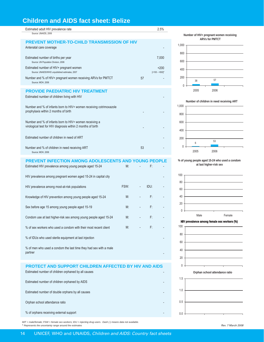## **Children and AIDS fact sheet: Belize**

| Estimated adult HIV prevalence rate                                         |      |    |      | 2.5%              |       |                                        |                         |
|-----------------------------------------------------------------------------|------|----|------|-------------------|-------|----------------------------------------|-------------------------|
| Source: UNAIDS, 2006                                                        |      |    |      |                   |       | Number of HIV+ pregnant wome           |                         |
| <b>PREVENT MOTHER-TO-CHILD TRANSMISSION OF HIV</b>                          |      |    |      |                   |       |                                        | <b>ARVs for PMTCT</b>   |
| Antenatal care coverage                                                     |      |    |      |                   | 1,000 |                                        |                         |
|                                                                             |      |    |      |                   | 800   |                                        |                         |
| Estimated number of births per year<br>Source: UN Population Division, 2006 |      |    |      | 7,000             | 600   |                                        |                         |
| Estimated number of HIV+ pregnant women                                     |      |    |      | 200               |       |                                        |                         |
| Source: UNAIDS/WHO unpublished estimates, 2007                              |      |    |      | $[< 100 - 500]$ * | 400   |                                        |                         |
| Number and % of HIV+ pregnant women receiving ARVs for PMTCT                |      | 57 |      |                   | 200   |                                        | 57                      |
| Source: MOH. 2006                                                           |      |    |      |                   | 0     | 38                                     |                         |
| <b>PROVIDE PAEDIATRIC HIV TREATMENT</b>                                     |      |    |      |                   |       | 2005                                   | 2006                    |
| Estimated number of children living with HIV                                |      |    |      |                   |       |                                        |                         |
|                                                                             |      |    |      |                   |       | Number of children in need re          |                         |
| Number and % of infants born to HIV+ women receiving cotrimoxazole          |      |    |      |                   | 1,000 |                                        |                         |
| prophylaxis within 2 months of birth                                        |      |    |      |                   | 800   |                                        |                         |
| Number and % of infants born to HIV+ women receiving a                      |      |    |      |                   | 600   |                                        |                         |
| virological test for HIV diagnosis within 2 months of birth                 |      |    |      |                   |       |                                        |                         |
|                                                                             |      |    |      |                   | 400   |                                        |                         |
| Estimated number of children in need of ART                                 |      |    |      |                   | 200   |                                        |                         |
|                                                                             |      |    |      |                   | 0     | 6                                      | 53                      |
| Number and % of children in need receiving ART<br>Source: MOH. 2006         |      | 53 |      |                   |       | 2005                                   | 2006                    |
|                                                                             |      |    |      |                   |       |                                        |                         |
| PREVENT INFECTION AMONG ADOLESCENTS AND YOUNG                               |      |    |      | <b>PEOPLE</b>     |       | % of young people aged 15-24 who u     | at last higher-risk sex |
| Estimated HIV prevalence among young people aged 15-24                      | M:   |    | F:   |                   |       |                                        |                         |
| HIV prevalence among pregnant women aged 15-24 in capital city              |      |    |      |                   | 100   |                                        |                         |
|                                                                             |      |    |      |                   | 80    |                                        |                         |
| HIV prevalence among most-at-risk populations                               | FSW: |    | IDU: |                   | 60    |                                        |                         |
|                                                                             |      |    |      |                   |       |                                        |                         |
| Knowledge of HIV prevention among young people aged 15-24                   | M:   |    | F:   |                   | 40    |                                        |                         |
| Sex before age 15 among young people aged 15-19                             | M:   |    | F:   |                   | 20    |                                        |                         |
|                                                                             |      |    |      |                   | 0     |                                        |                         |
| Condom use at last higher-risk sex among young people aged 15-24            | M:   |    | F:   |                   |       | Male                                   |                         |
|                                                                             |      |    |      |                   | 100   | <b>HIV prevalence among female sex</b> |                         |
| % of sex workers who used a condom with their most recent client            | M:   |    | F:   |                   |       |                                        |                         |
| % of IDUs who used sterile equipment at last injection                      |      |    |      |                   | 80    |                                        |                         |
|                                                                             |      |    |      |                   | 60    |                                        |                         |
| % of men who used a condom the last time they had sex with a male           |      |    |      |                   | 40    |                                        |                         |
| partner                                                                     |      |    |      |                   |       |                                        |                         |
|                                                                             |      |    |      |                   | 20    |                                        |                         |
| <b>PROTECT AND SUPPORT CHILDREN AFFECTED BY HIV AND AIDS</b>                |      |    |      |                   | 0     |                                        |                         |
| Estimated number of children orphaned by all causes                         |      |    |      |                   |       |                                        | Orphan school attendan  |

**Number of HIV+ pregnant women receiving ARVs for PMTCT**





**% of young people aged 15-24 who used a condom at last higher-risk sex**

| 100 |                                             |        |
|-----|---------------------------------------------|--------|
| 80  |                                             |        |
| 60  |                                             |        |
| 40  |                                             |        |
| 20  |                                             |        |
| Λ   |                                             |        |
|     |                                             |        |
|     | Male                                        | Female |
|     | HIV prevalence among female sex workers (%) |        |
| 100 |                                             |        |
| 80  |                                             |        |
| 60  |                                             |        |
| 40  |                                             |        |

| 1.5 | Orphan school attendance ratio |
|-----|--------------------------------|
| 1.0 |                                |
| 0.5 |                                |
|     |                                |

| Estimated number of children orphaned by all causes |   |     | Orphan school attenda |
|-----------------------------------------------------|---|-----|-----------------------|
| Estimated number of children orphaned by AIDS       | - | 1.5 |                       |
| Estimated number of double orphans by all causes    |   | 1.0 |                       |
| Orphan school attendance ratio                      |   | 0.5 |                       |
| % of orphans receiving external support             |   | 0.0 |                       |

\* *Represents the uncertainty range around the estimates M/F = male/female; FSW = female sex workers; IDU = injecting drug users. Dash (-) means data not available.*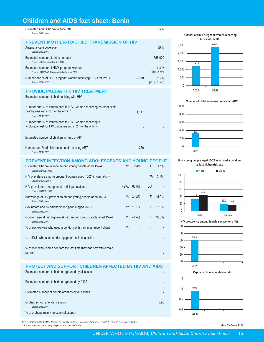## **Children and AIDS fact sheet: Benin**

| Estimated adult HIV prevalence rate                                                                        |       | 1.2%                         |                |                                |
|------------------------------------------------------------------------------------------------------------|-------|------------------------------|----------------|--------------------------------|
| Source: DHS. 2006                                                                                          |       |                              |                | Number of HIV+ pregnant wome   |
| <b>PREVENT MOTHER-TO-CHILD TRANSMISSION OF HIV</b>                                                         |       |                              |                | <b>ARVs for PMTCT</b><br>2.378 |
| Antenatal care coverage<br>Source: DHS, 2006                                                               |       | 88%                          | 2,500<br>2,000 |                                |
| Estimated number of births per year<br>Source: UN Population Division, 2006                                |       | 358,000                      | 1,500<br>1.214 |                                |
| Estimated number of HIV+ pregnant women<br>Source: UNAIDS/WHO unpublished estimates, 2007                  |       | 4.497<br>$[3,882 - 5,278]$ * | 1.000          |                                |
| Number and % of HIV+ pregnant women receiving ARVs for PMTCT<br>Source: MOH, 2006                          | 2,378 | 52.9%<br>[45.1% - 61.3%]*    | 500            |                                |
|                                                                                                            |       |                              | 0<br>2005      | 2006                           |
| <b>PROVIDE PAEDIATRIC HIV TREATMENT</b><br>Estimated number of children living with HIV                    |       |                              |                |                                |
|                                                                                                            |       |                              | 1,000          | Number of children in need re  |
| Number and % of infants born to HIV+ women receiving cotrimoxazole<br>prophylaxis within 2 months of birth | 1,111 |                              |                |                                |
| Source: MOH, 2006                                                                                          |       |                              | 800            |                                |
| Number and % of infants born to HIV+ women receiving a                                                     |       |                              | 600            |                                |
| virological test for HIV diagnosis within 2 months of birth                                                |       |                              | 400<br>330     |                                |
| Estimated number of children in need of ART                                                                |       |                              | 200            |                                |
|                                                                                                            |       |                              |                |                                |
| Number and % of children in need receiving ART                                                             | 330   |                              | 0              |                                |
| Source: MOH, 2006                                                                                          |       |                              | 2006           |                                |

#### **PREVENT INFECTION AMONG ADOLESCENTS AND YOUNG PEOPLE**

| Estimated HIV prevalence among young people aged 15-24                                | M:   | 0.4%  | F:   | 1.1%            |           | at last liigilei -i isk sex               |       |
|---------------------------------------------------------------------------------------|------|-------|------|-----------------|-----------|-------------------------------------------|-------|
| Source: UNAIDS, 2006                                                                  |      |       |      |                 |           | $\blacksquare$ 2001                       | ■2006 |
| HIV prevalence among pregnant women aged 15-24 in capital city<br>Source: SOWC, 2003  |      |       |      | $1.7\% - 2.1\%$ | 100<br>80 |                                           |       |
| HIV prevalence among most-at-risk populations<br>Source: UNAIDS, 2006                 | FSW: | 60.5% | IDU: |                 | 60        | 44.4                                      |       |
| Knowledge of HIV prevention among young people aged 15-24<br>Source: DHS, 2006        | M:   | 34.8% |      | $F: 15.9\%$     | 40<br>20  | 34.0                                      | 19    |
| Sex before age 15 among young people aged 15-19<br>Source: DHS, 2006                  | M:   | 13.1% |      | F: 12.3%        |           |                                           |       |
| Condom use at last higher-risk sex among young people aged 15-24<br>Source: DHS, 2006 | M:   | 44.4% |      | F: 16.5%        |           | Male<br>HIV prevalence among female sex w |       |
| % of sex workers who used a condom with their most recent client                      | M:   |       | F:   |                 | 100       |                                           |       |
| % of IDUs who used sterile equipment at last injection                                |      |       |      |                 | 80<br>60  | 60.5                                      |       |
| % of men who used a condom the last time they had sex with a male                     |      |       |      |                 | 40        |                                           |       |

#### **PROTECT AND SUPPORT CHILDREN AFFECTED BY HIV AND AIDS**

| Estimated number of children orphaned by all causes | $\qquad \qquad \blacksquare$ |     | Orphan school attenda |  |
|-----------------------------------------------------|------------------------------|-----|-----------------------|--|
| Estimated number of children orphaned by AIDS       |                              | 1.5 |                       |  |
| Estimated number of double orphans by all causes    |                              | 1.0 | 0.90                  |  |
| Orphan school attendance ratio<br>Source: DHS, 2006 | 0.90                         | 0.5 |                       |  |
| % of orphans receiving external support             | -                            | 0.0 | 2006                  |  |

*M/F = male/female; FSW = female sex workers; IDU = injecting drug users. Dash (-) means data not available.*

\* *Represents the uncertainty range around the estimates*

partner

**Number of HIV+ pregnant women receiving ARVs for PMTCT**





**% of young people aged 15-24 who used a condom at last higher-risk sex**









Rev. 7 March 2008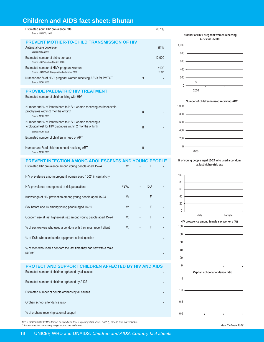## **Children and AIDS fact sheet: Bhutan**

| Estimated adult HIV prevalence rate                                                                                 |      |              |      | < 0.1%      |              |                                                       |
|---------------------------------------------------------------------------------------------------------------------|------|--------------|------|-------------|--------------|-------------------------------------------------------|
| Source: UNAIDS, 2006                                                                                                |      |              |      |             |              | Number of HIV+ pregnant wome<br><b>ARVs for PMTCT</b> |
| PREVENT MOTHER-TO-CHILD TRANSMISSION OF HIV<br>Antenatal care coverage                                              |      |              |      | 51%         | 1,000        |                                                       |
| Source: NHS. 2000                                                                                                   |      |              |      |             | 800          |                                                       |
| Estimated number of births per year<br>Source: UN Population Division, 2006                                         |      |              |      | 12,000      | 600          |                                                       |
| Estimated number of HIV+ pregnant women                                                                             |      |              |      | 100         | 400          |                                                       |
| Source: UNAIDS/WHO unpublished estimates, 2007<br>Number and % of HIV+ pregnant women receiving ARVs for PMTCT      |      |              |      | $[< 100]$ * | 200          |                                                       |
| Source: MOH, 2006                                                                                                   |      | 3            |      |             | 0            | 3                                                     |
| <b>PROVIDE PAEDIATRIC HIV TREATMENT</b>                                                                             |      |              |      |             |              | 2006                                                  |
| Estimated number of children living with HIV                                                                        |      |              |      |             |              |                                                       |
| Number and % of infants born to HIV+ women receiving cotrimoxazole                                                  |      |              |      |             | 1,000        | Number of children in need re                         |
| prophylaxis within 2 months of birth<br>Source: MOH, 2006                                                           |      | $\mathbf{0}$ |      |             | 800          |                                                       |
| Number and % of infants born to HIV+ women receiving a                                                              |      |              |      |             | 600          |                                                       |
| virological test for HIV diagnosis within 2 months of birth                                                         |      | $\mathbf{0}$ |      |             | 400          |                                                       |
| Source: MOH, 2006<br>Estimated number of children in need of ART                                                    |      |              |      |             | 200          |                                                       |
|                                                                                                                     |      |              |      |             |              |                                                       |
| Number and % of children in need receiving ART<br>Source: MOH, 2006                                                 |      | $\mathbf{0}$ |      |             | 0            | 2006                                                  |
| PREVENT INFECTION AMONG ADOLESCENTS AND YOUNG PEOPLE                                                                |      |              |      |             |              | % of young people aged 15-24 who u                    |
| Estimated HIV prevalence among young people aged 15-24                                                              | M:   |              | F:   |             |              | at last higher-risk sex                               |
| HIV prevalence among pregnant women aged 15-24 in capital city                                                      |      |              |      |             | 100          |                                                       |
| HIV prevalence among most-at-risk populations                                                                       | FSW: |              | IDU: |             | 80<br>60     |                                                       |
| Knowledge of HIV prevention among young people aged 15-24                                                           | M:   |              | F:   |             | 40           |                                                       |
|                                                                                                                     |      |              |      |             | 20           |                                                       |
| Sex before age 15 among young people aged 15-19                                                                     | M:   |              | F:   |             | $\mathbf{0}$ |                                                       |
| Condom use at last higher-risk sex among young people aged 15-24                                                    | M:   |              | F:   |             |              | Male                                                  |
| % of sex workers who used a condom with their most recent client                                                    | M:   |              | F:   |             | 100          | HIV prevalence among female sex                       |
|                                                                                                                     |      |              |      |             | 80           |                                                       |
| % of IDUs who used sterile equipment at last injection                                                              |      |              |      |             | 60           |                                                       |
| % of men who used a condom the last time they had sex with a male                                                   |      |              |      |             | 40           |                                                       |
| partner                                                                                                             |      |              |      |             |              |                                                       |
|                                                                                                                     |      |              |      |             | 20           |                                                       |
| <b>PROTECT AND SUPPORT CHILDREN AFFECTED BY HIV AND AIDS</b><br>Estimated number of children orphaned by all causes |      |              |      |             | 0            | Orphan school attendan                                |
|                                                                                                                     |      |              |      |             | 1.5          |                                                       |
| Estimated number of children orphaned by AIDS                                                                       |      |              |      |             |              |                                                       |
| Estimated number of double orphans by all causes                                                                    |      |              |      |             | 1.0          |                                                       |
| Orphan school attendance ratio                                                                                      |      |              |      |             | 0.5          |                                                       |
| % of orphans receiving external support                                                                             |      |              |      |             | 0.0          |                                                       |
|                                                                                                                     |      |              |      |             |              |                                                       |

\* *Represents the uncertainty range around the estimates M/F = male/female; FSW = female sex workers; IDU = injecting drug users. Dash (-) means data not available.*

3  $0$   $\cdot$ 200 400 600 800 00 2006 **Number of HIV+ pregnant women receiving ARVs for PMTCT**



**% of young people aged 15-24 who used a condom at last higher-risk sex**

| 100          |                                             |        |
|--------------|---------------------------------------------|--------|
| 80           |                                             |        |
| 60           |                                             |        |
| 40           |                                             |        |
| 20           |                                             |        |
| 0            | Male                                        | Female |
| 100          | HIV prevalence among female sex workers (%) |        |
| 80           |                                             |        |
| 60           |                                             |        |
| 40           |                                             |        |
| 20           |                                             |        |
| $\mathbf{0}$ |                                             |        |
|              | Orphan school attendance ratio              |        |
| 1.5          |                                             |        |
| 1.0          |                                             |        |
| 0.5          |                                             |        |
| 0.0          |                                             |        |

16 UNICEF, WHO and UNAIDS, Children and AIDS: Country fact sheets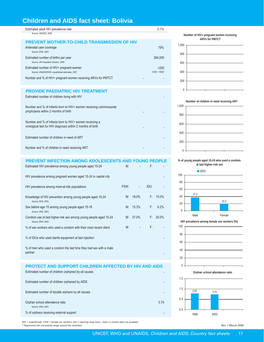## **Children and AIDS fact sheet: Bolivia**

| Estimated adult HIV prevalence rate                                                                                  | 0.1%                      |                                                               |
|----------------------------------------------------------------------------------------------------------------------|---------------------------|---------------------------------------------------------------|
| Source: UNAIDS, 2006                                                                                                 |                           | Number of HIV+ pregnant wome                                  |
| <b>PREVENT MOTHER-TO-CHILD TRANSMISSION OF HIV</b>                                                                   |                           | <b>ARVs for PMTCT</b>                                         |
| Antenatal care coverage<br>Source: DHS, 2003                                                                         | 79%                       | 1,000<br>800                                                  |
| Estimated number of births per year<br>Source: UN Population Division, 2006                                          | 264,000                   | 600                                                           |
| Estimated number of HIV+ pregnant women<br>Source: UNAIDS/WHO unpublished estimates, 2007                            | < 200<br>$[<200 - 500]$ * | 400                                                           |
| Number and % of HIV+ pregnant women receiving ARVs for PMTCT                                                         |                           | 200                                                           |
|                                                                                                                      |                           |                                                               |
| <b>PROVIDE PAEDIATRIC HIV TREATMENT</b>                                                                              |                           | 0                                                             |
| Estimated number of children living with HIV                                                                         |                           | Number of children in need re                                 |
| Number and % of infants born to HIV+ women receiving cotrimoxazole                                                   |                           | 1,000                                                         |
| prophylaxis within 2 months of birth                                                                                 |                           | 800                                                           |
| Number and % of infants born to HIV+ women receiving a                                                               |                           | 600                                                           |
| virological test for HIV diagnosis within 2 months of birth                                                          |                           | 400                                                           |
| Estimated number of children in need of ART                                                                          |                           | 200                                                           |
| Number and % of children in need receiving ART                                                                       |                           | 0                                                             |
|                                                                                                                      |                           |                                                               |
| PREVENT INFECTION AMONG ADOLESCENTS AND YOUNG PEOPLE<br>Estimated HIV prevalence among young people aged 15-24<br>M: | F:                        | % of young people aged 15-24 who u<br>at last higher-risk sex |

| Lournatod This prosatolico aniong foung poople aged to Li            |      |                          |      |             |                     |                                |  |
|----------------------------------------------------------------------|------|--------------------------|------|-------------|---------------------|--------------------------------|--|
|                                                                      |      |                          |      |             |                     | $\blacksquare$ 2003            |  |
| HIV prevalence among pregnant women aged 15-24 in capital city       |      |                          |      |             | 100                 |                                |  |
|                                                                      |      |                          |      |             | 80                  |                                |  |
| HIV prevalence among most-at-risk populations                        | FSW: | $\overline{\phantom{0}}$ | IDU: |             | 60                  |                                |  |
| Knowledge of HIV prevention among young people aged 15-24            | M:   | 18.0%                    |      | $F: 15.0\%$ | 40                  | 37.0                           |  |
| Source: DHS, 2003                                                    |      |                          |      |             | 20                  |                                |  |
| Sex before age 15 among young people aged 15-19<br>Source: DHS, 2003 | M:   | 15.3%                    | F:   | 6.2%        | 0                   |                                |  |
| Condom use at last higher-risk sex among young people aged 15-24     | M:   | 37.0%                    |      | $F: 20.0\%$ |                     | Male                           |  |
| Source: DHS, 2003                                                    |      |                          |      |             |                     | HIV prevalence among female se |  |
| % of sex workers who used a condom with their most recent client     | M:   |                          | F:   |             | 100                 |                                |  |
|                                                                      |      |                          |      |             | 80                  |                                |  |
| % of IDUs who used sterile equipment at last injection               |      |                          |      |             | 60                  |                                |  |
| % of men who used a condom the last time they had sex with a male    |      |                          |      |             |                     |                                |  |
|                                                                      |      |                          |      |             | $\Lambda$ $\Lambda$ |                                |  |

## **PROTECT AND SUPPORT CHILDREN AFFECTED BY HIV AND AIDS**

| Estimated number of children orphaned by all causes | $\overline{\phantom{0}}$ | Orphan school attenda |      |      |
|-----------------------------------------------------|--------------------------|-----------------------|------|------|
| Estimated number of children orphaned by AIDS       | -                        | 1.5                   |      |      |
| Estimated number of double orphans by all causes    | -                        | 1.0                   | 0.82 | 0.74 |
| Orphan school attendance ratio<br>Source: DHS, 2003 | 0.74                     | 0.5                   |      |      |
| % of orphans receiving external support             |                          | 0.0                   | 1998 | 2003 |

\* *Represents the uncertainty range around the estimates M/F = male/female; FSW = female sex workers; IDU = injecting drug users. .Dash (-) means data not available.*

partner

**Number of HIV+ pregnant women receiving ARVs for PMTCT**

| 1,000 |  |
|-------|--|
| 800   |  |
| 600   |  |
| 400   |  |
| 200   |  |
|       |  |

|       | Number of children in need receiving ART |
|-------|------------------------------------------|
| 1,000 |                                          |
|       |                                          |
| 800   |                                          |
|       |                                          |
| 600   |                                          |
|       |                                          |
| 400   |                                          |
|       |                                          |
| 200   |                                          |
|       |                                          |
|       |                                          |
|       |                                          |

**% of young people aged 15-24 who used a condom at last higher-risk sex**







## UNICEF, WHO and UNAIDS, Children and AIDS: Country fact sheets 17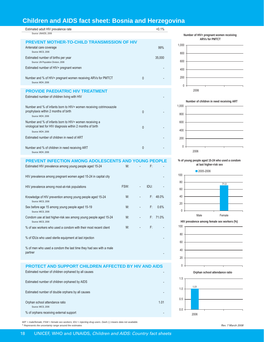## **Children and AIDS fact sheet: Bosnia and Herzegovina**

| <b>Children and AIDS fact sheet: Bosnia and Herzegovina</b>                       |              |             |                                                       |
|-----------------------------------------------------------------------------------|--------------|-------------|-------------------------------------------------------|
| Estimated adult HIV prevalence rate                                               |              | $< 0.1\%$   |                                                       |
| Source: UNAIDS, 2006                                                              |              |             | Number of HIV+ pregnant wome<br><b>ARVs for PMTCT</b> |
| <b>PREVENT MOTHER-TO-CHILD TRANSMISSION OF HIV</b>                                |              |             | 1,000                                                 |
| Antenatal care coverage<br>Source: MICS, 2006                                     |              | 99%         | 800                                                   |
| Estimated number of births per year<br>Source: UN Population Division, 2006       |              | 35,000      | 600                                                   |
| Estimated number of HIV+ pregnant women                                           |              |             | 400                                                   |
| Number and % of HIV+ pregnant women receiving ARVs for PMTCT<br>Source: MOH. 2006 | $\mathbf{0}$ |             | 200                                                   |
| <b>PROVIDE PAEDIATRIC HIV TREATMENT</b>                                           |              |             | $\mathbf{0}$<br>2006                                  |
| Estimated number of children living with HIV                                      |              |             | Number of children in need re                         |
| Number and % of infants born to HIV+ women receiving cotrimoxazole                |              |             | 1,000                                                 |
| prophylaxis within 2 months of birth<br>Source: MOH, 2006                         | $\mathbf{0}$ |             | 800                                                   |
| Number and % of infants born to HIV+ women receiving a                            |              |             | 600                                                   |
| virological test for HIV diagnosis within 2 months of birth<br>Source: MOH. 2006  | $\mathbf{0}$ |             | 400                                                   |
| Estimated number of children in need of ART                                       |              |             | 200                                                   |
| Number and % of children in need receiving ART<br>Source: MOH, 2006               | $\mathbf{0}$ |             | 0<br>2006                                             |
| <b>PREVENT INFECTION AMONG ADOLESCENTS AND YOUNG PEOPLE</b>                       |              |             | % of young people aged 15-24 who u                    |
| Estimated HIV prevalence among young people aged 15-24                            | M:           | F:          | at last higher-risk sex                               |
| HIV prevalence among pregnant women aged 15-24 in capital city                    |              |             | ■ 2005-2006<br>100                                    |
|                                                                                   |              |             | 80                                                    |
| HIV prevalence among most-at-risk populations                                     | FSW:         | IDU:        | 60                                                    |
| Knowledge of HIV prevention among young people aged 15-24<br>Source: MICS, 2006   | M:           | F:<br>48.0% | 40<br>20                                              |
|                                                                                   |              |             |                                                       |

|                                                                   |      |                          |      |             | 100 | <b>LACTE AND LACTAL LINE</b>   |  |
|-------------------------------------------------------------------|------|--------------------------|------|-------------|-----|--------------------------------|--|
| HIV prevalence among pregnant women aged 15-24 in capital city    |      |                          |      |             |     |                                |  |
|                                                                   |      |                          |      |             | 80  |                                |  |
| HIV prevalence among most-at-risk populations                     | FSW: | $\overline{\phantom{a}}$ | IDU: |             | 60  |                                |  |
|                                                                   |      |                          |      |             |     |                                |  |
| Knowledge of HIV prevention among young people aged 15-24         | M:   | $\overline{a}$           | F:   | 48.0%       | 40  |                                |  |
| Source: MICS, 2006                                                |      |                          |      |             | 20  |                                |  |
| Sex before age 15 among young people aged 15-19                   | M:   | $\overline{\phantom{a}}$ | F:   | 0.6%        |     |                                |  |
| Source: MICS, 2006                                                |      |                          |      |             | 0   |                                |  |
| Condom use at last higher-risk sex among young people aged 15-24  | M:   |                          |      | $F: 71.0\%$ |     | Male                           |  |
| Source: MICS, 2006                                                |      |                          |      |             |     | HIV prevalence among female se |  |
| % of sex workers who used a condom with their most recent client  | M:   |                          | F:   |             | 100 |                                |  |
|                                                                   |      |                          |      |             |     |                                |  |
|                                                                   |      |                          |      |             | 80  |                                |  |
| % of IDUs who used sterile equipment at last injection            |      |                          |      |             | 60  |                                |  |
|                                                                   |      |                          |      |             |     |                                |  |
| % of men who used a condom the last time they had sex with a male |      |                          |      |             | 40  |                                |  |
| partner                                                           |      |                          |      |             |     |                                |  |

## **PROTECT AND SUPPORT CHILDREN AFFECTED BY HIV AND AIDS**

| Estimated number of children orphaned by all causes |      |     |      | Orphan school attenda |
|-----------------------------------------------------|------|-----|------|-----------------------|
| Estimated number of children orphaned by AIDS       | -    | 1.5 |      |                       |
| Estimated number of double orphans by all causes    | -    | 1.0 | 1.01 |                       |
| Orphan school attendance ratio                      | 1.01 | 0.5 |      |                       |
| Source: MICS, 2006                                  |      | 0.0 |      |                       |
| % of orphans receiving external support             | -    |     | 2006 |                       |

\*\*\*\*\*<br>\* Represents the uncertainty range around the estimates *M/F = male/female; FSW = female sex workers; IDU = injecting drug users. Dash (-) means data not available.*





 $6-24$  who used a condom **at last higher-risk sex**



2006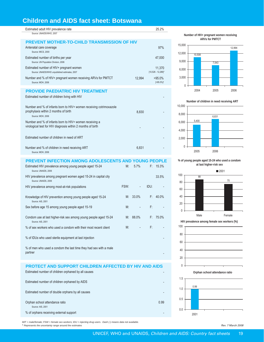## **Children and AIDS fact sheet: Botswana**

| Estimated adult HIV prevalence rate                | 25.2% |
|----------------------------------------------------|-------|
| Source: UNAIDS/WHO, 2007                           |       |
| <b>PREVENT MOTHER-TO-CHILD TRANSMISSION OF HIV</b> |       |

| Antenatal care coverage                                                     | 97%                   | <b>UUU.CI</b> |        |       |  |
|-----------------------------------------------------------------------------|-----------------------|---------------|--------|-------|--|
| Source: MICS, 2000                                                          |                       | 12.000        | 10.508 |       |  |
| Estimated number of births per year<br>Source: UN Population Division, 2006 | 47.000                | 9.000         |        |       |  |
| Estimated number of HIV+ pregnant women                                     | 11.370                |               |        | 7,543 |  |
| Source: UNAIDS/WHO unpublished estimates, 2007                              | $[10,526 - 12,286]$ * | 6.000         |        |       |  |
| Number and % of HIV+ pregnant women receiving ARVs for PMTCT                | $>95.0\%$<br>12.994   | 3,000         |        |       |  |
| Source: MOH, 2006                                                           | $[>95.0\%]$ *         |               |        |       |  |
|                                                                             |                       |               | 0.001  | 0.007 |  |

## **PROVIDE PAEDIATRIC HIV TREATMENT**

| Estimated number of children living with HIV |  |  |
|----------------------------------------------|--|--|
|----------------------------------------------|--|--|

|                                                                     |       |        |       | Number of children in need re |  |
|---------------------------------------------------------------------|-------|--------|-------|-------------------------------|--|
| Number and % of infants born to HIV+ women receiving cotrimoxazole  |       | 10.000 |       |                               |  |
| prophylaxis within 2 months of birth<br>Source: MOH, 2006           | 8.830 | 8.000  |       |                               |  |
|                                                                     |       |        |       | 6,831                         |  |
| Number and % of infants born to HIV+ women receiving a              |       | 6.000  | 5,400 |                               |  |
| virological test for HIV diagnosis within 2 months of birth         |       | 4,000  |       |                               |  |
|                                                                     |       |        |       |                               |  |
| Estimated number of children in need of ART                         |       | 2.000  |       |                               |  |
|                                                                     |       |        |       |                               |  |
|                                                                     |       | 0      |       |                               |  |
| Number and % of children in need receiving ART<br>Source: MOH. 2006 | 6,831 |        | 2005  | 2006                          |  |

#### **PREVENT INFECTION AMONG ADOLESCENTS AND YOUNG PEOPLE**

| Estimated HIV prevalence among young people aged 15-24                                 | M:   | 5.7%  |      | F: 15.3%    |           | at last liigilei -ilsk sex                |  |
|----------------------------------------------------------------------------------------|------|-------|------|-------------|-----------|-------------------------------------------|--|
| Source: UNAIDS, 2006                                                                   |      |       |      |             |           | ■2001                                     |  |
| HIV prevalence among pregnant women aged 15-24 in capital city<br>Source: UNAIDS, 2006 |      |       |      | 33.5%       | 100<br>80 | 88                                        |  |
| HIV prevalence among most-at-risk populations                                          | FSW: |       | IDU: |             | 60        |                                           |  |
| Knowledge of HIV prevention among young people aged 15-24<br>Source: AIS, 2001         | M:   | 33.0% |      | $F: 40.0\%$ | 40<br>20  |                                           |  |
| Sex before age 15 among young people aged 15-19                                        | M:   |       | F:   |             |           |                                           |  |
| Condom use at last higher-risk sex among young people aged 15-24<br>Source: AIS, 2001  | M:   | 88.0% |      | $F: 75.0\%$ |           | Male<br>HIV prevalence among female sex w |  |
| % of sex workers who used a condom with their most recent client                       | M:   |       | F:   |             | 100       |                                           |  |
| % of IDUs who used sterile equipment at last injection                                 |      |       |      |             | 80<br>60  |                                           |  |
| % of men who used a condom the last time they had sex with a male<br>partner           |      |       |      |             | 40        |                                           |  |

#### **PROTECT AND SUPPORT CHILDREN AFFECTED BY HIV AND AIDS**

| Estimated number of children orphaned by all causes |      |     |      | Orphan school attenda |
|-----------------------------------------------------|------|-----|------|-----------------------|
| Estimated number of children orphaned by AIDS       | -    | 1.5 |      |                       |
|                                                     |      | 1.0 | 0.99 |                       |
| Estimated number of double orphans by all causes    |      |     |      |                       |
|                                                     |      | 0.5 |      |                       |
| Orphan school attendance ratio<br>Source: AIS, 2001 | 0.99 | 0.0 |      |                       |
| % of orphans receiving external support             | -    |     | 2001 |                       |

## *M/F = male/female; FSW = female sex workers; IDU = injecting drug users. Dash (-) means data not available.*

\* *Represents the uncertainty range around the estimates*

**Number of HIV+ pregnant women receiving ARVs for PMTCT**





**% of young people aged 15-24 who used a condom at last higher-risk sex**







Rev. 7 March 2008

-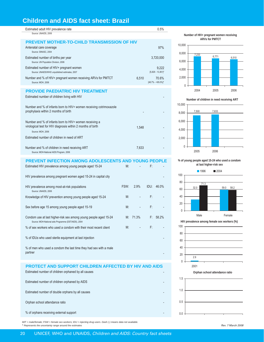## **Children and AIDS fact sheet: Brazil**

| Estimated adult HIV prevalence rate                                                       |       | 0.5%                           |                   |                               |                       |
|-------------------------------------------------------------------------------------------|-------|--------------------------------|-------------------|-------------------------------|-----------------------|
| Source: UNAIDS, 2006                                                                      |       |                                |                   | Number of HIV+ pregnant wome  | <b>ARVs for PMTCT</b> |
| <b>PREVENT MOTHER-TO-CHILD TRANSMISSION OF HIV</b>                                        |       |                                | 10,000            |                               |                       |
| Antenatal care coverage<br>Source: SINASC, 2004                                           |       | 97%                            |                   |                               |                       |
| Estimated number of births per year                                                       |       | 3,720,000                      | 8,000             | 7,233                         | 6,771                 |
| Source: UN Population Division, 2006                                                      |       |                                | 6,000             |                               |                       |
| Estimated number of HIV+ pregnant women<br>Source: UNAIDS/WHO unpublished estimates, 2007 |       | 9.222<br>[5,829 - 13,361]*     | 4,000             |                               |                       |
| Number and % of HIV+ pregnant women receiving ARVs for PMTCT<br>Source: MOH, 2006         | 6.510 | 70.6%<br>$[48.7\% - 95.0\%]$ * | 2,000<br>$\theta$ |                               |                       |
| <b>PROVIDE PAEDIATRIC HIV TREATMENT</b>                                                   |       |                                |                   | 2004                          | 2005                  |
| Estimated number of children living with HIV                                              |       |                                |                   | Number of children in need re |                       |
| Number and % of infants born to HIV+ women receiving cotrimoxazole                        |       |                                | 10,000            |                               |                       |
| prophylaxis within 2 months of birth                                                      |       |                                | 8,000             | 7,500                         | 7,633                 |
| Number and % of infants born to HIV+ women receiving a                                    |       |                                | 6,000             |                               |                       |
| virological test for HIV diagnosis within 2 months of birth<br>Source: MOH, 2006          | 1.548 |                                | 4,000             |                               |                       |
| Estimated number of children in need of ART                                               |       |                                | 2,000             |                               |                       |
|                                                                                           |       |                                | 0                 |                               |                       |
| Number and % of children in need receiving ART<br>Source: MOH-National AIDS Program, 2006 | 7.633 |                                |                   | 2005                          | 2006                  |

#### **PREVENT INFECTION AMONG ADOLESCENTS AND YOUNG PEOPLE**

| Estimated HIV prevalence among young people aged 15-24                                                                   | M:   |                          | F:   |       |     | at last liigilei -ilsk s       |                    |
|--------------------------------------------------------------------------------------------------------------------------|------|--------------------------|------|-------|-----|--------------------------------|--------------------|
|                                                                                                                          |      |                          |      |       |     | ■ 1996                         | $\blacksquare$ 200 |
| HIV prevalence among pregnant women aged 15-24 in capital city                                                           |      |                          |      |       | 100 |                                |                    |
|                                                                                                                          |      |                          |      |       | 80  | 71.3                           |                    |
| HIV prevalence among most-at-risk populations<br>Source: UNAIDS, 2006                                                    | FSW: | 2.9%                     | IDU: | 46.0% | 60  | 32.0                           |                    |
| Knowledge of HIV prevention among young people aged 15-24                                                                | M:   |                          | F:   |       | 40  |                                |                    |
|                                                                                                                          |      |                          |      |       | 20  |                                |                    |
| Sex before age 15 among young people aged 15-19                                                                          | M:   | $\overline{\phantom{a}}$ | F:   |       | 0   |                                |                    |
|                                                                                                                          |      |                          |      |       |     | Male                           |                    |
| Condom use at last higher-risk sex among young people aged 15-24<br>Source: MOH-National aids Programme (DST/AIDS), 2004 | M:   | 71.3%                    | F:   | 58.2% |     | HIV prevalence among female se |                    |
| % of sex workers who used a condom with their most recent client                                                         | M:   |                          | F:   |       | 100 |                                |                    |
|                                                                                                                          |      |                          |      |       | 80  |                                |                    |
| % of IDUs who used sterile equipment at last injection                                                                   |      |                          |      |       |     |                                |                    |
|                                                                                                                          |      |                          |      |       | 60  |                                |                    |
| % of men who used a condom the last time they had sex with a male                                                        |      |                          |      |       | 40  |                                |                    |

#### **PROTECT AND SUPPORT CHILDREN AFFECTED BY HIV AND AIDS**

| Estimated number of children orphaned by all causes |                              | Orphan school attenda |
|-----------------------------------------------------|------------------------------|-----------------------|
| Estimated number of children orphaned by AIDS       | -                            | 1.5                   |
| Estimated number of double orphans by all causes    | -                            | 1.0                   |
| Orphan school attendance ratio                      |                              | 0.5                   |
| % of orphans receiving external support             | $\qquad \qquad \blacksquare$ | 0.0                   |

\* *Represents the uncertainty range around the estimates M/F = male/female; FSW = female sex workers; IDU = injecting drug users. Dash (-) means data not available.*

partner





2006 456 **Number of children in need receiving ART**



**% of young people aged 15-24 who used a condom at last higher-risk sex**



-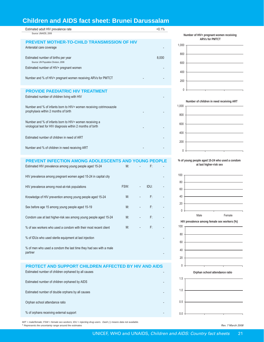## **Children and AIDS fact sheet: Brunei Darussalam**

| Estimated adult HIV prevalence rate                                |      |                     | $< 0.1\%$ |       |                                                |
|--------------------------------------------------------------------|------|---------------------|-----------|-------|------------------------------------------------|
| Source: UNAIDS, 2006                                               |      |                     |           |       | Number of HIV+ pregnant women receiving        |
| <b>PREVENT MOTHER-TO-CHILD TRANSMISSION OF HIV</b>                 |      |                     |           | 1,000 | <b>ARVs for PMTCT</b>                          |
| Antenatal care coverage                                            |      |                     |           |       |                                                |
| Estimated number of births per year                                |      |                     | 8,000     | 800   |                                                |
| Source: UN Population Division, 2006                               |      |                     |           | 600   |                                                |
| Estimated number of HIV+ pregnant women                            |      |                     |           |       |                                                |
|                                                                    |      |                     |           | 400   |                                                |
| Number and % of HIV+ pregnant women receiving ARVs for PMTCT       |      |                     |           | 200   |                                                |
|                                                                    |      |                     |           | 0     |                                                |
| <b>PROVIDE PAEDIATRIC HIV TREATMENT</b>                            |      |                     |           |       |                                                |
| Estimated number of children living with HIV                       |      |                     |           |       | Number of children in need receiving ART       |
| Number and % of infants born to HIV+ women receiving cotrimoxazole |      |                     |           | 1,000 |                                                |
| prophylaxis within 2 months of birth                               |      |                     |           | 800   |                                                |
| Number and % of infants born to HIV+ women receiving a             |      |                     |           |       |                                                |
| virological test for HIV diagnosis within 2 months of birth        |      |                     |           | 600   |                                                |
|                                                                    |      |                     |           | 400   |                                                |
| Estimated number of children in need of ART                        |      |                     |           |       |                                                |
| Number and % of children in need receiving ART                     |      |                     |           | 200   |                                                |
|                                                                    |      |                     |           | 0     |                                                |
| PREVENT INFECTION AMONG ADOLESCENTS AND                            |      | <b>YOUNG PEOPLE</b> |           |       | % of young people aged 15-24 who used a condom |
| Estimated HIV prevalence among young people aged 15-24             | M:   | F:                  |           |       | at last higher-risk sex                        |
|                                                                    |      |                     |           |       |                                                |
| HIV prevalence among pregnant women aged 15-24 in capital city     |      |                     |           | 100   |                                                |
|                                                                    | FSW: | IDU:                |           | 80    |                                                |
| HIV prevalence among most-at-risk populations                      |      |                     |           | 60    |                                                |
| Knowledge of HIV prevention among young people aged 15-24          | M:   | F:                  |           | 40    |                                                |
|                                                                    |      |                     |           | 20    |                                                |
| Sex before age 15 among young people aged 15-19                    | M:   | F:                  |           | 0     |                                                |
| Condom use at last higher-risk sex among young people aged 15-24   | M:   | F:                  |           |       | Male<br>Female                                 |
|                                                                    |      |                     |           |       | HIV prevalence among female sex workers (%)    |
| % of sex workers who used a condom with their most recent client   | M:   | F:                  |           | 100   |                                                |
| % of IDUs who used sterile equipment at last injection             |      |                     |           | 80    |                                                |
|                                                                    |      |                     |           | 60    |                                                |
| % of men who used a condom the last time they had sex with a male  |      |                     |           | 40    |                                                |
| partner                                                            |      |                     |           | 20    |                                                |
|                                                                    |      |                     |           |       |                                                |
| <b>PROTECT AND SUPPORT CHILDREN AFFECTED BY HIV AND AIDS</b>       |      |                     |           | 0     |                                                |
| Estimated number of children orphaned by all causes                |      |                     |           |       | Orphan school attendance ratio                 |
| Estimated number of children orphaned by AIDS                      |      |                     |           | 1.5   |                                                |
|                                                                    |      |                     |           |       |                                                |
| Estimated number of double orphans by all causes                   |      |                     |           | 1.0   |                                                |
| Orphan school attendance ratio                                     |      |                     |           | 0.5   |                                                |
|                                                                    |      |                     |           |       |                                                |
| % of orphans receiving external support                            |      |                     |           | 0.0   |                                                |
|                                                                    |      |                     |           |       |                                                |

\* *Represents the uncertainty range around the estimates M/F = male/female; FSW = female sex workers; IDU = injecting drug users. Dash (-) means data not available.*

Rev. 7 March 2008

 $\overline{\phantom{0}}$ 

 $\overline{\phantom{0}}$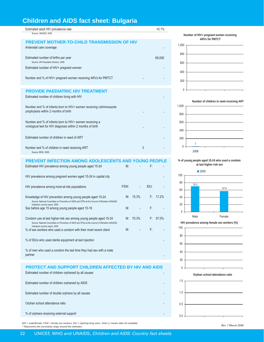## **Children and AIDS fact sheet: Bulgaria**

| Estimated adult HIV prevalence rate                                                                        | < 0.1%        |       |                                                               |
|------------------------------------------------------------------------------------------------------------|---------------|-------|---------------------------------------------------------------|
| Source: UNAIDS, 2006                                                                                       |               |       | Number of HIV+ pregnant wome<br><b>ARVs for PMTCT</b>         |
| <b>PREVENT MOTHER-TO-CHILD TRANSMISSION OF HIV</b>                                                         |               | 1,000 |                                                               |
| Antenatal care coverage                                                                                    |               |       |                                                               |
| Estimated number of births per year                                                                        | 69,000        | 800   |                                                               |
| Source: UN Population Division, 2006                                                                       |               | 600   |                                                               |
| Estimated number of HIV+ pregnant women                                                                    |               | 400   |                                                               |
| Number and % of HIV+ pregnant women receiving ARVs for PMTCT                                               |               |       |                                                               |
|                                                                                                            |               | 200   |                                                               |
| <b>PROVIDE PAEDIATRIC HIV TREATMENT</b>                                                                    |               | 0     |                                                               |
| Estimated number of children living with HIV                                                               |               |       |                                                               |
|                                                                                                            |               |       | Number of children in ne                                      |
| Number and % of infants born to HIV+ women receiving cotrimoxazole<br>prophylaxis within 2 months of birth |               | 1,000 |                                                               |
|                                                                                                            |               | 800   |                                                               |
| Number and % of infants born to HIV+ women receiving a                                                     |               | 600   |                                                               |
| virological test for HIV diagnosis within 2 months of birth                                                |               | 400   |                                                               |
| Estimated number of children in need of ART                                                                |               | 200   |                                                               |
|                                                                                                            |               |       | 3                                                             |
| Number and % of children in need receiving ART                                                             | 3             | U     | 2006                                                          |
| Source: MOH. 2006                                                                                          |               |       |                                                               |
| <b>PREVENT INFECTION AMONG ADOLESCENTS AND YOUNG</b>                                                       | <b>PFOPLE</b> |       | % of young people aged 15-24 who u<br>at last higher-risk sex |
| Estimated HIV prevalence among young people aged 15-24                                                     | M:<br>F:      |       |                                                               |

## HIV prevalence among pregnant women aged 15-24 in capital city HIV prevalence among most-at-risk populations FSW: FSW: - IDU: Knowledge of HIV prevention among young people aged 15-24 M: 15.3% F: 17.2% Source: National Committee on Prevention of AIDS and STDs at the Council of Ministers UNGASS Indicators country report, 2005 Sex before age 15 among young people aged 15-19 M: F: - F: Condom use at last higher-risk sex among young people aged 15-24 M: 70.3% F: 57.0% Source: National Committee on Prevention of AIDS and STDs at the Council of Ministers UNGASS Indicators country report, 2005 % of sex workers who used a condom with their most recent client  $M:$   $F:$ % of IDUs who used sterile equipment at last injection % of men who used a condom the last time they had sex with a male partner - - -

## **PROTECT AND SUPPORT CHILDREN AFFECTED BY HIV AND AIDS**

| Estimated number of children orphaned by all causes | $\overline{\phantom{0}}$     | Orphan school attenda |  |  |
|-----------------------------------------------------|------------------------------|-----------------------|--|--|
| Estimated number of children orphaned by AIDS       | $\overline{\phantom{0}}$     | 1.5                   |  |  |
| Estimated number of double orphans by all causes    | -                            | 1.0                   |  |  |
| Orphan school attendance ratio                      |                              | 0.5                   |  |  |
| % of orphans receiving external support             | $\qquad \qquad \blacksquare$ | 0.0                   |  |  |

 $*$  Represents the uncertainty range around the estimates *M/F = male/female; FSW = female sex workers; IDU = injecting drug users. Dash (-) means data not available.* 2005 3456 546 800  $\Omega$ 200 400 600 1,000 **Number of HIV+ pregnant women receiving ARVs for PMTCT**



#### **% of young people aged 15-24 who used a condom at last higher-risk sex**

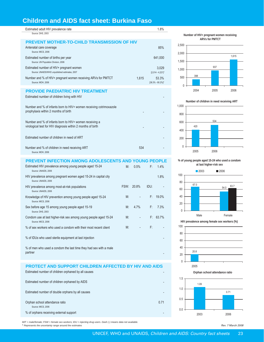## **Children and AIDS fact sheet: Burkina Faso**

| Estimated adult HIV prevalence rate |  |
|-------------------------------------|--|
| Source: DHS, 2003                   |  |

| <b>PREVENT MOTHER-TO-CHILD TRANSMISSION OF HIV</b>                                        |                                         | 2.500 |      | <b>ARVS IOI PIVILUT</b> |  |
|-------------------------------------------------------------------------------------------|-----------------------------------------|-------|------|-------------------------|--|
| Antenatal care coverage<br>Source: MICS, 2006                                             | 85%                                     |       |      |                         |  |
| Estimated number of births per year                                                       | 641.000                                 | 2.000 |      |                         |  |
| Source: UN Population Division, 2006                                                      |                                         | ,500  |      |                         |  |
| Estimated number of HIV+ pregnant women<br>Source: UNAIDS/WHO unpublished estimates, 2007 | 3.029<br>$[2,014 - 4,221]$ *            | .000  |      | 937                     |  |
| Number and % of HIV+ pregnant women receiving ARVs for PMTCT<br>Source: MOH. 2006         | 53.3%<br>1.615<br>$[38.3\% - 80.2\%]$ * | 500   | 398  |                         |  |
|                                                                                           |                                         |       | 0001 | <b>OOOE</b>             |  |

## **PROVIDE PAEDIATRIC HIV TREATMENT**

Estimated number of children living with HIV

Source: MOH, 2006

Number and % of infants born to HIV+ women receiving cotrimoxazole Number and % of infants born to HIV+ women receiving cotrimoxazole prophylaxis within 6 weeks of birth <sup>2007</sup> <sup>1090</sup> prophylaxis within 2 months of birth

| Number and % of infants born to HIV+ women receiving a<br>virological test for HIV diagnosis within 2 months of birth |     |  |
|-----------------------------------------------------------------------------------------------------------------------|-----|--|
| Estimated number of children in need of ART                                                                           |     |  |
| Number and % of children in need receiving ART                                                                        | 534 |  |

#### **PREVENT INFECTION AMONG ADOLESCENTS AND YOUNG PEOPLE**

| Estimated HIV prevalence among young people aged 15-24                                 | M:   | 0.5%                     | F:   | 1.4%        |           | <b>at last Highler-HSN SCA</b>            |       |
|----------------------------------------------------------------------------------------|------|--------------------------|------|-------------|-----------|-------------------------------------------|-------|
| Source: UNAIDS, 2006                                                                   |      |                          |      |             |           | $\blacksquare$ 2003                       | ■2006 |
| HIV prevalence among pregnant women aged 15-24 in capital city<br>Source: UNAIDS, 2006 |      |                          |      | 1.8%        | 100<br>80 |                                           |       |
| HIV prevalence among most-at-risk populations<br>Source: UNAIDS, 2006                  | FSW: | 20.8%                    | IDU: |             | 60        | 67.0                                      | 54    |
| Knowledge of HIV prevention among young people aged 15-24<br>Source: MICS, 2006        | M:   | $\overline{\phantom{a}}$ |      | $F: 19.0\%$ | 40<br>20  |                                           |       |
| Sex before age 15 among young people aged 15-19<br>Source: DHS, 2003                   | M:   | 4.7%                     | F:   | 7.3%        |           |                                           |       |
| Condom use at last higher-risk sex among young people aged 15-24<br>Source: MICS, 2006 | M:   |                          |      | $F: 63.7\%$ |           | Male<br>HIV prevalence among female sex w |       |
| % of sex workers who used a condom with their most recent client                       | M:   |                          | F:   |             | 100<br>80 |                                           |       |
| % of IDUs who used sterile equipment at last injection                                 |      |                          |      |             | 60        |                                           |       |
|                                                                                        |      |                          |      |             |           |                                           |       |

% of men who used a condom the last time they had sex with a male partner

## **PROTECT AND SUPPORT CHILDREN AFFECTED BY HIV AND AIDS**

| Estimated number of children orphaned by all causes  |      | Orphan school attenda |  |      |  |
|------------------------------------------------------|------|-----------------------|--|------|--|
| Estimated number of children orphaned by AIDS        |      | l.5                   |  | 1.09 |  |
| Estimated number of double orphans by all causes     |      | 1.0                   |  |      |  |
| Orphan school attendance ratio<br>Source: MICS, 2006 | 0.71 | 0.5                   |  |      |  |
| % of orphans receiving external support              |      | 0.0                   |  | 2003 |  |

 $*$  Represents the uncertainty range around the estimates *M/F = male/female; FSW = female sex workers; IDU = injecting drug users. Dash (-) means data not available.*

Rev. 7 March 2008

**Number of HIV+ pregnant women receiving ARVs for PMTCT**





**% of young people aged 15-24 who used a condom at last higher-risk sex**





-

- -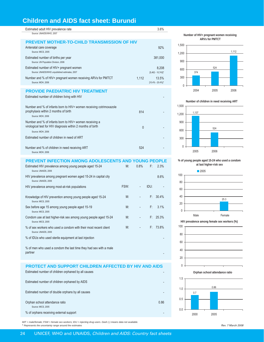## **Children and AIDS fact sheet: Burundi**

Source: MOH, 2006

Source: MOH, 2006

partner

Estimated number of children in need of ART

Number and % of children in need receiving ART

| Estimated adult HIV prevalence rate                                                                        |              | 3.6%                  |       |       |                                                       |
|------------------------------------------------------------------------------------------------------------|--------------|-----------------------|-------|-------|-------------------------------------------------------|
| Source: UNAIDS/WHO, 2007                                                                                   |              |                       |       |       | Number of HIV+ pregnant wome<br><b>ARVs for PMTCT</b> |
| <b>PREVENT MOTHER-TO-CHILD TRANSMISSION OF HIV</b>                                                         |              |                       | 1,500 |       |                                                       |
| Antenatal care coverage                                                                                    |              | 92%                   |       |       |                                                       |
| Source: MICS, 2005<br>Estimated number of births per year                                                  |              |                       | 1,200 |       |                                                       |
| Source: UN Population Division, 2006                                                                       |              | 381,000               | 900   |       |                                                       |
| Estimated number of HIV+ pregnant women                                                                    |              | 8.208                 | 600   |       | 524                                                   |
| Source: UNAIDS/WHO unpublished estimates, 2007                                                             |              | $[5,462 - 10,743]$ *  |       | 374   |                                                       |
| Number and % of HIV+ pregnant women receiving ARVs for PMTCT                                               | 1,112        | 13.5%                 | 300   |       |                                                       |
| Source: MOH. 2006                                                                                          |              | $[10.4\% - 20.4\%]$ * | 0     |       |                                                       |
| <b>PROVIDE PAEDIATRIC HIV TREATMENT</b>                                                                    |              |                       |       | 2004  | 2005                                                  |
| Estimated number of children living with HIV                                                               |              |                       |       |       |                                                       |
|                                                                                                            |              |                       | 1,500 |       | Number of children in need re                         |
| Number and % of infants born to HIV+ women receiving cotrimoxazole<br>prophylaxis within 2 months of birth | 814          |                       |       | 1,137 |                                                       |
| Source: MOH. 2006                                                                                          |              |                       | 1,200 |       |                                                       |
| Number and % of infants born to HIV+ women receiving a                                                     |              |                       | 900   |       |                                                       |
| virological test for HIV diagnosis within 2 months of birth                                                | $\mathbf{0}$ |                       |       |       | 524                                                   |

524 1,112 374 600 900 1,200 1,500

**Number of HIV+ pregnant women receiving ARVs for PMTCT**



**% of young people aged 15-24 who used a condom at last higher-risk sex**





**PREVENT INFECTION AMONG ADOLESCENTS AND YOUNG PEOPLE** Estimated HIV prevalence among young people aged 15-24 M: 0.8% F: 2.3% Source: UNAIDS, 2006 **Male Female Female Female Female Female Female Female Female Female Female Female Female Female Female Female Female Female Female Female Female Female Female Female Female Female Female Female Female** HIV prevalence among pregnant women aged 15-24 in capital city 8.6% 100

-

-

524

| Source: UNAIDS, 2006                                                                     |      |                          |      |             | 80                                              |                                        |
|------------------------------------------------------------------------------------------|------|--------------------------|------|-------------|-------------------------------------------------|----------------------------------------|
| HIV prevalence among most-at-risk populations                                            | FSW: |                          | IDU: |             | 60                                              |                                        |
| Knowledge of HIV prevention among young people aged 15-24<br>Source: MICS, 2005          | M:   | $\overline{\phantom{a}}$ |      | $F: 30.4\%$ | 40                                              |                                        |
| Sex before age 15 among young people aged 15-19<br>Source: MICS, 2005                    | M:   | $\overline{\phantom{a}}$ | F:   | 3.1%        | 20                                              |                                        |
| Condom use at last higher-risk sex among young people aged 15-24<br>Source: MICS, 2005   | M:   | $\overline{\phantom{a}}$ |      | $F: 25.3\%$ |                                                 | Male<br>HIV prevalence among female se |
| % of sex workers who used a condom with their most recent client<br>Source: UNAIDS, 2006 | M:   |                          |      | $F: 73.8\%$ | 100                                             |                                        |
| % of IDUs who used sterile equipment at last injection                                   |      |                          |      |             | 80                                              |                                        |
| % of men who used a condom the last time they had sex with a male                        |      |                          |      |             | 60<br>$\Lambda$ <sup><math>\Lambda</math></sup> |                                        |

## **PROTECT AND SUPPORT CHILDREN AFFECTED BY HIV AND AIDS**

| Estimated number of children orphaned by all causes |                          | Orphan school attenda |      |      |
|-----------------------------------------------------|--------------------------|-----------------------|------|------|
| Estimated number of children orphaned by AIDS       |                          | 5. ا                  |      |      |
|                                                     |                          | 1.0                   |      | 0.86 |
| Estimated number of double orphans by all causes    | -                        |                       | 0.7  |      |
| Orphan school attendance ratio                      | 0.86                     | 0.5                   |      |      |
| Source: MICS, 2005                                  |                          | 0.0                   |      |      |
| % of orphans receiving external support             | $\overline{\phantom{0}}$ |                       | 2000 | 2005 |

\* *Represents the uncertainty range around the estimates M/F = male/female; FSW = female sex workers; IDU = injecting drug users. Dash (-) means data not available.*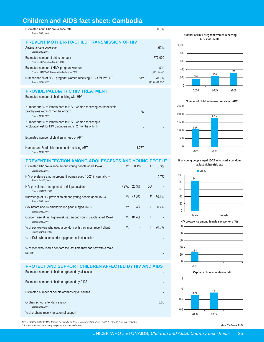## **Children and AIDS fact sheet: Cambodia**

| Children and AIDS fact Sheet. Campoula                                                                     |     |                                |            |                               |                       |
|------------------------------------------------------------------------------------------------------------|-----|--------------------------------|------------|-------------------------------|-----------------------|
| Estimated adult HIV prevalence rate<br>Source: DHS, 2005                                                   |     | 0.6%                           |            | Number of HIV+ pregnant wome  | <b>ARVs for PMTCT</b> |
| <b>PREVENT MOTHER-TO-CHILD TRANSMISSION OF HIV</b><br>Antenatal care coverage<br>Source: DHS, 2005         |     | 69%                            | 1,000      |                               |                       |
| Estimated number of births per year<br>Source: UN Population Division, 2006                                |     | 377,000                        | 800<br>600 |                               |                       |
| Estimated number of HIV+ pregnant women<br>Source: UNAIDS/WHO unpublished estimates, 2007                  |     | 1.502<br>$[1, 170 - 1, 858]$ * | 400        |                               | 228                   |
| Number and % of HIV+ pregnant women receiving ARVs for PMTCT<br>Source: MOH, 2006                          | 312 | 20.8%<br>$[16.8\% - 26.7\%]$ * | 200<br>0   | 159                           |                       |
| <b>PROVIDE PAEDIATRIC HIV TREATMENT</b><br>Estimated number of children living with HIV                    |     |                                |            | 2004                          | 2005                  |
| Number and % of infants born to HIV+ women receiving cotrimoxazole<br>prophylaxis within 2 months of birth | 86  |                                | 2,500      | Number of children in need re |                       |
| Source: MOH, 2006                                                                                          |     |                                | 2,000      |                               | 1,787                 |

Number and % of infants born to HIV+ women receiving a Number and % of infants born to HIV+ women receiving a virological test for HIV diagnosis within 2 months of birth Estimated number of children in need of ART Number and % of children in need receiving ART - - - 1,787

#### **PREVENT INFECTION AMONG ADOLESCENTS AND YOUNG PEOPLE**

Source: MOH, 2006

partner

| Estimated HIV prevalence among young people aged 15-24                                   | M: | 0.1%        | F:   | 0.3%        | at last liigilei -ilsk s |               |                                |
|------------------------------------------------------------------------------------------|----|-------------|------|-------------|--------------------------|---------------|--------------------------------|
| Source: DHS, 2005                                                                        |    |             |      |             | $\blacksquare$ 2005      |               |                                |
| HIV prevalence among pregnant women aged 15-24 in capital city<br>Source: SOWC, 2008     |    |             |      | 2.7%        | 100<br>80                | 84.4          |                                |
| HIV prevalence among most-at-risk populations<br>Source: UNAIDS, 2006                    |    | FSW: 26.3%  | IDU: |             | 60                       |               |                                |
| Knowledge of HIV prevention among young people aged 15-24<br>Source: DHS, 2005           |    | $M: 45.2\%$ |      | $F: 50.1\%$ | 40<br>20                 |               |                                |
| Sex before age 15 among young people aged 15-19<br>Source: DHS, 2005                     | M: | 0.4%        | F:   | 0.7%        | 0                        |               |                                |
| Condom use at last higher-risk sex among young people aged 15-24<br>Source: DHS, 2005    | M: | 84.4%       | F:   |             |                          | Male          | HIV prevalence among female se |
| % of sex workers who used a condom with their most recent client<br>Source: UNAIDS, 2006 | M: |             | F:   | 96.0%       | 100<br>80                |               |                                |
| % of IDUs who used sterile equipment at last injection                                   |    |             |      |             | 60                       |               |                                |
| % of men who used a condom the last time they had sex with a male                        |    |             |      |             | 40                       | $\sim$ $\sim$ |                                |

#### **PROTECT AND SUPPORT CHILDREN AFFECTED BY HIV AND AIDS** Estimated number of children orphaned by all causes Estimated number of children orphaned by AIDS Estimated number of double orphans by all causes Orphan school attendance ratio Source: DHS, 2005 % of orphans receiving external support - - - 0.83 -

\* *Represents the uncertainty range around the estimates M/F = male/female; FSW = female sex workers; IDU = injecting drug users. Dash (-) means data not available.* **Number of HIV+ pregnant women receiving ARVs for PMTCT**





**% of young people aged 15-24 who used a condom at last higher-risk sex**





Rev. 7 March 2008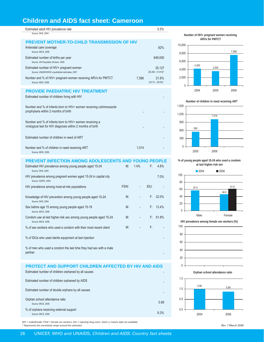## **Children and AIDS fact sheet: Cameroon**

| Estimated adult HIV prevalence rate                | 5.5% |
|----------------------------------------------------|------|
| Source: DHS, 2004                                  |      |
| <b>PREVENT MOTHER-TO-CHILD TRANSMISSION OF HIV</b> |      |

| Antenatal care coverage                                      | 82%                   | <b>UUU,UU</b> |       |       |  |
|--------------------------------------------------------------|-----------------------|---------------|-------|-------|--|
| Source: MICS, 2006                                           |                       | 8.000         |       |       |  |
| Estimated number of births per year                          | 649.000               | 6.000         |       |       |  |
| Source: UN Population Division, 2006                         |                       |               | 4,200 |       |  |
| Estimated number of HIV+ pregnant women                      | 35.127                | 4.000         |       | 3,592 |  |
| Source: UNAIDS/WHO unpublished estimates, 2007               | $[25,363 - 41,913]$ * |               |       |       |  |
| Number and % of HIV+ pregnant women receiving ARVs for PMTCT | 21.6%<br>7.588        | 2.000         |       |       |  |
| Source: MOH, 2006                                            | $[18.1\% - 29.9\%]$ * |               |       |       |  |
|                                                              |                       |               |       |       |  |

## **PROVIDE PAEDIATRIC HIV TREATMENT**

Estimated number of children living with HIV

Source: MOH, 2006

Number and % of infants born to HIV+ women receiving cotrimoxazole Number and % of infants born to HIV+ women receiving cotrimoxazole prophylaxis within 6 weeks of birth <sup>2007</sup> <sup>1090</sup> prophylaxis within 2 months of birth

| Number and % of infants born to HIV+ women receiving a<br>virological test for HIV diagnosis within 2 months of birth |       |  |
|-----------------------------------------------------------------------------------------------------------------------|-------|--|
| Estimated number of children in need of ART                                                                           |       |  |
| Number and % of children in need receiving ART                                                                        | 1.014 |  |

#### **PREVENT INFECTION AMONG ADOLESCENTS AND YOUNG PEOPLE**

| Estimated HIV prevalence among young people aged 15-24                                 | M:   | 1.4%                     | F:   | 4.8%        |           | at last liigilei -ilsk sex                |       |
|----------------------------------------------------------------------------------------|------|--------------------------|------|-------------|-----------|-------------------------------------------|-------|
| Source: DHS, 2004                                                                      |      |                          |      |             |           | $\blacksquare$ 2004                       | ■2006 |
| HIV prevalence among pregnant women aged 15-24 in capital city<br>Source: SOWC, 2002   |      |                          |      | 7.0%        | 100<br>80 |                                           |       |
| HIV prevalence among most-at-risk populations                                          | FSW: | $\overline{\phantom{0}}$ | IDU: |             | 60        | 57.0                                      |       |
| Knowledge of HIV prevention among young people aged 15-24<br>Source: DHS, 2004         | M:   |                          |      | $F: 32.0\%$ | 40<br>20  |                                           | 46    |
| Sex before age 15 among young people aged 15-19<br>Source: MICS, 2006                  | M:   | $\overline{\phantom{0}}$ |      | $F: 13.4\%$ |           |                                           |       |
| Condom use at last higher-risk sex among young people aged 15-24<br>Source: MICS, 2006 | M:   |                          |      | F: 61.8%    |           | Male<br>HIV prevalence among female sex w |       |
| % of sex workers who used a condom with their most recent client                       | M:   |                          | F:   |             | 100       |                                           |       |
| % of IDUs who used sterile equipment at last injection                                 |      |                          |      |             | 80<br>60  |                                           |       |
| % of men who used a condom the last time they had sex with a male<br>partner           |      |                          |      |             | 40        |                                           |       |

## **PROTECT AND SUPPORT CHILDREN AFFECTED BY HIV AND AIDS**

| Estimated number of children orphaned by all causes           |      | Orphan school attenda |  |      |  |
|---------------------------------------------------------------|------|-----------------------|--|------|--|
| Estimated number of children orphaned by AIDS                 | -    | l.5                   |  |      |  |
| Estimated number of double orphans by all causes              |      | 1.0                   |  | 0.99 |  |
| Orphan school attendance ratio                                |      | 0.5                   |  |      |  |
| Source: MICS, 2006                                            | 0.89 |                       |  |      |  |
| % of orphans receiving external support<br>Source: MICS, 2006 | 9.3% | 0.0                   |  | 2004 |  |

\* *Represents the uncertainty range around the estimates M/F = male/female; FSW = female sex workers; IDU = injecting drug users. Dash (-) means data not available.*







**% of young people aged 15-24 who used a condom at last higher-risk sex**





2004 2006

-

- -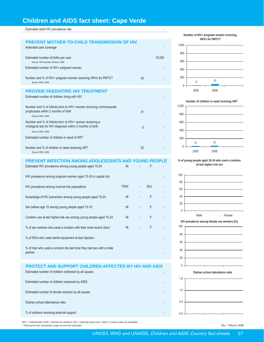## **Children and AIDS fact sheet: Cape Verde**

#### Estimated adult HIV prevalence rate

partner

## **PREVENT MOTHER-TO-CHILD TRANSMISSION OF HIV**

| Antenatal care coverage<br>$\overline{\phantom{a}}$                                                              | UUU, I |                               |      |
|------------------------------------------------------------------------------------------------------------------|--------|-------------------------------|------|
|                                                                                                                  | 800    |                               |      |
| Estimated number of births per year<br>15,000<br>Source: UN Population Division, 2006                            | 600    |                               |      |
| Estimated number of HIV+ pregnant women                                                                          | 400    |                               |      |
|                                                                                                                  |        |                               |      |
| Number and % of HIV+ pregnant women receiving ARVs for PMTCT<br>43<br>Source: MOH, 2006                          | 200    | 12                            | 43   |
| <b>PROVIDE PAEDIATRIC HIV TREATMENT</b>                                                                          |        | 2005                          | 2006 |
| Estimated number of children living with HIV                                                                     |        |                               |      |
|                                                                                                                  | 1,000  | Number of children in need re |      |
| Number and % of infants born to HIV+ women receiving cotrimoxazole<br>prophylaxis within 2 months of birth<br>31 |        |                               |      |
| Source: MOH, 2006                                                                                                | 800    |                               |      |

Number and % of infants born to HIV+ women receiving a Number and % of infants born to HIV+ women receiving a virological test for HIV diagnosis within 2 months of birth Source: MOH, 2006 Estimated number of children in need of ART Number and % of children in need receiving ART Source: MOH, 2006 0 -  $22$ -

## **PREVENT INFECTION AMONG ADOLESCENTS AND YOUNG PEOPLE**

| Estimated HIV prevalence among young people aged 15-24            | M:   | F:   |                                           | at last liigilei -ilsk s       |  |
|-------------------------------------------------------------------|------|------|-------------------------------------------|--------------------------------|--|
| HIV prevalence among pregnant women aged 15-24 in capital city    |      |      | 100                                       |                                |  |
| HIV prevalence among most-at-risk populations                     | FSW: | IDU: | 80                                        |                                |  |
|                                                                   |      |      | 60                                        |                                |  |
| Knowledge of HIV prevention among young people aged 15-24         | M:   | F:   | 40                                        |                                |  |
| Sex before age 15 among young people aged 15-19                   | M:   | F:   | 20<br>0                                   |                                |  |
| Condom use at last higher-risk sex among young people aged 15-24  | M:   | F:   |                                           | Male                           |  |
| % of sex workers who used a condom with their most recent client  | M:   | F:   | 100                                       | HIV prevalence among female se |  |
|                                                                   |      |      | 80                                        |                                |  |
| % of IDUs who used sterile equipment at last injection            |      |      | 60                                        |                                |  |
| % of men who used a condom the last time they had sex with a male |      |      | $\Lambda$ <sup><math>\Lambda</math></sup> |                                |  |

#### **PROTECT AND SUPPORT CHILDREN AFFECTED BY HIV AND AIDS**

| Estimated number of children orphaned by all causes | $\overline{\phantom{0}}$ | Orphan school attenda |
|-----------------------------------------------------|--------------------------|-----------------------|
| Estimated number of children orphaned by AIDS       |                          | 1.5                   |
| Estimated number of double orphans by all causes    | -                        | 1.0                   |
| Orphan school attendance ratio                      |                          | 0.5                   |
| % of orphans receiving external support             |                          | 0.0                   |

 $*$  Represents the uncertainty range around the estimates *M/F = male/female; FSW = female sex workers; IDU = injecting drug users. Dash (-) means data not available.*

Rev. 7 March 2008

-





**% of young people aged 15-24 who used a condom at last higher-risk sex**

| 100 |                                             |        |
|-----|---------------------------------------------|--------|
| 80  |                                             |        |
| 60  |                                             |        |
| 40  |                                             |        |
| 20  |                                             |        |
| 0   |                                             |        |
|     | Male                                        | Female |
|     | HIV prevalence among female sex workers (%) |        |
| 100 |                                             |        |
| 80  |                                             |        |
| 60  |                                             |        |
| 40  |                                             |        |
| 20  |                                             |        |
|     |                                             |        |
| 0   | Ť                                           |        |
|     | Orphan school attendance ratio              |        |
| 1.5 |                                             |        |
|     |                                             |        |
| 1.0 |                                             |        |
| 0.5 |                                             |        |
|     |                                             |        |
| 0.0 | T                                           | T      |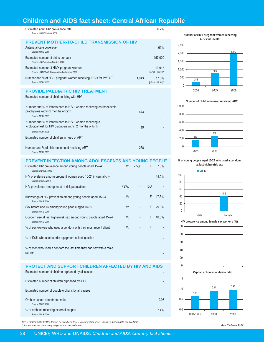## **Children and AIDS fact sheet: Central African Republic**

Estimated adult HIV prevalence rate Source: UNAIDS/WHO, 2007

6.2%

-

#### **PREVENT MOTHER-TO-CHILD TRANSMISSION OF HIV** Antenatal care coverage Source: MICS, 2006 <sup>2005</sup> <sup>3456</sup> <sup>546</sup> Estimated number of births per year Source: UN Pop Division, 2006 <sup>2007</sup> <sup>5467</sup> <sup>456</sup> UN Population Division, 2006 Estimated number of HIV+ pregnant women Source: UNAIDS/WHO unpublished estimates, 2007 Source: UNAIDS/WHO unpublished estimates, 2007Number and % of HIV+ pregnant women receiving ARVs for PMTCT Source: MOH, 2006 **PROVIDE PAEDIATRIC HIV TREATMENT** [15.9% - 19.8%]\* 10,913 1,943 17.8%  $[9,791 - 12,218]^*$ 69% 157,000

Estimated number of children living with HIV

| Estimated number of children living with HIV                       |     |       |                               |      |  |
|--------------------------------------------------------------------|-----|-------|-------------------------------|------|--|
|                                                                    |     |       | Number of children in need re |      |  |
| Number and % of infants born to HIV+ women receiving cotrimoxazole |     | 1.000 |                               |      |  |
| prophylaxis within 2 months of birth                               | 443 | 800   |                               |      |  |
| Source: MOH, 2006                                                  |     |       |                               |      |  |
| Number and % of infants born to HIV+ women receiving a             |     | 600   |                               |      |  |
| virological test for HIV diagnosis within 2 months of birth        | 19  | 400   |                               |      |  |
| Source: MOH, 2006                                                  |     |       |                               | 268  |  |
| Estimated number of children in need of ART                        |     | 200   | 160                           |      |  |
|                                                                    |     |       |                               |      |  |
| Number and % of children in need receiving ART                     | 268 |       |                               |      |  |
| Source: MOH, 2006                                                  |     |       | 2005                          | 2006 |  |

#### **PREVENT INFECTION AMONG ADOLESCENTS AND YOUNG PEOPLE**

| Estimated HIV prevalence among young people aged 15-24                                 | M:   | 2.5%                     | F:   | 7.3%        |           | <b>deal</b> indicated the sex             |    |
|----------------------------------------------------------------------------------------|------|--------------------------|------|-------------|-----------|-------------------------------------------|----|
| Source: UNAIDS, 2006                                                                   |      |                          |      |             |           | ■2006                                     |    |
| HIV prevalence among pregnant women aged 15-24 in capital city<br>Source: SOWC, 2002   |      |                          |      | 14.0%       | 100<br>80 |                                           |    |
| HIV prevalence among most-at-risk populations                                          | FSW: | $\overline{\phantom{0}}$ | IDU: |             | 60        |                                           |    |
| Knowledge of HIV prevention among young people aged 15-24<br>Source: MICS, 2006        | M:   | $\overline{\phantom{a}}$ |      | F: 17.3%    | 40<br>20  |                                           | 40 |
| Sex before age 15 among young people aged 15-19<br>Source: MICS, 2006                  | M:   | $\overline{\phantom{a}}$ |      | $F: 29.0\%$ | 0         |                                           |    |
| Condom use at last higher-risk sex among young people aged 15-24<br>Source: MICS, 2006 | M:   |                          |      | F: 40.6%    |           | Male<br>HIV prevalence among female sex w |    |
| % of sex workers who used a condom with their most recent client                       | M:   |                          | F:   |             | 100       |                                           |    |
| % of IDUs who used sterile equipment at last injection                                 |      |                          |      |             | 80<br>60  |                                           |    |
| % of men who used a condom the last time they had sex with a male<br>partner           |      |                          |      |             | 40        |                                           |    |

## **PROTECT AND SUPPORT CHILDREN AFFECTED BY HIV AND AIDS**

| Estimated number of children orphaned by all causes           | $\qquad \qquad \blacksquare$ | Orphan school attenda |           |      |
|---------------------------------------------------------------|------------------------------|-----------------------|-----------|------|
| Estimated number of children orphaned by AIDS                 | -                            | 5. ا                  |           |      |
| Estimated number of double orphans by all causes              | -                            | 1.0                   | 0.66      | 0.91 |
| Orphan school attendance ratio<br>Source: MICS, 2006          | 0.96                         | 0.5                   |           |      |
| % of orphans receiving external support<br>Source: MICS, 2006 | 7.4%                         | 0.0                   | 1994-1995 | 2000 |

\* *Represents the uncertainty range around the estimates M/F = male/female; FSW = female sex workers; IDU = injecting drug users. Dash (-) means data not available.*

#### **Number of HIV+ pregnant women receiving ARVs for PMTCT**





**% of young people aged 15-24 who used a condom at last higher-risk sex**



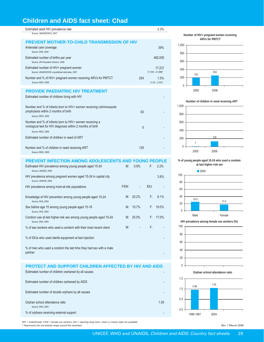# **Children and AIDS fact sheet: Chad**

| Estimated adult HIV prevalence rate                                                       | 3.3%                            |                                                        |
|-------------------------------------------------------------------------------------------|---------------------------------|--------------------------------------------------------|
| Source: UNAIDS/WHO, 2007                                                                  |                                 | Number of HIV+ pregnant women<br><b>ARVs for PMTCT</b> |
| <b>PREVENT MOTHER-TO-CHILD TRANSMISSION OF HIV</b>                                        |                                 | 1.000                                                  |
| Antenatal care coverage<br>Source: DHS. 2004                                              | 39%                             |                                                        |
| Estimated number of births per year                                                       | 482,000                         | 800                                                    |
| Source: UN Population Division, 2006                                                      |                                 | 600                                                    |
| Estimated number of HIV+ pregnant women<br>Source: UNAIDS/WHO unpublished estimates, 2007 | 17,231<br>$[11,000 - 21,586]$ * | 400<br>254                                             |
| Number and % of HIV+ pregnant women receiving ARVs for PMTCT                              | 1.5%<br>254                     | 193<br>200                                             |
| Source: MOH. 2006                                                                         | $[1.2\% - 2.3\%]$ *             | 0                                                      |
| <b>PROVIDE PAEDIATRIC HIV TREATMENT</b>                                                   |                                 | 2005<br>2006                                           |
| Estimated number of children living with HIV                                              |                                 |                                                        |
|                                                                                           |                                 | Number of children in need rece                        |
| Number and % of infants born to HIV+ women receiving cotrimoxazole                        |                                 | 1,000                                                  |
| prophylaxis within 2 months of birth<br>Source: MOH. 2006                                 | 63                              | 800                                                    |
| Number and % of infants born to HIV+ women receiving a                                    |                                 | 600                                                    |
| virological test for HIV diagnosis within 2 months of birth                               | $\mathbf{0}$                    |                                                        |
| Source: MOH. 2006                                                                         |                                 | 400                                                    |
| Estimated number of children in need of ART                                               |                                 | 129<br>200                                             |
| Number and % of children in need receiving ART                                            | 129                             | $\overline{7}$<br>$\Omega$                             |
| Source: MOH. 2006                                                                         |                                 | 2005<br>2006                                           |
| <b>PREVENT INFECTION AMONG ADOLESCENTS AND YOUNG</b>                                      | <b>PEOPLE</b>                   | % of young people aged 15-24 who us                    |
| Estimated HIV prevalence among young people aged 15-24                                    | 0.9%<br>2.2%<br>F:<br>M:        | at last higher-risk sex                                |
| Source: UNAIDS, 2006                                                                      |                                 | $\blacksquare$ 2004                                    |
| HIV prevalence among pregnant women aged 15-24 in capital city                            | 3.6%                            | 100                                                    |

| Source: UNAIDS, 2006                                                                  |      |                          |      |             | 80  |                                |  |
|---------------------------------------------------------------------------------------|------|--------------------------|------|-------------|-----|--------------------------------|--|
| HIV prevalence among most-at-risk populations                                         | FSW: | $\overline{a}$           | IDU: |             | 60  |                                |  |
| Knowledge of HIV prevention among young people aged 15-24                             |      | $M: 20.2\%$              | F:   | 8.1%        | 40  |                                |  |
| Source: DHS, 2004                                                                     |      |                          |      |             | 20  | 25.0                           |  |
| Sex before age 15 among young people aged 15-19<br>Source: DHS, 2004                  | M:   | 10.7%                    |      | $F: 19.0\%$ |     |                                |  |
| Condom use at last higher-risk sex among young people aged 15-24                      |      | $M: 25.0\%$              |      | $F: 17.0\%$ |     | Male                           |  |
| Source: DHS, 2004<br>% of sex workers who used a condom with their most recent client | M:   | $\overline{\phantom{a}}$ | F:   |             | 100 | HIV prevalence among female se |  |
|                                                                                       |      |                          |      |             | 80  |                                |  |
| % of IDUs who used sterile equipment at last injection                                |      |                          |      |             | 60  |                                |  |
|                                                                                       |      |                          |      |             |     |                                |  |

% of men who used a condom the last time they had sex with a male partner

### **PROTECT AND SUPPORT CHILDREN AFFECTED BY HIV AND AIDS**

| Estimated number of children orphaned by all causes          | $\overline{\phantom{0}}$ | Orphan school attenda |           |  |      |  |
|--------------------------------------------------------------|--------------------------|-----------------------|-----------|--|------|--|
| Estimated number of children orphaned by AIDS                |                          | 1.5                   |           |  | 1.05 |  |
| Estimated number of double orphans by all causes             | -                        | 1.0                   | 0.96      |  |      |  |
| Orphan school attendance ratio                               | 1.05                     | 0.5                   |           |  |      |  |
| Source: DHS, 2004<br>% of orphans receiving external support | -                        | 0.0                   | 1996-1997 |  | 2004 |  |

\* *Represents the uncertainty range around the estimates M/F = male/female; FSW = female sex workers; IDU = injecting drug users. Dash (-) means data not available.* **Number of HIV+ pregnant women receiving ARVs for PMTCT**





**% of young people aged 15-24 who used a condom at last higher-risk sex**





Rev. 7 March 2008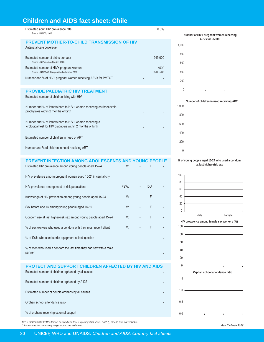# **Children and AIDS fact sheet: Chile**

| Estimated adult HIV prevalence rate                                                                                                                                    |      |      | 0.3%                      |              |                                                               |
|------------------------------------------------------------------------------------------------------------------------------------------------------------------------|------|------|---------------------------|--------------|---------------------------------------------------------------|
| Source: UNAIDS, 2006                                                                                                                                                   |      |      |                           |              | Number of HIV+ pregnant wome<br><b>ARVs for PMTCT</b>         |
| PREVENT MOTHER-TO-CHILD TRANSMISSION OF HIV                                                                                                                            |      |      |                           | 1,000        |                                                               |
| Antenatal care coverage                                                                                                                                                |      |      |                           |              |                                                               |
| Estimated number of births per year                                                                                                                                    |      |      | 249,000                   | 800          |                                                               |
| Source: UN Population Division, 2006                                                                                                                                   |      |      |                           | 600          |                                                               |
| Estimated number of HIV+ pregnant women<br>Source: UNAIDS/WHO unpublished estimates, 2007                                                                              |      |      | $500$<br>$[<500 - 548]$ * | 400          |                                                               |
| Number and % of HIV+ pregnant women receiving ARVs for PMTCT                                                                                                           |      |      |                           | 200          |                                                               |
|                                                                                                                                                                        |      |      |                           |              |                                                               |
| <b>PROVIDE PAEDIATRIC HIV TREATMENT</b>                                                                                                                                |      |      |                           | 0            |                                                               |
| Estimated number of children living with HIV                                                                                                                           |      |      |                           |              | Number of children in need re                                 |
| Number and % of infants born to HIV+ women receiving cotrimoxazole                                                                                                     |      |      |                           | 1,000        |                                                               |
| prophylaxis within 2 months of birth                                                                                                                                   |      |      |                           | 800          |                                                               |
| Number and % of infants born to HIV+ women receiving a                                                                                                                 |      |      |                           | 600          |                                                               |
| virological test for HIV diagnosis within 2 months of birth                                                                                                            |      |      |                           |              |                                                               |
| Estimated number of children in need of ART                                                                                                                            |      |      |                           | 400          |                                                               |
|                                                                                                                                                                        |      |      |                           | 200          |                                                               |
| Number and % of children in need receiving ART                                                                                                                         |      |      |                           | 0            |                                                               |
|                                                                                                                                                                        |      |      |                           |              |                                                               |
| PREVENT INFECTION AMONG ADOLESCENTS AND<br>Estimated HIV prevalence among young people aged 15-24                                                                      | M:   | F:   | NG PEOPLE                 |              | % of young people aged 15-24 who u<br>at last higher-risk sex |
|                                                                                                                                                                        |      |      |                           |              |                                                               |
| HIV prevalence among pregnant women aged 15-24 in capital city                                                                                                         |      |      |                           | 100          |                                                               |
| HIV prevalence among most-at-risk populations                                                                                                                          | FSW: | IDU: |                           | 80           |                                                               |
|                                                                                                                                                                        |      |      |                           | 60           |                                                               |
| Knowledge of HIV prevention among young people aged 15-24                                                                                                              | M:   | F:   |                           | 40           |                                                               |
| Sex before age 15 among young people aged 15-19                                                                                                                        | M:   | F:   |                           | 20           |                                                               |
|                                                                                                                                                                        |      |      |                           | $\mathbf{0}$ | Male                                                          |
| Condom use at last higher-risk sex among young people aged 15-24                                                                                                       | M:   | F:   |                           |              | HIV prevalence among female sex                               |
| % of sex workers who used a condom with their most recent client                                                                                                       | M:   | F:   |                           | 100          |                                                               |
| % of IDUs who used sterile equipment at last injection                                                                                                                 |      |      |                           | 80           |                                                               |
|                                                                                                                                                                        |      |      |                           | 60           |                                                               |
| % of men who used a condom the last time they had sex with a male                                                                                                      |      |      |                           | 40           |                                                               |
| partner                                                                                                                                                                |      |      |                           | 20           |                                                               |
| PROTECT AND SUPPORT CHILDREN AFFECTED BY HIV AND AIDS                                                                                                                  |      |      |                           | $\mathbf{0}$ |                                                               |
| Estimated number of children orphaned by all causes                                                                                                                    |      |      |                           |              | Orphan school attendan                                        |
|                                                                                                                                                                        |      |      |                           | 1.5          |                                                               |
| Estimated number of children orphaned by AIDS                                                                                                                          |      |      |                           |              |                                                               |
| Estimated number of double orphans by all causes                                                                                                                       |      |      |                           | 1.0          |                                                               |
|                                                                                                                                                                        |      |      |                           | 0.5          |                                                               |
| Orphan school attendance ratio                                                                                                                                         |      |      |                           |              |                                                               |
| % of orphans receiving external support                                                                                                                                |      |      |                           | 0.0          |                                                               |
| M/F = male/female; FSW = female sex workers; IDU = injecting drug users. Dash (-) means data not available.<br>* Represents the uncertainty range around the estimates |      |      |                           |              | R                                                             |

30 UNICEF, WHO and UNAIDS, Children and AIDS: Country fact sheets

| d AIDS fact sheet: Chile |  |
|--------------------------|--|
| alance rate              |  |

| Number of HIV+ pregnant women receiving<br><b>ARVs for PMTCT</b> |                                          |  |  |  |  |  |
|------------------------------------------------------------------|------------------------------------------|--|--|--|--|--|
| 1,000                                                            |                                          |  |  |  |  |  |
| 800                                                              |                                          |  |  |  |  |  |
| 600                                                              |                                          |  |  |  |  |  |
| 400                                                              |                                          |  |  |  |  |  |
| 200                                                              |                                          |  |  |  |  |  |
|                                                                  |                                          |  |  |  |  |  |
|                                                                  | Number of children in need receiving ART |  |  |  |  |  |

|      | <b>NUMBER OF CHINESIT IN HOOD FOOTING ANTI</b> |
|------|------------------------------------------------|
| ,000 |                                                |
| 800  |                                                |
| 600  |                                                |
| 400  |                                                |
| 200  |                                                |
|      |                                                |

**% of young people aged 15-24 who used a condom at last higher-risk sex**

| 100 |                                             |        |
|-----|---------------------------------------------|--------|
| 80  |                                             |        |
| 60  |                                             |        |
| 40  |                                             |        |
| 20  |                                             |        |
| 0   |                                             |        |
|     | Male                                        | Female |
|     | HIV prevalence among female sex workers (%) |        |
| 100 |                                             |        |
| 80  |                                             |        |
| 60  |                                             |        |
| 40  |                                             |        |
| 20  |                                             |        |
|     |                                             |        |
| 0   |                                             |        |
|     | Orphan school attendance ratio              |        |
| 1.5 |                                             |        |
|     |                                             |        |
| 1.0 |                                             |        |
|     |                                             |        |
| 0.5 |                                             |        |
| 0.0 | T                                           | т<br>٦ |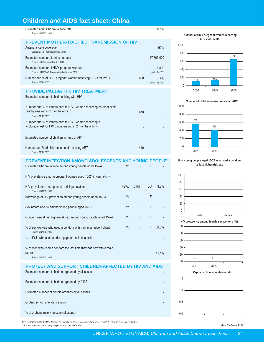# **Children and AIDS fact sheet: China**

| Estimated adult HIV prevalence rate                                                                                             |     | 0.1%                          |                                                       |  |
|---------------------------------------------------------------------------------------------------------------------------------|-----|-------------------------------|-------------------------------------------------------|--|
| Source: UNAIDS, 2006                                                                                                            |     |                               | Number of HIV+ pregnant wome<br><b>ARVs for PMTCT</b> |  |
| <b>PREVENT MOTHER-TO-CHILD TRANSMISSION OF HIV</b>                                                                              |     |                               | 1.000                                                 |  |
| Antenatal care coverage<br>Source: Social Progress in China, 2005                                                               |     | 90%                           |                                                       |  |
| Estimated number of births per year                                                                                             |     | 17,309,000                    | 800<br>600                                            |  |
| Source: UN Population Division, 2006                                                                                            |     |                               |                                                       |  |
| Estimated number of HIV+ pregnant women<br>Source: UNAIDS/WHO unpublished estimates, 2007                                       |     | 6.899<br>$[4,255 - 10,777]$ * | 400                                                   |  |
| Number and % of HIV+ pregnant women receiving ARVs for PMTCT<br>Source: MOH. 2006                                               | 650 | 9.4%<br>$[6.0\% - 15.3\%]$ *  | 200<br>135<br>118                                     |  |
|                                                                                                                                 |     |                               | 0                                                     |  |
| <b>PROVIDE PAEDIATRIC HIV TREATMENT</b>                                                                                         |     |                               | 2004<br>2005                                          |  |
| Estimated number of children living with HIV                                                                                    |     |                               |                                                       |  |
|                                                                                                                                 |     |                               | Number of children in need re<br>1,000                |  |
| Number and % of infants born to HIV+ women receiving cotrimoxazole<br>prophylaxis within 2 months of birth<br>Source: MOH, 2006 | 650 |                               | 800                                                   |  |
|                                                                                                                                 |     |                               | 566                                                   |  |
| Number and % of infants born to HIV+ women receiving a<br>virological test for HIV diagnosis within 2 months of birth           |     |                               | 600<br>410                                            |  |
|                                                                                                                                 |     |                               | 400                                                   |  |
| Estimated number of children in need of ART                                                                                     |     |                               | 200                                                   |  |
|                                                                                                                                 |     |                               | 0                                                     |  |
| Number and % of children in need receiving ART<br>Source: MOH, 2006                                                             | 410 |                               | 2006<br>2005                                          |  |
| <b>PREVENT INFECTION AMONG ADOLESCENTS AND YOUNG PEOPLE</b>                                                                     |     |                               | % of young people aged 15-24 who u                    |  |
| M:<br>Estimated HIV prevalence among young people aged 15-24                                                                    |     | F:                            | at last higher-risk sex                               |  |

| EStimated Fire prevalence among young people aged 15-24                                  | IVI. |      |      |       |     |                                |     |
|------------------------------------------------------------------------------------------|------|------|------|-------|-----|--------------------------------|-----|
| HIV prevalence among pregnant women aged 15-24 in capital city                           |      |      |      |       | 100 |                                |     |
|                                                                                          |      |      |      |       | 80  |                                |     |
| HIV prevalence among most-at-risk populations<br>Source: UNAIDS, 2006                    | FSW: | 0.5% | IDU: | 8.3%  | 60  |                                |     |
| Knowledge of HIV prevention among young people aged 15-24                                | M:   |      | F:   |       | 40  |                                |     |
|                                                                                          |      |      |      |       | 20  |                                |     |
| Sex before age 15 among young people aged 15-19                                          | M:   |      | F:   |       | 0   |                                |     |
| Condom use at last higher-risk sex among young people aged 15-24                         | M:   |      | F:   |       |     | Male                           |     |
|                                                                                          |      |      |      |       |     | HIV prevalence among female se |     |
| % of sex workers who used a condom with their most recent client<br>Source: UNAIDS, 2006 | M:   |      | F:   | 68.5% | 100 |                                |     |
|                                                                                          |      |      |      |       | 80  |                                |     |
| % of IDUs who used sterile equipment at last injection                                   |      |      |      |       | 60  |                                |     |
| % of men who used a condom the last time they had sex with a male                        |      |      |      |       | 40  |                                |     |
| partner                                                                                  |      |      |      | 41.1% | 20  |                                |     |
| Source: UNAIDS, 2006                                                                     |      |      |      |       |     | 0.2                            | 0.5 |
|                                                                                          |      |      |      |       | 0   |                                |     |

### **PROTECT AND SUPPORT CHILDREN AFFECTED BY HIV AND AIDS**

| Estimated number of children orphaned by all causes | $\qquad \qquad \blacksquare$ |     | Orphan school attenda |
|-----------------------------------------------------|------------------------------|-----|-----------------------|
| Estimated number of children orphaned by AIDS       | -                            | 1.5 |                       |
| Estimated number of double orphans by all causes    | -                            | 1.0 |                       |
| Orphan school attendance ratio                      |                              | 0.5 |                       |
| % of orphans receiving external support             | -                            | 0.0 |                       |

\* *Represents the uncertainty range around the estimates M/F = male/female; FSW = female sex workers; IDU = injecting drug users. Dash (-) means data not available.*

Rev. 7 March 2008



**Number of HIV+ pregnant women receiving ARVs for PMTCT**



**% of young people aged 15-24 who used a condom at last higher-risk sex**

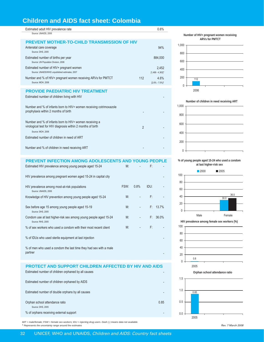### **Children and AIDS fact sheet: Colombia**

| Estimated adult HIV prevalence rate                                                                                   | 0.6%                               |                                                       |
|-----------------------------------------------------------------------------------------------------------------------|------------------------------------|-------------------------------------------------------|
| Source: UNAIDS, 2006                                                                                                  |                                    | Number of HIV+ pregnant wome<br><b>ARVs for PMTCT</b> |
| <b>PREVENT MOTHER-TO-CHILD TRANSMISSION OF HIV</b>                                                                    |                                    |                                                       |
| Antenatal care coverage<br>Source: DHS, 2005                                                                          | 94%                                | 1,000<br>800                                          |
| Estimated number of births per year<br>Source: UN Population Division, 2006                                           | 884,000                            | 600                                                   |
| Estimated number of HIV+ pregnant women<br>Source: UNAIDS/WHO unpublished estimates, 2007                             | 2.452<br>$[1,488 - 4,363]$ *       | 400                                                   |
| Number and % of HIV+ pregnant women receiving ARVs for PMTCT<br>Source: MOH, 2006                                     | 112<br>4.6%<br>$[2.6\% - 7.5\%]$ * | 200<br>112                                            |
|                                                                                                                       |                                    | $\mathbf{0}$                                          |
| <b>PROVIDE PAEDIATRIC HIV TREATMENT</b>                                                                               |                                    | 2006                                                  |
| Estimated number of children living with HIV                                                                          |                                    | Number of children in need re                         |
| Number and % of infants born to HIV+ women receiving cotrimoxazole                                                    |                                    | 1,000                                                 |
| prophylaxis within 2 months of birth                                                                                  |                                    | 800                                                   |
| Number and % of infants born to HIV+ women receiving a<br>virological test for HIV diagnosis within 2 months of birth | $\overline{2}$                     | 600                                                   |
| Source: MOH, 2006                                                                                                     |                                    | 400                                                   |
| Estimated number of children in need of ART                                                                           |                                    | 200                                                   |
| Number and % of children in need receiving ART                                                                        |                                    | 0                                                     |
|                                                                                                                       |                                    |                                                       |
| PREVENT INFECTION AMONG ADOLESCENTS                                                                                   | VOLING PEOPLE                      | % of young people aged 15-24 who u                    |

#### **PREVENT INFECTION AMONG ADOLESCENTS AND YOUNG PEOPLE**

| Estimated HIV prevalence among young people aged 15-24                | M:   |                          | F:   |             | at last liigilei -ilsk s |                                |                  |
|-----------------------------------------------------------------------|------|--------------------------|------|-------------|--------------------------|--------------------------------|------------------|
|                                                                       |      |                          |      |             |                          | $\blacksquare$ 2000            | $\blacksquare$ 2 |
| HIV prevalence among pregnant women aged 15-24 in capital city        |      |                          |      |             | 100                      |                                |                  |
|                                                                       |      |                          |      |             | 80                       |                                |                  |
| HIV prevalence among most-at-risk populations<br>Source: UNAIDS, 2006 | FSW: | 0.8%                     | IDU: |             | 60                       |                                |                  |
| Knowledge of HIV prevention among young people aged 15-24             | M:   |                          | F:   |             | 40                       |                                |                  |
|                                                                       |      |                          |      |             | 20                       |                                |                  |
| Sex before age 15 among young people aged 15-19<br>Source: DHS, 2005  | M:   | $\overline{\phantom{a}}$ |      | $F: 13.7\%$ | 0                        |                                |                  |
| Condom use at last higher-risk sex among young people aged 15-24      | M:   | $\overline{\phantom{a}}$ | F:   | 36.0%       |                          | Male                           |                  |
| Source: RHS, 2005                                                     |      |                          |      |             |                          | HIV prevalence among female se |                  |
| % of sex workers who used a condom with their most recent client      | M:   |                          | F:   |             | 100                      |                                |                  |
|                                                                       |      |                          |      |             | 80                       |                                |                  |
| % of IDUs who used sterile equipment at last injection                |      |                          |      |             | 60                       |                                |                  |
|                                                                       |      |                          |      |             |                          |                                |                  |
| % of men who used a condom the last time they had sex with a male     |      |                          |      |             | 40                       |                                |                  |

### **PROTECT AND SUPPORT CHILDREN AFFECTED BY HIV AND AIDS**

| Estimated number of children orphaned by all causes | -    | Orphan school attenda |      |  |
|-----------------------------------------------------|------|-----------------------|------|--|
| Estimated number of children orphaned by AIDS       | -    | 1.5                   |      |  |
| Estimated number of double orphans by all causes    | -    | 1.0                   | 0.85 |  |
| Orphan school attendance ratio<br>Source: DHS, 2005 | 0.85 | 0.5                   |      |  |
| % of orphans receiving external support             | -    | 0.0                   |      |  |

\* *Represents the uncertainty range around the estimates M/F = male/female; FSW = female sex workers; IDU = injecting drug users. Dash (-) means data not available.*

partner

### **Number of HIV+ pregnant women receiving ARVs for PMTCT**





#### **% of young people aged 15-24 who used a condom at last higher-risk sex**



-

2005

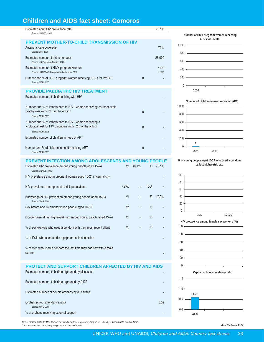### **Children and AIDS fact sheet: Comoros**

| Estimated adult HIV prevalence rate                                                                                                        |      |              |      | $< 0.1\%$          |              |                                                                |  |
|--------------------------------------------------------------------------------------------------------------------------------------------|------|--------------|------|--------------------|--------------|----------------------------------------------------------------|--|
| Source: UNAIDS, 2006                                                                                                                       |      |              |      |                    |              | Number of HIV+ pregnant women<br><b>ARVs for PMTCT</b>         |  |
| <b>PREVENT MOTHER-TO-CHILD TRANSMISSION OF HIV</b><br>Antenatal care coverage<br>Source: EIM, 2004                                         |      |              |      | 75%                | 1,000        |                                                                |  |
| Estimated number of births per year<br>Source: UN Population Division, 2006                                                                |      |              |      | 28,000             | 800<br>600   |                                                                |  |
| Estimated number of HIV+ pregnant women<br>Source: UNAIDS/WHO unpublished estimates, 2007                                                  |      |              |      | 100<br>$[< 100]$ * | 400          |                                                                |  |
| Number and % of HIV+ pregnant women receiving ARVs for PMTCT<br>Source: MOH, 2006                                                          |      | $\mathbf{0}$ |      |                    | 200          |                                                                |  |
| <b>PROVIDE PAEDIATRIC HIV TREATMENT</b><br>Estimated number of children living with HIV                                                    |      |              |      |                    | 0            | 2006                                                           |  |
| Number and % of infants born to HIV+ women receiving cotrimoxazole<br>prophylaxis within 2 months of birth<br>Source: MOH, 2006            |      | $\mathbf{0}$ |      |                    | 1,000<br>800 | Number of children in need rece                                |  |
| Number and % of infants born to HIV+ women receiving a<br>virological test for HIV diagnosis within 2 months of birth<br>Source: MOH, 2006 |      | $\mathbf{0}$ |      |                    | 600<br>400   |                                                                |  |
| Estimated number of children in need of ART                                                                                                |      |              |      |                    | 200          | 1                                                              |  |
| Number and % of children in need receiving ART<br>Source: MOH, 2006                                                                        |      | $\mathbf{0}$ |      |                    | 0            | 2006<br>2005                                                   |  |
| PREVENT INFECTION AMONG ADOLESCENTS AND YOUNG PEOPLE<br>Estimated HIV prevalence among young people aged 15-24<br>Source: UNAIDS, 2006     | M:   | < 0.1%       |      | $F: < 0.1\%$       |              | % of young people aged 15-24 who us<br>at last higher-risk sex |  |
| HIV prevalence among pregnant women aged 15-24 in capital city                                                                             |      |              |      |                    | 100          |                                                                |  |
| HIV prevalence among most-at-risk populations                                                                                              | FSW: |              | IDU: |                    | 80<br>60     |                                                                |  |
| Knowledge of HIV prevention among young people aged 15-24<br>Source: MICS, 2000                                                            | M:   |              | F:   | 17.9%              | 40           |                                                                |  |
| Sex before age 15 among young people aged 15-19                                                                                            | M:   |              | F:   |                    | 20<br>0      |                                                                |  |
| Condom use at last higher-risk sex among young people aged 15-24                                                                           | M:   |              | F:   |                    |              | Male<br>HIV prevalence among female sex w                      |  |
| % of sex workers who used a condom with their most recent client                                                                           | M:   |              | F:   |                    | 100          |                                                                |  |
| % of IDUs who used sterile equipment at last injection                                                                                     |      |              |      |                    | 80<br>60     |                                                                |  |
| % of men who used a condom the last time they had sex with a male<br>partner                                                               |      |              |      |                    | 40           |                                                                |  |
|                                                                                                                                            |      |              |      |                    | 20           |                                                                |  |
| <b>PROTECT AND SUPPORT CHILDREN AFFECTED BY HIV AND AIDS</b><br>Estimated number of children orphaned by all causes                        |      |              |      |                    | $\mathbf{0}$ | Orphan school attendance                                       |  |
| Estimated number of children orphaned by AIDS                                                                                              |      |              |      |                    | 1.5          |                                                                |  |
| Estimated number of double orphans by all causes                                                                                           |      |              |      |                    | 1.0          | 0.59                                                           |  |
| Orphan school attendance ratio<br>Source: MICS, 2000                                                                                       |      |              |      | 0.59               | 0.5          |                                                                |  |
| % of orphans receiving external support                                                                                                    |      |              |      |                    | 0.0          | 2000                                                           |  |
|                                                                                                                                            |      |              |      |                    |              |                                                                |  |

*M/F = male/female; FSW = female sex workers; IDU = injecting drug users. Dash (-) means data not available.*<br>\* Represents the uncertainty range around the estimates

Rev. 7 March 2008

|       | Number of HIV+ pregnant women receiving<br><b>ARVs for PMTCT</b> |
|-------|------------------------------------------------------------------|
| 1,000 |                                                                  |
| 800   |                                                                  |
| 600   |                                                                  |
| 400   |                                                                  |
| 200   |                                                                  |
|       |                                                                  |
|       | 2006                                                             |



**% of young people aged 15-24 who used a condom at last higher-risk sex**

| 100      |                                             |
|----------|---------------------------------------------|
| 80       |                                             |
| 60       |                                             |
| 40       |                                             |
| 20       |                                             |
| $\Omega$ |                                             |
|          | Female<br>Male                              |
| 100      | HIV prevalence among female sex workers (%) |
| 80       |                                             |
| 60       |                                             |
| 40       |                                             |
| 20       |                                             |
| $\Omega$ |                                             |
|          | Orphan school attendance ratio              |
| 1.5      |                                             |
| 1.0      |                                             |
|          | 0.59                                        |
| 0.5      |                                             |
| 0.0      | 1                                           |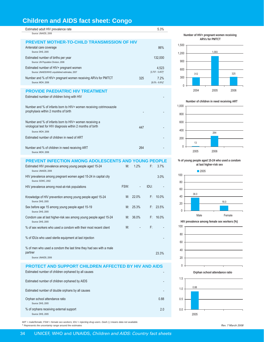# **Children and AIDS fact sheet: Congo**

| Estimated adult HIV prevalence rate                                                       |      | 5.3%                         |                                     |                         |
|-------------------------------------------------------------------------------------------|------|------------------------------|-------------------------------------|-------------------------|
| Source: UNAIDS, 2006                                                                      |      |                              | Number of HIV+ pregnant women       |                         |
| <b>PREVENT MOTHER-TO-CHILD TRANSMISSION OF HIV</b>                                        |      |                              |                                     | <b>ARVs for PMTCT</b>   |
| Antenatal care coverage<br>Source: DHS, 2005                                              |      | 86%                          | 1,500<br>1,200                      | 1.093                   |
| Estimated number of births per year<br>Source: UN Population Division, 2006               |      | 132,000                      | 900                                 |                         |
| Estimated number of HIV+ pregnant women<br>Source: UNAIDS/WHO unpublished estimates, 2007 |      | 4.523<br>$[3,707 - 5,457]$ * | 600                                 |                         |
| Number and % of HIV+ pregnant women receiving ARVs for PMTCT<br>Source: MOH, 2006         | 325  | 7.2%<br>$[6.0\% - 8.8\%]$ *  | 312<br>300                          |                         |
|                                                                                           |      |                              | 0                                   |                         |
| <b>PROVIDE PAEDIATRIC HIV TREATMENT</b>                                                   |      |                              | 2004                                | 2005                    |
| Estimated number of children living with HIV                                              |      |                              | Number of children in need rece     |                         |
| Number and % of infants born to HIV+ women receiving cotrimoxazole                        |      |                              | 1,000                               |                         |
| prophylaxis within 2 months of birth                                                      |      |                              |                                     |                         |
|                                                                                           |      |                              | 800                                 |                         |
| Number and % of infants born to HIV+ women receiving a                                    |      |                              | 600                                 |                         |
| virological test for HIV diagnosis within 2 months of birth<br>Source: MOH. 2006          | 447  |                              | 400                                 |                         |
| Estimated number of children in need of ART                                               |      |                              | 200                                 | 264                     |
|                                                                                           |      |                              | 13                                  |                         |
| Number and % of children in need receiving ART<br>Source: MOH. 2006                       | 264  |                              | 0<br>2005                           | 2006                    |
| <b>PREVENT INFECTION AMONG ADOLESCENTS AND YOUNG PEOPLE</b>                               |      |                              | % of young people aged 15-24 who us |                         |
| Estimated HIV prevalence among young people aged 15-24<br>M:                              | 1.2% | 3.7%<br>F:                   |                                     | at last higher-risk sex |
| Source: UNAIDS, 2006                                                                      |      |                              | $\blacksquare$ 2005                 |                         |

| HIV prevalence among pregnant women aged 15-24 in capital city<br>Source: SOWC, 2002  |      |                          |      | 3.0%           | 100<br>80 |                                        |
|---------------------------------------------------------------------------------------|------|--------------------------|------|----------------|-----------|----------------------------------------|
| HIV prevalence among most-at-risk populations                                         | FSW: | $\overline{\phantom{a}}$ | IDU: | $\overline{a}$ | 60        |                                        |
| Knowledge of HIV prevention among young people aged 15-24<br>Source: DHS, 2005        |      | $M: 22.0\%$              | F:   | 10.0%          | 40        | 36.0                                   |
| Sex before age 15 among young people aged 15-19<br>Source: DHS, 2005                  |      | $M: 25.3\%$              |      | $F: 23.5\%$    | 20<br>0   |                                        |
| Condom use at last higher-risk sex among young people aged 15-24<br>Source: DHS, 2005 | M:   | 36.0%                    |      | $F: 16.0\%$    |           | Male<br>HIV prevalence among female se |
| % of sex workers who used a condom with their most recent client                      | M:   |                          | F:   |                | 100       |                                        |
| % of IDUs who used sterile equipment at last injection                                |      |                          |      |                | 80<br>60  |                                        |
| % of men who used a condom the last time they had sex with a male<br>partner          |      |                          |      | 23.3%          | 40        |                                        |
| Source: UNAIDS, 2006                                                                  |      |                          |      |                | 20        |                                        |

### **PROTECT AND SUPPORT CHILDREN AFFECTED BY HIV AND AIDS**

| Estimated number of children orphaned by all causes |                              |     | Orphan school attenda |  |
|-----------------------------------------------------|------------------------------|-----|-----------------------|--|
| Estimated number of children orphaned by AIDS       | $\overline{\phantom{0}}$     | 1.5 |                       |  |
| Estimated number of double orphans by all causes    | $\qquad \qquad \blacksquare$ | 1.0 | 0.88                  |  |
| Orphan school attendance ratio<br>Source: DHS, 2005 | 0.88                         | 0.5 |                       |  |
| % of orphans receiving external support             | 2.0                          | 0.0 |                       |  |
| Source: DHS, 2005                                   |                              |     | 2005                  |  |

*M/F = male/female; FSW = female sex workers; IDU = injecting drug users. Dash (-) means data not available.*







**% of young people aged 15-24 who used a condom at last higher-risk sex**



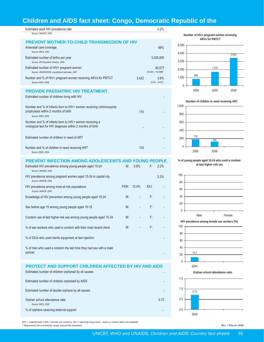### **Children and AIDS fact sheet: Congo, Democratic Republic of the**

3.2%

Estimated adult HIV prevalence rate Source: UNAIDS, 2006

Source: MOH, 2006

|                                                                                                     |       |                               |                |      | <b>INGILIDEL OF LITAT DI CUITAILE WORLD</b><br><b>ARVs for PMTCT</b> |
|-----------------------------------------------------------------------------------------------------|-------|-------------------------------|----------------|------|----------------------------------------------------------------------|
| <b>PREVENT MOTHER-TO-CHILD TRANSMISSION OF HIV</b><br>Antenatal care coverage<br>Source: MICS, 2001 |       | 68%                           | 5,000<br>4.000 |      |                                                                      |
| Estimated number of births per year<br>Source: UN Population Division, 2006                         |       | 3,026,000                     | 3.000          |      |                                                                      |
| Estimated number of HIV+ pregnant women<br>Source: UNAIDS/WHO unpublished estimates, 2007           |       | 90.077<br>[70,480 - 112,999]* | 2.000          |      | 1.725                                                                |
| Number and % of HIV+ pregnant women receiving ARVs for PMTCT<br>Source: MOH, 2006                   | 3.422 | 3.8%<br>$[3.0\% - 4.9\%]$ *   | 1.000          | 846  |                                                                      |
| <b>PROVIDE PAEDIATRIC HIV TREATMENT</b><br>Estimated number of children living with HIV             |       |                               |                | 2004 | 2005                                                                 |
| Alimeters and O affects have to HIV compare resolution extrins consider                             |       |                               | nnn            |      | Number of children in need r                                         |

|                                                                    |     | 1.000 |     |  |
|--------------------------------------------------------------------|-----|-------|-----|--|
| Number and % of infants born to HIV+ women receiving cotrimoxazole |     |       |     |  |
| prophylaxis within 2 months of birth                               | 170 | 800   |     |  |
| Source: MOH. 2006                                                  |     |       |     |  |
| Number and % of infants born to HIV+ women receiving a             |     | 600   |     |  |
| virological test for HIV diagnosis within 2 months of birth        |     |       |     |  |
|                                                                    |     | 400   |     |  |
|                                                                    |     |       |     |  |
| Estimated number of children in need of ART                        |     | 200   | 179 |  |
|                                                                    |     |       | 124 |  |
|                                                                    |     |       |     |  |
| Number and % of children in need receiving ART                     | 124 |       |     |  |

#### **PREVENT INFECTION AMONG ADOLESCENTS AND YOUNG PEOPLE**

| Estimated HIV prevalence among young people aged 15-24<br>Source: UNAIDS, 2006         | M:   | 0.8%  | F:   | 2.2% |           | at last liigilei -ilsk sex                |  |
|----------------------------------------------------------------------------------------|------|-------|------|------|-----------|-------------------------------------------|--|
| HIV prevalence among pregnant women aged 15-24 in capital city<br>Source: UNAIDS, 2006 |      |       |      | 3.2% | 100<br>80 |                                           |  |
| HIV prevalence among most-at-risk populations<br>Source: UNAIDS, 2006                  | FSW: | 12.4% | IDU: |      | 60        |                                           |  |
| Knowledge of HIV prevention among young people aged 15-24                              | M:   |       | F:   |      | 40        |                                           |  |
| Sex before age 15 among young people aged 15-19                                        | M:   |       | F:   |      | 20        |                                           |  |
| Condom use at last higher-risk sex among young people aged 15-24                       | M:   |       | F:   |      |           | Male<br>HIV prevalence among female sex w |  |
| % of sex workers who used a condom with their most recent client                       | M:   |       | F:   |      | 100       |                                           |  |
| % of IDUs who used sterile equipment at last injection                                 |      |       |      |      | 80<br>60  |                                           |  |
| % of men who used a condom the last time they had sex with a male                      |      |       |      |      | 40        |                                           |  |
| partner                                                                                |      |       |      |      | $\sim$    | 12.4                                      |  |

### **PROTECT AND SUPPORT CHILDREN AFFECTED BY HIV AND AIDS**

| Estimated number of children orphaned by all causes  |                          |      | Orphan school attenda |  |
|------------------------------------------------------|--------------------------|------|-----------------------|--|
| Estimated number of children orphaned by AIDS        | -                        | 5. ا |                       |  |
| Estimated number of double orphans by all causes     | $\overline{\phantom{0}}$ | 1.0  | 0.72                  |  |
| Orphan school attendance ratio<br>Source: MICS, 2000 | 0.72                     | 0.5  |                       |  |
| % of orphans receiving external support              |                          | 0.0  | 0000                  |  |

*M/F = male/female; FSW = female sex workers; IDU = injecting drug users. Dash (-) means data not available.*

\* *Represents the uncertainty range around the estimates*

**Number of HIV+ pregnant women receiving ARVs for PMTCT**





**% of young people aged 15-24 who used a condom at last higher-risk sex**



Rev. 7 March 2008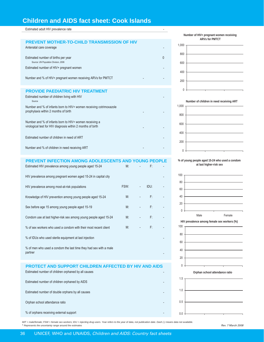## **Children and AIDS fact sheet: Cook Islands**

#### Estimated adult HIV prevalence rate

### **PREVENT MOTHER-TO-CHILD TRANSMISSION OF HIV**

| Antenatal care coverage                                                                  |     |  |
|------------------------------------------------------------------------------------------|-----|--|
|                                                                                          | 800 |  |
| Estimated number of births per year<br>ν                                                 |     |  |
| Source: UN Population Division, 2006                                                     | 600 |  |
| Estimated number of HIV+ pregnant women<br>$\overline{\phantom{a}}$                      | 400 |  |
|                                                                                          |     |  |
| Number and % of HIV+ pregnant women receiving ARVs for PMTCT<br>$\overline{\phantom{a}}$ | 200 |  |
|                                                                                          |     |  |

### **PROVIDE PAEDIATRIC HIV TREATMENT**

| Estimated number of children living with HIV                       |  |        |                               |
|--------------------------------------------------------------------|--|--------|-------------------------------|
| Source                                                             |  |        | Number of children in need re |
| Number and % of infants born to HIV+ women receiving cotrimoxazole |  | 1,000  |                               |
| prophylaxis within 2 months of birth                               |  | 800    |                               |
| Number and % of infants born to HIV+ women receiving a             |  |        |                               |
| virological test for HIV diagnosis within 2 months of birth        |  | 600    |                               |
|                                                                    |  | 400    |                               |
| Estimated number of children in need of ART                        |  | 200    |                               |
|                                                                    |  |        |                               |
| Number and % of children in need receiving ART                     |  | $\sim$ |                               |

### **PREVENT INFECTION AMONG ADOLESCENTS AND YOUNG PEOPLE**

| Estimated HIV prevalence among young people aged 15-24           | M:   | F:   |     | at last liigilei -ilsk s       |  |
|------------------------------------------------------------------|------|------|-----|--------------------------------|--|
| HIV prevalence among pregnant women aged 15-24 in capital city   |      |      | 100 |                                |  |
|                                                                  | FSW: | IDU: | 80  |                                |  |
| HIV prevalence among most-at-risk populations                    |      |      | 60  |                                |  |
| Knowledge of HIV prevention among young people aged 15-24        | M:   | F:   | 40  |                                |  |
| Sex before age 15 among young people aged 15-19                  | M:   | F:   | 20  |                                |  |
|                                                                  |      |      | 0   |                                |  |
| Condom use at last higher-risk sex among young people aged 15-24 | M:   | F:   |     | Male                           |  |
|                                                                  |      |      |     | HIV prevalence among female se |  |
| % of sex workers who used a condom with their most recent client | M:   | F:   | 100 |                                |  |
| % of IDUs who used sterile equipment at last injection           |      |      | 80  |                                |  |
|                                                                  |      |      | 60  |                                |  |
|                                                                  |      |      |     |                                |  |

% of men who used a condom the last time they had sex with a male partner

### **PROTECT AND SUPPORT CHILDREN AFFECTED BY HIV AND AIDS**

| Estimated number of children orphaned by all causes | $\overline{\phantom{0}}$ | Orphan school attenda |
|-----------------------------------------------------|--------------------------|-----------------------|
| Estimated number of children orphaned by AIDS       |                          | 1.5                   |
| Estimated number of double orphans by all causes    | -                        | 1.0                   |
| Orphan school attendance ratio                      |                          | 0.5                   |
| % of orphans receiving external support             |                          | 0.0                   |

**Number of HIV+ pregnant women receiving ARVs for PMTCT**

-

-

| 1,000 |  |
|-------|--|
|       |  |
| 800   |  |
|       |  |
| 600   |  |
|       |  |
| 400   |  |
|       |  |
|       |  |
| 200   |  |
|       |  |
|       |  |

|       | Number of children in need receiving ART |
|-------|------------------------------------------|
| 1,000 |                                          |
| 800   |                                          |
| 600   |                                          |
| 400   |                                          |
| 200   |                                          |
|       |                                          |

#### **% of young people aged 15-24 who used a condom at last higher-risk sex**

| 100 |                                             |
|-----|---------------------------------------------|
| 80  |                                             |
| 60  |                                             |
| 40  |                                             |
| 20  |                                             |
| 0   |                                             |
|     | Male<br>Female                              |
|     | HIV prevalence among female sex workers (%) |
| 100 |                                             |
| 80  |                                             |
| 60  |                                             |
| 40  |                                             |
| 20  |                                             |
| 0   | Ŧ                                           |
|     | Orphan school attendance ratio              |
| 1.5 |                                             |
|     |                                             |
| 1.0 |                                             |
| 0.5 |                                             |
|     |                                             |
| 0.0 |                                             |

\* *Represents the uncertainty range around the estimates M/F = male/female; FSW = female sex workers; IDU = injecting drug users. Year refers to the year of data, not publication date. Dash (-) means data not available.*

Rev. 7 March 2008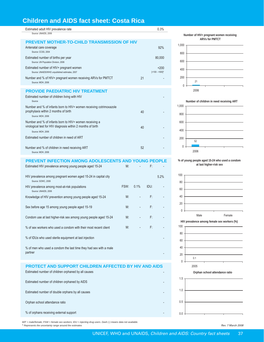### **Children and AIDS fact sheet: Costa Rica**

| Estimated adult HIV prevalence rate                                                               |      |      |      | 0.3%             |                                                                          |
|---------------------------------------------------------------------------------------------------|------|------|------|------------------|--------------------------------------------------------------------------|
| Source: UNAIDS, 2006                                                                              |      |      |      |                  | Number of HIV+ pregnant women receiving                                  |
| <b>PREVENT MOTHER-TO-CHILD TRANSMISSION OF HIV</b>                                                |      |      |      |                  | <b>ARVs for PMTCT</b>                                                    |
| Antenatal care coverage                                                                           |      |      |      | 92%              | 1,000                                                                    |
| Source: CCSS, 2004                                                                                |      |      |      |                  | 800                                                                      |
| Estimated number of births per year<br>Source: UN Population Division, 2006                       |      |      |      | 80,000           | 600                                                                      |
| Estimated number of HIV+ pregnant women                                                           |      |      |      | 200              |                                                                          |
| Source: UNAIDS/WHO unpublished estimates, 2007                                                    |      |      |      | $[<100 - 500]$ * | 400                                                                      |
| Number and % of HIV+ pregnant women receiving ARVs for PMTCT                                      |      | 21   |      |                  | 200                                                                      |
| Source: MOH, 2006                                                                                 |      |      |      |                  | 21<br>0                                                                  |
| <b>PROVIDE PAEDIATRIC HIV TREATMENT</b>                                                           |      |      |      |                  | 2006                                                                     |
| Estimated number of children living with HIV                                                      |      |      |      |                  |                                                                          |
| Source                                                                                            |      |      |      |                  | Number of children in need receiving ART                                 |
| Number and % of infants born to HIV+ women receiving cotrimoxazole                                |      |      |      |                  | 1,000                                                                    |
| prophylaxis within 2 months of birth<br>Source: MOH, 2006                                         |      | 40   |      |                  | 800                                                                      |
| Number and % of infants born to HIV+ women receiving a                                            |      |      |      |                  | 600                                                                      |
| virological test for HIV diagnosis within 2 months of birth                                       |      | 40   |      |                  |                                                                          |
| Source: MOH, 2006                                                                                 |      |      |      |                  | 400                                                                      |
| Estimated number of children in need of ART                                                       |      |      |      |                  | 200<br>52                                                                |
| Number and % of children in need receiving ART                                                    |      | 52   |      |                  | 0                                                                        |
| Source: MOH, 2006                                                                                 |      |      |      |                  | 2006                                                                     |
|                                                                                                   |      |      |      |                  |                                                                          |
| PREVENT INFECTION AMONG ADOLESCENTS AND<br>Estimated HIV prevalence among young people aged 15-24 | M:   |      | F:   | NG PEOPLE        | % of young people aged 15-24 who used a condo<br>at last higher-risk sex |
|                                                                                                   |      |      |      |                  |                                                                          |
| HIV prevalence among pregnant women aged 15-24 in capital city                                    |      |      |      | 5.2%             | 100                                                                      |
| Source: SOWC, 2008                                                                                |      |      |      |                  | 80                                                                       |
| HIV prevalence among most-at-risk populations                                                     | FSW: | 0.1% | IDU: |                  | 60                                                                       |
| Source: UNAIDS, 2006<br>Knowledge of HIV prevention among young people aged 15-24                 | M:   |      | F:   |                  | 40                                                                       |
|                                                                                                   |      |      |      |                  |                                                                          |
| Sex before age 15 among young people aged 15-19                                                   | M:   |      | F:   |                  | 20                                                                       |
|                                                                                                   |      |      |      |                  | 0<br>Male<br>Female                                                      |
| Condom use at last higher-risk sex among young people aged 15-24                                  | M:   |      | F:   |                  | HIV prevalence among female sex workers (%)                              |
| % of sex workers who used a condom with their most recent client                                  | M:   |      | F:   |                  | 100                                                                      |
|                                                                                                   |      |      |      |                  | 80                                                                       |
| % of IDUs who used sterile equipment at last injection                                            |      |      |      |                  |                                                                          |
|                                                                                                   |      |      |      |                  | 60                                                                       |
| % of men who used a condom the last time they had sex with a male                                 |      |      |      |                  | 40                                                                       |
| partner                                                                                           |      |      |      |                  | 20<br>0.1                                                                |
|                                                                                                   |      |      |      |                  | $\mathbf 0$                                                              |
| <b>PROTECT AND SUPPORT CHILDREN AFFECTED BY HIV AND AIDS</b>                                      |      |      |      |                  | 2005                                                                     |
| Estimated number of children orphaned by all causes                                               |      |      |      |                  | Orphan school attendance ratio                                           |

### 1,000 **Number of HIV+ pregnant women receiving ARVs for PMTCT**





**% of young people aged 15-24 who used a condom at last higher-risk sex**



Estimated number of children orphaned by AIDS Estimated number of double orphans by all causes Orphan school attendance ratio % of orphans receiving external support - - - -

\* *Represents the uncertainty range around the estimates M/F = male/female; FSW = female sex workers; IDU = injecting drug users. Dash (-) means data not available.*

Rev. 7 March 2008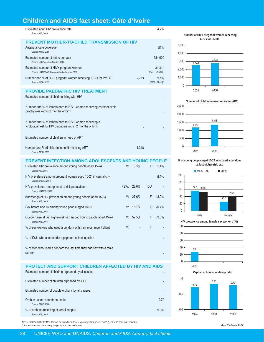# **Children and AIDS fact sheet: Côte d'Ivoire**

| Estimated adult HIV prevalence rate | 7% |
|-------------------------------------|----|
| Source: AIS, 2005                   |    |

#### **PREVENT MOTHER-TO-CHILD TRANSMISSION OF HIV** Antenatal care coverage Source: MICS, 2006 <sup>2005</sup> <sup>3456</sup> <sup>546</sup> Estimated number of births per year Source: UN Pop Division, 2006 <sup>2007</sup> <sup>5467</sup> <sup>456</sup> UN Population Division, 2006 Estimated number of HIV+ pregnant women Source: UNAIDS/WHO unpublished estimates, 2007 Source: UNAIDS/WHO unpublished estimates, 2007Number and % of HIV+ pregnant women receiving ARVs for PMTCT Source: MOH, 2006 85% 684,000 30,412 2,773 9.1% [24,278 - 36,289]\* [7.6% - 11.4%]\*

### **PROVIDE PAEDIATRIC HIV TREATMENT**

Estimated number of children living with HIV

Source: MOH, 2006

Number and % of infants born to HIV+ women receiving cotrimoxazole Number and % of infants born to HIV+ women receiving cotrimoxazole prophylaxis within 6 weeks of birth <sup>2007</sup> <sup>1090</sup> prophylaxis within 2 months of birth

| Number and % of infants born to HIV+ women receiving a<br>virological test for HIV diagnosis within 2 months of birth |       |  |
|-----------------------------------------------------------------------------------------------------------------------|-------|--|
| Estimated number of children in need of ART                                                                           |       |  |
| Number and % of children in need receiving ART                                                                        | 1.348 |  |

### **PREVENT INFECTION AMONG ADOLESCENTS AND YOUNG PEOPLE**

| Estimated HIV prevalence among young people aged 15-24                                                          | M: | 0.3%       | F:   | 2.4%        |           | at last liigilei -i isk sex               |                    |
|-----------------------------------------------------------------------------------------------------------------|----|------------|------|-------------|-----------|-------------------------------------------|--------------------|
| Source: AIS, 2005                                                                                               |    |            |      |             |           | ■ 1998-1999                               | $\blacksquare$ 200 |
| HIV prevalence among pregnant women aged 15-24 in capital city<br>Source: SOWC, 2008                            |    |            |      | 5.2%        | 100<br>80 |                                           |                    |
| HIV prevalence among most-at-risk populations<br>Source: UNAIDS, 2006                                           |    | FSW: 28.0% | IDU: |             | 60        | 56.0<br>52.5                              |                    |
| Knowledge of HIV prevention among young people aged 15-24<br>Source: AIS, 2005                                  | M: | 27.6%      |      | $F: 18.0\%$ | 40<br>20  |                                           | 25.                |
| Sex before age 15 among young people aged 15-19<br>Source: AIS, 2005                                            | M: | 16.7%      |      | $F: 20.4\%$ |           |                                           |                    |
| Condom use at last higher-risk sex among young people aged 15-24<br>Source: AIS, 2005                           | M: | 52.5%      |      | F: 39.3%    |           | Male<br>HIV prevalence among female sex w |                    |
| % of sex workers who used a condom with their most recent client                                                | M: |            | F:   |             | 100       |                                           |                    |
| % of IDUs who used sterile equipment at last injection                                                          |    |            |      |             | 80<br>60  |                                           |                    |
| the contract of the contract of the contract of the contract of the contract of the contract of the contract of |    |            |      |             | $\Lambda$ |                                           |                    |

% of men who used a condom the last time they had sex with a male partner

### **PROTECT AND SUPPORT CHILDREN AFFECTED BY HIV AND AIDS**

| Estimated number of children orphaned by all causes          | $\qquad \qquad \blacksquare$ | Orphan school attenda |      |  |      |
|--------------------------------------------------------------|------------------------------|-----------------------|------|--|------|
| Estimated number of children orphaned by AIDS                | -                            | 1.C                   | 0.72 |  | 0.83 |
| Estimated number of double orphans by all causes             | -                            | 0.5                   |      |  |      |
| Orphan school attendance ratio<br>Source: MICS, 2006         | 0.79                         |                       |      |  |      |
| % of orphans receiving external support<br>Source: AIS, 2005 | 9.3%                         | 0.0                   | 1994 |  | 2000 |

\* *Represents the uncertainty range around the estimates M/F = male/female; FSW = female sex workers; IDU = injecting drug users. Dash (-) means data not available.*

#### **Number of HIV+ pregnant women receiving ARVs for PMTCT**



-

-

- -



**% of young people aged 15-24 who used a condom at last higher-risk sex**





**Orphan school attendance ratio**

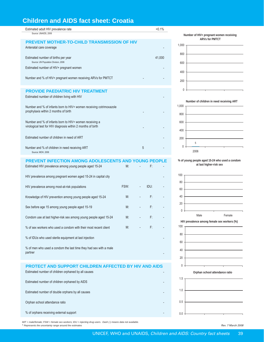# **Children and AIDS fact sheet: Croatia**

| Estimated adult HIV prevalence rate                                          |      |                     |      | $< 0.1\%$ |                                               |                                             |
|------------------------------------------------------------------------------|------|---------------------|------|-----------|-----------------------------------------------|---------------------------------------------|
| Source: UNAIDS, 2006                                                         |      |                     |      |           |                                               | Number of HIV+ pregnant women receiving     |
| PREVENT MOTHER-TO-CHILD TRANSMISSION OF HIV                                  |      |                     |      |           |                                               |                                             |
| Antenatal care coverage                                                      |      |                     |      |           | 1,000                                         |                                             |
|                                                                              |      |                     |      |           | 800                                           |                                             |
| Estimated number of births per year                                          |      |                     |      | 41,000    |                                               |                                             |
| Source: UN Population Division, 2006                                         |      |                     |      |           | 600                                           |                                             |
| Estimated number of HIV+ pregnant women                                      |      |                     |      |           |                                               |                                             |
|                                                                              |      |                     |      |           | 400                                           |                                             |
| Number and % of HIV+ pregnant women receiving ARVs for PMTCT                 |      |                     |      |           | 200                                           |                                             |
|                                                                              |      |                     |      |           |                                               |                                             |
| <b>PROVIDE PAEDIATRIC HIV TREATMENT</b>                                      |      |                     |      |           | $\mathbf{0}$                                  |                                             |
| Estimated number of children living with HIV                                 |      |                     |      |           |                                               |                                             |
|                                                                              |      |                     |      |           |                                               | Number of children in need receiving ART    |
| Number and % of infants born to HIV+ women receiving cotrimoxazole           |      |                     |      |           | 1,000                                         |                                             |
| prophylaxis within 2 months of birth                                         |      |                     |      |           | 800                                           |                                             |
|                                                                              |      |                     |      |           |                                               |                                             |
| Number and % of infants born to HIV+ women receiving a                       |      |                     |      |           | 600                                           |                                             |
| virological test for HIV diagnosis within 2 months of birth                  |      |                     |      |           | 400                                           |                                             |
|                                                                              |      |                     |      |           |                                               |                                             |
| Estimated number of children in need of ART                                  |      |                     |      |           | 200                                           |                                             |
| Number and % of children in need receiving ART                               |      | 5                   |      |           | 0                                             |                                             |
| Source: MOH, 2006                                                            |      |                     |      |           |                                               | 2006                                        |
|                                                                              |      |                     |      |           |                                               |                                             |
| PREVENT INFECTION AMONG ADOLESCENTS AND                                      |      | <b>YOUNG PEOPLE</b> |      |           | % of young people aged 15-24 who used a condo |                                             |
| Estimated HIV prevalence among young people aged 15-24                       | M:   |                     | F:   |           |                                               |                                             |
|                                                                              |      |                     |      |           | 100                                           |                                             |
| HIV prevalence among pregnant women aged 15-24 in capital city               |      |                     |      |           |                                               |                                             |
| HIV prevalence among most-at-risk populations                                | FSW: |                     | IDU: |           | 80                                            |                                             |
|                                                                              |      |                     |      |           | 60                                            |                                             |
| Knowledge of HIV prevention among young people aged 15-24                    | M:   |                     | F:   |           | 40                                            |                                             |
|                                                                              |      |                     |      |           | 20                                            |                                             |
| Sex before age 15 among young people aged 15-19                              | M:   |                     | F:   |           |                                               |                                             |
|                                                                              |      |                     |      |           | 0                                             |                                             |
| Condom use at last higher-risk sex among young people aged 15-24             | M:   |                     | F:   |           |                                               |                                             |
|                                                                              |      |                     |      |           |                                               | HIV prevalence among female sex workers (%) |
| % of sex workers who used a condom with their most recent client             | M:   |                     | F:   |           | 100                                           |                                             |
|                                                                              |      |                     |      |           | 80                                            |                                             |
| % of IDUs who used sterile equipment at last injection                       |      |                     |      |           |                                               |                                             |
|                                                                              |      |                     |      |           | 60                                            |                                             |
| % of men who used a condom the last time they had sex with a male<br>partner |      |                     |      |           | 40                                            |                                             |
|                                                                              |      |                     |      |           | 20                                            |                                             |
|                                                                              |      |                     |      |           |                                               |                                             |
| PROTECT AND SUPPORT CHILDREN AFFECTED BY HIV AND AIDS                        |      |                     |      |           | 0                                             |                                             |
| Estimated number of children orphaned by all causes                          |      |                     |      |           |                                               |                                             |
|                                                                              |      |                     |      |           | 1.5                                           |                                             |
| Estimated number of children orphaned by AIDS                                |      |                     |      |           |                                               |                                             |
|                                                                              |      |                     |      |           | 1.0                                           |                                             |
| Estimated number of double orphans by all causes                             |      |                     |      |           |                                               |                                             |
|                                                                              |      |                     |      |           |                                               |                                             |
| Orphan school attendance ratio                                               |      |                     |      |           | 0.5                                           |                                             |
|                                                                              |      |                     |      |           |                                               |                                             |
| % of orphans receiving external support                                      |      |                     |      |           | $0.0\,$                                       |                                             |
|                                                                              |      |                     |      |           |                                               |                                             |

\* *Represents the uncertainty range around the estimates* rev. January 22, 2008 *M/F = male/female; FSW = female sex workers; IDU = injecting drug users. Dash (-) means data not available.*

Rev. 7 March 2008

| <b>ARVs for PMTCT</b> |  |  |  |  |  |
|-----------------------|--|--|--|--|--|
| 1,000                 |  |  |  |  |  |
| 800                   |  |  |  |  |  |
| 600                   |  |  |  |  |  |
| 400                   |  |  |  |  |  |
| 200                   |  |  |  |  |  |
|                       |  |  |  |  |  |

|       | Number of children in need receiving ART |
|-------|------------------------------------------|
| 1,000 |                                          |
| 800   |                                          |
| 600   |                                          |
| 400   |                                          |
| 200   |                                          |
| 0     | 5                                        |
|       | 2006                                     |

**% of young people aged 15-24 who used a condom at last higher-risk sex**

| 100 |                                             |
|-----|---------------------------------------------|
| 80  |                                             |
| 60  |                                             |
| 40  |                                             |
| 20  |                                             |
| 0   |                                             |
|     | Female<br>Male                              |
|     | HIV prevalence among female sex workers (%) |
| 100 |                                             |
| 80  |                                             |
| 60  |                                             |
| 40  |                                             |
| 20  |                                             |
| 0   |                                             |
|     | Orphan school attendance ratio              |
| 1.5 |                                             |
|     |                                             |
| 1.0 |                                             |
| 0.5 |                                             |
|     |                                             |
| 0.0 |                                             |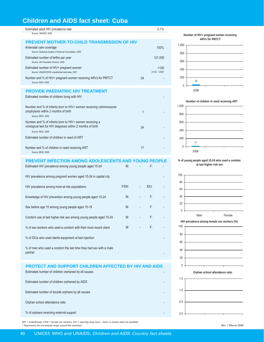# **Children and AIDS fact sheet: Cuba**

| Estimated adult HIV prevalence rate                                                                                                                                  |      |              |      | 0.1%                      |              |                                                               |
|----------------------------------------------------------------------------------------------------------------------------------------------------------------------|------|--------------|------|---------------------------|--------------|---------------------------------------------------------------|
| Source: UNAIDS, 2006                                                                                                                                                 |      |              |      |                           |              | Number of HIV+ pregnant wome<br><b>ARVs for PMTCT</b>         |
| PREVENT MOTHER-TO-CHILD TRANSMISSION OF HIV<br>Antenatal care coverage<br>Source: Statistical System of External Consultation, 2005                                  |      |              |      | 100%                      | 1,000<br>800 |                                                               |
| Estimated number of births per year<br>Source: UN Population Division, 2006                                                                                          |      |              |      | 121,000                   | 600          |                                                               |
| Estimated number of HIV+ pregnant women<br>Source: UNAIDS/WHO unpublished estimates, 2007                                                                            |      |              |      | < 100<br>$[<100 - 200]$ * | 400          |                                                               |
| Number and % of HIV+ pregnant women receiving ARVs for PMTCT<br>Source: MOH, 2006                                                                                    |      | 34           |      |                           | 200          | 34                                                            |
| <b>PROVIDE PAEDIATRIC HIV TREATMENT</b><br>Estimated number of children living with HIV                                                                              |      |              |      |                           | 0            | 2006                                                          |
| Number and % of infants born to HIV+ women receiving cotrimoxazole<br>prophylaxis within 2 months of birth<br>Source: MOH, 2006                                      |      | $\mathbf{1}$ |      |                           | 1,000<br>800 | Number of children in need re                                 |
| Number and % of infants born to HIV+ women receiving a<br>virological test for HIV diagnosis within 2 months of birth<br>Source: MOH, 2006                           |      | 34           |      |                           | 600<br>400   |                                                               |
| Estimated number of children in need of ART                                                                                                                          |      |              |      |                           | 200          | 17                                                            |
| Number and % of children in need receiving ART<br>Source: MOH. 2006                                                                                                  |      | 17           |      |                           | 0            | 2006                                                          |
| <b>PREVENT INFECTION AMONG ADOLESCENTS AND YOUNG PEOPLE</b><br>Estimated HIV prevalence among young people aged 15-24                                                | M:   |              | F:   |                           |              | % of young people aged 15-24 who u<br>at last higher-risk sex |
| HIV prevalence among pregnant women aged 15-24 in capital city                                                                                                       |      |              |      |                           | 100          |                                                               |
| HIV prevalence among most-at-risk populations                                                                                                                        | FSW: |              | IDU: |                           | 80<br>60     |                                                               |
| Knowledge of HIV prevention among young people aged 15-24                                                                                                            | M:   |              | F:   |                           | 40           |                                                               |
| Sex before age 15 among young people aged 15-19                                                                                                                      | M:   |              | F:   |                           | 20<br>0      |                                                               |
| Condom use at last higher-risk sex among young people aged 15-24                                                                                                     | M:   |              | F:   |                           |              | Male<br>HIV prevalence among female sex                       |
| % of sex workers who used a condom with their most recent client                                                                                                     | M:   |              | F:   |                           | 100          |                                                               |
| % of IDUs who used sterile equipment at last injection                                                                                                               |      |              |      |                           | 80<br>60     |                                                               |
| % of men who used a condom the last time they had sex with a male<br>partner                                                                                         |      |              |      |                           | 40           |                                                               |
|                                                                                                                                                                      |      |              |      |                           | 20           |                                                               |
| <b>PROTECT AND SUPPORT CHILDREN AFFECTED BY HIV AND AIDS</b><br>Estimated number of children orphaned by all causes                                                  |      |              |      |                           | 0            | Orphan school attendan                                        |
| Estimated number of children orphaned by AIDS                                                                                                                        |      |              |      |                           | 1.5          |                                                               |
| Estimated number of double orphans by all causes                                                                                                                     |      |              |      |                           | 1.0          |                                                               |
| Orphan school attendance ratio                                                                                                                                       |      |              |      |                           | 0.5          |                                                               |
| % of orphans receiving external support                                                                                                                              |      |              |      |                           | 0.0          |                                                               |
| M/F = male/female; FSW = female sex workers; IDU = injecting drug users. Dash (-) means data not available.<br>Represents the uncertainty range around the estimates |      |              |      |                           |              | R                                                             |

**Number of HIV+ pregnant women receiving ARVs for PMTCT**

| 1,000        |      |  |  |
|--------------|------|--|--|
| 800          |      |  |  |
| 600          |      |  |  |
| 400          |      |  |  |
| 200          |      |  |  |
| $\mathbf{0}$ | 34   |  |  |
|              | 2006 |  |  |

|       | Number of children in need receiving ART |
|-------|------------------------------------------|
| 1,000 |                                          |
| 800   |                                          |
| 600   |                                          |
| 400   |                                          |
| 200   |                                          |
|       | 17                                       |
|       | 2006                                     |

**% of young people aged 15-24 who used a condom at last higher-risk sex**

| 100      |                                             |
|----------|---------------------------------------------|
| 80       |                                             |
| 60       |                                             |
| 40       |                                             |
| 20       |                                             |
| 0        |                                             |
|          | Male<br>Female                              |
|          | HIV prevalence among female sex workers (%) |
| 100      |                                             |
| 80       |                                             |
| 60       |                                             |
| 40       |                                             |
| 20       |                                             |
|          |                                             |
| $\Omega$ | T                                           |
|          | Orphan school attendance ratio              |
| 1.5      |                                             |
|          |                                             |
| 1.0      |                                             |
|          |                                             |
| 0.5      |                                             |
|          |                                             |
| 0.0      | T<br>T<br>٦                                 |

40 UNICEF, WHO and UNAIDS, Children and AIDS: Country fact sheets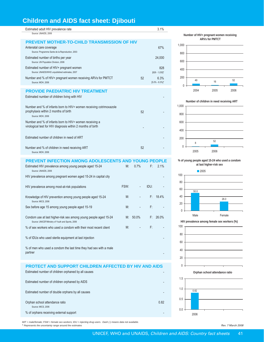### **Children and AIDS fact sheet: Djibouti**

| Estimated adult HIV prevalence rate                                                                                   |               | 3.1%                        |              |           |                                                               |
|-----------------------------------------------------------------------------------------------------------------------|---------------|-----------------------------|--------------|-----------|---------------------------------------------------------------|
| Source: UNAIDS, 2006                                                                                                  |               |                             |              |           | Number of HIV+ pregnant wome<br><b>ARVs for PMTCT</b>         |
| <b>PREVENT MOTHER-TO-CHILD TRANSMISSION OF HIV</b>                                                                    |               |                             |              |           |                                                               |
| Antenatal care coverage<br>Source: Programme Sante de la Reproduction, 2003                                           |               | 67%                         | 1,000<br>800 |           |                                                               |
| Estimated number of births per year<br>Source: UN Population Division, 2006                                           |               | 24,000                      | 600          |           |                                                               |
| Estimated number of HIV+ pregnant women<br>Source: UNAIDS/WHO unpublished estimates, 2007                             |               | 828<br>$[626 - 1.035]$ *    | 400          |           |                                                               |
| Number and % of HIV+ pregnant women receiving ARVs for PMTCT<br>Source: MOH, 2006                                     | 52            | 6.3%<br>$[5.0\% - 8.3\%]$ * | 200          | 49        | 16                                                            |
| <b>PROVIDE PAEDIATRIC HIV TREATMENT</b><br>Estimated number of children living with HIV                               |               |                             | 0            | 2004      | 2005                                                          |
|                                                                                                                       |               |                             |              |           | Number of children in need re                                 |
| Number and % of infants born to HIV+ women receiving cotrimoxazole<br>prophylaxis within 2 months of birth            | 52            |                             | 1.000<br>800 |           |                                                               |
| Source: MOH. 2006                                                                                                     |               |                             |              |           |                                                               |
| Number and % of infants born to HIV+ women receiving a<br>virological test for HIV diagnosis within 2 months of birth |               |                             | 600<br>400   |           |                                                               |
| Estimated number of children in need of ART                                                                           |               |                             | 200          |           | 52                                                            |
| Number and % of children in need receiving ART<br>Source: MOH. 2006                                                   | 52            |                             | 0            | 8<br>2005 | 2006                                                          |
| <b>PREVENT INFECTION AMONG ADOLESCENTS AND</b><br>Estimated HIV prevalence among young people aged 15-24<br>M:        | YOUNG<br>0.7% | <b>PEOPLE</b><br>2.1%<br>F: |              |           | % of young people aged 15-24 who u<br>at last higher-risk sex |

### Source: UNAIDS, 2006 **Male Female Female Female Female Female Female Female Female Female Female Female Female Female Female Female Female Female Female Female Female Female Female Female Female Female Female Female Female** HIV prevalence among pregnant women aged 15-24 in capital city HIV prevalence among most-at-risk populations FSW: FSW: - IDU: Knowledge of HIV prevention among young people aged 15-24 M: F: 18.4% Source: MICS, 2006 Sex before age 15 among young people aged 15-19 M: F: F: Condom use at last higher-risk sex among young people aged 15-24 M: 50.0% F: 26.0% Source: UNICEF/Ministry of Youth and Sports, 2006 % of sex workers who used a condom with their most recent client  $M: -F: -$ % of IDUs who used sterile equipment at last injection % of men who used a condom the last time they had sex with a male - -

#### **PROTECT AND SUPPORT CHILDREN AFFECTED BY HIV AND AIDS**

| Estimated number of children orphaned by all causes  |      |     | Orphan school attenda |
|------------------------------------------------------|------|-----|-----------------------|
| Estimated number of children orphaned by AIDS        | -    | 1.5 |                       |
| Estimated number of double orphans by all causes     | -    | 1.0 | 0.82                  |
| Orphan school attendance ratio<br>Source: MICS, 2006 | 0.82 | 0.5 |                       |
| % of orphans receiving external support              | -    | 0.0 | 2006                  |

\* *Represents the uncertainty range around the estimates M/F = male/female; FSW = female sex workers; IDU = injecting drug users. Dash (-) means data not available.*

partner

**Number of HIV+ pregnant women receiving ARVs for PMTCT**





**% of young people aged 15-24 who used a condom at last higher-risk sex**





Rev. 7 March 2008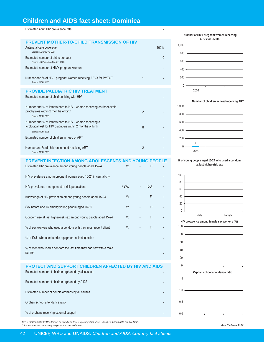# **Children and AIDS fact sheet: Dominica**

#### Estimated adult HIV prevalence rate

### **PREVENT MOTHER-TO-CHILD TRANSMISSION OF HIV**

| Antenatal care coverage                                      | 100%                     | ,uuu |  |
|--------------------------------------------------------------|--------------------------|------|--|
| Source: PAHO/WHO, 2004                                       |                          | 800  |  |
| Estimated number of births per year                          | 0                        |      |  |
| Source: UN Population Division, 2006                         |                          | 600  |  |
| Estimated number of HIV+ pregnant women                      | $\overline{\phantom{a}}$ | 400  |  |
|                                                              |                          |      |  |
| Number and % of HIV+ pregnant women receiving ARVs for PMTCT | -                        | 200  |  |
| Source: MOH, 2006                                            |                          |      |  |
|                                                              |                          |      |  |

### **PROVIDE PAEDIATRIC HIV TREATMENT**

partner

|                                                                    |   |   |       | Number of children in ne |  |
|--------------------------------------------------------------------|---|---|-------|--------------------------|--|
| Number and % of infants born to HIV+ women receiving cotrimoxazole |   |   | 1,000 |                          |  |
| prophylaxis within 2 months of birth                               |   |   | 800   |                          |  |
| Source: MOH, 2006                                                  |   |   |       |                          |  |
| Number and % of infants born to HIV+ women receiving a             |   |   | 600   |                          |  |
| virological test for HIV diagnosis within 2 months of birth        | 0 | ۰ |       |                          |  |
| Source: MOH, 2006                                                  |   |   | 400   |                          |  |
| Estimated number of children in need of ART                        |   |   | 200   |                          |  |
|                                                                    |   |   |       |                          |  |
| Number and % of children in need receiving ART                     |   | ٠ |       |                          |  |
| Source: MOH. 2006                                                  |   |   |       | 2006                     |  |

### **PREVENT INFECTION AMONG ADOLESCENTS AND YOUNG PEOPLE**

| Estimated HIV prevalence among young people aged 15-24            | M:   | F:   |                                           | at last liigilei -ilsk s       |  |
|-------------------------------------------------------------------|------|------|-------------------------------------------|--------------------------------|--|
| HIV prevalence among pregnant women aged 15-24 in capital city    |      |      | 100                                       |                                |  |
| HIV prevalence among most-at-risk populations                     | FSW: | IDU: | 80                                        |                                |  |
|                                                                   |      |      | 60                                        |                                |  |
| Knowledge of HIV prevention among young people aged 15-24         | M:   | F:   | 40                                        |                                |  |
| Sex before age 15 among young people aged 15-19                   | M:   | F:   | 20<br>0                                   |                                |  |
| Condom use at last higher-risk sex among young people aged 15-24  | M:   | F:   |                                           | Male                           |  |
| % of sex workers who used a condom with their most recent client  | M:   | F:   | 100                                       | HIV prevalence among female se |  |
|                                                                   |      |      | 80                                        |                                |  |
| % of IDUs who used sterile equipment at last injection            |      |      | 60                                        |                                |  |
| % of men who used a condom the last time they had sex with a male |      |      | $\Lambda$ <sup><math>\Lambda</math></sup> |                                |  |

**PROTECT AND SUPPORT CHILDREN AFFECTED BY HIV AND AIDS**

### Estimated number of children orphaned by all causes Estimated number of children orphaned by AIDS Estimated number of double orphans by all causes Orphan school attendance ratio % of orphans receiving external support - - - - -

 $*$  Represents the uncertainty range around the estimates *M/F = male/female; FSW = female sex workers; IDU = injecting drug users. Dash (-) means data not available.* **Number of HIV+ pregnant women receiving ARVs for PMTCT**

| 1,000 |      |  |  |
|-------|------|--|--|
| 800   |      |  |  |
|       |      |  |  |
| 600   |      |  |  |
| 400   |      |  |  |
| 200   |      |  |  |
| 0     |      |  |  |
|       | 2006 |  |  |

|       |                | Number of children in need receiving ART |
|-------|----------------|------------------------------------------|
| 1,000 |                |                                          |
| 800   |                |                                          |
| 600   |                |                                          |
| 400   |                |                                          |
| 200   |                |                                          |
|       | $\overline{2}$ |                                          |
|       | 2006           |                                          |

-

-

#### **% of young people aged 15-24 who used a condom at last higher-risk sex**

| 100      |                                             |
|----------|---------------------------------------------|
| 80       |                                             |
| 60       |                                             |
| 40       |                                             |
| 20       |                                             |
| 0        |                                             |
|          | Male<br>Female                              |
|          | HIV prevalence among female sex workers (%) |
| 100<br>ł |                                             |
| 80       |                                             |
| 60       |                                             |
| 40       |                                             |
| 20       |                                             |
|          |                                             |
| $\Omega$ | Ť<br>Ť<br>1                                 |
|          | Orphan school attendance ratio              |
| 1.5      |                                             |
|          |                                             |
| 1.0      |                                             |
| 0.5      |                                             |
|          |                                             |
| 0.0      | T<br>T<br>1                                 |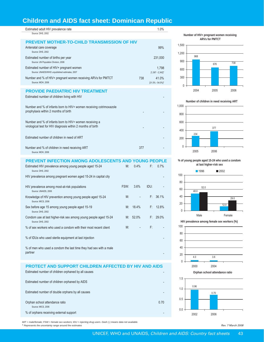# **Children and AIDS fact sheet: Dominican Republic**

| Estimated adult HIV prevalence rate | $\Omega$ % |
|-------------------------------------|------------|
| Source: DHS, 2002                   |            |

| <b>PREVENT MOTHER-TO-CHILD TRANSMISSION OF HIV</b>                                        |     |                                | .500  |                                                 |      |  |
|-------------------------------------------------------------------------------------------|-----|--------------------------------|-------|-------------------------------------------------|------|--|
| Antenatal care coverage<br>Source: DHS, 2002                                              |     | 99%                            | 1,200 |                                                 |      |  |
| Estimated number of births per year<br>Source: UN Population Division, 2006               |     | 231.000                        | 900   | 968                                             |      |  |
| Estimated number of HIV+ pregnant women<br>Source: UNAIDS/WHO unpublished estimates, 2007 |     | 1.798<br>$[1,367 - 2,342]$ *   | 600   |                                                 | 676  |  |
| Number and % of HIV+ pregnant women receiving ARVs for PMTCT<br>Source: MOH, 2006         | 738 | 41.0%<br>$[31.5\% - 54.0\%]$ * | 300   |                                                 |      |  |
| <b>PROVIDE PAEDIATRIC HIV TREATMENT</b>                                                   |     |                                |       | 2004                                            | 2005 |  |
| Estimated number of children living with HIV                                              |     |                                |       | All conclusions of the Midways for the standard |      |  |

Number and % of infants born to HIV+ women receiving cotrimoxazole Number and % of infants born to HIV+ women receiving cotrimoxazole prophylaxis within 6 weeks of birth <sup>2007</sup> <sup>1090</sup> prophylaxis within 2 months of birth

Source: MOH, 2006

| Number and % of infants born to HIV+ women receiving a<br>virological test for HIV diagnosis within 2 months of birth |     |  |
|-----------------------------------------------------------------------------------------------------------------------|-----|--|
| Estimated number of children in need of ART                                                                           |     |  |
| Number and % of children in need receiving ART                                                                        | 377 |  |

#### **PREVENT INFECTION AMONG ADOLESCENTS AND YOUNG PEOPLE**

| Estimated HIV prevalence among young people aged 15-24                                              | M:   | 0.4%                     | F:   | 0.7%        |                                          | at last nigher-risk sex                   |       |
|-----------------------------------------------------------------------------------------------------|------|--------------------------|------|-------------|------------------------------------------|-------------------------------------------|-------|
| Source: DHS, 2002                                                                                   |      |                          |      |             |                                          | ■ 1996                                    | ■2002 |
| HIV prevalence among pregnant women aged 15-24 in capital city                                      |      |                          |      |             | 100                                      |                                           |       |
|                                                                                                     |      |                          |      |             | 80                                       |                                           |       |
| HIV prevalence among most-at-risk populations<br>Source: UNAIDS, 2006                               | FSW: | 3.6%                     | IDU: |             | 60                                       | 52.0<br>48.0                              |       |
| Knowledge of HIV prevention among young people aged 15-24<br>Source: MICS, 2006                     | M:   | $\overline{\phantom{a}}$ |      | F: 36.1%    | 40<br>20                                 |                                           |       |
| Sex before age 15 among young people aged 15-19<br>Source: DHS, 2002                                | M:   | 18.4%                    |      | $F: 12.8\%$ |                                          |                                           | 12    |
| Condom use at last higher-risk sex among young people aged 15-24<br>Source: DHS, 2002               | M:   | 52.0%                    |      | $F: 29.0\%$ |                                          | Male<br>HIV prevalence among female sex w |       |
| % of sex workers who used a condom with their most recent client                                    | M:   |                          | F:   |             | 100                                      |                                           |       |
|                                                                                                     |      |                          |      |             | 80                                       |                                           |       |
| % of IDUs who used sterile equipment at last injection                                              |      |                          |      |             | 60                                       |                                           |       |
| 01 a foreign color consideration and departure that the collect the color of a consideration of the |      |                          |      |             | $\Lambda$ <sup><math>\Omega</math></sup> |                                           |       |

% of men who used a condom the last time they had sex with a male partner

### **PROTECT AND SUPPORT CHILDREN AFFECTED BY HIV AND AIDS**

| Estimated number of children orphaned by all causes  |      | Orphan school attenda |      |      |
|------------------------------------------------------|------|-----------------------|------|------|
| Estimated number of children orphaned by AIDS        |      | 1.5                   | 0.96 |      |
| Estimated number of double orphans by all causes     | -    | 1.0                   |      | 0.70 |
| Orphan school attendance ratio<br>Source: MICS, 2006 | 0.70 | 0.5                   |      |      |
| % of orphans receiving external support              |      | 0.0                   | 2002 | 2006 |

\* *Represents the uncertainty range around the estimates M/F = male/female; FSW = female sex workers; IDU = injecting drug users. Dash (-) means data not available.* 400

- -







**% of young people aged 15-24 who used a condom at last higher-risk sex**











Rev. 7 March 2008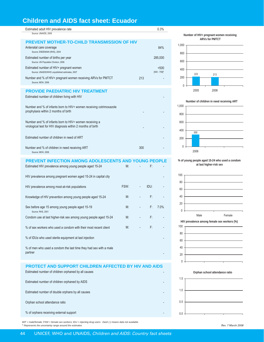# **Children and AIDS fact sheet: Ecuador**

| Estimated adult HIV prevalence rate                                                                        |      |       |      | 0.3%                     |              |                                    |                         |
|------------------------------------------------------------------------------------------------------------|------|-------|------|--------------------------|--------------|------------------------------------|-------------------------|
| Source: UNAIDS, 2006                                                                                       |      |       |      |                          |              | Number of HIV+ pregnant wome       |                         |
| <b>PREVENT MOTHER-TO-CHILD TRANSMISSION OF HIV</b>                                                         |      |       |      |                          |              |                                    | <b>ARVs for PMTCT</b>   |
| Antenatal care coverage                                                                                    |      |       |      | 84%                      | 1,000        |                                    |                         |
| Source: ENDEMAIN (RHS), 2004                                                                               |      |       |      |                          | 800          |                                    |                         |
| Estimated number of births per year<br>Source: UN Population Division, 2006                                |      |       |      | 285,000                  | 600          |                                    |                         |
| Estimated number of HIV+ pregnant women<br>Source: UNAIDS/WHO unpublished estimates, 2007                  |      |       |      | $500$<br>$[500 - 759]$ * | 400          | 223                                |                         |
| Number and % of HIV+ pregnant women receiving ARVs for PMTCT<br>Source: MOH, 2006                          |      | 213   |      |                          | 200          |                                    | 213                     |
|                                                                                                            |      |       |      |                          | $\mathbf 0$  |                                    |                         |
| <b>PROVIDE PAEDIATRIC HIV TREATMENT</b>                                                                    |      |       |      |                          |              | 2005                               | 2006                    |
| Estimated number of children living with HIV                                                               |      |       |      |                          |              |                                    |                         |
|                                                                                                            |      |       |      |                          | 1,000        | Number of children in need re      |                         |
| Number and % of infants born to HIV+ women receiving cotrimoxazole<br>prophylaxis within 2 months of birth |      |       |      |                          |              |                                    |                         |
|                                                                                                            |      |       |      |                          | 800          |                                    |                         |
| Number and % of infants born to HIV+ women receiving a                                                     |      |       |      |                          | 600          |                                    |                         |
| virological test for HIV diagnosis within 2 months of birth                                                |      |       |      |                          | 400          |                                    |                         |
|                                                                                                            |      |       |      |                          |              | 300                                |                         |
| Estimated number of children in need of ART                                                                |      |       |      |                          | 200          |                                    |                         |
| Number and % of children in need receiving ART                                                             |      | 300   |      |                          | $\mathbf{0}$ |                                    |                         |
| Source: MOH. 2006                                                                                          |      |       |      |                          |              | 2006                               |                         |
| <b>PREVENT INFECTION AMONG ADOLESCENTS AND</b>                                                             |      | YOUNG |      | <b>PFOPLE</b>            |              | % of young people aged 15-24 who u |                         |
| Estimated HIV prevalence among young people aged 15-24                                                     | M:   |       | F:   |                          |              |                                    | at last higher-risk sex |
|                                                                                                            |      |       |      |                          |              |                                    |                         |
| HIV prevalence among pregnant women aged 15-24 in capital city                                             |      |       |      |                          | 100          |                                    |                         |
|                                                                                                            |      |       |      |                          | 80           |                                    |                         |
| HIV prevalence among most-at-risk populations                                                              | FSW: |       | IDU: |                          | 60           |                                    |                         |
| Knowledge of HIV prevention among young people aged 15-24                                                  | M:   |       | F:   |                          | 40           |                                    |                         |
|                                                                                                            |      |       |      |                          | 20           |                                    |                         |
| Sex before age 15 among young people aged 15-19                                                            | M:   |       | F:   | 7.0%                     |              |                                    |                         |
| Source: RHS, 2001                                                                                          |      |       |      |                          | $\mathbf{0}$ | $A = 1 -$                          |                         |

|                                                                   |      |                          |      |      | 100 |                                |
|-------------------------------------------------------------------|------|--------------------------|------|------|-----|--------------------------------|
| HIV prevalence among pregnant women aged 15-24 in capital city    |      |                          |      |      |     |                                |
|                                                                   |      |                          |      |      | 80  |                                |
| HIV prevalence among most-at-risk populations                     | FSW: | $\overline{\phantom{a}}$ | IDU: |      | 60  |                                |
|                                                                   |      |                          |      |      |     |                                |
| Knowledge of HIV prevention among young people aged 15-24         | M:   |                          | F:   |      | 40  |                                |
|                                                                   |      |                          |      |      | 20  |                                |
| Sex before age 15 among young people aged 15-19                   | M:   | $\overline{\phantom{a}}$ | F:   | 7.0% |     |                                |
| Source: RHS, 2001                                                 |      |                          |      |      | 0   |                                |
| Condom use at last higher-risk sex among young people aged 15-24  | M:   |                          | F:   |      |     | Male                           |
|                                                                   |      |                          |      |      |     | HIV prevalence among female se |
| % of sex workers who used a condom with their most recent client  | M:   |                          | F:   |      | 100 |                                |
|                                                                   |      |                          |      |      | 80  |                                |
| % of IDUs who used sterile equipment at last injection            |      |                          |      |      |     |                                |
|                                                                   |      |                          |      |      | 60  |                                |
| % of men who used a condom the last time they had sex with a male |      |                          |      |      | 40  |                                |
| partner                                                           |      |                          |      |      |     |                                |
|                                                                   |      |                          |      |      | 20  |                                |

### **PROTECT AND SUPPORT CHILDREN AFFECTED BY HIV AND AIDS**

| Estimated number of children orphaned by all causes | $\overline{\phantom{0}}$ | Orphan school attenda |
|-----------------------------------------------------|--------------------------|-----------------------|
| Estimated number of children orphaned by AIDS       | -                        | 1.5                   |
| Estimated number of double orphans by all causes    | -                        | 1.0                   |
| Orphan school attendance ratio                      |                          | 0.5                   |
| % of orphans receiving external support             | -                        | 0.0                   |

\* *Represents the uncertainty range around the estimates M/F = male/female; FSW = female sex workers; IDU = injecting drug users. Dash (-) means data not available.*





**% of young people aged 15-24 who used a condom at last higher-risk sex**





44 UNICEF, WHO and UNAIDS, Children and AIDS: Country fact sheets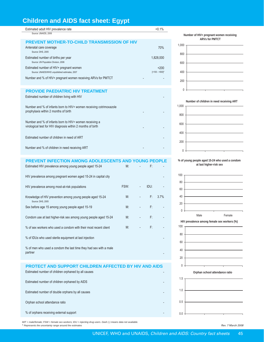# **Children and AIDS fact sheet: Egypt**

| Estimated adult HIV prevalence rate                                |      |      | < 0.1%            |                                                |
|--------------------------------------------------------------------|------|------|-------------------|------------------------------------------------|
| Source: UNAIDS, 2006                                               |      |      |                   | Number of HIV+ pregnant women receiving        |
| PREVENT MOTHER-TO-CHILD TRANSMISSION OF HIV                        |      |      |                   | <b>ARVs for PMTCT</b>                          |
| Antenatal care coverage                                            |      |      | 70%               | 1,000                                          |
| Source: DHS, 2005<br>Estimated number of births per year           |      |      | 1,828,000         | 800                                            |
| Source: UN Population Division, 2006                               |      |      |                   | 600                                            |
| Estimated number of HIV+ pregnant women                            |      |      | $200$             |                                                |
| Source: UNAIDS/WHO unpublished estimates, 2007                     |      |      | $[< 100 - 500]$ * | 400                                            |
| Number and % of HIV+ pregnant women receiving ARVs for PMTCT       |      |      |                   | 200                                            |
|                                                                    |      |      |                   | 0                                              |
| <b>PROVIDE PAEDIATRIC HIV TREATMENT</b>                            |      |      |                   |                                                |
| Estimated number of children living with HIV                       |      |      |                   | Number of children in need receiving ART       |
| Number and % of infants born to HIV+ women receiving cotrimoxazole |      |      |                   | 1,000                                          |
| prophylaxis within 2 months of birth                               |      |      |                   | 800                                            |
| Number and % of infants born to HIV+ women receiving a             |      |      |                   |                                                |
| virological test for HIV diagnosis within 2 months of birth        |      |      |                   | 600                                            |
|                                                                    |      |      |                   | 400                                            |
| Estimated number of children in need of ART                        |      |      |                   |                                                |
| Number and % of children in need receiving ART                     |      |      |                   | 200                                            |
|                                                                    |      |      |                   | $\mathbf{0}$                                   |
| PREVENT INFECTION AMONG ADOLESCENTS AND YOUNG PEOPLE               |      |      |                   | % of young people aged 15-24 who used a condom |
| Estimated HIV prevalence among young people aged 15-24             | M:   | F:   |                   | at last higher-risk sex                        |
|                                                                    |      |      |                   |                                                |
| HIV prevalence among pregnant women aged 15-24 in capital city     |      |      |                   | 100                                            |
| HIV prevalence among most-at-risk populations                      | FSW: | IDU: |                   | 80                                             |
|                                                                    |      |      |                   | 60                                             |
| Knowledge of HIV prevention among young people aged 15-24          | M:   | F:   | 3.7%              | 40                                             |
| Source: DHS, 2005                                                  |      |      |                   | 20                                             |
| Sex before age 15 among young people aged 15-19                    | M:   | F:   |                   | 0                                              |
| Condom use at last higher-risk sex among young people aged 15-24   | M:   | F:   |                   | Male<br>Female                                 |
|                                                                    |      |      |                   | HIV prevalence among female sex workers (%)    |
| % of sex workers who used a condom with their most recent client   | M:   | F:   |                   | 100                                            |
| % of IDUs who used sterile equipment at last injection             |      |      |                   | 80                                             |
|                                                                    |      |      |                   | 60                                             |
| % of men who used a condom the last time they had sex with a male  |      |      |                   | 40                                             |
| partner                                                            |      |      |                   | 20                                             |
|                                                                    |      |      |                   |                                                |
| <b>PROTECT AND SUPPORT CHILDREN AFFECTED BY HIV AND AIDS</b>       |      |      |                   | 0                                              |
| Estimated number of children orphaned by all causes                |      |      |                   | Orphan school attendance ratio                 |
| Estimated number of children orphaned by AIDS                      |      |      |                   | 1.5                                            |
|                                                                    |      |      |                   | 1.0                                            |
| Estimated number of double orphans by all causes                   |      |      |                   |                                                |
| Orphan school attendance ratio                                     |      |      |                   | 0.5                                            |
|                                                                    |      |      |                   |                                                |
| % of orphans receiving external support                            |      |      |                   | 0.0                                            |
|                                                                    |      |      |                   |                                                |

\* *Represents the uncertainty range around the estimates M/F* = male/female; FSW = female sex workers; IDU = injecting drug users. Dash (-) means data n

Rev. 7 March 2008

 $\overline{\phantom{0}}$ 

**Number of children in need receiving ART HIV+ pregnant women receiving ARVs for PMTCT**

|      | INUITIDEL OF CHILDI EN IN HEED FECEIVING ART |
|------|----------------------------------------------|
| ,000 |                                              |
| 800  |                                              |
| 600  |                                              |
| 400  |                                              |
| 200  |                                              |
|      |                                              |

|               | ٠ | 0.5 |  |
|---------------|---|-----|--|
|               |   |     |  |
|               |   |     |  |
|               |   | 0.0 |  |
|               |   |     |  |
| ot available. |   |     |  |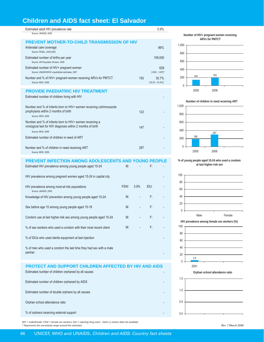# **Children and AIDS fact sheet: El Salvador**

| <u>УШЧЕН АНЯ АРО ТАСЕ ЭНСЕН ЕГ ОАГУАМОГ</u>                                                                    |     |                             |       |      |                                                       |  |
|----------------------------------------------------------------------------------------------------------------|-----|-----------------------------|-------|------|-------------------------------------------------------|--|
| Estimated adult HIV prevalence rate<br>Source: UNAIDS, 2006                                                    |     | 0.9%                        |       |      |                                                       |  |
|                                                                                                                |     |                             |       |      | Number of HIV+ pregnant wome<br><b>ARVs for PMTCT</b> |  |
| <b>PREVENT MOTHER-TO-CHILD TRANSMISSION OF HIV</b>                                                             |     |                             | 1,000 |      |                                                       |  |
| Antenatal care coverage<br>Source: FESAL, 2002-2003                                                            |     | 86%                         |       |      |                                                       |  |
| Estimated number of births per year                                                                            |     | 159,000                     | 800   |      |                                                       |  |
| Source: UN Population Division, 2006                                                                           |     |                             | 600   |      |                                                       |  |
| Estimated number of HIV+ pregnant women                                                                        |     | 629                         | 400   |      |                                                       |  |
| Source: UNAIDS/WHO unpublished estimates, 2007<br>Number and % of HIV+ pregnant women receiving ARVs for PMTCT | 193 | $[<500 - 1,057]$ *<br>30.7% | 200   | 144  | 193                                                   |  |
| Source: MOH, 2006                                                                                              |     | $[18.3\% - 53.4\%]$ *       | 0     |      |                                                       |  |
| <b>PROVIDE PAEDIATRIC HIV TREATMENT</b>                                                                        |     |                             |       | 2005 | 2006                                                  |  |
| Estimated number of children living with HIV                                                                   |     |                             |       |      |                                                       |  |
|                                                                                                                |     |                             |       |      | Number of children in need re                         |  |
| Number and % of infants born to HIV+ women receiving cotrimoxazole<br>prophylaxis within 2 months of birth     |     |                             | 1.000 |      |                                                       |  |
| Source: MOH. 2006                                                                                              | 122 |                             | 800   |      |                                                       |  |
| Number and % of infants born to HIV+ women receiving a                                                         |     |                             | 600   |      |                                                       |  |
| virological test for HIV diagnosis within 2 months of birth                                                    | 147 |                             | 400   |      |                                                       |  |
| Source: MOH. 2006<br>Estimated number of children in need of ART                                               |     |                             |       | 188  | 297                                                   |  |
|                                                                                                                |     |                             | 200   |      |                                                       |  |
|                                                                                                                |     |                             |       |      |                                                       |  |

### **PREVENT INFECTION AMONG ADOLESCENTS AND YOUNG PEOPLE**

297

-

Number and % of children in need receiving ART

Source: MOH, 2006

partner

| Estimated HIV prevalence among young people aged 15-24                | M:   |      | F:   |         | at last liigilei -ilsk s       |
|-----------------------------------------------------------------------|------|------|------|---------|--------------------------------|
| HIV prevalence among pregnant women aged 15-24 in capital city        |      |      |      | 100     |                                |
|                                                                       |      |      |      | 80      |                                |
| HIV prevalence among most-at-risk populations<br>Source: UNAIDS, 2006 | FSW: | 3.9% | IDU: | 60      |                                |
| Knowledge of HIV prevention among young people aged 15-24             | M:   |      | F:   | 40      |                                |
| Sex before age 15 among young people aged 15-19                       | M:   |      | F:   | 20<br>0 |                                |
| Condom use at last higher-risk sex among young people aged 15-24      | M:   |      | F:   |         | Male                           |
|                                                                       |      |      |      |         | HIV prevalence among female se |
| % of sex workers who used a condom with their most recent client      | M:   |      | F:   | 100     |                                |
| % of IDUs who used sterile equipment at last injection                |      |      |      | 80      |                                |
|                                                                       |      |      |      | 60      |                                |
| % of men who used a condom the last time they had sex with a male     |      |      |      | 40      |                                |

### **PROTECT AND SUPPORT CHILDREN AFFECTED BY HIV AND AIDS**

| Estimated number of children orphaned by all causes | $\qquad \qquad \blacksquare$ | Orphan school attenda |
|-----------------------------------------------------|------------------------------|-----------------------|
| Estimated number of children orphaned by AIDS       | -                            | 1.5                   |
| Estimated number of double orphans by all causes    | -                            | 1.0                   |
| Orphan school attendance ratio                      |                              | 0.5                   |
| % of orphans receiving external support             | -                            | 0.0                   |

\* *Represents the uncertainty range around the estimates M/F = male/female; FSW = female sex workers; IDU = injecting drug users. Dash (-) means data not available.*





**% of young people aged 15-24 who used a condom at last higher-risk sex**



46 UNICEF, WHO and UNAIDS, Children and AIDS: Country fact sheets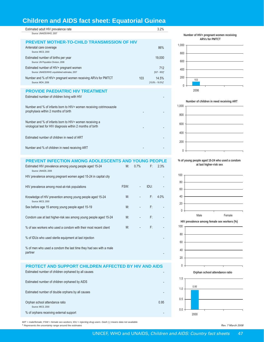### **Children and AIDS fact sheet: Equatorial Guinea**

| Children and Albo Tact Sheet. Equatorial Guinea                                                                                                                                                                                    |                                              |
|------------------------------------------------------------------------------------------------------------------------------------------------------------------------------------------------------------------------------------|----------------------------------------------|
| 3.2%<br>Estimated adult HIV prevalence rate<br>Source: UNAIDS/WHO, 2007                                                                                                                                                            | Number of HIV+ pregnant wome                 |
| PREVENT MOTHER-TO-CHILD TRANSMISSION OF HIV<br>Antenatal care coverage<br>86%<br>Source: MICS, 2000<br>Estimated number of births per year<br>19,000<br>Source: UN Population Division, 2006                                       | <b>ARVs for PMTCT</b><br>1,000<br>800<br>600 |
| Estimated number of HIV+ pregnant women<br>Source: UNAIDS/WHO unpublished estimates, 2007<br>[527 - 953]*<br>Number and % of HIV+ pregnant women receiving ARVs for PMTCT<br>103<br>14.5%<br>Source: MOH, 2006<br>[10.8% - 19.5%]* | 712<br>400<br>200<br>103<br>0                |
| <b>PROVIDE PAEDIATRIC HIV TREATMENT</b><br>Estimated number of children living with HIV                                                                                                                                            | 2006<br>Number of children in need re        |
| Number and % of infants born to HIV+ women receiving cotrimoxazole<br>prophylaxis within 2 months of birth<br>Number and % of infants born to HIV+ women receiving a                                                               | 1,000<br>800                                 |
| virological test for HIV diagnosis within 2 months of birth                                                                                                                                                                        | 600                                          |

Number and % of children in need receiving ART

Estimated number of children in need of ART

### **PREVENT INFECTION AMONG ADOLESCENTS AND YOUNG PEOPLE**

| Estimated HIV prevalence among young people aged 15-24<br>Source: UNAIDS, 2006  | M:   | 0.7% | F:   | 2.3% |           | at last liigilei -ilsk sex                |  |
|---------------------------------------------------------------------------------|------|------|------|------|-----------|-------------------------------------------|--|
| HIV prevalence among pregnant women aged 15-24 in capital city                  |      |      |      |      | 100<br>80 |                                           |  |
| HIV prevalence among most-at-risk populations                                   | FSW: |      | IDU: |      | 60        |                                           |  |
| Knowledge of HIV prevention among young people aged 15-24<br>Source: MICS, 2000 | M:   |      | F:   | 4.0% | 40        |                                           |  |
| Sex before age 15 among young people aged 15-19                                 | M:   |      | F:   |      | 20        |                                           |  |
| Condom use at last higher-risk sex among young people aged 15-24                | M:   |      | F:   |      |           | Male<br>HIV prevalence among female sex w |  |
| % of sex workers who used a condom with their most recent client                | M:   |      | F:   |      | 100       |                                           |  |
| % of IDUs who used sterile equipment at last injection                          |      |      |      |      | 80<br>60  |                                           |  |
| % of men who used a condom the last time they had sex with a male<br>partner    |      |      |      |      | 40        |                                           |  |
|                                                                                 |      |      |      |      |           |                                           |  |

### **PROTECT AND SUPPORT CHILDREN AFFECTED BY HIV AND AIDS**

| Orphan school attenda |      |      |
|-----------------------|------|------|
| 1.5                   |      |      |
| 1.0                   | 0.95 |      |
|                       |      |      |
|                       |      |      |
| 0.0                   |      |      |
|                       | 0.5  | 2000 |

\* *Represents the uncertainty range around the estimates M/F = male/female; FSW = female sex workers; IDU = injecting drug users. Dash (-) means data not available.*

**Number of HIV+ pregnant women receiving ARVs for PMTCT**



|       | Number of children in need receiving ART |
|-------|------------------------------------------|
| 1,000 |                                          |
| 800   |                                          |
| 600   |                                          |
| 400   |                                          |
| 200   |                                          |
|       |                                          |

**% of young people aged 15-24 who used a condom at last higher-risk sex**



-

- -

-

Rev. 7 March 2008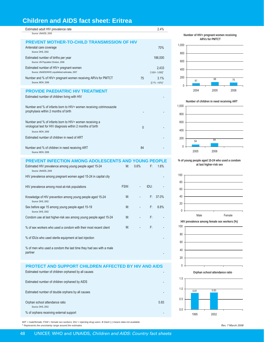# **Children and AIDS fact sheet: Eritrea**

| Estimated adult HIV prevalence rate                                                                                       |            |              | 2.4%                         |                       |                                     |                         |
|---------------------------------------------------------------------------------------------------------------------------|------------|--------------|------------------------------|-----------------------|-------------------------------------|-------------------------|
| Source: UNAIDS, 2006                                                                                                      |            |              |                              |                       | Number of HIV+ pregnant women       |                         |
| <b>PREVENT MOTHER-TO-CHILD TRANSMISSION OF HIV</b><br>Antenatal care coverage                                             |            |              | 70%                          | 1.000                 |                                     | <b>ARVs for PMTCT</b>   |
| Source: DHS. 2002<br>Estimated number of births per year<br>Source: UN Population Division, 2006                          |            |              | 186,000                      | 800<br>600            |                                     |                         |
| Estimated number of HIV+ pregnant women<br>Source: UNAIDS/WHO unpublished estimates, 2007                                 |            |              | 2,433<br>$[1,624 - 3,592]$ * | 400                   |                                     |                         |
| Number and % of HIV+ pregnant women receiving ARVs for PMTCT<br>Source: MOH. 2006                                         |            | 75           | 3.1%<br>$[2.1\% - 4.6\%]$ *  | 200<br>0              | 61                                  | 88                      |
| <b>PROVIDE PAEDIATRIC HIV TREATMENT</b><br>Estimated number of children living with HIV                                   |            |              |                              |                       | 2004                                | 2005                    |
| Number and % of infants born to HIV+ women receiving cotrimoxazole<br>prophylaxis within 2 months of birth                |            |              |                              | 1,000                 | Number of children in need rece     |                         |
| Number and % of infants born to HIV+ women receiving a                                                                    |            |              |                              | 800<br>600            |                                     |                         |
| virological test for HIV diagnosis within 2 months of birth<br>Source: MOH, 2006                                          |            | $\mathbf{0}$ |                              | 400                   |                                     |                         |
| Estimated number of children in need of ART                                                                               |            |              |                              | 200<br>$\overline{0}$ | 54                                  | 84                      |
| Number and % of children in need receiving ART<br>Source: MOH. 2006                                                       |            | 84           |                              |                       | 2005                                | 2006                    |
| PREVENT INFECTION AMONG ADOLESCENTS AND<br>Estimated HIV prevalence among young people aged 15-24<br>Source: UNAIDS, 2006 | 0.6%<br>M: | <b>YOUNG</b> | <b>PEOPLE</b><br>1.6%<br>F:  |                       | % of young people aged 15-24 who us | at last higher-risk sex |
| HIV prevalence among pregnant women aged 15-24 in capital city                                                            |            |              |                              | 100<br>80             |                                     |                         |
| HIV prevalence among most-at-risk populations                                                                             | FSW:       | IDU:         |                              | 60                    |                                     |                         |
| Knowledge of HIV prevention among young people aged 15-24<br>Source: DHS, 2002                                            | M:         |              | F:<br>37.0%                  | 40<br>20              |                                     |                         |
| Sex before age 15 among young people aged 15-19<br>Source: DHS, 2002                                                      | M:         |              | F:<br>8.8%                   | 0                     |                                     |                         |

|                                                                      |      |      |             | 100 |                                |
|----------------------------------------------------------------------|------|------|-------------|-----|--------------------------------|
| HIV prevalence among pregnant women aged 15-24 in capital city       |      |      |             |     |                                |
|                                                                      |      |      |             | 80  |                                |
| HIV prevalence among most-at-risk populations                        | FSW: | IDU: |             |     |                                |
|                                                                      |      |      |             | 60  |                                |
| Knowledge of HIV prevention among young people aged 15-24            | M:   |      | $F: 37.0\%$ | 40  |                                |
| Source: DHS, 2002                                                    |      |      |             |     |                                |
|                                                                      | M:   | F:   | 8.8%        | 20  |                                |
| Sex before age 15 among young people aged 15-19<br>Source: DHS, 2002 |      |      |             | 0   |                                |
|                                                                      |      |      |             |     | Male                           |
| Condom use at last higher-risk sex among young people aged 15-24     | M:   | F:   |             |     |                                |
|                                                                      |      |      |             |     | HIV prevalence among female se |
| % of sex workers who used a condom with their most recent client     | M:   | F:   |             | 100 |                                |
|                                                                      |      |      |             | 80  |                                |
| % of IDUs who used sterile equipment at last injection               |      |      |             |     |                                |
|                                                                      |      |      |             | 60  |                                |
|                                                                      |      |      |             |     |                                |
| % of men who used a condom the last time they had sex with a male    |      |      |             | 40  |                                |
| partner                                                              |      |      |             |     |                                |

### **PROTECT AND SUPPORT CHILDREN AFFECTED BY HIV AND AIDS**

| Estimated number of children orphaned by all causes | $\overline{\phantom{0}}$ |     |      | Orphan school attenda |
|-----------------------------------------------------|--------------------------|-----|------|-----------------------|
| Estimated number of children orphaned by AIDS       |                          | 1.5 |      |                       |
| Estimated number of double orphans by all causes    |                          | 1.0 | 0.81 | 0.83                  |
| Orphan school attendance ratio<br>Source: DHS, 2002 | 0.83                     | 0.5 |      |                       |
| % of orphans receiving external support             | -                        | 0.0 | 1995 | 2002                  |

\* *Represents the uncertainty range around the estimates M/F = male/female; FSW = female sex workers; IDU = injecting drug users. B Dash (-) means data not available.* **Number of HIV+ pregnant women receiving ARVs for PMTCT**





**% of young people aged 15-24 who used a condom at last higher-risk sex**

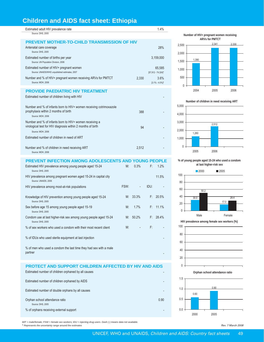### **Children and AIDS fact sheet: Ethiopia**

| Estimated adult HIV prevalence rate                                                       |       | 1.4%                            |          |                               |                       |       |  |
|-------------------------------------------------------------------------------------------|-------|---------------------------------|----------|-------------------------------|-----------------------|-------|--|
| Source: DHS. 2005                                                                         |       |                                 |          | Number of HIV+ pregnant wome  | <b>ARVs for PMTCT</b> |       |  |
| <b>PREVENT MOTHER-TO-CHILD TRANSMISSION OF HIV</b><br>Antenatal care coverage             |       | 28%                             | 2,500    |                               |                       | 2.341 |  |
| Source: DHS. 2005<br>Estimated number of births per year                                  |       | 3,159,000                       | 2,000    |                               |                       |       |  |
| Source: UN Population Division, 2006                                                      |       |                                 | 1,500    | 1,390                         |                       |       |  |
| Estimated number of HIV+ pregnant women<br>Source: UNAIDS/WHO unpublished estimates, 2007 |       | 65.585<br>$[57,912 - 74,324]$ * | 1.000    |                               |                       |       |  |
| Number and % of HIV+ pregnant women receiving ARVs for PMTCT<br>Source: MOH, 2006         | 2.330 | 3.6%<br>$[3.1\% - 4.0\%]$ *     | 500<br>0 |                               |                       |       |  |
| <b>PROVIDE PAEDIATRIC HIV TREATMENT</b>                                                   |       |                                 |          | 2004                          |                       | 2005  |  |
| Estimated number of children living with HIV                                              |       |                                 |          | Number of children in need re |                       |       |  |
| Number and % of infants born to HIV+ women receiving cotrimoxazole                        |       |                                 | 5,000    |                               |                       |       |  |
| prophylaxis within 2 months of birth<br>Source: MOH, 2006                                 | 388   |                                 | 4.000    |                               |                       |       |  |
| Number and % of infants born to HIV+ women receiving a                                    |       |                                 | 3,000    |                               |                       |       |  |
| virological test for HIV diagnosis within 2 months of birth                               | 94    |                                 | 2,000    |                               |                       | 2,512 |  |
| Source: MOH, 2006                                                                         |       |                                 |          | 1,260                         |                       |       |  |
| Estimated number of children in need of ART                                               |       |                                 | 1.000    |                               |                       |       |  |
|                                                                                           |       |                                 |          |                               |                       |       |  |

### **PREVENT INFECTION AMONG ADOLESCENTS AND YOUNG PEOPLE**

 $2,512$ 

| Estimated HIV prevalence among young people aged 15-24                                 | M:   | 0.3%  | F:   | 1.2%        |           | at last liigilei -i isk sex               |       |
|----------------------------------------------------------------------------------------|------|-------|------|-------------|-----------|-------------------------------------------|-------|
| Source: DHS, 2005                                                                      |      |       |      |             |           | $\blacksquare$ 2000                       | ■2005 |
| HIV prevalence among pregnant women aged 15-24 in capital city<br>Source: UNAIDS, 2006 |      |       |      | 11.5%       | 100<br>80 |                                           |       |
| HIV prevalence among most-at-risk populations                                          | FSW: |       | IDU: |             | 60        | 50.2                                      |       |
| Knowledge of HIV prevention among young people aged 15-24<br>Source: DHS, 2005         | M:   | 33.3% |      | F: 20.5%    | 40<br>20  | 30.0                                      | 17    |
| Sex before age 15 among young people aged 15-19<br>Source: DHS, 2005                   | M:   | 1.7%  |      | $F: 11.1\%$ |           |                                           |       |
| Condom use at last higher-risk sex among young people aged 15-24<br>Source: DHS, 2005  | M:   | 50.2% |      | F: 28.4%    |           | Male<br>HIV prevalence among female sex w |       |
| % of sex workers who used a condom with their most recent client                       | M:   |       | F:   |             | 100       |                                           |       |
| % of IDUs who used sterile equipment at last injection                                 |      |       |      |             | 80        |                                           |       |
| % of men who used a condom the last time they had sex with a male                      |      |       |      |             | 60        |                                           |       |
|                                                                                        |      |       |      |             | $\Lambda$ |                                           |       |

### **PROTECT AND SUPPORT CHILDREN AFFECTED BY HIV AND AIDS**

| Estimated number of children orphaned by all causes | $\overline{\phantom{0}}$ |     |      | Orphan school attenda |  |
|-----------------------------------------------------|--------------------------|-----|------|-----------------------|--|
| Estimated number of children orphaned by AIDS       | -                        | l.5 |      |                       |  |
| Estimated number of double orphans by all causes    | -                        | 1.0 | 0.60 | 0.90                  |  |
| Orphan school attendance ratio<br>Source: DHS, 2005 | 0.90                     | 0.5 |      |                       |  |
| % of orphans receiving external support             |                          | 0.0 | 2000 | <b>OOOE</b>           |  |

*M/F = male/female; FSW = female sex workers; IDU = injecting drug users. Dash (-) means data not available.*

\* *Represents the uncertainty range around the estimates*

Number and % of children in need receiving ART

Source: MOH, 2006

partner

**Number of HIV+ pregnant women receiving ARVs for PMTCT**





**% of young people aged 15-24 who used a condom at last higher-risk sex**







Rev. 7 March 2008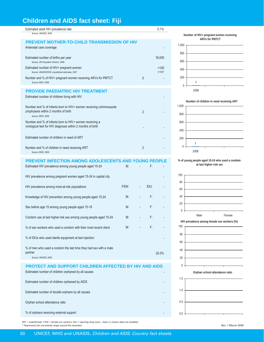# **Children and AIDS fact sheet: Fiji**

| Estimated adult HIV prevalence rate                                         |      |                | 0.1%          |       |                                                                           |
|-----------------------------------------------------------------------------|------|----------------|---------------|-------|---------------------------------------------------------------------------|
| Source: UNAIDS, 2006                                                        |      |                |               |       | Number of HIV+ pregnant women receiving                                   |
| PREVENT MOTHER-TO-CHILD TRANSMISSION OF HIV                                 |      |                |               |       | <b>ARVs for PMTCT</b>                                                     |
| Antenatal care coverage                                                     |      |                |               | 1,000 |                                                                           |
|                                                                             |      |                |               | 800   |                                                                           |
| Estimated number of births per year<br>Source: UN Population Division, 2006 |      |                | 18,000        | 600   |                                                                           |
| Estimated number of HIV+ pregnant women                                     |      |                | 100           |       |                                                                           |
| Source: UNAIDS/WHO unpublished estimates, 2007                              |      |                | $[< 100]$ *   | 400   |                                                                           |
| Number and % of HIV+ pregnant women receiving ARVs for PMTCT                |      | 5              |               | 200   |                                                                           |
| Source: MOH, 2006                                                           |      |                |               | 0     | 5                                                                         |
| <b>PROVIDE PAEDIATRIC HIV TREATMENT</b>                                     |      |                |               |       | 2006                                                                      |
| Estimated number of children living with HIV                                |      |                |               |       |                                                                           |
|                                                                             |      |                |               |       | Number of children in need receiving ART                                  |
| Number and % of infants born to HIV+ women receiving cotrimoxazole          |      |                |               | 1,000 |                                                                           |
| prophylaxis within 2 months of birth<br>Source: MOH. 2006                   |      | $\overline{2}$ |               | 800   |                                                                           |
| Number and % of infants born to HIV+ women receiving a                      |      |                |               | 600   |                                                                           |
| virological test for HIV diagnosis within 2 months of birth                 |      |                |               |       |                                                                           |
|                                                                             |      |                |               | 400   |                                                                           |
| Estimated number of children in need of ART                                 |      |                |               | 200   |                                                                           |
|                                                                             |      |                |               | 0     | $\overline{2}$                                                            |
| Number and % of children in need receiving ART<br>Source: MOH. 2006         |      | $\overline{2}$ |               |       | 2006                                                                      |
|                                                                             |      |                |               |       |                                                                           |
| <b>PREVENT INFECTION AMONG ADOLESCENTS AND</b>                              |      | G              | <b>PEOPLE</b> |       | % of young people aged 15-24 who used a condom<br>at last higher-risk sex |
| Estimated HIV prevalence among young people aged 15-24                      | M:   |                | F:            |       |                                                                           |
| HIV prevalence among pregnant women aged 15-24 in capital city              |      |                |               | 100   |                                                                           |
|                                                                             |      |                |               | 80    |                                                                           |
| HIV prevalence among most-at-risk populations                               | FSW: |                | IDU:          | 60    |                                                                           |
|                                                                             |      |                |               |       |                                                                           |
| Knowledge of HIV prevention among young people aged 15-24                   | M:   |                | F:            | 40    |                                                                           |
| Sex before age 15 among young people aged 15-19                             | M:   |                | F:            | 20    |                                                                           |
|                                                                             |      |                |               | 0     |                                                                           |
| Condom use at last higher-risk sex among young people aged 15-24            | M:   |                | F:            |       | Male<br>Female                                                            |
|                                                                             |      |                |               |       | HIV prevalence among female sex workers (%)                               |
| % of sex workers who used a condom with their most recent client            | M:   |                | F:            | 100   |                                                                           |
| % of IDUs who used sterile equipment at last injection                      |      |                |               | 80    |                                                                           |
|                                                                             |      |                |               | 60    |                                                                           |
| % of men who used a condom the last time they had sex with a male           |      |                |               | 40    |                                                                           |
| partner                                                                     |      |                | 20.0%         |       |                                                                           |
| Source: UNAIDS, 2006                                                        |      |                |               | 20    |                                                                           |
| <b>PROTECT AND SUPPORT CHILDREN AFFECTED BY HIV AND AIDS</b>                |      |                |               | 0     |                                                                           |
| Estimated number of children orphaned by all causes                         |      |                |               |       | Orphan school attendance ratio                                            |
|                                                                             |      |                |               | 1.5   |                                                                           |
| Estimated number of children orphaned by AIDS                               |      |                |               |       |                                                                           |
| Estimated number of double orphans by all causes                            |      |                |               | 1.0   |                                                                           |
|                                                                             |      |                |               |       |                                                                           |
| Orphan school attendance ratio                                              |      |                |               | 0.5   |                                                                           |
|                                                                             |      |                |               |       |                                                                           |
| % of orphans receiving external support                                     |      |                |               | 0.0   |                                                                           |
|                                                                             |      |                |               |       |                                                                           |

\* *Represents the uncertainty range around the estimates M/F = male/female; FSW = female sex workers; IDU = injecting drug users. Dash (-) means data not available.*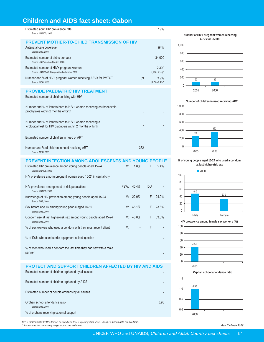## **Children and AIDS fact sheet: Gabon**

| Estimated adult HIV prevalence rate                                                                        |     | 7.9%                         |       |                               |                       |
|------------------------------------------------------------------------------------------------------------|-----|------------------------------|-------|-------------------------------|-----------------------|
| Source: UNAIDS, 2006                                                                                       |     |                              |       | Number of HIV+ pregnant wome  |                       |
| <b>PREVENT MOTHER-TO-CHILD TRANSMISSION OF HIV</b>                                                         |     |                              | 1,000 |                               | <b>ARVs for PMTCT</b> |
| Antenatal care coverage<br>Source: DHS, 2000                                                               |     | 94%                          | 800   |                               |                       |
| Estimated number of births per year<br>Source: UN Population Division, 2006                                |     | 34,000                       | 600   |                               |                       |
| Estimated number of HIV+ pregnant women<br>Source: UNAIDS/WHO unpublished estimates, 2007                  |     | 2.300<br>$[1,651 - 3,316]$ * | 400   |                               |                       |
| Number and % of HIV+ pregnant women receiving ARVs for PMTCT                                               | 89  | 3.9%                         | 200   | 90                            | 89                    |
| Source: MOH. 2006                                                                                          |     | $[2.7\% - 5.4\%]$ *          | 0     |                               |                       |
| <b>PROVIDE PAEDIATRIC HIV TREATMENT</b>                                                                    |     |                              |       | 2005                          | 2006                  |
| Estimated number of children living with HIV                                                               |     |                              |       |                               |                       |
|                                                                                                            |     |                              | 1,000 | Number of children in need re |                       |
| Number and % of infants born to HIV+ women receiving cotrimoxazole<br>prophylaxis within 2 months of birth |     |                              |       |                               |                       |
|                                                                                                            |     |                              | 800   |                               |                       |
| Number and % of infants born to HIV+ women receiving a                                                     |     |                              | 600   |                               |                       |
| virological test for HIV diagnosis within 2 months of birth                                                |     |                              | 400   |                               | 362                   |
| Estimated number of children in need of ART                                                                |     |                              |       | 268                           |                       |
|                                                                                                            |     |                              | 200   |                               |                       |
| Number and % of children in need receiving ART                                                             | 362 |                              | 0     |                               |                       |
| Source: MOH. 2006                                                                                          |     |                              |       | 2005                          | 2006                  |
|                                                                                                            |     |                              |       |                               |                       |

#### **PREVENT INFECTION AMONG ADOLESCENTS AND YOUNG PEOPLE**

| Estimated HIV prevalence among young people aged 15-24                | M:   | 1.8%        | F:   | 5.4%        |     |                     | at last liigilei -ilsk sex        |
|-----------------------------------------------------------------------|------|-------------|------|-------------|-----|---------------------|-----------------------------------|
| Source: UNAIDS, 2006                                                  |      |             |      |             |     | $\blacksquare$ 2000 |                                   |
| HIV prevalence among pregnant women aged 15-24 in capital city        |      |             |      |             | 100 |                     |                                   |
|                                                                       |      |             |      |             | 80  |                     |                                   |
| HIV prevalence among most-at-risk populations<br>Source: UNAIDS, 2006 | FSW: | 40.4%       | IDU: |             | 60  | 48.0                |                                   |
| Knowledge of HIV prevention among young people aged 15-24             |      | $M: 22.0\%$ |      | $F: 24.0\%$ | 40  |                     | 33                                |
| Source: DHS, 2000                                                     |      |             |      |             | 20  |                     |                                   |
| Sex before age 15 among young people aged 15-19                       | M:   | 48.1%       |      | $F: 23.8\%$ |     |                     |                                   |
| Source: DHS, 2000                                                     |      |             |      |             |     |                     |                                   |
| Condom use at last higher-risk sex among young people aged 15-24      | M:   | 48.0%       |      | $F: 33.0\%$ |     | Male                | Fem                               |
| Source: DHS, 2000                                                     |      |             |      |             |     |                     | HIV prevalence among female sex w |
| % of sex workers who used a condom with their most recent client      | M:   |             | F:   |             | 100 |                     |                                   |
|                                                                       |      |             |      |             | 80  |                     |                                   |
| % of IDUs who used sterile equipment at last injection                |      |             |      |             | 60  |                     |                                   |
|                                                                       |      |             |      |             |     | 40.4                |                                   |
| % of men who used a condom the last time they had sex with a male     |      |             |      |             | 40  |                     |                                   |

### **PROTECT AND SUPPORT CHILDREN AFFECTED BY HIV AND AIDS**

| Estimated number of children orphaned by all causes |      |     | Orphan school attenda |  |
|-----------------------------------------------------|------|-----|-----------------------|--|
| Estimated number of children orphaned by AIDS       | -    | 1.5 |                       |  |
|                                                     |      | 1.0 | 0.98                  |  |
| Estimated number of double orphans by all causes    | -    |     |                       |  |
| Orphan school attendance ratio                      | 0.98 | 0.5 |                       |  |
| Source: DHS, 2000                                   |      | 0.0 |                       |  |
| % of orphans receiving external support             | -    |     | 2000                  |  |

\* *Represents the uncertainty range around the estimates M/F = male/female; FSW = female sex workers; IDU = injecting drug users. Dash (-) means data not available.*

partner

**Number of HIV+ pregnant women receiving ARVs for PMTCT**





**% of young people aged 15-24 who used a condom** 







Rev. 7 March 2008

**at last higher-risk sex**

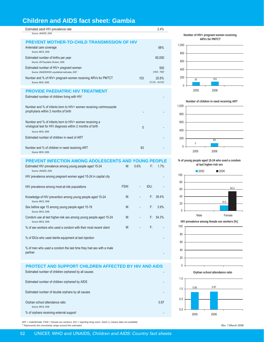### **Children and AIDS fact sheet: Gambia**

| 2.4%<br>Estimated adult HIV prevalence rate                                                                       |                                     |
|-------------------------------------------------------------------------------------------------------------------|-------------------------------------|
| Source: UNAIDS, 2006                                                                                              | Number of HIV+ pregnant women       |
| <b>PREVENT MOTHER-TO-CHILD TRANSMISSION OF HIV</b>                                                                | <b>ARVs for PMTCT</b>               |
| Antenatal care coverage<br>98%                                                                                    | 1.000                               |
| Source: MICS, 2006                                                                                                | 800                                 |
| Estimated number of births per year<br>60,000<br>Source: UN Population Division, 2006                             | 600                                 |
| Estimated number of HIV+ pregnant women<br>500<br>Source: UNAIDS/WHO unpublished estimates, 2007<br>[<500 - 780]* | 400                                 |
| Number and % of HIV+ pregnant women receiving ARVs for PMTCT<br>103<br>20.6%                                      | 200<br>103<br>87                    |
| $[13.2\% - 44.0\%]$ *<br>Source: MOH, 2006                                                                        | 0                                   |
| <b>PROVIDE PAEDIATRIC HIV TREATMENT</b>                                                                           | 2005<br>2006                        |
| Estimated number of children living with HIV                                                                      |                                     |
|                                                                                                                   | Number of children in need rece     |
| Number and % of infants born to HIV+ women receiving cotrimoxazole                                                | 1.000                               |
| prophylaxis within 2 months of birth                                                                              | 800                                 |
| Number and % of infants born to HIV+ women receiving a                                                            | 600                                 |
| virological test for HIV diagnosis within 2 months of birth<br>$\Omega$                                           |                                     |
| Source: MOH. 2006                                                                                                 | 400                                 |
| Estimated number of children in need of ART                                                                       | 200<br>83                           |
| Number and % of children in need receiving ART<br>83                                                              | $\overline{2}$<br>0                 |
| Source: MOH. 2006                                                                                                 | 2005<br>2006                        |
| <b>PREVENT INFECTION AMONG ADOLESCENTS AND YOUNG PEOPLE</b>                                                       | % of young people aged 15-24 who us |
| 0.6%<br>F:<br>1.7%<br>Estimated HIV prevalence among young people aged 15-24<br>M:                                | at last higher-risk sex             |
| Source: UNAIDS, 2006                                                                                              | $\Box$ 2000<br>■2006                |
| HIV prevalence among pregnant women aged 15-24 in capital city                                                    | 100                                 |
|                                                                                                                   | 80                                  |
| FSW:<br>IDU:<br>HIV prevalence among most-at-risk populations                                                     | 60                                  |
|                                                                                                                   |                                     |

Knowledge of HIV prevention among young people aged 15-24 M: F: 39.4% Source: MICS, 2006 Sex before age 15 among young people aged 15-19 M: F: 3.9% Source: MICS, 2006 Condom use at last higher-risk sex among young people aged 15-24 M: F: 54.3% Source: MICS, 2006 % of sex workers who used a condom with their most recent client  $M: -F: -$ % of IDUs who used sterile equipment at last injection -

% of men who used a condom the last time they had sex with a male partner

### **PROTECT AND SUPPORT CHILDREN AFFECTED BY HIV AND AIDS**

| Estimated number of children orphaned by all causes | $\overline{\phantom{0}}$ |     |      | Orphan school attenda |
|-----------------------------------------------------|--------------------------|-----|------|-----------------------|
| Estimated number of children orphaned by AIDS       | -                        | 1.5 |      |                       |
|                                                     |                          | 1.0 | 0.85 | 0.87                  |
| Estimated number of double orphans by all causes    | -                        |     |      |                       |
| Orphan school attendance ratio                      | 0.87                     | 0.5 |      |                       |
| Source: MICS, 2006                                  |                          | 0.0 |      |                       |
| % of orphans receiving external support             | -                        |     | 2000 | 2006                  |

\* *Represents the uncertainty range around the estimates M/F = male/female; FSW = female sex workers; IDU = injecting drug users. Dash (-) means data not available.*







**% of young people aged 15-24 who used a condom at last higher-risk sex**



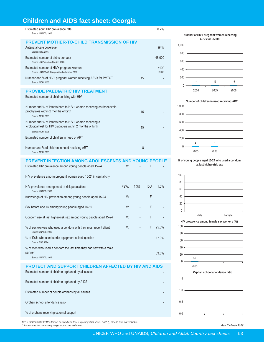# **Children and AIDS fact sheet: Georgia**

| Estimated adult HIV prevalence rate                                               |      |      |      | 0.2%          |       |                |                                    |
|-----------------------------------------------------------------------------------|------|------|------|---------------|-------|----------------|------------------------------------|
| Source: UNAIDS, 2006                                                              |      |      |      |               |       |                | Number of HIV+ pregnant wome       |
| PREVENT MOTHER-TO-CHILD TRANSMISSION OF HIV                                       |      |      |      |               | 1,000 |                | <b>ARVs for PMTCT</b>              |
| Antenatal care coverage                                                           |      |      |      | 94%           |       |                |                                    |
| Source: RHS, 2005                                                                 |      |      |      |               | 800   |                |                                    |
| Estimated number of births per year<br>Source: UN Population Division, 2006       |      |      |      | 48,000        | 600   |                |                                    |
| Estimated number of HIV+ pregnant women                                           |      |      |      | < 100         | 400   |                |                                    |
| Source: UNAIDS/WHO unpublished estimates, 2007                                    |      |      |      | $[< 100]$ *   |       |                |                                    |
| Number and % of HIV+ pregnant women receiving ARVs for PMTCT<br>Source: MOH, 2006 |      | 15   |      |               | 200   | $\overline{7}$ | 15                                 |
|                                                                                   |      |      |      |               | 0     |                |                                    |
| <b>PROVIDE PAEDIATRIC HIV TREATMENT</b>                                           |      |      |      |               |       | 2004           | 2005                               |
| Estimated number of children living with HIV                                      |      |      |      |               |       |                | Number of children in need re      |
| Number and % of infants born to HIV+ women receiving cotrimoxazole                |      |      |      |               | 1,000 |                |                                    |
| prophylaxis within 2 months of birth                                              |      | 15   |      |               |       |                |                                    |
| Source: MOH, 2006                                                                 |      |      |      |               | 800   |                |                                    |
| Number and % of infants born to HIV+ women receiving a                            |      |      |      |               | 600   |                |                                    |
| virological test for HIV diagnosis within 2 months of birth<br>Source: MOH, 2006  |      | 15   |      |               | 400   |                |                                    |
| Estimated number of children in need of ART                                       |      |      |      |               |       |                |                                    |
|                                                                                   |      |      |      |               | 200   | 4              | 8                                  |
| Number and % of children in need receiving ART                                    |      | 8    |      |               | 0     |                |                                    |
| Source: MOH, 2006                                                                 |      |      |      |               |       | 2005           | 2006                               |
| PREVENT INFECTION AMONG ADOLESCENTS AND YOUNG                                     |      |      |      | <b>PEOPLE</b> |       |                | % of young people aged 15-24 who u |
| Estimated HIV prevalence among young people aged 15-24                            | M:   |      | F:   |               |       |                | at last higher-risk sex            |
|                                                                                   |      |      |      |               | 100   |                |                                    |
| HIV prevalence among pregnant women aged 15-24 in capital city                    |      |      |      |               |       |                |                                    |
| HIV prevalence among most-at-risk populations                                     | FSW: | 1.3% | IDU: | 1.0%          | 80    |                |                                    |
| Source: UNAIDS, 2006                                                              |      |      |      |               | 60    |                |                                    |
| Knowledge of HIV prevention among young people aged 15-24                         | M:   |      | F:   |               | 40    |                |                                    |
|                                                                                   |      |      |      |               | 20    |                |                                    |
| Sex before age 15 among young people aged 15-19                                   | M:   |      | F:   |               | 0     |                |                                    |
| Condom use at last higher-risk sex among young people aged 15-24                  | M:   |      | F:   |               |       | Male           |                                    |
|                                                                                   |      |      |      |               |       |                | HIV prevalence among female sex    |
| % of sex workers who used a condom with their most recent client                  | M:   |      | F:   | 95.0%         | 100   |                |                                    |
| Source: UNAIDS, 2006                                                              |      |      |      |               | 80    |                |                                    |
| % of IDUs who used sterile equipment at last injection<br>Source: BSS, 2004       |      |      |      | 17.0%         | 60    |                |                                    |
| % of men who used a condom the last time they had sex with a male                 |      |      |      |               | 40    |                |                                    |
| partner                                                                           |      |      |      | 53.6%         | 20    |                |                                    |
| Source: UNAIDS, 2006                                                              |      |      |      |               | 0     | 1.3            |                                    |
| PROTECT AND SUPPORT CHILDREN AFFECTED BY HIV AND AIDS                             |      |      |      |               |       | 2005           |                                    |
| Estimated number of children orphaned by all causes                               |      |      |      |               |       |                | Orphan school attendan             |
|                                                                                   |      |      |      |               | 1.5   |                |                                    |
| Estimated number of children orphaned by AIDS                                     |      |      |      |               |       |                |                                    |
| Estimated number of double orphans by all causes                                  |      |      |      |               | 1.0   |                |                                    |
|                                                                                   |      |      |      |               |       |                |                                    |
| Orphan school attendance ratio                                                    |      |      |      |               | 0.5   |                |                                    |
|                                                                                   |      |      |      |               |       |                |                                    |
| % of orphans receiving external support                                           |      |      |      |               | 0.0   |                |                                    |
|                                                                                   |      |      |      |               |       |                |                                    |

\* *Represents the uncertainty range around the estimates M/F = male/female; FSW = female sex workers; IDU = injecting drug users. Dash (-) means data not available.*

Rev. 7 March 2008

<sup>7</sup> 15 15 0 200 400 600 800 1,000 2004 2005 2006 **Number of HIV+ pregnant women receiving ARVs for PMTCT**



**% of young people aged 15-24 who used a condom at last higher-risk sex**

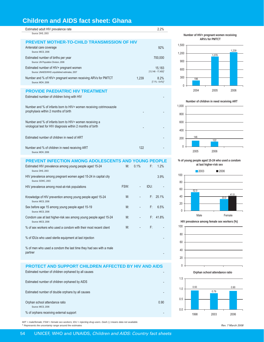# **Children and AIDS fact sheet: Ghana**

| Estimated adult HIV prevalence rate                                                                        |       | 2.2%                              |                |                               |                       |
|------------------------------------------------------------------------------------------------------------|-------|-----------------------------------|----------------|-------------------------------|-----------------------|
| Source: DHS. 2003                                                                                          |       |                                   |                | Number of HIV+ pregnant wome  |                       |
| <b>PREVENT MOTHER-TO-CHILD TRANSMISSION OF HIV</b>                                                         |       |                                   |                |                               | <b>ARVs for PMTCT</b> |
| Antenatal care coverage<br>Source: MICS, 2006                                                              |       | 92%                               | 1,500<br>1,200 |                               |                       |
| Estimated number of births per year<br>Source: UN Population Division, 2006                                |       | 700,000                           | 900            |                               | 1.078                 |
| Estimated number of HIV+ pregnant women<br>Source: UNAIDS/WHO unpublished estimates, 2007                  |       | 15,183<br>$[13, 146 - 17, 450]$ * | 600            |                               |                       |
| Number and % of HIV+ pregnant women receiving ARVs for PMTCT<br>Source: MOH. 2006                          | 1,239 | 8.2%<br>$[7.1\% - 9.4\%]$ *       | 300            | 196                           |                       |
|                                                                                                            |       |                                   | $\mathbf{0}$   |                               |                       |
| <b>PROVIDE PAEDIATRIC HIV TREATMENT</b>                                                                    |       |                                   |                | 2004                          | 2005                  |
| Estimated number of children living with HIV                                                               |       |                                   |                |                               |                       |
|                                                                                                            |       |                                   | 1.000          | Number of children in need re |                       |
| Number and % of infants born to HIV+ women receiving cotrimoxazole<br>prophylaxis within 2 months of birth |       |                                   |                |                               |                       |
|                                                                                                            |       |                                   | 800            |                               |                       |
| Number and % of infants born to HIV+ women receiving a                                                     |       |                                   | 600            |                               |                       |
| virological test for HIV diagnosis within 2 months of birth                                                |       |                                   |                |                               |                       |
|                                                                                                            |       |                                   | 400            |                               |                       |
| Estimated number of children in need of ART                                                                |       |                                   | 200            | 146                           | 122                   |
|                                                                                                            |       |                                   | 0              |                               |                       |
| Number and % of children in need receiving ART<br>Source: MOH. 2006                                        | 122   |                                   |                | 2005                          | 2006                  |
|                                                                                                            |       |                                   |                |                               |                       |

### **PREVENT INFECTION AMONG ADOLESCENTS AND YOUNG PEOPLE**

| Estimated HIV prevalence among young people aged 15-24                                 | M:   | 0.1%                     | F:   | 1.2%        |           | at last liigilei -ilsk sex                |       |
|----------------------------------------------------------------------------------------|------|--------------------------|------|-------------|-----------|-------------------------------------------|-------|
| Source: DHS, 2003                                                                      |      |                          |      |             |           | $\blacksquare$ 2003                       | ■2006 |
| HIV prevalence among pregnant women aged 15-24 in capital city<br>Source: SOWC, 2003   |      |                          |      | 3.9%        | 100<br>80 |                                           |       |
| HIV prevalence among most-at-risk populations                                          | FSW: |                          | IDU: |             | 60        | 52.0                                      |       |
| Knowledge of HIV prevention among young people aged 15-24<br>Source: MICS, 2006        | M:   | $\overline{\phantom{a}}$ |      | $F: 25.1\%$ | 40<br>20  |                                           | 33    |
| Sex before age 15 among young people aged 15-19<br>Source: MICS, 2006                  | M:   | $\overline{\phantom{a}}$ | F:   | 6.5%        |           |                                           |       |
| Condom use at last higher-risk sex among young people aged 15-24<br>Source: MICS, 2006 | M:   |                          |      | F: 41.8%    |           | Male<br>HIV prevalence among female sex w |       |
| % of sex workers who used a condom with their most recent client                       | M:   |                          | F:   |             | 100       |                                           |       |
| % of IDUs who used sterile equipment at last injection                                 |      |                          |      |             | 80<br>60  |                                           |       |
| % of men who used a condom the last time they had sex with a male<br>partner           |      |                          |      |             | 40        |                                           |       |

### **PROTECT AND SUPPORT CHILDREN AFFECTED BY HIV AND AIDS**

| Estimated number of children orphaned by all causes |      |     |      | Orphan school attenda |
|-----------------------------------------------------|------|-----|------|-----------------------|
| Estimated number of children orphaned by AIDS       | -    | 1.5 |      |                       |
|                                                     |      | 1.0 | 0.93 |                       |
| Estimated number of double orphans by all causes    |      |     |      | 0.79                  |
| Orphan school attendance ratio                      | 0.90 | 0.5 |      |                       |
| Source: MICS, 2006                                  |      | 0.0 |      |                       |
| % of orphans receiving external support             | -    |     | 1998 | 2003                  |

\* *Represents the uncertainty range around the estimates M/F = male/female; FSW = female sex workers; IDU = injecting drug users. Dash (-) means data not available.* **Number of HIV+ pregnant women receiving ARVs for PMTCT**





**% of young people aged 15-24 who used a condom at last higher-risk sex**





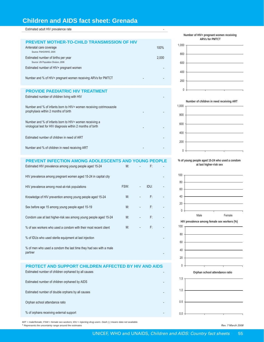### **Children and AIDS fact sheet: Grenada**

#### Estimated adult HIV prevalence rate

#### **PREVENT MOTHER-TO-CHILD TRANSMISSION OF HIV**

| Antenatal care coverage                                      | 100%  | ,uuu |  |
|--------------------------------------------------------------|-------|------|--|
| Source: PAHO/WHO, 2005                                       |       | 800  |  |
| Estimated number of births per year                          | 2,000 |      |  |
| Source: UN Population Division, 2006                         |       | 600  |  |
| Estimated number of HIV+ pregnant women                      |       | 400  |  |
| Number and % of HIV+ pregnant women receiving ARVs for PMTCT | -     | 200  |  |
|                                                              |       |      |  |

### **PROVIDE PAEDIATRIC HIV TREATMENT**

| Estimated number of children living with HIV                       |       |                               |
|--------------------------------------------------------------------|-------|-------------------------------|
|                                                                    |       | Number of children in need re |
| Number and % of infants born to HIV+ women receiving cotrimoxazole | 1,000 |                               |
| prophylaxis within 2 months of birth                               |       |                               |
|                                                                    | 800   |                               |
| Number and % of infants born to HIV+ women receiving a             | 600   |                               |
| virological test for HIV diagnosis within 2 months of birth        |       |                               |
|                                                                    | 400   |                               |
| Estimated number of children in need of ART                        |       |                               |
|                                                                    | 200   |                               |
| Number and % of children in need receiving ART                     |       |                               |
|                                                                    |       |                               |

### **PREVENT INFECTION AMONG ADOLESCENTS AND YOUNG PEOPLE**

| Estimated HIV prevalence among young people aged 15-24            | M:   | F:   |                                           | at last liigilei -ilsk s       |  |
|-------------------------------------------------------------------|------|------|-------------------------------------------|--------------------------------|--|
| HIV prevalence among pregnant women aged 15-24 in capital city    |      |      | 100                                       |                                |  |
| HIV prevalence among most-at-risk populations                     | FSW: | IDU: | 80                                        |                                |  |
|                                                                   |      |      | 60                                        |                                |  |
| Knowledge of HIV prevention among young people aged 15-24         | M:   | F:   | 40                                        |                                |  |
| Sex before age 15 among young people aged 15-19                   | M:   | F:   | 20<br>0                                   |                                |  |
| Condom use at last higher-risk sex among young people aged 15-24  | M:   | F:   |                                           | Male                           |  |
| % of sex workers who used a condom with their most recent client  | M:   | F:   | 100                                       | HIV prevalence among female se |  |
|                                                                   |      |      | 80                                        |                                |  |
| % of IDUs who used sterile equipment at last injection            |      |      | 60                                        |                                |  |
| % of men who used a condom the last time they had sex with a male |      |      | $\Lambda$ <sup><math>\Lambda</math></sup> |                                |  |

partner

#### **PROTECT AND SUPPORT CHILDREN AFFECTED BY HIV AND AIDS** Estimated number of children orphaned by all causes Estimated number of children orphaned by AIDS Estimated number of double orphans by all causes Orphan school attendance ratio % of orphans receiving external support - - - - -

 $*$  Represents the uncertainty range around the estimates *M/F = male/female; FSW = female sex workers; IDU = injecting drug users. Dash (-) means data not available.*

Rev. 7 March 2008

| <b>ARVs for PMTCT</b> |  |  |  |  |
|-----------------------|--|--|--|--|
| 1,000                 |  |  |  |  |
| 800                   |  |  |  |  |
| 600                   |  |  |  |  |
| 400                   |  |  |  |  |
| 200                   |  |  |  |  |
|                       |  |  |  |  |

**Number of HIV+ pregnant women receiving** 

|       | Number of children in need receiving ART |
|-------|------------------------------------------|
| 1,000 |                                          |
| 800   |                                          |
| 600   |                                          |
|       |                                          |
| 400   |                                          |
| 200   |                                          |
|       |                                          |
|       |                                          |

**% of young people aged 15-24 who used a condom at last higher-risk sex**

| 100      |                                             |        |
|----------|---------------------------------------------|--------|
| 80       |                                             |        |
| 60       |                                             |        |
| 40       |                                             |        |
| 20       |                                             |        |
| 0        |                                             |        |
|          | Male                                        | Female |
|          | HIV prevalence among female sex workers (%) |        |
| 100<br>ł |                                             |        |
| 80       |                                             |        |
| 60       |                                             |        |
| 40       |                                             |        |
| 20       |                                             |        |
| 0        | Ť                                           | Ŧ      |
|          |                                             |        |
|          | Orphan school attendance ratio              |        |
| 1.5      |                                             |        |
| 1.0      |                                             |        |
|          |                                             |        |
| 0.5      |                                             |        |
|          |                                             |        |
| 0.0      | T                                           | T      |

-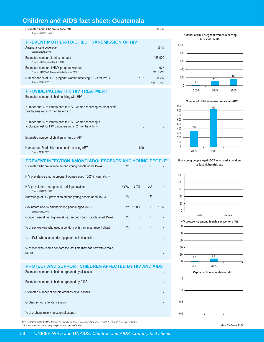### **Children and AIDS fact sheet: Guatemala**

| 0.9%<br>Estimated adult HIV prevalence rate                                                                                 |                                                      |
|-----------------------------------------------------------------------------------------------------------------------------|------------------------------------------------------|
| Source: UNAIDS, 2006                                                                                                        | Number of HIV+ pregnant wom<br><b>ARVs for PMTCT</b> |
| <b>PREVENT MOTHER-TO-CHILD TRANSMISSION OF HIV</b>                                                                          | 1,000                                                |
| Antenatal care coverage<br>84%                                                                                              |                                                      |
| Source: ENSMI, 2002                                                                                                         | 800                                                  |
| Estimated number of births per year<br>445,000<br>Source: UN Population Division, 2006                                      | 600                                                  |
| Estimated number of HIV+ pregnant women<br>1.925<br>$[1, 185 - 3, 472]$ *<br>Source: UNAIDS/WHO unpublished estimates, 2007 | 400                                                  |
| Number and % of HIV+ pregnant women receiving ARVs for PMTCT<br>167<br>8.7%<br>Source: MOH, 2006<br>$[4.8\% - 14.1\%]$ *    | 200<br>111<br>11<br>U                                |
| <b>PROVIDE PAEDIATRIC HIV TREATMENT</b>                                                                                     | 2004<br>2005                                         |
| Estimated number of children living with HIV                                                                                |                                                      |
|                                                                                                                             | Number of children in need r                         |
|                                                                                                                             | $\sim$ $\sim$                                        |





**Number of HIV+ pregnant women receiving** 



**Number of children in need receiving ART** 



**% of young people aged 15-24 who used a condom at last higher-risk sex**



-

|                                                                                                                       |     |                   | Number of children in need re |      |  |
|-----------------------------------------------------------------------------------------------------------------------|-----|-------------------|-------------------------------|------|--|
| Number and % of infants born to HIV+ women receiving cotrimoxazole<br>prophylaxis within 2 months of birth            |     | 900<br>800<br>700 |                               | 840  |  |
| Number and % of infants born to HIV+ women receiving a<br>virological test for HIV diagnosis within 2 months of birth |     | 600<br>500<br>400 | 356                           |      |  |
| Estimated number of children in need of ART                                                                           |     | 300<br>200<br>100 |                               |      |  |
| Number and % of children in need receiving ART<br>Source: MOH, 2006                                                   | 840 |                   | 2005                          | 2006 |  |

### **PREVENT INFECTION AMONG ADOLESCENTS AND YOUNG PEOPLE**

| Estimated HIV prevalence among young people aged 15-24                | M:   |       | F:   |      |     | at last liigilei -ilsk s       |
|-----------------------------------------------------------------------|------|-------|------|------|-----|--------------------------------|
| HIV prevalence among pregnant women aged 15-24 in capital city        |      |       |      |      | 100 |                                |
|                                                                       |      |       |      |      | 80  |                                |
| HIV prevalence among most-at-risk populations<br>Source: UNAIDS, 2006 | FSW: | 8.7%  | IDU: |      | 60  |                                |
| Knowledge of HIV prevention among young people aged 15-24             | M:   |       | F:   |      | 40  |                                |
|                                                                       |      |       |      |      | 20  |                                |
| Sex before age 15 among young people aged 15-19<br>Source: RHS, 2002  | M:   | 15.0% | F:   | 7.0% | 0   |                                |
| Condom use at last higher-risk sex among young people aged 15-24      | M:   |       | F:   |      |     | Male                           |
|                                                                       |      |       |      |      |     | HIV prevalence among female se |
| % of sex workers who used a condom with their most recent client      | M:   |       | F:   |      | 100 |                                |
|                                                                       |      |       |      |      | 80  |                                |
| % of IDUs who used sterile equipment at last injection                |      |       |      |      | 60  |                                |
| % of men who used a condom the last time they had sex with a male     |      |       |      |      | 40  |                                |
|                                                                       |      |       |      |      |     |                                |

partner

### **PROTECT AND SUPPORT CHILDREN AFFECTED BY HIV AND AIDS** Estimated number of children orphaned by all causes Estimated number of children orphaned by AIDS Estimated number of double orphans by all causes Orphan school attendance ratio % of orphans receiving external support - - - - -

\* *Represents the uncertainty range around the estimates M/F = male/female; FSW = female sex workers; IDU = injecting drug users. Dash (-) means data not available.*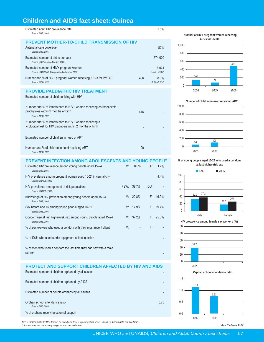## **Children and AIDS fact sheet: Guinea**

| Estimated adult HIV prevalence rate                                                       |     | 1.5%                         |                                    |      |                                                       |
|-------------------------------------------------------------------------------------------|-----|------------------------------|------------------------------------|------|-------------------------------------------------------|
| Source: DHS, 2005                                                                         |     |                              |                                    |      | Number of HIV+ pregnant wome<br><b>ARVs for PMTCT</b> |
| PREVENT MOTHER-TO-CHILD TRANSMISSION OF HIV                                               |     |                              | $1.000 -$                          |      |                                                       |
| Antenatal care coverage<br>Source: DHS, 2005                                              |     | 82%                          | $800 -$                            |      |                                                       |
| Estimated number of births per year<br>Source: UN Population Division, 2006               |     | 374,000                      | $600 -$                            |      |                                                       |
| Estimated number of HIV+ pregnant women<br>Source: UNAIDS/WHO unpublished estimates, 2007 |     | 6.074<br>$[4,905 - 8,036]$ * | 400                                |      |                                                       |
| Number and % of HIV+ pregnant women receiving ARVs for PMTCT<br>Source: MOH. 2006         | 486 | 8.0%<br>$[6.0\% - 9.9\%]$ *  | 200<br>$0 -$                       | 146  | 77                                                    |
| <b>PROVIDE PAEDIATRIC HIV TREATMENT</b>                                                   |     |                              |                                    | 2004 | 2005                                                  |
| Estimated number of children living with HIV                                              |     |                              |                                    |      | Number of children in need re                         |
| Number and % of infants born to HIV+ women receiving cotrimoxazole                        |     |                              | 1.000                              |      |                                                       |
| prophylaxis within 2 months of birth<br>Source: MOH. 2006                                 | 416 |                              | 800                                |      |                                                       |
| Number and % of infants born to HIV+ women receiving a                                    |     |                              | 600                                |      |                                                       |
| virological test for HIV diagnosis within 2 months of birth                               |     |                              | 400                                |      |                                                       |
| Estimated number of children in need of ART                                               |     |                              | 200                                |      | 100                                                   |
|                                                                                           |     |                              | 0                                  | 50   |                                                       |
| Number and % of children in need receiving ART<br>Source: MOH. 2006                       | 100 |                              |                                    | 2005 | 2006                                                  |
| <b>PREVENT INFECTION AMONG ADOLESCENTS AND YOUNG PEOPLE</b>                               |     |                              | % of young people aged 15-24 who u |      |                                                       |

| Estimated HIV prevalence among young people aged 15-24                                 | M:   | 0.6%  | F:   | 1.2%        |           | at last liigilei -i isk sex               |                 |
|----------------------------------------------------------------------------------------|------|-------|------|-------------|-----------|-------------------------------------------|-----------------|
| Source: DHS, 2005                                                                      |      |       |      |             |           | ■ 1999                                    | ■2005           |
| HIV prevalence among pregnant women aged 15-24 in capital city<br>Source: UNAIDS, 2006 |      |       |      | 4.4%        | 100<br>80 |                                           |                 |
| HIV prevalence among most-at-risk populations<br>Source: UNAIDS, 2006                  | FSW: | 39.7% | IDU: |             | 60        |                                           |                 |
| Knowledge of HIV prevention among young people aged 15-24<br>Source: DHS, 2005         | M:   | 22.8% |      | F: 16.9%    | 40<br>20  | 37.2<br>32.0                              | 17 <sub>2</sub> |
| Sex before age 15 among young people aged 15-19<br>Source: DHS, 2005                   | M:   | 17.9% |      | $F: 19.7\%$ |           |                                           |                 |
| Condom use at last higher-risk sex among young people aged 15-24<br>Source: DHS, 2005  | M:   | 37.2% |      | $F: 25.8\%$ |           | Male<br>HIV prevalence among female sex w |                 |
| % of sex workers who used a condom with their most recent client                       | M:   |       | F:   |             | 100       |                                           |                 |
| % of IDUs who used sterile equipment at last injection                                 |      |       |      |             | 80<br>60  |                                           |                 |
| % of men who used a condom the last time they had sex with a male                      |      |       |      |             | 40        | 39.7                                      |                 |

### **PROTECT AND SUPPORT CHILDREN AFFECTED BY HIV AND AIDS**

| Estimated number of children orphaned by all causes |      | Orphan school attenda |      |      |  |
|-----------------------------------------------------|------|-----------------------|------|------|--|
| Estimated number of children orphaned by AIDS       | -    | 1.5                   | 1.13 |      |  |
| Estimated number of double orphans by all causes    | -    | 1.0                   |      | 0.73 |  |
| Orphan school attendance ratio<br>Source: DHS, 2005 | 0.73 | 0.5                   |      |      |  |
| % of orphans receiving external support             | -    | 0.0                   |      |      |  |

\* *Represents the uncertainty range around the estimates M/F = male/female; FSW = female sex workers; IDU = injecting drug users. Dash (-) means data not available.*

partner

**Number of HIV+ pregnant women receiving ARVs for PMTCT**





**% of young people aged 15-24 who used a condom at last higher-risk sex**









Rev. 7 March 2008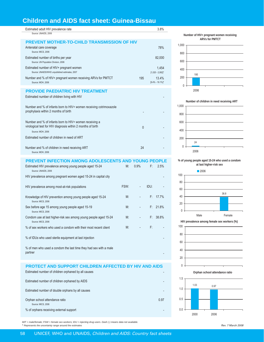### **Children and AIDS fact sheet: Guinea-Bissau**

| Children and AIDS fact sheet: Guinea-Bissau                                                         |     |                               |              |                               |  |
|-----------------------------------------------------------------------------------------------------|-----|-------------------------------|--------------|-------------------------------|--|
| Estimated adult HIV prevalence rate<br>Source: UNAIDS, 2006                                         |     | 3.8%                          |              | Number of HIV+ pregnant wome  |  |
| <b>PREVENT MOTHER-TO-CHILD TRANSMISSION OF HIV</b><br>Antenatal care coverage<br>Source: MICS, 2006 |     | 78%                           | 1,000<br>800 | <b>ARVs for PMTCT</b>         |  |
| Estimated number of births per year<br>Source: UN Population Division, 2006                         |     | 82,000                        | 600          |                               |  |
| Estimated number of HIV+ pregnant women<br>Source: UNAIDS/WHO unpublished estimates, 2007           |     | 1.454<br>$[1,020 - 2,082]$ *  | 400          | 195                           |  |
| Number and % of HIV+ pregnant women receiving ARVs for PMTCT<br>Source: MOH, 2006                   | 195 | 13.4%<br>$[9.4\% - 19.1\%]$ * | 200<br>0     |                               |  |
| <b>PROVIDE PAEDIATRIC HIV TREATMENT</b><br>Estimated number of children living with HIV             |     |                               |              | 2006                          |  |
| Number and % of infants born to HIV+ women receiving cotrimoxazole                                  |     |                               | 1,000        | Number of children in need re |  |
| prophylaxis within 2 months of birth                                                                |     |                               | 800          |                               |  |

Number and % of infants born to HIV+ women receiving a Number and % of infants born to HIV+ women receiving a virological test for HIV diagnosis within 2 months of birth Source: MOH, 2006 Estimated number of children in need of ART Number and % of children in need receiving ART 0 -  $24$ -

#### **PREVENT INFECTION AMONG ADOLESCENTS AND YOUNG PEOPLE**

Source: MOH, 2006

| Estimated HIV prevalence among young people aged 15-24            | M:   | 0.9%                     | F:   | 2.5%        |     | <b>deal</b> indicated the sex     |    |
|-------------------------------------------------------------------|------|--------------------------|------|-------------|-----|-----------------------------------|----|
| Source: UNAIDS, 2006                                              |      |                          |      |             |     | ■2006                             |    |
| HIV prevalence among pregnant women aged 15-24 in capital city    |      |                          |      |             | 100 |                                   |    |
|                                                                   |      |                          |      |             | 80  |                                   |    |
| HIV prevalence among most-at-risk populations                     | FSW: |                          | IDU: |             | 60  |                                   |    |
| Knowledge of HIV prevention among young people aged 15-24         | M:   | $\overline{a}$           |      | $F: 17.7\%$ | 40  |                                   | 38 |
| Source: MICS, 2006                                                |      |                          |      |             | 20  |                                   |    |
| Sex before age 15 among young people aged 15-19                   | M:   | $\overline{\phantom{0}}$ |      | F: 21.8%    |     |                                   |    |
| Source: MICS, 2006                                                |      |                          |      |             |     |                                   |    |
| Condom use at last higher-risk sex among young people aged 15-24  | M:   |                          |      | $F: 38.8\%$ |     | Male                              |    |
| Source: MICS, 2006                                                |      |                          |      |             |     | HIV prevalence among female sex w |    |
| % of sex workers who used a condom with their most recent client  | M:   |                          | F:   |             | 100 |                                   |    |
|                                                                   |      |                          |      |             | 80  |                                   |    |
| % of IDUs who used sterile equipment at last injection            |      |                          |      |             |     |                                   |    |
|                                                                   |      |                          |      |             | 60  |                                   |    |
| % of men who used a condom the last time they had sex with a male |      |                          |      |             | 40  |                                   |    |
| partner                                                           |      |                          |      |             |     |                                   |    |

### **PROTECT AND SUPPORT CHILDREN AFFECTED BY HIV AND AIDS**

| Estimated number of children orphaned by all causes  |                          | Orphan school attenda |      |      |
|------------------------------------------------------|--------------------------|-----------------------|------|------|
| Estimated number of children orphaned by AIDS        |                          | i.b                   |      |      |
| Estimated number of double orphans by all causes     | $\overline{\phantom{0}}$ | 1.0                   | 1.03 | 0.97 |
| Orphan school attendance ratio<br>Source: MICS, 2006 | 0.97                     | 0.5                   |      |      |
| % of orphans receiving external support              |                          | 0.0                   | 0000 | nnnn |

\* *Represents the uncertainty range around the estimates M/F = male/female; FSW = female sex workers; IDU = injecting drug users. Dash (-) means data not available.*





**% of young people aged 15-24 who used a condom at last higher-risk sex**



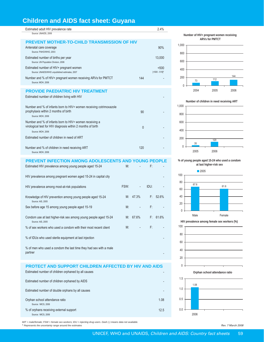# **Children and AIDS fact sheet: Guyana**

| Estimated adult HIV prevalence rate                                                       |              | 2.4%                    |                                                       |  |
|-------------------------------------------------------------------------------------------|--------------|-------------------------|-------------------------------------------------------|--|
| Source: UNAIDS, 2006                                                                      |              |                         | Number of HIV+ pregnant wome<br><b>ARVs for PMTCT</b> |  |
| <b>PREVENT MOTHER-TO-CHILD TRANSMISSION OF HIV</b>                                        |              |                         |                                                       |  |
| Antenatal care coverage<br>Source: PAHO/WHO, 2003                                         |              | 90%                     | 1,000<br>800                                          |  |
| Estimated number of births per year<br>Source: UN Population Division, 2006               |              | 13,000                  | 600                                                   |  |
| Estimated number of HIV+ pregnant women<br>Source: UNAIDS/WHO unpublished estimates, 2007 |              | 500<br>$[<500 - 519]$ * | 400                                                   |  |
| Number and % of HIV+ pregnant women receiving ARVs for PMTCT<br>Source: MOH. 2006         | 144          |                         | 200<br>112<br>73                                      |  |
|                                                                                           |              |                         | 0                                                     |  |
| <b>PROVIDE PAEDIATRIC HIV TREATMENT</b>                                                   |              |                         | 2004<br>2005                                          |  |
| Estimated number of children living with HIV                                              |              |                         |                                                       |  |
|                                                                                           |              |                         | Number of children in need re                         |  |
| Number and % of infants born to HIV+ women receiving cotrimoxazole                        |              |                         | 1,000                                                 |  |
| prophylaxis within 2 months of birth<br>Source: MOH, 2006                                 | 90           |                         | 800                                                   |  |
| Number and % of infants born to HIV+ women receiving a                                    |              |                         | 600                                                   |  |
| virological test for HIV diagnosis within 2 months of birth<br>Source: MOH. 2006          | $\mathbf{0}$ |                         | 400                                                   |  |
| Estimated number of children in need of ART                                               |              |                         | 200                                                   |  |
|                                                                                           |              |                         | 120<br>35                                             |  |
| Number and % of children in need receiving ART<br>Source: MOH. 2006                       | 120          |                         | 0<br>2005<br>2006                                     |  |
| <b>PREVENT INFECTION AMONG ADOLESCENTS AND</b>                                            |              | <b>PEOPLE</b>           | % of young people aged 15-24 who u                    |  |
|                                                                                           |              | F:                      | at last higher-risk sex                               |  |
| Estimated HIV prevalence among young people aged 15-24                                    | M:           |                         | $\Box$ 2005                                           |  |
|                                                                                           |              |                         |                                                       |  |

|                                                                                                                                                                                                                                 |      |                          |      |          | 100 |      |                                |  |
|---------------------------------------------------------------------------------------------------------------------------------------------------------------------------------------------------------------------------------|------|--------------------------|------|----------|-----|------|--------------------------------|--|
| HIV prevalence among pregnant women aged 15-24 in capital city                                                                                                                                                                  |      |                          |      |          |     |      |                                |  |
|                                                                                                                                                                                                                                 |      |                          |      |          | 80  | 67.6 |                                |  |
| HIV prevalence among most-at-risk populations                                                                                                                                                                                   | FSW: | $\overline{\phantom{a}}$ | IDU: |          | 60  |      |                                |  |
|                                                                                                                                                                                                                                 |      |                          |      |          |     |      |                                |  |
| Knowledge of HIV prevention among young people aged 15-24                                                                                                                                                                       |      | M: 47.3%                 | F:   | 52.6%    | 40  |      |                                |  |
| Source: AIS, 2005                                                                                                                                                                                                               |      |                          |      |          |     |      |                                |  |
| Sex before age 15 among young people aged 15-19                                                                                                                                                                                 | M:   | $\overline{\phantom{a}}$ | F:   |          | 20  |      |                                |  |
|                                                                                                                                                                                                                                 |      |                          |      |          |     |      |                                |  |
|                                                                                                                                                                                                                                 |      |                          |      |          |     | Male |                                |  |
| Condom use at last higher-risk sex among young people aged 15-24                                                                                                                                                                | M:   | 67.6%                    |      | F: 61.6% |     |      |                                |  |
| Source: AIS, 2005                                                                                                                                                                                                               |      |                          |      |          |     |      | HIV prevalence among female se |  |
| % of sex workers who used a condom with their most recent client                                                                                                                                                                | M:   |                          | F:   |          | 100 |      |                                |  |
|                                                                                                                                                                                                                                 |      |                          |      |          | 80  |      |                                |  |
| % of IDUs who used sterile equipment at last injection                                                                                                                                                                          |      |                          |      |          |     |      |                                |  |
|                                                                                                                                                                                                                                 |      |                          |      |          | 60  |      |                                |  |
| $\sim$ . The contract of the contract of the contract of the contract of the contract of the contract of the contract of the contract of the contract of the contract of the contract of the contract of the contract of the co |      |                          |      |          |     |      |                                |  |

% of men who used a condom the last time they had sex with a male partner

### **PROTECT AND SUPPORT CHILDREN AFFECTED BY HIV AND AIDS**

| Estimated number of children orphaned by all causes           | $\overline{\phantom{0}}$ | Orphan school attenda |      |  |
|---------------------------------------------------------------|--------------------------|-----------------------|------|--|
| Estimated number of children orphaned by AIDS                 | -                        | 1.5                   |      |  |
| Estimated number of double orphans by all causes              | -                        | 1.0                   | 1.08 |  |
| Orphan school attendance ratio                                | 1.08                     | 0.5                   |      |  |
| Source: MICS, 2006<br>% of orphans receiving external support | 12.5                     | 0.0                   |      |  |
| Source: MICS, 2006                                            |                          |                       | 2006 |  |

*M/F = male/female; FSW = female sex workers; IDU = injecting drug users. Dash (-) means data not available.*

\* *Represents the uncertainty range around the estimates*



**Number of children in need receiving ART** 

**% of young people aged 15-24 who used a condom at last higher-risk sex**





Rev. 7 March 2008

### **Number of HIV+ pregnant women receiving ARVs for PMTCT**



UNICEF, WHO and UNAIDS, Children and AIDS: Country fact sheets 59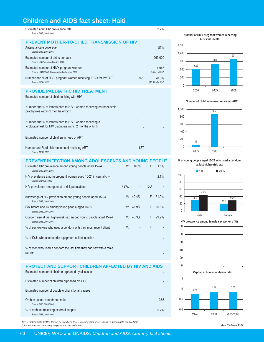# **Children and AIDS fact sheet: Haiti**

| Estimated adult HIV prevalence rate                                                                                   |     | 2.2%                           |                |                               |                       |  |
|-----------------------------------------------------------------------------------------------------------------------|-----|--------------------------------|----------------|-------------------------------|-----------------------|--|
| Source: DHS, 2005-2006                                                                                                |     |                                |                | Number of HIV+ pregnant wome  |                       |  |
| <b>PREVENT MOTHER-TO-CHILD TRANSMISSION OF HIV</b>                                                                    |     |                                |                |                               | <b>ARVs for PMTCT</b> |  |
| Antenatal care coverage<br>Source: DHS, 2005-2006                                                                     |     | 85%                            | 1,500<br>1.200 |                               |                       |  |
| Estimated number of births per year<br>Source: UN Population Division, 2006                                           |     | 269,000                        | 900            |                               | 800                   |  |
| Estimated number of HIV+ pregnant women<br>Source: UNAIDS/WHO unpublished estimates, 2007                             |     | 4,946<br>$[4,099 - 5,886]$ *   | 600            | 620                           |                       |  |
| Number and % of HIV+ pregnant women receiving ARVs for PMTCT<br>Source: MOH, 2006                                     | 991 | 20.0%<br>$[16.8\% - 24.2\%]$ * | 300<br>0       |                               |                       |  |
| <b>PROVIDE PAEDIATRIC HIV TREATMENT</b>                                                                               |     |                                |                | 2004                          | 2005                  |  |
| Estimated number of children living with HIV                                                                          |     |                                |                | Number of children in need re |                       |  |
| Number and % of infants born to HIV+ women receiving cotrimoxazole<br>prophylaxis within 2 months of birth            |     |                                | 1,000          |                               | 867                   |  |
|                                                                                                                       |     |                                | 800            |                               |                       |  |
| Number and % of infants born to HIV+ women receiving a<br>virological test for HIV diagnosis within 2 months of birth |     |                                | 600            |                               |                       |  |
|                                                                                                                       |     |                                | 400            |                               |                       |  |
| Estimated number of children in need of ART                                                                           |     |                                | 200            |                               |                       |  |
|                                                                                                                       |     |                                | 0              | 46                            |                       |  |
| Number and % of children in need receiving ART<br>Source: MOH. 2006                                                   | 867 |                                |                | 2005                          | 2006                  |  |
|                                                                                                                       |     |                                |                |                               |                       |  |

#### **PREVENT INFECTION AMONG ADOLESCENTS AND YOUNG PEOPLE**

| Estimated HIV prevalence among young people aged 15-24                                 | M:   | 0.6%  | F:   | 1.5%     |           | at last liigilei -ilsk sex        |       |
|----------------------------------------------------------------------------------------|------|-------|------|----------|-----------|-----------------------------------|-------|
| Source: DHS, 2005-2006                                                                 |      |       |      |          |           | $\blacksquare$ 2000               | ■2005 |
| HIV prevalence among pregnant women aged 15-24 in capital city<br>Source: UNAIDS, 2006 |      |       |      | 3.7%     | 100<br>80 |                                   |       |
| HIV prevalence among most-at-risk populations                                          | FSW: |       | IDU: |          | 60        |                                   |       |
|                                                                                        |      |       |      |          |           | 43.3                              |       |
| Knowledge of HIV prevention among young people aged 15-24                              | M:   | 40.4% |      | F: 31.9% | 40        | 30.0                              | 19    |
| Source: DHS, 2005-2006                                                                 |      |       |      |          | 20        |                                   |       |
| Sex before age 15 among young people aged 15-19<br>Source: DHS, 2005-2006              | M:   | 41.9% |      | F: 15.3% |           |                                   |       |
| Condom use at last higher-risk sex among young people aged 15-24                       | M:   | 43.3% |      | F: 29.2% |           | Male                              |       |
| Source: DHS, 2005-2006                                                                 |      |       |      |          |           | HIV prevalence among female sex w |       |
| % of sex workers who used a condom with their most recent client                       | M:   |       | F:   |          | 100       |                                   |       |
|                                                                                        |      |       |      |          | 80        |                                   |       |
| % of IDUs who used sterile equipment at last injection                                 |      |       |      |          |           |                                   |       |
|                                                                                        |      |       |      |          | 60        |                                   |       |
| % of men who used a condom the last time they had sex with a male                      |      |       |      |          | $\Lambda$ |                                   |       |

### **PROTECT AND SUPPORT CHILDREN AFFECTED BY HIV AND AIDS**

| Estimated number of children orphaned by all causes               |      | Orphan school attenda |      |      |
|-------------------------------------------------------------------|------|-----------------------|------|------|
| Estimated number of children orphaned by AIDS                     | -    | 1.5                   |      |      |
| Estimated number of double orphans by all causes                  | -    | 1.0                   | 0.76 | 0.87 |
| Orphan school attendance ratio<br>Source: DHS. 2005-2006          | 0.86 | 0.5                   |      |      |
| % of orphans receiving external support<br>Source: DHS. 2005-2006 | 5.2% | 0.0                   | 1994 | 2000 |

\* *Represents the uncertainty range around the estimates M/F = male/female; FSW = female sex workers; IDU = injecting drug users. Dash (-) means data not available.*

partner





**Number of children in need receiving ART** 



**% of young people aged 15-24 who used a condom at last higher-risk sex**





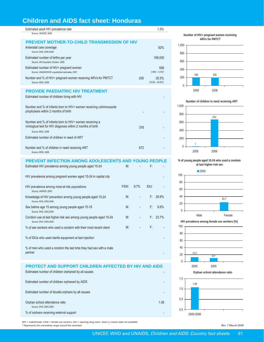### **Children and AIDS fact sheet: Honduras**

| Estimated adult HIV prevalence rate                                                       |     | 1.5%                      |       |                               |                       |  |
|-------------------------------------------------------------------------------------------|-----|---------------------------|-------|-------------------------------|-----------------------|--|
| Source: UNAIDS, 2006                                                                      |     |                           |       | Number of HIV+ pregnant wome  | <b>ARVs for PMTCT</b> |  |
| <b>PREVENT MOTHER-TO-CHILD TRANSMISSION OF HIV</b>                                        |     |                           | 1,000 |                               |                       |  |
| Antenatal care coverage<br>Source: DHS. 2005-2006                                         |     | 92%                       | 800   |                               |                       |  |
| Estimated number of births per year<br>Source: UN Population Division, 2006               |     | 199,000                   | 600   |                               |                       |  |
| Estimated number of HIV+ pregnant women<br>Source: UNAIDS/WHO unpublished estimates, 2007 |     | 656<br>$[<500 - 1,010]$ * | 400   |                               |                       |  |
| Number and % of HIV+ pregnant women receiving ARVs for PMTCT<br>Source: MOH, 2006         | 200 | 30.5%<br>[19.8% - 45.6%]* | 200   | 198                           | 200                   |  |
|                                                                                           |     |                           | 0     |                               |                       |  |
| <b>PROVIDE PAEDIATRIC HIV TREATMENT</b>                                                   |     |                           |       | 2005                          | 2006                  |  |
| Estimated number of children living with HIV                                              |     |                           |       | Number of children in need re |                       |  |
| Number and % of infants born to HIV+ women receiving cotrimoxazole                        |     |                           | 1,000 |                               |                       |  |
| prophylaxis within 2 months of birth                                                      |     |                           | 800   |                               | 672                   |  |
| Number and % of infants born to HIV+ women receiving a                                    |     |                           | 600   |                               |                       |  |
| virological test for HIV diagnosis within 2 months of birth                               | 378 |                           | 400   |                               |                       |  |
| Source: MOH, 2006                                                                         |     |                           |       |                               |                       |  |
| Estimated number of children in need of ART                                               |     |                           | 200   |                               |                       |  |
|                                                                                           |     |                           | 0     |                               |                       |  |
| Number and % of children in need receiving ART<br>Source: MOH. 2006                       | 672 |                           |       | 2005                          | 2006                  |  |
|                                                                                           |     |                           |       |                               |                       |  |

#### **PREVENT INFECTION AMONG ADOLESCENTS AND YOUNG PEOPLE**

| Estimated HIV prevalence among young people aged 15-24                                     | M:   |                          | F:   |             |         | at last liigilei -ilsk s               |
|--------------------------------------------------------------------------------------------|------|--------------------------|------|-------------|---------|----------------------------------------|
|                                                                                            |      |                          |      |             |         | ■2005                                  |
| HIV prevalence among pregnant women aged 15-24 in capital city                             |      |                          |      |             | 100     |                                        |
|                                                                                            |      |                          |      |             | 80      |                                        |
| HIV prevalence among most-at-risk populations<br>Source: UNAIDS, 2006                      | FSW: | 9.7%                     | IDU: |             | 60      |                                        |
| Knowledge of HIV prevention among young people aged 15-24<br>Source: DHS, 2005-2006        | M:   | $\overline{\phantom{a}}$ |      | $F: 29.9\%$ | 40      |                                        |
| Sex before age 15 among young people aged 15-19<br>Source: DHS, 2005-2006                  | M:   | $\overline{\phantom{a}}$ | F:   | 9.8%        | 20<br>0 |                                        |
| Condom use at last higher-risk sex among young people aged 15-24                           | M:   | $\overline{\phantom{a}}$ |      | F: 23.7%    |         | Male<br>HIV prevalence among female se |
| Source: DHS, 2005-2006<br>% of sex workers who used a condom with their most recent client | M:   |                          | F:   |             | 100     |                                        |
|                                                                                            |      |                          |      |             | 80      |                                        |
| % of IDUs who used sterile equipment at last injection                                     |      |                          |      |             | 60      |                                        |
| % of men who used a condom the last time they had sex with a male                          |      |                          |      |             | 40      |                                        |
|                                                                                            |      |                          |      |             |         |                                        |

### **PROTECT AND SUPPORT CHILDREN AFFECTED BY HIV AND AIDS**

| Estimated number of children orphaned by all causes      | -    |     |           | Orphan school attenda |
|----------------------------------------------------------|------|-----|-----------|-----------------------|
| Estimated number of children orphaned by AIDS            |      | l.5 | 1.08      |                       |
| Estimated number of double orphans by all causes         |      | 1.0 |           |                       |
| Orphan school attendance ratio<br>Source: DHS, 2005-2006 | 1.08 | 0.5 |           |                       |
| % of orphans receiving external support                  |      | 0.0 | 2005-2006 |                       |

\* *Represents the uncertainty range around the estimates M/F = male/female; FSW = female sex workers; IDU = injecting drug users. Dash (-) means data not available.*

partner

**Number of HIV+ pregnant women receiving ARVs for PMTCT**





**% of young people aged 15-24 who used a condom at last higher-risk sex**





Rev. 7 March 2008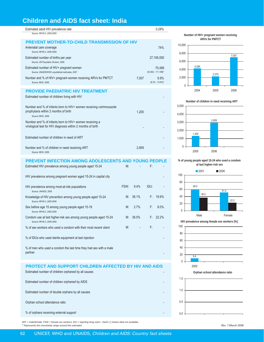# **Children and AIDS fact sheet: India**

| Estimated adult HIV prevalence rate                                                       | 0.28%                         |                                                       |
|-------------------------------------------------------------------------------------------|-------------------------------|-------------------------------------------------------|
| Source: NFHS-3, 2005-2006                                                                 |                               | Number of HIV+ pregnant wome<br><b>ARVs for PMTCT</b> |
| <b>PREVENT MOTHER-TO-CHILD TRANSMISSION OF HIV</b>                                        |                               | 10,000                                                |
| Antenatal care coverage<br>Source: NFHS-3, 2005-2006                                      | 74%                           | 8,000                                                 |
| Estimated number of births per year<br>Source: UN Population Division, 2006               | 27,195,000                    | 6,000                                                 |
| Estimated number of HIV+ pregnant women<br>Source: UNAIDS/WHO unpublished estimates, 2007 | 70.489<br>[43,952 - 111,189]* | 4.289<br>4,000                                        |
| Number and % of HIV+ pregnant women receiving ARVs for PMTCT                              | 7.007<br>9.9%                 | 2,279<br>2,000                                        |
| Source: MOH. 2006                                                                         | $[6.3\% - 15.9\%]$ *          | $\mathbf{0}$                                          |
| <b>PROVIDE PAEDIATRIC HIV TREATMENT</b>                                                   |                               | 2004<br>2005                                          |
| Estimated number of children living with HIV                                              |                               | Number of children in need re                         |
| Number and % of infants born to HIV+ women receiving cotrimoxazole                        |                               | 5,000                                                 |
| prophylaxis within 2 months of birth<br>Source: MOH, 2006                                 | 1,200                         | 4,000                                                 |
| Number and % of infants born to HIV+ women receiving a                                    |                               | 2,959<br>3.000                                        |
| virological test for HIV diagnosis within 2 months of birth                               |                               | 2,000                                                 |
| Estimated number of children in need of ART                                               |                               | 1,300<br>1,000                                        |
|                                                                                           |                               | 0                                                     |
| Number and % of children in need receiving ART<br>Source: MOH. 2006                       | 2,959                         | 2005<br>2006                                          |
|                                                                                           |                               |                                                       |

#### **PREVENT INFECTION AMONG ADOLESCENTS AND YOUNG PEOPLE**

| Estimated HIV prevalence among young people aged 15-24            | M:   |       | F:   |          |     | at last liigilei -ilsk s       |    |
|-------------------------------------------------------------------|------|-------|------|----------|-----|--------------------------------|----|
|                                                                   |      |       |      |          |     | $\blacksquare$ 2001            | П2 |
| HIV prevalence among pregnant women aged 15-24 in capital city    |      |       |      |          | 100 |                                |    |
|                                                                   |      |       |      |          | 80  |                                |    |
| HIV prevalence among most-at-risk populations                     | FSW: | 9.4%  | IDU: |          | 60  | 59.0                           |    |
| Source: UNAIDS, 2006                                              |      |       |      |          |     | 36.5                           |    |
| Knowledge of HIV prevention among young people aged 15-24         | M:   | 36.1% | F:   | 19.9%    | 40  |                                |    |
| Source: NFHS-3, 2005-2006                                         |      |       |      |          | 20  |                                |    |
| Sex before age 15 among young people aged 15-19                   | M:   | 2.7%  | F:   | 8.0%     |     |                                |    |
| Source: NFHS-3, 2005-2006                                         |      |       |      |          | 0   |                                |    |
| Condom use at last higher-risk sex among young people aged 15-24  | M:   | 36.5% |      | F: 22.2% |     | Male                           |    |
| Source: NFHS-3, 2005-2006                                         |      |       |      |          |     | HIV prevalence among female se |    |
| % of sex workers who used a condom with their most recent client  | M:   |       | F:   |          | 100 |                                |    |
|                                                                   |      |       |      |          | 80  |                                |    |
| % of IDUs who used sterile equipment at last injection            |      |       |      |          |     |                                |    |
|                                                                   |      |       |      |          | 60  |                                |    |
|                                                                   |      |       |      |          | 40  |                                |    |
| % of men who used a condom the last time they had sex with a male |      |       |      |          |     |                                |    |

### **PROTECT AND SUPPORT CHILDREN AFFECTED BY HIV AND AIDS**

| Estimated number of children orphaned by all causes | $\overline{\phantom{0}}$ | Orphan school attenda |
|-----------------------------------------------------|--------------------------|-----------------------|
| Estimated number of children orphaned by AIDS       | -                        | 1.5                   |
| Estimated number of double orphans by all causes    | -                        | 1.0                   |
| Orphan school attendance ratio                      | -                        | 0.5                   |
| % of orphans receiving external support             | -                        | 0.0                   |

\* *Represents the uncertainty range around the estimates M/F = male/female; FSW = female sex workers; IDU = injecting drug users. .Dash (-) means data not available.*







**% of young people aged 15-24 who used a condom at last higher-risk sex**



-



Rev. 7 March 2008

partner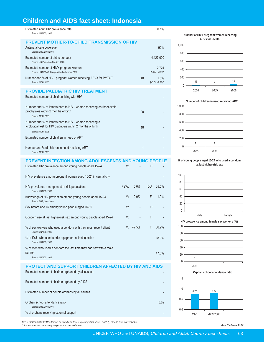### **Children and AIDS fact sheet: Indonesia**

| Estimated adult HIV prevalence rate                                                                                 |              | 0.1%                         |                                                       |  |
|---------------------------------------------------------------------------------------------------------------------|--------------|------------------------------|-------------------------------------------------------|--|
| Source: UNAIDS, 2006                                                                                                |              |                              | Number of HIV+ pregnant wome<br><b>ARVs for PMTCT</b> |  |
| <b>PREVENT MOTHER-TO-CHILD TRANSMISSION OF HIV</b>                                                                  |              |                              | 1,000                                                 |  |
| Antenatal care coverage<br>Source: DHS, 2002-2003                                                                   |              | 92%                          | 800                                                   |  |
| Estimated number of births per year<br>Source: UN Population Division, 2006                                         |              | 4,427,000                    | 600                                                   |  |
| Estimated number of HIV+ pregnant women<br>Source: UNAIDS/WHO unpublished estimates, 2007                           |              | 2,724<br>$[1,382 - 5,802]$ * | 400                                                   |  |
| Number and % of HIV+ pregnant women receiving ARVs for PMTCT<br>Source: MOH. 2006                                   | 40           | 1.5%<br>$[<0.7\% - 2.9\%]$ * | 200<br>15<br>4<br>0                                   |  |
| <b>PROVIDE PAEDIATRIC HIV TREATMENT</b>                                                                             |              |                              | 2004<br>2005                                          |  |
| Estimated number of children living with HIV                                                                        |              |                              |                                                       |  |
|                                                                                                                     |              |                              | Number of children in need re<br>1,000                |  |
| Number and % of infants born to HIV+ women receiving cotrimoxazole<br>prophylaxis within 2 months of birth          | 20           |                              |                                                       |  |
| Source: MOH, 2006                                                                                                   |              |                              | 800                                                   |  |
| Number and % of infants born to HIV+ women receiving a                                                              |              |                              | 600                                                   |  |
| virological test for HIV diagnosis within 2 months of birth<br>Source: MOH, 2006                                    | 18           |                              | 400                                                   |  |
| Estimated number of children in need of ART                                                                         |              |                              | 200                                                   |  |
|                                                                                                                     |              |                              | $\mathbf{1}$<br>$\mathbf{1}$                          |  |
| Number and % of children in need receiving ART<br>Source: MOH. 2006                                                 | $\mathbf{1}$ |                              | U<br>2005<br>2006                                     |  |
| <b>PREVENT INFECTION AMONG ADOLESCENTS AND YOU</b>                                                                  |              | PEOPLE<br>NG                 | % of young people aged 15-24 who u                    |  |
| Estimated HIV prevalence among young people aged 15-24                                                              | M:           | F:                           | at last higher-risk sex                               |  |
| HIV prevalence among pregnant women aged 15-24 in capital city                                                      |              |                              | 100                                                   |  |
|                                                                                                                     |              |                              | 80                                                    |  |
| HIV prevalence among most-at-risk populations<br>Source: UNAIDS, 2006                                               | FSW:<br>0.0% | IDU:<br>65.5%                | 60                                                    |  |
| Knowledge of HIV prevention among young people aged 15-24<br>Source: DHS. 2002-2003                                 | 0.0%<br>M:   | 1.0%<br>F:                   | 40<br>20                                              |  |
| Sex before age 15 among young people aged 15-19                                                                     | M:           | F:                           | 0                                                     |  |
| Condom use at last higher-risk sex among young people aged 15-24                                                    | M:           | F:                           | Male                                                  |  |
|                                                                                                                     |              |                              | HIV prevalence among female sex                       |  |
| % of sex workers who used a condom with their most recent client<br>Source: UNAIDS, 2006                            | M: 47.5%     | 56.2%<br>F: I                | 100<br>80                                             |  |
| % of IDUs who used sterile equipment at last injection<br>Source: UNAIDS, 2006                                      |              | 18.9%                        | 60                                                    |  |
| % of men who used a condom the last time they had sex with a male                                                   |              |                              | 40                                                    |  |
| partner<br>Source: UNAIDS, 2006                                                                                     |              | 47.6%                        | 20                                                    |  |
|                                                                                                                     |              |                              | 0<br>0                                                |  |
| <b>PROTECT AND SUPPORT CHILDREN AFFECTED BY HIV AND AIDS</b><br>Estimated number of children orphaned by all causes |              |                              | 2000                                                  |  |
|                                                                                                                     |              |                              | Orphan school attendan                                |  |
| Estimated number of children orphaned by AIDS                                                                       |              |                              | 1.5                                                   |  |
|                                                                                                                     |              |                              | 1 N                                                   |  |

Estimated number of double orphans by all causes 2007 0.76 Orphan school attendance ratio Source: DHS, 2002-2003 % of orphans receiving external support - - 0.82

800 1,000 **Number of HIV+ pregnant women receiving ARVs for PMTCT**





**% of young people aged 15-24 who used a condom at last higher-risk sex**





\* *Represents the uncertainty range around the estimates M/F = male/female; FSW = female sex workers; IDU = injecting drug users. Dash (-) means data not available.*

Rev. 7 March 2008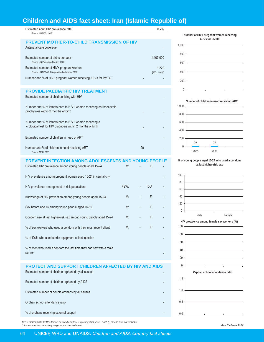| <b>Children and AIDS fact sheet: Iran (Islamic Republic of)</b>                                                       |      |    |      |                            |                                                   |
|-----------------------------------------------------------------------------------------------------------------------|------|----|------|----------------------------|---------------------------------------------------|
| Estimated adult HIV prevalence rate                                                                                   |      |    |      | 0.2%                       |                                                   |
| Source: UNAIDS, 2006                                                                                                  |      |    |      |                            | Number of HIV+ pregnant women receiving           |
| <b>PREVENT MOTHER-TO-CHILD TRANSMISSION OF HIV</b>                                                                    |      |    |      |                            | <b>ARVs for PMTCT</b>                             |
| Antenatal care coverage                                                                                               |      |    |      |                            | 1,000                                             |
|                                                                                                                       |      |    |      |                            | 800                                               |
| Estimated number of births per year<br>Source: UN Population Division, 2006                                           |      |    |      | 1,407,000                  | 600                                               |
| Estimated number of HIV+ pregnant women<br>Source: UNAIDS/WHO unpublished estimates, 2007                             |      |    |      | 1,222<br>$[805 - 1,863]$ * | 400                                               |
| Number and % of HIV+ pregnant women receiving ARVs for PMTCT                                                          |      |    |      |                            | 200                                               |
|                                                                                                                       |      |    |      |                            |                                                   |
| <b>PROVIDE PAEDIATRIC HIV TREATMENT</b>                                                                               |      |    |      |                            | 0                                                 |
| Estimated number of children living with HIV                                                                          |      |    |      |                            |                                                   |
| Number and % of infants born to HIV+ women receiving cotrimoxazole                                                    |      |    |      |                            | Number of children in need receiving ART<br>1,000 |
| prophylaxis within 2 months of birth                                                                                  |      |    |      |                            |                                                   |
|                                                                                                                       |      |    |      |                            | 800                                               |
| Number and % of infants born to HIV+ women receiving a<br>virological test for HIV diagnosis within 2 months of birth |      |    |      |                            | 600                                               |
|                                                                                                                       |      |    |      |                            | 400                                               |
| Estimated number of children in need of ART                                                                           |      |    |      |                            | 200                                               |
|                                                                                                                       |      |    |      |                            | 20<br>20<br>0                                     |
| Number and % of children in need receiving ART<br>Source: MOH. 2006                                                   |      | 20 |      |                            | 2006<br>2005                                      |
| <b>PREVENT INFECTION AMONG ADOLESCENTS AND</b>                                                                        |      |    | NG   | <b>PFOPLE</b>              | % of young people aged 15-24 who used a condom    |
| Estimated HIV prevalence among young people aged 15-24                                                                | M:   |    | F:   |                            | at last higher-risk sex                           |
| HIV prevalence among pregnant women aged 15-24 in capital city                                                        |      |    |      |                            | 100                                               |
|                                                                                                                       |      |    |      |                            | 80                                                |
| HIV prevalence among most-at-risk populations                                                                         | FSW: |    | IDU: |                            | 60                                                |
| Knowledge of HIV prevention among young people aged 15-24                                                             | M:   |    | F:   |                            | 40                                                |
|                                                                                                                       |      |    |      |                            | 20                                                |

Condom use at last higher-risk sex among young people aged 15-24 M: F: F:

% of sex workers who used a condom with their most recent client M: F: - 2005

% of IDUs who used sterile equipment at last injection

% of men who used a condom the last time they had sex with a male partner

### **PROTECT AND SUPPORT CHILDREN AFFECTED BY HIV AND AIDS**

Sex before age 15 among young people aged 15-19 M: And M: F:

| Estimated number of children orphaned by all causes | - | Orphan school attenda |
|-----------------------------------------------------|---|-----------------------|
| Estimated number of children orphaned by AIDS       |   | 1.5                   |
| Estimated number of double orphans by all causes    | - | 1.0                   |
| Orphan school attendance ratio                      |   | 0.5                   |
| % of orphans receiving external support             | - | 0.0                   |

\* *Represents the uncertainty range around the estimates M/F = male/female; FSW = female sex workers; IDU = injecting drug users. Dash (-) means data not available.*

 $\overline{\phantom{0}}$ 

| 20                                          |      |        |  |  |
|---------------------------------------------|------|--------|--|--|
|                                             |      |        |  |  |
|                                             |      |        |  |  |
|                                             | Male | Female |  |  |
| HIV prevalence among female sex workers (%) |      |        |  |  |

| 100 |  |
|-----|--|
| 80  |  |
| 60  |  |
| 40  |  |
| 20  |  |
|     |  |



64 UNICEF, WHO and UNAIDS, Children and AIDS: Country fact sheets

-

-

Rev. 7 March 2008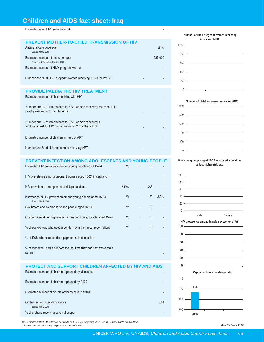### Estimated adult HIV prevalence rate

## **PREVENT MOTHER-TO-CHILD TRANSMISSION OF HIV**

| Antenatal care coverage                                      | 84%                      | <b>UUU, I</b> |  |
|--------------------------------------------------------------|--------------------------|---------------|--|
| Source: MICS, 2006                                           |                          | 800           |  |
| Estimated number of births per year                          | 937.000                  |               |  |
| Source: UN Population Division, 2006                         |                          | 600           |  |
| Estimated number of HIV+ pregnant women                      |                          | 400           |  |
| Number and % of HIV+ pregnant women receiving ARVs for PMTCT | $\overline{\phantom{a}}$ | 200           |  |

## **PROVIDE PAEDIATRIC HIV TREATMENT**

| Estimated number of children living with HIV |                               |
|----------------------------------------------|-------------------------------|
|                                              | Number of children in need re |

Number and % of infants born to HIV+ women receiving cotrimoxazole Number and % of infants born to HIV+ women receiving cotrimoxazole prophylaxis within 6 weeks of birth <sup>2007</sup> <sup>1090</sup> prophylaxis within 2 months of birth

Number and % of infants born to HIV+ women receiving a Number and % of infants born to HIV+ women receiving a virological test for HIV diagnosis within 2 months of birth Estimated number of children in need of ART

Number and % of children in need receiving ART

partner

### **PREVENT INFECTION AMONG ADOLESCENTS AND YOUNG PEOPLE**

| Estimated HIV prevalence among young people aged 15-24                          | M:   |                          | F:   |      |                                                 | at last liigilei -ilsk s               |
|---------------------------------------------------------------------------------|------|--------------------------|------|------|-------------------------------------------------|----------------------------------------|
| HIV prevalence among pregnant women aged 15-24 in capital city                  |      |                          |      |      | 100                                             |                                        |
| HIV prevalence among most-at-risk populations                                   | FSW: |                          | IDU: |      | 80<br>60                                        |                                        |
| Knowledge of HIV prevention among young people aged 15-24<br>Source: MICS, 2006 | M:   | $\overline{\phantom{a}}$ | F:   | 2.9% | 40<br>20                                        |                                        |
| Sex before age 15 among young people aged 15-19                                 | M:   |                          | F:   |      | 0                                               |                                        |
| Condom use at last higher-risk sex among young people aged 15-24                | M:   |                          | F:   |      |                                                 | Male<br>HIV prevalence among female se |
| % of sex workers who used a condom with their most recent client                | M:   |                          | F:   |      | 100                                             |                                        |
| % of IDUs who used sterile equipment at last injection                          |      |                          |      |      | 80                                              |                                        |
| % of men who used a condom the last time they had sex with a male               |      |                          |      |      | 60<br>$\Lambda$ <sup><math>\Lambda</math></sup> |                                        |

## **PROTECT AND SUPPORT CHILDREN AFFECTED BY HIV AND AIDS**

| Estimated number of children orphaned by all causes | -    |     | Orphan school attenda |  |
|-----------------------------------------------------|------|-----|-----------------------|--|
| Estimated number of children orphaned by AIDS       |      | 1.5 |                       |  |
|                                                     |      | 1.0 | 0.84                  |  |
| Estimated number of double orphans by all causes    |      |     |                       |  |
| Orphan school attendance ratio                      | 0.84 | 0.5 |                       |  |
| Source: MICS, 2006                                  |      | 0.0 |                       |  |
| % of orphans receiving external support             | -    |     | 2006                  |  |

 $*$  Represents the uncertainty range around the estimates *M/F = male/female; FSW = female sex workers; IDU = injecting drug users. Dash (-) means data not available.* **Number of HIV+ pregnant women receiving ARVs for PMTCT**

| 1,000 |  |
|-------|--|
| 800   |  |
| 600   |  |
| 400   |  |
| 200   |  |
|       |  |

|       | Number of children in need receiving ART |
|-------|------------------------------------------|
| 1,000 |                                          |
| 800   |                                          |
|       |                                          |
| 600   |                                          |
| 400   |                                          |
|       |                                          |
| 200   |                                          |
|       |                                          |

**% of young people aged 15-24 who used a condom at last higher-risk sex**

| 100            |                                             |        |
|----------------|---------------------------------------------|--------|
| 80             |                                             |        |
| 60             |                                             |        |
| 40             |                                             |        |
| 20             |                                             |        |
| 0              |                                             |        |
|                | Male                                        | Female |
| 100            | HIV prevalence among female sex workers (%) |        |
| 80             |                                             |        |
| 60             |                                             |        |
| 40             |                                             |        |
| 20             |                                             |        |
| 0              |                                             |        |
|                | Orphan school attendance ratio              |        |
| 1.5            |                                             |        |
| 1.0            | 0.84                                        |        |
| 0.5            |                                             |        |
| 0 <sub>0</sub> |                                             |        |

2006

-

- -

- -

- -

-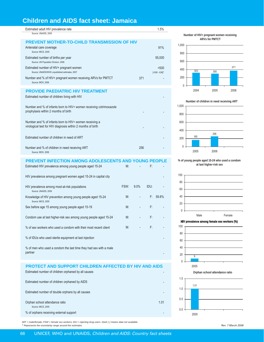## **Children and AIDS fact sheet: Jamaica**

| Estimated adult HIV prevalence rate                                                                                   | 1.5%                      |                                                               |
|-----------------------------------------------------------------------------------------------------------------------|---------------------------|---------------------------------------------------------------|
| Source: UNAIDS, 2006                                                                                                  |                           | Number of HIV+ pregnant wome                                  |
| <b>PREVENT MOTHER-TO-CHILD TRANSMISSION OF HIV</b>                                                                    |                           | <b>ARVs for PMTCT</b>                                         |
| Antenatal care coverage<br>Source: MICS, 2005                                                                         | 91%                       | 1,000<br>800                                                  |
| Estimated number of births per year<br>Source: UN Population Division, 2006                                           | 55,000                    | 600                                                           |
| Estimated number of HIV+ pregnant women<br>Source: UNAIDS/WHO unpublished estimates, 2007                             | < 500<br>$[<500 - 636]$ * | 400<br>323<br>300                                             |
| Number and % of HIV+ pregnant women receiving ARVs for PMTCT<br>Source: MOH. 2006                                     | 371                       | 200                                                           |
| <b>PROVIDE PAEDIATRIC HIV TREATMENT</b>                                                                               |                           | 0<br>2004<br>2005                                             |
| Estimated number of children living with HIV                                                                          |                           | Number of children in need re                                 |
| Number and % of infants born to HIV+ women receiving cotrimoxazole                                                    |                           | 1,000                                                         |
| prophylaxis within 2 months of birth                                                                                  |                           | 800                                                           |
| Number and % of infants born to HIV+ women receiving a                                                                |                           | 600                                                           |
| virological test for HIV diagnosis within 2 months of birth                                                           |                           | 400                                                           |
| Estimated number of children in need of ART                                                                           |                           | 256<br>165<br>200                                             |
|                                                                                                                       |                           |                                                               |
| Number and % of children in need receiving ART<br>Source: MOH. 2006                                                   | 256                       | 0<br>2005<br>2006                                             |
| <b>PREVENT INFECTION AMONG ADOLESCENTS AND YOUNG PEOPLE</b><br>Estimated HIV prevalence among young people aged 15-24 | F:<br>M:                  | % of young people aged 15-24 who u<br>at last higher-risk sex |
|                                                                                                                       |                           | 100                                                           |

| HIV prevalence among pregnant women aged 15-24 in capital city                  |      |                          |      |       | <b>IUU</b> |                                |
|---------------------------------------------------------------------------------|------|--------------------------|------|-------|------------|--------------------------------|
|                                                                                 |      |                          |      |       | 80         |                                |
| HIV prevalence among most-at-risk populations<br>Source: UNAIDS, 2006           | FSW: | 9.0%                     | IDU: |       | 60         |                                |
|                                                                                 | M:   |                          | F:   | 59.8% | 40         |                                |
| Knowledge of HIV prevention among young people aged 15-24<br>Source: MICS, 2005 |      | $\overline{\phantom{0}}$ |      |       |            |                                |
|                                                                                 | M:   |                          |      |       | 20         |                                |
| Sex before age 15 among young people aged 15-19                                 |      |                          | F:   |       | 0          |                                |
|                                                                                 | M:   |                          | F:   |       |            | Male                           |
| Condom use at last higher-risk sex among young people aged 15-24                |      |                          |      |       |            | HIV prevalence among female so |
|                                                                                 | M:   |                          | F:   |       | 100        |                                |
| % of sex workers who used a condom with their most recent client                |      |                          |      |       |            |                                |
|                                                                                 |      |                          |      |       | 80         |                                |
| % of IDUs who used sterile equipment at last injection                          |      |                          |      |       | 60         |                                |
|                                                                                 |      |                          |      |       |            |                                |
| % of men who used a condom the last time they had sex with a male               |      |                          |      |       | 40         |                                |

## **PROTECT AND SUPPORT CHILDREN AFFECTED BY HIV AND AIDS**

| Estimated number of children orphaned by all causes  |      |     |      | Orphan school attenda |
|------------------------------------------------------|------|-----|------|-----------------------|
| Estimated number of children orphaned by AIDS        | -    | 1.5 | 1.01 |                       |
| Estimated number of double orphans by all causes     | -    | 1.0 |      |                       |
| Orphan school attendance ratio<br>Source: MICS, 2005 | 1.01 | 0.5 |      |                       |
| % of orphans receiving external support              | -    | 0.0 | 2005 |                       |

\* *Represents the uncertainty range around the estimates M/F = male/female; FSW = female sex workers; IDU = injecting drug users. Dash (-) means data not available.*

partner







**% of young people aged 15-24 who used a condom at last higher-risk sex**



#### **HIV prevalence among female sex workers (%)**



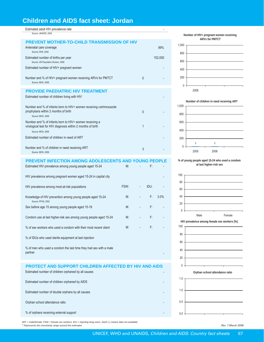## **Children and AIDS fact sheet: Jordan**

Estimated adult HIV prevalence rate Source: UNAIDS, 2006

#### **PREVENT MOTHER-TO-CHILD TRANSMISSION OF HIV**

| Antenatal care coverage                                      | 99%     | UUU, I |      |
|--------------------------------------------------------------|---------|--------|------|
| Source: DHS, 2002                                            |         | 800    |      |
| Estimated number of births per year                          | 152,000 |        |      |
| Source: UN Population Division, 2006                         |         | 600    |      |
| Estimated number of HIV+ pregnant women                      | -       | 400    |      |
|                                                              |         |        |      |
| Number and % of HIV+ pregnant women receiving ARVs for PMTCT |         | 200    |      |
| Source: MOH. 2006                                            |         |        |      |
|                                                              |         |        |      |
| <b>PROVIDE PAEDIATRIC HIV TREATMENT</b>                      |         |        | 2006 |
|                                                              |         |        |      |

Estimated number of children living with HIV

|                                                                                                            |   |       |      | Number of children in need re |
|------------------------------------------------------------------------------------------------------------|---|-------|------|-------------------------------|
| Number and % of infants born to HIV+ women receiving cotrimoxazole<br>prophylaxis within 2 months of birth | 0 | 1,000 |      |                               |
| Source: MOH, 2006                                                                                          |   | 800   |      |                               |
| Number and % of infants born to HIV+ women receiving a                                                     |   | 600   |      |                               |
| virological test for HIV diagnosis within 2 months of birth                                                |   |       |      |                               |
| Source: MOH, 2006                                                                                          |   | 400   |      |                               |
| Estimated number of children in need of ART                                                                |   | 200   |      |                               |
|                                                                                                            |   |       |      |                               |
| Number and % of children in need receiving ART<br>Source: MOH. 2006                                        | 3 |       | 2005 | 2006                          |

## **PREVENT INFECTION AMONG ADOLESCENTS AND YOUNG PEOPLE**

| Estimated HIV prevalence among young people aged 15-24           | M:   | F:   |      | at last liigilei -ilsk s |                                |  |
|------------------------------------------------------------------|------|------|------|--------------------------|--------------------------------|--|
| HIV prevalence among pregnant women aged 15-24 in capital city   |      |      |      | 100                      |                                |  |
|                                                                  |      |      |      | 80                       |                                |  |
| HIV prevalence among most-at-risk populations                    | FSW: | IDU: |      | 60                       |                                |  |
| Knowledge of HIV prevention among young people aged 15-24        | M:   | F:   | 3.0% | 40                       |                                |  |
| Source: PFHS, 2002                                               |      |      |      | 20                       |                                |  |
| Sex before age 15 among young people aged 15-19                  | M:   | F:   |      | 0                        |                                |  |
| Condom use at last higher-risk sex among young people aged 15-24 | M:   | F:   |      |                          | Male                           |  |
|                                                                  |      |      |      |                          | HIV prevalence among female se |  |
| % of sex workers who used a condom with their most recent client | M:   | F:   |      | 100                      |                                |  |
|                                                                  |      |      |      | 80                       |                                |  |
| % of IDUs who used sterile equipment at last injection           |      |      |      |                          |                                |  |

% of men who used a condom the last time they had sex with a male partner

## **PROTECT AND SUPPORT CHILDREN AFFECTED BY HIV AND AIDS**

| Estimated number of children orphaned by all causes | $\overline{\phantom{0}}$ | Orphan school attenda |
|-----------------------------------------------------|--------------------------|-----------------------|
| Estimated number of children orphaned by AIDS       |                          | 1.5                   |
| Estimated number of double orphans by all causes    | -                        | 1.0                   |
| Orphan school attendance ratio                      |                          | 0.5                   |
| % of orphans receiving external support             | $\overline{\phantom{0}}$ | 0.0                   |

\* *Represents the uncertainty range around the estimates M/F = male/female; FSW = female sex workers; IDU = injecting drug users. Dash (-) means data not available.*

Rev. 7 March 2008

**Number of HIV+ pregnant women receiving** 

|       | ∠∪∪  |                                          |  |
|-------|------|------------------------------------------|--|
|       |      | Number of children in need receiving ART |  |
| 1,000 |      |                                          |  |
| 800   |      |                                          |  |
| 600   |      |                                          |  |
| 400   |      |                                          |  |
| 200   | 3    | 3                                        |  |
|       | 2005 | 2006                                     |  |

**% of young people aged 15-24 who used a condom at last higher-risk sex**

| 100 |                                              |
|-----|----------------------------------------------|
| 80  |                                              |
| 60  |                                              |
| 40  |                                              |
| 20  |                                              |
| 0   |                                              |
|     | Male<br>Female                               |
|     | HIV prevalence among female sex workers (%)  |
| 100 |                                              |
| 80  |                                              |
| 60  |                                              |
| 40  | the control of the control of the control of |
| 20  |                                              |
|     |                                              |
| 0   |                                              |
|     | Orphan school attendance ratio               |
| 1.5 |                                              |
|     |                                              |
| 1.0 |                                              |
| 0.5 |                                              |
|     |                                              |
| 0.0 | T<br>T                                       |

-

-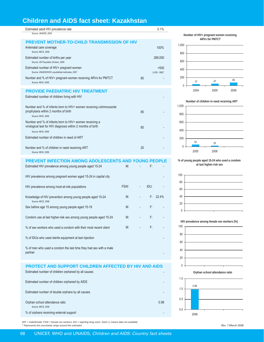# **Children and AIDS fact sheet: Kazakhstan**

| Estimated adult HIV prevalence rate                                         |      |      | 0.1%              |       |                                    |                         |
|-----------------------------------------------------------------------------|------|------|-------------------|-------|------------------------------------|-------------------------|
| Source: UNAIDS, 2006                                                        |      |      |                   |       | Number of HIV+ pregnant wome       |                         |
| PREVENT MOTHER-TO-CHILD TRANSMISSION OF HIV                                 |      |      |                   |       |                                    | <b>ARVs for PMTCT</b>   |
| Antenatal care coverage                                                     |      |      | 100%              | 1,000 |                                    |                         |
| Source: MICS, 2006                                                          |      |      |                   | 800   |                                    |                         |
| Estimated number of births per year<br>Source: UN Population Division, 2006 |      |      | 289,000           | 600   |                                    |                         |
| Estimated number of HIV+ pregnant women                                     |      |      | < 500             |       |                                    |                         |
| Source: UNAIDS/WHO unpublished estimates, 2007                              |      |      | $[<]200 - 566]$ * | 400   |                                    |                         |
| Number and % of HIV+ pregnant women receiving ARVs for PMTCT                | 80   |      |                   | 200   |                                    |                         |
| Source: MOH, 2006                                                           |      |      |                   | 0     | 37                                 | 47                      |
| <b>PROVIDE PAEDIATRIC HIV TREATMENT</b>                                     |      |      |                   |       | 2004                               | 2005                    |
| Estimated number of children living with HIV                                |      |      |                   |       |                                    |                         |
|                                                                             |      |      |                   |       | Number of children in need re      |                         |
| Number and % of infants born to HIV+ women receiving cotrimoxazole          |      |      |                   | 1,000 |                                    |                         |
| prophylaxis within 2 months of birth<br>Source: MOH, 2006                   | 85   |      |                   | 800   |                                    |                         |
| Number and % of infants born to HIV+ women receiving a                      |      |      |                   | 600   |                                    |                         |
| virological test for HIV diagnosis within 2 months of birth                 | 85   |      |                   |       |                                    |                         |
| Source: MOH, 2006                                                           |      |      |                   | 400   |                                    |                         |
| Estimated number of children in need of ART                                 |      |      |                   | 200   |                                    |                         |
|                                                                             |      |      |                   | 0     | 52                                 | 25                      |
| Number and % of children in need receiving ART<br>Source: MOH, 2006         | 25   |      |                   |       | 2005                               | 2006                    |
|                                                                             |      |      |                   |       |                                    |                         |
| <b>PREVENT INFECTION AMONG ADOLESCENTS AND YOUNG PEOPLE</b>                 |      |      |                   |       | % of young people aged 15-24 who u | at last higher-risk sex |
| Estimated HIV prevalence among young people aged 15-24                      | M:   | F:   |                   |       |                                    |                         |
| HIV prevalence among pregnant women aged 15-24 in capital city              |      |      |                   | 100   |                                    |                         |
|                                                                             |      |      |                   | 80    |                                    |                         |
| HIV prevalence among most-at-risk populations                               | FSW: | IDU: |                   |       |                                    |                         |
|                                                                             |      |      |                   | 60    |                                    |                         |
| Knowledge of HIV prevention among young people aged 15-24                   | M:   | F: . | 22.4%             | 40    |                                    |                         |
| Source: MICS, 2006                                                          | M:   | F:   |                   | 20    |                                    |                         |
| Sex before age 15 among young people aged 15-19                             |      |      |                   | 0     |                                    |                         |
| Condom use at last higher-risk sex among young people aged 15-24            | M:   | F:   |                   |       |                                    |                         |
|                                                                             |      |      |                   |       | HIV prevalence among female sex    |                         |
| % of sex workers who used a condom with their most recent client            | M:   | F:   |                   | 100   |                                    |                         |
|                                                                             |      |      |                   | 80    |                                    |                         |
| % of IDUs who used sterile equipment at last injection                      |      |      |                   | 60    |                                    |                         |
| % of men who used a condom the last time they had sex with a male           |      |      |                   |       |                                    |                         |
| partner                                                                     |      |      |                   | 40    |                                    |                         |
|                                                                             |      |      |                   | 20    |                                    |                         |
| <b>PROTECT AND SUPPORT CHILDREN AFFECTED BY HIV AND AIDS</b>                |      |      |                   | 0     |                                    |                         |
| Estimated number of children orphaned by all causes                         |      |      |                   |       |                                    | Orphan school attendan  |
|                                                                             |      |      |                   | 1.5   |                                    |                         |
| Estimated number of children orphaned by AIDS                               |      |      |                   |       |                                    |                         |
|                                                                             |      |      |                   |       | 0.98                               |                         |

52  $\theta$ 200 2005 25 2006 **% of young people aged 15-24 who used a condom at last higher-risk sex**

-

-

0.98



**Number of children in need receiving ART** 

<sup>47</sup> <sup>80</sup> <sup>37</sup>

**Number of HIV+ pregnant women receiving ARVs for PMTCT**

2004 2005 2006



\* *Represents the uncertainty range around the estimates M/F = male/female; FSW = female sex workers; IDU = injecting drug users. Dash (-) means data not available.*

Estimated number of double orphans by all causes

Orphan school attendance ratio Source: MICS, 2006

% of orphans receiving external support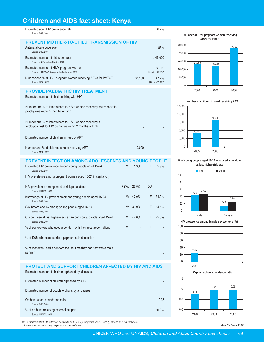# **Children and AIDS fact sheet: Kenya**

| Estimated adult HIV prevalence rate                                                       | 6.7%                                     |        |                              |
|-------------------------------------------------------------------------------------------|------------------------------------------|--------|------------------------------|
| Source: DHS, 2003                                                                         |                                          |        | Number of HIV+ pregnant wom  |
| <b>PREVENT MOTHER-TO-CHILD TRANSMISSION OF HIV</b><br>Antenatal care coverage             | 88%                                      | 40,000 | <b>ARVs for PMTCT</b>        |
| Source: DHS, 2003                                                                         |                                          | 32,000 |                              |
| Estimated number of births per year<br>Source: UN Population Division, 2006               | 1,447,000                                | 24,000 | 21,069                       |
| Estimated number of HIV+ pregnant women<br>Source: UNAIDS/WHO unpublished estimates, 2007 | 77.799<br>[66,593 - 88,223]*             | 16,000 | 19,403                       |
| Number and % of HIV+ pregnant women receiving ARVs for PMTCT<br>Source: MOH, 2006         | 37,130<br>47.7%<br>$[42.1\% - 55.8\%]$ * | 8,000  |                              |
| <b>PROVIDE PAEDIATRIC HIV TREATMENT</b>                                                   |                                          |        | 2004<br>2005                 |
| Estimated number of children living with HIV                                              |                                          |        | Number of children in need r |
| Number and % of infants born to HIV+ women receiving cotrimoxazole                        |                                          | 15,000 |                              |

| prophylaxis within 2 months of birth                        |        | - | 12.000 |       |        |  |
|-------------------------------------------------------------|--------|---|--------|-------|--------|--|
|                                                             |        |   |        |       | 10,000 |  |
| Number and % of infants born to HIV+ women receiving a      |        |   | 9.000  |       |        |  |
| virological test for HIV diagnosis within 2 months of birth |        |   | 6.000  |       |        |  |
|                                                             |        |   |        | 5,000 |        |  |
| Estimated number of children in need of ART                 |        |   | 3.000  |       |        |  |
| Number and % of children in need receiving ART              | 10.000 |   |        |       |        |  |
| Source: MOH. 2006                                           |        |   |        | 2005  | 2006   |  |

## **PREVENT INFECTION AMONG ADOLESCENTS AND YOUNG PEOPLE**

| Estimated HIV prevalence among young people aged 15-24                         | M: | 1.3%       | F:   | 5.9%        |     | at last liigilei -ilsk sex        |       |
|--------------------------------------------------------------------------------|----|------------|------|-------------|-----|-----------------------------------|-------|
| Source: DHS, 2003                                                              |    |            |      |             |     | $\blacksquare$ 1998               | ■2003 |
| HIV prevalence among pregnant women aged 15-24 in capital city                 |    |            |      |             | 100 |                                   |       |
|                                                                                |    |            |      |             | 80  |                                   |       |
| HIV prevalence among most-at-risk populations<br>Source: UNAIDS, 2006          |    | FSW: 25.5% | IDU: |             | 60  |                                   |       |
|                                                                                |    |            |      |             |     | 47.0<br>43.0                      |       |
| Knowledge of HIV prevention among young people aged 15-24<br>Source: DHS, 2003 | M: | 47.0%      |      | $F: 34.0\%$ | 40  |                                   | 14    |
|                                                                                |    |            |      |             | 20  |                                   |       |
| Sex before age 15 among young people aged 15-19<br>Source: DHS, 2003           | M: | 30.9%      |      | $F: 14.5\%$ |     |                                   |       |
| Condom use at last higher-risk sex among young people aged 15-24               | M: | 47.0%      |      | $F: 25.0\%$ |     | Male                              |       |
| Source: DHS, 2003                                                              |    |            |      |             |     | HIV prevalence among female sex w |       |
| % of sex workers who used a condom with their most recent client               | M: |            | F:   |             | 100 |                                   |       |
|                                                                                |    |            |      |             | 80  |                                   |       |
| % of IDUs who used sterile equipment at last injection                         |    |            |      |             |     |                                   |       |
|                                                                                |    |            |      |             | 60  |                                   |       |
|                                                                                |    |            |      |             | 40  |                                   |       |
| % of men who used a condom the last time they had sex with a male              |    |            |      |             |     | $\sim$ $-$                        |       |

## **PROTECT AND SUPPORT CHILDREN AFFECTED BY HIV AND AIDS**

| Estimated number of children orphaned by all causes                                  | -     | Orphan school attenda |      |      |  |
|--------------------------------------------------------------------------------------|-------|-----------------------|------|------|--|
| Estimated number of children orphaned by AIDS                                        | -     | 1.5                   |      |      |  |
| Estimated number of double orphans by all causes                                     |       | 1.0                   | 0.74 | 0.94 |  |
| Orphan school attendance ratio                                                       | 0.95  | 0.5                   |      |      |  |
| Source: DHS, 2003<br>% of orphans receiving external support<br>Source: UNAIDS, 2006 | 10.3% | 0.0                   | 1998 | 2000 |  |

### *M/F = male/female; FSW = female sex workers; IDU = injecting drug users. Dash (-) means data not available.*

\* *Represents the uncertainty range around the estimates*

partner

**Number of HIV+ pregnant women receiving ARVs for PMTCT**





**% of young people aged 15-24 who used a condom at last higher-risk sex**









1998 2000 2003



-

Rev. 7 March 2008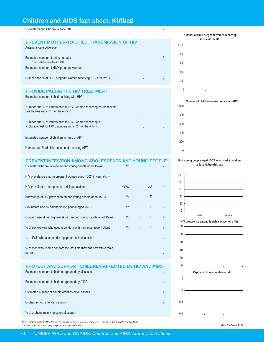## Estimated adult HIV prevalence rate

## **PREVENT MOTHER-TO-CHILD TRANSMISSION OF HIV**

| Antenatal care coverage                                           |     |  |
|-------------------------------------------------------------------|-----|--|
|                                                                   | 800 |  |
| Estimated number of births per year<br>ν                          |     |  |
| Source: UN Population Division, 2006                              | 600 |  |
| Estimated number of HIV+ pregnant women                           | 400 |  |
|                                                                   |     |  |
| Number and % of HIV+ pregnant women receiving ARVs for PMTCT<br>- | 200 |  |
|                                                                   |     |  |

## **PROVIDE PAEDIATRIC HIV TREATMENT**

| Estimated number of children living with HIV                       |  |       |                               |
|--------------------------------------------------------------------|--|-------|-------------------------------|
|                                                                    |  |       | Number of children in need re |
| Number and % of infants born to HIV+ women receiving cotrimoxazole |  | 1,000 |                               |
| prophylaxis within 2 months of birth                               |  | 800   |                               |
|                                                                    |  |       |                               |
| Number and % of infants born to HIV+ women receiving a             |  | 600   |                               |
| virological test for HIV diagnosis within 2 months of birth        |  |       |                               |
|                                                                    |  | 400   |                               |
| Estimated number of children in need of ART                        |  | 200   |                               |
|                                                                    |  |       |                               |
| Number and % of children in need receiving ART                     |  |       |                               |

## **PREVENT INFECTION AMONG ADOLESCENTS AND YOUNG PEOPLE**

| Estimated HIV prevalence among young people aged 15-24            | M:   | F:   | at last liigilei -ilsk s                  |                                |  |
|-------------------------------------------------------------------|------|------|-------------------------------------------|--------------------------------|--|
| HIV prevalence among pregnant women aged 15-24 in capital city    |      |      | 100                                       |                                |  |
| HIV prevalence among most-at-risk populations                     | FSW: | IDU: | 80<br>60                                  |                                |  |
| Knowledge of HIV prevention among young people aged 15-24         | M:   | F:   | 40                                        |                                |  |
| Sex before age 15 among young people aged 15-19                   | M:   | F:   | 20                                        |                                |  |
|                                                                   | M:   | F:   | 0                                         | Male                           |  |
| Condom use at last higher-risk sex among young people aged 15-24  |      |      |                                           | HIV prevalence among female se |  |
| % of sex workers who used a condom with their most recent client  | M:   | F:   | 100<br>80                                 |                                |  |
| % of IDUs who used sterile equipment at last injection            |      |      | 60                                        |                                |  |
| % of men who used a condom the last time they had sex with a male |      |      | $\Lambda$ <sup><math>\Lambda</math></sup> |                                |  |

**PROTECT AND SUPPORT CHILDREN AFFECTED BY HIV AND AIDS**

partner

| Estimated number of children orphaned by all causes |   |     | Orphan school attenda |
|-----------------------------------------------------|---|-----|-----------------------|
| Estimated number of children orphaned by AIDS       |   | 1.5 |                       |
| Estimated number of double orphans by all causes    | - | 1.0 |                       |
| Orphan school attendance ratio                      |   | 0.5 |                       |
| % of orphans receiving external support             |   | 0.0 |                       |

\* *Represents the uncertainty range around the estimates M/F = male/female; FSW = female sex workers; IDU = injecting drug users. Dash (-) means data not available.*

| Number of HIV+ pregnant women receiving |  |
|-----------------------------------------|--|
| <b>ARVs for PMTCT</b>                   |  |

-

-

| 1,000 |  |
|-------|--|
| 800   |  |
| 600   |  |
| 400   |  |
| 200   |  |
|       |  |

|       | Number of children in need receiving ART |
|-------|------------------------------------------|
| 1,000 |                                          |
| 800   |                                          |
| 600   |                                          |
| 400   |                                          |
| 200   |                                          |
|       |                                          |

#### **% of young people aged 15-24 who used a condom at last higher-risk sex**

| 100     |                                             |
|---------|---------------------------------------------|
| 80      |                                             |
| 60      |                                             |
| 40      |                                             |
| 20      |                                             |
| 0       |                                             |
|         | Male<br>Female                              |
|         | HIV prevalence among female sex workers (%) |
| $100 -$ |                                             |
| 80<br>ł |                                             |
| 60      |                                             |
| 40      |                                             |
| 20      |                                             |
| 0       |                                             |
|         | Orphan school attendance ratio              |
| 1.5     |                                             |
| 1.0     |                                             |
|         |                                             |
| 0.5     |                                             |
| 0.0     | T                                           |
|         |                                             |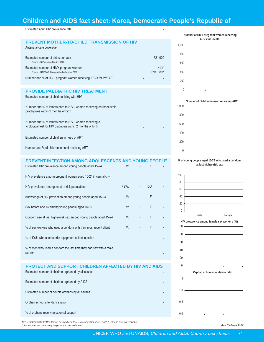## **Children and AIDS fact sheet: Korea, Democratic People's Republic of**

-

### Estimated adult HIV prevalence rate

Estimated number of HIV+ pregnant women Source: UNAIDS/WHO unpublished estimates, 2007 Source: UNAIDS/WHO unpublished estimates, 2007

Estimated number of children living with HIV

partner

Number and % of HIV+ pregnant women receiving ARVs for PMTCT

**PROVIDE PAEDIATRIC HIV TREATMENT**

## **PREVENT MOTHER-TO-CHILD TRANSMISSION OF HIV** Antenatal care coverage Estimated number of births per year 321,000

**Number of HIV+ pregnant women receiving ARVs for PMTCT**

| <b>EVENT MOTHER-TO-CHILD TRANSMISSION OF HIV</b>          |                  | 1.000 |  |
|-----------------------------------------------------------|------------------|-------|--|
| natal care coverage                                       |                  |       |  |
|                                                           |                  | 800   |  |
| nated number of births per year                           | 321,000          |       |  |
| Source: UN Population Division, 2006                      |                  | 600   |  |
| nated number of HIV+ pregnant women                       | < 100            |       |  |
| Source: UNAIDS/WHO unpublished estimates, 2007            | $[<100 - 200]$ * | 400   |  |
| ber and % of HIV+ pregnant women receiving ARVs for PMTCT |                  | 200   |  |
|                                                           |                  |       |  |
|                                                           |                  |       |  |
| <b>OVIDE PAEDIATRIC HIV TREATMENT</b>                     |                  |       |  |
| nated number of children living with HIV                  |                  |       |  |

|                                                                                                                       |  | Number of children in need receiving ART |  |
|-----------------------------------------------------------------------------------------------------------------------|--|------------------------------------------|--|
| Number and % of infants born to HIV+ women receiving cotrimoxazole                                                    |  | 1,000                                    |  |
| prophylaxis within 2 months of birth                                                                                  |  | 800                                      |  |
|                                                                                                                       |  |                                          |  |
| Number and % of infants born to HIV+ women receiving a<br>virological test for HIV diagnosis within 2 months of birth |  | 600                                      |  |
|                                                                                                                       |  | 400                                      |  |
| Estimated number of children in need of ART                                                                           |  |                                          |  |
|                                                                                                                       |  | 200                                      |  |
| Number and % of children in need receiving ART                                                                        |  |                                          |  |
|                                                                                                                       |  |                                          |  |

#### **PREVENT INFECTION AMONG ADOLESCENTS AND YOUNG PEOPLE**

| Estimated HIV prevalence among young people aged 15-24            | M:   | F:   | at last higher-risk s                           |  |
|-------------------------------------------------------------------|------|------|-------------------------------------------------|--|
| HIV prevalence among pregnant women aged 15-24 in capital city    |      |      | 100                                             |  |
| HIV prevalence among most-at-risk populations                     | FSW: | IDU: | 80<br>60                                        |  |
| Knowledge of HIV prevention among young people aged 15-24         | M:   | F:   | 40                                              |  |
| Sex before age 15 among young people aged 15-19                   | M:   | F:   | 20<br>0                                         |  |
| Condom use at last higher-risk sex among young people aged 15-24  | M:   | F:   | Male                                            |  |
| % of sex workers who used a condom with their most recent client  | M:   | F:   | HIV prevalence among female se<br>100           |  |
| % of IDUs who used sterile equipment at last injection            |      |      | 80                                              |  |
| % of men who used a condom the last time they had sex with a male |      |      | 60<br>$\Lambda$ <sup><math>\Lambda</math></sup> |  |

#### **PROTECT AND SUPPORT CHILDREN AFFECTED BY HIV AND AIDS**

| Estimated number of children orphaned by all causes | $\qquad \qquad \blacksquare$ | Orphan school attenda |
|-----------------------------------------------------|------------------------------|-----------------------|
| Estimated number of children orphaned by AIDS       | -                            | 1.5                   |
| Estimated number of double orphans by all causes    | -                            | 1.0                   |
| Orphan school attendance ratio                      |                              | 0.5                   |
| % of orphans receiving external support             |                              | 0.0                   |

**% of young people aged 15-24 who used a condom at last higher-risk sex**

| 100 |                                             |
|-----|---------------------------------------------|
| 80  |                                             |
| 60  |                                             |
| 40  |                                             |
| 20  |                                             |
| 0   | Male<br>Female                              |
| 100 | HIV prevalence among female sex workers (%) |
| 80  |                                             |
| 60  |                                             |
| 40  |                                             |
| 20  |                                             |
| 0   |                                             |
|     | Orphan school attendance ratio              |
| 1.5 |                                             |
| 1.0 |                                             |
| 0.5 |                                             |
| 0.0 |                                             |

\* *Represents the uncertainty range around the estimates M/F = male/female; FSW = female sex workers; IDU = injecting drug users. Dash (-) means data not available.*

Rev. 7 March 2008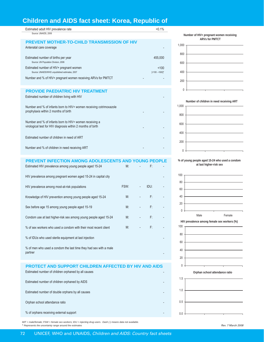# **Children and AIDS fact sheet: Korea, Republic of**

| Estimated adult HIV prevalence rate                                                                                   |      |                     | $< 0.1\%$      |              |                                                                           |
|-----------------------------------------------------------------------------------------------------------------------|------|---------------------|----------------|--------------|---------------------------------------------------------------------------|
| Source: UNAIDS, 2006                                                                                                  |      |                     |                |              | Number of HIV+ pregnant women receiving<br><b>ARVs for PMTCT</b>          |
| <b>PREVENT MOTHER-TO-CHILD TRANSMISSION OF HIV</b>                                                                    |      |                     |                | 1,000        |                                                                           |
| Antenatal care coverage                                                                                               |      |                     |                |              |                                                                           |
| Estimated number of births per year                                                                                   |      |                     | 455,000        | 800          |                                                                           |
| Source: UN Population Division, 2006                                                                                  |      |                     |                | 600          |                                                                           |
| Estimated number of HIV+ pregnant women                                                                               |      |                     | < 100          |              |                                                                           |
| Source: UNAIDS/WHO unpublished estimates, 2007                                                                        |      | $[< 100 - 500]$ *   |                | 400          |                                                                           |
| Number and % of HIV+ pregnant women receiving ARVs for PMTCT                                                          |      |                     |                | 200          |                                                                           |
|                                                                                                                       |      |                     |                | 0            |                                                                           |
| <b>PROVIDE PAEDIATRIC HIV TREATMENT</b>                                                                               |      |                     |                |              |                                                                           |
| Estimated number of children living with HIV                                                                          |      |                     |                |              | Number of children in need receiving ART                                  |
| Number and % of infants born to HIV+ women receiving cotrimoxazole                                                    |      |                     |                | 1,000        |                                                                           |
| prophylaxis within 2 months of birth                                                                                  |      |                     |                | 800          |                                                                           |
|                                                                                                                       |      |                     |                |              |                                                                           |
| Number and % of infants born to HIV+ women receiving a<br>virological test for HIV diagnosis within 2 months of birth |      |                     |                | 600          |                                                                           |
|                                                                                                                       |      |                     |                | 400          |                                                                           |
| Estimated number of children in need of ART                                                                           |      |                     |                |              |                                                                           |
|                                                                                                                       |      |                     |                | 200          |                                                                           |
| Number and % of children in need receiving ART                                                                        |      |                     |                | 0            |                                                                           |
|                                                                                                                       |      |                     |                |              |                                                                           |
| PREVENT INFECTION AMONG ADOLESCENTS AND YOUNG                                                                         | M:   | <b>PEOPLE</b><br>F: |                |              | % of young people aged 15-24 who used a condom<br>at last higher-risk sex |
| Estimated HIV prevalence among young people aged 15-24                                                                |      |                     |                |              |                                                                           |
| HIV prevalence among pregnant women aged 15-24 in capital city                                                        |      |                     |                | 100          |                                                                           |
|                                                                                                                       |      |                     |                | 80           |                                                                           |
| HIV prevalence among most-at-risk populations                                                                         | FSW: | IDU:                |                | 60           |                                                                           |
| Knowledge of HIV prevention among young people aged 15-24                                                             | M:   | F:                  | $\overline{a}$ | 40           |                                                                           |
|                                                                                                                       |      |                     |                | 20           |                                                                           |
| Sex before age 15 among young people aged 15-19                                                                       | M:   | F:                  |                | $\mathbf{0}$ |                                                                           |
|                                                                                                                       |      |                     |                |              | Male<br>Female                                                            |
| Condom use at last higher-risk sex among young people aged 15-24                                                      | M:   | F:                  |                |              | HIV prevalence among female sex workers (%)                               |
| % of sex workers who used a condom with their most recent client                                                      | M:   | F:                  |                | 100          |                                                                           |
|                                                                                                                       |      |                     |                | 80           |                                                                           |
| % of IDUs who used sterile equipment at last injection                                                                |      |                     |                | 60           |                                                                           |
| % of men who used a condom the last time they had sex with a male                                                     |      |                     |                |              |                                                                           |
| partner                                                                                                               |      |                     |                | 40           |                                                                           |
|                                                                                                                       |      |                     |                | 20           |                                                                           |
| <b>PROTECT AND SUPPORT CHILDREN AFFECTED BY HIV AND AIDS</b>                                                          |      |                     |                | 0            |                                                                           |
| Estimated number of children orphaned by all causes                                                                   |      |                     |                |              | Orphan school attendance ratio                                            |
|                                                                                                                       |      |                     |                | 1.5          |                                                                           |
| Estimated number of children orphaned by AIDS                                                                         |      |                     |                |              |                                                                           |
| Estimated number of double orphans by all causes                                                                      |      |                     |                | 1.0          |                                                                           |
|                                                                                                                       |      |                     |                |              |                                                                           |
| Orphan school attendance ratio                                                                                        |      |                     |                | 0.5          |                                                                           |
|                                                                                                                       |      |                     |                |              |                                                                           |
| % of orphans receiving external support                                                                               |      |                     |                | 0.0          |                                                                           |
|                                                                                                                       |      |                     |                |              |                                                                           |

\* *Represents the uncertainty range around the estimates M/F = male/female; FSW = female sex workers; IDU = injecting drug users. Dash (-) means data not available.*  $\overline{\phantom{0}}$ 

 $\overline{\phantom{0}}$ 

 $\overline{\phantom{0}}$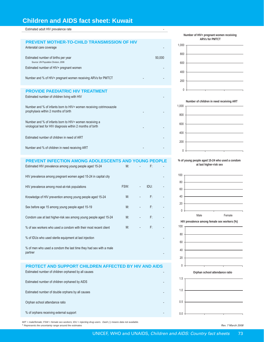## Estimated adult HIV prevalence rate

## **PREVENT MOTHER-TO-CHILD TRANSMISSION OF HIV**

| Antenatal care coverage                                                                  |     |  |
|------------------------------------------------------------------------------------------|-----|--|
|                                                                                          | 800 |  |
| Estimated number of births per year<br>50,000                                            |     |  |
| Source: UN Population Division, 2006                                                     | 600 |  |
| Estimated number of HIV+ pregnant women                                                  | 400 |  |
|                                                                                          |     |  |
| Number and % of HIV+ pregnant women receiving ARVs for PMTCT<br>$\overline{\phantom{a}}$ | 200 |  |
|                                                                                          |     |  |

## **PROVIDE PAEDIATRIC HIV TREATMENT**

| Estimated number of children living with HIV |   |
|----------------------------------------------|---|
|                                              | . |

Number and % of infants born to HIV+ women receiving cotrimoxazole Number and % of infants born to HIV+ women receiving cotrimoxazole prophylaxis within 6 weeks of birth <sup>2007</sup> <sup>1090</sup> prophylaxis within 2 months of birth

Number and % of infants born to HIV+ women receiving a Number and % of infants born to HIV+ women receiving a virological test for HIV diagnosis within 2 months of birth Estimated number of children in need of ART

Number and % of children in need receiving ART

## **PREVENT INFECTION AMONG ADOLESCENTS AND YOUNG PEOPLE**

| Estimated HIV prevalence among young people aged 15-24           | M:   | F:   |     | at last liigilei -ilsk s       |
|------------------------------------------------------------------|------|------|-----|--------------------------------|
| HIV prevalence among pregnant women aged 15-24 in capital city   |      |      | 100 |                                |
| HIV prevalence among most-at-risk populations                    | FSW: | IDU: | 80  |                                |
|                                                                  |      |      | 60  |                                |
| Knowledge of HIV prevention among young people aged 15-24        | M:   | F:   | 40  |                                |
| Sex before age 15 among young people aged 15-19                  | M:   | F:   | 20  |                                |
|                                                                  |      |      | 0   |                                |
| Condom use at last higher-risk sex among young people aged 15-24 | M:   | F:   |     | Male                           |
|                                                                  |      |      |     | HIV prevalence among female se |
| % of sex workers who used a condom with their most recent client | M:   | F:   | 100 |                                |
| % of IDUs who used sterile equipment at last injection           |      |      | 80  |                                |
|                                                                  |      |      | 60  |                                |
|                                                                  |      |      |     |                                |

% of men who used a condom the last time they had sex with a male partner

## **PROTECT AND SUPPORT CHILDREN AFFECTED BY HIV AND AIDS**

| Estimated number of children orphaned by all causes | $\overline{\phantom{0}}$ | Orphan school attenda |
|-----------------------------------------------------|--------------------------|-----------------------|
| Estimated number of children orphaned by AIDS       |                          | l.5                   |
| Estimated number of double orphans by all causes    |                          | 1.0                   |
| Orphan school attendance ratio                      | -                        | 0.5                   |
| % of orphans receiving external support             |                          | 0.0                   |

 $*$  Represents the uncertainty range around the estimates *M/F = male/female; FSW = female sex workers; IDU = injecting drug users. Dash (-) means data not available.*

Rev. 7 March 2008

| 1,000 |  |
|-------|--|
|       |  |
| 800   |  |
|       |  |
| 600   |  |
|       |  |
| 400   |  |

**Number of HIV+ pregnant women receiving ARVs for PMTCT**

**Number of children in need receiving ART**  $0$ . 200 400 600 800 1,000

#### **% of young people aged 15-24 who used a condom at last higher-risk sex**

| 100      |                                             |
|----------|---------------------------------------------|
| 80       |                                             |
| 60       |                                             |
| 40       |                                             |
| 20       |                                             |
| 0        |                                             |
|          | Male<br>Female                              |
| 100      | HIV prevalence among female sex workers (%) |
| 80<br>ł, |                                             |
| 60       |                                             |
| 40       |                                             |
| 20       |                                             |
| 0        |                                             |
|          | Orphan school attendance ratio              |
| 1.5      |                                             |
| 1.0      |                                             |
| 0.5      |                                             |
| 0.0      | T                                           |

-

- -

- -

- -

-

 $\Omega$ 200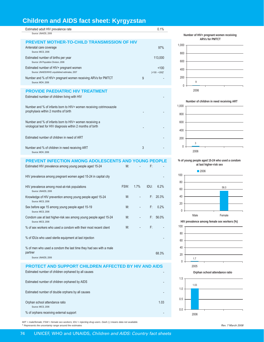# **Children and AIDS fact sheet: Kyrgyzstan**

| Estimated adult HIV prevalence rate                                                    |      |      |      | 0.1%             |       |                                    |
|----------------------------------------------------------------------------------------|------|------|------|------------------|-------|------------------------------------|
| Source: UNAIDS, 2006                                                                   |      |      |      |                  |       | Number of HIV+ pregnant wome       |
| <b>PREVENT MOTHER-TO-CHILD TRANSMISSION OF HIV</b>                                     |      |      |      |                  |       | <b>ARVs for PMTCT</b>              |
| Antenatal care coverage                                                                |      |      |      | 97%              | 1,000 |                                    |
| Source: MICS, 2006                                                                     |      |      |      |                  | 800   |                                    |
| Estimated number of births per year                                                    |      |      |      | 113,000          |       |                                    |
| Source: UN Population Division, 2006                                                   |      |      |      |                  | 600   |                                    |
| Estimated number of HIV+ pregnant women                                                |      |      |      | 100              | 400   |                                    |
| Source: UNAIDS/WHO unpublished estimates, 2007                                         |      |      |      | $[<100 - 200]$ * |       |                                    |
| Number and % of HIV+ pregnant women receiving ARVs for PMTCT                           |      | 9    |      |                  | 200   |                                    |
| Source: MOH. 2006                                                                      |      |      |      |                  | 0     | 9                                  |
|                                                                                        |      |      |      |                  |       | 2006                               |
| <b>PROVIDE PAEDIATRIC HIV TREATMENT</b>                                                |      |      |      |                  |       |                                    |
| Estimated number of children living with HIV                                           |      |      |      |                  |       | Number of children in need re      |
| Number and % of infants born to HIV+ women receiving cotrimoxazole                     |      |      |      |                  | 1,000 |                                    |
| prophylaxis within 2 months of birth                                                   |      |      |      |                  |       |                                    |
|                                                                                        |      |      |      |                  | 800   |                                    |
| Number and % of infants born to HIV+ women receiving a                                 |      |      |      |                  | 600   |                                    |
| virological test for HIV diagnosis within 2 months of birth                            |      |      |      |                  |       |                                    |
|                                                                                        |      |      |      |                  | 400   |                                    |
| Estimated number of children in need of ART                                            |      |      |      |                  | 200   |                                    |
|                                                                                        |      |      |      |                  |       | 3                                  |
| Number and % of children in need receiving ART                                         |      | 3    |      |                  | 0     |                                    |
| Source: MOH, 2006                                                                      |      |      |      |                  |       | 2006                               |
| PREVENT INFECTION AMONG ADOLESCENTS AND YOUNG                                          |      |      |      | <b>PEOPLE</b>    |       | % of young people aged 15-24 who u |
| Estimated HIV prevalence among young people aged 15-24                                 | M:   |      | F:   |                  |       | at last higher-risk sex            |
|                                                                                        |      |      |      |                  |       | ■2006                              |
| HIV prevalence among pregnant women aged 15-24 in capital city                         |      |      |      |                  | 100   |                                    |
|                                                                                        |      |      |      |                  | 80    |                                    |
| HIV prevalence among most-at-risk populations                                          | FSW: | 1.7% | IDU: | 6.2%             | 60    |                                    |
| Source: UNAIDS, 2006                                                                   |      |      |      |                  |       |                                    |
| Knowledge of HIV prevention among young people aged 15-24                              | M:   |      | F: I | 20.3%            | 40    |                                    |
| Source: MICS, 2006                                                                     |      |      |      |                  | 20    |                                    |
| Sex before age 15 among young people aged 15-19                                        | M:   |      | F:   | 0.2%             | 0     |                                    |
| Source: MICS, 2006                                                                     |      |      |      |                  |       | Male<br>Fe                         |
| Condom use at last higher-risk sex among young people aged 15-24<br>Source: MICS, 2006 | M:   |      | F: I | 56.0%            |       | HIV prevalence among female sex    |
| % of sex workers who used a condom with their most recent client                       | M:   |      | F:   |                  | 100   |                                    |
|                                                                                        |      |      |      |                  |       |                                    |
| % of IDUs who used sterile equipment at last injection                                 |      |      |      |                  | 80    |                                    |
|                                                                                        |      |      |      |                  | 60    |                                    |
| % of men who used a condom the last time they had sex with a male                      |      |      |      |                  | 40    |                                    |
| partner                                                                                |      |      |      | 68.3%            | 20    |                                    |
| Source: UNAIDS, 2006                                                                   |      |      |      |                  |       |                                    |

## **PROTECT AND SUPPORT CHILDREN AFFECTED BY HIV AND AIDS**

| Estimated number of children orphaned by all causes           | $\qquad \qquad \blacksquare$ | Orphan school attenda |      |  |
|---------------------------------------------------------------|------------------------------|-----------------------|------|--|
| Estimated number of children orphaned by AIDS                 |                              | 1.5                   | 1.03 |  |
| Estimated number of double orphans by all causes              | -                            | 1.0                   |      |  |
| Orphan school attendance ratio                                | 1.03                         | 0.5                   |      |  |
| Source: MICS, 2006<br>% of orphans receiving external support |                              | 0.0                   | 2006 |  |

\* *Represents the uncertainty range around the estimates M/F = male/female; FSW = female sex workers; IDU = injecting drug users. Dash (-) means data not available.*





**% of young people aged 15-24 who used a condom at last higher-risk sex**

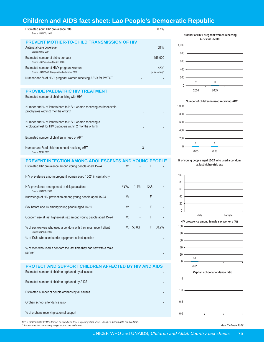## **Children and AIDS fact sheet: Lao People's Democratic Republic**

| <u>aron ana mpo iaot ono</u>                                                                               |                     | <u> SINAND I ISPANIIS</u> |                                         |  |
|------------------------------------------------------------------------------------------------------------|---------------------|---------------------------|-----------------------------------------|--|
| Estimated adult HIV prevalence rate                                                                        | 0.1%                |                           |                                         |  |
| Source: UNAIDS, 2006                                                                                       |                     |                           | Number of HIV+ pregnant women rece      |  |
| PREVENT MOTHER-TO-CHILD TRANSMISSION OF HIV                                                                |                     |                           | <b>ARVs for PMTCT</b>                   |  |
| Antenatal care coverage                                                                                    | 27%                 | 1,000                     |                                         |  |
| Source: MICS, 2001                                                                                         |                     | 800                       |                                         |  |
| Estimated number of births per year                                                                        | 156.000             |                           |                                         |  |
| Source: UN Population Division, 2006                                                                       |                     | 600                       |                                         |  |
| Estimated number of HIV+ pregnant women                                                                    | < 200               | 400                       |                                         |  |
| Source: UNAIDS/WHO unpublished estimates, 2007                                                             | $[< 100 - 500]$ *   | 200                       |                                         |  |
| Number and % of HIV+ pregnant women receiving ARVs for PMTCT                                               |                     |                           | 11<br>$\overline{c}$                    |  |
|                                                                                                            |                     | 0                         |                                         |  |
| <b>PROVIDE PAEDIATRIC HIV TREATMENT</b>                                                                    |                     |                           | 2004<br>2005                            |  |
| Estimated number of children living with HIV                                                               |                     |                           |                                         |  |
|                                                                                                            |                     | 1,000                     | Number of children in need receivin     |  |
| Number and % of infants born to HIV+ women receiving cotrimoxazole<br>prophylaxis within 2 months of birth |                     |                           |                                         |  |
|                                                                                                            |                     | 800                       |                                         |  |
| Number and % of infants born to HIV+ women receiving a                                                     |                     | 600                       |                                         |  |
| virological test for HIV diagnosis within 2 months of birth                                                |                     |                           |                                         |  |
|                                                                                                            |                     | 400                       |                                         |  |
| Estimated number of children in need of ART                                                                |                     | 200                       |                                         |  |
|                                                                                                            |                     | 0                         | 3<br>3                                  |  |
| Number and % of children in need receiving ART<br>Source: MOH. 2006                                        | 3                   |                           | 2005<br>2006                            |  |
|                                                                                                            |                     |                           |                                         |  |
| <b>PREVENT INFECTION AMONG ADOLESCENTS AND</b>                                                             | <b>YOUNG PEOPLE</b> |                           | % of young people aged 15-24 who used a |  |
| M:<br>Estimated HIV prevalence among young people aged 15-24                                               | F:                  |                           | at last higher-risk sex                 |  |
|                                                                                                            |                     | 100                       |                                         |  |
| HIV prevalence among pregnant women aged 15-24 in capital city                                             |                     | 80                        |                                         |  |
| 1.1%<br>FSW:<br>HIV prevalence among most-at-risk populations                                              | IDU:                |                           |                                         |  |
| Source: UNAIDS, 2006                                                                                       |                     | 60                        |                                         |  |
| Knowledge of HIV provention among voung nearly aged 15 24<br>$M -$                                         | Е۰                  | 40                        |                                         |  |

|                                                                       |      |                          |      |             | 100 |                                |
|-----------------------------------------------------------------------|------|--------------------------|------|-------------|-----|--------------------------------|
| HIV prevalence among pregnant women aged 15-24 in capital city        |      |                          |      |             |     |                                |
|                                                                       |      |                          |      |             | 80  |                                |
| HIV prevalence among most-at-risk populations<br>Source: UNAIDS, 2006 | FSW: | 1.1%                     | IDU: |             | 60  |                                |
|                                                                       |      |                          |      |             | 40  |                                |
| Knowledge of HIV prevention among young people aged 15-24             | M:   | -                        | F:   |             |     |                                |
|                                                                       |      |                          |      |             | 20  |                                |
| Sex before age 15 among young people aged 15-19                       | M:   | $\overline{\phantom{0}}$ | F:   |             |     |                                |
|                                                                       |      |                          |      |             | 0   |                                |
| Condom use at last higher-risk sex among young people aged 15-24      | M:   |                          | F:   |             |     | Male                           |
|                                                                       |      |                          |      |             |     | HIV prevalence among female se |
| % of sex workers who used a condom with their most recent client      | M:   | 58.8%                    |      | $F: 88.9\%$ | 100 |                                |
| Source: UNAIDS, 2006                                                  |      |                          |      |             |     |                                |
|                                                                       |      |                          |      |             | 80  |                                |
| % of IDUs who used sterile equipment at last injection                |      |                          |      |             | 60  |                                |
|                                                                       |      |                          |      |             |     |                                |

% of men who used a condom the last time they had sex with a male partner

## **PROTECT AND SUPPORT CHILDREN AFFECTED BY HIV AND AIDS**

| Estimated number of children orphaned by all causes | $\qquad \qquad \blacksquare$ |     | Orphan school attenda |
|-----------------------------------------------------|------------------------------|-----|-----------------------|
| Estimated number of children orphaned by AIDS       | -                            | 1.5 |                       |
| Estimated number of double orphans by all causes    | -                            | 1.0 |                       |
| Orphan school attendance ratio                      |                              | 0.5 |                       |
| % of orphans receiving external support             |                              | 0.0 |                       |

\* *Represents the uncertainty range around the estimates M/F = male/female; FSW = female sex workers; IDU = injecting drug users. Dash (-) means data not available.*

Rev. 7 March 2008

-

**Number of HIV+ pregnant women receiving** 

| 1,000 |                |      |  |
|-------|----------------|------|--|
| 800   |                |      |  |
| 600   |                |      |  |
| 400   |                |      |  |
|       |                |      |  |
| 200   | $\overline{2}$ | 11   |  |
| 0     | 2004           | 2005 |  |



condom

| 100 |                                             |
|-----|---------------------------------------------|
| 80  |                                             |
| 60  |                                             |
| 40  |                                             |
| 20  |                                             |
| 0   |                                             |
|     | Female<br>Male                              |
| 100 | HIV prevalence among female sex workers (%) |
| 80  |                                             |
| 60  |                                             |
| 40  |                                             |
| 20  |                                             |
| 0   | 1.1                                         |
|     | 2001                                        |
|     | Orphan school attendance ratio              |
| 1.5 |                                             |
| 1.0 |                                             |
| 0.5 |                                             |
| 0.0 |                                             |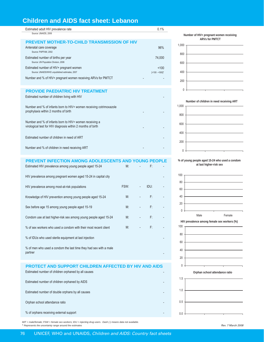# **Children and AIDS fact sheet: Lebanon**

|         | Estimated adult HIV prevalence rate                                                                                 |      |      | 0.1%                    |          |                                |                                                |
|---------|---------------------------------------------------------------------------------------------------------------------|------|------|-------------------------|----------|--------------------------------|------------------------------------------------|
|         | Source: UNAIDS, 2006                                                                                                |      |      |                         |          | <b>ARVs for PMTCT</b>          | Number of HIV+ pregnant women receiving        |
|         | PREVENT MOTHER-TO-CHILD TRANSMISSION OF HIV                                                                         |      |      |                         | 1,000    |                                |                                                |
|         | Antenatal care coverage<br>Source: PAPFAM, 2002                                                                     |      |      | 96%                     |          |                                |                                                |
|         | Estimated number of births per year                                                                                 |      |      | 74,000                  | 800      |                                |                                                |
|         | Source: UN Population Division, 2006                                                                                |      |      |                         | 600      |                                |                                                |
|         | Estimated number of HIV+ pregnant women<br>Source: UNAIDS/WHO unpublished estimates, 2007                           |      |      | 100<br>$[<100 - 500]$ * | 400      |                                |                                                |
|         | Number and % of HIV+ pregnant women receiving ARVs for PMTCT                                                        |      |      |                         | 200      |                                |                                                |
|         | <b>PROVIDE PAEDIATRIC HIV TREATMENT</b>                                                                             |      |      |                         | 0        |                                |                                                |
|         | Estimated number of children living with HIV                                                                        |      |      |                         |          |                                |                                                |
|         | Number and % of infants born to HIV+ women receiving cotrimoxazole                                                  |      |      |                         | 1,000    |                                | Number of children in need receiving ART       |
|         | prophylaxis within 2 months of birth                                                                                |      |      |                         | 800      |                                |                                                |
|         | Number and % of infants born to HIV+ women receiving a                                                              |      |      |                         | 600      |                                |                                                |
|         | virological test for HIV diagnosis within 2 months of birth                                                         |      |      |                         | 400      |                                |                                                |
|         | Estimated number of children in need of ART                                                                         |      |      |                         |          |                                |                                                |
|         | Number and % of children in need receiving ART                                                                      |      |      |                         | 200      |                                |                                                |
|         |                                                                                                                     |      |      |                         | $\Omega$ |                                |                                                |
|         | PREVENT INFECTION AMONG ADOLESCENTS AND YOUNG PEOPLE                                                                |      |      |                         |          |                                | % of young people aged 15-24 who used a condom |
|         | Estimated HIV prevalence among young people aged 15-24                                                              | M:   | F:   |                         |          | at last higher-risk sex        |                                                |
|         | HIV prevalence among pregnant women aged 15-24 in capital city                                                      |      |      |                         | 100      |                                |                                                |
|         |                                                                                                                     |      |      |                         | 80       |                                |                                                |
|         | HIV prevalence among most-at-risk populations                                                                       | FSW: | IDU: |                         | 60       |                                |                                                |
|         | Knowledge of HIV prevention among young people aged 15-24                                                           | M:   | F:   |                         | 40       |                                |                                                |
|         | Sex before age 15 among young people aged 15-19                                                                     | M:   | F:   |                         | 20       |                                |                                                |
|         | Condom use at last higher-risk sex among young people aged 15-24                                                    | M:   | F:   |                         | 0        | Male                           | Female                                         |
|         |                                                                                                                     |      |      |                         |          |                                | HIV prevalence among female sex workers (%)    |
|         | % of sex workers who used a condom with their most recent client                                                    | M:   | F:   |                         | 100      |                                |                                                |
|         | % of IDUs who used sterile equipment at last injection                                                              |      |      |                         | 80       |                                |                                                |
|         | % of men who used a condom the last time they had sex with a male                                                   |      |      |                         | 60       |                                |                                                |
| partner |                                                                                                                     |      |      |                         | 40       |                                |                                                |
|         |                                                                                                                     |      |      |                         | 20       |                                |                                                |
|         | <b>PROTECT AND SUPPORT CHILDREN AFFECTED BY HIV AND AIDS</b><br>Estimated number of children orphaned by all causes |      |      |                         | 0        | Orphan school attendance ratio |                                                |
|         |                                                                                                                     |      |      |                         | 1.5      |                                |                                                |
|         | Estimated number of children orphaned by AIDS                                                                       |      |      |                         |          |                                |                                                |
|         | Estimated number of double orphans by all causes                                                                    |      |      |                         | 1.0      |                                |                                                |
|         | Orphan school attendance ratio                                                                                      |      |      |                         | 0.5      |                                |                                                |
|         | % of orphans receiving external support                                                                             |      |      |                         | 0.0      |                                |                                                |
|         | M/F = male/female; FSW = female sex workers; IDU = injecting drug users. Dash (-) means data not available.         |      |      |                         |          |                                |                                                |
|         |                                                                                                                     |      |      |                         |          |                                |                                                |

\* *Represents the uncertainty range around the estimates*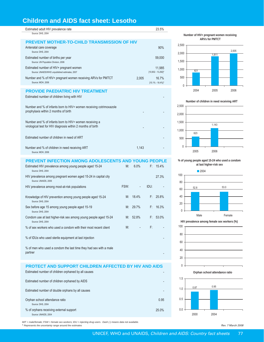## **Children and AIDS fact sheet: Lesotho**

| Estimated adult HIV prevalence rate                                                       |       | 23.5%                          |       |                               |                       |
|-------------------------------------------------------------------------------------------|-------|--------------------------------|-------|-------------------------------|-----------------------|
| Source: DHS. 2004                                                                         |       |                                |       | Number of HIV+ pregnant wome  | <b>ARVs for PMTCT</b> |
| <b>PREVENT MOTHER-TO-CHILD TRANSMISSION OF HIV</b>                                        |       |                                |       |                               |                       |
| Antenatal care coverage                                                                   |       | 90%                            | 2,500 |                               |                       |
| Source: DHS, 2004                                                                         |       |                                | 2,000 |                               | 1.811                 |
| Estimated number of births per year<br>Source: UN Population Division, 2006               |       | 59,000                         | 1,500 |                               |                       |
| Estimated number of HIV+ pregnant women<br>Source: UNAIDS/WHO unpublished estimates, 2007 |       | 11.985<br>[10,902 - 13,292]*   | 1,000 | 821                           |                       |
| Number and % of HIV+ pregnant women receiving ARVs for PMTCT<br>Source: MOH. 2006         | 2,005 | 16.7%<br>$[15.1\% - 18.4\%]$ * | 500   |                               |                       |
|                                                                                           |       |                                | 0     | 2004                          | 2005                  |
| <b>PROVIDE PAEDIATRIC HIV TREATMENT</b>                                                   |       |                                |       |                               |                       |
| Estimated number of children living with HIV                                              |       |                                |       | Number of children in need re |                       |
| Number and % of infants born to HIV+ women receiving cotrimoxazole                        |       |                                | 2,500 |                               |                       |
| prophylaxis within 2 months of birth                                                      |       |                                | 2,000 |                               |                       |
|                                                                                           |       |                                |       |                               |                       |
| Number and % of infants born to HIV+ women receiving a                                    |       |                                | 1,500 |                               | 1.110                 |

| virological test for HIV diagnosis within 2 months of birth         | -     |  |
|---------------------------------------------------------------------|-------|--|
| Estimated number of children in need of ART                         |       |  |
| Number and % of children in need receiving ART<br>Source: MOH. 2006 | 1.143 |  |

#### **PREVENT INFECTION AMONG ADOLESCENTS AND YOUNG PEOPLE**

| Estimated HIV prevalence among young people aged 15-24                                 | M:   | 6.0%                     |      | F: 15.4%    |           | <b>deal</b> indicated the sex             |     |
|----------------------------------------------------------------------------------------|------|--------------------------|------|-------------|-----------|-------------------------------------------|-----|
| Source: DHS, 2004                                                                      |      |                          |      |             |           | ■2004                                     |     |
| HIV prevalence among pregnant women aged 15-24 in capital city<br>Source: UNAIDS, 2006 |      |                          |      | 27.3%       | 100<br>80 |                                           |     |
| HIV prevalence among most-at-risk populations                                          | FSW: | $\overline{\phantom{0}}$ | IDU: |             | 60        | 52.8                                      | 53. |
| Knowledge of HIV prevention among young people aged 15-24<br>Source: DHS, 2004         | M:   | 18.4%                    |      | $F: 25.8\%$ | 40<br>20  |                                           |     |
| Sex before age 15 among young people aged 15-19<br>Source: DHS, 2004                   | M:   | 29.7%                    |      | F: 16.3%    |           |                                           |     |
| Condom use at last higher-risk sex among young people aged 15-24<br>Source: DHS, 2004  | M:   | 52.8%                    |      | $F: 53.0\%$ |           | Male<br>HIV prevalence among female sex w |     |
| % of sex workers who used a condom with their most recent client                       | M:   |                          | F:   |             | 100       |                                           |     |
| % of IDUs who used sterile equipment at last injection                                 |      |                          |      |             | 80<br>60  |                                           |     |
| % of men who used a condom the last time they had sex with a male<br>partner           |      |                          |      |             | 40        |                                           |     |

## **PROTECT AND SUPPORT CHILDREN AFFECTED BY HIV AND AIDS**

| Estimated number of children orphaned by all causes             | -     | Orphan school attenda |      |      |
|-----------------------------------------------------------------|-------|-----------------------|------|------|
| Estimated number of children orphaned by AIDS                   | -     | 1.5                   |      |      |
| Estimated number of double orphans by all causes                | -     | 1.0                   | 0.87 | 0.95 |
| Orphan school attendance ratio<br>Source: DHS, 2004             | 0.95  | 0.5                   |      |      |
| % of orphans receiving external support<br>Source: UNAIDS, 2004 | 25.0% | 0.0                   | 2000 | 2004 |

*M/F = male/female; FSW = female sex workers; IDU = injecting drug users. Dash (-) means data not available.*

\* *Represents the uncertainty range around the estimates*

| <b>Rev. 7 March 2008</b> |  |
|--------------------------|--|
|                          |  |





**% of young people aged 15-24 who used a condom at last higher-risk sex**



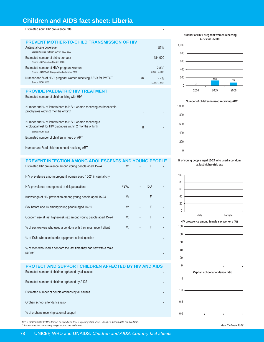### Estimated adult HIV prevalence rate

#### **PREVENT MOTHER-TO-CHILD TRANSMISSION OF HIV**

| Antenatal care coverage                                      | 85%                   | UUU, I |      |      |
|--------------------------------------------------------------|-----------------------|--------|------|------|
| Source: National Nutrition Survey, 1999-2000                 |                       | 800    |      |      |
| Estimated number of births per year                          | 184.000               |        |      |      |
| Source: UN Population Division, 2006                         |                       | 600    |      |      |
| Estimated number of HIV+ pregnant women                      | 2.830                 | 400    |      |      |
| Source: UNAIDS/WHO unpublished estimates, 2007               | $[2, 188 - 3, 481]$ * |        |      |      |
| Number and % of HIV+ pregnant women receiving ARVs for PMTCT | 76<br>2.7%            | 200    |      | 130  |
| Source: MOH, 2006                                            | $[2.2\% - 3.5\%]$ *   |        |      |      |
|                                                              |                       |        |      |      |
| <b>PROVIDE PAEDIATRIC HIV TREATMENT</b>                      |                       |        | 2004 | 2005 |

Estimated number of children living with HIV

partner

Number and % of infants born to HIV+ women receiving cotrimoxazole Number and % of infants born to HIV+ women receiving cotrimoxazole prophylaxis within 6 weeks of birth <sup>2007</sup> <sup>1090</sup> prophylaxis within 2 months of birth Number and % of infants born to HIV+ women receiving a Number and % of infants born to HIV+ women receiving a virological test for HIV diagnosis within 2 months of birth Source: MOH, 2006 Estimated number of children in need of ART Number and % of children in need receiving ART - - 0 - - -

#### **PREVENT INFECTION AMONG ADOLESCENTS AND YOUNG PEOPLE**

| Estimated HIV prevalence among young people aged 15-24            | M:   | F:   |                                           | at last liigilei -ilsk s       |  |
|-------------------------------------------------------------------|------|------|-------------------------------------------|--------------------------------|--|
| HIV prevalence among pregnant women aged 15-24 in capital city    |      |      | 100                                       |                                |  |
| HIV prevalence among most-at-risk populations                     | FSW: | IDU: | 80                                        |                                |  |
|                                                                   |      |      | 60                                        |                                |  |
| Knowledge of HIV prevention among young people aged 15-24         | M:   | F:   | 40                                        |                                |  |
| Sex before age 15 among young people aged 15-19                   | M:   | F:   | 20<br>0                                   |                                |  |
| Condom use at last higher-risk sex among young people aged 15-24  | M:   | F:   |                                           | Male                           |  |
| % of sex workers who used a condom with their most recent client  | M:   | F:   | 100                                       | HIV prevalence among female se |  |
| % of IDUs who used sterile equipment at last injection            |      |      | 80                                        |                                |  |
|                                                                   |      |      | 60                                        |                                |  |
| % of men who used a condom the last time they had sex with a male |      |      | $\Lambda$ <sup><math>\Lambda</math></sup> |                                |  |

## **PROTECT AND SUPPORT CHILDREN AFFECTED BY HIV AND AIDS**

| Estimated number of children orphaned by all causes | $\overline{\phantom{0}}$ | Orphan school attenda |
|-----------------------------------------------------|--------------------------|-----------------------|
| Estimated number of children orphaned by AIDS       |                          | 1.5                   |
| Estimated number of double orphans by all causes    | -                        | 1.0                   |
| Orphan school attendance ratio                      |                          | 0.5                   |
| % of orphans receiving external support             |                          | 0.0                   |

\* *Represents the uncertainty range around the estimates M/F = male/female; FSW = female sex workers; IDU = injecting drug users. Dash (-) means data not available.*







-

-

-

-

**% of young people aged 15-24 who used a condom at last higher-risk sex**

| 100 |                                             |
|-----|---------------------------------------------|
| 80  |                                             |
| 60  |                                             |
| 40  |                                             |
| 20  |                                             |
| 0   |                                             |
|     | Male<br>Female                              |
|     | HIV prevalence among female sex workers (%) |
| 100 |                                             |
| 80  |                                             |
| 60  |                                             |
| 40  |                                             |
| 20  |                                             |
| 0   |                                             |
|     | Orphan school attendance ratio              |
| 1.5 |                                             |
|     |                                             |
| 1.0 |                                             |
| 0.5 |                                             |
|     |                                             |
| 0.0 | ٦                                           |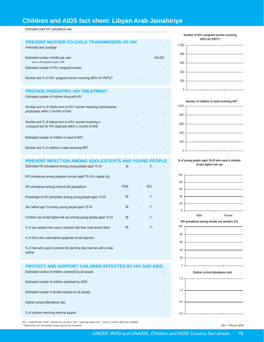# **Children and AIDS fact sheet: Libyan Arab Jamahiriya**

### Estimated adult HIV prevalence rate

partner

#### **PREVENT MOTHER-TO-CHILD TRANSMISSION OF HIV** Antenatal care coverage

| Antenatal care coverage<br>-                                      | .   |  |
|-------------------------------------------------------------------|-----|--|
|                                                                   | 800 |  |
| Estimated number of births per year<br>144,000                    |     |  |
| Source: UN Population Division, 2006                              | 600 |  |
| Estimated number of HIV+ pregnant women                           | 400 |  |
|                                                                   |     |  |
| Number and % of HIV+ pregnant women receiving ARVs for PMTCT<br>- | 200 |  |
|                                                                   |     |  |

## **PROVIDE PAEDIATRIC HIV TREATMENT**

| Estimated number of children living with HIV                       |       |                               |
|--------------------------------------------------------------------|-------|-------------------------------|
|                                                                    |       | Number of children in need re |
| Number and % of infants born to HIV+ women receiving cotrimoxazole | 1,000 |                               |
| prophylaxis within 2 months of birth                               |       |                               |
|                                                                    | 800   |                               |
| Number and % of infants born to HIV+ women receiving a             |       |                               |
| virological test for HIV diagnosis within 2 months of birth        | 600   |                               |
|                                                                    | 400   |                               |
| Estimated number of children in need of ART                        |       |                               |
|                                                                    | 200   |                               |
|                                                                    |       |                               |
| Number and % of children in need receiving ART                     |       |                               |

## **PREVENT INFECTION AMONG ADOLESCENTS AND YOUNG PEOPLE**

| Estimated HIV prevalence among young people aged 15-24            | M:   | F:   |                                           | at last liigilei -ilsk s       |  |
|-------------------------------------------------------------------|------|------|-------------------------------------------|--------------------------------|--|
| HIV prevalence among pregnant women aged 15-24 in capital city    |      |      | 100                                       |                                |  |
| HIV prevalence among most-at-risk populations                     | FSW: | IDU: | 80<br>60                                  |                                |  |
| Knowledge of HIV prevention among young people aged 15-24         | M:   | F:   | 40                                        |                                |  |
| Sex before age 15 among young people aged 15-19                   | M:   | F:   | 20                                        |                                |  |
|                                                                   | M:   | F:   | 0                                         | Male                           |  |
| Condom use at last higher-risk sex among young people aged 15-24  |      |      |                                           | HIV prevalence among female se |  |
| % of sex workers who used a condom with their most recent client  | M:   | F:   | 100<br>80                                 |                                |  |
| % of IDUs who used sterile equipment at last injection            |      |      | 60                                        |                                |  |
| % of men who used a condom the last time they had sex with a male |      |      | $\Lambda$ <sup><math>\Lambda</math></sup> |                                |  |

## **PROTECT AND SUPPORT CHILDREN AFFECTED BY HIV AND AIDS**

| Estimated number of children orphaned by all causes |   |     | Orphan school attenda |
|-----------------------------------------------------|---|-----|-----------------------|
| Estimated number of children orphaned by AIDS       | - | 1.5 |                       |
| Estimated number of double orphans by all causes    | - | 1.0 |                       |
| Orphan school attendance ratio                      | - | 0.5 |                       |
| % of orphans receiving external support             |   | 0.0 |                       |

\* *Represents the uncertainty range around the estimates M/F = male/female; FSW = female sex workers; IDU = injecting drug users. Dash (-) means data not available.*

Rev. 7 March 2008

**Number of HIV+ pregnant women receiving** 

| 1,000 |  |  |
|-------|--|--|
|       |  |  |
| 800   |  |  |
|       |  |  |
| 600   |  |  |
|       |  |  |
|       |  |  |
| 400   |  |  |
|       |  |  |
| 200   |  |  |
|       |  |  |
| C     |  |  |

|       | Number of children in need receiving ART |
|-------|------------------------------------------|
| 1,000 |                                          |
| 800   |                                          |
| 600   |                                          |
| 400   |                                          |
| 200   |                                          |
|       |                                          |

**% of young people aged 15-24 who used a condom at last higher-risk sex**

| Male<br>Female                               |
|----------------------------------------------|
| HIV prevalence among female sex workers (%)  |
|                                              |
|                                              |
|                                              |
| the control of the control of the control of |
|                                              |
|                                              |
|                                              |
| Orphan school attendance ratio               |
|                                              |
|                                              |
|                                              |
|                                              |
|                                              |
| Ť<br>T<br>٦                                  |
|                                              |

-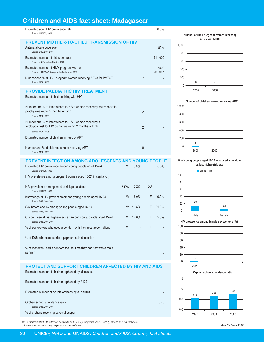# **Children and AIDS fact sheet: Madagascar**

| Estimated adult HIV prevalence rate                                                                            |      |                |      | 0.5%                      |       |                                     |                         |
|----------------------------------------------------------------------------------------------------------------|------|----------------|------|---------------------------|-------|-------------------------------------|-------------------------|
| Source: UNAIDS, 2006                                                                                           |      |                |      |                           |       | Number of HIV+ pregnant women       |                         |
| PREVENT MOTHER-TO-CHILD TRANSMISSION OF HIV                                                                    |      |                |      |                           | 1,000 |                                     | <b>ARVs for PMTCT</b>   |
| Antenatal care coverage<br>Source: DHS, 2003-2004                                                              |      |                |      | 80%                       |       |                                     |                         |
| Estimated number of births per year                                                                            |      |                |      | 714,000                   | 800   |                                     |                         |
| Source: UN Population Division, 2006                                                                           |      |                |      |                           | 600   |                                     |                         |
| Estimated number of HIV+ pregnant women                                                                        |      |                |      | $500$<br>$[<500 - 904]$ * | 400   |                                     |                         |
| Source: UNAIDS/WHO unpublished estimates, 2007<br>Number and % of HIV+ pregnant women receiving ARVs for PMTCT |      | $\overline{7}$ |      |                           | 200   |                                     |                         |
| Source: MOH, 2006                                                                                              |      |                |      |                           | 0     | 8                                   | $\boldsymbol{7}$        |
| <b>PROVIDE PAEDIATRIC HIV TREATMENT</b>                                                                        |      |                |      |                           |       | 2005                                | 2006                    |
| Estimated number of children living with HIV                                                                   |      |                |      |                           |       |                                     |                         |
|                                                                                                                |      |                |      |                           |       | Number of children in need rece     |                         |
| Number and % of infants born to HIV+ women receiving cotrimoxazole<br>prophylaxis within 2 months of birth     |      | $\overline{2}$ |      |                           | 1,000 |                                     |                         |
| Source: MOH, 2006                                                                                              |      |                |      |                           | 800   |                                     |                         |
| Number and % of infants born to HIV+ women receiving a                                                         |      |                |      |                           | 600   |                                     |                         |
| virological test for HIV diagnosis within 2 months of birth<br>Source: MOH, 2006                               |      | $\overline{2}$ |      |                           | 400   |                                     |                         |
| Estimated number of children in need of ART                                                                    |      |                |      |                           | 200   |                                     |                         |
|                                                                                                                |      |                |      |                           |       | $\mathbf{1}$                        |                         |
| Number and % of children in need receiving ART<br>Source: MOH. 2006                                            |      | $\mathbf{0}$   |      |                           | 0     | 2005                                | 2006                    |
| PREVENT INFECTION AMONG ADOLESCENTS AND YOUNG PEOPLE                                                           |      |                |      |                           |       | % of young people aged 15-24 who us |                         |
| Estimated HIV prevalence among young people aged 15-24                                                         | M:   | 0.6%           | F:   | 0.3%                      |       |                                     | at last higher-risk sex |
| Source: UNAIDS, 2006                                                                                           |      |                |      |                           | 100   |                                     | ■ 2003-2004             |
| HIV prevalence among pregnant women aged 15-24 in capital city                                                 |      |                |      |                           | 80    |                                     |                         |
| HIV prevalence among most-at-risk populations                                                                  | FSW: | 0.2%           | IDU: |                           |       |                                     |                         |
| Source: UNAIDS, 2006                                                                                           |      |                |      |                           | 60    |                                     |                         |
| Knowledge of HIV prevention among young people aged 15-24<br>Source: DHS, 2003-2004                            | M:   | 16.0%          | F:   | 19.0%                     | 40    | 12.0                                |                         |
| Sex before age 15 among young people aged 15-19                                                                | M:   | 19.5%          | F:   | 31.9%                     | 20    |                                     |                         |
| Source: DHS, 2003-2004                                                                                         |      |                |      |                           | 0     |                                     |                         |
| Condom use at last higher-risk sex among young people aged 15-24                                               | M:   | 12.0%          | F:   | 5.0%                      |       | Male                                | Fem                     |
| Source: DHS, 2003-2004<br>% of sex workers who used a condom with their most recent client                     | M:   |                | F:   |                           | 100   | HIV prevalence among female sex w   |                         |
|                                                                                                                |      |                |      |                           | 80    |                                     |                         |
| % of IDUs who used sterile equipment at last injection                                                         |      |                |      |                           | 60    |                                     |                         |
|                                                                                                                |      |                |      |                           | 40    |                                     |                         |
| % of men who used a condom the last time they had sex with a male<br>partner                                   |      |                |      |                           | 20    |                                     |                         |
|                                                                                                                |      |                |      |                           |       | 0.2                                 |                         |
| PROTECT AND SUPPORT CHILDREN AFFECTED BY HIV AND AIDS                                                          |      |                |      |                           | 0     | 2001                                |                         |
| Estimated number of children orphaned by all causes                                                            |      |                |      |                           |       |                                     | Orphan school attendanc |
|                                                                                                                |      |                |      |                           | 1.5   |                                     |                         |
| Estimated number of children orphaned by AIDS                                                                  |      |                |      |                           |       |                                     |                         |
| Estimated number of double orphans by all causes                                                               |      |                |      |                           | 1.0   |                                     | 0.65                    |
|                                                                                                                |      |                |      |                           | 0.5   | 0.55                                |                         |
| Orphan school attendance ratio                                                                                 |      |                |      | 0.75                      |       |                                     |                         |
| Source: DHS, 2003-2004                                                                                         |      |                |      |                           | 0.0   |                                     |                         |
| % of orphans receiving external support                                                                        |      |                |      |                           |       | 1997                                | 2000                    |

*M/F = male/female; FSW = female sex workers; IDU = injecting drug users. Dash (-) means data not available.*





**% of young people aged 15-24 who used a condom at last higher-risk sex**



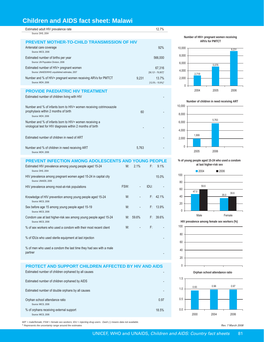## **Children and AIDS fact sheet: Malawi**

| Estimated adult HIV prevalence rate                                                                                                 | 12.7%                                                         |                |                             |                       |
|-------------------------------------------------------------------------------------------------------------------------------------|---------------------------------------------------------------|----------------|-----------------------------|-----------------------|
| Source: DHS, 2004                                                                                                                   |                                                               |                | Number of HIV+ pregnant wom |                       |
| <b>PREVENT MOTHER-TO-CHILD TRANSMISSION OF HIV</b>                                                                                  |                                                               |                |                             | <b>ARVs for PMTCT</b> |
| Antenatal care coverage<br>Source: MICS, 2006                                                                                       | 92%                                                           | 10.000         |                             |                       |
| Estimated number of births per year<br>Source: UN Population Division, 2006                                                         | 566,000                                                       | 8,000          |                             |                       |
| Estimated number of HIV+ pregnant women                                                                                             | 67,316                                                        | 6,000<br>4,000 |                             | 5,076                 |
| Source: UNAIDS/WHO unpublished estimates, 2007<br>Number and % of HIV+ pregnant women receiving ARVs for PMTCT<br>Source: MOH, 2006 | $[58, 121 - 76, 957]$ *<br>9.231<br>13.7%<br>[12.0% - 15.9%]* | 2,000          | 2,719                       |                       |
|                                                                                                                                     |                                                               |                |                             |                       |
| <b>PROVIDE PAEDIATRIC HIV TREATI</b><br>Estimated number of children living with HIV                                                |                                                               |                | 2004                        | 2005                  |

timated number of children living with HIV Number and % of infants born to HIV+ women receiving cotrimoxazole Number and % of infants born to HIV+ women receiving cotrimoxazole prophylaxis within 2 months of birth  $\begin{bmatrix} 0 & 0 \\ 0 & 0 \end{bmatrix}$ Source: MOH, 2006 Number and % of infants born to HIV+ women receiving a Number and % of infants born to HIV+ women receiving a virological test for HIV diagnosis within 2 months of birth Estimated number of children in need of ART Number and % of children in need receiving ART Source: MOH, 2006 - - 5,763 60 - -

## **PREVENT INFECTION AMONG ADOLESCENTS AND YOUNG PEOPLE**

| Estimated HIV prevalence among young people aged 15-24                                 | M:   | 2.1%                     | F:   | 9.1%        |           | at last liigilei -ilsk sex                |       |
|----------------------------------------------------------------------------------------|------|--------------------------|------|-------------|-----------|-------------------------------------------|-------|
| Source: DHS, 2004                                                                      |      |                          |      |             |           | $\blacksquare$ 2004                       | ■2006 |
| HIV prevalence among pregnant women aged 15-24 in capital city<br>Source: UNAIDS, 2006 |      |                          |      | 15.0%       | 100<br>80 |                                           |       |
| HIV prevalence among most-at-risk populations                                          | FSW: | $\overline{\phantom{0}}$ | IDU: |             | 60        | 59.6<br>47.0                              |       |
| Knowledge of HIV prevention among young people aged 15-24<br>Source: MICS, 2006        | M:   |                          |      | F: 42.1%    | 40<br>20  |                                           | 35    |
| Sex before age 15 among young people aged 15-19<br>Source: MICS, 2006                  | M:   | $\overline{\phantom{0}}$ |      | $F: 13.9\%$ |           |                                           |       |
| Condom use at last higher-risk sex among young people aged 15-24<br>Source: MICS, 2006 | M:   | 59.6%                    |      | F: 39.6%    |           | Male<br>HIV prevalence among female sex w |       |
| % of sex workers who used a condom with their most recent client                       | M:   |                          | F:   |             | 100       |                                           |       |
| % of IDUs who used sterile equipment at last injection                                 |      |                          |      |             | 80<br>60  |                                           |       |
| % of men who used a condom the last time they had sex with a male<br>partner           |      |                          |      |             | 40        |                                           |       |
|                                                                                        |      |                          |      |             |           |                                           |       |

## **PROTECT AND SUPPORT CHILDREN AFFECTED BY HIV AND AIDS**

| Estimated number of children orphaned by all causes           |       |     |      | Orphan school attenda |
|---------------------------------------------------------------|-------|-----|------|-----------------------|
| Estimated number of children orphaned by AIDS                 | -     | 1.5 |      |                       |
| Estimated number of double orphans by all causes              |       | 1.0 | 0.93 | 0.96                  |
| Orphan school attendance ratio                                | 0.97  | 0.5 |      |                       |
| Source: MICS, 2006<br>% of orphans receiving external support | 18.5% | 0.0 |      |                       |
| Source: MICS, 2006                                            |       |     | 2000 | 2004                  |

*M/F = male/female; FSW = female sex workers; IDU = injecting drug users. Dash (-) means data not available.*

\* *Represents the uncertainty range around the estimates*

**Number of HIV+ pregnant women receiving ARVs for PMTCT**





**% of young people aged 15-24 who used a condom at last higher-risk sex**







Rev. 7 March 2008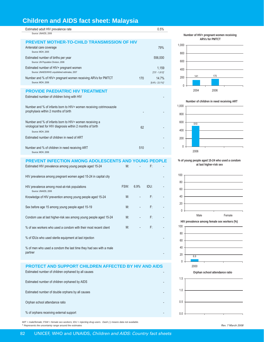# **Children and AIDS fact sheet: Malaysia**

| Estimated adult HIV prevalence rate                                                                                                        |     | 0.5%                          |                                                               |
|--------------------------------------------------------------------------------------------------------------------------------------------|-----|-------------------------------|---------------------------------------------------------------|
| Source: UNAIDS, 2006                                                                                                                       |     |                               | Number of HIV+ pregnant wome<br><b>ARVs for PMTCT</b>         |
| <b>PREVENT MOTHER-TO-CHILD TRANSMISSION OF HIV</b><br>Antenatal care coverage<br>Source: MOH. 2005                                         |     | 79%                           | 1,000                                                         |
| Estimated number of births per year<br>Source: UN Population Division, 2006                                                                |     | 556,000                       | 800<br>600                                                    |
| Estimated number of HIV+ pregnant women<br>Source: UNAIDS/WHO unpublished estimates, 2007                                                  |     | 1.159<br>$[737 - 1,813]$ *    | 400                                                           |
| Number and % of HIV+ pregnant women receiving ARVs for PMTCT<br>Source: MOH, 2006                                                          | 170 | 14.7%<br>$[9.4\% - 23.1\%]$ * | 170<br>141<br>200<br>$\Omega$                                 |
| <b>PROVIDE PAEDIATRIC HIV TREATMENT</b><br>Estimated number of children living with HIV                                                    |     |                               | 2004<br>2006                                                  |
| Number and % of infants born to HIV+ women receiving cotrimoxazole                                                                         |     |                               | Number of children in need re<br>1,000                        |
| prophylaxis within 2 months of birth                                                                                                       |     |                               | 800                                                           |
| Number and % of infants born to HIV+ women receiving a<br>virological test for HIV diagnosis within 2 months of birth<br>Source: MOH. 2006 | 62  |                               | 600<br>510<br>400                                             |
| Estimated number of children in need of ART                                                                                                |     |                               | 200                                                           |
| Number and % of children in need receiving ART<br>Source: MOH. 2006                                                                        | 510 |                               | $\Omega$<br>2006                                              |
| <b>PREVENT INFECTION AMONG ADOLESCENTS AND YOUNG PEOPLE</b><br>Estimated HIV prevalence among young people aged 15-24                      | M:  | F:                            | % of young people aged 15-24 who u<br>at last higher-risk sex |
| HIV prevalence among pregnant women aged 15-24 in capital city                                                                             |     |                               | 100<br>80                                                     |

HIV prevalence among most-at-risk populations FSW: 6.9% IDU:<br>
Source: UNAIDS, 2006 Source: UNAIDS, 2006 40 AM AND AND A CHARGE TO A CHARGE THE CHARGE TO A CHARGE THE CHARGE TO A CHARGE THE CHARGE THE CHARGE THE CHARGE THE CHARGE THE CHARGE THE CHARGE THE CHARGE THE CHARGE THE CHARGE THE CHARGE THE CHARGE Knowledge of HIV prevention among young people aged 15-24 M: All Conservation F: Sex before age 15 among young people aged 15-19 M: F: Condom use at last higher-risk sex among young people aged 15-24 M: F: % of sex workers who used a condom with their most recent client  $M: F:$ % of IDUs who used sterile equipment at last injection -

% of men who used a condom the last time they had sex with a male partner

## **PROTECT AND SUPPORT CHILDREN AFFECTED BY HIV AND AIDS**

| Estimated number of children orphaned by all causes | - | Orphan school attenda |
|-----------------------------------------------------|---|-----------------------|
| Estimated number of children orphaned by AIDS       | - | 1.5                   |
| Estimated number of double orphans by all causes    | - | 1.0                   |
| Orphan school attendance ratio                      |   | 0.5                   |
| % of orphans receiving external support             | - | 0.0                   |

\* *Represents the uncertainty range around the estimates M/F = male/female; FSW = female sex workers; IDU = injecting drug users. Dash (-) means data not available.*







**% of young people aged 15-24 who used a condom at last higher-risk sex**

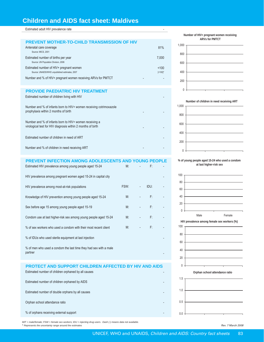## **Children and AIDS fact sheet: Maldives**

### Estimated adult HIV prevalence rate

partner

## **PREVENT MOTHER-TO-CHILD TRANSMISSION OF HIV**

| Antenatal care coverage                                      | 81%         | ,uuu |  |
|--------------------------------------------------------------|-------------|------|--|
| Source: MICS, 2001                                           |             | 800  |  |
| Estimated number of births per year                          | 7,000       |      |  |
| Source: UN Population Division, 2006                         |             | 600  |  |
| Estimated number of HIV+ pregnant women                      | 100         |      |  |
| Source: UNAIDS/WHO unpublished estimates, 2007               | $[< 100]$ * | 400  |  |
| Number and % of HIV+ pregnant women receiving ARVs for PMTCT | -           | 200  |  |

## **PROVIDE PAEDIATRIC HIV TREATMENT**

| Estimated number of children living with HIV                       |       |                               |
|--------------------------------------------------------------------|-------|-------------------------------|
|                                                                    |       | Number of children in need re |
| Number and % of infants born to HIV+ women receiving cotrimoxazole | 1.000 |                               |
| prophylaxis within 2 months of birth                               | 800   |                               |
|                                                                    |       |                               |
| Number and % of infants born to HIV+ women receiving a             | 600   |                               |
| virological test for HIV diagnosis within 2 months of birth        |       |                               |
|                                                                    | 400   |                               |
| Estimated number of children in need of ART                        |       |                               |
|                                                                    | 200   |                               |
| Number and % of children in need receiving ART                     |       |                               |
|                                                                    |       |                               |

## **PREVENT INFECTION AMONG ADOLESCENTS AND YOUNG PEOPLE**

| Estimated HIV prevalence among young people aged 15-24            | M:   | F:   | at last liigilei -ilsk s                  |                                |  |
|-------------------------------------------------------------------|------|------|-------------------------------------------|--------------------------------|--|
| HIV prevalence among pregnant women aged 15-24 in capital city    |      |      | 100                                       |                                |  |
| HIV prevalence among most-at-risk populations                     | FSW: | IDU: | 80<br>60                                  |                                |  |
| Knowledge of HIV prevention among young people aged 15-24         | M:   | F:   | 40                                        |                                |  |
| Sex before age 15 among young people aged 15-19                   | M:   | F:   | 20                                        |                                |  |
|                                                                   | M:   | F:   | 0                                         | Male                           |  |
| Condom use at last higher-risk sex among young people aged 15-24  |      |      | 100                                       | HIV prevalence among female se |  |
| % of sex workers who used a condom with their most recent client  | M:   | F:   | 80                                        |                                |  |
| % of IDUs who used sterile equipment at last injection            |      |      | 60                                        |                                |  |
| % of men who used a condom the last time they had sex with a male |      |      | $\Lambda$ <sup><math>\Lambda</math></sup> |                                |  |

## **PROTECT AND SUPPORT CHILDREN AFFECTED BY HIV AND AIDS**

| Estimated number of children orphaned by all causes | - | Orphan school attenda |
|-----------------------------------------------------|---|-----------------------|
| Estimated number of children orphaned by AIDS       |   | 1.5                   |
| Estimated number of double orphans by all causes    | - | 1.0                   |
| Orphan school attendance ratio                      |   | 0.5                   |
| % of orphans receiving external support             | - | 0.0                   |

 $*$  Represents the uncertainty range around the estimates *M/F = male/female; FSW = female sex workers; IDU = injecting drug users. Dash (-) means data not available.*

Rev. 7 March 2008

| <b>ARVs for PMTCT</b> |  |  |  |  |  |  |
|-----------------------|--|--|--|--|--|--|
| 1,000                 |  |  |  |  |  |  |
| 800                   |  |  |  |  |  |  |
| 600                   |  |  |  |  |  |  |
| 400                   |  |  |  |  |  |  |
|                       |  |  |  |  |  |  |

**Number of HIV+ pregnant women receiving** 

|       | Number of children in need receiving ART |
|-------|------------------------------------------|
| 1,000 |                                          |
| 800   |                                          |
| 600   |                                          |
| 400   |                                          |
| 200   |                                          |
|       |                                          |

#### **% of young people aged 15-24 who used a condom at last higher-risk sex**

| 100 |                                             |
|-----|---------------------------------------------|
| 80  |                                             |
| 60  |                                             |
| 40  |                                             |
| 20  |                                             |
| 0   |                                             |
|     | Male<br>Female                              |
|     | HIV prevalence among female sex workers (%) |
| 100 |                                             |
| 80  |                                             |
| 60  |                                             |
| 40  |                                             |
| 20  |                                             |
| 0   |                                             |
|     | Orphan school attendance ratio              |
| 1.5 |                                             |
|     |                                             |
| 1.0 |                                             |
| 0.5 |                                             |
|     |                                             |
| 0.0 | т                                           |

-

 $0$ .

200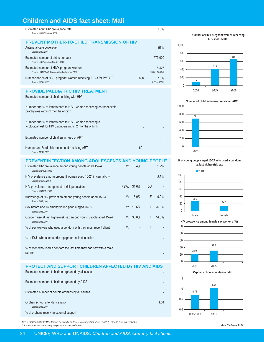# **Children and AIDS fact sheet: Mali**

| Estimated adult HIV prevalence rate                                 |     | 1.3%                |          |      |                               |
|---------------------------------------------------------------------|-----|---------------------|----------|------|-------------------------------|
| Source: UNAIDS/WHO, 2007                                            |     |                     |          |      | Number of HIV+ pregnant       |
| <b>PREVENT MOTHER-TO-CHILD TRANSMISSION OF HIV</b>                  |     |                     |          |      | <b>ARVs for PN</b>            |
| Antenatal care coverage                                             |     | 57%                 | 1,000    |      |                               |
| Source: DHS, 2001                                                   |     |                     | 800      |      |                               |
| Estimated number of births per year                                 |     | 579,000             |          |      |                               |
| Source: UN Population Division, 2006                                |     |                     | 600      |      |                               |
| Estimated number of HIV+ pregnant women                             |     | 8.426               |          |      | 415                           |
| Source: UNAIDS/WHO unpublished estimates, 2007                      |     | [6,893 - 10,346]*   | 400      |      |                               |
| Number and % of HIV+ pregnant women receiving ARVs for PMTCT        | 656 | 7.8%                | 200      |      |                               |
| Source: MOH, 2006                                                   |     | $[6.3\% - 9.5\%]$ * |          | 87   |                               |
|                                                                     |     |                     | $\Omega$ |      |                               |
| <b>PROVIDE PAEDIATRIC HIV TREATMENT</b>                             |     |                     |          | 2004 | 2005                          |
| Estimated number of children living with HIV                        |     |                     |          |      |                               |
|                                                                     |     |                     |          |      | Number of children in need re |
| Number and % of infants born to HIV+ women receiving cotrimoxazole  |     |                     | 1,000    |      |                               |
| prophylaxis within 2 months of birth                                |     |                     | 800      |      |                               |
|                                                                     |     |                     |          | 691  |                               |
| Number and % of infants born to HIV+ women receiving a              |     |                     | 600      |      |                               |
| virological test for HIV diagnosis within 2 months of birth         |     |                     | 400      |      |                               |
|                                                                     |     |                     |          |      |                               |
| Estimated number of children in need of ART                         |     |                     | 200      |      |                               |
|                                                                     |     |                     | O        |      |                               |
| Number and % of children in need receiving ART<br>Source: MOH. 2006 | 691 |                     |          | 2006 |                               |
|                                                                     |     |                     |          |      |                               |

## **PREVENT INFECTION AMONG ADOLESCENTS AND YOUNG PEOPLE**

| Estimated HIV prevalence among young people aged 15-24                                | M:   | 0.4%  | F:   | 1.2%        |           |                                           | at last liigilei -ilsk sex |
|---------------------------------------------------------------------------------------|------|-------|------|-------------|-----------|-------------------------------------------|----------------------------|
| Source: UNAIDS, 2006                                                                  |      |       |      |             |           | $\blacksquare$ 2001                       |                            |
| HIV prevalence among pregnant women aged 15-24 in capital city<br>Source: SOWC, 2002  |      |       |      | 2.5%        | 100<br>80 |                                           |                            |
| HIV prevalence among most-at-risk populations<br>Source: UNAIDS, 2006                 | FSW: | 31.6% | IDU: |             | 60        |                                           |                            |
| Knowledge of HIV prevention among young people aged 15-24<br>Source: DHS, 2001        | M:   | 15.0% | F:   | 9.0%        | 40<br>20  | 30.0                                      | 14                         |
| Sex before age 15 among young people aged 15-19<br>Source: DHS, 2001                  | M:   | 10.6% |      | $F: 26.0\%$ |           |                                           |                            |
| Condom use at last higher-risk sex among young people aged 15-24<br>Source: DHS, 2001 | M:   | 30.0% |      | $F: 14.0\%$ |           | Male<br>HIV prevalence among female sex w | Fem                        |
| % of sex workers who used a condom with their most recent client                      | M:   |       | F:   |             | 100       |                                           |                            |
| % of IDUs who used sterile equipment at last injection                                |      |       |      |             | 80<br>60  |                                           |                            |
| % of men who used a condom the last time they had sex with a male                     |      |       |      |             | 40        |                                           | 31.6                       |
|                                                                                       |      |       |      |             |           |                                           |                            |

## **PROTECT AND SUPPORT CHILDREN AFFECTED BY HIV AND AIDS**

| Estimated number of children orphaned by all causes |      | Orphan school attenda |           |      |  |
|-----------------------------------------------------|------|-----------------------|-----------|------|--|
| Estimated number of children orphaned by AIDS       | -    | l.5                   |           | 1.04 |  |
| Estimated number of double orphans by all causes    |      | 1.0                   | 0.71      |      |  |
| Orphan school attendance ratio<br>Source: DHS, 2001 | 1.04 | 0.5                   |           |      |  |
| % of orphans receiving external support             |      | 0.0                   | 1995-1996 | 2001 |  |

\* *Represents the uncertainty range around the estimates M/F = male/female; FSW = female sex workers; IDU = injecting drug users. Dash (-) means data not available.*

partner

**Number of HIV+ pregnant women receiving ARVs for PMTCT**





**% of young people aged 15-24 who used a condom at last higher-risk sex**







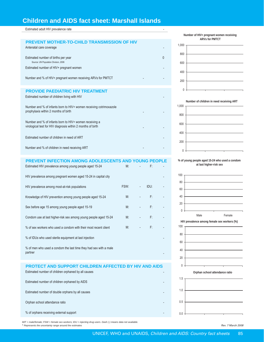# **Children and AIDS fact sheet: Marshall Islands**

### Estimated adult HIV prevalence rate

# **PREVENT MOTHER-TO-CHILD TRANSMISSION OF HIV**

| Antenatal care coverage                                                                  |     |  |
|------------------------------------------------------------------------------------------|-----|--|
|                                                                                          | 800 |  |
| Estimated number of births per year<br>ν                                                 |     |  |
| Source: UN Population Division, 2006                                                     | 600 |  |
| Estimated number of HIV+ pregnant women                                                  | 400 |  |
|                                                                                          |     |  |
| Number and % of HIV+ pregnant women receiving ARVs for PMTCT<br>$\overline{\phantom{a}}$ | 200 |  |
|                                                                                          |     |  |

## **PROVIDE PAEDIATRIC HIV TREATMENT**

| Estimated number of children living with HIV                       |       |                               |
|--------------------------------------------------------------------|-------|-------------------------------|
|                                                                    |       | Number of children in need re |
| Number and % of infants born to HIV+ women receiving cotrimoxazole | 1.000 |                               |
| prophylaxis within 2 months of birth                               | 800   |                               |
|                                                                    |       |                               |
| Number and % of infants born to HIV+ women receiving a             | 600   |                               |
| virological test for HIV diagnosis within 2 months of birth        |       |                               |
|                                                                    | 400   |                               |
| Estimated number of children in need of ART                        |       |                               |
|                                                                    | 200   |                               |
| Number and % of children in need receiving ART                     |       |                               |

## **PREVENT INFECTION AMONG ADOLESCENTS AND YOUNG PEOPLE**

| Estimated HIV prevalence among young people aged 15-24            | M:   | F:   | at last liigilei -ilsk s                  |                                |  |
|-------------------------------------------------------------------|------|------|-------------------------------------------|--------------------------------|--|
| HIV prevalence among pregnant women aged 15-24 in capital city    |      |      | 100                                       |                                |  |
| HIV prevalence among most-at-risk populations                     | FSW: | IDU: | 80<br>60                                  |                                |  |
| Knowledge of HIV prevention among young people aged 15-24         | M:   | F:   | 40                                        |                                |  |
| Sex before age 15 among young people aged 15-19                   | M:   | F:   | 20                                        |                                |  |
| Condom use at last higher-risk sex among young people aged 15-24  | M:   | F:   | 0                                         | Male                           |  |
| % of sex workers who used a condom with their most recent client  | M:   | F:   | 100                                       | HIV prevalence among female se |  |
|                                                                   |      |      | 80                                        |                                |  |
| % of IDUs who used sterile equipment at last injection            |      |      | 60                                        |                                |  |
| % of men who used a condom the last time they had sex with a male |      |      | $\Lambda$ <sup><math>\Lambda</math></sup> |                                |  |

**PROTECT AND SUPPORT CHILDREN AFFECTED BY HIV AND AIDS**

partner

| Estimated number of children orphaned by all causes |   |     | Orphan school attenda |
|-----------------------------------------------------|---|-----|-----------------------|
| Estimated number of children orphaned by AIDS       |   | 1.5 |                       |
| Estimated number of double orphans by all causes    | - | 1.0 |                       |
| Orphan school attendance ratio                      |   | 0.5 |                       |
| % of orphans receiving external support             |   | 0.0 |                       |

 $*$  Represents the uncertainty range around the estimates *M/F = male/female; FSW = female sex workers; IDU = injecting drug users. Dash (-) means data not available.*

Rev. 7 March 2008

**Number of HIV+ pregnant women receiving ARVs for PMTCT**

| 1,000 |                                          |
|-------|------------------------------------------|
| 800   |                                          |
| 600   |                                          |
| 400   |                                          |
| 200   |                                          |
| O     |                                          |
|       | Number of children in need receiving ART |

| 1,000 |  |
|-------|--|
| 800   |  |
| 600   |  |
| 400   |  |
| 200   |  |
|       |  |

-

-

**% of young people aged 15-24 who used a condom at last higher-risk sex**

| 100 |                                             |
|-----|---------------------------------------------|
| 80  |                                             |
| 60  |                                             |
| 40  |                                             |
| 20  |                                             |
| 0   |                                             |
|     | Male<br>Female                              |
| 100 | HIV prevalence among female sex workers (%) |
| 80  |                                             |
| 60  |                                             |
| 40  |                                             |
| 20  |                                             |
| 0   |                                             |
|     | Orphan school attendance ratio              |
| 1.5 |                                             |
| 1.0 |                                             |
| 0.5 |                                             |
| 0.0 |                                             |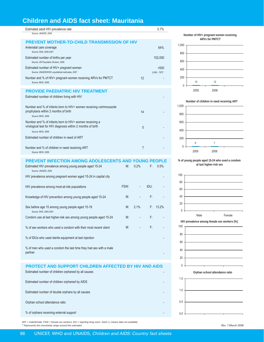## **Children and AIDS fact sheet: Mauritania**

| Estimated adult HIV prevalence rate                                                                                   |      |                |      | 0.7%                       |              |      |                                               |  |
|-----------------------------------------------------------------------------------------------------------------------|------|----------------|------|----------------------------|--------------|------|-----------------------------------------------|--|
| Source: UNAIDS, 2006                                                                                                  |      |                |      |                            |              |      | Number of HIV+ pregnant women receiving       |  |
| <b>PREVENT MOTHER-TO-CHILD TRANSMISSION OF HIV</b>                                                                    |      |                |      |                            |              |      | <b>ARVs for PMTCT</b>                         |  |
| Antenatal care coverage<br>Source: DHS, 2000-2001                                                                     |      |                |      | 64%                        | 1,000        |      |                                               |  |
| Estimated number of births per year                                                                                   |      |                |      | 102,000                    | 800          |      |                                               |  |
| Source: UN Population Division, 2006                                                                                  |      |                |      |                            | 600          |      |                                               |  |
| Estimated number of HIV+ pregnant women<br>Source: UNAIDS/WHO unpublished estimates, 2007                             |      |                |      | < 500<br>$[< 500 - 787]$ * | 400          |      |                                               |  |
| Number and % of HIV+ pregnant women receiving ARVs for PMTCT                                                          |      | 12             |      |                            | 200          |      |                                               |  |
| Source: MOH, 2006                                                                                                     |      |                |      |                            | 0            | 10   | 12                                            |  |
| <b>PROVIDE PAEDIATRIC HIV TREATMENT</b><br>Estimated number of children living with HIV                               |      |                |      |                            |              | 2005 | 2006                                          |  |
|                                                                                                                       |      |                |      |                            |              |      | Number of children in need receiving ART      |  |
| Number and % of infants born to HIV+ women receiving cotrimoxazole<br>prophylaxis within 2 months of birth            |      | 14             |      |                            | 1,000<br>800 |      |                                               |  |
| Source: MOH, 2006                                                                                                     |      |                |      |                            |              |      |                                               |  |
| Number and % of infants born to HIV+ women receiving a<br>virological test for HIV diagnosis within 2 months of birth |      | $\mathbf{0}$   |      |                            | 600          |      |                                               |  |
| Source: MOH, 2006                                                                                                     |      |                |      |                            | 400          |      |                                               |  |
| Estimated number of children in need of ART                                                                           |      |                |      |                            | 200          |      |                                               |  |
|                                                                                                                       |      |                |      |                            | 0            | 6    | $\overline{7}$                                |  |
| Number and % of children in need receiving ART<br>Source: MOH, 2006                                                   |      | $\overline{7}$ |      |                            |              | 2005 | 2006                                          |  |
| PREVENT INFECTION AMONG ADOLESCENTS AND YOUNG PEOPLE                                                                  |      |                |      |                            |              |      | % of young people aged 15-24 who used a condo |  |
| Estimated HIV prevalence among young people aged 15-24                                                                | M:   | 0.2%           | F:   | 0.5%                       |              |      | at last higher-risk sex                       |  |
| Source: UNAIDS, 2006                                                                                                  |      |                |      |                            | 100          |      |                                               |  |
| HIV prevalence among pregnant women aged 15-24 in capital city                                                        |      |                |      |                            | 80           |      |                                               |  |
| HIV prevalence among most-at-risk populations                                                                         | FSW: |                | IDU: |                            | 60           |      |                                               |  |
|                                                                                                                       | M:   |                | F:   |                            | 40           |      |                                               |  |
| Knowledge of HIV prevention among young people aged 15-24                                                             |      |                |      |                            | 20           |      |                                               |  |
| Sex before age 15 among young people aged 15-19                                                                       | M:   | 2.1%           | F:   | 13.2%                      | 0            |      |                                               |  |
| Source: DHS, 2000-2001                                                                                                | M:   |                | F:   |                            |              | Male | Female                                        |  |
| Condom use at last higher-risk sex among young people aged 15-24                                                      |      |                |      |                            |              |      | HIV prevalence among female sex workers (%)   |  |
| % of sex workers who used a condom with their most recent client                                                      | M:   |                | F:   |                            | 100          |      |                                               |  |
|                                                                                                                       |      |                |      |                            | 80           |      |                                               |  |
| % of IDUs who used sterile equipment at last injection                                                                |      |                |      |                            | 60           |      |                                               |  |
| % of men who used a condom the last time they had sex with a male                                                     |      |                |      |                            |              |      |                                               |  |
| partner                                                                                                               |      |                |      |                            | 40           |      |                                               |  |
|                                                                                                                       |      |                |      |                            | 20           |      |                                               |  |
| <b>PROTECT AND SUPPORT CHILDREN AFFECTED BY HIV AND AIDS</b>                                                          |      |                |      |                            | 0            |      |                                               |  |
| Estimated number of children orphaned by all causes                                                                   |      |                |      |                            |              |      | Orphan school attendance ratio                |  |
| Estimated number of children orphaned by AIDS                                                                         |      |                |      |                            | 1.5          |      |                                               |  |
| Estimated number of double orphans by all causes                                                                      |      |                |      |                            | 1.0          |      |                                               |  |
| Orphan school attendance ratio                                                                                        |      |                |      |                            | 0.5          |      |                                               |  |
| % of orphans receiving external support                                                                               |      |                |      |                            | 0.0          |      |                                               |  |
|                                                                                                                       |      |                |      |                            |              |      |                                               |  |

*M/F = male/female; FSW = female sex workers; IDU = injecting drug users. Dash (-) means data not available.*<br>\* Represents the uncertainty range around the estimates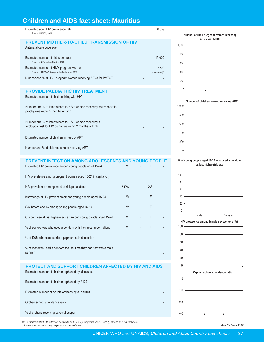# **Children and AIDS fact sheet: Mauritius**

| Estimated adult HIV prevalence rate                                                                        |      |                  | 0.6%          |              |                                                |
|------------------------------------------------------------------------------------------------------------|------|------------------|---------------|--------------|------------------------------------------------|
| Source: UNAIDS, 2006                                                                                       |      |                  |               |              | Number of HIV+ pregnant women receiving        |
| PREVENT MOTHER-TO-CHILD TRANSMISSION OF HIV                                                                |      |                  |               |              | <b>ARVs for PMTCT</b>                          |
| Antenatal care coverage                                                                                    |      |                  |               | 1,000        |                                                |
|                                                                                                            |      |                  |               | 800          |                                                |
| Estimated number of births per year                                                                        |      |                  | 19,000        |              |                                                |
| Source: UN Population Division, 2006                                                                       |      |                  |               | 600          |                                                |
| Estimated number of HIV+ pregnant women<br>Source: UNAIDS/WHO unpublished estimates, 2007                  |      |                  | $200$         | 400          |                                                |
|                                                                                                            |      | $[<100 - 500]$ * |               |              |                                                |
| Number and % of HIV+ pregnant women receiving ARVs for PMTCT                                               |      |                  |               | 200          |                                                |
|                                                                                                            |      |                  |               |              |                                                |
| <b>PROVIDE PAEDIATRIC HIV TREATMENT</b>                                                                    |      |                  |               | $\mathbf{0}$ |                                                |
| Estimated number of children living with HIV                                                               |      |                  |               |              |                                                |
|                                                                                                            |      |                  |               | 1,000        | Number of children in need receiving ART       |
| Number and % of infants born to HIV+ women receiving cotrimoxazole<br>prophylaxis within 2 months of birth |      |                  |               |              |                                                |
|                                                                                                            |      |                  |               | 800          |                                                |
| Number and % of infants born to HIV+ women receiving a                                                     |      |                  |               |              |                                                |
| virological test for HIV diagnosis within 2 months of birth                                                |      |                  |               | 600          |                                                |
|                                                                                                            |      |                  |               | 400          |                                                |
| Estimated number of children in need of ART                                                                |      |                  |               |              |                                                |
|                                                                                                            |      |                  |               | 200          |                                                |
| Number and % of children in need receiving ART                                                             |      |                  |               | $\mathbf{0}$ |                                                |
|                                                                                                            |      |                  |               |              |                                                |
| <b>PREVENT INFECTION AMONG ADOLESCENTS AND</b>                                                             |      |                  | <b>PFOPLE</b> |              | % of young people aged 15-24 who used a condom |
| Estimated HIV prevalence among young people aged 15-24                                                     | M:   | F:               |               |              | at last higher-risk sex                        |
|                                                                                                            |      |                  |               | 100          |                                                |
| HIV prevalence among pregnant women aged 15-24 in capital city                                             |      |                  |               |              |                                                |
|                                                                                                            | FSW: | IDU:             |               | 80           |                                                |
| HIV prevalence among most-at-risk populations                                                              |      |                  |               | 60           |                                                |
| Knowledge of HIV prevention among young people aged 15-24                                                  | M:   | F:               |               | 40           |                                                |
|                                                                                                            |      |                  |               | 20           |                                                |
| Sex before age 15 among young people aged 15-19                                                            | M:   | F:               |               |              |                                                |
|                                                                                                            |      |                  |               | 0            |                                                |
| Condom use at last higher-risk sex among young people aged 15-24                                           | M:   | F:               |               |              | Male<br>Female                                 |
|                                                                                                            |      |                  |               | 100          | HIV prevalence among female sex workers (%)    |
| % of sex workers who used a condom with their most recent client                                           | M:   | F:               |               |              |                                                |
| % of IDUs who used sterile equipment at last injection                                                     |      |                  |               | 80           |                                                |
|                                                                                                            |      |                  |               | 60           |                                                |
| % of men who used a condom the last time they had sex with a male                                          |      |                  |               |              |                                                |
| partner                                                                                                    |      |                  |               | 40           |                                                |
|                                                                                                            |      |                  |               | 20           |                                                |
| <b>PROTECT AND SUPPORT CHILDREN AFFECTED BY HIV AND AIDS</b>                                               |      |                  |               | 0            |                                                |
| Estimated number of children orphaned by all causes                                                        |      |                  |               |              |                                                |
|                                                                                                            |      |                  |               |              | Orphan school attendance ratio                 |
| Estimated number of children orphaned by AIDS                                                              |      |                  |               | 1.5          |                                                |
|                                                                                                            |      |                  |               |              |                                                |
| Estimated number of double orphans by all causes                                                           |      |                  |               | 1.0          |                                                |
|                                                                                                            |      |                  |               |              |                                                |
| Orphan school attendance ratio                                                                             |      |                  |               | 0.5          |                                                |
|                                                                                                            |      |                  |               |              |                                                |
| % of orphans receiving external support                                                                    |      |                  |               | 0.0          |                                                |
|                                                                                                            |      |                  |               |              |                                                |

\* *Represents the uncertainty range around the estimates M/F = male/female; FSW = female sex workers; IDU = injecting drug users. Dash (-) means data not available.*

Rev. 7 March 2008

 $\overline{\phantom{0}}$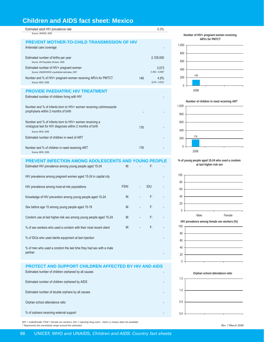## **Children and AIDS fact sheet: Mexico**

| Estimated adult HIV prevalence rate                                                       |     | 0.3%                         |                                                       |  |
|-------------------------------------------------------------------------------------------|-----|------------------------------|-------------------------------------------------------|--|
| Source: UNAIDS, 2006                                                                      |     |                              | Number of HIV+ pregnant wome<br><b>ARVs for PMTCT</b> |  |
| <b>PREVENT MOTHER-TO-CHILD TRANSMISSION OF HIV</b>                                        |     |                              | 1,000                                                 |  |
| Antenatal care coverage                                                                   |     |                              |                                                       |  |
| Estimated number of births per year                                                       |     | 2,109,000                    | 800                                                   |  |
| Source: UN Population Division, 2006                                                      |     |                              | 600                                                   |  |
| Estimated number of HIV+ pregnant women<br>Source: UNAIDS/WHO unpublished estimates, 2007 |     | 3.073<br>$[1,663 - 5,835]$ * | 400                                                   |  |
| Number and % of HIV+ pregnant women receiving ARVs for PMTCT                              | 146 | 4.8%                         | 146<br>200                                            |  |
| Source: MOH. 2006                                                                         |     | $[2.5\% - 8.8\%]$ *          |                                                       |  |
| <b>PROVIDE PAEDIATRIC HIV TREATMENT</b>                                                   |     |                              | 0<br>2006                                             |  |
| Estimated number of children living with HIV                                              |     |                              |                                                       |  |
|                                                                                           |     |                              | Number of children in need re                         |  |
| Number and % of infants born to HIV+ women receiving cotrimoxazole                        |     |                              | 1,000                                                 |  |
| prophylaxis within 2 months of birth                                                      |     |                              | 800                                                   |  |
| Number and % of infants born to HIV+ women receiving a                                    |     |                              | 600                                                   |  |
| virological test for HIV diagnosis within 2 months of birth                               | 176 |                              |                                                       |  |
| Source: MOH. 2006                                                                         |     |                              | 400                                                   |  |
| Estimated number of children in need of ART                                               |     |                              | 176<br>200                                            |  |
| Number and % of children in need receiving ART                                            | 176 |                              | 0                                                     |  |
| Source: MOH. 2006                                                                         |     |                              | 2006                                                  |  |
| <b>PREVENT INFECTION AMONG ADOLESCENTS AND YOUNG PEOPLE</b>                               |     |                              | % of young people aged 15-24 who u                    |  |
| M:<br>Estimated HIV prevalence among young people aged 15-24                              | F:  |                              | at last higher-risk sex                               |  |
|                                                                                           |     |                              | 100                                                   |  |
| HIV prevalence among pregnant women aged 15-24 in capital city                            |     |                              |                                                       |  |

|                                                                   |      |      | 80  |                                |
|-------------------------------------------------------------------|------|------|-----|--------------------------------|
| HIV prevalence among most-at-risk populations                     | FSW: | IDU: | 60  |                                |
|                                                                   |      |      | 40  |                                |
| Knowledge of HIV prevention among young people aged 15-24         | M:   | F:   |     |                                |
| Sex before age 15 among young people aged 15-19                   | M:   | F:   | 20  |                                |
|                                                                   |      |      | 0   | Male                           |
| Condom use at last higher-risk sex among young people aged 15-24  | M:   | F:   |     | HIV prevalence among female se |
| % of sex workers who used a condom with their most recent client  | M:   | F:   | 100 |                                |
|                                                                   |      |      | 80  |                                |
| % of IDUs who used sterile equipment at last injection            |      |      | 60  |                                |
| % of men who used a condom the last time they had sex with a male |      |      | 40  |                                |
| partner                                                           |      |      | 20  |                                |

## **PROTECT AND SUPPORT CHILDREN AFFECTED BY HIV AND AIDS**

| Estimated number of children orphaned by all causes | $\overline{\phantom{0}}$ |     | Orphan school attenda |
|-----------------------------------------------------|--------------------------|-----|-----------------------|
| Estimated number of children orphaned by AIDS       | -                        | 1.5 |                       |
| Estimated number of double orphans by all causes    | -                        | 1.0 |                       |
| Orphan school attendance ratio                      |                          | 0.5 |                       |
| % of orphans receiving external support             | -                        | 0.0 |                       |

\* *Represents the uncertainty range around the estimates M/F = male/female; FSW = female sex workers; IDU = injecting drug users. Dash (-) means data not available.*





**% of young people aged 15-24 who used a condom at last higher-risk sex**

| 100      |                                             |        |
|----------|---------------------------------------------|--------|
| 80       |                                             |        |
| 60       |                                             |        |
| 40       |                                             |        |
| 20       | <b>Contract Contract</b>                    |        |
| $\Omega$ |                                             |        |
|          | Male                                        | Female |
|          |                                             |        |
|          | HIV prevalence among female sex workers (%) |        |
| 100      |                                             |        |
| 80       |                                             |        |
| 60       |                                             |        |
| 40       |                                             |        |
| 20       |                                             |        |

-



88 UNICEF, WHO and UNAIDS, Children and AIDS: Country fact sheets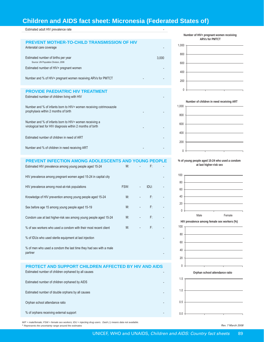## **Children and AIDS fact sheet: Micronesia (Federated States of)**

#### Estimated adult HIV prevalence rate

## **PREVENT MOTHER-TO-CHILD TRANSMISSION OF HIV**

| Antenatal care coverage                                           | $\cdots$ |  |
|-------------------------------------------------------------------|----------|--|
|                                                                   | 800      |  |
| Estimated number of births per year<br>3,000                      |          |  |
| Source: UN Population Division, 2006                              | 600      |  |
| Estimated number of HIV+ pregnant women                           |          |  |
|                                                                   | 400      |  |
| Number and % of HIV+ pregnant women receiving ARVs for PMTCT<br>- | 200      |  |
|                                                                   |          |  |

#### **PROVIDE PAEDIATRIC HIV TREATMENT**

Estimated number of children living with HIV

Number and % of infants born to HIV+ women receiving cotrimoxazole Number and % of infants born to HIV+ women receiving cotrimoxazole prophylaxis within 6 weeks of birth <sup>2007</sup> <sup>1090</sup> prophylaxis within 2 months of birth

Number and % of infants born to HIV+ women receiving a Number and % of infants born to HIV+ women receiving a virological test for HIV diagnosis within 2 months of birth

Estimated number of children in need of ART

Number and % of children in need receiving ART

partner

### **PREVENT INFECTION AMONG ADOLESCENTS AND YOUNG PEOPLE**

| M: |                  | F: |                  |     |                 |                                                                    |
|----|------------------|----|------------------|-----|-----------------|--------------------------------------------------------------------|
|    |                  |    |                  | 100 |                 |                                                                    |
|    |                  |    |                  | 80  |                 |                                                                    |
|    |                  |    |                  | 60  |                 |                                                                    |
| M: |                  | F: |                  | 40  |                 |                                                                    |
|    |                  |    |                  | 20  |                 |                                                                    |
|    |                  |    |                  | 0   |                 |                                                                    |
| M: |                  | F: |                  |     |                 |                                                                    |
|    |                  |    |                  | 100 |                 |                                                                    |
|    |                  |    |                  | 80  |                 |                                                                    |
|    |                  |    |                  |     |                 |                                                                    |
|    |                  |    |                  |     |                 |                                                                    |
|    | FSW:<br>M:<br>M: |    | IDU:<br>F:<br>F: |     | 60<br>$\Lambda$ | at last liigilei -ilsk s<br>Male<br>HIV prevalence among female se |

## **PROTECT AND SUPPORT CHILDREN AFFECTED BY HIV AND AIDS**

| Estimated number of children orphaned by all causes | $\overline{\phantom{0}}$ | Orphan school attenda |
|-----------------------------------------------------|--------------------------|-----------------------|
| Estimated number of children orphaned by AIDS       | -                        | 1.5                   |
| Estimated number of double orphans by all causes    | -                        | 1.0                   |
| Orphan school attendance ratio                      | -                        | 0.5                   |
| % of orphans receiving external support             |                          | 0.0                   |

 $*$  Represents the uncertainty range around the estimates *M/F = male/female; FSW = female sex workers; IDU = injecting drug users. Dash (-) means data not available.* Rev. 7 March 2008

**Number of HIV+ pregnant women receiving ARVs for PMTCT**

| 1,000    |                                          |
|----------|------------------------------------------|
|          |                                          |
| 800      |                                          |
|          |                                          |
| 600      |                                          |
|          |                                          |
| 400      |                                          |
|          |                                          |
| 200      |                                          |
|          |                                          |
| $\Omega$ | Τ<br>Τ                                   |
|          |                                          |
|          |                                          |
|          | Number of children in need receiving ART |

| 1,000 | ັ |
|-------|---|
|       |   |
| 800   |   |
|       |   |
| 600   |   |
|       |   |
| 400   |   |
|       |   |
| 200   |   |
|       |   |
| ι     |   |

**% of young people aged 15-24 who used a condom at last higher-risk sex**

| 100      |                                             |        |
|----------|---------------------------------------------|--------|
| 80       |                                             |        |
| 60       |                                             |        |
| 40       |                                             |        |
| 20       |                                             |        |
| 0        |                                             |        |
|          | Male                                        | Female |
|          | HIV prevalence among female sex workers (%) |        |
| 100      |                                             |        |
| 80       |                                             |        |
| 60       |                                             |        |
| 40       |                                             |        |
| 20       |                                             |        |
| $\Omega$ |                                             |        |
|          | Orphan school attendance ratio              |        |
| 1.5      |                                             |        |
|          |                                             |        |
| 1.0      |                                             |        |
| 0.5      |                                             |        |
|          |                                             |        |
| 0.0      |                                             |        |

-

- -

- -

- -

-

-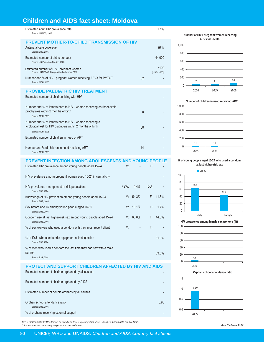# **Children and AIDS fact sheet: Moldova**

| Estimated adult HIV prevalence rate                                                       |                      | 1.1%                     |                                               |
|-------------------------------------------------------------------------------------------|----------------------|--------------------------|-----------------------------------------------|
| Source: UNAIDS, 2006                                                                      |                      |                          | Number of HIV+ pregnant wome                  |
| PREVENT MOTHER-TO-CHILD TRANSMISSION OF HIV                                               |                      |                          | <b>ARVs for PMTCT</b>                         |
| Antenatal care coverage                                                                   |                      | 98%                      | 1,000                                         |
| Source: DHS, 2005                                                                         |                      |                          | 800                                           |
| Estimated number of births per year                                                       |                      | 44.000                   |                                               |
| Source: UN Population Division, 2006                                                      |                      |                          | 600                                           |
| Estimated number of HIV+ pregnant women<br>Source: UNAIDS/WHO unpublished estimates, 2007 |                      | 100<br>$[< 100 - 200]$ * | 400                                           |
| Number and % of HIV+ pregnant women receiving ARVs for PMTCT                              | 62                   |                          | 200                                           |
| Source: MOH. 2006                                                                         |                      |                          | 31<br>32<br>0                                 |
| <b>PROVIDE PAEDIATRIC HIV TREATMENT</b>                                                   |                      |                          | 2004<br>2005                                  |
|                                                                                           |                      |                          |                                               |
| Estimated number of children living with HIV                                              |                      |                          | Number of children in need re                 |
| Number and % of infants born to HIV+ women receiving cotrimoxazole                        |                      |                          | 1,000                                         |
| prophylaxis within 2 months of birth                                                      | $\mathbf{0}$         |                          |                                               |
| Source: MOH. 2006                                                                         |                      |                          | 800                                           |
| Number and % of infants born to HIV+ women receiving a                                    |                      |                          | 600                                           |
| virological test for HIV diagnosis within 2 months of birth                               | 60                   |                          |                                               |
| Source: MOH. 2006                                                                         |                      |                          | 400                                           |
| Estimated number of children in need of ART                                               |                      |                          | 200                                           |
|                                                                                           |                      |                          | 11<br>14                                      |
| Number and % of children in need receiving ART                                            | 14                   |                          | 0                                             |
| Source: MOH, 2006                                                                         |                      |                          | 2005<br>2006                                  |
| <b>PREVENT INFECTION AMONG ADOLESCENTS AND YO</b>                                         |                      | PFOPI F                  | % of young people aged 15-24 who u            |
| Estimated HIV prevalence among young people aged 15-24                                    | M:                   | F:                       | at last higher-risk sex                       |
|                                                                                           |                      |                          | ■2005                                         |
| HIV prevalence among pregnant women aged 15-24 in capital city                            |                      |                          | 100                                           |
|                                                                                           |                      |                          | 80                                            |
| HIV prevalence among most-at-risk populations                                             | FSW:<br>4.4%<br>IDU: |                          | 63.0                                          |
| Source: BSS, 2004                                                                         |                      |                          | 60                                            |
| Knowledge of HIV prevention among young people aged 15-24                                 | 54.3%<br>M:          | 41.6%<br>F:              | 40                                            |
| Source: DHS. 2005                                                                         |                      |                          | 20                                            |
| Sex before age 15 among young people aged 15-19                                           | 10.1%<br>M:          | F:<br>1.7%               | $\mathbf 0$                                   |
| Source: DHS. 2005                                                                         |                      |                          | Male                                          |
| Condom use at last higher-risk sex among young people aged 15-24                          | 63.0%<br>M:          | 44.0%<br>F:              |                                               |
| Source: DHS, 2005                                                                         |                      |                          | <b>HIV prevalence among female sex</b><br>100 |
| % of sex workers who used a condom with their most recent client                          | M:                   | F:                       |                                               |

 $80 +$ <u>2006 - 2006 - 2006 - 2006 - 2006 - 2006 - 2006 - 2006 - 2006 - 2006 - 2006 - 2006 - 2006 - 2006 - 2006 - 2006</u> **Orphan school attendance ratio** 63.0 44.0 0 20 40 60 80 Male **Female** 4.4 0 20 40 60 80 100 2004 **HIV prevalence among female sex workers (%)**

 $\blacksquare$  2005

**% of young people aged 15-24 who used a condom at last higher-risk sex**

**Number of children in need receiving ART** 

<sup>32</sup> <sup>62</sup> <sup>31</sup>

**Number of HIV+ pregnant women receiving ARVs for PMTCT**

2004 2005 2006



\* *Represents the uncertainty range around the estimates M/F = male/female; FSW = female sex workers; IDU = injecting drug users. Dash (-) means data not available.*

% of IDUs who used sterile equipment at last injection

Estimated number of children orphaned by all causes

Estimated number of children orphaned by AIDS

Estimated number of double orphans by all causes

Orphan school attendance ratio Source: DHS, 2005

% of orphans receiving external support

% of men who used a condom the last time they had sex with a male

Source: BSS, 2004

Source: BSS, 2004

partner

**PROTECT AND SUPPORT CHILDREN AFFECTED BY HIV AND AIDS**

- 0.90

-

-

-

81.0%

63.0%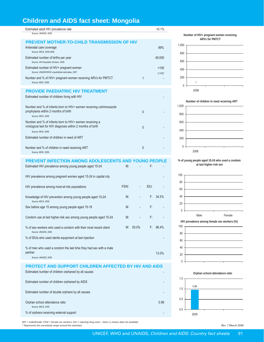# **Children and AIDS fact sheet: Mongolia**

| Estimated adult HIV prevalence rate                                                                                   |              | < 0.1%        |                                        |
|-----------------------------------------------------------------------------------------------------------------------|--------------|---------------|----------------------------------------|
| Source: UNAIDS, 2006                                                                                                  |              |               | Number of HIV+ pregnant wome           |
| <b>PREVENT MOTHER-TO-CHILD TRANSMISSION OF HIV</b>                                                                    |              |               | <b>ARVs for PMTCT</b>                  |
| Antenatal care coverage<br>Source: MICS, 2005-2006                                                                    |              | 99%           | 1,000<br>800                           |
| Estimated number of births per year<br>Source: UN Population Division, 2006                                           |              | 49,000        | 600                                    |
| Estimated number of HIV+ pregnant women<br>Source: UNAIDS/WHO unpublished estimates, 2007                             |              | < 100         | 400                                    |
| Number and % of HIV+ pregnant women receiving ARVs for PMTCT                                                          | 1            | $[< 100]$ *   | 200<br>1                               |
| Source: MOH, 2006                                                                                                     |              |               | 0                                      |
| <b>PROVIDE PAEDIATRIC HIV TREATMENT</b><br>Estimated number of children living with HIV                               |              |               | 2006                                   |
|                                                                                                                       |              |               | Number of children in need re          |
| Number and % of infants born to HIV+ women receiving cotrimoxazole<br>prophylaxis within 2 months of birth            | 0            |               | 1,000<br>800                           |
| Source: MOH, 2006                                                                                                     |              |               |                                        |
| Number and % of infants born to HIV+ women receiving a<br>virological test for HIV diagnosis within 2 months of birth | 0            |               | 600<br>400                             |
| Source: MOH, 2006<br>Estimated number of children in need of ART                                                      |              |               |                                        |
|                                                                                                                       |              |               | 200                                    |
| Number and % of children in need receiving ART<br>Source: MOH. 2006                                                   | $\mathbf{0}$ |               | 0<br>2006                              |
| PREVENT INFECTION AMONG ADOLESCENTS AND YOUNG                                                                         |              | <b>PEOPLE</b> | % of young people aged 15-24 who u     |
| Estimated HIV prevalence among young people aged 15-24                                                                | M:           | F:            | at last higher-risk sex                |
|                                                                                                                       |              |               | 100                                    |
| HIV prevalence among pregnant women aged 15-24 in capital city                                                        |              |               | 80                                     |
| HIV prevalence among most-at-risk populations                                                                         | FSW:         | IDU:          | 60                                     |
| Knowledge of HIV prevention among young people aged 15-24                                                             | M:           | F:<br>34.5%   | 40                                     |
| Source: MICS, 2005                                                                                                    |              |               | 20                                     |
| Sex before age 15 among young people aged 15-19                                                                       | M:           | F:            | 0                                      |
| Condom use at last higher-risk sex among young people aged 15-24                                                      | M:           | F:            | Male                                   |
| % of sex workers who used a condom with their most recent client                                                      | $M: 50.0\%$  | F: I<br>96.4% | HIV prevalence among female sex<br>100 |
| Source: UNAIDS, 2006                                                                                                  |              |               | 80                                     |
| % of IDUs who used sterile equipment at last injection                                                                |              |               | 60                                     |
| % of men who used a condom the last time they had sex with a male                                                     |              |               | 40                                     |
| partner                                                                                                               |              | 13.0%         | 20                                     |
| Source: UNAIDS, 2006                                                                                                  |              |               | 0                                      |
| <b>PROTECT AND SUPPORT CHILDREN AFFECTED BY HIV AND AIDS</b>                                                          |              |               |                                        |
| Estimated number of children orphaned by all causes                                                                   |              |               | Orphan school attendan                 |
| Estimated number of children orphaned by AIDS                                                                         |              |               | 1.5<br>0.96                            |
| Estimated number of double orphans by all causes                                                                      |              |               | 1.0                                    |
| Orphan school attendance ratio                                                                                        |              | 0.96          | 0.5                                    |
| Source: MICS, 2005<br>% of orphans receiving external support                                                         |              |               | 0.0                                    |
|                                                                                                                       |              |               | 2005                                   |

*M/F = male/female; FSW = female sex workers; IDU = injecting drug users. Dash (-) means data not available.*<br>\* Represents the uncertainty range around the estimates

Rev. 7 March 2008

|       | Number of HIV+ pregnant women receiving<br><b>ARVs for PMTCT</b> |
|-------|------------------------------------------------------------------|
| 1,000 |                                                                  |
| 800   |                                                                  |
| 600   |                                                                  |
| 400   |                                                                  |
| 200   |                                                                  |
|       |                                                                  |
|       | 2006                                                             |



**% of young people aged 15-24 who used a condom at last higher-risk sex**



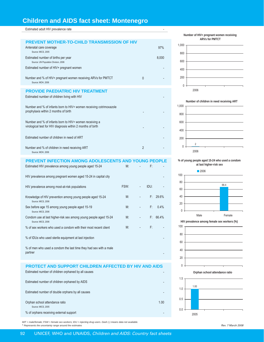## **Children and AIDS fact sheet: Montenegro**

## Estimated adult HIV prevalence rate

### **PREVENT MOTHER-TO-CHILD TRANSMISSION OF HIV**

| Antenatal care coverage                                      | 97%                      | ,uuu |  |
|--------------------------------------------------------------|--------------------------|------|--|
| Source: MICS, 2005                                           |                          | 800  |  |
| Estimated number of births per year                          | 8,000                    | 600  |  |
| Source: UN Population Division, 2006                         |                          |      |  |
| Estimated number of HIV+ pregnant women                      | $\overline{\phantom{0}}$ | 400  |  |
|                                                              |                          |      |  |
| Number and % of HIV+ pregnant women receiving ARVs for PMTCT |                          | 200  |  |
| Source: MOH, 2006                                            |                          |      |  |
|                                                              |                          |      |  |

## **PROVIDE PAEDIATRIC HIV TREATMENT**

| Estimated number of children living with HIV |  |
|----------------------------------------------|--|
|                                              |  |

Number and % of children in need receiving ART

Source: MOH, 2006

partner

Number and % of infants born to HIV+ women receiving cotrimoxazole Number and % of infants born to HIV+ women receiving cotrimoxazole prophylaxis within 6 weeks of birth <sup>2007</sup> <sup>1090</sup> prophylaxis within 2 months of birth

Number and % of infants born to HIV+ women receiving a Number and % of infants born to HIV+ women receiving a virological test for HIV diagnosis within 2 months of birth Estimated number of children in need of ART - -

# **PREVENT INFECTION AMONG ADOLESCENTS AND YOUNG PEOPLE**

| Estimated HIV prevalence among young people aged 15-24                          | M:   |                          | F:   |             |                                          | at last liigilei -ilsk s       |  |
|---------------------------------------------------------------------------------|------|--------------------------|------|-------------|------------------------------------------|--------------------------------|--|
|                                                                                 |      |                          |      |             |                                          | ■2006                          |  |
| HIV prevalence among pregnant women aged 15-24 in capital city                  |      |                          |      |             | 100                                      |                                |  |
|                                                                                 |      |                          |      |             | 80                                       |                                |  |
| HIV prevalence among most-at-risk populations                                   | FSW: |                          | IDU: |             | 60                                       |                                |  |
|                                                                                 | M:   |                          |      | $F: 29.6\%$ | 40                                       |                                |  |
| Knowledge of HIV prevention among young people aged 15-24<br>Source: MICS, 2006 |      | $\overline{\phantom{a}}$ |      |             |                                          |                                |  |
| Sex before age 15 among young people aged 15-19                                 | M:   | $\overline{\phantom{0}}$ | F:   | 0.4%        | 20                                       |                                |  |
| Source: MICS, 2006                                                              |      |                          |      |             | 0                                        |                                |  |
| Condom use at last higher-risk sex among young people aged 15-24                | M:   | $\overline{\phantom{0}}$ |      | F: 66.4%    |                                          | Male                           |  |
| Source: MICS, 2006                                                              |      |                          |      |             |                                          | HIV prevalence among female se |  |
| % of sex workers who used a condom with their most recent client                | M:   |                          | F:   |             | 100                                      |                                |  |
|                                                                                 |      |                          |      |             | 80                                       |                                |  |
| % of IDUs who used sterile equipment at last injection                          |      |                          |      |             | 60                                       |                                |  |
|                                                                                 |      |                          |      |             |                                          |                                |  |
| % of men who used a condom the last time they had sex with a male               |      |                          |      |             | $\Lambda$ <sup><math>\Omega</math></sup> |                                |  |

## **PROTECT AND SUPPORT CHILDREN AFFECTED BY HIV AND AIDS**

| Estimated number of children orphaned by all causes  |      |     |      | Orphan school attenda |
|------------------------------------------------------|------|-----|------|-----------------------|
| Estimated number of children orphaned by AIDS        |      | 1.5 |      |                       |
| Estimated number of double orphans by all causes     | -    | 1.0 | 1.00 |                       |
| Orphan school attendance ratio<br>Source: MICS, 2005 | 1.00 | 0.5 |      |                       |
| % of orphans receiving external support              |      | 0.0 | 2005 |                       |

\* *Represents the uncertainty range around the estimates* rev. January 22, 2008 *M/F = male/female; FSW = female sex workers; IDU = injecting drug users. Dash (-) means data not available.* **Number of HIV+ pregnant women receiving ARVs for PMTCT**





#### **% of young people aged 15-24 who used a condom at last higher-risk sex**

2 -

-

-

-

- -



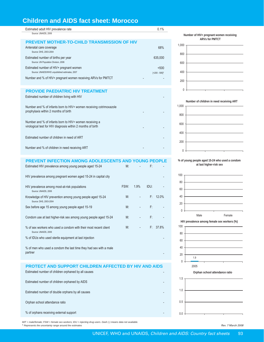## **Children and AIDS fact sheet: Morocco**

| Estimated adult HIV prevalence rate                                                                                   |      |      |      | 0.1%                       |              |                                                |
|-----------------------------------------------------------------------------------------------------------------------|------|------|------|----------------------------|--------------|------------------------------------------------|
| Source: UNAIDS, 2006                                                                                                  |      |      |      |                            |              | Number of HIV+ pregnant women receiving        |
| PREVENT MOTHER-TO-CHILD TRANSMISSION OF HIV                                                                           |      |      |      |                            |              | <b>ARVs for PMTCT</b>                          |
| Antenatal care coverage                                                                                               |      |      |      | 68%                        | 1,000        |                                                |
| Source: DHS, 2003-2004                                                                                                |      |      |      |                            | 800          |                                                |
| Estimated number of births per year                                                                                   |      |      |      | 635,000                    |              |                                                |
| Source: UN Population Division, 2006                                                                                  |      |      |      |                            | 600          |                                                |
| Estimated number of HIV+ pregnant women<br>Source: UNAIDS/WHO unpublished estimates, 2007                             |      |      |      | < 500<br>$[< 200 - 585]$ * | 400          |                                                |
| Number and % of HIV+ pregnant women receiving ARVs for PMTCT                                                          |      |      |      |                            |              |                                                |
|                                                                                                                       |      |      |      |                            | 200          |                                                |
| <b>PROVIDE PAEDIATRIC HIV TREATMENT</b>                                                                               |      |      |      |                            | 0            |                                                |
| Estimated number of children living with HIV                                                                          |      |      |      |                            |              |                                                |
|                                                                                                                       |      |      |      |                            |              | Number of children in need receiving ART       |
| Number and % of infants born to HIV+ women receiving cotrimoxazole                                                    |      |      |      |                            | 1,000        |                                                |
| prophylaxis within 2 months of birth                                                                                  |      |      |      |                            | 800          |                                                |
|                                                                                                                       |      |      |      |                            |              |                                                |
| Number and % of infants born to HIV+ women receiving a<br>virological test for HIV diagnosis within 2 months of birth |      |      |      |                            | 600          |                                                |
|                                                                                                                       |      |      |      |                            | 400          |                                                |
| Estimated number of children in need of ART                                                                           |      |      |      |                            |              |                                                |
|                                                                                                                       |      |      |      |                            | 200          |                                                |
| Number and % of children in need receiving ART                                                                        |      |      |      |                            | $\mathbf{0}$ |                                                |
|                                                                                                                       |      |      |      |                            |              |                                                |
| PREVENT INFECTION AMONG ADOLESCENTS AND YOUNG                                                                         |      |      |      | <b>PEOPLE</b>              |              | % of young people aged 15-24 who used a condom |
| Estimated HIV prevalence among young people aged 15-24                                                                | M:   |      | F:   |                            |              | at last higher-risk sex                        |
|                                                                                                                       |      |      |      |                            | 100          |                                                |
| HIV prevalence among pregnant women aged 15-24 in capital city                                                        |      |      |      |                            |              |                                                |
| HIV prevalence among most-at-risk populations                                                                         | FSW: | 1.9% | IDU: |                            | 80           |                                                |
| Source: UNAIDS, 2006                                                                                                  |      |      |      |                            | 60           |                                                |
| Knowledge of HIV prevention among young people aged 15-24                                                             | M:   |      |      | $F: 12.0\%$                | 40           |                                                |
| Source: DHS, 2003-2004                                                                                                |      |      |      |                            | 20           |                                                |
| Sex before age 15 among young people aged 15-19                                                                       | M:   |      | F:   |                            | 0            |                                                |
|                                                                                                                       |      |      | F:   |                            |              | Male<br>Female                                 |
| Condom use at last higher-risk sex among young people aged 15-24                                                      | M:   |      |      |                            |              | HIV prevalence among female sex workers (%)    |
| % of sex workers who used a condom with their most recent client                                                      | M:   |      |      | F: 37.8%                   | 100          |                                                |
| Source: UNAIDS, 2006                                                                                                  |      |      |      |                            | 80           |                                                |
| % of IDUs who used sterile equipment at last injection                                                                |      |      |      |                            | 60           |                                                |
|                                                                                                                       |      |      |      |                            |              |                                                |
| % of men who used a condom the last time they had sex with a male<br>partner                                          |      |      |      |                            | 40           |                                                |
|                                                                                                                       |      |      |      |                            | 20           | 1.9                                            |
|                                                                                                                       |      |      |      |                            | 0            |                                                |
| PROTECT AND SUPPORT CHILDREN AFFECTED BY HIV AND AIDS                                                                 |      |      |      |                            |              | 2005                                           |
| Estimated number of children orphaned by all causes                                                                   |      |      |      |                            |              | Orphan school attendance ratio                 |
| Estimated number of children orphaned by AIDS                                                                         |      |      |      |                            | 1.5          |                                                |
|                                                                                                                       |      |      |      |                            |              |                                                |
| Estimated number of double orphans by all causes                                                                      |      |      |      |                            | 1.0          |                                                |
|                                                                                                                       |      |      |      |                            |              |                                                |
| Orphan school attendance ratio                                                                                        |      |      |      |                            | 0.5          |                                                |
| % of orphans receiving external support                                                                               |      |      |      |                            |              |                                                |
|                                                                                                                       |      |      |      |                            | 0.0          |                                                |
|                                                                                                                       |      |      |      |                            |              |                                                |

\* *Represents the uncertainty range around the estimates M/F = male/female; FSW = female sex workers; IDU = injecting drug users. Dash (-) means data not available.*

Rev. 7 March 2008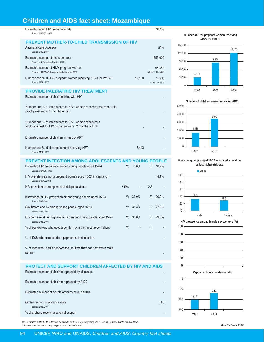# **Children and AIDS fact sheet: Mozambique**

| Estimated adult HIV prevalence rate | 16.1% |
|-------------------------------------|-------|
| Source: UNAIDS, 2006                |       |

| <b>PREVENT MOTHER-TO-CHILD TRANSMISSION OF HIV</b>           |                       | 15.000 |       |       |  |
|--------------------------------------------------------------|-----------------------|--------|-------|-------|--|
| Antenatal care coverage                                      | 85%                   |        |       |       |  |
| Source: DHS, 2003                                            |                       | 12.000 |       |       |  |
| Estimated number of births per year                          | 856,000               |        |       | 8,490 |  |
| Source: UN Population Division, 2006                         |                       | 9.000  |       |       |  |
| Estimated number of HIV+ pregnant women                      | 95.482                | 6.000  |       |       |  |
| Source: UNAIDS/WHO unpublished estimates, 2007               | [79,656 - 112,694]*   |        | 3.117 |       |  |
| Number and % of HIV+ pregnant women receiving ARVs for PMTCT | 12.7%<br>12.150       | 3,000  |       |       |  |
| Source: MOH, 2006                                            | $[10.8\% - 15.3\%]$ * |        |       |       |  |
| ------                                                       |                       |        | 200A  | 2005  |  |

## **PROVIDE PAEDIATRIC HIV TREATMENT**

Estimated number of children living with HIV

Source: MOH, 2006

partner

Number and % of infants born to HIV+ women receiving cotrimoxazole Number and % of infants born to HIV+ women receiving cotrimoxazole prophylaxis within 6 weeks of birth <sup>2007</sup> <sup>1090</sup> prophylaxis within 2 months of birth

| Number and % of infants born to HIV+ women receiving a<br>virological test for HIV diagnosis within 2 months of birth | -     |  |
|-----------------------------------------------------------------------------------------------------------------------|-------|--|
| Estimated number of children in need of ART                                                                           |       |  |
| Number and % of children in need receiving ART                                                                        | 3.443 |  |

#### **PREVENT INFECTION AMONG ADOLESCENTS AND YOUNG PEOPLE**

| Estimated HIV prevalence among young people aged 15-24                                | M:   | 3.6%  |      | $F: 10.7\%$ |                           | <b>deal</b> indication sex                |    |
|---------------------------------------------------------------------------------------|------|-------|------|-------------|---------------------------|-------------------------------------------|----|
| Source: UNAIDS, 2006                                                                  |      |       |      |             |                           | ■2003                                     |    |
| HIV prevalence among pregnant women aged 15-24 in capital city<br>Source: SOWC, 2002  |      |       |      | 14.7%       | 100<br>80                 |                                           |    |
| HIV prevalence among most-at-risk populations                                         | FSW: |       | IDU: |             | 60                        |                                           |    |
| Knowledge of HIV prevention among young people aged 15-24<br>Source: DHS, 2003        | M:   | 33.0% |      | $F: 20.0\%$ | 40<br>20                  | 33.0                                      | 29 |
| Sex before age 15 among young people aged 15-19<br>Source: DHS, 2003                  | M:   | 31.3% |      | F: 27.8%    |                           |                                           |    |
| Condom use at last higher-risk sex among young people aged 15-24<br>Source: DHS, 2003 | M:   | 33.0% |      | $F: 29.0\%$ |                           | Male<br>HIV prevalence among female sex w |    |
| % of sex workers who used a condom with their most recent client                      | M:   |       | F:   |             | 100                       |                                           |    |
| % of IDUs who used sterile equipment at last injection                                |      |       |      |             | 80                        |                                           |    |
| % of men who used a condom the last time they had sex with a male                     |      |       |      |             | 60<br>$\Lambda$ $\Lambda$ |                                           |    |

## **PROTECT AND SUPPORT CHILDREN AFFECTED BY HIV AND AIDS**

| Estimated number of children orphaned by all causes |      | Orphan school attenda |      |      |  |
|-----------------------------------------------------|------|-----------------------|------|------|--|
| Estimated number of children orphaned by AIDS       | -    | i.b                   |      |      |  |
| Estimated number of double orphans by all causes    |      | 1.0                   | 0.47 | 0.80 |  |
| Orphan school attendance ratio<br>Source: DHS, 2003 | 0.80 | 0.5                   |      |      |  |
| % of orphans receiving external support             |      | 0.0                   | 1997 | 2003 |  |

\* *Represents the uncertainty range around the estimates M/F = male/female; FSW = female sex workers; IDU = injecting drug users. Dash (-) means data not available.*





-

-

0

- -

**% of young people aged 15-24 who used a condom at last higher-risk sex**



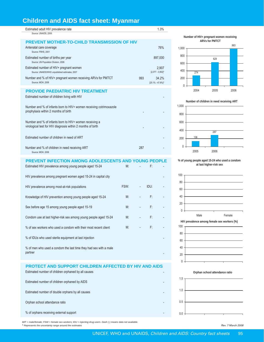## **Children and AIDS fact sheet: Myanmar**

| Estimated adult HIV prevalence rate                | 1.3%    |                             |
|----------------------------------------------------|---------|-----------------------------|
| Source: UNAIDS, 2006                               |         | Number of HIV+ pregnant wom |
| <b>PREVENT MOTHER-TO-CHILD TRANSMISSION OF HIV</b> |         | <b>ARVs for PMTCT</b>       |
| Antenatal care coverage                            | 76%     | .000                        |
| Source: FRHS, 2001                                 |         | 800                         |
| Estimated number of births per year                | 897.000 | 620                         |

| Source: UN Population Division, 2006                         |                       | 600 |     | --- |  |
|--------------------------------------------------------------|-----------------------|-----|-----|-----|--|
| Estimated number of HIV+ pregnant women                      | 2.907                 |     |     |     |  |
| Source: UNAIDS/WHO unpublished estimates, 2007               | $[2,077 - 3,952]$ *   | 400 | 274 |     |  |
| Number and % of HIV+ pregnant women receiving ARVs for PMTCT | 993<br>34.2%          | 200 |     |     |  |
| Source: MOH, 2006                                            | $[25.1\% - 47.8\%]$ * |     |     |     |  |

## **PROVIDE PAEDIATRIC HIV TREATMENT**

Estimated number of children living with HIV

Number and % of children in need receiving ART

Source: MOH, 2006

partner

Number and % of infants born to HIV+ women receiving cotrimoxazole Number and % of infants born to HIV+ women receiving cotrimoxazole prophylaxis within 6 weeks of birth <sup>2007</sup> <sup>1090</sup> prophylaxis within 2 months of birth

Number and % of infants born to HIV+ women receiving a Number and % of infants born to HIV+ women receiving a virological test for HIV diagnosis within 2 months of birth Estimated number of children in need of ART - -

### **PREVENT INFECTION AMONG ADOLESCENTS AND YOUNG PEOPLE**

| Estimated HIV prevalence among young people aged 15-24            | M:   | F:   |          | at last liigilei -ilsk s               |
|-------------------------------------------------------------------|------|------|----------|----------------------------------------|
| HIV prevalence among pregnant women aged 15-24 in capital city    |      |      | 100      |                                        |
| HIV prevalence among most-at-risk populations                     | FSW: | IDU: | 80<br>60 |                                        |
| Knowledge of HIV prevention among young people aged 15-24         | M:   | F:   | 40       |                                        |
|                                                                   |      |      | 20       |                                        |
| Sex before age 15 among young people aged 15-19                   | M:   | F:   | 0        |                                        |
| Condom use at last higher-risk sex among young people aged 15-24  | M:   | F:   |          | Male<br>HIV prevalence among female se |
| % of sex workers who used a condom with their most recent client  | M:   | F:   | 100      |                                        |
| % of IDUs who used sterile equipment at last injection            |      |      | 80<br>60 |                                        |
| % of men who used a condom the last time they had sex with a male |      |      | 40       |                                        |

## **PROTECT AND SUPPORT CHILDREN AFFECTED BY HIV AND AIDS**

| Estimated number of children orphaned by all causes | - | Orphan school attenda |
|-----------------------------------------------------|---|-----------------------|
| Estimated number of children orphaned by AIDS       |   | 1.5                   |
| Estimated number of double orphans by all causes    | - | 1.0                   |
| Orphan school attendance ratio                      |   | 0.5                   |
| % of orphans receiving external support             |   | 0.0                   |

#### *M/F = male/female; FSW = female sex workers; IDU = injecting drug users. Dash (-) means data not available.*

\* *Represents the uncertainty range around the estimates*

Rev. 7 March 2008





**% of young people aged 15-24 who used a condom at last higher-risk sex**





-

-

-

0 200

- -

287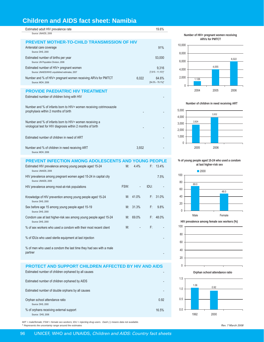## **Children and AIDS fact sheet: Namibia**

| Estimated adult HIV prevalence rate                                         | 19.6%                |                               |
|-----------------------------------------------------------------------------|----------------------|-------------------------------|
| Source: UNAIDS, 2006                                                        |                      | Number of HIV+ pregnant wome  |
| <b>PREVENT MOTHER-TO-CHILD TRANSMISSION OF HIV</b>                          |                      | <b>ARVs for PMTCT</b>         |
| Antenatal care coverage                                                     | 91%                  | 10.000                        |
| Source: DHS, 2000                                                           |                      | 8.000                         |
| Estimated number of births per year<br>Source: UN Population Division, 2006 | 53,000               | 6.000                         |
| Estimated number of HIV+ pregnant women                                     | 9.316                | 4.055                         |
| Source: UNAIDS/WHO unpublished estimates, 2007                              | $[7,615 - 11,151]$ * | 4,000                         |
| Number and % of HIV+ pregnant women receiving ARVs for PMTCT<br>6.022       | 64.6%                | 2,000<br>1.126                |
| Source: MOH. 2006                                                           | [54.0% - 79.1%]*     | $\Omega$                      |
| <b>PROVIDE PAEDIATRIC HIV TREATMENT</b>                                     |                      | 2004<br>2005                  |
| Estimated number of children living with HIV                                |                      |                               |
|                                                                             |                      | Number of children in need re |
| Number and % of infants born to HIV+ women receiving cotrimoxazole          |                      | 5.000                         |
| prophylaxis within 2 months of birth                                        |                      | 3.932                         |
| Number and % of infants born to HIV+ women receiving a                      |                      | 4,000<br>2,824                |
| virological test for HIV diagnosis within 2 months of birth                 |                      | 3,000                         |
|                                                                             |                      | 2,000                         |
| Estimated number of children in need of ART                                 |                      | 1,000                         |
|                                                                             |                      | 0                             |

**Number of HIV+ pregnant women receiving ARVs for PMTCT**



**Number of children in need receiving ART** 



#### **% of young people aged 15-24 who used a condom at last higher-risk sex**



1.06<br>**0.92** 0.0 0.5 1.0 1.5 **Orphan school attendance ratio**

-

0

| $\overline{1}$ and $\overline{1}$ and $\overline{1}$ are means bond to the $\overline{1}$ monitor receiving countries and |               |          | 5,000          |                                     |                         |  |
|---------------------------------------------------------------------------------------------------------------------------|---------------|----------|----------------|-------------------------------------|-------------------------|--|
| prophylaxis within 2 months of birth                                                                                      |               |          | 4,000          |                                     | 3,932                   |  |
| Number and % of infants born to HIV+ women receiving a<br>virological test for HIV diagnosis within 2 months of birth     |               |          | 3,000<br>2,000 | 2,824                               |                         |  |
| Estimated number of children in need of ART                                                                               |               |          | 1,000          |                                     |                         |  |
| Number and % of children in need receiving ART<br>Source: MOH, 2006                                                       | 3,932         |          |                | 2005                                | 2006                    |  |
| <b>PREVENT INFECTION AMONG ADOLESCENTS AND YOUNG PEOPLE</b><br>Estimated HIV prevalence among young people aged 15-24     | $4.4\%$<br>M: | F: 13.4% |                | % of young people aged 15-24 who us | at last higher-risk sex |  |
| Source: UNAIDS, 2006<br>$\cdots$                                                                                          |               |          | 100            | $\blacksquare$ 2000                 |                         |  |

|                                                                                        |      |                          |      |             | 100                                       |                                |  |
|----------------------------------------------------------------------------------------|------|--------------------------|------|-------------|-------------------------------------------|--------------------------------|--|
| HIV prevalence among pregnant women aged 15-24 in capital city<br>Source: UNAIDS, 2006 |      |                          |      | 7.5%        | 80                                        |                                |  |
| HIV prevalence among most-at-risk populations                                          | FSW: | $\overline{\phantom{0}}$ | IDU: |             |                                           | 69.0                           |  |
|                                                                                        |      |                          |      |             | 60                                        |                                |  |
| Knowledge of HIV prevention among young people aged 15-24                              | M:   | 41.0%                    |      | $F: 31.0\%$ | 40                                        |                                |  |
| Source: DHS, 2000                                                                      |      |                          |      |             | 20                                        |                                |  |
| Sex before age 15 among young people aged 15-19                                        | M:   | 31.3%                    | F:   | 9.8%        |                                           |                                |  |
| Source: DHS, 2000                                                                      |      |                          |      |             |                                           |                                |  |
|                                                                                        |      |                          |      |             |                                           | Male                           |  |
| Condom use at last higher-risk sex among young people aged 15-24                       | M:   | 69.0%                    | F:   | 48.0%       |                                           |                                |  |
| Source: DHS, 2000                                                                      |      |                          |      |             |                                           | HIV prevalence among female se |  |
| % of sex workers who used a condom with their most recent client                       | M:   |                          | F:   |             | 100                                       |                                |  |
|                                                                                        |      |                          |      |             |                                           |                                |  |
| % of IDUs who used sterile equipment at last injection                                 |      |                          |      |             | 80                                        |                                |  |
|                                                                                        |      |                          |      |             | 60                                        |                                |  |
|                                                                                        |      |                          |      |             |                                           |                                |  |
| % of men who used a condom the last time they had sex with a male                      |      |                          |      |             | $\Lambda$ <sup><math>\Lambda</math></sup> |                                |  |

## **PROTECT AND SUPPORT CHILDREN AFFECTED BY HIV AND AIDS**

partner

| Estimated number of children orphaned by all causes          |       |     |      | Orphan school attenda |  |
|--------------------------------------------------------------|-------|-----|------|-----------------------|--|
| Estimated number of children orphaned by AIDS                |       | 1.5 |      |                       |  |
| Estimated number of double orphans by all causes             | -     | 1.0 | 1.06 | 0.92                  |  |
| Orphan school attendance ratio<br>Source: DHS, 2000          | 0.92  | 0.5 |      |                       |  |
| % of orphans receiving external support<br>Source: DHS, 2006 | 16.5% | 0.0 | 1992 | 2000                  |  |

\* *Represents the uncertainty range around the estimates M/F = male/female; FSW = female sex workers; IDU = injecting drug users. Dash (-) means data not available.*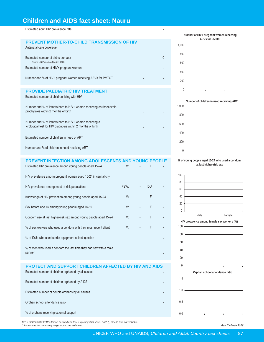### Estimated adult HIV prevalence rate

## **PREVENT MOTHER-TO-CHILD TRANSMISSION OF HIV**

| Antenatal care coverage                                                                  |     |  |
|------------------------------------------------------------------------------------------|-----|--|
|                                                                                          | 800 |  |
| Estimated number of births per year<br>ν                                                 |     |  |
| Source: UN Population Division, 2006                                                     | 600 |  |
| Estimated number of HIV+ pregnant women                                                  | 400 |  |
|                                                                                          |     |  |
| Number and % of HIV+ pregnant women receiving ARVs for PMTCT<br>$\overline{\phantom{a}}$ | 200 |  |
|                                                                                          |     |  |

## **PROVIDE PAEDIATRIC HIV TREATMENT**

| Estimated number of children living with HIV                       |       |                               |
|--------------------------------------------------------------------|-------|-------------------------------|
|                                                                    |       | Number of children in need re |
| Number and % of infants born to HIV+ women receiving cotrimoxazole | 1.000 |                               |
| prophylaxis within 2 months of birth                               | 800   |                               |
|                                                                    |       |                               |
| Number and % of infants born to HIV+ women receiving a             | 600   |                               |
| virological test for HIV diagnosis within 2 months of birth        |       |                               |
|                                                                    | 400   |                               |
| Estimated number of children in need of ART                        |       |                               |
|                                                                    | 200   |                               |
| Number and % of children in need receiving ART                     |       |                               |

## **PREVENT INFECTION AMONG ADOLESCENTS AND YOUNG PEOPLE**

| Estimated HIV prevalence among young people aged 15-24            | M:   | F:   |                                           | at last liigilei -ilsk s       |
|-------------------------------------------------------------------|------|------|-------------------------------------------|--------------------------------|
| HIV prevalence among pregnant women aged 15-24 in capital city    |      |      | 100                                       |                                |
| HIV prevalence among most-at-risk populations                     | FSW: | IDU: | 80<br>60                                  |                                |
| Knowledge of HIV prevention among young people aged 15-24         | M:   | F:   | 40                                        |                                |
| Sex before age 15 among young people aged 15-19                   | M:   | F:   | 20                                        |                                |
|                                                                   | M:   | F:   | 0                                         | Male                           |
| Condom use at last higher-risk sex among young people aged 15-24  |      |      | 100                                       | HIV prevalence among female se |
| % of sex workers who used a condom with their most recent client  | M:   | F:   | 80                                        |                                |
| % of IDUs who used sterile equipment at last injection            |      |      | 60                                        |                                |
| % of men who used a condom the last time they had sex with a male |      |      | $\Lambda$ <sup><math>\Lambda</math></sup> |                                |

**PROTECT AND SUPPORT CHILDREN AFFECTED BY HIV AND AIDS**

partner

| Estimated number of children orphaned by all causes |   |     | Orphan school attenda |
|-----------------------------------------------------|---|-----|-----------------------|
| Estimated number of children orphaned by AIDS       |   | 1.5 |                       |
| Estimated number of double orphans by all causes    | - | 1.0 |                       |
| Orphan school attendance ratio                      |   | 0.5 |                       |
| % of orphans receiving external support             |   | 0.0 |                       |

 $*$  Represents the uncertainty range around the estimates *M/F = male/female; FSW = female sex workers; IDU = injecting drug users. Dash (-) means data not available.*

Rev. 7 March 2008

-

**Number of HIV+ pregnant women receiving ARVs for PMTCT**

-

| 1,000 |  |
|-------|--|
|       |  |
| 800   |  |
| 600   |  |
|       |  |
| 400   |  |
| 200   |  |
|       |  |
| 0     |  |
|       |  |

|       | Number of children in need receiving ART |
|-------|------------------------------------------|
| 1,000 |                                          |
| 800   |                                          |
| 600   |                                          |
| 400   |                                          |
| 200   |                                          |
|       |                                          |

**% of young people aged 15-24 who used a condom at last higher-risk sex**

| 100          |                                             |
|--------------|---------------------------------------------|
| 80           |                                             |
| 60           |                                             |
| 40           |                                             |
| 20           |                                             |
| $\mathbf{0}$ |                                             |
|              | Male<br>Female                              |
| 100          | HIV prevalence among female sex workers (%) |
| 80           |                                             |
| 60           |                                             |
| 40           |                                             |
| 20           |                                             |
| $\Omega$     | T<br>T                                      |
|              | Orphan school attendance ratio              |
| 1.5          |                                             |
| 1.0          |                                             |
| 0.5          |                                             |
| 0.0          | T                                           |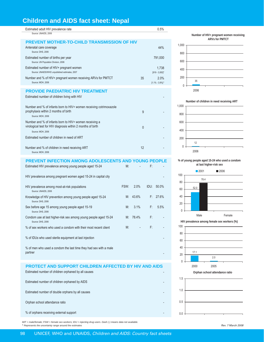# **Children and AIDS fact sheet: Nepal**

| Estimated adult HIV prevalence rate                                                                                   | 0.5%                              |                                                  |
|-----------------------------------------------------------------------------------------------------------------------|-----------------------------------|--------------------------------------------------|
| Source: UNAIDS, 2006                                                                                                  |                                   | Number of HIV+ pregnant<br>ARVs for PN           |
| <b>PREVENT MOTHER-TO-CHILD TRANSMISSION OF HIV</b>                                                                    |                                   | 1,000                                            |
| Antenatal care coverage<br>Source: DHS, 2006                                                                          | 44%                               | 800                                              |
| Estimated number of births per year                                                                                   | 791,000                           |                                                  |
| Source: UN Population Division, 2006                                                                                  |                                   | 600                                              |
| Estimated number of HIV+ pregnant women<br>Source: UNAIDS/WHO unpublished estimates, 2007                             | 1.738<br>$[919 - 3,083]$ *        | 400                                              |
| Number and % of HIV+ pregnant women receiving ARVs for PMTCT<br>Source: MOH. 2006                                     | 2.0%<br>35<br>$[1.1\% - 3.8\%]$ * | 200<br>35                                        |
|                                                                                                                       |                                   | 0                                                |
| <b>PROVIDE PAEDIATRIC HIV TREATMENT</b>                                                                               |                                   | 2006                                             |
| Estimated number of children living with HIV                                                                          |                                   |                                                  |
|                                                                                                                       |                                   | Number of children in need re<br>1.000           |
| Number and % of infants born to HIV+ women receiving cotrimoxazole<br>prophylaxis within 2 months of birth            | 9                                 | 800                                              |
| Source: MOH. 2006                                                                                                     |                                   |                                                  |
| Number and % of infants born to HIV+ women receiving a<br>virological test for HIV diagnosis within 2 months of birth | $\mathbf{0}$                      | 600                                              |
| Source: MOH. 2006                                                                                                     |                                   | 400                                              |
| Estimated number of children in need of ART                                                                           |                                   | 200                                              |
|                                                                                                                       |                                   | 12<br><sup>0</sup>                               |
| Number and % of children in need receiving ART<br>Source: MOH. 2006                                                   | 12                                | 2006                                             |
| <b>PREVENT INFECTION AMONG ADOLESCENTS AND YOUNG PEOPLE</b>                                                           |                                   | % of young people aged 15-24 who u               |
| Estimated HIV prevalence among young people aged 15-24                                                                | F:<br>M:                          | at last higher-risk sex                          |
|                                                                                                                       |                                   | $\blacksquare$ 2001<br>$\blacksquare$ 200<br>100 |
| $\Box$ l erovalence amang prognantuaman agad 15.04 in sapital aity                                                    |                                   |                                                  |

| HIV prevalence among pregnant women aged 15-24 in capital city                 |      |             |      |          | <b>IUU</b><br>80 | 78.4                           |  |
|--------------------------------------------------------------------------------|------|-------------|------|----------|------------------|--------------------------------|--|
| HIV prevalence among most-at-risk populations                                  | FSW: | 2.0%        | IDU: | 50.0%    | 60               | 52.0                           |  |
| Source: UNAIDS, 2006                                                           |      |             |      |          |                  |                                |  |
| Knowledge of HIV prevention among young people aged 15-24<br>Source: DHS, 2006 | M:   | 43.6%       |      | F: 27.6% | 40               |                                |  |
| Sex before age 15 among young people aged 15-19                                | M:   | 3.1%        | F:   | 5.5%     | 20               |                                |  |
| Source: DHS, 2006                                                              |      |             |      |          |                  |                                |  |
| Condom use at last higher-risk sex among young people aged 15-24               |      | $M: 78.4\%$ | F:   |          |                  | Male                           |  |
| Source: DHS, 2006                                                              |      |             |      |          |                  | HIV prevalence among female se |  |
| % of sex workers who used a condom with their most recent client               | M:   |             | F:   |          | 100              |                                |  |
|                                                                                |      |             |      |          | 80               |                                |  |
| % of IDUs who used sterile equipment at last injection                         |      |             |      |          | 60               |                                |  |
|                                                                                |      |             |      |          |                  |                                |  |

% of men who used a condom the last time they had sex with a male partner

## **PROTECT AND SUPPORT CHILDREN AFFECTED BY HIV AND AIDS**

| Estimated number of children orphaned by all causes | $\overline{\phantom{0}}$ |     | Orphan school attenda |
|-----------------------------------------------------|--------------------------|-----|-----------------------|
| Estimated number of children orphaned by AIDS       | $\overline{\phantom{0}}$ | 1.5 |                       |
| Estimated number of double orphans by all causes    | -                        | 1.0 |                       |
| Orphan school attendance ratio                      |                          | 0.5 |                       |
| % of orphans receiving external support             | -                        | 0.0 |                       |

\* *Represents the uncertainty range around the estimates M/F = male/female; FSW = female sex workers; IDU = injecting drug users. Dash (-) means data not available.*







**% of young people aged 15-24 who used a condom at last higher-risk sex**

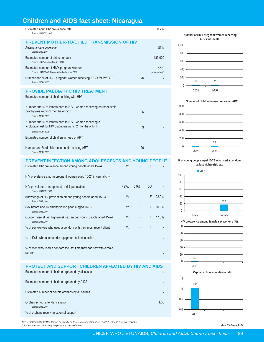# **Children and AIDS fact sheet: Nicaragua**

| Estimated adult HIV prevalence rate                                                       |      |      |      | 0.2%                       |       |                                    |                         |
|-------------------------------------------------------------------------------------------|------|------|------|----------------------------|-------|------------------------------------|-------------------------|
| Source: UNAIDS, 2006                                                                      |      |      |      |                            |       | Number of HIV+ pregnant wome       |                         |
| <b>PREVENT MOTHER-TO-CHILD TRANSMISSION OF HIV</b>                                        |      |      |      |                            |       |                                    | <b>ARVs for PMTCT</b>   |
| Antenatal care coverage                                                                   |      |      |      | 86%                        | 1,000 |                                    |                         |
| Source: DHS, 2001                                                                         |      |      |      |                            | 800   |                                    |                         |
| Estimated number of births per year<br>Source: UN Population Division, 2006               |      |      |      | 139,000                    | 600   |                                    |                         |
| Estimated number of HIV+ pregnant women<br>Source: UNAIDS/WHO unpublished estimates, 2007 |      |      |      | $200$<br>$[< 100 - 500]$ * | 400   |                                    |                         |
| Number and % of HIV+ pregnant women receiving ARVs for PMTCT<br>Source: MOH, 2006         |      | 26   |      |                            | 200   | 29                                 | 26                      |
| <b>PROVIDE PAEDIATRIC HIV TREATMENT</b>                                                   |      |      |      |                            | 0     | 2005                               | 2006                    |
| Estimated number of children living with HIV                                              |      |      |      |                            |       |                                    |                         |
|                                                                                           |      |      |      |                            |       | Number of children in need re      |                         |
| Number and % of infants born to HIV+ women receiving cotrimoxazole                        |      |      |      |                            | 1,000 |                                    |                         |
| prophylaxis within 2 months of birth<br>Source: MOH, 2006                                 |      | 26   |      |                            | 800   |                                    |                         |
| Number and % of infants born to HIV+ women receiving a                                    |      |      |      |                            | 600   |                                    |                         |
| virological test for HIV diagnosis within 2 months of birth<br>Source: MOH, 2006          |      | 3    |      |                            | 400   |                                    |                         |
| Estimated number of children in need of ART                                               |      |      |      |                            | 200   |                                    |                         |
|                                                                                           |      | 26   |      |                            | 0     | 11                                 | 26                      |
| Number and % of children in need receiving ART<br>Source: MOH. 2006                       |      |      |      |                            |       | 2005                               | 2006                    |
| PREVENT INFECTION AMONG ADOLESCENTS AND YOUNG                                             |      |      |      | <b>PEOPLE</b>              |       | % of young people aged 15-24 who u |                         |
| Estimated HIV prevalence among young people aged 15-24                                    | M:   |      | F:   |                            |       |                                    | at last higher-risk sex |
|                                                                                           |      |      |      |                            |       | $\blacksquare$ 2001                |                         |
| HIV prevalence among pregnant women aged 15-24 in capital city                            |      |      |      |                            | 100   |                                    |                         |
| HIV prevalence among most-at-risk populations                                             | FSW: | 0.9% | IDU: |                            | 80    |                                    |                         |
| Source: UNAIDS, 2006                                                                      |      |      |      |                            | 60    |                                    |                         |
| Knowledge of HIV prevention among young people aged 15-24                                 | M:   |      | F: . | 22.0%                      | 40    |                                    |                         |
| Source: DHS, 2001                                                                         |      |      |      |                            | 20    |                                    |                         |
| Sex before age 15 among young people aged 15-19<br>Source: DHS, 2001                      | M:   |      | F:   | 10.9%                      | 0     |                                    |                         |
| Condom use at last higher-risk sex among young people aged 15-24                          | M:   |      |      | F: 17.0%                   |       | Male                               | Fe                      |
| Source: DHS, 2001                                                                         | M:   |      | F:   |                            | 100   | HIV prevalence among female sex    |                         |
| % of sex workers who used a condom with their most recent client                          |      |      |      |                            | 80    |                                    |                         |
| % of IDUs who used sterile equipment at last injection                                    |      |      |      |                            |       |                                    |                         |
|                                                                                           |      |      |      |                            | 60    |                                    |                         |
| % of men who used a condom the last time they had sex with a male<br>partner              |      |      |      |                            | 40    |                                    |                         |
|                                                                                           |      |      |      |                            |       |                                    |                         |

## **PROTECT AND SUPPORT CHILDREN AFFECTED BY HIV AND AIDS**

| Estimated number of children orphaned by all causes | $\qquad \qquad \blacksquare$ | Orphan school attenda |      |  |
|-----------------------------------------------------|------------------------------|-----------------------|------|--|
| Estimated number of children orphaned by AIDS       |                              | 1.5                   | 1.06 |  |
| Estimated number of double orphans by all causes    | -                            | 1.0                   |      |  |
| Orphan school attendance ratio<br>Source: DHS, 2001 | 1.06                         | 0.5                   |      |  |
| % of orphans receiving external support             |                              | 0.0                   | 2001 |  |

#### *M/F = male/female; FSW = female sex workers; IDU = injecting drug users. Dash (-) means data not available.*

\* *Represents the uncertainty range around the estimates*

**Number of HIV+ pregnant women receiving ARVs for PMTCT**





**% of young people aged 15-24 who used a condom at last higher-risk sex**



Rev. 7 March 2008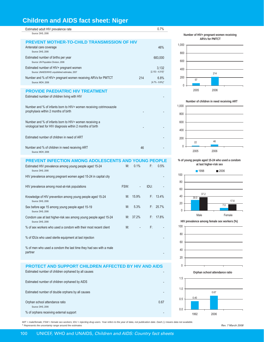# **Children and AIDS fact sheet: Niger**

| Estimated adult HIV prevalence rate                                                                            |     | 0.7%                           |              |      |                                                       |
|----------------------------------------------------------------------------------------------------------------|-----|--------------------------------|--------------|------|-------------------------------------------------------|
| Source: DHS, 2006                                                                                              |     |                                |              |      | Number of HIV+ pregnant wome<br><b>ARVs for PMTCT</b> |
| <b>PREVENT MOTHER-TO-CHILD TRANSMISSION OF HIV</b>                                                             |     |                                |              |      |                                                       |
| Antenatal care coverage<br>Source: DHS, 2006                                                                   |     | 46%                            | 1,000<br>800 |      |                                                       |
| Estimated number of births per year<br>Source: UN Population Division, 2006                                    |     | 683,000                        | 600          |      |                                                       |
| Estimated number of HIV+ pregnant women                                                                        |     | 3,132<br>$[2, 153 - 4, 515]$ * | 400          |      |                                                       |
| Source: UNAIDS/WHO unpublished estimates, 2007<br>Number and % of HIV+ pregnant women receiving ARVs for PMTCT | 214 | 6.8%                           | 200          | 57   | 214                                                   |
| Source: MOH, 2006                                                                                              |     | $[4.7\% - 9.9\%]$ *            | 0            |      |                                                       |
| <b>PROVIDE PAEDIATRIC HIV TREATMENT</b>                                                                        |     |                                |              | 2005 | 2006                                                  |
| Estimated number of children living with HIV                                                                   |     |                                |              |      |                                                       |
|                                                                                                                |     |                                | 1,000        |      | Number of children in need re                         |
| Number and % of infants born to HIV+ women receiving cotrimoxazole<br>prophylaxis within 2 months of birth     |     |                                |              |      |                                                       |
|                                                                                                                |     |                                | 800          |      |                                                       |
| Number and % of infants born to HIV+ women receiving a                                                         |     |                                | 600          |      |                                                       |
| virological test for HIV diagnosis within 2 months of birth                                                    |     |                                | 400          |      |                                                       |
| Estimated number of children in need of ART                                                                    |     |                                | 200          |      |                                                       |
|                                                                                                                |     |                                |              | 22   | 46                                                    |
| Number and % of children in need receiving ART<br>Source: MOH, 2006                                            | 46  |                                | $\Omega$     | 2005 | 2006                                                  |
| <b>PREVENT INFECTION AMONG ADOLESCENTS AND YOUNG PEOPLE</b>                                                    |     |                                |              |      | % of young people aged 15-24 who u                    |
|                                                                                                                |     |                                |              |      |                                                       |

| Estimated HIV prevalence among young people aged 15-24               | M:   | 0.1%                     | F:   | 0.5%        |     | at last liigilei -ilsk sex        |       |
|----------------------------------------------------------------------|------|--------------------------|------|-------------|-----|-----------------------------------|-------|
| Source: DHS, 2006                                                    |      |                          |      |             |     | ■ 1998                            | ■2006 |
| HIV prevalence among pregnant women aged 15-24 in capital city       |      |                          |      |             | 100 |                                   |       |
|                                                                      | FSW: | $\overline{\phantom{a}}$ | IDU: |             | 80  |                                   |       |
| HIV prevalence among most-at-risk populations                        |      |                          |      |             | 60  |                                   |       |
| Knowledge of HIV prevention among young people aged 15-24            | M:   | 15.9%                    |      | F: 13.4%    | 40  | 37.2<br>30.0                      |       |
| Source: DHS, 2006                                                    |      |                          |      |             | 20  |                                   |       |
| Sex before age 15 among young people aged 15-19<br>Source: DHS, 2006 | M:   | 5.3%                     |      | $F: 25.7\%$ |     |                                   | 7.1   |
| Condom use at last higher-risk sex among young people aged 15-24     | M:   | 37.2%                    |      | F: 17.8%    |     | Male                              |       |
| Source: DHS, 2006                                                    |      |                          |      |             |     | HIV prevalence among female sex w |       |
| % of sex workers who used a condom with their most recent client     | M:   |                          | F:   |             | 100 |                                   |       |
|                                                                      |      |                          |      |             | 80  |                                   |       |
| % of IDUs who used sterile equipment at last injection               |      |                          |      |             |     |                                   |       |
|                                                                      |      |                          |      |             | 60  |                                   |       |
| % of men who used a condom the last time they had sex with a male    |      |                          |      |             | 40  |                                   |       |
| partner                                                              |      |                          |      |             |     |                                   |       |

## **PROTECT AND SUPPORT CHILDREN AFFECTED BY HIV AND AIDS**

| Estimated number of children orphaned by all causes | $\overline{\phantom{0}}$ | Orphan school attenda |      |      |
|-----------------------------------------------------|--------------------------|-----------------------|------|------|
| Estimated number of children orphaned by AIDS       |                          | ۱.5                   |      |      |
| Estimated number of double orphans by all causes    |                          | 1.0                   |      | 0.67 |
| Orphan school attendance ratio<br>Source: DHS, 2006 | 0.67                     | 0.5                   | 0.40 |      |
| % of orphans receiving external support             |                          | 0.0                   | 1992 | 2006 |

#### **Number of HIV+ pregnant women receiving ARVs for PMTCT**





**% of young people aged 15-24 who used a condom at last higher-risk sex**







M/F = male/female; FSW = female sex workers; IDU = injecting drug users. Year refers to the year of data, not publication date. Dash (-) means data not available.<br>\* Represents the uncertainty range around the estimates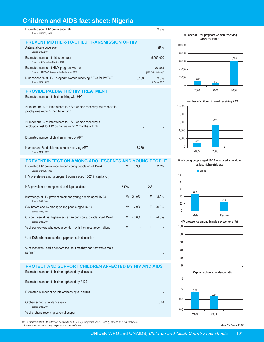## **Children and AIDS fact sheet: Nigeria**

| Estimated adult HIV prevalence rate                                                       | 3.9%                                 |                 |       |                                                       |
|-------------------------------------------------------------------------------------------|--------------------------------------|-----------------|-------|-------------------------------------------------------|
| Source: UNAIDS, 2006                                                                      |                                      |                 |       | Number of HIV+ pregnant wome<br><b>ARVs for PMTCT</b> |
| <b>PREVENT MOTHER-TO-CHILD TRANSMISSION OF HIV</b>                                        |                                      |                 |       |                                                       |
| Antenatal care coverage<br>Source: DHS, 2003                                              | 58%                                  | 10,000<br>8,000 |       |                                                       |
| Estimated number of births per year<br>Source: UN Population Division, 2006               | 5,909,000                            | 6,000           |       |                                                       |
| Estimated number of HIV+ pregnant women<br>Source: UNAIDS/WHO unpublished estimates, 2007 | 187.544<br>[133,734 - 231,696]*      | 4,000           |       |                                                       |
| Number and % of HIV+ pregnant women receiving ARVs for PMTCT<br>Source: MOH. 2006         | 6.168<br>3.3%<br>$[2.7\% - 4.6\%]$ * | 2,000           | 1.050 | 532                                                   |
|                                                                                           |                                      | $\mathbf{0}$    |       |                                                       |
| <b>PROVIDE PAEDIATRIC HIV TREATMENT</b>                                                   |                                      |                 | 2004  | 2005                                                  |
| Estimated number of children living with HIV                                              |                                      |                 |       | Number of children in need re                         |
| Number and % of infants born to HIV+ women receiving cotrimoxazole                        |                                      | 10,000          |       |                                                       |
| prophylaxis within 2 months of birth                                                      |                                      | 8,000           |       |                                                       |
| Number and % of infants born to HIV+ women receiving a                                    |                                      | 6,000           |       | 5.279                                                 |
| virological test for HIV diagnosis within 2 months of birth                               |                                      | 4,000           |       |                                                       |
| Estimated number of children in need of ART                                               |                                      |                 |       |                                                       |
|                                                                                           |                                      | 2,000           | 900   |                                                       |
| Number and % of children in need receiving ART                                            | 5,279                                | 0               |       |                                                       |
| Source: MOH, 2006                                                                         |                                      |                 | 2005  | 2006                                                  |

#### **PREVENT INFECTION AMONG ADOLESCENTS AND YOUNG PEOPLE**

| Estimated HIV prevalence among young people aged 15-24                                | M:   | 0.9%  | F:   | 2.7%        |                                                 | at last nigher-risk sex                   |     |
|---------------------------------------------------------------------------------------|------|-------|------|-------------|-------------------------------------------------|-------------------------------------------|-----|
| Source: UNAIDS, 2006                                                                  |      |       |      |             |                                                 | $\blacksquare$ 2003                       |     |
| HIV prevalence among pregnant women aged 15-24 in capital city                        |      |       |      |             | 100<br>80                                       |                                           |     |
| HIV prevalence among most-at-risk populations                                         | FSW: |       | IDU: |             | 60                                              | 46.0                                      |     |
| Knowledge of HIV prevention among young people aged 15-24<br>Source: DHS, 2003        | M:   | 21.0% |      | $F: 18.0\%$ | 40<br>20                                        |                                           | 24  |
| Sex before age 15 among young people aged 15-19<br>Source: DHS, 2003                  | M:   | 7.9%  |      | F: 20.3%    |                                                 |                                           |     |
| Condom use at last higher-risk sex among young people aged 15-24<br>Source: DHS, 2003 | M:   | 46.0% |      | $F: 24.0\%$ |                                                 | Male<br>HIV prevalence among female sex w | Fem |
| % of sex workers who used a condom with their most recent client                      | M:   |       | F:   |             | 100                                             |                                           |     |
| % of IDUs who used sterile equipment at last injection                                |      |       |      |             | 80                                              |                                           |     |
| % of men who used a condom the last time they had sex with a male                     |      |       |      |             | 60<br>$\Lambda$ <sup><math>\Lambda</math></sup> |                                           |     |

### **PROTECT AND SUPPORT CHILDREN AFFECTED BY HIV AND AIDS**

| Estimated number of children orphaned by all causes | -    | Orphan school attenda |      |      |  |
|-----------------------------------------------------|------|-----------------------|------|------|--|
| Estimated number of children orphaned by AIDS       |      | l.5                   |      |      |  |
| Estimated number of double orphans by all causes    |      | 1.0                   | 0.87 | 0.64 |  |
| Orphan school attendance ratio<br>Source: DHS, 2003 | 0.64 | 0.5<br>0.0            |      |      |  |
| % of orphans receiving external support             |      |                       | 1999 | 2003 |  |

\* *Represents the uncertainty range around the estimates M/F = male/female; FSW = female sex workers; IDU = injecting drug users. Dash (-) means data not available.*

partner

**Number of HIV+ pregnant women receiving ARVs for PMTCT**





**% of young people aged 15-24 who used a condom at last higher-risk sex**





Rev. 7 March 2008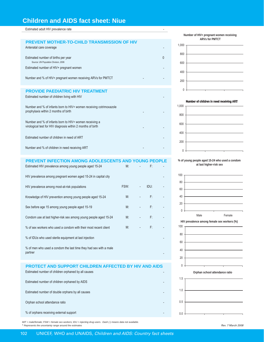#### Estimated adult HIV prevalence rate

### **PREVENT MOTHER-TO-CHILD TRANSMISSION OF HIV**

| Antenatal care coverage                                           |     |  |
|-------------------------------------------------------------------|-----|--|
|                                                                   | 800 |  |
| Estimated number of births per year<br>ν                          |     |  |
| Source: UN Population Division, 2006                              | 600 |  |
| Estimated number of HIV+ pregnant women                           | 400 |  |
|                                                                   |     |  |
| Number and % of HIV+ pregnant women receiving ARVs for PMTCT<br>- | 200 |  |
|                                                                   |     |  |

### **PROVIDE PAEDIATRIC HIV TREATMENT**

| Estimated number of children living with HIV                                                                          |       |                               |
|-----------------------------------------------------------------------------------------------------------------------|-------|-------------------------------|
|                                                                                                                       |       | Number of children in need re |
| Number and % of infants born to HIV+ women receiving cotrimoxazole                                                    | 1,000 |                               |
| prophylaxis within 2 months of birth                                                                                  | 800   |                               |
|                                                                                                                       |       |                               |
| Number and % of infants born to HIV+ women receiving a<br>virological test for HIV diagnosis within 2 months of birth | 600   |                               |
|                                                                                                                       |       |                               |
| Estimated number of children in need of ART                                                                           | 400   |                               |
|                                                                                                                       | 200   |                               |
| Number and % of children in need receiving ART                                                                        |       |                               |
|                                                                                                                       |       |                               |

## **PREVENT INFECTION AMONG ADOLESCENTS AND YOUNG PEOPLE**

| Estimated HIV prevalence among young people aged 15-24            | M:   | F:   |                                           | at last liigilei -ilsk s       |  |
|-------------------------------------------------------------------|------|------|-------------------------------------------|--------------------------------|--|
| HIV prevalence among pregnant women aged 15-24 in capital city    |      |      | 100                                       |                                |  |
| HIV prevalence among most-at-risk populations                     | FSW: | IDU: | 80<br>60                                  |                                |  |
| Knowledge of HIV prevention among young people aged 15-24         | M:   | F:   | 40                                        |                                |  |
| Sex before age 15 among young people aged 15-19                   | M:   | F:   | 20                                        |                                |  |
| Condom use at last higher-risk sex among young people aged 15-24  | M:   | F:   | 0                                         | Male                           |  |
| % of sex workers who used a condom with their most recent client  | M:   | F:   | 100                                       | HIV prevalence among female se |  |
|                                                                   |      |      | 80                                        |                                |  |
| % of IDUs who used sterile equipment at last injection            |      |      | 60                                        |                                |  |
| % of men who used a condom the last time they had sex with a male |      |      | $\Lambda$ <sup><math>\Lambda</math></sup> |                                |  |

**PROTECT AND SUPPORT CHILDREN AFFECTED BY HIV AND AIDS**

partner

| Estimated number of children orphaned by all causes |   |     | Orphan school attenda |
|-----------------------------------------------------|---|-----|-----------------------|
| Estimated number of children orphaned by AIDS       |   | 1.5 |                       |
| Estimated number of double orphans by all causes    | - | 1.0 |                       |
| Orphan school attendance ratio                      |   | 0.5 |                       |
| % of orphans receiving external support             |   | 0.0 |                       |

 $*$  Represents the uncertainty range around the estimates *M/F = male/female; FSW = female sex workers; IDU = injecting drug users. Dash (-) means data not available.* **Number of HIV+ pregnant women receiving ARVs for PMTCT**

-

-

| 1,000 |  |  |
|-------|--|--|
| 800   |  |  |
|       |  |  |
| 600   |  |  |
| 400   |  |  |
| 200   |  |  |
|       |  |  |

#### 2006 456 **Number of children in need receiving ART**

| 1,000 |  |  |
|-------|--|--|
| 800   |  |  |
| 600   |  |  |
| 400   |  |  |
| 200   |  |  |
|       |  |  |

#### **% of young people aged 15-24 who used a condom at last higher-risk sex**

| 100      |                                                               |
|----------|---------------------------------------------------------------|
| 80       |                                                               |
| 60       |                                                               |
| 40       |                                                               |
| 20       |                                                               |
| 0        |                                                               |
|          | Male<br>Female<br>HIV prevalence among female sex workers (%) |
| $100 -$  |                                                               |
| 80<br>÷, |                                                               |
| 60       |                                                               |
| 40       | the control of the control of the control                     |
| 20       |                                                               |
| 0        | Ť                                                             |
|          | Orphan school attendance ratio                                |
| 1.5      |                                                               |
| 1.0      |                                                               |
| 0.5      |                                                               |
| 0.0      | T                                                             |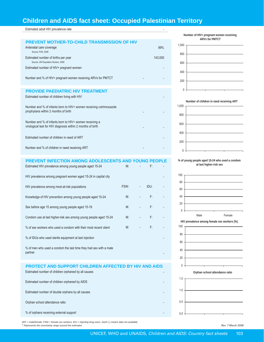## **Children and AIDS fact sheet: Occupied Palestinian Territory**

### Estimated adult HIV prevalence rate

### **PREVENT MOTHER-TO-CHILD TRANSMISSION OF HIV** Antenatal care coverage Source: FHS, 2006  $\overline{a}$ Estimated number of births per year Source: UN Pop Division, 2006 <sup>2007</sup> <sup>5467</sup> <sup>456</sup> UN Population Division, 2006Estimated number of HIV+ pregnant women Number and % of HIV+ pregnant women receiving ARVs for PMTCT **PROVIDE PAEDIATRIC HIV TREATMENT** Estimated number of children living with HIV Number and % of infants born to HIV+ women receiving cotrimoxazole Number and % of infants born to HIV+ women receiving cotrimoxazole prophylaxis within 6 weeks of birth <sup>2007</sup> <sup>1090</sup> prophylaxis within 2 months of birth Number and % of infants born to HIV+ women receiving a Number and % of infants born to HIV+ women receiving a virological test for HIV diagnosis within 2 months of birth Estimated number of children in need of ART - - - - - - - 99% - 143,000

Number and % of children in need receiving ART

partner

## **PREVENT INFECTION AMONG ADOLESCENTS AND YOUNG PEOPLE**

| Estimated HIV prevalence among young people aged 15-24            | M:   | F:   |                  | at last liigilei -ilsk s               |
|-------------------------------------------------------------------|------|------|------------------|----------------------------------------|
| HIV prevalence among pregnant women aged 15-24 in capital city    |      |      | 100              |                                        |
|                                                                   |      |      | 80               |                                        |
| HIV prevalence among most-at-risk populations                     | FSW: | IDU: | 60               |                                        |
| Knowledge of HIV prevention among young people aged 15-24         | M:   | F:   | 40               |                                        |
| Sex before age 15 among young people aged 15-19                   | M:   | F:   | 20               |                                        |
|                                                                   |      |      | 0                |                                        |
| Condom use at last higher-risk sex among young people aged 15-24  | M:   | F:   |                  | Male<br>HIV prevalence among female se |
| % of sex workers who used a condom with their most recent client  | M:   | F:   | 100              |                                        |
|                                                                   |      |      | 80               |                                        |
| % of IDUs who used sterile equipment at last injection            |      |      | 60               |                                        |
| % of men who used a condom the last time they had sex with a male |      |      | $\Lambda$ $\cap$ |                                        |

#### **PROTECT AND SUPPORT CHILDREN AFFECTED BY HIV AND AIDS**

| Estimated number of children orphaned by all causes | $\qquad \qquad \blacksquare$ |     | Orphan school attenda |
|-----------------------------------------------------|------------------------------|-----|-----------------------|
| Estimated number of children orphaned by AIDS       | -                            | 1.5 |                       |
| Estimated number of double orphans by all causes    | -                            | 1.0 |                       |
| Orphan school attendance ratio                      | -                            | 0.5 |                       |
| % of orphans receiving external support             |                              | 0.0 |                       |

 $*$  Represents the uncertainty range around the estimates *M/F = male/female; FSW = female sex workers; IDU = injecting drug users. Dash (-) means data not available.*

Rev. 7 March 2008

| 1,000          |                                          |
|----------------|------------------------------------------|
|                |                                          |
| 800            |                                          |
| 600            |                                          |
| 400            |                                          |
| 200            |                                          |
| ſ              |                                          |
|                | Number of children in need receiving ART |
| 1,000          |                                          |
| 800            |                                          |
| C <sub>0</sub> |                                          |

| 800 |  |  |
|-----|--|--|
|     |  |  |
| 600 |  |  |
|     |  |  |
| 400 |  |  |
|     |  |  |
| 200 |  |  |
|     |  |  |
| r   |  |  |

#### **% of young people aged 15-24 who used a condom at last higher-risk sex**

| 100      |                                             |
|----------|---------------------------------------------|
| 80       |                                             |
| 60       |                                             |
| 40       |                                             |
| 20       |                                             |
| 0        |                                             |
|          | Male<br>Female                              |
|          | HIV prevalence among female sex workers (%) |
| 100      |                                             |
| 80       |                                             |
| 60       |                                             |
| 40       |                                             |
| 20       |                                             |
| $\Omega$ |                                             |
|          | Orphan school attendance ratio              |
| 1.5      |                                             |
|          |                                             |
| 1.0      |                                             |
| 0.5      |                                             |
|          |                                             |
| 0.0      | ٦                                           |

-

- -

-

1,000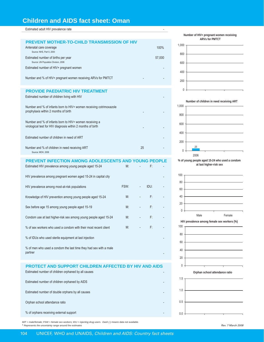### Estimated adult HIV prevalence rate

Source: MOH, 2006

### **PREVENT MOTHER-TO-CHILD TRANSMISSION OF HIV**

| 100%   | ,uuu |                   |
|--------|------|-------------------|
|        |      |                   |
| 57,000 |      |                   |
|        | 600  |                   |
| -      |      |                   |
| -      |      |                   |
|        |      | 800<br>400<br>200 |

#### **PROVIDE PAEDIATRIC HIV TREATMENT**

| <b>PROVIDE PAEDIATRIC HIV TREATMENT</b>                            |    | <u>u – </u> |                               |  |
|--------------------------------------------------------------------|----|-------------|-------------------------------|--|
| Estimated number of children living with HIV                       |    |             |                               |  |
|                                                                    |    |             | Number of children in need re |  |
| Number and % of infants born to HIV+ women receiving cotrimoxazole |    | 1,000       |                               |  |
| prophylaxis within 2 months of birth                               |    | 800         |                               |  |
|                                                                    |    |             |                               |  |
| Number and % of infants born to HIV+ women receiving a             |    | 600         |                               |  |
| virological test for HIV diagnosis within 2 months of birth        |    |             |                               |  |
|                                                                    |    | 400         |                               |  |
| Estimated number of children in need of ART                        |    | 200         |                               |  |
|                                                                    |    |             |                               |  |
| Number and % of children in need receiving ART                     | 25 |             | 25                            |  |

#### **PREVENT INFECTION AMONG ADOLESCENTS AND YOUNG PEOPLE**

| Estimated HIV prevalence among young people aged 15-24           | M:   | F:   |     | at last liigilei -ilsk s       |
|------------------------------------------------------------------|------|------|-----|--------------------------------|
| HIV prevalence among pregnant women aged 15-24 in capital city   |      |      | 100 |                                |
|                                                                  | FSW: | IDU: | 80  |                                |
| HIV prevalence among most-at-risk populations                    |      |      | 60  |                                |
| Knowledge of HIV prevention among young people aged 15-24        | M:   | F:   | 40  |                                |
| Sex before age 15 among young people aged 15-19                  | M:   | F:   | 20  |                                |
| Condom use at last higher-risk sex among young people aged 15-24 | M:   | F:   | 0   | Male                           |
|                                                                  |      |      |     | HIV prevalence among female se |
| % of sex workers who used a condom with their most recent client | M:   | F:   | 100 |                                |
| % of IDUs who used sterile equipment at last injection           |      |      | 80  |                                |
|                                                                  |      |      | 60  |                                |
|                                                                  |      |      |     |                                |

% of men who used a condom the last time they had sex with a male partner

## **PROTECT AND SUPPORT CHILDREN AFFECTED BY HIV AND AIDS**

| Estimated number of children orphaned by all causes | -                        | Orphan school attenda |
|-----------------------------------------------------|--------------------------|-----------------------|
| Estimated number of children orphaned by AIDS       |                          | 1.5                   |
| Estimated number of double orphans by all causes    | -                        | 1.0                   |
| Orphan school attendance ratio                      |                          | 0.5                   |
| % of orphans receiving external support             | $\overline{\phantom{0}}$ | 0.0                   |

 $*$  Represents the uncertainty range around the estimates *M/F = male/female; FSW = female sex workers; IDU = injecting drug users. Dash (-) means data not available.* **Number of HIV+ pregnant women receiving ARVs for PMTCT**

| 1,000 |  |
|-------|--|
| 800   |  |
| 600   |  |
| 400   |  |
| 200   |  |
|       |  |

|       | Number of children in need receiving ART |
|-------|------------------------------------------|
| 1,000 |                                          |
| 800   |                                          |
| 600   |                                          |
| 400   |                                          |
| 200   |                                          |
| Λ     | 25                                       |
|       | 2006                                     |

-

**% of young people aged 15-24 who used a condom at last higher-risk sex**

| 100     |                                                               |
|---------|---------------------------------------------------------------|
| 80      |                                                               |
| 60      |                                                               |
| 40      |                                                               |
| 20      |                                                               |
| 0       |                                                               |
|         | Male<br>Female<br>HIV prevalence among female sex workers (%) |
| $100 -$ |                                                               |
| $80 -$  |                                                               |
| 60      |                                                               |
| 40      |                                                               |
| 20      |                                                               |
| 0       | Ť                                                             |
|         | Orphan school attendance ratio                                |
| 1.5     |                                                               |
| 1.0     |                                                               |
| 0.5     |                                                               |
| 0.0     | T                                                             |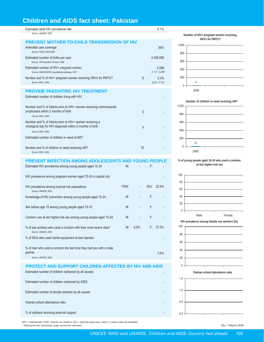## **Children and AIDS fact sheet: Pakistan**

| Estimated adult HIV prevalence rate                                                                    | 0.1%                           |                                        |
|--------------------------------------------------------------------------------------------------------|--------------------------------|----------------------------------------|
| Source: UNAIDS, 2006                                                                                   |                                | Number of HIV+ pregnant wome           |
| PREVENT MOTHER-TO-CHILD TRANSMISSION OF HIV                                                            |                                | <b>ARVs for PMTCT</b>                  |
| Antenatal care coverage<br>Source: PSLM, 2004-2005                                                     | 36%                            | 1,000<br>800                           |
| Estimated number of births per year<br>Source: UN Population Division, 2006                            | 4,358,000                      | 600                                    |
| Estimated number of HIV+ pregnant women<br>Source: UNAIDS/WHO unpublished estimates, 2007              | 2,089<br>$[1, 137 - 4, 265]$ * | 400                                    |
| Number and % of HIV+ pregnant women receiving ARVs for PMTCT<br>8                                      | 0.4%                           | 200                                    |
| Source: MOH, 2006                                                                                      | $[0.2\% - 0.7\%]$ *            | 8<br>0                                 |
| <b>PROVIDE PAEDIATRIC HIV TREATMENT</b><br>Estimated number of children living with HIV                |                                | 2006                                   |
| Number and % of infants born to HIV+ women receiving cotrimoxazole                                     |                                | Number of children in need re<br>1,000 |
| prophylaxis within 2 months of birth<br>$\mathbf{0}$<br>Source: MOH, 2006                              |                                | 800                                    |
| Number and % of infants born to HIV+ women receiving a                                                 |                                | 600                                    |
| virological test for HIV diagnosis within 2 months of birth<br>4<br>Source: MOH, 2006                  |                                | 400                                    |
| Estimated number of children in need of ART                                                            |                                | 200                                    |
|                                                                                                        |                                | 10                                     |
| Number and % of children in need receiving ART<br>10<br>Source: MOH, 2006                              |                                | 0<br>2006                              |
| <b>PREVENT INFECTION AMONG ADOLESCENTS AND</b>                                                         | PEOPLE                         | % of young people aged 15-24 who u     |
| M:<br>Estimated HIV prevalence among young people aged 15-24                                           | F:                             | at last higher-risk sex                |
| HIV prevalence among pregnant women aged 15-24 in capital city                                         |                                | 100                                    |
| FSW:<br>HIV prevalence among most-at-risk populations<br>Source: UNAIDS, 2006                          | IDU: 22.9%                     | 80<br>60                               |
| Knowledge of HIV prevention among young people aged 15-24<br>M:                                        | F:                             | 40                                     |
| M:<br>Sex before age 15 among young people aged 15-19                                                  | F:                             | 20                                     |
| Condom use at last higher-risk sex among young people aged 15-24<br>M:                                 | F:                             | 0<br>Male                              |
|                                                                                                        |                                | HIV prevalence among female sex        |
| 6.6%<br>% of sex workers who used a condom with their most recent client<br>M:<br>Source: UNAIDS, 2006 | $F: 37.0\%$                    | 100<br>80                              |
| % of IDUs who used sterile equipment at last injection                                                 |                                | 60                                     |
| % of men who used a condom the last time they had sex with a male<br>partner                           | 7.6%                           | 40                                     |
| Source: UNAIDS, 2006                                                                                   |                                | 20                                     |
| <b>PROTECT AND SUPPORT CHILDREN AFFECTED BY HIV AND AIDS</b>                                           |                                | 0                                      |
| Estimated number of children orphaned by all causes                                                    |                                | Orphan school attendan                 |
| Estimated number of children orphaned by AIDS                                                          |                                | 1.5                                    |
| Estimated number of double orphans by all causes                                                       |                                | 1.0                                    |
| Orphan school attendance ratio                                                                         |                                | 0.5                                    |
| % of orphans receiving external support                                                                |                                | $0.0\,$                                |
|                                                                                                        |                                |                                        |

\* *Represents the uncertainty range around the estimates M/F = male/female; FSW = female sex workers; IDU = injecting drug users. Dash (-) means data not available.*

Rev. 7 March 2008

| Number of HIV+ pregnant women receiving<br><b>ARVs for PMTCT</b> |   |  |  |  |
|------------------------------------------------------------------|---|--|--|--|
| 1,000                                                            |   |  |  |  |
| 800                                                              |   |  |  |  |
| 600                                                              |   |  |  |  |
| 400                                                              |   |  |  |  |
| 200                                                              |   |  |  |  |
|                                                                  | 8 |  |  |  |



**% of young people aged 15-24 who used a condom at last higher-risk sex**



UNICEF, WHO and UNAIDS, Children and AIDS: Country fact sheets 105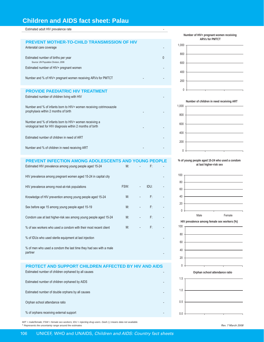#### Estimated adult HIV prevalence rate

partner

### **PREVENT MOTHER-TO-CHILD TRANSMISSION OF HIV**

| Antenatal care coverage                                           |     |  |
|-------------------------------------------------------------------|-----|--|
|                                                                   | 800 |  |
| Estimated number of births per year<br>ν                          |     |  |
| Source: UN Population Division, 2006                              | 600 |  |
| Estimated number of HIV+ pregnant women<br>-                      | 400 |  |
|                                                                   |     |  |
| Number and % of HIV+ pregnant women receiving ARVs for PMTCT<br>- | 200 |  |
|                                                                   |     |  |

### **PROVIDE PAEDIATRIC HIV TREATMENT**

| Estimated number of children living with HIV                       |  |       |                               |
|--------------------------------------------------------------------|--|-------|-------------------------------|
|                                                                    |  |       | Number of children in need re |
| Number and % of infants born to HIV+ women receiving cotrimoxazole |  | 1,000 |                               |
| prophylaxis within 2 months of birth                               |  | 800   |                               |
|                                                                    |  |       |                               |
| Number and % of infants born to HIV+ women receiving a             |  | 600   |                               |
| virological test for HIV diagnosis within 2 months of birth        |  |       |                               |
|                                                                    |  | 400   |                               |
| Estimated number of children in need of ART                        |  | 200   |                               |
|                                                                    |  |       |                               |
| Number and % of children in need receiving ART                     |  |       |                               |

## **PREVENT INFECTION AMONG ADOLESCENTS AND YOUNG PEOPLE**

| Estimated HIV prevalence among young people aged 15-24            | M:   | F:   |                                           | at last liigilei -ilsk s       |  |
|-------------------------------------------------------------------|------|------|-------------------------------------------|--------------------------------|--|
| HIV prevalence among pregnant women aged 15-24 in capital city    |      |      | 100                                       |                                |  |
| HIV prevalence among most-at-risk populations                     | FSW: | IDU: | 80<br>60                                  |                                |  |
| Knowledge of HIV prevention among young people aged 15-24         | M:   | F:   | 40                                        |                                |  |
| Sex before age 15 among young people aged 15-19                   | M:   | F:   | 20                                        |                                |  |
| Condom use at last higher-risk sex among young people aged 15-24  | M:   | F:   | 0                                         | Male                           |  |
| % of sex workers who used a condom with their most recent client  | M:   | F:   | 100                                       | HIV prevalence among female se |  |
|                                                                   |      |      | 80                                        |                                |  |
| % of IDUs who used sterile equipment at last injection            |      |      | 60                                        |                                |  |
| % of men who used a condom the last time they had sex with a male |      |      | $\Lambda$ <sup><math>\Lambda</math></sup> |                                |  |

### **PROTECT AND SUPPORT CHILDREN AFFECTED BY HIV AND AIDS**

| Estimated number of children orphaned by all causes | $\overline{\phantom{0}}$ | Orphan school attenda |
|-----------------------------------------------------|--------------------------|-----------------------|
| Estimated number of children orphaned by AIDS       | -                        | 5. ا                  |
| Estimated number of double orphans by all causes    | -                        | 1.0                   |
| Orphan school attendance ratio                      | -                        | 0.5                   |
| % of orphans receiving external support             |                          | 0.0                   |

 $*$  Represents the uncertainty range around the estimates *M/F = male/female; FSW = female sex workers; IDU = injecting drug users. Dash (-) means data not available.*

| Number of HIV+ pregnant women receiving |  |
|-----------------------------------------|--|
| <b>ARVs for PMTCT</b>                   |  |

-

-

| 1,000 |  |
|-------|--|
| 800   |  |
| 600   |  |
| 400   |  |
| 200   |  |
|       |  |

|       | Number of children in need receiving ART |
|-------|------------------------------------------|
| 1,000 |                                          |
| 800   |                                          |
| 600   |                                          |
| 400   |                                          |
| 200   |                                          |
|       |                                          |

#### **% of young people aged 15-24 who used a condom at last higher-risk sex**

| 100      |                                                               |
|----------|---------------------------------------------------------------|
| 80       |                                                               |
| 60       |                                                               |
| 40       |                                                               |
| 20       |                                                               |
| 0        |                                                               |
|          | Male<br>Female<br>HIV prevalence among female sex workers (%) |
| $100 -$  |                                                               |
| 80<br>÷, |                                                               |
| 60       |                                                               |
| 40       | the control of the control of the control                     |
| 20       |                                                               |
| 0        | Ť                                                             |
|          | Orphan school attendance ratio                                |
| 1.5      |                                                               |
| 1.0      |                                                               |
| 0.5      |                                                               |
| 0.0      | T                                                             |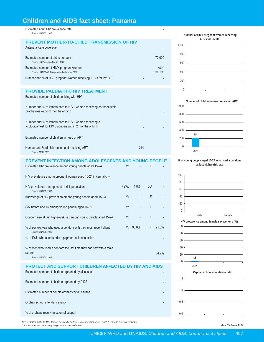## **Children and AIDS fact sheet: Panama**

Estimated adult HIV prevalence rate Source: UNAIDS, 2006

## **PREVENT MOTHER-TO-CHILD TRANSMISSION OF HIV**

| 800                                                                                             |  |
|-------------------------------------------------------------------------------------------------|--|
| Estimated number of births per year<br>70,000                                                   |  |
| Source: UN Population Division, 2006<br>600                                                     |  |
| Estimated number of HIV+ pregnant women<br>< 500                                                |  |
| 400<br>$[<500 - 513]$ *<br>Source: UNAIDS/WHO unpublished estimates, 2007                       |  |
| Number and % of HIV+ pregnant women receiving ARVs for PMTCT<br>$\overline{\phantom{a}}$<br>200 |  |

### **PROVIDE PAEDIATRIC HIV TREATMENT**

| Estimated number of children living with HIV |  |  |
|----------------------------------------------|--|--|
|----------------------------------------------|--|--|

Number and % of infants born to HIV+ women receiving cotrimoxazole Number and % of infants born to HIV+ women receiving cotrimoxazole prophylaxis within 6 weeks of birth <sup>2007</sup> <sup>1090</sup> prophylaxis within 2 months of birth Number and % of infants born to HIV+ women receiving a Number and % of infants born to HIV+ women receiving a virological test for HIV diagnosis within 2 months of birth Estimated number of children in need of ART Number and % of children in need receiving ART Source: MOH, 2006 - -  $214$ - -

#### **PREVENT INFECTION AMONG ADOLESCENTS AND YOUNG PEOPLE**

| Estimated HIV prevalence among young people aged 15-24                       | M:   |       | F:   |       |     | at last liigilei -ilsk s       |
|------------------------------------------------------------------------------|------|-------|------|-------|-----|--------------------------------|
| HIV prevalence among pregnant women aged 15-24 in capital city               |      |       |      |       | 100 |                                |
|                                                                              |      |       |      |       | 80  |                                |
| HIV prevalence among most-at-risk populations<br>Source: UNAIDS, 2006        | FSW: | 1.8%  | IDU: |       | 60  |                                |
| Knowledge of HIV prevention among young people aged 15-24                    | M:   |       | F:   |       | 40  |                                |
|                                                                              |      |       |      |       | 20  |                                |
| Sex before age 15 among young people aged 15-19                              | M:   |       | F:   |       | 0   |                                |
| Condom use at last higher-risk sex among young people aged 15-24             | M:   |       | F:   |       |     | Male                           |
|                                                                              |      |       |      |       |     | HIV prevalence among female se |
| % of sex workers who used a condom with their most recent client             | M:   | 90.8% | F:   | 91.6% | 100 |                                |
| Source: UNAIDS, 2006                                                         |      |       |      |       | 80  |                                |
| % of IDUs who used sterile equipment at last injection                       |      |       |      |       | 60  |                                |
|                                                                              |      |       |      |       | 40  |                                |
| % of men who used a condom the last time they had sex with a male<br>partner |      |       |      |       |     |                                |
| Source: UNAIDS, 2006                                                         |      |       |      | 84.2% | 20  | 1.8                            |
|                                                                              |      |       |      |       | 0   |                                |
| $\mathbf{r}$<br>rrat                                                         |      |       |      |       |     | 0.004                          |

#### **PROTECT AND SUPPORT CHILDREN AFFECTED BY HIV AND AIDS** Estimated number of children orphaned by all causes

| Estimated number of children orphaned by all causes | - | Orphan school attenda |
|-----------------------------------------------------|---|-----------------------|
| Estimated number of children orphaned by AIDS       | - | 1.5                   |
| Estimated number of double orphans by all causes    | - | 1.0                   |
| Orphan school attendance ratio                      |   | 0.5                   |
| % of orphans receiving external support             | - | 0.0                   |

 $*$  Represents the uncertainty range around the estimates *M/F = male/female; FSW = female sex workers; IDU = injecting drug users. Dash (-) means data not available.*

Rev. 7 March 2008



|       |      | Number of children in need receiving ART |  |  |  |
|-------|------|------------------------------------------|--|--|--|
| 1,000 |      |                                          |  |  |  |
| 800   |      |                                          |  |  |  |
| 600   |      |                                          |  |  |  |
| 400   |      |                                          |  |  |  |
|       | 214  |                                          |  |  |  |
| 200   |      |                                          |  |  |  |
|       |      |                                          |  |  |  |
|       | 2006 |                                          |  |  |  |

**% of young people aged 15-24 who used a condom at last higher-risk sex**

| 100          |                                             |
|--------------|---------------------------------------------|
| 80           |                                             |
| 60           |                                             |
| 40           |                                             |
| 20           |                                             |
| 0            |                                             |
|              | Male<br>Female                              |
|              | HIV prevalence among female sex workers (%) |
| 100          |                                             |
| 80           |                                             |
| 60           |                                             |
| 40           |                                             |
| 20           |                                             |
| $\mathbf{0}$ | 1.8                                         |
|              | 2001                                        |
|              | Orphan school attendance ratio              |
| 1.5          |                                             |
|              |                                             |
| 1.0          |                                             |
| 0.5          |                                             |
|              |                                             |
| 0.0          | 1<br>٦<br>1                                 |

-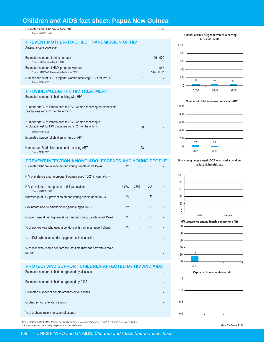## **Children and AIDS fact sheet: Papua New Guinea**

| Unildren and AIDS fact sheet: Papua New Guinea                                            |    |                              |            |      |                               |
|-------------------------------------------------------------------------------------------|----|------------------------------|------------|------|-------------------------------|
| Estimated adult HIV prevalence rate<br>Source: UNAIDS, 2006                               |    | 1.8%                         |            |      | Number of HIV+ pregnant wom   |
| <b>PREVENT MOTHER-TO-CHILD TRANSMISSION OF HIV</b><br>Antenatal care coverage             |    |                              | 1,000      |      | <b>ARVs for PMTCT</b>         |
| Estimated number of births per year<br>Source: UN Population Division, 2006               |    | 191,000                      | 800<br>600 |      |                               |
| Estimated number of HIV+ pregnant women<br>Source: UNAIDS/WHO unpublished estimates, 2007 |    | 1.546<br>$[1,430 - 1,672]$ * | 400        |      |                               |
| Number and % of HIV+ pregnant women receiving ARVs for PMTCT<br>Source: MOH, 2006         | 31 |                              | 200        | 46   | 46                            |
| <b>PROVIDE PAEDIATRIC HIV TREATMENT</b><br>Estimated number of children living with HIV   |    | -                            |            | 2004 | 2005                          |
|                                                                                           |    |                              |            |      | Number of children in need re |

Number and % of infants born to HIV+ women receiving cotrimoxazole Number and % of infants born to HIV+ women receiving cotrimoxazole prophylaxis within 6 weeks of birth <sup>2007</sup> <sup>1090</sup> prophylaxis within 2 months of birth Number and % of infants born to HIV+ women receiving a Number and % of infants born to HIV+ women receiving a virological test for HIV diagnosis within 2 months of birth Source: MOH, 2006 Estimated number of children in need of ART Number and % of children in need receiving ART Source: MOH, 2006 0 - 23 - - - -

#### **PREVENT INFECTION AMONG ADOLESCENTS AND YOUNG PEOPLE**

| Estimated HIV prevalence among young people aged 15-24                | M:   |       | F:   |     | at last liigilei -ilsk s              |
|-----------------------------------------------------------------------|------|-------|------|-----|---------------------------------------|
| HIV prevalence among pregnant women aged 15-24 in capital city        |      |       |      | 100 |                                       |
|                                                                       |      |       |      | 80  |                                       |
| HIV prevalence among most-at-risk populations<br>Source: UNAIDS, 2006 | FSW: | 16.0% | IDU: | 60  |                                       |
| Knowledge of HIV prevention among young people aged 15-24             | M:   |       | F:   | 40  |                                       |
| Sex before age 15 among young people aged 15-19                       | M:   |       | F:   | 20  |                                       |
| Condom use at last higher-risk sex among young people aged 15-24      | M:   |       | F:   | 0   | Male                                  |
|                                                                       |      |       |      |     | <b>HIV prevalence among female so</b> |
| % of sex workers who used a condom with their most recent client      | M:   |       | F:   | 100 |                                       |
| % of IDUs who used sterile equipment at last injection                |      |       |      | 80  |                                       |
|                                                                       |      |       |      | 60  |                                       |
| % of men who used a condom the last time they had sex with a male     |      |       |      | 40  |                                       |

### **PROTECT AND SUPPORT CHILDREN AFFECTED BY HIV AND AIDS**

| Estimated number of children orphaned by all causes | $\qquad \qquad \blacksquare$ |     | Orphan school attenda |
|-----------------------------------------------------|------------------------------|-----|-----------------------|
| Estimated number of children orphaned by AIDS       | -                            | 1.5 |                       |
| Estimated number of double orphans by all causes    | -                            | 1.0 |                       |
| Orphan school attendance ratio                      |                              | 0.5 |                       |
| % of orphans receiving external support             | -                            | 0.0 |                       |

\* *Represents the uncertainty range around the estimates M/F = male/female; FSW = female sex workers; IDU = injecting drug users. Dash (-) means data not available.*

partner





**% of young people aged 15-24 who used a condom at last higher-risk sex**



#### **HIV prevalence among female sex workers (%)**

| 100 |      |  |  |  |
|-----|------|--|--|--|
| 80  |      |  |  |  |
| 60  |      |  |  |  |
| 40  |      |  |  |  |
| 20  | 16   |  |  |  |
| 0   |      |  |  |  |
|     | 2000 |  |  |  |

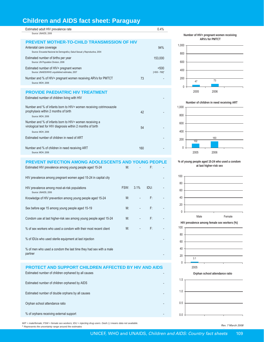## **Children and AIDS fact sheet: Paraguay**

| Estimated adult HIV prevalence rate                                                                                   | 0.4%                      |                                                            |
|-----------------------------------------------------------------------------------------------------------------------|---------------------------|------------------------------------------------------------|
| Source: UNAIDS, 2006                                                                                                  |                           | Number of HIV+ pregnant wom                                |
| <b>PREVENT MOTHER-TO-CHILD TRANSMISSION OF HIV</b>                                                                    |                           | <b>ARVs for PMTCT</b>                                      |
| Antenatal care coverage<br>Source: Encuesta Nacional de Demografía y Salud Sexual y Reproductiva, 2004                | 94%                       | 1.000<br>800                                               |
| Estimated number of births per year<br>Source: UN Population Division, 2006                                           | 153,000                   | 600                                                        |
| Estimated number of HIV+ pregnant women<br>Source: UNAIDS/WHO unpublished estimates, 2007                             | < 500<br>$[<500 - 769]$ * | 400                                                        |
| Number and % of HIV+ pregnant women receiving ARVs for PMTCT<br>Source: MOH. 2006                                     | 73                        | 200<br>73<br>47                                            |
| <b>PROVIDE PAEDIATRIC HIV TREATMENT</b><br>Estimated number of children living with HIV                               |                           | $\Omega$<br>2005<br>2006                                   |
|                                                                                                                       |                           | Number of children in need r                               |
| Number and % of infants born to HIV+ women receiving cotrimoxazole                                                    |                           | 1,000                                                      |
| prophylaxis within 2 months of birth<br>Source: MOH. 2006                                                             | 42                        | 800                                                        |
| Number and % of infants born to HIV+ women receiving a<br>virological test for HIV diagnosis within 2 months of birth |                           | 600                                                        |
| Source: MOH. 2006                                                                                                     | 54                        | 400                                                        |
| Estimated number of children in need of ART                                                                           |                           | 160<br>200<br>102                                          |
| Number and % of children in need receiving ART<br>Source: MOH. 2006                                                   | 160                       | 0<br>2005<br>2006                                          |
|                                                                                                                       |                           |                                                            |
| <b>PREVENT INFECTION AMONG ADOLESCENTS AND YOUNG</b><br>Estimated HIV prevalence among young people aged 15-24        | F:<br>M:                  | % of young people aged 15-24 who<br>at last higher-risk se |

## HIV prevalence among pregnant women aged 15-24 in capital city HIV prevalence among most-at-risk populations FSW: 3.1% IDU: Source: UNAIDS, 2006 40 AM AND AND A CHARGE AND A CHARGE AND A CHARGE AND A CHARGE AND A CHARGE AND A CHARGE AND A CHARGE AND A CHARGE AND A CHARGE AND A CHARGE AND A CHARGE AND A CHARGE AND A CHARGE AND A CHARGE AND A CHA Knowledge of HIV prevention among young people aged 15-24 M: F: Sex before age 15 among young people aged 15-19 M: And M: The Sex before age 15 among young people aged 15-19 Condom use at last higher-risk sex among young people aged 15-24 M: - F: % of sex workers who used a condom with their most recent client M: F: F: % of IDUs who used sterile equipment at last injection % of men who used a condom the last time they had sex with a male partner - - -

#### **PROTECT AND SUPPORT CHILDREN AFFECTED BY HIV AND AIDS**

| Estimated number of children orphaned by all causes | $\overline{\phantom{0}}$ | Orphan school attenda |
|-----------------------------------------------------|--------------------------|-----------------------|
| Estimated number of children orphaned by AIDS       |                          | 1.5                   |
| Estimated number of double orphans by all causes    | -                        | 1.0                   |
| Orphan school attendance ratio                      |                          | 0.5                   |
| % of orphans receiving external support             | $\overline{\phantom{0}}$ | 0.0                   |

\* *Represents the uncertainty range around the estimates M/F = male/female; FSW = female sex workers; IDU = injecting drug users. Dash (-) means data not available.*



**Number of HIV+ pregnant women receiving ARVs for PMTCT**



**% of young people aged 15-24 who used a condom at last higher-risk sex**



Rev. 7 March 2008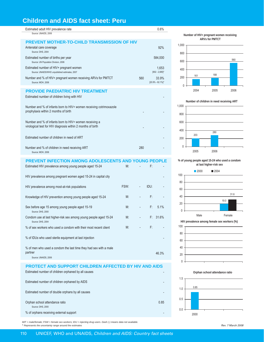## **Children and AIDS fact sheet: Peru**

| Estimated adult HIV prevalence rate                                                       |     | 0.6%                       |       |                                   |                       |
|-------------------------------------------------------------------------------------------|-----|----------------------------|-------|-----------------------------------|-----------------------|
| Source: UNAIDS, 2006                                                                      |     |                            |       | Number of HIV+ pregnant wome      | <b>ARVs for PMTCT</b> |
| <b>PREVENT MOTHER-TO-CHILD TRANSMISSION OF HIV</b>                                        |     |                            | 1,000 |                                   |                       |
| Antenatal care coverage<br>Source: DHS, 2004                                              |     | 92%                        | 800   |                                   |                       |
| Estimated number of births per year<br>Source: UN Population Division, 2006               |     | 584,000                    | 600   |                                   |                       |
| Estimated number of HIV+ pregnant women<br>Source: UNAIDS/WHO unpublished estimates, 2007 |     | 1.653<br>$[902 - 2,685]$ * | 400   |                                   |                       |
| Number and % of HIV+ pregnant women receiving ARVs for PMTCT<br>Source: MOH, 2006         | 560 | 33.9%<br>[20.9% - 62.1%]*  | 200   | 161                               | 188                   |
| <b>PROVIDE PAEDIATRIC HIV TREATMENT</b>                                                   |     |                            | 0     | 2004                              | 2005                  |
| Estimated number of children living with HIV                                              |     |                            |       | Number of children in need re     |                       |
| Number and % of infants born to HIV+ women receiving cotrimoxazole                        |     |                            | 1,000 |                                   |                       |
| prophylaxis within 2 months of birth                                                      |     |                            | 800   |                                   |                       |
| Number and % of infants born to HIV+ women receiving a                                    |     |                            | 600   |                                   |                       |
| virological test for HIV diagnosis within 2 months of birth                               |     |                            | 400   |                                   | 280                   |
| Estimated number of children in need of ART                                               |     |                            | 200   | 203                               |                       |
| Number and % of children in need receiving ART<br>Source: MOH, 2006                       | 280 |                            | 0     | 2005                              | 2006                  |
|                                                                                           |     |                            |       | $0/6$ cause needs and 15.34 $\mu$ |                       |

## **PREVENT INFECTION AMONG ADOLESCENTS AND YOUNG PEOPLE**

| Estimated HIV prevalence among young people aged 15-24            | M:   |                | F:   |          |     |                                | at last higher-risk s |
|-------------------------------------------------------------------|------|----------------|------|----------|-----|--------------------------------|-----------------------|
|                                                                   |      |                |      |          |     | $\blacksquare$ 2000            | ■2004                 |
| HIV prevalence among pregnant women aged 15-24 in capital city    |      |                |      |          | 100 |                                |                       |
|                                                                   |      |                |      |          | 80  |                                |                       |
| HIV prevalence among most-at-risk populations                     | FSW: |                | IDU: |          | 60  |                                |                       |
|                                                                   |      |                |      |          |     |                                |                       |
| Knowledge of HIV prevention among young people aged 15-24         | M:   |                | F:   |          | 40  |                                |                       |
|                                                                   |      |                |      |          | 20  |                                |                       |
| Sex before age 15 among young people aged 15-19                   | M:   | $\overline{a}$ | F:   | 5.1%     | 0   |                                |                       |
| Source: DHS, 2000                                                 |      |                |      |          |     |                                |                       |
| Condom use at last higher-risk sex among young people aged 15-24  | M:   |                |      | F: 31.6% |     | Male                           |                       |
| Source: DHS, 2004                                                 |      |                |      |          |     | HIV prevalence among female se |                       |
| % of sex workers who used a condom with their most recent client  | M:   |                | F:   |          | 100 |                                |                       |
|                                                                   |      |                |      |          | 80  |                                |                       |
| % of IDUs who used sterile equipment at last injection            |      |                |      |          |     |                                |                       |
|                                                                   |      |                |      |          | 60  |                                |                       |
| % of men who used a condom the last time they had sex with a male |      |                |      |          | 40  |                                |                       |
| partner                                                           |      |                |      | 46.3%    | 20  |                                |                       |
| Source: UNAIDS, 2006                                              |      |                |      |          |     |                                |                       |

### **PROTECT AND SUPPORT CHILDREN AFFECTED BY HIV AND AIDS**

| Estimated number of children orphaned by all causes | $\overline{\phantom{0}}$ |     | Orphan school attenda |  |
|-----------------------------------------------------|--------------------------|-----|-----------------------|--|
| Estimated number of children orphaned by AIDS       | -                        | 1.5 |                       |  |
|                                                     |                          | 1.0 | 0.85                  |  |
| Estimated number of double orphans by all causes    | -                        | 0.5 |                       |  |
| Orphan school attendance ratio<br>Source: DHS, 2000 | 0.85                     |     |                       |  |
| % of orphans receiving external support             | -                        | 0.0 | 2000                  |  |

\* *Represents the uncertainty range around the estimates M/F = male/female; FSW = female sex workers; IDU = injecting drug users. Dash (-) means data not available.*







**% of young people aged 15-24 who used a condom at last higher-risk sex**





0 20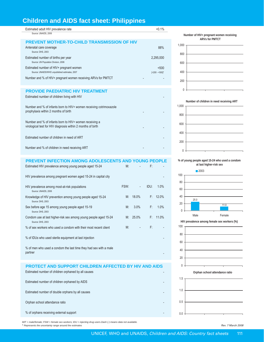## **Children and AIDS fact sheet: Philippines**

| Estimated adult HIV prevalence rate                                                                                   | $< 0.1\%$                  |                                                               |
|-----------------------------------------------------------------------------------------------------------------------|----------------------------|---------------------------------------------------------------|
| Source: UNAIDS, 2006                                                                                                  |                            | Number of HIV+ pregnant wome                                  |
| PREVENT MOTHER-TO-CHILD TRANSMISSION OF HIV                                                                           |                            | <b>ARVs for PMTCT</b>                                         |
| Antenatal care coverage<br>Source: DHS, 2003                                                                          | 88%                        | 1,000                                                         |
| Estimated number of births per year<br>Source: UN Population Division, 2006                                           | 2,295,000                  | 800<br>600                                                    |
| Estimated number of HIV+ pregnant women<br>Source: UNAIDS/WHO unpublished estimates, 2007                             | < 500<br>$[<200 - 500]$ *  | 400                                                           |
| Number and % of HIV+ pregnant women receiving ARVs for PMTCT                                                          |                            | 200                                                           |
|                                                                                                                       |                            |                                                               |
| <b>PROVIDE PAEDIATRIC HIV TREATMENT</b>                                                                               |                            | 0                                                             |
| Estimated number of children living with HIV                                                                          |                            | Number of children in need re                                 |
| Number and % of infants born to HIV+ women receiving cotrimoxazole                                                    |                            | 1,000                                                         |
| prophylaxis within 2 months of birth                                                                                  |                            | 800                                                           |
| Number and % of infants born to HIV+ women receiving a<br>virological test for HIV diagnosis within 2 months of birth |                            | 600                                                           |
|                                                                                                                       |                            | 400                                                           |
| Estimated number of children in need of ART                                                                           |                            | 200                                                           |
| Number and % of children in need receiving ART                                                                        |                            | 0                                                             |
|                                                                                                                       |                            |                                                               |
| <b>PREVENT INFECTION AMONG ADOLESCENTS AND YOUNG PEOPLE</b>                                                           |                            | % of young people aged 15-24 who u<br>at last higher-risk sex |
| Estimated HIV prevalence among young people aged 15-24                                                                | F:<br>M:                   | ■2003                                                         |
| HIV prevalence among pregnant women aged 15-24 in capital city                                                        |                            | 100                                                           |
| FSW:<br>HIV prevalence among most-at-risk populations                                                                 | IDU:<br>1.0%               | 80<br>60                                                      |
| Source: UNAIDS, 2006<br>Knowledge of HIV prevention among young people aged 15-24                                     | 18.0%<br>12.0%<br>M:<br>F: | 40                                                            |
| Source: DHS, 2003                                                                                                     |                            | 25.0<br>20                                                    |
| Sex before age 15 among young people aged 15-19<br>Source: DHS, 2003                                                  | 1.0%<br>3.0%<br>F:<br>M:   | $\mathbf 0$                                                   |
| Condom use at last higher-risk sex among young people aged 15-24<br>Source: DHS, 2003                                 | 25.0%<br>F:<br>11.0%<br>M: | Male<br>Fe<br>HIV prevalence among female sex                 |
| % of sex workers who used a condom with their most recent client                                                      | M:<br>F:                   | 100                                                           |
| % of IDUs who used sterile equipment at last injection                                                                |                            | 80                                                            |
|                                                                                                                       |                            | 60                                                            |
| % of men who used a condom the last time they had sex with a male<br>partner                                          |                            | 40                                                            |
|                                                                                                                       |                            | 20                                                            |
| <b>PROTECT AND SUPPORT CHILDREN AFFECTED BY HIV AND AIDS</b>                                                          |                            | 0                                                             |
| Estimated number of children orphaned by all causes                                                                   |                            | Orphan school attendan                                        |

200 400 600 800 1,000 **Number of HIV+ pregnant women receiving ARVs for PMTCT**

|       | Number of children in need receiving ART |
|-------|------------------------------------------|
| 1,000 |                                          |
| 800   |                                          |
|       |                                          |
| 600   |                                          |
| 400   |                                          |
|       |                                          |
| 200   |                                          |
|       |                                          |

**% of young people aged 15-24 who used a condom at last higher-risk sex**



\* *Represents the uncertainty range around the estimates M/F = male/female; FSW = female sex workers; IDU = injecting drug users.Dash (-) means data not available.*

Estimated number of children orphaned by AIDS

Estimated number of double orphans by all causes

Orphan school attendance ratio

% of orphans receiving external support

Rev. 7 March 2008

-

-

-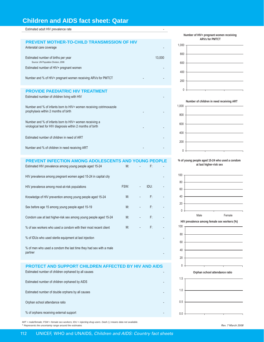#### Estimated adult HIV prevalence rate

### **PREVENT MOTHER-TO-CHILD TRANSMISSION OF HIV**

| Antenatal care coverage                                           |     |  |
|-------------------------------------------------------------------|-----|--|
|                                                                   | 800 |  |
| Estimated number of births per year<br>13,000                     |     |  |
| Source: UN Population Division, 2006                              | 600 |  |
| Estimated number of HIV+ pregnant women                           | 400 |  |
|                                                                   |     |  |
| Number and % of HIV+ pregnant women receiving ARVs for PMTCT<br>- | 200 |  |
|                                                                   |     |  |

### **PROVIDE PAEDIATRIC HIV TREATMENT**

| Estimated number of children living with HIV                       |       |                               |
|--------------------------------------------------------------------|-------|-------------------------------|
|                                                                    |       | Number of children in need re |
| Number and % of infants born to HIV+ women receiving cotrimoxazole | 1.000 |                               |
| prophylaxis within 2 months of birth                               |       |                               |
|                                                                    | 800   |                               |
| Number and % of infants born to HIV+ women receiving a             | 600   |                               |
| virological test for HIV diagnosis within 2 months of birth        |       |                               |

Estimated number of children in need of ART

Number and % of children in need receiving ART

#### **PREVENT INFECTION AMONG ADOLESCENTS AND YOUNG PEOPLE**

| Estimated HIV prevalence among young people aged 15-24           | M:   | F:   | at last liigilei -ilsk s              |
|------------------------------------------------------------------|------|------|---------------------------------------|
| HIV prevalence among pregnant women aged 15-24 in capital city   |      |      | 100                                   |
| HIV prevalence among most-at-risk populations                    | FSW: | IDU: | 80                                    |
|                                                                  |      |      | 60                                    |
| Knowledge of HIV prevention among young people aged 15-24        | M:   | F:   | 40                                    |
| Sex before age 15 among young people aged 15-19                  | M:   | F:   | 20<br>0                               |
| Condom use at last higher-risk sex among young people aged 15-24 | M:   | F:   | Male                                  |
| % of sex workers who used a condom with their most recent client | M:   | F:   | HIV prevalence among female se<br>100 |
|                                                                  |      |      | 80                                    |
| % of IDUs who used sterile equipment at last injection           |      |      | 60                                    |
|                                                                  |      |      |                                       |

% of men who used a condom the last time they had sex with a male partner

## **PROTECT AND SUPPORT CHILDREN AFFECTED BY HIV AND AIDS**

| Estimated number of children orphaned by all causes | $\overline{\phantom{0}}$ | Orphan school attenda |
|-----------------------------------------------------|--------------------------|-----------------------|
| Estimated number of children orphaned by AIDS       |                          | 1.5                   |
| Estimated number of double orphans by all causes    | -                        | 1.0                   |
| Orphan school attendance ratio                      |                          | 0.5                   |
| % of orphans receiving external support             |                          | 0.0                   |

 $*$  Represents the uncertainty range around the estimates *M/F = male/female; FSW = female sex workers; IDU = injecting drug users. Dash (-) means data not available.*

|       | Number of children in need receiving ART |
|-------|------------------------------------------|
| 1,000 |                                          |
| 800   |                                          |
| 600   |                                          |
|       |                                          |
| 400   |                                          |
| 200   |                                          |
|       |                                          |
|       |                                          |

- -

-

-

0

1,000

-

**Number of HIV+ pregnant women receiving ARVs for PMTCT**

**% of young people aged 15-24 who used a condom at last higher-risk sex**

| 100      |                                                             |        |
|----------|-------------------------------------------------------------|--------|
| 80       |                                                             |        |
| 60       |                                                             |        |
| 40       |                                                             |        |
| 20       |                                                             |        |
| $\Omega$ |                                                             |        |
| 100      | Male<br>HIV prevalence among female sex workers (%)         | Female |
| 80       |                                                             |        |
| 60       |                                                             |        |
| 40       | the control of the control of the control of the control of |        |
| 20       |                                                             |        |
| $\Omega$ | ÷                                                           |        |
|          | Orphan school attendance ratio                              |        |
| 1.5      |                                                             |        |
| 1.0      |                                                             |        |
| 0.5      |                                                             |        |
| 0.0      |                                                             |        |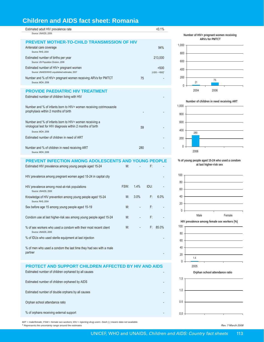## **Children and AIDS fact sheet: Romania**

| Estimated adult HIV prevalence rate                                                                                   |      |      |      | < 0.1%                     |              |      |                                    |
|-----------------------------------------------------------------------------------------------------------------------|------|------|------|----------------------------|--------------|------|------------------------------------|
| Source: UNAIDS, 2006                                                                                                  |      |      |      |                            |              |      | Number of HIV+ pregnant wome       |
| PREVENT MOTHER-TO-CHILD TRANSMISSION OF HIV                                                                           |      |      |      |                            |              |      | <b>ARVs for PMTCT</b>              |
| Antenatal care coverage                                                                                               |      |      |      | 94%                        | 1,000        |      |                                    |
| Source: RHS, 2004                                                                                                     |      |      |      |                            | 800          |      |                                    |
| Estimated number of births per year                                                                                   |      |      |      | 213,000                    |              |      |                                    |
| Source: UN Population Division, 2006                                                                                  |      |      |      |                            | 600          |      |                                    |
| Estimated number of HIV+ pregnant women<br>Source: UNAIDS/WHO unpublished estimates, 2007                             |      |      |      | < 500<br>$[< 200 - 500]$ * | 400          |      |                                    |
| Number and % of HIV+ pregnant women receiving ARVs for PMTCT                                                          |      | 75   |      |                            | 200          |      | 75                                 |
| Source: MOH, 2006                                                                                                     |      |      |      |                            | 0            | 21   |                                    |
| <b>PROVIDE PAEDIATRIC HIV TREATMENT</b>                                                                               |      |      |      |                            |              | 2004 | 2006                               |
| Estimated number of children living with HIV                                                                          |      |      |      |                            |              |      |                                    |
|                                                                                                                       |      |      |      |                            |              |      | Number of children in need re      |
| Number and % of infants born to HIV+ women receiving cotrimoxazole                                                    |      |      |      |                            | 1,000        |      |                                    |
| prophylaxis within 2 months of birth                                                                                  |      |      |      |                            | 800          |      |                                    |
|                                                                                                                       |      |      |      |                            |              |      |                                    |
| Number and % of infants born to HIV+ women receiving a<br>virological test for HIV diagnosis within 2 months of birth |      |      |      |                            | 600          |      |                                    |
| Source: MOH, 2006                                                                                                     |      | 59   |      |                            | 400          | 280  |                                    |
| Estimated number of children in need of ART                                                                           |      |      |      |                            | 200          |      |                                    |
|                                                                                                                       |      |      |      |                            |              |      |                                    |
| Number and % of children in need receiving ART                                                                        |      | 280  |      |                            | $\mathbf{0}$ |      |                                    |
| Source: MOH, 2006                                                                                                     |      |      |      |                            |              | 2006 |                                    |
| <b>PREVENT INFECTION AMONG ADOLESCENTS AND YOUNG</b>                                                                  |      |      |      | <b>PEOPLE</b>              |              |      | % of young people aged 15-24 who u |
| Estimated HIV prevalence among young people aged 15-24                                                                | M:   |      | F:   |                            |              |      | at last higher-risk sex            |
|                                                                                                                       |      |      |      |                            |              |      |                                    |
| HIV prevalence among pregnant women aged 15-24 in capital city                                                        |      |      |      |                            | 100          |      |                                    |
|                                                                                                                       |      |      |      |                            | 80           |      |                                    |
| HIV prevalence among most-at-risk populations                                                                         | FSW: | 1.4% | IDU: |                            | 60           |      |                                    |
| Source: UNAIDS, 2006                                                                                                  |      |      |      |                            | 40           |      |                                    |
| Knowledge of HIV prevention among young people aged 15-24<br>Source: RHS, 2004                                        | M:   | 3.0% | F:   | 6.0%                       |              |      |                                    |
| Sex before age 15 among young people aged 15-19                                                                       | M:   |      | F:   |                            | 20           |      |                                    |
|                                                                                                                       |      |      |      |                            | 0            |      |                                    |
| Condom use at last higher-risk sex among young people aged 15-24                                                      | M:   |      | F:   |                            |              | Male |                                    |
|                                                                                                                       |      |      |      |                            |              |      | HIV prevalence among female sex    |
| % of sex workers who used a condom with their most recent client                                                      | M:   |      | F: I | 85.0%                      | 100          |      |                                    |
| Source: UNAIDS, 2006                                                                                                  |      |      |      |                            | 80           |      |                                    |
| % of IDUs who used sterile equipment at last injection                                                                |      |      |      |                            | 60           |      |                                    |
| % of men who used a condom the last time they had sex with a male                                                     |      |      |      |                            | 40           |      |                                    |
| partner                                                                                                               |      |      |      |                            |              |      |                                    |
|                                                                                                                       |      |      |      |                            | 20           |      |                                    |

### **PROTECT AND SUPPORT CHILDREN AFFECTED BY HIV AND AIDS**

| Estimated number of children orphaned by all causes | $\qquad \qquad \blacksquare$ |     | Orphan school attenda |
|-----------------------------------------------------|------------------------------|-----|-----------------------|
| Estimated number of children orphaned by AIDS       | -                            | 1.5 |                       |
| Estimated number of double orphans by all causes    | -                            | 1.0 |                       |
| Orphan school attendance ratio                      |                              | 0.5 |                       |
| % of orphans receiving external support             |                              | 0.0 |                       |

\* *Represents the uncertainty range around the estimates M/F = male/female; FSW = female sex workers; IDU = injecting drug users. Dash (-) means data not available.*

Rev. 7 March 2008

75 21 0 200 400 600 800 1,000 2004 2006 **Number of HIV+ pregnant women receiving ARVs for PMTCT**



**% of young people aged 15-24 who used a condom at last higher-risk sex**

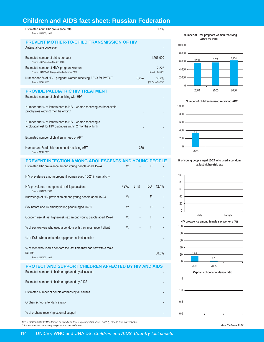## **Children and AIDS fact sheet: Russian Federation**

Estimated adult HIV prevalence rate Source: UNAIDS, 2006

## 1.1%

-

-

-

- -

330

# **PREVENT MOTHER-TO-CHILD TRANSMISSION OF HIV** Antenatal care coverage

| Estimated number of births per year                                                       | 1.506.000                               |       | 5,601 | 5.709 |
|-------------------------------------------------------------------------------------------|-----------------------------------------|-------|-------|-------|
| Source: UN Population Division, 2006                                                      |                                         | 6.000 |       |       |
| Estimated number of HIV+ pregnant women<br>Source: UNAIDS/WHO unpublished estimates, 2007 | 7.223<br>$[3,525 - 15,697]$ *           | 4.000 |       |       |
| Number and % of HIV+ pregnant women receiving ARVs for PMTCT<br>Source: MOH, 2006         | 86.2%<br>6.224<br>$[39.7\% - 95.0\%]$ * | 2,000 |       |       |
|                                                                                           |                                         |       |       |       |

### **PROVIDE PAEDIATRIC HIV TREATMENT**

Estimated number of children living with HIV

Number and % of children in need receiving ART

Source: MOH, 2006

Number and % of infants born to HIV+ women receiving cotrimoxazole Number and % of infants born to HIV+ women receiving cotrimoxazole prophylaxis within 6 weeks of birth <sup>2007</sup> <sup>1090</sup> prophylaxis within 2 months of birth

Number and % of infants born to HIV+ women receiving a Number and % of infants born to HIV+ women receiving a virological test for HIV diagnosis within 2 months of birth Estimated number of children in need of ART - -

### **PREVENT INFECTION AMONG ADOLESCENTS AND YOUNG PEOPLE**

| Estimated HIV prevalence among young people aged 15-24                | M:   |      | F: |            | at last liigilei -ilsk s |                                |
|-----------------------------------------------------------------------|------|------|----|------------|--------------------------|--------------------------------|
| HIV prevalence among pregnant women aged 15-24 in capital city        |      |      |    |            | 100                      |                                |
|                                                                       |      |      |    |            | 80                       |                                |
| HIV prevalence among most-at-risk populations<br>Source: UNAIDS, 2006 | FSW: | 3.1% |    | IDU: 12.4% | 60                       |                                |
| Knowledge of HIV prevention among young people aged 15-24             | M:   |      | F: |            | 40                       |                                |
| Sex before age 15 among young people aged 15-19                       | M:   |      | F: |            | 20                       |                                |
|                                                                       |      |      |    |            | 0                        |                                |
| Condom use at last higher-risk sex among young people aged 15-24      | M:   |      | F: |            |                          | Male                           |
|                                                                       |      |      |    |            |                          | HIV prevalence among female se |
| % of sex workers who used a condom with their most recent client      | M:   |      | F: |            | 100                      |                                |
|                                                                       |      |      |    |            | 80                       |                                |
| % of IDUs who used sterile equipment at last injection                |      |      |    |            | 60                       |                                |
| % of men who used a condom the last time they had sex with a male     |      |      |    |            | 40                       |                                |
| partner                                                               |      |      |    | 38.8%      | 20                       | 15.3                           |
| Source: UNAIDS, 2006                                                  |      |      |    |            |                          | 31                             |

### **PROTECT AND SUPPORT CHILDREN AFFECTED BY HIV AND AIDS**



\* *Represents the uncertainty range around the estimates M/F = male/female; FSW = female sex workers; IDU = injecting drug users. Dash (-) means data not available.* **Number of HIV+ pregnant women receiving ARVs for PMTCT**





**% of young people aged 15-24 who used a condom at last higher-risk sex**



114 UNICEF, WHO and UNAIDS, Children and AIDS: Country fact sheets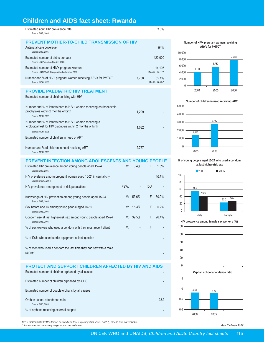## **Children and AIDS fact sheet: Rwanda**

| Estimated adult HIV prevalence rate | 3.0% |
|-------------------------------------|------|
| Source: DHS, 2005                   |      |

### **PREVENT MOTHER-TO-CHILD TRANSMISSION OF HIV**

| Antenatal care coverage                                      | 94%                   |        |       | ARVS for PMICT |  |
|--------------------------------------------------------------|-----------------------|--------|-------|----------------|--|
| Source: DHS, 2005                                            |                       | 10.000 |       |                |  |
| Estimated number of births per year                          | 420,000               | 8.000  |       |                |  |
| Source: UN Population Division, 2006                         |                       |        |       | 5,782          |  |
| Estimated number of HIV+ pregnant women                      | 14.107                | 6.000  | 4.141 |                |  |
| Source: UNAIDS/WHO unpublished estimates, 2007               | $[12,522 - 16,777]$ * | 4.000  |       |                |  |
| Number and % of HIV+ pregnant women receiving ARVs for PMTCT | 55.1%<br>7.768        | 2.000  |       |                |  |
| Source: MOH, 2006                                            | $[46.3\% - 62.0\%]$ * |        |       |                |  |
|                                                              |                       |        |       |                |  |

### **PROVIDE PAEDIATRIC HIV TREATMENT**

Estimated number of children living with HIV

| Estimated number of children living with HIV                        |       |       |                               |       |  |
|---------------------------------------------------------------------|-------|-------|-------------------------------|-------|--|
|                                                                     |       |       | Number of children in need re |       |  |
| Number and % of infants born to HIV+ women receiving cotrimoxazole  |       | 5,000 |                               |       |  |
| prophylaxis within 2 months of birth<br>Source: MOH, 2006           | 1.209 | 4,000 |                               |       |  |
| Number and % of infants born to HIV+ women receiving a              |       | 3,000 |                               | 2.757 |  |
| virological test for HIV diagnosis within 2 months of birth         | 1.032 | 2,000 |                               |       |  |
| Source: MOH, 2006                                                   |       |       | 1.443                         |       |  |
| Estimated number of children in need of ART                         |       | 1,000 |                               |       |  |
|                                                                     |       |       |                               |       |  |
| Number and % of children in need receiving ART<br>Source: MOH, 2006 | 2,757 |       | 2005                          | 2006  |  |

#### **PREVENT INFECTION AMONG ADOLESCENTS AND YOUNG PEOPLE**

| Estimated HIV prevalence among young people aged 15-24                               | M:   | 0.4%  | F:   | 1.5%        |           | at last liigilei -i isk sex       |       |
|--------------------------------------------------------------------------------------|------|-------|------|-------------|-----------|-----------------------------------|-------|
| Source: DHS, 2005                                                                    |      |       |      |             |           | $\blacksquare$ 2000               | ■2005 |
| HIV prevalence among pregnant women aged 15-24 in capital city<br>Source: SOWC, 2003 |      |       |      | 10.3%       | 100<br>80 |                                   |       |
| HIV prevalence among most-at-risk populations                                        | FSW: |       | IDU: |             | 60        | 55.0                              |       |
|                                                                                      |      |       |      |             |           | 39.5                              |       |
| Knowledge of HIV prevention among young people aged 15-24<br>Source: DHS, 2005       | M:   | 53.6% |      | $F: 50.9\%$ | 40<br>20  |                                   | 23.   |
| Sex before age 15 among young people aged 15-19<br>Source: DHS, 2005                 | M:   | 15.3% | F: I | 5.2%        |           |                                   |       |
| Condom use at last higher-risk sex among young people aged 15-24                     | M:   | 39.5% |      | F: 26.4%    |           | Male                              |       |
| Source: DHS, 2005                                                                    |      |       |      |             |           | HIV prevalence among female sex w |       |
| % of sex workers who used a condom with their most recent client                     | M:   |       | F:   |             | 100       |                                   |       |
|                                                                                      |      |       |      |             | 80        |                                   |       |
| % of IDUs who used sterile equipment at last injection                               |      |       |      |             | 60        |                                   |       |
| % of men who used a condom the last time they had sex with a male                    |      |       |      |             | $\Lambda$ |                                   |       |

### **PROTECT AND SUPPORT CHILDREN AFFECTED BY HIV AND AIDS**

| Estimated number of children orphaned by all causes | $\overline{\phantom{0}}$ | Orphan school attenda |      |                  |
|-----------------------------------------------------|--------------------------|-----------------------|------|------------------|
| Estimated number of children orphaned by AIDS       | $\overline{\phantom{0}}$ | 5. ا                  |      |                  |
| Estimated number of double orphans by all causes    | $\overline{\phantom{0}}$ | 1.0                   | 0.83 | 0.82             |
| Orphan school attendance ratio<br>Source: DHS, 2005 | 0.82                     | 0.5                   |      |                  |
| % of orphans receiving external support             |                          | 0.0                   | 0000 | 000 <sup>F</sup> |

*M/F = male/female; FSW = female sex workers; IDU = injecting drug users. Dash (-) means data not available.*

 $*$  Represents the uncertainty range around the estimates

partner

2004 2005 2006

7,768



**Number of HIV+ pregnant women receiving ARVs for PMTCT**

**% of young people aged 15-24 who used a condom at last higher-risk sex**







Rev. 7 March 2008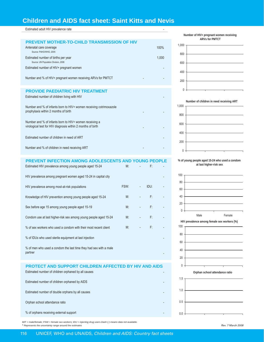## **Children and AIDS fact sheet: Saint Kitts and Nevis**

#### Estimated adult HIV prevalence rate

### **PREVENT MOTHER-TO-CHILD TRANSMISSION OF HIV**

| Antenatal care coverage                                      | 100%  | <b>UUU, I</b> |  |
|--------------------------------------------------------------|-------|---------------|--|
| Source: PAHO/WHO, 2005                                       |       | 800           |  |
| Estimated number of births per year                          | 1,000 |               |  |
| Source: UN Population Division, 2006                         |       | 600           |  |
| Estimated number of HIV+ pregnant women                      |       | 400           |  |
| Number and % of HIV+ pregnant women receiving ARVs for PMTCT | -     | 200           |  |

### **PROVIDE PAEDIATRIC HIV TREATMENT**

| Estimated number of children living with HIV                       |        |                               |
|--------------------------------------------------------------------|--------|-------------------------------|
|                                                                    |        | Number of children in need re |
| Number and % of infants born to HIV+ women receiving cotrimoxazole | 1.000  |                               |
| prophylaxis within 2 months of birth                               | 800    |                               |
|                                                                    |        |                               |
| Number and % of infants born to HIV+ women receiving a             | 600    |                               |
| virological test for HIV diagnosis within 2 months of birth        |        |                               |
|                                                                    | 400    |                               |
| Estimated number of children in need of ART                        |        |                               |
|                                                                    | 200    |                               |
| Number and % of children in need receiving ART                     | $\sim$ |                               |

## **PREVENT INFECTION AMONG ADOLESCENTS AND YOUNG PEOPLE**

| Estimated HIV prevalence among young people aged 15-24            | M:   | F:   |                                           | at last liigilei -ilsk s       |  |
|-------------------------------------------------------------------|------|------|-------------------------------------------|--------------------------------|--|
| HIV prevalence among pregnant women aged 15-24 in capital city    |      |      | 100                                       |                                |  |
| HIV prevalence among most-at-risk populations                     | FSW: | IDU: | 80<br>60                                  |                                |  |
| Knowledge of HIV prevention among young people aged 15-24         | M:   | F:   | 40                                        |                                |  |
| Sex before age 15 among young people aged 15-19                   | M:   | F:   | 20                                        |                                |  |
| Condom use at last higher-risk sex among young people aged 15-24  | M:   | F:   | 0                                         | Male                           |  |
| % of sex workers who used a condom with their most recent client  | M:   | F:   | 100                                       | HIV prevalence among female se |  |
|                                                                   |      |      | 80                                        |                                |  |
| % of IDUs who used sterile equipment at last injection            |      |      | 60                                        |                                |  |
| % of men who used a condom the last time they had sex with a male |      |      | $\Lambda$ <sup><math>\Lambda</math></sup> |                                |  |

**PROTECT AND SUPPORT CHILDREN AFFECTED BY HIV AND AIDS**

partner

| Estimated number of children orphaned by all causes |   |     | Orphan school attenda |
|-----------------------------------------------------|---|-----|-----------------------|
| Estimated number of children orphaned by AIDS       | - | 1.5 |                       |
| Estimated number of double orphans by all causes    | - | 1.0 |                       |
| Orphan school attendance ratio                      |   | 0.5 |                       |
| % of orphans receiving external support             |   | 0.0 |                       |

 $*$  Represents the uncertainty range around the estimates *M/F = male/female; FSW = female sex workers; IDU = injecting drug users.Dash (-) means data not available.* **Number of HIV+ pregnant women receiving ARVs for PMTCT**

-

-

| 1,000 |  |
|-------|--|
| 800   |  |
| 600   |  |
| 400   |  |
| 200   |  |
| O     |  |

|       | Number of children in need receiving ART |
|-------|------------------------------------------|
| 1,000 |                                          |
| 800   |                                          |
| 600   |                                          |
| 400   |                                          |
| 200   |                                          |
|       |                                          |

**% of young people aged 15-24 who used a condom at last higher-risk sex**

| 100 |                                             |
|-----|---------------------------------------------|
| 80  |                                             |
| 60  |                                             |
| 40  |                                             |
| 20  |                                             |
| 0   |                                             |
|     | Male<br>Female                              |
|     | HIV prevalence among female sex workers (%) |
| 100 |                                             |
| 80  |                                             |
| 60  |                                             |
| 40  |                                             |
| 20  |                                             |
| 0   |                                             |
|     | Orphan school attendance ratio              |
| 1.5 |                                             |
|     |                                             |
| 1.0 |                                             |
| 0.5 |                                             |
|     |                                             |
| 0.0 | T                                           |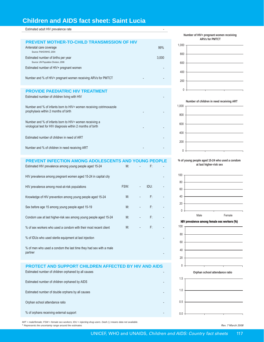## **Children and AIDS fact sheet: Saint Lucia**

#### Estimated adult HIV prevalence rate

partner

### **PREVENT MOTHER-TO-CHILD TRANSMISSION OF HIV**

| Antenatal care coverage                                      | 99%                      | 1,000 |  |
|--------------------------------------------------------------|--------------------------|-------|--|
| Source: PAHO/WHO, 2004                                       |                          | 800   |  |
| Estimated number of births per year                          | 3,000                    |       |  |
| Source: UN Population Division, 2006                         |                          | 600   |  |
| Estimated number of HIV+ pregnant women                      |                          | 400   |  |
| Number and % of HIV+ pregnant women receiving ARVs for PMTCT | $\overline{\phantom{a}}$ | 200   |  |

### **PROVIDE PAEDIATRIC HIV TREATMENT**

| Estimated number of children living with HIV                       |        |                               |
|--------------------------------------------------------------------|--------|-------------------------------|
|                                                                    |        | Number of children in need re |
| Number and % of infants born to HIV+ women receiving cotrimoxazole | 1,000  |                               |
| prophylaxis within 2 months of birth                               | 800    |                               |
|                                                                    |        |                               |
| Number and % of infants born to HIV+ women receiving a             | 600    |                               |
| virological test for HIV diagnosis within 2 months of birth        |        |                               |
|                                                                    | 400    |                               |
| Estimated number of children in need of ART                        |        |                               |
|                                                                    | 200    |                               |
| Number and % of children in need receiving ART                     | $\cap$ |                               |

## **PREVENT INFECTION AMONG ADOLESCENTS AND YOUNG PEOPLE**

| Estimated HIV prevalence among young people aged 15-24            | M:   | F:   |                                                 | at last liigilei -ilsk s                      |
|-------------------------------------------------------------------|------|------|-------------------------------------------------|-----------------------------------------------|
| HIV prevalence among pregnant women aged 15-24 in capital city    |      |      | 100                                             |                                               |
| HIV prevalence among most-at-risk populations                     | FSW: | IDU: | 80<br>60                                        |                                               |
| Knowledge of HIV prevention among young people aged 15-24         | M:   | F:   | 40                                              |                                               |
| Sex before age 15 among young people aged 15-19                   | M:   | F:   | 20<br>0                                         |                                               |
| Condom use at last higher-risk sex among young people aged 15-24  | M:   | F:   |                                                 | Male<br><b>HIV prevalence among female so</b> |
| % of sex workers who used a condom with their most recent client  | M:   | F:   | 100                                             |                                               |
| % of IDUs who used sterile equipment at last injection            |      |      | 80                                              |                                               |
| % of men who used a condom the last time they had sex with a male |      |      | 60<br>$\Lambda$ <sup><math>\Lambda</math></sup> |                                               |

### **PROTECT AND SUPPORT CHILDREN AFFECTED BY HIV AND AIDS**

| Estimated number of children orphaned by all causes | $\qquad \qquad \blacksquare$ | Orphan school attenda |
|-----------------------------------------------------|------------------------------|-----------------------|
| Estimated number of children orphaned by AIDS       | -                            | 1.5                   |
| Estimated number of double orphans by all causes    | -                            | 1.0                   |
| Orphan school attendance ratio                      |                              | 0.5                   |
| % of orphans receiving external support             |                              | 0.0                   |

 $*$  Represents the uncertainty range around the estimates *M/F = male/female; FSW = female sex workers; IDU = injecting drug users. Dash (-) means data not available.*

Rev. 7 March 2008

| 1,000 |                                          |
|-------|------------------------------------------|
| 800   |                                          |
| 600   |                                          |
| 400   |                                          |
| 200   |                                          |
|       |                                          |
| 1,000 | Number of children in need receiving ART |

**Number of HIV+ pregnant women receiving ARVs for PMTCT**

-

| $\cdots$ |  |
|----------|--|
| 800      |  |
| 600      |  |
| 400      |  |
|          |  |
| 200      |  |
| r        |  |

**% of young people aged 15-24 who used a condom at last higher-risk sex**

| 100 |      |        |
|-----|------|--------|
| 80  |      |        |
| 60  |      |        |
| 40  |      |        |
| 20  |      |        |
| 0   |      |        |
|     | Male | Female |

#### **HIV prevalence among female sex workers (%)**

| 100 |  |
|-----|--|
| 80  |  |
| 60  |  |
| 40  |  |
| 20  |  |
| 0   |  |

|     | Orphan school attendance ratio |
|-----|--------------------------------|
| 1.5 |                                |
| 1.0 |                                |
| 0.5 |                                |
| 0.0 |                                |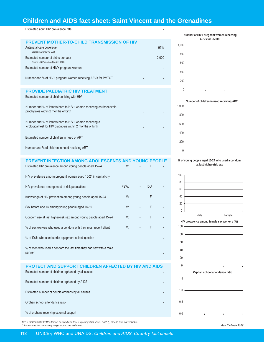## **Children and AIDS fact sheet: Saint Vincent and the Grenadines**

-

-

-

### Estimated adult HIV prevalence rate

|                                                                                                                       |      |      |               |              | ivuilibel of ritv+ pregnant wome<br><b>ARVs for PMTCT</b>     |  |
|-----------------------------------------------------------------------------------------------------------------------|------|------|---------------|--------------|---------------------------------------------------------------|--|
| <b>PREVENT MOTHER-TO-CHILD TRANSMISSION OF HIV</b>                                                                    |      |      |               | 1,000        |                                                               |  |
| Antenatal care coverage<br>Source: PAHO/WHO, 2005                                                                     |      |      | 95%           |              |                                                               |  |
| Estimated number of births per year                                                                                   |      |      | 2,000         | 800          |                                                               |  |
| Source: UN Population Division, 2006                                                                                  |      |      |               | 600          |                                                               |  |
| Estimated number of HIV+ pregnant women                                                                               |      |      |               |              |                                                               |  |
|                                                                                                                       |      |      |               | 400          |                                                               |  |
| Number and % of HIV+ pregnant women receiving ARVs for PMTCT                                                          |      |      |               | 200          |                                                               |  |
|                                                                                                                       |      |      |               | $\Omega$     |                                                               |  |
| <b>PROVIDE PAEDIATRIC HIV TREATMENT</b>                                                                               |      |      |               |              |                                                               |  |
| Estimated number of children living with HIV                                                                          |      |      |               |              | Number of children in need re                                 |  |
| Number and % of infants born to HIV+ women receiving cotrimoxazole                                                    |      |      |               | 1,000        |                                                               |  |
| prophylaxis within 2 months of birth                                                                                  |      |      |               | 800          |                                                               |  |
|                                                                                                                       |      |      |               |              |                                                               |  |
| Number and % of infants born to HIV+ women receiving a<br>virological test for HIV diagnosis within 2 months of birth |      |      |               | 600          |                                                               |  |
|                                                                                                                       |      |      |               | 400          |                                                               |  |
| Estimated number of children in need of ART                                                                           |      |      |               |              |                                                               |  |
|                                                                                                                       |      |      |               | 200          |                                                               |  |
| Number and % of children in need receiving ART                                                                        |      |      |               | $\mathbf{0}$ |                                                               |  |
|                                                                                                                       |      |      |               |              |                                                               |  |
| PREVENT INFECTION AMONG ADOLESCENTS AND YOUNG                                                                         |      |      | <b>PEOPLE</b> |              | % of young people aged 15-24 who u<br>at last higher-risk sex |  |
| Estimated HIV prevalence among young people aged 15-24                                                                | M:   | F:   |               |              |                                                               |  |
| HIV prevalence among pregnant women aged 15-24 in capital city                                                        |      |      |               | 100          |                                                               |  |
|                                                                                                                       |      |      |               | 80           |                                                               |  |
| HIV prevalence among most-at-risk populations                                                                         | FSW: | IDU: |               | 60           |                                                               |  |
| Knowledge of HIV prevention among young people aged 15-24                                                             | M:   | F:   |               | 40           |                                                               |  |
|                                                                                                                       |      |      |               | 20           |                                                               |  |
| Sex before age 15 among young people aged 15-19                                                                       | M:   | F:   |               |              |                                                               |  |
|                                                                                                                       |      |      |               | $\mathbf 0$  | Male                                                          |  |
| Condom use at last higher-risk sex among young people aged 15-24                                                      | M:   | F:   |               |              | HIV prevalence among female sex                               |  |
| % of sex workers who used a condom with their most recent client                                                      | M:   | F:   |               | 100          |                                                               |  |
|                                                                                                                       |      |      |               |              |                                                               |  |

% of IDUs who used sterile equipment at last injection

% of men who used a condom the last time they had sex with a male partner

## **PROTECT AND SUPPORT CHILDREN AFFECTED BY HIV AND AIDS**

| Estimated number of children orphaned by all causes | $\overline{\phantom{0}}$ | Orphan school attenda |
|-----------------------------------------------------|--------------------------|-----------------------|
| Estimated number of children orphaned by AIDS       | -                        | 1.5                   |
| Estimated number of double orphans by all causes    | -                        | 1.0                   |
| Orphan school attendance ratio                      |                          | 0.5                   |
| % of orphans receiving external support             | -                        | 0.0                   |

\* *Represents the uncertainty range around the estimates M/F = male/female; FSW = female sex workers; IDU = injecting drug users. Dash (-) means data not available.* **Number of HIV+ pregnant women receiving ARVs for PMTCT**

| 000, 1 |  |
|--------|--|
| 800    |  |
| 600    |  |
| 400    |  |
| 200    |  |
|        |  |

|       | Number of children in need receiving ART |
|-------|------------------------------------------|
| 1,000 |                                          |
| 800   |                                          |
| 600   |                                          |
| 400   |                                          |
| 200   |                                          |
|       |                                          |

people aged 15-24 who used a condom **at last higher-risk sex**

| 100      |                                             |        |
|----------|---------------------------------------------|--------|
| 80       |                                             |        |
| 60       |                                             |        |
| 40       |                                             |        |
| 20       |                                             |        |
| 0        |                                             |        |
|          | Male                                        | Female |
|          | HIV prevalence among female sex workers (%) |        |
| 100<br>š |                                             |        |
| 80       |                                             |        |
| 60       |                                             |        |
| 40       |                                             |        |
| 20       |                                             |        |
| 0        |                                             |        |
|          | Orphan school attendance ratio              |        |
| 1.5      |                                             |        |
|          |                                             |        |
| 1.0      |                                             |        |
|          |                                             |        |
| 0.5      |                                             |        |
| 0.0      |                                             | ٦      |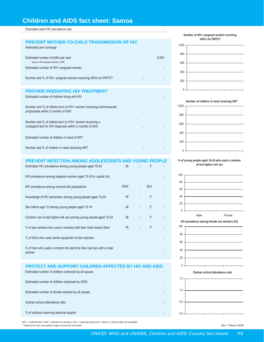#### Estimated adult HIV prevalence rate

### **PREVENT MOTHER-TO-CHILD TRANSMISSION OF HIV**

| Antenatal care coverage<br>-                                                             |     |  |
|------------------------------------------------------------------------------------------|-----|--|
|                                                                                          | 800 |  |
| Estimated number of births per year<br>5,000                                             |     |  |
| Source: UN Population Division, 2006                                                     | 600 |  |
| Estimated number of HIV+ pregnant women<br>-                                             | 400 |  |
|                                                                                          |     |  |
| Number and % of HIV+ pregnant women receiving ARVs for PMTCT<br>$\overline{\phantom{a}}$ | 200 |  |
|                                                                                          |     |  |

### **PROVIDE PAEDIATRIC HIV TREATMENT**

| Estimated number of children living with HIV                       |                               |  |
|--------------------------------------------------------------------|-------------------------------|--|
|                                                                    | Number of children in need re |  |
| Number and % of infants born to HIV+ women receiving cotrimoxazole | $^{\circ}.000$                |  |
| neanhulavia within 2 mantha af hirth                               |                               |  |

## **PREVENT INFECTION AMONG ADOLESCENTS AND YOUNG PEOPLE**

| Estimated HIV prevalence among young people aged 15-24           | M:   | F:   |     | at last liigilei -ilsk s       |
|------------------------------------------------------------------|------|------|-----|--------------------------------|
| HIV prevalence among pregnant women aged 15-24 in capital city   |      |      | 100 |                                |
|                                                                  | FSW: | IDU: | 80  |                                |
| HIV prevalence among most-at-risk populations                    |      |      | 60  |                                |
| Knowledge of HIV prevention among young people aged 15-24        | M:   | F:   | 40  |                                |
| Sex before age 15 among young people aged 15-19                  | M:   | F:   | 20  |                                |
|                                                                  |      |      | 0   | Male                           |
| Condom use at last higher-risk sex among young people aged 15-24 | M:   | F:   |     | HIV prevalence among female se |
| % of sex workers who used a condom with their most recent client | M:   | F:   | 100 |                                |
|                                                                  |      |      | 80  |                                |
| % of IDUs who used sterile equipment at last injection           |      |      | 60  |                                |
|                                                                  |      |      |     |                                |

% of men who used a condom the last time they had sex with a male partner

### **PROTECT AND SUPPORT CHILDREN AFFECTED BY HIV AND AIDS**

| Estimated number of children orphaned by all causes | $\overline{\phantom{0}}$ | Orphan school attenda |
|-----------------------------------------------------|--------------------------|-----------------------|
| Estimated number of children orphaned by AIDS       |                          | 1.5                   |
| Estimated number of double orphans by all causes    | -                        | 1.0                   |
| Orphan school attendance ratio                      |                          | 0.5                   |
| % of orphans receiving external support             |                          | 0.0                   |

 $*$  Represents the uncertainty range around the estimates *M/F = male/female; FSW = female sex workers; IDU = injecting drug users. Dash (-) means data not available.*

Rev. 7 March 2008

| <b>ARVs for PMTCT</b> |  |  |  |  |  |  |
|-----------------------|--|--|--|--|--|--|
| 1,000                 |  |  |  |  |  |  |
| 800                   |  |  |  |  |  |  |
|                       |  |  |  |  |  |  |
| 600                   |  |  |  |  |  |  |
|                       |  |  |  |  |  |  |

**Number of HIV+ pregnant women receiving** 

| Estimated number of children living with HIV                       |  |       |                                          |
|--------------------------------------------------------------------|--|-------|------------------------------------------|
|                                                                    |  |       | Number of children in need receiving ART |
| Number and % of infants born to HIV+ women receiving cotrimoxazole |  | 1,000 |                                          |
| prophylaxis within 2 months of birth                               |  |       |                                          |
|                                                                    |  | 800   |                                          |
| Number and % of infants born to HIV+ women receiving a             |  | 600   |                                          |
| virological test for HIV diagnosis within 2 months of birth        |  |       |                                          |
|                                                                    |  | 400   |                                          |
| Estimated number of children in need of ART                        |  |       |                                          |
|                                                                    |  | 200   |                                          |
| Number and % of children in need receiving ART                     |  |       |                                          |
|                                                                    |  |       |                                          |

**% of young people aged 15-24 who used a condom at last higher-risk sex**

| 100      |                                             |
|----------|---------------------------------------------|
| 80       |                                             |
| 60       |                                             |
| 40       |                                             |
| 20       |                                             |
| 0        |                                             |
|          | Male<br>Female                              |
|          | HIV prevalence among female sex workers (%) |
| 100      |                                             |
| 80       |                                             |
| 60       |                                             |
| 40       |                                             |
| 20       |                                             |
|          |                                             |
| $\Omega$ |                                             |
|          | Orphan school attendance ratio              |
| 1.5      |                                             |
|          |                                             |
| 1.0      |                                             |
| 0.5      |                                             |
|          |                                             |
| 0.0      | Ŧ<br>٦                                      |

-

0

-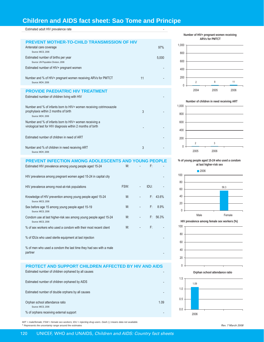## **Children and AIDS fact sheet: Sao Tome and Principe**

### Estimated adult HIV prevalence rate

Source: MOH, 2006

### **PREVENT MOTHER-TO-CHILD TRANSMISSION OF HIV**

| Antenatal care coverage                                            |    | 97%   | 1.UUU |                               |      |
|--------------------------------------------------------------------|----|-------|-------|-------------------------------|------|
| Source: MICS, 2006                                                 |    |       | 800   |                               |      |
| Estimated number of births per year                                |    | 5,000 |       |                               |      |
| Source: UN Population Division, 2006                               |    |       | 600   |                               |      |
| Estimated number of HIV+ pregnant women                            |    |       | 400   |                               |      |
|                                                                    |    |       |       |                               |      |
| Number and % of HIV+ pregnant women receiving ARVs for PMTCT       | 11 |       | 200   |                               |      |
| Source: MOH, 2006                                                  |    |       |       | $\mathfrak{D}$                | 8    |
|                                                                    |    |       |       |                               |      |
| <b>PROVIDE PAEDIATRIC HIV TREATMENT</b>                            |    |       |       | 2004                          | 2005 |
| Estimated number of children living with HIV                       |    |       |       |                               |      |
|                                                                    |    |       |       | Number of children in need re |      |
| Number and % of infants born to HIV+ women receiving cotrimoxazole |    |       | 1,000 |                               |      |
| prophylaxis within 2 months of birth                               | 3  |       |       |                               |      |
|                                                                    |    |       | 800   |                               |      |

Source: MOH, 2006 Number and % of infants born to HIV+ women receiving a Number and % of infants born to HIV+ women receiving a virological test for HIV diagnosis within 2 months of birth Estimated number of children in need of ART Number and % of children in need receiving ART - - 3 - -

#### **PREVENT INFECTION AMONG ADOLESCENTS AND YOUNG PEOPLE**

| Estimated HIV prevalence among young people aged 15-24                          | M:   |                          | F:   |          |     | at last liigilei -ilsk s       |
|---------------------------------------------------------------------------------|------|--------------------------|------|----------|-----|--------------------------------|
|                                                                                 |      |                          |      |          |     | ■2006                          |
| HIV prevalence among pregnant women aged 15-24 in capital city                  |      |                          |      |          | 100 |                                |
|                                                                                 |      |                          |      |          | 80  |                                |
| HIV prevalence among most-at-risk populations                                   | FSW: |                          | IDU: |          | 60  |                                |
|                                                                                 |      |                          |      |          | 40  |                                |
| Knowledge of HIV prevention among young people aged 15-24<br>Source: MICS, 2006 | M:   | $\overline{a}$           | F: I | 43.6%    | 20  |                                |
| Sex before age 15 among young people aged 15-19                                 | M:   | $\overline{\phantom{a}}$ | F:   | 8.9%     |     |                                |
| Source: MICS, 2006                                                              |      |                          |      |          | 0   |                                |
| Condom use at last higher-risk sex among young people aged 15-24                | M:   | $\overline{a}$           |      | F: 56.3% |     | Male                           |
| Source: MICS, 2006                                                              |      |                          |      |          |     | HIV prevalence among female se |
| % of sex workers who used a condom with their most recent client                | M:   |                          | F:   |          | 100 |                                |
|                                                                                 |      |                          |      |          | 80  |                                |
| % of IDUs who used sterile equipment at last injection                          |      |                          |      |          |     |                                |
|                                                                                 |      |                          |      |          | 60  |                                |
| % of men who used a condom the last time they had sex with a male               |      |                          |      |          | 40  |                                |
| partner                                                                         |      |                          |      |          |     |                                |

### **PROTECT AND SUPPORT CHILDREN AFFECTED BY HIV AND AIDS**

| Estimated number of children orphaned by all causes  | $\qquad \qquad \blacksquare$ |     |      | Orphan school attenda |
|------------------------------------------------------|------------------------------|-----|------|-----------------------|
| Estimated number of children orphaned by AIDS        |                              | 1.5 | 1.09 |                       |
| Estimated number of double orphans by all causes     | -                            | 1.0 |      |                       |
| Orphan school attendance ratio<br>Source: MICS, 2006 | 1.09                         | 0.5 |      |                       |
| % of orphans receiving external support              |                              | 0.0 | 2006 |                       |

 $*$  Represents the uncertainty range around the estimates *M/F = male/female; FSW = female sex workers; IDU = injecting drug users. Dash (-) means data not available.* **Number of HIV+ pregnant women receiving ARVs for PMTCT**

-





**% of young people aged 15-24 who used a condom at last higher-risk sex**



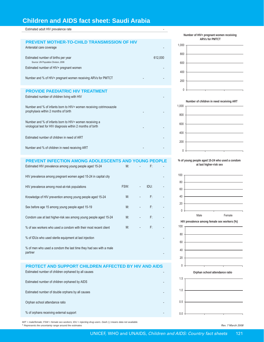## **Children and AIDS fact sheet: Saudi Arabia**

#### Estimated adult HIV prevalence rate

### **PREVENT MOTHER-TO-CHILD TRANSMISSION OF HIV**

| Antenatal care coverage                                                                  |     |  |
|------------------------------------------------------------------------------------------|-----|--|
|                                                                                          | 800 |  |
| Estimated number of births per year<br>612,000                                           |     |  |
| Source: UN Population Division, 2006                                                     | 600 |  |
| Estimated number of HIV+ pregnant women                                                  |     |  |
|                                                                                          | 400 |  |
| Number and % of HIV+ pregnant women receiving ARVs for PMTCT<br>$\overline{\phantom{a}}$ |     |  |
|                                                                                          | 200 |  |

### **PROVIDE PAEDIATRIC HIV TREATMENT**

| Estimated number of children living with HIV |                              |
|----------------------------------------------|------------------------------|
|                                              | Number of children in need r |

Number and % of infants born to HIV+ women receiving cotrimoxazole Number and % of infants born to HIV+ women receiving cotrimoxazole prophylaxis within 6 weeks of birth <sup>2007</sup> <sup>1090</sup> prophylaxis within 2 months of birth

Number and % of infants born to HIV+ women receiving a Number and % of infants born to HIV+ women receiving a virological test for HIV diagnosis within 2 months of birth Estimated number of children in need of ART

Number and % of children in need receiving ART

## **PREVENT INFECTION AMONG ADOLESCENTS AND YOUNG PEOPLE**

| Estimated HIV prevalence among young people aged 15-24           | M:   | F:   |     | at last liigilei -ilsk s       |
|------------------------------------------------------------------|------|------|-----|--------------------------------|
| HIV prevalence among pregnant women aged 15-24 in capital city   |      |      | 100 |                                |
| HIV prevalence among most-at-risk populations                    | FSW: | IDU: | 80  |                                |
|                                                                  |      |      | 60  |                                |
| Knowledge of HIV prevention among young people aged 15-24        | M:   | F:   | 40  |                                |
| Sex before age 15 among young people aged 15-19                  | M:   | F:   | 20  |                                |
|                                                                  |      |      | 0   |                                |
| Condom use at last higher-risk sex among young people aged 15-24 | M:   | F:   |     | Male                           |
|                                                                  |      |      |     | HIV prevalence among female se |
| % of sex workers who used a condom with their most recent client | M:   | F:   | 100 |                                |
| % of IDUs who used sterile equipment at last injection           |      |      | 80  |                                |
|                                                                  |      |      | 60  |                                |
|                                                                  |      |      |     |                                |

% of men who used a condom the last time they had sex with a male partner

## **PROTECT AND SUPPORT CHILDREN AFFECTED BY HIV AND AIDS**

| Estimated number of children orphaned by all causes | $\overline{\phantom{0}}$ | Orphan school attenda |
|-----------------------------------------------------|--------------------------|-----------------------|
| Estimated number of children orphaned by AIDS       | -                        | 1.5                   |
| Estimated number of double orphans by all causes    | -                        | 1.0                   |
| Orphan school attendance ratio                      | -                        | 0.5                   |
| % of orphans receiving external support             |                          | 0.0                   |

\* Represents the uncertainty range around the estimates *M/F = male/female; FSW = female sex workers; IDU = injecting drug users. Dash (-) means data not available.*

Rev. 7 March 2008

|       | Number of HIV+ pregnant women receiving<br><b>ARVs for PMTCT</b> |
|-------|------------------------------------------------------------------|
| 1,000 |                                                                  |
| 800   |                                                                  |
|       |                                                                  |
| 600   |                                                                  |
| 400   |                                                                  |
|       |                                                                  |
| 200   |                                                                  |
|       |                                                                  |

|       | Number of children in need receiving ART |
|-------|------------------------------------------|
| 1,000 |                                          |
| 800   |                                          |
| 600   |                                          |
| 400   |                                          |
| 200   |                                          |
|       |                                          |

**% of young people aged 15-24 who used a condom at last higher-risk sex**

| 100 |                                             |
|-----|---------------------------------------------|
| 80  |                                             |
| 60  |                                             |
| 40  |                                             |
| 20  |                                             |
| 0   |                                             |
|     | Male<br>Female                              |
|     | HIV prevalence among female sex workers (%) |
| 100 |                                             |
| 80  |                                             |
| 60  |                                             |
| 40  |                                             |
| 20  |                                             |
| 0   |                                             |
|     | Orphan school attendance ratio              |
| 1.5 |                                             |
|     |                                             |
| 1.0 |                                             |
| 0.5 |                                             |
|     |                                             |
| 0.0 | ٦                                           |

-

- -

- -

- -

-

-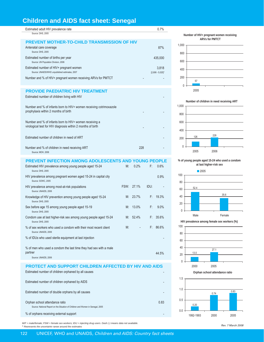## **Children and AIDS fact sheet: Senegal**

| Estimated adult HIV prevalence rate                                         | 0.7%                |       |                                                      |
|-----------------------------------------------------------------------------|---------------------|-------|------------------------------------------------------|
| Source: DHS, 2005                                                           |                     |       | Number of HIV+ pregnant wom<br><b>ARVs for PMTCT</b> |
| <b>PREVENT MOTHER-TO-CHILD TRANSMISSION OF HIV</b>                          |                     | 1.000 |                                                      |
| Antenatal care coverage                                                     | 87%                 |       |                                                      |
| Source: DHS, 2005                                                           |                     | 800   |                                                      |
| Estimated number of births per year<br>Source: UN Population Division, 2006 | 435,000             | 600   |                                                      |
| Estimated number of HIV+ pregnant women                                     | 3.818               | 400   |                                                      |
| Source: UNAIDS/WHO unpublished estimates, 2007                              | $[2,806 - 5,025]$ * |       |                                                      |
| Number and % of HIV+ pregnant women receiving ARVs for PMTCT                |                     | 200   | 57                                                   |
|                                                                             |                     |       |                                                      |

## **PROVIDE PAEDIATRIC HIV TREATMENT**

| Estimated number of children living with HIV |  |  |
|----------------------------------------------|--|--|
|----------------------------------------------|--|--|

Number and % of infants born to HIV+ women receiving cotrimoxazole Number and % of infants born to HIV+ women receiving cotrimoxazole prophylaxis within 6 weeks of birth <sup>2007</sup> <sup>1090</sup> prophylaxis within 2 months of birth Number and % of infants born to HIV+ women receiving a Number and % of infants born to HIV+ women receiving a virological test for HIV diagnosis within 2 months of birth Estimated number of children in need of ART Number and % of children in need receiving ART Source: MOH, 2006 - - - - - 228

#### **PREVENT INFECTION AMONG ADOLESCENTS AND YOUNG PEOPLE**

| Estimated HIV prevalence among young people aged 15-24                                   | M: | 0.2%       | F:   | 0.6%        |           |                                           | <b>deal indige-list sex</b> |     |
|------------------------------------------------------------------------------------------|----|------------|------|-------------|-----------|-------------------------------------------|-----------------------------|-----|
| Source: DHS, 2005                                                                        |    |            |      |             |           | ■2005                                     |                             |     |
| HIV prevalence among pregnant women aged 15-24 in capital city<br>Source: SOWC, 2005     |    |            |      | 0.9%        | 100<br>80 |                                           |                             |     |
| HIV prevalence among most-at-risk populations<br>Source: UNAIDS, 2006                    |    | FSW: 27.1% | IDU: |             | 60        | 52.4                                      |                             |     |
| Knowledge of HIV prevention among young people aged 15-24<br>Source: DHS, 2005           | M: | 23.7%      |      | F: 19.3%    | 40<br>20  |                                           |                             | 35  |
| Sex before age 15 among young people aged 15-19<br>Source: DHS. 2005                     | M: | 13.0%      | F:   | $9.0\%$     | 0         |                                           |                             |     |
| Condom use at last higher-risk sex among young people aged 15-24<br>Source: DHS. 2005    | M: | 52.4%      |      | $F: 35.6\%$ |           | Male<br>HIV prevalence among female sex w |                             | Fem |
| % of sex workers who used a condom with their most recent client<br>Source: UNAIDS, 2006 | M: |            |      | $F: 86.6\%$ | 100<br>80 |                                           |                             |     |
| % of IDUs who used sterile equipment at last injection                                   |    |            |      |             | 60        |                                           |                             |     |
| % of men who used a condom the last time they had sex with a male                        |    |            |      |             | 40        |                                           | 27.1                        |     |
| partner                                                                                  |    |            |      | 44.5%       | 20        | 13.0                                      |                             |     |
| Source: UNAIDS, 2006                                                                     |    |            |      |             |           |                                           |                             |     |

### **PROTECT AND SUPPORT CHILDREN AFFECTED BY HIV AND AIDS**

| Estimated number of children orphaned by all causes                                                               |      |            | Orphan school attenda |      |  |
|-------------------------------------------------------------------------------------------------------------------|------|------------|-----------------------|------|--|
| Estimated number of children orphaned by AIDS                                                                     |      | 1.5        |                       |      |  |
| Estimated number of double orphans by all causes                                                                  | -    | 1.0        |                       | 0.74 |  |
| Orphan school attendance ratio<br>Source: National Report on the Situation of Children and Women in Senegal, 2005 | 0.83 | 0.5<br>0.0 | 0.20                  |      |  |
| % of orphans receiving external support                                                                           |      |            | 1992-1993             | 2000 |  |

\* *Represents the uncertainty range around the estimates M/F = male/female; FSW = female sex workers; IDU = injecting drug users. Dash (-) means data not available.*





**% of young people aged 15-24 who used a condom at last higher-risk sex**





2000 2005

#### Rev. 7 March 2008

122 UNICEF, WHO and UNAIDS, Children and AIDS: Country fact sheets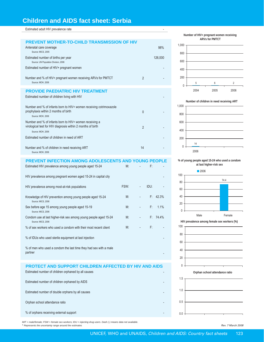### Estimated adult HIV prevalence rate

Source: MOH, 2006

partner

### **PREVENT MOTHER-TO-CHILD TRANSMISSION OF HIV**

|                                                                    |                |         | 1,000 |                               |      |
|--------------------------------------------------------------------|----------------|---------|-------|-------------------------------|------|
| Antenatal care coverage                                            |                | 98%     |       |                               |      |
| Source: MICS, 2005                                                 |                |         | 800   |                               |      |
| Estimated number of births per year                                |                | 126,000 | 600   |                               |      |
| Source: UN Population Division, 2006                               |                |         |       |                               |      |
| Estimated number of HIV+ pregnant women                            |                |         | 400   |                               |      |
|                                                                    |                |         |       |                               |      |
| Number and % of HIV+ pregnant women receiving ARVs for PMTCT       | $\mathfrak{p}$ |         | 200   |                               |      |
| Source: MOH, 2006                                                  |                |         |       |                               |      |
|                                                                    |                |         |       | 5                             | 6    |
|                                                                    |                |         |       |                               |      |
| <b>PROVIDE PAEDIATRIC HIV TREATMENT</b>                            |                |         |       | 2004                          | 2005 |
| Estimated number of children living with HIV                       |                |         |       |                               |      |
|                                                                    |                |         |       | Number of children in need re |      |
|                                                                    |                |         | 1,000 |                               |      |
| Number and % of infants born to HIV+ women receiving cotrimoxazole |                |         |       |                               |      |
| prophylaxis within 2 months of birth                               | $\mathbf{0}$   |         | 800   |                               |      |
|                                                                    |                |         |       |                               |      |

Source: MOH, 2006 Number and % of infants born to HIV+ women receiving a Number and % of infants born to HIV+ women receiving a virological test for HIV diagnosis within 2 months of birth Source: MOH, 2006 Estimated number of children in need of ART Number and % of children in need receiving ART 2 -  $14$ -

## **PREVENT INFECTION AMONG ADOLESCENTS AND YOUNG PEOPLE**

| Estimated HIV prevalence among young people aged 15-24                          | M:   |                          | F:   |          |                     | at last liigilei -ilsk s       |
|---------------------------------------------------------------------------------|------|--------------------------|------|----------|---------------------|--------------------------------|
|                                                                                 |      |                          |      |          |                     | ■2006                          |
| HIV prevalence among pregnant women aged 15-24 in capital city                  |      |                          |      |          | 100                 |                                |
|                                                                                 |      |                          |      |          | 80                  |                                |
| HIV prevalence among most-at-risk populations                                   | FSW: |                          | IDU: |          | 60                  |                                |
|                                                                                 |      |                          |      |          |                     |                                |
| Knowledge of HIV prevention among young people aged 15-24<br>Source: MICS, 2006 | M:   | $\overline{\phantom{0}}$ |      | F: 42.3% | 40<br>20            |                                |
| Sex before age 15 among young people aged 15-19                                 | M:   | $\overline{\phantom{0}}$ | F:   | 1.1%     |                     |                                |
| Source: MICS, 2006                                                              |      |                          |      |          | 0                   |                                |
| Condom use at last higher-risk sex among young people aged 15-24                | M:   | $\overline{\phantom{a}}$ |      | F: 74.4% |                     | Male                           |
| Source: MICS, 2006                                                              |      |                          |      |          |                     | HIV prevalence among female se |
| % of sex workers who used a condom with their most recent client                | M:   |                          | F:   |          | 100                 |                                |
|                                                                                 |      |                          |      |          | 80                  |                                |
| % of IDUs who used sterile equipment at last injection                          |      |                          |      |          |                     |                                |
|                                                                                 |      |                          |      |          | 60                  |                                |
| % of men who used a condom the last time they had sex with a male               |      |                          |      |          | $\Lambda$ $\Lambda$ |                                |

### **PROTECT AND SUPPORT CHILDREN AFFECTED BY HIV AND AIDS**

| Estimated number of children orphaned by all causes | -                        | Orphan school attenda |
|-----------------------------------------------------|--------------------------|-----------------------|
| Estimated number of children orphaned by AIDS       |                          | 1.5                   |
| Estimated number of double orphans by all causes    | -                        | 1.0                   |
| Orphan school attendance ratio                      |                          | 0.5                   |
| % of orphans receiving external support             | $\overline{\phantom{0}}$ | 0.0                   |

 $*$  Represents the uncertainty range around the estimates *M/F = male/female; FSW = female sex workers; IDU = injecting drug users. Dash (-) means data not available.*

Rev. 7 March 2008

**Number of HIV+ pregnant women receiving** 





**% of young people aged 15-24 who used a condom at last higher-risk sex**



-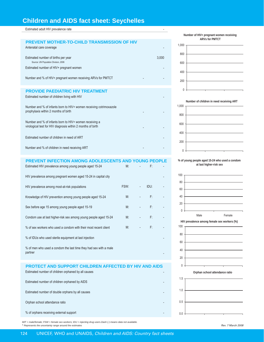## **Children and AIDS fact sheet: Seychelles**

### Estimated adult HIV prevalence rate

## **PREVENT MOTHER-TO-CHILD TRANSMISSION OF HIV**

| Antenatal care coverage                                                                  |     |  |
|------------------------------------------------------------------------------------------|-----|--|
|                                                                                          | 800 |  |
| Estimated number of births per year<br>3,000                                             |     |  |
| Source: UN Population Division, 2006                                                     | 600 |  |
| Estimated number of HIV+ pregnant women                                                  | 400 |  |
|                                                                                          |     |  |
| Number and % of HIV+ pregnant women receiving ARVs for PMTCT<br>$\overline{\phantom{a}}$ | 200 |  |
|                                                                                          |     |  |

## **PROVIDE PAEDIATRIC HIV TREATMENT**

| Estimated number of children living with HIV                       |       |                               |
|--------------------------------------------------------------------|-------|-------------------------------|
|                                                                    |       | Number of children in need re |
| Number and % of infants born to HIV+ women receiving cotrimoxazole | 1,000 |                               |
| prophylaxis within 2 months of birth                               |       |                               |
|                                                                    | 800   |                               |
| Number and % of infants born to HIV+ women receiving a             |       |                               |
| virological test for HIV diagnosis within 2 months of birth        | 600   |                               |
|                                                                    | 400   |                               |
| Estimated number of children in need of ART                        |       |                               |
|                                                                    | 200   |                               |
|                                                                    |       |                               |
| Number and % of children in need receiving ART                     |       |                               |

### **PREVENT INFECTION AMONG ADOLESCENTS AND YOUNG PEOPLE**

| Estimated HIV prevalence among young people aged 15-24            | M:   | F:   |                                           | at last liigilei -ilsk s       |  |
|-------------------------------------------------------------------|------|------|-------------------------------------------|--------------------------------|--|
| HIV prevalence among pregnant women aged 15-24 in capital city    |      |      | 100                                       |                                |  |
| HIV prevalence among most-at-risk populations                     | FSW: | IDU: | 80<br>60                                  |                                |  |
| Knowledge of HIV prevention among young people aged 15-24         | M:   | F:   | 40                                        |                                |  |
| Sex before age 15 among young people aged 15-19                   | M:   | F:   | 20                                        |                                |  |
| Condom use at last higher-risk sex among young people aged 15-24  | M:   | F:   | 0                                         | Male                           |  |
| % of sex workers who used a condom with their most recent client  | M:   | F:   | 100                                       | HIV prevalence among female se |  |
|                                                                   |      |      | 80                                        |                                |  |
| % of IDUs who used sterile equipment at last injection            |      |      | 60                                        |                                |  |
| % of men who used a condom the last time they had sex with a male |      |      | $\Lambda$ <sup><math>\Lambda</math></sup> |                                |  |

**PROTECT AND SUPPORT CHILDREN AFFECTED BY HIV AND AIDS**

partner

| Estimated number of children orphaned by all causes |   |     | Orphan school attenda |
|-----------------------------------------------------|---|-----|-----------------------|
| Estimated number of children orphaned by AIDS       | - | 1.5 |                       |
| Estimated number of double orphans by all causes    | - | 1.0 |                       |
| Orphan school attendance ratio                      |   | 0.5 |                       |
| % of orphans receiving external support             |   | 0.0 |                       |

 $*$  Represents the uncertainty range around the estimates *M/F = male/female; FSW = female sex workers; IDU = injecting drug users.Dash (-) means data not available.* **Number of HIV+ pregnant women receiving ARVs for PMTCT**

| 1,000 |  |
|-------|--|
| 800   |  |
| 600   |  |
| 400   |  |
| 200   |  |
|       |  |

|       | Number of children in need receiving ART |
|-------|------------------------------------------|
| 1,000 |                                          |
| 800   |                                          |
| 600   |                                          |
| 400   |                                          |
| 200   |                                          |
|       |                                          |

-

-

**% of young people aged 15-24 who used a condom at last higher-risk sex**

| 100      |                                             |
|----------|---------------------------------------------|
| 80       |                                             |
| 60       |                                             |
| 40       |                                             |
| 20       |                                             |
| 0        |                                             |
|          | Male<br>Female                              |
|          | HIV prevalence among female sex workers (%) |
| 100      |                                             |
| 80       |                                             |
| 60       |                                             |
| 40       |                                             |
| 20       |                                             |
| $\Omega$ | Ŧ                                           |
|          | Orphan school attendance ratio              |
| 1.5      |                                             |
|          |                                             |
| 1.0      |                                             |
| 0.5      |                                             |
|          |                                             |
| 0.0      |                                             |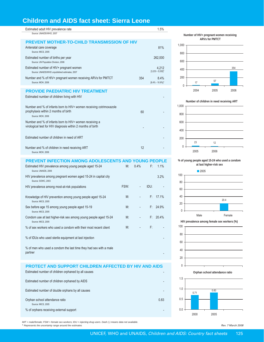## **Children and AIDS fact sheet: Sierra Leone**

| Estimated adult HIV prevalence rate                                                       |                  | 1.5%                         |       |                                    |                         |
|-------------------------------------------------------------------------------------------|------------------|------------------------------|-------|------------------------------------|-------------------------|
| Source: UNAIDS/WHO, 2007                                                                  |                  |                              |       | Number of HIV+ pregnant wome       |                         |
| <b>PREVENT MOTHER-TO-CHILD TRANSMISSION OF HIV</b>                                        |                  |                              | 1,000 |                                    | <b>ARVs for PMTCT</b>   |
| Antenatal care coverage<br>Source: MICS, 2005                                             |                  | 81%                          | 800   |                                    |                         |
| Estimated number of births per year<br>Source: UN Population Division, 2006               |                  | 262,000                      | 600   |                                    |                         |
| Estimated number of HIV+ pregnant women<br>Source: UNAIDS/WHO unpublished estimates, 2007 |                  | 4.212<br>$[3,233 - 5,535]$ * | 400   |                                    |                         |
| Number and % of HIV+ pregnant women receiving ARVs for PMTCT                              | 354              | 8.4%                         | 200   |                                    | 57                      |
| Source: MOH, 2006                                                                         |                  | $[6.4\% - 10.9\%]$ *         | 0     | 17                                 |                         |
| <b>PROVIDE PAEDIATRIC HIV TREATMENT</b>                                                   |                  |                              |       | 2004                               | 2005                    |
| Estimated number of children living with HIV                                              |                  |                              |       | Number of children in need re      |                         |
| Number and % of infants born to HIV+ women receiving cotrimoxazole                        |                  |                              | 1,000 |                                    |                         |
| prophylaxis within 2 months of birth<br>Source: MOH. 2006                                 | 60               |                              | 800   |                                    |                         |
| Number and % of infants born to HIV+ women receiving a                                    |                  |                              | 600   |                                    |                         |
| virological test for HIV diagnosis within 2 months of birth                               |                  |                              | 400   |                                    |                         |
| Estimated number of children in need of ART                                               |                  |                              | 200   |                                    |                         |
|                                                                                           |                  |                              | Λ     | 23                                 | 12                      |
| Number and % of children in need receiving ART<br>Source: MOH. 2006                       | 12               |                              |       | 2005                               | 2006                    |
| <b>PREVENT INFECTION AMONG ADOLESCENTS AND YOUNG PEOPLE</b>                               |                  |                              |       | % of young people aged 15-24 who u |                         |
| Estimated HIV prevalence among voung neonle aged 15-24                                    | $M \cdot \theta$ | $F - 11\%$                   |       |                                    | at last higher-risk sex |

| ESIMulated Fire prevailence among young people aged 15-24<br>Source: UNAIDS, 2006      | IVI. | U.470                    |      | 1.1/0       |     | ■2005                                     |    |
|----------------------------------------------------------------------------------------|------|--------------------------|------|-------------|-----|-------------------------------------------|----|
| HIV prevalence among pregnant women aged 15-24 in capital city                         |      |                          |      | 3.2%        | 100 |                                           |    |
| Source: SOWC, 2003                                                                     |      |                          |      |             | 80  |                                           |    |
| HIV prevalence among most-at-risk populations                                          | FSW: | $\overline{\phantom{0}}$ | IDU: |             | 60  |                                           |    |
| Knowledge of HIV prevention among young people aged 15-24                              | M:   | $\overline{\phantom{0}}$ |      | $F: 17.1\%$ | 40  |                                           |    |
| Source: MICS, 2005                                                                     |      |                          |      |             | 20  |                                           | 20 |
| Sex before age 15 among young people aged 15-19<br>Source: MICS, 2005                  | M:   | $\overline{\phantom{a}}$ |      | F: 24.9%    | 0   |                                           |    |
| Condom use at last higher-risk sex among young people aged 15-24<br>Source: MICS, 2005 | M:   | $\overline{a}$           |      | $F: 20.4\%$ |     | Male<br>HIV prevalence among female sex w |    |
| % of sex workers who used a condom with their most recent client                       | M:   |                          | F:   |             | 100 |                                           |    |
|                                                                                        |      |                          |      |             | 80  |                                           |    |
| % of IDUs who used sterile equipment at last injection                                 |      |                          |      |             | 60  |                                           |    |
| % of men who used a condom the last time they had sex with a male                      |      |                          |      |             |     |                                           |    |
| partner                                                                                |      |                          |      |             | 40  |                                           |    |

### **PROTECT AND SUPPORT CHILDREN AFFECTED BY HIV AND AIDS**

| Estimated number of children orphaned by all causes  | $\overline{\phantom{0}}$ |      |      | Orphan school attenda |
|------------------------------------------------------|--------------------------|------|------|-----------------------|
| Estimated number of children orphaned by AIDS        | $\overline{\phantom{0}}$ | 5. ا |      |                       |
| Estimated number of double orphans by all causes     | -                        | 1.0  | 0.71 | 0.83                  |
| Orphan school attendance ratio<br>Source: MICS, 2005 | 0.83                     | 0.5  |      |                       |
| % of orphans receiving external support              |                          | 0.0  | 0000 | 000 <sup>F</sup>      |

*M/F = male/female; FSW = female sex workers; IDU = injecting drug users. Dash (-) means data not available.*

\* *Represents the uncertainty range around the estimates*

**Number of HIV+ pregnant women receiving ARVs for PMTCT**





**% of young people aged 15-24 who used a condom at last higher-risk sex**





Rev. 7 March 2008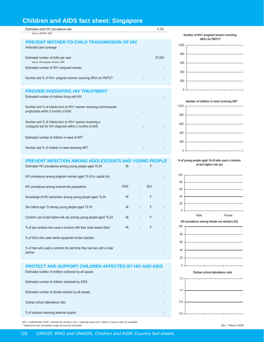## **Children and AIDS fact sheet: Singapore**

| Estimated adult HIV prevalence rate                                                     |      |                     | 0.3%   |              |                                                                  |
|-----------------------------------------------------------------------------------------|------|---------------------|--------|--------------|------------------------------------------------------------------|
| Source: UNAIDS, 2006                                                                    |      |                     |        |              | Number of HIV+ pregnant women receiving<br><b>ARVs for PMTCT</b> |
| <b>PREVENT MOTHER-TO-CHILD TRANSMISSION OF HIV</b>                                      |      |                     |        | 1,000        |                                                                  |
| Antenatal care coverage                                                                 |      |                     |        |              |                                                                  |
| Estimated number of births per year                                                     |      |                     | 37,000 | 800          |                                                                  |
| Source: UN Population Division, 2006                                                    |      |                     |        | 600          |                                                                  |
| Estimated number of HIV+ pregnant women                                                 |      |                     |        |              |                                                                  |
|                                                                                         |      |                     |        | 400          |                                                                  |
| Number and % of HIV+ pregnant women receiving ARVs for PMTCT                            |      |                     |        | 200          |                                                                  |
|                                                                                         |      |                     |        | 0            |                                                                  |
| <b>PROVIDE PAEDIATRIC HIV TREATMENT</b><br>Estimated number of children living with HIV |      |                     |        |              |                                                                  |
|                                                                                         |      |                     |        |              | Number of children in need receiving ART                         |
| Number and % of infants born to HIV+ women receiving cotrimoxazole                      |      |                     |        | 1,000        |                                                                  |
| prophylaxis within 2 months of birth                                                    |      |                     |        | 800          |                                                                  |
| Number and % of infants born to HIV+ women receiving a                                  |      |                     |        |              |                                                                  |
| virological test for HIV diagnosis within 2 months of birth                             |      |                     |        | 600          |                                                                  |
|                                                                                         |      |                     |        | 400          |                                                                  |
| Estimated number of children in need of ART                                             |      |                     |        | 200          |                                                                  |
| Number and % of children in need receiving ART                                          |      |                     |        |              |                                                                  |
|                                                                                         |      |                     |        | $\mathbf{0}$ |                                                                  |
| PREVENT INFECTION AMONG ADOLESCENTS AND                                                 |      | <b>YOUNG PEOPLE</b> |        |              | % of young people aged 15-24 who used a condom                   |
| Estimated HIV prevalence among young people aged 15-24                                  | M:   | F:                  |        |              | at last higher-risk sex                                          |
|                                                                                         |      |                     |        |              |                                                                  |
| HIV prevalence among pregnant women aged 15-24 in capital city                          |      |                     |        | 100          |                                                                  |
| HIV prevalence among most-at-risk populations                                           | FSW: | IDU:                |        | 80           |                                                                  |
|                                                                                         |      |                     |        | 60           |                                                                  |
| Knowledge of HIV prevention among young people aged 15-24                               | M:   | F:                  |        | 40           |                                                                  |
| Sex before age 15 among young people aged 15-19                                         | M:   | F:                  |        | 20           |                                                                  |
|                                                                                         |      |                     |        | 0            |                                                                  |
| Condom use at last higher-risk sex among young people aged 15-24                        | M:   | F:                  |        |              | Male<br>Female                                                   |
|                                                                                         |      |                     |        | 100          | HIV prevalence among female sex workers (%)                      |
| % of sex workers who used a condom with their most recent client                        | M:   | F:                  |        |              |                                                                  |
| % of IDUs who used sterile equipment at last injection                                  |      |                     |        | 80           |                                                                  |
|                                                                                         |      |                     |        | 60           |                                                                  |
| % of men who used a condom the last time they had sex with a male<br>partner            |      |                     |        | 40           |                                                                  |
|                                                                                         |      |                     |        | 20           |                                                                  |
| PROTECT AND SUPPORT CHILDREN AFFECTED BY HIV AND AIDS                                   |      |                     |        | 0            |                                                                  |
| Estimated number of children orphaned by all causes                                     |      |                     |        |              | Orphan school attendance ratio                                   |
|                                                                                         |      |                     |        | 1.5          |                                                                  |
| Estimated number of children orphaned by AIDS                                           |      |                     |        |              |                                                                  |
|                                                                                         |      |                     |        | 1.0          |                                                                  |
| Estimated number of double orphans by all causes                                        |      |                     |        |              |                                                                  |
| Orphan school attendance ratio                                                          |      |                     |        | 0.5          |                                                                  |
|                                                                                         |      |                     |        |              |                                                                  |
| % of orphans receiving external support                                                 |      |                     |        | 0.0          |                                                                  |
|                                                                                         |      |                     |        |              |                                                                  |

\* *Represents the uncertainty range around the estimates M/F = male/female; FSW = female sex workers; IDU = injecting drug users. Dash (-) means data not available.* h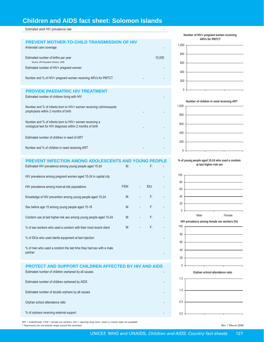## **Children and AIDS fact sheet: Solomon Islands**

#### Estimated adult HIV prevalence rate

## **PREVENT MOTHER-TO-CHILD TRANSMISSION OF HIV**

| Antenatal care coverage                                           |     |  |
|-------------------------------------------------------------------|-----|--|
|                                                                   | 800 |  |
| Estimated number of births per year<br>15,000                     |     |  |
| Source: UN Population Division, 2006                              | 600 |  |
| Estimated number of HIV+ pregnant women                           | 400 |  |
|                                                                   |     |  |
| Number and % of HIV+ pregnant women receiving ARVs for PMTCT<br>- | 200 |  |
|                                                                   |     |  |

### **PROVIDE PAEDIATRIC HIV TREATMENT**

| Estimated number of children living with HIV                       |                              |
|--------------------------------------------------------------------|------------------------------|
|                                                                    | Number of children in need r |
| Number and % of infants born to HIV+ women receiving cotrimoxazole | .000                         |

prophylaxis within 6 weeks of birth <sup>2007</sup> <sup>1090</sup> prophylaxis within 2 months of birth

Number and % of infants born to HIV+ women receiving a Number and % of infants born to HIV+ women receiving a virological test for HIV diagnosis within 2 months of birth Estimated number of children in need of ART

Number and % of children in need receiving ART

partner

## **PREVENT INFECTION AMONG ADOLESCENTS AND YOUNG PEOPLE**

| Estimated HIV prevalence among young people aged 15-24            | M:   | F:   |                                                 | at last higher-risk s                  |
|-------------------------------------------------------------------|------|------|-------------------------------------------------|----------------------------------------|
| HIV prevalence among pregnant women aged 15-24 in capital city    |      |      | 100                                             |                                        |
| HIV prevalence among most-at-risk populations                     | FSW: | IDU: | 80<br>60                                        |                                        |
| Knowledge of HIV prevention among young people aged 15-24         | M:   | F:   | 40                                              |                                        |
| Sex before age 15 among young people aged 15-19                   | M:   | F:   | 20<br>0                                         |                                        |
| Condom use at last higher-risk sex among young people aged 15-24  | M:   | F:   |                                                 | Male<br>HIV prevalence among female se |
| % of sex workers who used a condom with their most recent client  | M:   | F:   | 100                                             |                                        |
| % of IDUs who used sterile equipment at last injection            |      |      | 80                                              |                                        |
| % of men who used a condom the last time they had sex with a male |      |      | 60<br>$\Lambda$ <sup><math>\Lambda</math></sup> |                                        |

### **PROTECT AND SUPPORT CHILDREN AFFECTED BY HIV AND AIDS**

| Estimated number of children orphaned by all causes |   | Orphan school attenda |
|-----------------------------------------------------|---|-----------------------|
| Estimated number of children orphaned by AIDS       | - | 1.5                   |
| Estimated number of double orphans by all causes    | - | 1.0                   |
| Orphan school attendance ratio                      | - | 0.5                   |
| % of orphans receiving external support             |   | 0.0                   |

 $*$  Represents the uncertainty range around the estimates *M/F = male/female; FSW = female sex workers; IDU = injecting drug users. Dash (-) means data not available.*

Rev. 7 March 2008

| % of young people aged 15-24 who used a condom |  |
|------------------------------------------------|--|
| at last higher-risk sex                        |  |

|       | <b>ARVs for PMTCT</b> |
|-------|-----------------------|
| 1,000 |                       |
| 800   |                       |
| 600   |                       |
| 400   |                       |
| 200   |                       |
| U     |                       |

**Number of HIV+ pregnant women receiving** 

|       | Number of children in need receiving ART |
|-------|------------------------------------------|
| 1,000 |                                          |
| 800   |                                          |
| 600   |                                          |
|       |                                          |
| 400   |                                          |
| 200   |                                          |
|       |                                          |

- -

- -

- -

-

-

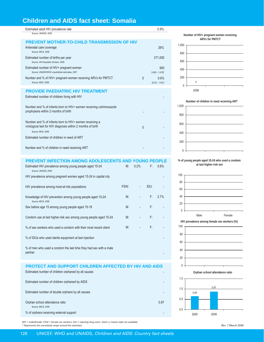## **Children and AIDS fact sheet: Somalia**

| Estimated adult HIV prevalence rate                                                                        |      |              |      | 0.9%                        |       |                                                                |
|------------------------------------------------------------------------------------------------------------|------|--------------|------|-----------------------------|-------|----------------------------------------------------------------|
| Source: UNAIDS, 2006                                                                                       |      |              |      |                             |       | Number of HIV+ pregnant women                                  |
| <b>PREVENT MOTHER-TO-CHILD TRANSMISSION OF HIV</b>                                                         |      |              |      |                             |       | <b>ARVs for PMTCT</b>                                          |
| Antenatal care coverage                                                                                    |      |              |      | 26%                         | 1,000 |                                                                |
| Source: MICS, 2006                                                                                         |      |              |      |                             | 800   |                                                                |
| Estimated number of births per year                                                                        |      |              |      | 371,000                     |       |                                                                |
| Source: UN Population Division, 2006                                                                       |      |              |      |                             | 600   |                                                                |
| Estimated number of HIV+ pregnant women                                                                    |      |              |      | 900                         | 400   |                                                                |
| Source: UNAIDS/WHO unpublished estimates, 2007                                                             |      |              |      | $[<500 - 1,915]$ *          | 200   |                                                                |
| Number and % of HIV+ pregnant women receiving ARVs for PMTCT<br>Source: MOH. 2006                          |      | 5            |      | 0.6%<br>$[0.3\% - 1.0\%]$ * |       | 5                                                              |
|                                                                                                            |      |              |      |                             | 0     |                                                                |
| <b>PROVIDE PAEDIATRIC HIV TREATMENT</b>                                                                    |      |              |      |                             |       | 2006                                                           |
| Estimated number of children living with HIV                                                               |      |              |      |                             |       |                                                                |
|                                                                                                            |      |              |      |                             | 1,000 | Number of children in need rece                                |
| Number and % of infants born to HIV+ women receiving cotrimoxazole<br>prophylaxis within 2 months of birth |      |              |      |                             |       |                                                                |
|                                                                                                            |      |              |      |                             | 800   |                                                                |
| Number and % of infants born to HIV+ women receiving a                                                     |      |              |      |                             |       |                                                                |
| virological test for HIV diagnosis within 2 months of birth                                                |      | $\mathbf{0}$ |      |                             | 600   |                                                                |
| Source: MOH, 2006                                                                                          |      |              |      |                             | 400   |                                                                |
| Estimated number of children in need of ART                                                                |      |              |      |                             |       |                                                                |
|                                                                                                            |      |              |      |                             | 200   |                                                                |
| Number and % of children in need receiving ART                                                             |      |              |      |                             | 0     |                                                                |
|                                                                                                            |      |              |      |                             |       |                                                                |
| PREVENT INFECTION AMONG ADOLESCENTS AND YOUNG PEOPLE                                                       |      |              |      |                             |       | % of young people aged 15-24 who us<br>at last higher-risk sex |
| Estimated HIV prevalence among young people aged 15-24                                                     | M:   | 0.2%         | F:   | 0.6%                        |       |                                                                |
| Source: UNAIDS, 2006                                                                                       |      |              |      |                             | 100   |                                                                |
| HIV prevalence among pregnant women aged 15-24 in capital city                                             |      |              |      |                             | 80    |                                                                |
| HIV prevalence among most-at-risk populations                                                              | FSW: |              | IDU: |                             |       |                                                                |
|                                                                                                            |      |              |      |                             | 60    |                                                                |
| Knowledge of HIV prevention among young people aged 15-24                                                  | M:   |              | F:   | 3.7%                        | 40    |                                                                |
| Source: MICS, 2006                                                                                         |      |              |      |                             | 20    |                                                                |
| Sex before age 15 among young people aged 15-19                                                            | M:   |              | F:   |                             | 0     |                                                                |
|                                                                                                            |      |              |      |                             |       | Male                                                           |
| Condom use at last higher-risk sex among young people aged 15-24                                           | M:   |              | F:   |                             |       | HIV prevalence among female sex w                              |
| % of sex workers who used a condom with their most recent client                                           | M:   |              | F:   |                             | 100   |                                                                |
|                                                                                                            |      |              |      |                             | 80    |                                                                |
| % of IDUs who used sterile equipment at last injection                                                     |      |              |      |                             |       |                                                                |
|                                                                                                            |      |              |      |                             | 60    |                                                                |
| % of men who used a condom the last time they had sex with a male                                          |      |              |      |                             | 40    |                                                                |
| partner                                                                                                    |      |              |      |                             |       |                                                                |
|                                                                                                            |      |              |      |                             | 20    |                                                                |
| <b>PROTECT AND SUPPORT CHILDREN AFFECTED BY HIV AND AIDS</b>                                               |      |              |      |                             | 0     |                                                                |
| Estimated number of children orphaned by all causes                                                        |      |              |      |                             |       | Orphan school attendanc                                        |
|                                                                                                            |      |              |      |                             | 1.5   |                                                                |
| Estimated number of children orphaned by AIDS                                                              |      |              |      |                             |       |                                                                |

200 400 600 800 1,000 **Number of HIV+ pregnant women receiving ARVs for PMTCT**



**% of young people aged 15-24 who used a condom at last higher-risk sex**



|                                                  |      | d. I |      |      |
|--------------------------------------------------|------|------|------|------|
| Estimated number of children orphaned by AIDS    | -    |      |      |      |
|                                                  |      | 1.0  |      | 0.87 |
| Estimated number of double orphans by all causes | -    |      | 0.65 |      |
|                                                  |      | 0.5  |      |      |
| Orphan school attendance ratio                   | 0.87 |      |      |      |
| Source: MICS, 2006                               |      | 0.0  |      |      |
| % of orphans receiving external support          | -    |      | 2000 | 2006 |

\* *Represents the uncertainty range around the estimates M/F = male/female; FSW = female sex workers; IDU = injecting drug users. Dash (-) means data not available.*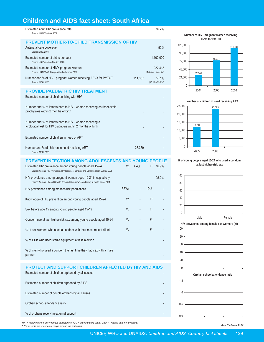## **Children and AIDS fact sheet: South Africa**

| Estimated adult HIV prevalence rate | 16.2% |
|-------------------------------------|-------|
| Source: UNAIDS/WHO, 2007            |       |

| <b>PREVENT MOTHER-TO-CHILD TRANSMISSION OF HIV</b>                                        |                                      | 120,000 |           |        |  |
|-------------------------------------------------------------------------------------------|--------------------------------------|---------|-----------|--------|--|
| Antenatal care coverage                                                                   | 92%                                  |         |           |        |  |
| Source: DHS, 2003                                                                         |                                      | 96.000  |           |        |  |
| Estimated number of births per year                                                       | 1,102,000                            | 72.000  |           | 75,077 |  |
| Source: UN Population Division, 2006                                                      |                                      |         |           |        |  |
| Estimated number of HIV+ pregnant women<br>Source: UNAIDS/WHO unpublished estimates, 2007 | 222.415<br>$[186, 658 - 258, 165]$ * | 48.000  | 32,541    |        |  |
| Number and % of HIV+ pregnant women receiving ARVs for PMTCT<br>Source: MOH, 2006         | 50.1%<br>111.357<br>[43.1% - 59.7%]* | 24.000  |           |        |  |
|                                                                                           |                                      |         | $- - - -$ |        |  |

### **PROVIDE PAEDIATRIC HIV TREATMENT**

Estimated number of children living with HIV

Source: MOH, 2006

Number and % of infants born to HIV+ women receiving cotrimoxazole Number and % of infants born to HIV+ women receiving cotrimoxazole prophylaxis within 6 weeks of birth <sup>2007</sup> <sup>1090</sup> prophylaxis within 2 months of birth

| Number and % of infants born to HIV+ women receiving a<br>virological test for HIV diagnosis within 2 months of birth |        |  |
|-----------------------------------------------------------------------------------------------------------------------|--------|--|
| Estimated number of children in need of ART                                                                           |        |  |
| Number and % of children in need receiving ART                                                                        | 23.369 |  |

#### **PREVENT INFECTION AMONG ADOLESCENTS AND YOUNG PEOPLE**

| Estimated HIV prevalence among young people aged 15-24<br>Source: National HIV Prevalence, HIV Incidence, Behavior and Communication Survey, 2005 | M:   | 4.4% | F:   | 16.9% |     | at last liigilei -ilsk s       |
|---------------------------------------------------------------------------------------------------------------------------------------------------|------|------|------|-------|-----|--------------------------------|
| HIV prevalence among pregnant women aged 15-24 in capital city                                                                                    |      |      |      | 25.2% | 100 |                                |
| Source: National HIV and Syphilis Antenatal Sero-prevalence Survey in South Africa, 2004                                                          |      |      |      |       | 80  |                                |
| HIV prevalence among most-at-risk populations                                                                                                     | FSW: |      | IDU: |       | 60  |                                |
| Knowledge of HIV prevention among young people aged 15-24                                                                                         | M:   |      | F:   |       | 40  |                                |
|                                                                                                                                                   | M:   |      | F:   |       | 20  |                                |
| Sex before age 15 among young people aged 15-19                                                                                                   |      |      |      |       | 0   |                                |
| Condom use at last higher-risk sex among young people aged 15-24                                                                                  | M:   |      | F:   |       |     | Male                           |
|                                                                                                                                                   |      |      |      |       |     | HIV prevalence among female se |
| % of sex workers who used a condom with their most recent client                                                                                  | M:   |      | F:   |       | 100 |                                |
| % of IDUs who used sterile equipment at last injection                                                                                            |      |      |      |       | 80  |                                |
|                                                                                                                                                   |      |      |      |       | 60  |                                |
| % of men who used a condom the last time they had sex with a male<br>partner                                                                      |      |      |      |       | 40  |                                |
|                                                                                                                                                   |      |      |      |       |     |                                |

#### **PROTECT AND SUPPORT CHILDREN AFFECTED BY HIV AND AIDS**

| Estimated number of children orphaned by all causes | $\overline{\phantom{0}}$ |                | Orphan school attenda |
|-----------------------------------------------------|--------------------------|----------------|-----------------------|
| Estimated number of children orphaned by AIDS       | -                        | 1.5            |                       |
| Estimated number of double orphans by all causes    |                          | 1.0            |                       |
| Orphan school attendance ratio                      |                          | 0.5            |                       |
| % of orphans receiving external support             | -                        | 0 <sub>0</sub> |                       |

#### \* *Represents the uncertainty range around the estimates M/F = male/female; FSW = female sex workers; IDU = injecting drug users. Dash (-) means data not available.*

Rev. 7 March 2008







**% of young people aged 15-24 who used a condom at last higher-risk sex**



- -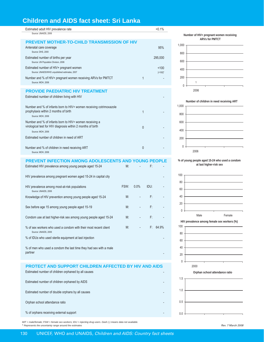## **Children and AIDS fact sheet: Sri Lanka**

| Estimated adult HIV prevalence rate                                                                        |              | < 0.1%               |       |                                                       |
|------------------------------------------------------------------------------------------------------------|--------------|----------------------|-------|-------------------------------------------------------|
| Source: UNAIDS, 2006                                                                                       |              |                      |       | Number of HIV+ pregnant wome<br><b>ARVs for PMTCT</b> |
| <b>PREVENT MOTHER-TO-CHILD TRANSMISSION OF HIV</b>                                                         |              |                      | 1,000 |                                                       |
| Antenatal care coverage<br>Source: DHS, 2000                                                               |              | 95%                  |       |                                                       |
| Estimated number of births per year                                                                        |              | 295,000              | 800   |                                                       |
| Source: UN Population Division, 2006                                                                       |              |                      | 600   |                                                       |
| Estimated number of HIV+ pregnant women<br>Source: UNAIDS/WHO unpublished estimates, 2007                  |              | < 100<br>$[< 100]$ * | 400   |                                                       |
| Number and % of HIV+ pregnant women receiving ARVs for PMTCT                                               |              | 1                    | 200   |                                                       |
| Source: MOH, 2006                                                                                          |              |                      | 0     | 1                                                     |
| <b>PROVIDE PAEDIATRIC HIV TREATMENT</b>                                                                    |              |                      |       | 2006                                                  |
| Estimated number of children living with HIV                                                               |              |                      |       |                                                       |
|                                                                                                            |              |                      | 1,000 | Number of children in need re                         |
| Number and % of infants born to HIV+ women receiving cotrimoxazole<br>prophylaxis within 2 months of birth |              | 1                    |       |                                                       |
| Source: MOH, 2006                                                                                          |              |                      | 800   |                                                       |
| Number and % of infants born to HIV+ women receiving a                                                     |              |                      | 600   |                                                       |
| virological test for HIV diagnosis within 2 months of birth<br>Source: MOH, 2006                           | $\mathbf{0}$ |                      | 400   |                                                       |
| Estimated number of children in need of ART                                                                |              |                      | 200   |                                                       |
|                                                                                                            |              |                      |       |                                                       |
| Number and % of children in need receiving ART<br>Source: MOH, 2006                                        | $\mathbf{0}$ |                      | 0     | 2006                                                  |
| PREVENT INFECTION AMONG ADOLESCENTS AND YOUNG PEOPLE                                                       |              |                      |       | % of young people aged 15-24 who u                    |
| Estimated HIV prevalence among young people aged 15-24                                                     | M:           | F:                   |       | at last higher-risk sex                               |
|                                                                                                            |              |                      |       |                                                       |
| HIV prevalence among pregnant women aged 15-24 in capital city                                             |              |                      | 100   |                                                       |
| HIV prevalence among most-at-risk populations                                                              | FSW:<br>0.0% | IDU:                 | 80    |                                                       |
| Source: UNAIDS, 2006                                                                                       |              |                      | 60    |                                                       |
| Knowledge of HIV prevention among young people aged 15-24                                                  | M:           | F:                   | 40    |                                                       |
| Sex before age 15 among young people aged 15-19                                                            | M:           | F:                   | 20    |                                                       |
|                                                                                                            |              |                      | 0     |                                                       |
| Condom use at last higher-risk sex among young people aged 15-24                                           | M:           | F:                   |       | Male                                                  |
|                                                                                                            |              |                      | 100   | HIV prevalence among female sex                       |
| % of sex workers who used a condom with their most recent client<br>Source: UNAIDS, 2006                   | M:           | F:<br>64.9%          | 80    |                                                       |
| % of IDUs who used sterile equipment at last injection                                                     |              |                      | 60    |                                                       |
|                                                                                                            |              |                      |       |                                                       |
| % of men who used a condom the last time they had sex with a male<br>partner                               |              |                      | 40    |                                                       |
|                                                                                                            |              |                      | 20    |                                                       |
| <b>PROTECT AND SUPPORT CHILDREN AFFECTED BY HIV AND AIDS</b>                                               |              |                      | 0     | 2000                                                  |
| Estimated number of children orphaned by all causes                                                        |              |                      |       | Orphan school attendan                                |
|                                                                                                            |              |                      | 1.5   |                                                       |
| Estimated number of children orphaned by AIDS                                                              |              |                      |       |                                                       |
| Estimated number of double orphans by all causes                                                           |              |                      | 1.0   |                                                       |
|                                                                                                            |              |                      |       |                                                       |
| Orphan school attendance ratio                                                                             |              |                      | 0.5   |                                                       |
| % of orphans receiving external support                                                                    |              |                      | 0.0   |                                                       |
|                                                                                                            |              |                      |       |                                                       |
|                                                                                                            |              |                      |       |                                                       |

\* *Represents the uncertainty range around the estimates M/F = male/female; FSW = female sex workers; IDU = injecting drug users. Dash (-) means data not available.* **Number of HIV+ pregnant women receiving ARVs for PMTCT**



|      | Number of children in need receiving ART |
|------|------------------------------------------|
| 000, |                                          |
| 800  |                                          |
| 600  |                                          |
| 400  |                                          |
| 200  |                                          |
| Λ    |                                          |
|      | 2006                                     |

**% of young people aged 15-24 who used a condom at last higher-risk sex**

| 100          |                                             |        |
|--------------|---------------------------------------------|--------|
| 80           |                                             |        |
| 60           |                                             |        |
| 40           |                                             |        |
| 20           |                                             |        |
| 0            |                                             |        |
|              | Male                                        | Female |
|              | HIV prevalence among female sex workers (%) |        |
| 100          |                                             |        |
| 80           |                                             |        |
| 60           |                                             |        |
| 40           |                                             |        |
| 20           | ï                                           |        |
| $\mathbf{0}$ | T                                           | ī<br>т |
|              | 2000                                        |        |
|              | Orphan school attendance ratio              |        |
| 1.5          |                                             |        |
|              |                                             |        |
| 1.0          |                                             |        |
| 0.5          |                                             |        |
|              |                                             |        |
| 0.0          |                                             |        |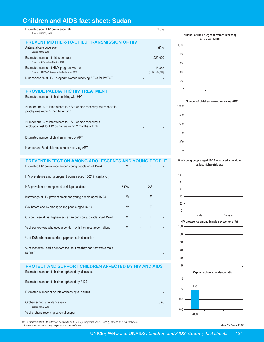## **Children and AIDS fact sheet: Sudan**

| Estimated adult HIV prevalence rate                                                                                 |      |      | 1.6%                  |              |                                                               |
|---------------------------------------------------------------------------------------------------------------------|------|------|-----------------------|--------------|---------------------------------------------------------------|
| Source: UNAIDS, 2006                                                                                                |      |      |                       |              | Number of HIV+ pregnant wome                                  |
| PREVENT MOTHER-TO-CHILD TRANSMISSION OF HIV                                                                         |      |      |                       | 1,000        | <b>ARVs for PMTCT</b>                                         |
| Antenatal care coverage<br>Source: MICS, 2000                                                                       |      |      | 60%                   |              |                                                               |
| Estimated number of births per year                                                                                 |      |      | 1,225,000             | 800          |                                                               |
| Source: UN Population Division, 2006                                                                                |      |      |                       | 600          |                                                               |
| Estimated number of HIV+ pregnant women                                                                             |      |      | 18,353                | 400          |                                                               |
| Source: UNAIDS/WHO unpublished estimates, 2007<br>Number and % of HIV+ pregnant women receiving ARVs for PMTCT      |      |      | $[11,981 - 24,788]$ * |              |                                                               |
|                                                                                                                     |      |      |                       | 200          |                                                               |
| <b>PROVIDE PAEDIATRIC HIV TREATMENT</b>                                                                             |      |      |                       | $\mathbf{0}$ |                                                               |
| Estimated number of children living with HIV                                                                        |      |      |                       |              |                                                               |
|                                                                                                                     |      |      |                       |              | Number of children in need re                                 |
| Number and % of infants born to HIV+ women receiving cotrimoxazole<br>prophylaxis within 2 months of birth          |      |      |                       | 1,000        |                                                               |
|                                                                                                                     |      |      |                       | 800          |                                                               |
| Number and % of infants born to HIV+ women receiving a                                                              |      |      |                       | 600          |                                                               |
| virological test for HIV diagnosis within 2 months of birth                                                         |      |      |                       |              |                                                               |
| Estimated number of children in need of ART                                                                         |      |      |                       | 400          |                                                               |
|                                                                                                                     |      |      |                       | 200          |                                                               |
| Number and % of children in need receiving ART                                                                      |      |      |                       | 0            |                                                               |
|                                                                                                                     |      |      |                       |              |                                                               |
| PREVENT INFECTION AMONG ADOLESCENTS AND YOUNG PEOPLE                                                                |      |      |                       |              | % of young people aged 15-24 who u<br>at last higher-risk sex |
| Estimated HIV prevalence among young people aged 15-24                                                              | M:   | F:   |                       |              |                                                               |
| HIV prevalence among pregnant women aged 15-24 in capital city                                                      |      |      |                       | 100          |                                                               |
|                                                                                                                     |      |      |                       | 80           |                                                               |
| HIV prevalence among most-at-risk populations                                                                       | FSW: | IDU: |                       | 60           |                                                               |
| Knowledge of HIV prevention among young people aged 15-24                                                           | M:   | F:   |                       | 40           |                                                               |
|                                                                                                                     |      |      |                       | 20           |                                                               |
| Sex before age 15 among young people aged 15-19                                                                     | M:   | F:   |                       | 0            |                                                               |
| Condom use at last higher-risk sex among young people aged 15-24                                                    | M:   | F:   |                       |              | Male                                                          |
|                                                                                                                     |      |      |                       |              | HIV prevalence among female sex                               |
| % of sex workers who used a condom with their most recent client                                                    | M:   | F:   |                       | 100          |                                                               |
| % of IDUs who used sterile equipment at last injection                                                              |      |      |                       | 80           |                                                               |
|                                                                                                                     |      |      |                       | 60           |                                                               |
| % of men who used a condom the last time they had sex with a male                                                   |      |      |                       | 40           |                                                               |
| partner                                                                                                             |      |      |                       | 20           |                                                               |
|                                                                                                                     |      |      |                       |              |                                                               |
| <b>PROTECT AND SUPPORT CHILDREN AFFECTED BY HIV AND AIDS</b><br>Estimated number of children orphaned by all causes |      |      |                       | 0            |                                                               |
|                                                                                                                     |      |      |                       |              | Orphan school attendan                                        |
| Estimated number of children orphaned by AIDS                                                                       |      |      |                       | 1.5          |                                                               |
|                                                                                                                     |      |      |                       | 1.0          | 0.96                                                          |
| Estimated number of double orphans by all causes                                                                    |      |      |                       |              |                                                               |
| Orphan school attendance ratio                                                                                      |      |      | 0.96                  | 0.5          |                                                               |
| Source: MICS, 2000                                                                                                  |      |      |                       | $0.0\,$      |                                                               |
| % of orphans receiving external support                                                                             |      |      |                       |              | 2000                                                          |
|                                                                                                                     |      |      |                       |              |                                                               |

\* *Represents the uncertainty range around the estimates M/F = male/female; FSW = female sex workers; IDU = injecting drug users. Dash (-) means data not available.*

Rev. 7 March 2008

| Number of HIV+ pregnant women receiving<br><b>ARVs for PMTCT</b> |                                                   |  |  |  |  |  |
|------------------------------------------------------------------|---------------------------------------------------|--|--|--|--|--|
| 1,000                                                            | <u> 1989 - Johann Barnett, fransk politiker (</u> |  |  |  |  |  |
| 800                                                              |                                                   |  |  |  |  |  |
| 600                                                              |                                                   |  |  |  |  |  |
| 400                                                              |                                                   |  |  |  |  |  |
| 200                                                              |                                                   |  |  |  |  |  |
| U                                                                | T                                                 |  |  |  |  |  |
| 1,000                                                            | Number of children in need receiving ART          |  |  |  |  |  |
|                                                                  |                                                   |  |  |  |  |  |
| 800                                                              |                                                   |  |  |  |  |  |
| 600                                                              |                                                   |  |  |  |  |  |

| 800            |  |
|----------------|--|
| 600            |  |
|                |  |
| 400            |  |
|                |  |
| 200            |  |
|                |  |
| $\overline{0}$ |  |
|                |  |

#### **% of young people aged 15-24 who used a condom at last higher-risk sex**

| 100 |      |      |                                             |
|-----|------|------|---------------------------------------------|
| 80  |      |      |                                             |
| 60  |      |      |                                             |
| 40  |      |      |                                             |
| 20  |      |      |                                             |
| 0   |      |      |                                             |
|     |      | Male | Female                                      |
|     |      |      | HIV prevalence among female sex workers (%) |
| 100 |      |      |                                             |
| 80  |      |      |                                             |
| 60  |      |      |                                             |
| 40  |      |      |                                             |
| 20  |      |      |                                             |
| 0   |      | T    |                                             |
|     |      |      | Orphan school attendance ratio              |
| 1.5 |      |      |                                             |
| 1.0 | 0.96 |      |                                             |
|     |      |      |                                             |
| 0.5 |      |      |                                             |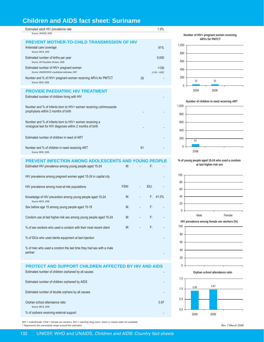## **Children and AIDS fact sheet: Suriname**

| Estimated adult HIV prevalence rate                                                       |      |    |      | 1.9%                     |       |                                    |                         |
|-------------------------------------------------------------------------------------------|------|----|------|--------------------------|-------|------------------------------------|-------------------------|
| Source: UNAIDS, 2006                                                                      |      |    |      |                          |       | Number of HIV+ pregnant wome       |                         |
| <b>PREVENT MOTHER-TO-CHILD TRANSMISSION OF HIV</b>                                        |      |    |      |                          |       |                                    | <b>ARVs for PMTCT</b>   |
| Antenatal care coverage                                                                   |      |    |      | 91%                      | 1,000 |                                    |                         |
| Source: MICS, 2000                                                                        |      |    |      |                          | 800   |                                    |                         |
| Estimated number of births per year<br>Source: UN Population Division, 2006               |      |    |      | 9,000                    | 600   |                                    |                         |
| Estimated number of HIV+ pregnant women<br>Source: UNAIDS/WHO unpublished estimates, 2007 |      |    |      | 100<br>$[< 100 - 200]$ * | 400   |                                    |                         |
| Number and % of HIV+ pregnant women receiving ARVs for PMTCT<br>Source: MOH. 2006         |      | 35 |      |                          | 200   | 33                                 | 35                      |
| <b>PROVIDE PAEDIATRIC HIV TREATMENT</b>                                                   |      |    |      |                          | 0     | 2004                               | 2006                    |
| Estimated number of children living with HIV                                              |      |    |      |                          |       |                                    |                         |
|                                                                                           |      |    |      |                          |       | Number of children in need re      |                         |
| Number and % of infants born to HIV+ women receiving cotrimoxazole                        |      |    |      |                          | 1,000 |                                    |                         |
| prophylaxis within 2 months of birth                                                      |      |    |      |                          | 800   |                                    |                         |
| Number and % of infants born to HIV+ women receiving a                                    |      |    |      |                          | 600   |                                    |                         |
| virological test for HIV diagnosis within 2 months of birth                               |      |    |      |                          |       |                                    |                         |
|                                                                                           |      |    |      |                          | 400   |                                    |                         |
| Estimated number of children in need of ART                                               |      |    |      |                          | 200   | 61                                 |                         |
| Number and % of children in need receiving ART                                            |      | 61 |      |                          | 0     |                                    |                         |
| Source: MOH, 2006                                                                         |      |    |      |                          |       | 2006                               |                         |
| <b>PREVENT INFECTION AMONG ADOLESCENTS AND YOUNG PEOPLE</b>                               |      |    |      |                          |       | % of young people aged 15-24 who u |                         |
| Estimated HIV prevalence among young people aged 15-24                                    | M:   |    | F:   |                          |       |                                    | at last higher-risk sex |
|                                                                                           |      |    |      |                          |       |                                    |                         |
| HIV prevalence among pregnant women aged 15-24 in capital city                            |      |    |      |                          | 100   |                                    |                         |
|                                                                                           |      |    |      |                          | 80    |                                    |                         |
| HIV prevalence among most-at-risk populations                                             | FSW: |    | IDU: |                          | 60    |                                    |                         |
| Knowledge of HIV prevention among young people aged 15-24                                 | M:   |    | F:   | 41.0%                    | 40    |                                    |                         |
| Source: MICS, 2006                                                                        |      |    |      |                          | 20    |                                    |                         |
| Sex before age 15 among young people aged 15-19                                           | M:   |    | F:   |                          | 0     |                                    |                         |
|                                                                                           | M:   |    | F:   |                          |       | Male                               |                         |
| Condom use at last higher-risk sex among young people aged 15-24                          |      |    |      |                          |       | HIV prevalence among female sex    |                         |
| % of sex workers who used a condom with their most recent client                          | M:   |    | F:   |                          | 100   |                                    |                         |
|                                                                                           |      |    |      |                          | 80    |                                    |                         |
| % of IDUs who used sterile equipment at last injection                                    |      |    |      |                          | 60    |                                    |                         |
| % of men who used a condom the last time they had sex with a male                         |      |    |      |                          |       |                                    |                         |
| partner                                                                                   |      |    |      |                          | 40    |                                    |                         |
|                                                                                           |      |    |      |                          | 20    |                                    |                         |
|                                                                                           |      |    |      |                          |       |                                    |                         |

## **PROTECT AND SUPPORT CHILDREN AFFECTED BY HIV AND AIDS**

| Estimated number of children orphaned by all causes | $\overline{\phantom{0}}$ | Orphan school attenda |      |      |
|-----------------------------------------------------|--------------------------|-----------------------|------|------|
| Estimated number of children orphaned by AIDS       |                          | 1.5                   |      |      |
|                                                     |                          | 1.0                   | 0.89 | 0.97 |
| Estimated number of double orphans by all causes    | -                        |                       |      |      |
| Orphan school attendance ratio                      | 0.97                     | 0.5                   |      |      |
| Source: MICS, 2006                                  |                          | 0.0                   |      |      |
| % of orphans receiving external support             |                          |                       | 2000 | 2006 |

\* *Represents the uncertainty range around the estimates M/F = male/female; FSW = female sex workers; IDU = injecting drug users. Dash (-) means data not available.*





**% of young people aged 15-24 who used a condom at last higher-risk sex**



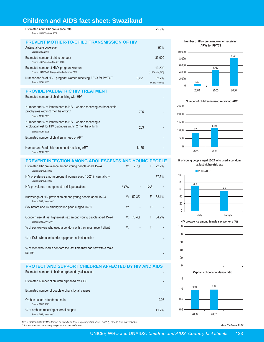## **Children and AIDS fact sheet: Swaziland**

| Estimated adult HIV prevalence rate | ) E NO |
|-------------------------------------|--------|
| Source: UNAIDS/WHO, 2007            |        |

### **PREVENT MOTHER-TO-CHILD TRANSMISSION OF HIV**

| Antenatal care coverage                                                                   | 90%                          |        |      | <b>ARVS IOI PIVILUT</b> |  |
|-------------------------------------------------------------------------------------------|------------------------------|--------|------|-------------------------|--|
| Source: CHS, 2002                                                                         |                              | 10.000 |      |                         |  |
| Estimated number of births per year                                                       | 33,000                       | 8,000  |      |                         |  |
| Source: UN Population Division, 2006                                                      |                              | 6,000  |      |                         |  |
| Estimated number of HIV+ pregnant women<br>Source: UNAIDS/WHO unpublished estimates, 2007 | 13.209<br>[11,976 - 14,546]* | 4,000  |      | 4,780                   |  |
| Number and % of HIV+ pregnant women receiving ARVs for PMTCT                              | 62.2%<br>8.221               | 2.000  |      |                         |  |
| Source: MOH, 2006                                                                         | $[56.5\% - 68.6\%]$ *        |        | 592  |                         |  |
| <b>PROVIDE PAEDIATRIC HIV TREATMENT</b>                                                   |                              |        | 2004 | 2005                    |  |
| Estimated number of children living with HIV                                              |                              |        |      |                         |  |
|                                                                                           |                              |        | .    |                         |  |

Number and % of infants born to HIV+ women receiving cotrimoxazole Number and % of infants born to HIV+ women receiving cotrimoxazole prophylaxis within 6 weeks of birth <sup>2007</sup> <sup>1090</sup> prophylaxis within 2 months of birth Source: MOH, 2006 Number and % of infants born to HIV+ women receiving a Number and % of infants born to HIV+ women receiving a virological test for HIV diagnosis within 2 months of birth Source: MOH, 2006 Estimated number of children in need of ART Number and % of children in need receiving ART - 725 203 1,155

#### **PREVENT INFECTION AMONG ADOLESCENTS AND YOUNG PEOPLE**

Source: MOH, 2006

| Estimated HIV prevalence among young people aged 15-24<br>Source: UNAIDS, 2006             | M:   | 7.7%  |      | F: 22.7%    |           | <b>deal indige-list sex</b><br>2006-2007  |    |
|--------------------------------------------------------------------------------------------|------|-------|------|-------------|-----------|-------------------------------------------|----|
| HIV prevalence among pregnant women aged 15-24 in capital city<br>Source: UNAIDS, 2006     |      |       |      | 37.3%       | 100<br>80 |                                           |    |
| HIV prevalence among most-at-risk populations                                              | FSW: |       | IDU: |             | 60        | 70.4                                      | 54 |
| Knowledge of HIV prevention among young people aged 15-24<br>Source: DHS, 2006-2007        | M:   | 52.3% |      | $F: 52.1\%$ | 40        |                                           |    |
| Sex before age 15 among young people aged 15-19                                            | M:   |       | F:   |             | 20<br>U   |                                           |    |
| Condom use at last higher-risk sex among young people aged 15-24<br>Source: DHS, 2006-2007 | M:   | 70.4% |      | F: 54.2%    |           | Male<br>HIV prevalence among female sex w |    |
| % of sex workers who used a condom with their most recent client                           | M:   |       | F:   |             | 100       |                                           |    |
| % of IDUs who used sterile equipment at last injection                                     |      |       |      |             | 80        |                                           |    |
|                                                                                            |      |       |      |             | 60        |                                           |    |
| % of men who used a condom the last time they had sex with a male<br>partner               |      |       |      |             | 40        |                                           |    |

### **PROTECT AND SUPPORT CHILDREN AFFECTED BY HIV AND AIDS**

| Estimated number of children orphaned by all causes           |       |     |      | Orphan school attenda |
|---------------------------------------------------------------|-------|-----|------|-----------------------|
| Estimated number of children orphaned by AIDS                 | -     | 1.5 |      |                       |
| Estimated number of double orphans by all causes              |       | 1.0 | 0.91 | 0.97                  |
| Orphan school attendance ratio                                | 0.97  | 0.5 |      |                       |
| Source: MICS, 2007<br>% of orphans receiving external support | 41.2% | 0.0 |      |                       |
| Source: DHS. 2006-2007                                        |       |     | 2000 | 2007                  |

*M/F = male/female; FSW = female sex workers; IDU = injecting drug users. Dash (-) means data not available.*

\* *Represents the uncertainty range around the estimates*

**Number of HIV+ pregnant women receiving ARVs for PMTCT**





**% of young people aged 15-24 who used a condom at last higher-risk sex**







Rev. 7 March 2008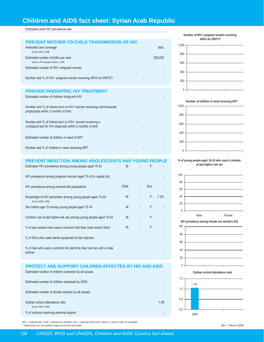## **Children and AIDS fact sheet: Syrian Arab Republic**

#### Estimated adult HIV prevalence rate

### **PREVENT MOTHER-TO-CHILD TRANSMISSION OF HIV**

| Antenatal care coverage                                      | 84%                      |     |  |
|--------------------------------------------------------------|--------------------------|-----|--|
| Source: MICS, 2006                                           |                          | 800 |  |
| Estimated number of births per year                          | 529,000                  |     |  |
| Source: UN Population Division, 2006                         |                          | 600 |  |
| Estimated number of HIV+ pregnant women                      |                          | 400 |  |
|                                                              |                          |     |  |
| Number and % of HIV+ pregnant women receiving ARVs for PMTCT | $\overline{\phantom{a}}$ | 200 |  |

### **PROVIDE PAEDIATRIC HIV TREATMENT**

| Estimated number of children living with HIV |   |
|----------------------------------------------|---|
|                                              | . |

Number and % of infants born to HIV+ women receiving cotrimoxazole Number and % of infants born to HIV+ women receiving cotrimoxazole prophylaxis within 6 weeks of birth <sup>2007</sup> <sup>1090</sup> prophylaxis within 2 months of birth

Number and % of infants born to HIV+ women receiving a Number and % of infants born to HIV+ women receiving a virological test for HIV diagnosis within 2 months of birth Estimated number of children in need of ART

Number and % of children in need receiving ART

## **PREVENT INFECTION AMONG ADOLESCENTS AND YOUNG PEOPLE**

| Estimated HIV prevalence among young people aged 15-24                          | M:   | F:   |      |         | at last liigilei -ilsk s       |
|---------------------------------------------------------------------------------|------|------|------|---------|--------------------------------|
| HIV prevalence among pregnant women aged 15-24 in capital city                  |      |      |      | 100     |                                |
|                                                                                 |      |      |      | 80      |                                |
| HIV prevalence among most-at-risk populations                                   | FSW: | IDU: |      | 60      |                                |
| Knowledge of HIV prevention among young people aged 15-24<br>Source: MICS, 2006 | M:   | F:   | 7.2% | 40      |                                |
| Sex before age 15 among young people aged 15-19                                 | M:   | F:   |      | 20<br>0 |                                |
| Condom use at last higher-risk sex among young people aged 15-24                | M:   | F:   |      |         | Male                           |
| % of sex workers who used a condom with their most recent client                | M:   | F:   |      | 100     | HIV prevalence among female se |
| % of IDUs who used sterile equipment at last injection                          |      |      |      | 80      |                                |
|                                                                                 |      |      |      | 60      |                                |
| % of men who used a condom the last time they had sex with a male<br>partner    |      |      |      | 40      |                                |

### **PROTECT AND SUPPORT CHILDREN AFFECTED BY HIV AND AIDS**

| Estimated number of children orphaned by all causes  |                          |     | Orphan school attenda |  |
|------------------------------------------------------|--------------------------|-----|-----------------------|--|
| Estimated number of children orphaned by AIDS        | -                        | 1.5 | 1.06                  |  |
| Estimated number of double orphans by all causes     | $\overline{\phantom{0}}$ | 1.0 |                       |  |
| Orphan school attendance ratio<br>Source: MICS, 2006 | 1.06                     | 0.5 |                       |  |
| % of orphans receiving external support              | -                        | 0.0 | 2006                  |  |

\* *Represents the uncertainty range around the estimates M/F = male/female; FSW = female sex workers; IDU = injecting drug users. Dash (-) means data not available.* **Number of HIV+ pregnant women receiving ARVs for PMTCT**

| $1,000 -$ |  |
|-----------|--|
| 800       |  |
| 600       |  |
| 400       |  |
| 200       |  |
|           |  |

|       | Number of children in need receiving ART |
|-------|------------------------------------------|
| 1,000 |                                          |
|       |                                          |
| 800   |                                          |
|       |                                          |
| 600   |                                          |
|       |                                          |
| 400   |                                          |
|       |                                          |
| 200   |                                          |
|       |                                          |
|       |                                          |

-

-

-

- -

- -

- -

**% of young people aged 15-24 who used a condom at last higher-risk sex**

| 100 |      |      |                                             |
|-----|------|------|---------------------------------------------|
| 80  |      |      |                                             |
| 60  |      |      |                                             |
| 40  |      |      |                                             |
| 20  |      |      |                                             |
| 0   |      |      |                                             |
|     |      | Male | Female                                      |
| 100 |      |      | HIV prevalence among female sex workers (%) |
|     |      |      |                                             |
| 80  |      |      |                                             |
| 60  |      |      |                                             |
| 40  |      |      |                                             |
| 20  |      |      |                                             |
| 0   |      |      |                                             |
|     |      |      | Orphan school attendance ratio              |
| 1.5 |      |      |                                             |
|     | 1.06 |      |                                             |
| 1.0 |      |      |                                             |
| 0.5 |      |      |                                             |
|     |      |      |                                             |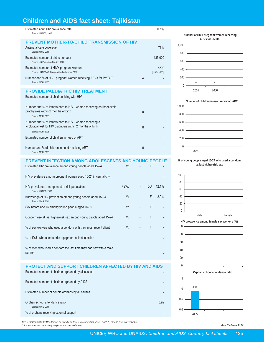## **Children and AIDS fact sheet: Tajikistan**

| Estimated adult HIV prevalence rate                                                                                        | 0.1%                       |                                                       |
|----------------------------------------------------------------------------------------------------------------------------|----------------------------|-------------------------------------------------------|
| Source: UNAIDS, 2006                                                                                                       |                            | Number of HIV+ pregnant wome<br><b>ARVs for PMTCT</b> |
| <b>PREVENT MOTHER-TO-CHILD TRANSMISSION OF HIV</b>                                                                         |                            | 1,000                                                 |
| Antenatal care coverage<br>Source: MICS, 2005                                                                              | 77%                        | 800                                                   |
| Estimated number of births per year<br>Source: UN Population Division, 2006                                                | 185,000                    | 600                                                   |
| Estimated number of HIV+ pregnant women<br>Source: UNAIDS/WHO unpublished estimates, 2007                                  | $200$<br>$[< 100 - 500]$ * | 400                                                   |
| Number and % of HIV+ pregnant women receiving ARVs for PMTCT<br>4                                                          |                            | 200                                                   |
| Source: MOH, 2006                                                                                                          |                            | 4<br>4<br>0                                           |
| <b>PROVIDE PAEDIATRIC HIV TREATMENT</b><br>Estimated number of children living with HIV                                    |                            | 2005<br>2006                                          |
|                                                                                                                            |                            | Number of children in need re<br>1,000                |
| Number and % of infants born to HIV+ women receiving cotrimoxazole<br>prophylaxis within 2 months of birth<br>$\mathbf{0}$ |                            | 800                                                   |
| Source: MOH, 2006<br>Number and % of infants born to HIV+ women receiving a                                                |                            | 600                                                   |
| virological test for HIV diagnosis within 2 months of birth<br>$\mathbf{0}$<br>Source: MOH. 2006                           |                            | 400                                                   |
| Estimated number of children in need of ART                                                                                |                            | 200                                                   |
| Number and % of children in need receiving ART<br>$\mathbf{0}$                                                             |                            | 0                                                     |
| Source: MOH, 2006                                                                                                          |                            | 2006                                                  |
| PREVENT INFECTION AMONG ADOLESCENTS AND YOUNG PEOPLE                                                                       |                            | % of young people aged 15-24 who u                    |
| Estimated HIV prevalence among young people aged 15-24<br>M:                                                               | F:                         | at last higher-risk sex                               |
| HIV prevalence among pregnant women aged 15-24 in capital city                                                             |                            | 100                                                   |
| FSW:<br>HIV prevalence among most-at-risk populations                                                                      | IDU:<br>12.1%              | 80<br>60                                              |
| Source: UNAIDS, 2006<br>M:<br>Knowledge of HIV prevention among young people aged 15-24                                    | F:<br>2.9%                 | 40                                                    |
| Source: MICS, 2005                                                                                                         |                            | 20                                                    |
| M:<br>Sex before age 15 among young people aged 15-19                                                                      | F:                         | 0                                                     |
| Condom use at last higher-risk sex among young people aged 15-24<br>M:                                                     | F:                         | Male                                                  |
| % of sex workers who used a condom with their most recent client<br>M:                                                     | F:                         | HIV prevalence among female sex<br>100                |
|                                                                                                                            |                            | 80                                                    |
| % of IDUs who used sterile equipment at last injection                                                                     |                            | 60                                                    |
| % of men who used a condom the last time they had sex with a male<br>partner                                               |                            | 40                                                    |
|                                                                                                                            |                            | 20                                                    |
| <b>PROTECT AND SUPPORT CHILDREN AFFECTED BY HIV AND AIDS</b>                                                               |                            | 0                                                     |
| Estimated number of children orphaned by all causes                                                                        |                            | Orphan school attendan                                |
| Estimated number of children orphaned by AIDS                                                                              |                            | 1.5                                                   |
| Estimated number of double orphans by all causes                                                                           |                            | 0.92<br>1.0                                           |
| Orphan school attendance ratio                                                                                             | 0.92                       | 0.5                                                   |
| Source: MICS, 2005                                                                                                         |                            | 0.0                                                   |
| % of orphans receiving external support                                                                                    |                            | 2005                                                  |
|                                                                                                                            |                            |                                                       |

\* *Represents the uncertainty range around the estimates M/F* = male/female; FSW = female sex workers; IDU = injecting drug users. Dash (-)

Rev. 7 March 2008

| Number of HIV+ pregnant women receiving<br><b>ARVs for PMTCT</b> |      |      |  |  |  |  |  |
|------------------------------------------------------------------|------|------|--|--|--|--|--|
| 1,000                                                            |      |      |  |  |  |  |  |
| 800                                                              |      |      |  |  |  |  |  |
| 600                                                              |      |      |  |  |  |  |  |
| 400                                                              |      |      |  |  |  |  |  |
| 200                                                              |      |      |  |  |  |  |  |
|                                                                  | 4    | 4    |  |  |  |  |  |
|                                                                  | 2005 | 2006 |  |  |  |  |  |



**% of young people aged 15-24 who used a condom at last higher-risk sex**

| 100 |      |      |                                             |
|-----|------|------|---------------------------------------------|
| 80  |      |      |                                             |
| 60  |      |      |                                             |
| 40  |      |      |                                             |
| 20  |      |      |                                             |
| 0   |      |      |                                             |
|     |      | Male | Female                                      |
|     |      |      | HIV prevalence among female sex workers (%) |
| 100 |      |      |                                             |
|     |      |      |                                             |
| 80  |      |      |                                             |
| 60  |      |      |                                             |
|     |      |      |                                             |
| 40  |      |      |                                             |
| 20  |      |      |                                             |
|     |      |      |                                             |
| 0   |      |      |                                             |
|     |      |      | Orphan school attendance ratio              |
| 1.5 |      |      |                                             |
|     |      |      |                                             |
| 1.0 | 0.92 |      |                                             |
|     |      |      |                                             |
| 0.5 |      |      |                                             |
|     |      |      |                                             |
| 0.0 |      |      |                                             |
|     | 2005 |      |                                             |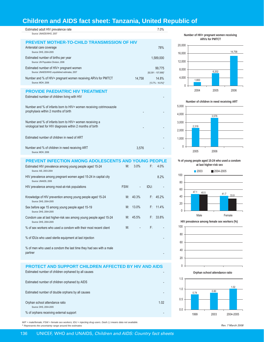## **Children and AIDS fact sheet: Tanzania, United Republic of**

Estimated adult HIV prevalence rate Source: UNAIDS/WHO, 2007

partner

7.0%

-

|                                                                                           |        |                               |        |                               | <b>ARVs for PMTCT</b> |  |
|-------------------------------------------------------------------------------------------|--------|-------------------------------|--------|-------------------------------|-----------------------|--|
| <b>PREVENT MOTHER-TO-CHILD TRANSMISSION OF HIV</b>                                        |        |                               |        |                               |                       |  |
| Antenatal care coverage<br>Source: DHS. 2004-2005                                         |        | 78%                           | 20,000 |                               |                       |  |
|                                                                                           |        |                               | 16,000 |                               |                       |  |
| Estimated number of births per year<br>Source: UN Population Division, 2006               |        | 1,589,000                     | 12,000 |                               |                       |  |
| Estimated number of HIV+ pregnant women<br>Source: UNAIDS/WHO unpublished estimates, 2007 |        | 99.775<br>[92,091 - 107,699]* | 8,000  |                               | 6,202                 |  |
| Number and % of HIV+ pregnant women receiving ARVs for PMTCT                              | 14.758 | 14.8%                         | 4,000  | 1,800                         |                       |  |
| Source: MOH, 2006                                                                         |        | $[13.7\% - 16.0\%]$ *         | 0      |                               |                       |  |
| <b>PROVIDE PAEDIATRIC HIV TREATMENT</b>                                                   |        |                               |        | 2004                          | 2005                  |  |
| Estimated number of children living with HIV                                              |        |                               |        |                               |                       |  |
|                                                                                           |        |                               |        | Number of children in need re |                       |  |
| Number and % of infants born to HIV+ women receiving cotrimoxazole                        |        |                               | 5,000  |                               |                       |  |
| prophylaxis within 2 months of birth                                                      |        |                               | 4,000  |                               |                       |  |
|                                                                                           |        |                               |        |                               | 3.576                 |  |
| Number and % of infants born to HIV+ women receiving a                                    |        |                               | 3,000  |                               |                       |  |
| virological test for HIV diagnosis within 2 months of birth                               |        |                               |        | 2,318                         |                       |  |

| Estimated number of children in need of ART                         |       |  |
|---------------------------------------------------------------------|-------|--|
| Number and % of children in need receiving ART<br>Source: MOH, 2006 | 3.576 |  |

#### **PREVENT INFECTION AMONG ADOLESCENTS AND YOUNG PEOPLE**

| Estimated HIV prevalence among young people aged 15-24                                     |      | 3.0%                     | F:   | 4.0%        | at last liigilei -ilsk sex                |                                           |           |
|--------------------------------------------------------------------------------------------|------|--------------------------|------|-------------|-------------------------------------------|-------------------------------------------|-----------|
| Source: AIS, 2003-2004                                                                     |      |                          |      |             |                                           | $\blacksquare$ 2003                       | ■2004-200 |
| HIV prevalence among pregnant women aged 15-24 in capital city<br>Source: UNAIDS, 2006     |      |                          |      | 8.2%        | 100<br>80                                 |                                           |           |
| HIV prevalence among most-at-risk populations                                              | FSW: | $\overline{\phantom{0}}$ | IDU: |             | 60                                        | 47.1<br>45.5                              | 41.       |
| Knowledge of HIV prevention among young people aged 15-24<br>Source: DHS, 2004-2005        | M:   | 40.3%                    |      | F: 45.2%    | 40<br>20                                  |                                           |           |
| Sex before age 15 among young people aged 15-19<br>Source: DHS, 2004-2005                  | M:   | 13.0%                    |      | F: 11.4%    |                                           |                                           |           |
| Condom use at last higher-risk sex among young people aged 15-24<br>Source: DHS, 2004-2005 | M:   | 45.5%                    |      | $F: 33.8\%$ |                                           | Male<br>HIV prevalence among female sex w |           |
| % of sex workers who used a condom with their most recent client                           | M:   |                          | F:   |             | 100<br>80                                 |                                           |           |
| % of IDUs who used sterile equipment at last injection                                     |      |                          |      |             | 60                                        |                                           |           |
| % of men who used a condom the last time they had sex with a male                          |      |                          |      |             | $\Lambda$ <sup><math>\Lambda</math></sup> |                                           |           |

### **PROTECT AND SUPPORT CHILDREN AFFECTED BY HIV AND AIDS**

| Estimated number of children orphaned by all causes      |      | Orphan school attenda |      |      |
|----------------------------------------------------------|------|-----------------------|------|------|
| Estimated number of children orphaned by AIDS            | -    | 1.5                   |      |      |
| Estimated number of double orphans by all causes         |      | 1.0                   | 0.74 | 0.80 |
| Orphan school attendance ratio<br>Source: DHS, 2004-2005 | 1.02 | 0.5                   |      |      |
| % of orphans receiving external support                  | -    | 0.0                   | 1999 | 2003 |

*M/F = male/female; FSW = female sex workers; IDU = injecting drug users. Dash (-) means data not available.*<br>\* Represents the uncertainty range around the estimates







**% of young people aged 15-24 who used a condom at last higher-risk sex**







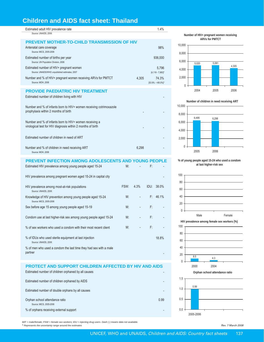# **Children and AIDS fact sheet: Thailand**

| Estimated adult HIV prevalence rate                                                       |       | 1.4%                           |        |                             |                       |  |
|-------------------------------------------------------------------------------------------|-------|--------------------------------|--------|-----------------------------|-----------------------|--|
| Source: UNAIDS, 2006                                                                      |       |                                |        | Number of HIV+ pregnant wom | <b>ARVs for PMTCT</b> |  |
| <b>PREVENT MOTHER-TO-CHILD TRANSMISSION OF HIV</b>                                        |       |                                | 10.000 |                             |                       |  |
| Antenatal care coverage                                                                   |       | 98%                            |        |                             |                       |  |
| Source: MICS, 2005-2006                                                                   |       |                                | 8,000  |                             |                       |  |
| Estimated number of births per year                                                       |       | 936.000                        | 6,000  |                             |                       |  |
| Source: UN Population Division, 2006                                                      |       |                                |        | 5,020                       | 5,081                 |  |
| Estimated number of HIV+ pregnant women<br>Source: UNAIDS/WHO unpublished estimates, 2007 |       | 5.796<br>$[4, 118 - 7, 983]$ * | 4.000  |                             |                       |  |
|                                                                                           |       |                                | 2,000  |                             |                       |  |
| Number and % of HIV+ pregnant women receiving ARVs for PMTCT<br>Source: MOH, 2006         | 4.305 | 74.3%<br>$[53.9\% - 95.0\%]$ * |        |                             |                       |  |
|                                                                                           |       |                                |        |                             |                       |  |
| <b>PROVIDE PAEDIATRIC HIV TREATMENT</b>                                                   |       |                                |        | 2004                        | 2005                  |  |
|                                                                                           |       |                                |        |                             |                       |  |

Estimated number of children living with HIV

|                                                                    |       |        |       | Number of children in need re |
|--------------------------------------------------------------------|-------|--------|-------|-------------------------------|
| Number and % of infants born to HIV+ women receiving cotrimoxazole |       | 10.000 |       |                               |
| prophylaxis within 2 months of birth                               |       | 8.000  |       |                               |
| Number and % of infants born to HIV+ women receiving a             |       | 6.000  | 6.495 | 6.298                         |
| virological test for HIV diagnosis within 2 months of birth        |       | 4,000  |       |                               |
| Estimated number of children in need of ART                        |       |        |       |                               |
|                                                                    |       | 2.000  |       |                               |
| Number and % of children in need receiving ART                     | 6.298 | 0      |       |                               |
| Source: MOH, 2006                                                  |       |        | 2005  | 2006                          |

#### **PREVENT INFECTION AMONG ADOLESCENTS AND YOUNG PEOPLE**

| Estimated HIV prevalence among young people aged 15-24                | M:   |                          | F: |            |     | at last liigilei -ilsk s       |
|-----------------------------------------------------------------------|------|--------------------------|----|------------|-----|--------------------------------|
| HIV prevalence among pregnant women aged 15-24 in capital city        |      |                          |    |            | 100 |                                |
|                                                                       | FSW: | 4.3%                     |    | IDU: 38.0% | 80  |                                |
| HIV prevalence among most-at-risk populations<br>Source: UNAIDS, 2006 |      |                          |    |            | 60  |                                |
| Knowledge of HIV prevention among young people aged 15-24             | M:   | $\overline{\phantom{a}}$ |    | F: 46.1%   | 40  |                                |
| Source: MICS, 2005-2006                                               |      |                          |    |            | 20  |                                |
| Sex before age 15 among young people aged 15-19                       | M:   |                          | F: |            | 0   |                                |
| Condom use at last higher-risk sex among young people aged 15-24      | M:   |                          | F: |            |     | Male                           |
|                                                                       |      |                          |    |            |     | HIV prevalence among female se |
| % of sex workers who used a condom with their most recent client      | M:   |                          | F: |            | 100 |                                |
|                                                                       |      |                          |    |            | 80  |                                |
| % of IDUs who used sterile equipment at last injection                |      |                          |    | 18.8%      | 60  |                                |
| Source: UNAIDS, 2006                                                  |      |                          |    |            |     |                                |
| % of men who used a condom the last time they had sex with a male     |      |                          |    |            | 40  |                                |
| partner                                                               |      |                          |    |            | 20  |                                |

## **PROTECT AND SUPPORT CHILDREN AFFECTED BY HIV AND AIDS**

| Estimated number of children orphaned by all causes       | $\overline{\phantom{0}}$ | Orphan school attenda |           |  |
|-----------------------------------------------------------|--------------------------|-----------------------|-----------|--|
| Estimated number of children orphaned by AIDS             | -                        | 1.5                   |           |  |
| Estimated number of double orphans by all causes          | -                        | 1.0                   | 0.99      |  |
| Orphan school attendance ratio<br>Source: MICS, 2005-2006 | 0.99                     | 0.5                   |           |  |
| % of orphans receiving external support                   | -                        | 0.0                   | 2005 2006 |  |

*M/F = male/female; FSW = female sex workers; IDU = injecting drug users. Dash (-) means data not available.*

\* *Represents the uncertainty range around the estimates*

**Number of HIV+ pregnant women receiving ARVs for PMTCT**





**% of young people aged 15-24 who used a condom at last higher-risk sex**



Rev. 7 March 2008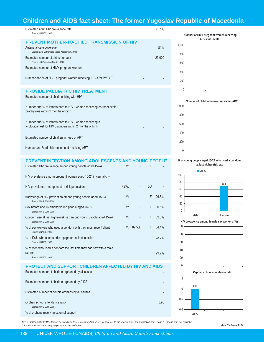## **Children and AIDS fact sheet: The former Yugoslav Republic of Macedonia**

| Estimated adult HIV prevalence rate                                            |      |          |      | $< 0.1\%$   |                                              |
|--------------------------------------------------------------------------------|------|----------|------|-------------|----------------------------------------------|
| Source: UNAIDS, 2006                                                           |      |          |      |             | Number of HIV+ pregnant women receiving      |
| PREVENT MOTHER-TO-CHILD TRANSMISSION OF HIV                                    |      |          |      |             | <b>ARVs for PMTCT</b>                        |
| Antenatal care coverage                                                        |      |          |      | 81%         | 1,000                                        |
| Source: Safe Motherhood Needs Assessment, 2000                                 |      |          |      |             |                                              |
| Estimated number of births per year                                            |      |          |      | 23,000      | 800                                          |
| Source: UN Population Division, 2006                                           |      |          |      |             | 600                                          |
| Estimated number of HIV+ pregnant women                                        |      |          |      |             |                                              |
|                                                                                |      |          |      |             | 400                                          |
| Number and % of HIV+ pregnant women receiving ARVs for PMTCT                   |      |          |      |             | 200                                          |
|                                                                                |      |          |      |             |                                              |
| <b>PROVIDE PAEDIATRIC HIV TREATMENT</b>                                        |      |          |      |             | 0                                            |
| Estimated number of children living with HIV                                   |      |          |      |             |                                              |
|                                                                                |      |          |      |             | Number of children in need receiving ART     |
| Number and % of infants born to HIV+ women receiving cotrimoxazole             |      |          |      |             | 1,000                                        |
| prophylaxis within 2 months of birth                                           |      |          |      |             | 800                                          |
| Number and % of infants born to HIV+ women receiving a                         |      |          |      |             |                                              |
| virological test for HIV diagnosis within 2 months of birth                    |      |          |      |             | 600                                          |
|                                                                                |      |          |      |             | 400                                          |
| Estimated number of children in need of ART                                    |      |          |      |             |                                              |
|                                                                                |      |          |      |             | 200                                          |
| Number and % of children in need receiving ART                                 |      |          |      |             | 0                                            |
|                                                                                |      |          |      |             |                                              |
| PREVENT INFECTION AMONG ADOLESCENTS AND YOUNG PEOPLE                           |      |          |      |             | % of young people aged 15-24 who used a cond |
| Estimated HIV prevalence among young people aged 15-24                         | M:   |          | F:   |             | at last higher-risk sex                      |
|                                                                                |      |          |      |             | ■2005                                        |
| HIV prevalence among pregnant women aged 15-24 in capital city                 |      |          |      |             | 100                                          |
|                                                                                |      |          |      |             | 80<br>69.8                                   |
| HIV prevalence among most-at-risk populations                                  | FSW: |          | IDU: |             | 60                                           |
| Knowledge of HIV prevention among young people aged 15-24                      | M:   |          |      | $F: 26.6\%$ | 40                                           |
| Source: MICS, 2005-2006                                                        |      |          |      |             |                                              |
| Sex before age 15 among young people aged 15-19                                | M:   |          | F:   | 0.6%        | 20                                           |
| Source: MICS, 2005-2006                                                        |      |          |      |             | $\mathbf{0}$                                 |
| Condom use at last higher-risk sex among young people aged 15-24               | M:   |          | F:   | 69.8%       | Male<br>Female                               |
| Source: MICS. 2005-2006                                                        |      |          |      |             | HIV prevalence among female sex workers (%)  |
| % of sex workers who used a condom with their most recent client               |      | M: 87.5% |      | F: 84.4%    | 100                                          |
| Source: UNAIDS, 2006                                                           |      |          |      |             | 80                                           |
| % of IDUs who used sterile equipment at last injection<br>Source: UNAIDS, 2006 |      |          |      | 28.7%       | 60                                           |
| % of men who used a condom the last time they had sex with a male              |      |          |      |             |                                              |
| partner                                                                        |      |          |      | 29.2%       | 40                                           |
| Source: UNAIDS, 2006                                                           |      |          |      |             | 20                                           |
|                                                                                |      |          |      |             | 0                                            |
| PROTECT AND SUPPORT CHILDREN AFFECTED BY HIV AND AIDS                          |      |          |      |             |                                              |

#### Estimated number of children orphaned by all causes Estimated number of children orphaned by AIDS Estimated number of double orphans by all causes Orphan school attendance ratio Source: MICS, 2005-2006 % of orphans receiving external support - - - 0.98 -

**Number of children in need receiving ART**  $\blacksquare$  ZUUS  $80 +$  $2006$ 0.98 1.0 1.5 **Orphan school attendance ratio** 69.8 Female  $5<sup>0</sup>$ **% of young people aged 15-24 who used a condom higher-risk sex** *Higheriang* female sex workers (%)



\* *Represents the uncertainty range around the estimates M/F = male/female; FSW = female sex workers; IDU = injecting drug users. Year refers to the year of data, not publication date. Dash (-) means data not available.*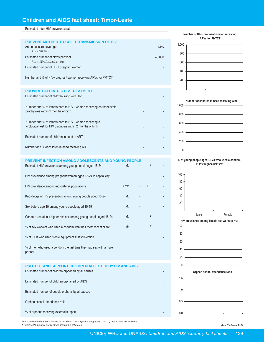## **Children and AIDS fact sheet: Timor-Leste**

### Estimated adult HIV prevalence rate

|                                                                                                                |      |      |        |                | Number of HIV+ pregnant wome<br><b>ARVs for PMTCT</b> |
|----------------------------------------------------------------------------------------------------------------|------|------|--------|----------------|-------------------------------------------------------|
| PREVENT MOTHER-TO-CHILD TRANSMISSION OF HIV                                                                    |      |      |        | 1,000          |                                                       |
| Antenatal care coverage<br>Source: DHS, 2003                                                                   |      |      | 61%    | 800            |                                                       |
| Estimated number of births per year                                                                            |      |      | 46,000 |                |                                                       |
| Source: UN Population Division, 2006<br>Estimated number of HIV+ pregnant women                                |      |      |        | 600            |                                                       |
|                                                                                                                |      |      |        | 400            |                                                       |
| Number and % of HIV+ pregnant women receiving ARVs for PMTCT                                                   |      |      |        | 200            |                                                       |
| <b>PROVIDE PAEDIATRIC HIV TREATMENT</b>                                                                        |      |      |        | 0              |                                                       |
| Estimated number of children living with HIV                                                                   |      |      |        |                |                                                       |
|                                                                                                                |      |      |        | 1,000          | Number of children in need re                         |
| Number and % of infants born to HIV+ women receiving cotrimoxazole<br>prophylaxis within 2 months of birth     |      |      |        | 800            |                                                       |
| Number and % of infants born to HIV+ women receiving a                                                         |      |      |        |                |                                                       |
| virological test for HIV diagnosis within 2 months of birth                                                    |      |      |        | 600            |                                                       |
| Estimated number of children in need of ART                                                                    |      |      |        | 400            |                                                       |
|                                                                                                                |      |      |        | 200            |                                                       |
| Number and % of children in need receiving ART                                                                 |      |      |        | 0              |                                                       |
|                                                                                                                |      |      |        |                | % of young people aged 15-24 who u                    |
| PREVENT INFECTION AMONG ADOLESCENTS AND YOUNG PEOPLE<br>Estimated HIV prevalence among young people aged 15-24 | M:   | F:   |        |                | at last higher-risk sex                               |
|                                                                                                                |      |      |        | 100            |                                                       |
| HIV prevalence among pregnant women aged 15-24 in capital city                                                 |      |      |        | 80             |                                                       |
| HIV prevalence among most-at-risk populations                                                                  | FSW: | IDU: |        | 60             |                                                       |
| Knowledge of HIV prevention among young people aged 15-24                                                      | M:   | F:   |        | 40             |                                                       |
|                                                                                                                |      |      |        | 20             |                                                       |
| Sex before age 15 among young people aged 15-19                                                                | M:   | F:   |        | $\mathbf{0}$   |                                                       |
| Condom use at last higher-risk sex among young people aged 15-24                                               | M:   | F:   |        |                | Male                                                  |
| % of sex workers who used a condom with their most recent client                                               | M:   | F:   |        | 100            | HIV prevalence among female sex                       |
|                                                                                                                |      |      |        | 80             |                                                       |
| % of IDUs who used sterile equipment at last injection                                                         |      |      |        | 60             |                                                       |
| % of men who used a condom the last time they had sex with a male                                              |      |      |        | 40             |                                                       |
| partner                                                                                                        |      |      |        | 20             |                                                       |
|                                                                                                                |      |      |        | 0              |                                                       |
| PROTECT AND SUPPORT CHILDREN AFFECTED BY HIV AND AIDS<br>Estimated number of children orphaned by all causes   |      |      |        |                | Orphan school attendan                                |
|                                                                                                                |      |      |        | 1.5            |                                                       |
| Estimated number of children orphaned by AIDS                                                                  |      |      |        |                |                                                       |
| Estimated number of double orphans by all causes                                                               |      |      |        | 1.0            |                                                       |
| Orphan school attendance ratio                                                                                 |      |      |        | 0.5            |                                                       |
|                                                                                                                |      |      |        |                |                                                       |
| % of orphans receiving external support                                                                        |      |      |        | 0 <sub>0</sub> |                                                       |

**Number of children in need receiving ART**  $80 \leftarrow$ 2006 8906 8906 8906 8906 8906 8906 8906 0 200 400 600 800  $\pmb{0}$ 200 400 600 800 1,000  $0 -$ 20 40 60 80 100 Male **Female % of young people aged 15-24 who used a condom at last higher-risk sex** 60 80 100 **HIV prevalence among female sex workers (%)**

**Number of HIV+ pregnant women receiving ARVs for PMTCT**



| 1.0     |  |  |
|---------|--|--|
|         |  |  |
| 0.5     |  |  |
| $0.0 -$ |  |  |

\* Represents the uncertainty range around the estimates *M/F = male/female; FSW = female sex workers; IDU = injecting drug users. Dash (-) means data not available.*

Rev. 7 March 2008

-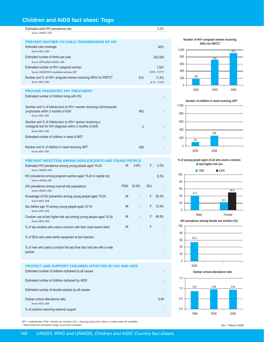## **Children and AIDS fact sheet: Togo**

| Estimated adult HIV prevalence rate                                                    |    |              |      | 3.2%                 |              |                                     |                         |
|----------------------------------------------------------------------------------------|----|--------------|------|----------------------|--------------|-------------------------------------|-------------------------|
| Source: UNAIDS, 2006                                                                   |    |              |      |                      |              |                                     |                         |
| <b>PREVENT MOTHER-TO-CHILD TRANSMISSION OF HIV</b>                                     |    |              |      |                      |              | Number of HIV+ pregnant women       |                         |
| Antenatal care coverage                                                                |    |              |      | 84%                  |              |                                     | <b>ARVs for PMTCT</b>   |
| Source: MICS, 2006                                                                     |    |              |      |                      | 1,000        |                                     |                         |
| Estimated number of births per year                                                    |    |              |      | 242,000              | 800          |                                     |                         |
| Source: UN Population Division, 2006                                                   |    |              |      |                      |              |                                     | 720                     |
| Estimated number of HIV+ pregnant women                                                |    |              |      | 7,937                | 600          |                                     |                         |
| Source: UNAIDS/WHO unpublished estimates, 2007                                         |    |              |      | $[6,535 - 10,011]$ * | 400          |                                     |                         |
| Number and % of HIV+ pregnant women receiving ARVs for PMTCT                           |    | 910          |      | 11.5%                | 200          | 180                                 |                         |
| Source: MOH, 2006                                                                      |    |              |      | $[9.1\% - 13.9\%]$ * |              |                                     |                         |
|                                                                                        |    |              |      |                      | $\mathbf{0}$ |                                     |                         |
| <b>PROVIDE PAEDIATRIC HIV TREATMENT</b>                                                |    |              |      |                      |              | 2004                                | 2005                    |
| Estimated number of children living with HIV                                           |    |              |      |                      |              |                                     |                         |
|                                                                                        |    |              |      |                      |              | Number of children in need rece     |                         |
| Number and % of infants born to HIV+ women receiving cotrimoxazole                     |    |              |      |                      | 1,000        |                                     |                         |
| prophylaxis within 2 months of birth                                                   |    | 462          |      |                      | 800          |                                     |                         |
| Source: MOH, 2006                                                                      |    |              |      |                      |              |                                     |                         |
| Number and % of infants born to HIV+ women receiving a                                 |    |              |      |                      | 600          |                                     |                         |
| virological test for HIV diagnosis within 2 months of birth<br>Source: MOH, 2006       |    | $\mathbf{0}$ |      |                      | 400          |                                     |                         |
| Estimated number of children in need of ART                                            |    |              |      |                      |              |                                     | 258                     |
|                                                                                        |    |              |      |                      | 200          | 101                                 |                         |
| Number and % of children in need receiving ART                                         |    | 258          |      |                      | 0            |                                     |                         |
| Source: MOH. 2006                                                                      |    |              |      |                      |              | 2005                                | 2006                    |
|                                                                                        |    |              |      |                      |              |                                     |                         |
| PREVENT INFECTION AMONG ADOLESCENTS AND YOUNG PEOPLE                                   |    |              |      |                      |              | % of young people aged 15-24 who us |                         |
| Estimated HIV prevalence among young people aged 15-24                                 | M: | 0.8%         | F:   | 2.2%                 |              |                                     | at last higher-risk sex |
| Source: UNAIDS, 2006                                                                   |    |              |      |                      |              | ■ 1998                              | $\blacksquare$ 2006     |
| HIV prevalence among pregnant women aged 15-24 in capital city                         |    |              |      | 9.3%                 | 100          |                                     |                         |
| Source: UNAIDS, 2006                                                                   |    |              |      |                      | 80           |                                     |                         |
| HIV prevalence among most-at-risk populations                                          |    | FSW: 53.9%   | IDU: |                      | 60           |                                     |                         |
| Source: UNAIDS, 2006                                                                   |    |              |      |                      |              | 41.0                                |                         |
| Knowledge of HIV prevention among young people aged 15-24                              | M: |              | F: I | 28.3%                | 40           |                                     | 22                      |
| Source: MICS, 2006                                                                     |    |              |      |                      | 20           |                                     |                         |
| Sex before age 15 among young people aged 15-19<br>Source: MICS, 2006                  | M: |              |      | F: 12.4%             | 0            |                                     |                         |
|                                                                                        |    |              |      |                      |              | Male                                |                         |
| Condom use at last higher-risk sex among young people aged 15-24<br>Source: MICS, 2006 | M: |              | Н.   | 49.9%                |              | HIV prevalence among female sex w   |                         |
| % of sex workers who used a condom with their most recent client                       | M: |              | F:   |                      | 100          |                                     |                         |
|                                                                                        |    |              |      |                      |              |                                     |                         |
| % of IDUs who used sterile equipment at last injection                                 |    |              |      |                      | 80           |                                     |                         |
|                                                                                        |    |              |      |                      | 60           | 53.9                                |                         |
| % of men who used a condom the last time they had sex with a male                      |    |              |      |                      | 40           |                                     |                         |
| partner                                                                                |    |              |      |                      |              |                                     |                         |
|                                                                                        |    |              |      |                      | 20           |                                     |                         |
|                                                                                        |    |              |      |                      |              |                                     |                         |

### **PROTECT AND SUPPORT CHILDREN AFFECTED BY HIV AND AIDS**

| Estimated number of children orphaned by all causes  | $\overline{\phantom{0}}$ | Orphan school attenda |      |      |
|------------------------------------------------------|--------------------------|-----------------------|------|------|
| Estimated number of children orphaned by AIDS        | -                        | 1.5                   |      |      |
| Estimated number of double orphans by all causes     | $\overline{\phantom{0}}$ | 1.0                   | 0.87 | 0.96 |
| Orphan school attendance ratio<br>Source: MICS, 2006 | 0.94                     | 0.5                   |      |      |
| % of orphans receiving external support              |                          | 0.0                   | 1000 | 0000 |

#### \* *Represents the uncertainty range around the estimates M/F = male/female; FSW = female sex workers; IDU = injecting drug users. Dash (-) means data not available.*

**Number of HIV+ pregnant women receiving ARVs for PMTCT**





**% of young people aged 15-24 who used a condom at last higher-risk sex**











140 UNICEF, WHO and UNAIDS, Children and AIDS: Country fact sheets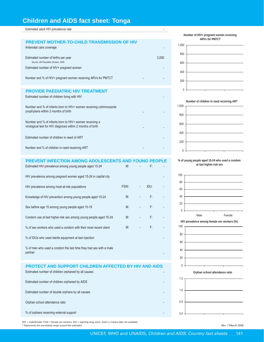### Estimated adult HIV prevalence rate

### **PREVENT MOTHER-TO-CHILD TRANSMISSION OF HIV**

| Antenatal care coverage                                                                  |     |  |
|------------------------------------------------------------------------------------------|-----|--|
|                                                                                          | 800 |  |
| Estimated number of births per year<br>3,000                                             |     |  |
| Source: UN Population Division, 2006                                                     | 600 |  |
| Estimated number of HIV+ pregnant women                                                  |     |  |
|                                                                                          | 400 |  |
| Number and % of HIV+ pregnant women receiving ARVs for PMTCT<br>$\overline{\phantom{a}}$ |     |  |
|                                                                                          | 200 |  |

### **PROVIDE PAEDIATRIC HIV TREATMENT**

| Estimated number of children living with HIV |                              |
|----------------------------------------------|------------------------------|
|                                              | Number of children in need r |

Number and % of infants born to HIV+ women receiving cotrimoxazole Number and % of infants born to HIV+ women receiving cotrimoxazole prophylaxis within 6 weeks of birth <sup>2007</sup> <sup>1090</sup> prophylaxis within 2 months of birth

Number and % of infants born to HIV+ women receiving a Number and % of infants born to HIV+ women receiving a virological test for HIV diagnosis within 2 months of birth Estimated number of children in need of ART

Number and % of children in need receiving ART

## **PREVENT INFECTION AMONG ADOLESCENTS AND YOUNG PEOPLE**

| Estimated HIV prevalence among young people aged 15-24           | M:   | F:   | at last liigilei -ilsk s       |  |
|------------------------------------------------------------------|------|------|--------------------------------|--|
| HIV prevalence among pregnant women aged 15-24 in capital city   |      |      | 100                            |  |
| HIV prevalence among most-at-risk populations                    | FSW: | IDU: | 80                             |  |
|                                                                  |      |      | 60                             |  |
| Knowledge of HIV prevention among young people aged 15-24        | M:   | F:   | 40                             |  |
| Sex before age 15 among young people aged 15-19                  | M:   | F:   | 20                             |  |
|                                                                  |      |      | 0                              |  |
| Condom use at last higher-risk sex among young people aged 15-24 | M:   | F:   | Male                           |  |
|                                                                  |      |      | HIV prevalence among female se |  |
| % of sex workers who used a condom with their most recent client | M:   | F:   | 100                            |  |
| % of IDUs who used sterile equipment at last injection           |      |      | 80                             |  |
|                                                                  |      |      | 60                             |  |
|                                                                  |      |      |                                |  |

% of men who used a condom the last time they had sex with a male partner

## **PROTECT AND SUPPORT CHILDREN AFFECTED BY HIV AND AIDS**

| Estimated number of children orphaned by all causes | $\overline{\phantom{0}}$ | Orphan school attenda |
|-----------------------------------------------------|--------------------------|-----------------------|
| Estimated number of children orphaned by AIDS       |                          | 1.5                   |
| Estimated number of double orphans by all causes    | -                        | 1.0                   |
| Orphan school attendance ratio                      |                          | 0.5                   |
| % of orphans receiving external support             |                          | 0.0                   |

 $*$  Represents the uncertainty range around the estimates *M/F = male/female; FSW = female sex workers; IDU = injecting drug users. Dash (-) means data not available.*

Rev. 7 March 2008

| <b>ARVs for PMTCT</b> |  |  |  |  |  |
|-----------------------|--|--|--|--|--|
| 1,000                 |  |  |  |  |  |
| 800                   |  |  |  |  |  |
| 600                   |  |  |  |  |  |
| 4U                    |  |  |  |  |  |

**Number of HIV+ pregnant women receiving** 

**Number of children in need receiving ART**  $0$ . 200 400 600 800 1,000

**% of young people aged 15-24 who used a condom at last higher-risk sex**

| 100 |                                             |
|-----|---------------------------------------------|
| 80  |                                             |
| 60  |                                             |
| 40  |                                             |
| 20  |                                             |
| 0   |                                             |
|     | Male<br>Female                              |
|     | HIV prevalence among female sex workers (%) |
| 100 |                                             |
| 80  |                                             |
| 60  |                                             |
| 40  |                                             |
| 20  |                                             |
| 0   | Ť<br>Ť                                      |
|     |                                             |
|     | Orphan school attendance ratio              |
| 1.5 |                                             |
| 1.0 |                                             |
|     |                                             |
| 0.5 |                                             |
| 0.0 | T<br>T                                      |
|     |                                             |

-

- -

- -

- -

-

 $\Omega$ 200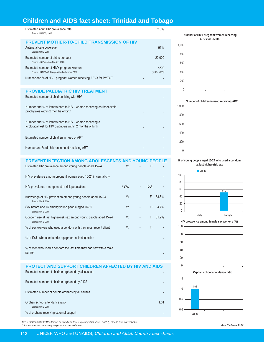# **Children and AIDS fact sheet: Trinidad and Tobago**

| Estimated adult HIV prevalence rate                                                                        | 2.6%                     |            |                                                               |
|------------------------------------------------------------------------------------------------------------|--------------------------|------------|---------------------------------------------------------------|
| Source: UNAIDS, 2006                                                                                       |                          |            | Number of HIV+ pregnant wome<br><b>ARVs for PMTCT</b>         |
| <b>PREVENT MOTHER-TO-CHILD TRANSMISSION OF HIV</b>                                                         |                          | 1,000      |                                                               |
| Antenatal care coverage<br>Source: MICS, 2006                                                              | 96%                      |            |                                                               |
| Estimated number of births per year<br>Source: UN Population Division, 2006                                | 20,000                   | 800        |                                                               |
| Estimated number of HIV+ pregnant women<br>Source: UNAIDS/WHO unpublished estimates, 2007                  | 200<br>$[< 100 - 500]$ * | 600<br>400 |                                                               |
| Number and % of HIV+ pregnant women receiving ARVs for PMTCT                                               |                          | 200        |                                                               |
|                                                                                                            |                          |            |                                                               |
| <b>PROVIDE PAEDIATRIC HIV TREATMENT</b><br>Estimated number of children living with HIV                    |                          | 0          |                                                               |
|                                                                                                            |                          | 1.000      | Number of children in need re                                 |
| Number and % of infants born to HIV+ women receiving cotrimoxazole<br>prophylaxis within 2 months of birth |                          | 800        |                                                               |
| Number and % of infants born to HIV+ women receiving a                                                     |                          | 600        |                                                               |
| virological test for HIV diagnosis within 2 months of birth                                                |                          |            |                                                               |
| Estimated number of children in need of ART                                                                |                          | 400        |                                                               |
|                                                                                                            |                          | 200        |                                                               |
| Number and % of children in need receiving ART                                                             |                          | 0          |                                                               |
| <b>PREVENT INFECTION AMONG ADOLESCENTS AND</b>                                                             | UNG PEOPLE               |            | % of young people aged 15-24 who u<br>at last higher-risk sex |
| M:<br>Estimated HIV prevalence among young people aged 15-24                                               | F:                       |            | $\blacksquare$ 2006                                           |
|                                                                                                            |                          |            |                                                               |

|                                                                   |      |                          |      |       | 100                                       |                                |
|-------------------------------------------------------------------|------|--------------------------|------|-------|-------------------------------------------|--------------------------------|
| HIV prevalence among pregnant women aged 15-24 in capital city    |      |                          |      |       |                                           |                                |
|                                                                   |      |                          |      |       | 80                                        |                                |
| HIV prevalence among most-at-risk populations                     | FSW: |                          | IDU: |       | 60                                        |                                |
|                                                                   |      |                          |      |       |                                           |                                |
| Knowledge of HIV prevention among young people aged 15-24         | M:   | $\overline{\phantom{a}}$ | F:   | 53.6% | 40                                        |                                |
| Source: MICS, 2006                                                |      |                          |      |       | 20                                        |                                |
| Sex before age 15 among young people aged 15-19                   | M:   | $\overline{\phantom{a}}$ | F:   | 4.7%  |                                           |                                |
| Source: MICS, 2006                                                |      |                          |      |       | 0                                         |                                |
| Condom use at last higher-risk sex among young people aged 15-24  | M:   | $\overline{a}$           | F:   | 51.2% |                                           | Male                           |
| Source: MICS, 2006                                                |      |                          |      |       |                                           | HIV prevalence among female se |
| % of sex workers who used a condom with their most recent client  | M:   |                          | F:   |       | 100                                       |                                |
|                                                                   |      |                          |      |       |                                           |                                |
| % of IDUs who used sterile equipment at last injection            |      |                          |      |       | 80                                        |                                |
|                                                                   |      |                          |      |       | 60                                        |                                |
|                                                                   |      |                          |      |       |                                           |                                |
| % of men who used a condom the last time they had sex with a male |      |                          |      |       | $\Lambda$ <sup><math>\Lambda</math></sup> |                                |

## **PROTECT AND SUPPORT CHILDREN AFFECTED BY HIV AND AIDS**

| Estimated number of children orphaned by all causes           |                              | Orphan school attenda |      |  |
|---------------------------------------------------------------|------------------------------|-----------------------|------|--|
| Estimated number of children orphaned by AIDS                 | -                            | 1.5                   |      |  |
|                                                               |                              | 1.0                   | 1.01 |  |
| Estimated number of double orphans by all causes              | -                            |                       |      |  |
| Orphan school attendance ratio                                | 1.01                         | 0.5                   |      |  |
| Source: MICS, 2006<br>% of orphans receiving external support |                              | 0.0                   |      |  |
|                                                               | $\qquad \qquad \blacksquare$ |                       | 2006 |  |

\* *Represents the uncertainty range around the estimates M/F = male/female; FSW = female sex workers; IDU = injecting drug users. Dash (-) means data not available.*

partner





15-24 who used a condom **at last higher-risk sex**



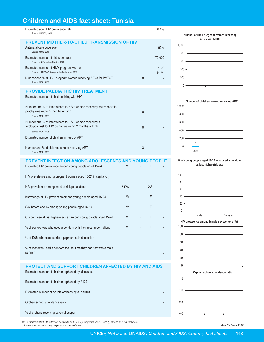# **Children and AIDS fact sheet: Tunisia**

| Estimated adult HIV prevalence rate                                                                        |      |              |      | 0.1%              |
|------------------------------------------------------------------------------------------------------------|------|--------------|------|-------------------|
| Source: UNAIDS, 2006                                                                                       |      |              |      |                   |
| <b>PREVENT MOTHER-TO-CHILD TRANSMISSION OF HIV</b>                                                         |      |              |      |                   |
| Antenatal care coverage                                                                                    |      |              |      | 92%               |
| Source: MICS, 2000                                                                                         |      |              |      |                   |
| Estimated number of births per year<br>Source: UN Population Division, 2006                                |      |              |      | 172,000           |
| Estimated number of HIV+ pregnant women<br>Source: UNAIDS/WHO unpublished estimates, 2007                  |      |              |      | 100<br>$[$ <100]* |
| Number and % of HIV+ pregnant women receiving ARVs for PMTCT                                               |      | 0            |      |                   |
| Source: MOH, 2006                                                                                          |      |              |      |                   |
| <b>PROVIDE PAEDIATRIC HIV TREATMENT</b>                                                                    |      |              |      |                   |
| Estimated number of children living with HIV                                                               |      |              |      |                   |
|                                                                                                            |      |              |      |                   |
| Number and % of infants born to HIV+ women receiving cotrimoxazole<br>prophylaxis within 2 months of birth |      | $\mathbf{0}$ |      |                   |
| Source: MOH, 2006                                                                                          |      |              |      |                   |
| Number and % of infants born to HIV+ women receiving a                                                     |      |              |      |                   |
| virological test for HIV diagnosis within 2 months of birth                                                |      | $\mathbf{0}$ |      |                   |
| Source: MOH, 2006<br>Estimated number of children in need of ART                                           |      |              |      |                   |
|                                                                                                            |      |              |      |                   |
| Number and % of children in need receiving ART                                                             |      | 3            |      |                   |
| Source: MOH, 2006                                                                                          |      |              |      |                   |
| PREVENT INFECTION AMONG ADOLESCENTS AND YOUNG PEOPLE                                                       |      |              |      |                   |
| Estimated HIV prevalence among young people aged 15-24                                                     | M:   |              | F:   |                   |
|                                                                                                            |      |              |      |                   |
| HIV prevalence among pregnant women aged 15-24 in capital city                                             |      |              |      |                   |
| HIV prevalence among most-at-risk populations                                                              | FSW: |              | IDU: |                   |
|                                                                                                            |      |              |      |                   |
| Knowledge of HIV prevention among young people aged 15-24                                                  | M:   |              | F:   |                   |
| Sex before age 15 among young people aged 15-19                                                            | M:   |              | F:   |                   |
|                                                                                                            |      |              |      |                   |
| Condom use at last higher-risk sex among young people aged 15-24                                           | M:   |              | F:   |                   |
|                                                                                                            |      |              |      |                   |
| % of sex workers who used a condom with their most recent client                                           | M:   |              | F:   |                   |
| % of IDUs who used sterile equipment at last injection                                                     |      |              |      |                   |
|                                                                                                            |      |              |      |                   |
| % of men who used a condom the last time they had sex with a male                                          |      |              |      |                   |
| partner                                                                                                    |      |              |      |                   |
|                                                                                                            |      |              |      |                   |
| <b>PROTECT AND SUPPORT CHILDREN AFFECTED BY HIV AND AIDS</b>                                               |      |              |      |                   |
| Estimated number of children orphaned by all causes                                                        |      |              |      |                   |
| Estimated number of children orphaned by AIDS                                                              |      |              |      |                   |
|                                                                                                            |      |              |      |                   |
| Estimated number of double orphans by all causes                                                           |      |              |      |                   |
|                                                                                                            |      |              |      |                   |
| Orphan school attendance ratio                                                                             |      |              |      |                   |
| % of orphans receiving external support                                                                    |      |              |      |                   |
|                                                                                                            |      |              |      |                   |

\* *Represents the uncertainty range around the estimates M/F = male/female; FSW = female sex workers; IDU = injecting drug users. Dash (-) means data not available.*

Rev. 7 March 2008

|       | <b>ARVs for PMTCT</b> |  |  |  |  |  |
|-------|-----------------------|--|--|--|--|--|
| 1,000 |                       |  |  |  |  |  |
| 800   |                       |  |  |  |  |  |
| 600   |                       |  |  |  |  |  |
| 400   |                       |  |  |  |  |  |
| 200   |                       |  |  |  |  |  |
| O     |                       |  |  |  |  |  |

|      | Number of children in need receiving ART |
|------|------------------------------------------|
| ,000 |                                          |
| 800  |                                          |
| 600  |                                          |
| 400  |                                          |
|      |                                          |
| 200  | 3                                        |
|      |                                          |
|      | 2006                                     |

**% of young people aged 15-24 who used a condom at last higher-risk sex**

| 100 |                                             |        |
|-----|---------------------------------------------|--------|
| 80  |                                             |        |
| 60  |                                             |        |
| 40  |                                             |        |
| 20  |                                             |        |
| 0   |                                             |        |
|     | Male                                        | Female |
| 100 | HIV prevalence among female sex workers (%) |        |
| 80  |                                             |        |
| 60  |                                             |        |
| 40  |                                             |        |
| 20  |                                             |        |
| 0   |                                             |        |
|     | Orphan school attendance ratio              |        |
| 1.5 |                                             |        |
| 1.0 |                                             |        |
| 0.5 |                                             |        |
| 0.0 |                                             | ٦      |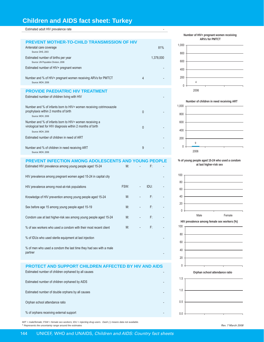### Estimated adult HIV prevalence rate

### **PREVENT MOTHER-TO-CHILD TRANSMISSION OF HIV**

| Antenatal care coverage                                      |   | 81%       | 1,000 |      |  |
|--------------------------------------------------------------|---|-----------|-------|------|--|
| Source: DHS, 2003                                            |   |           | 800   |      |  |
| Estimated number of births per year                          |   | 1,378,000 | 600   |      |  |
| Source: UN Population Division, 2006                         |   |           |       |      |  |
| Estimated number of HIV+ pregnant women                      |   |           | 400   |      |  |
|                                                              |   |           |       |      |  |
| Number and % of HIV+ pregnant women receiving ARVs for PMTCT | 4 |           | 200   |      |  |
| Source: MOH, 2006                                            |   |           |       |      |  |
|                                                              |   |           |       |      |  |
| <b>PROVIDE PAEDIATRIC HIV TREATMENT</b>                      |   |           |       | 2006 |  |
| Estimated number of children living with HIV                 |   |           |       |      |  |

|                                                                    |   |   |       | Number of children in need re |  |
|--------------------------------------------------------------------|---|---|-------|-------------------------------|--|
| Number and % of infants born to HIV+ women receiving cotrimoxazole |   |   | 1,000 |                               |  |
| prophylaxis within 2 months of birth                               | 0 |   | 800   |                               |  |
| Source: MOH, 2006                                                  |   |   |       |                               |  |
| Number and % of infants born to HIV+ women receiving a             |   |   | 600   |                               |  |
| virological test for HIV diagnosis within 2 months of birth        | 0 | - | 400   |                               |  |
| Source: MOH, 2006                                                  |   |   |       |                               |  |
| Estimated number of children in need of ART                        |   |   | 200   |                               |  |
|                                                                    |   |   |       | 9                             |  |
| Number and % of children in need receiving ART                     | 9 |   |       | 2006                          |  |
| Source: MOH. 2006                                                  |   |   |       |                               |  |

### **PREVENT INFECTION AMONG ADOLESCENTS AND YOUNG PEOPLE**

| Estimated HIV prevalence among young people aged 15-24            | M:   | F:   |                                           | at last liigilei -ilsk s       |
|-------------------------------------------------------------------|------|------|-------------------------------------------|--------------------------------|
| HIV prevalence among pregnant women aged 15-24 in capital city    |      |      | 100                                       |                                |
| HIV prevalence among most-at-risk populations                     | FSW: | IDU: | 80<br>60                                  |                                |
| Knowledge of HIV prevention among young people aged 15-24         | M:   | F:   | 40                                        |                                |
|                                                                   | M:   | F:   | 20                                        |                                |
| Sex before age 15 among young people aged 15-19                   |      |      | 0                                         | Male                           |
| Condom use at last higher-risk sex among young people aged 15-24  | M:   | F:   |                                           | HIV prevalence among female se |
| % of sex workers who used a condom with their most recent client  | M:   | F:   | 100                                       |                                |
| % of IDUs who used sterile equipment at last injection            |      |      | 80<br>60                                  |                                |
| % of men who used a condom the last time they had sex with a male |      |      | $\Lambda$ <sup><math>\Lambda</math></sup> |                                |

partner

| <b>PROTECT AND SUPPORT CHILDREN AFFECTED BY HIV AND AIDS</b> |     |                       |
|--------------------------------------------------------------|-----|-----------------------|
| Estimated number of children orphaned by all causes          |     | Orphan school attenda |
| Estimated number of children orphaned by AIDS                | 1.5 |                       |
| Estimated number of double orphans by all causes             | 1.0 |                       |
| Orphan school attendance ratio                               | 0.5 |                       |
| % of orphans receiving external support<br>-                 | 0.0 |                       |

 $*$  Represents the uncertainty range around the estimates *M/F = male/female; FSW = female sex workers; IDU = injecting drug users. Dash (-) means data not available.* **Number of HIV+ pregnant women receiving ARVs for PMTCT**

-

| 1,000        |      |  |  |
|--------------|------|--|--|
| 800          |      |  |  |
| 600          |      |  |  |
| 400          |      |  |  |
| 200          |      |  |  |
| $\mathbf{0}$ | 4    |  |  |
|              | 2006 |  |  |

|       | Number of children in need receiving ART |  |  |
|-------|------------------------------------------|--|--|
| 1,000 |                                          |  |  |
| 800   |                                          |  |  |
| 600   |                                          |  |  |
| 400   |                                          |  |  |
| 200   |                                          |  |  |
|       | 9                                        |  |  |
|       | 2006                                     |  |  |

**% of young people aged 15-24 who used a condom at last higher-risk sex**

| 100 |                                             |
|-----|---------------------------------------------|
| 80  |                                             |
| 60  |                                             |
| 40  |                                             |
| 20  |                                             |
| 0   |                                             |
|     | Male<br>Female                              |
|     | HIV prevalence among female sex workers (%) |
| 100 |                                             |
| 80  |                                             |
| 60  |                                             |
| 40  |                                             |
|     |                                             |
| 20  |                                             |
| 0   |                                             |
|     | Orphan school attendance ratio              |
| 1.5 |                                             |
|     |                                             |
| 1.0 |                                             |
| 0.5 |                                             |
|     |                                             |
| 0.0 | T<br>T                                      |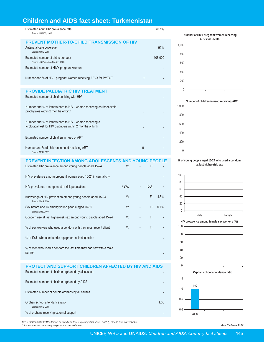# **Children and AIDS fact sheet: Turkmenistan**

| Estimated adult HIV prevalence rate                                         |      |              |      | < 0.1%       |                                                   |
|-----------------------------------------------------------------------------|------|--------------|------|--------------|---------------------------------------------------|
| Source: UNAIDS, 2006                                                        |      |              |      |              | Number of HIV+ pregnant women receiving           |
| PREVENT MOTHER-TO-CHILD TRANSMISSION OF HIV                                 |      |              |      |              | <b>ARVs for PMTCT</b><br>1,000                    |
| Antenatal care coverage                                                     |      |              |      | 99%          |                                                   |
| Source: MICS, 2006                                                          |      |              |      |              | 800                                               |
| Estimated number of births per year<br>Source: UN Population Division, 2006 |      |              |      | 108,000      | 600                                               |
| Estimated number of HIV+ pregnant women                                     |      |              |      |              |                                                   |
|                                                                             |      |              |      |              | 400                                               |
| Number and % of HIV+ pregnant women receiving ARVs for PMTCT                |      | $\mathbf{0}$ |      |              | 200                                               |
|                                                                             |      |              |      |              |                                                   |
| <b>PROVIDE PAEDIATRIC HIV TREATMENT</b>                                     |      |              |      |              | 0                                                 |
| Estimated number of children living with HIV                                |      |              |      |              |                                                   |
| Number and % of infants born to HIV+ women receiving cotrimoxazole          |      |              |      |              | Number of children in need receiving ART<br>1,000 |
| prophylaxis within 2 months of birth                                        |      |              |      |              |                                                   |
|                                                                             |      |              |      |              | 800                                               |
| Number and % of infants born to HIV+ women receiving a                      |      |              |      |              | 600                                               |
| virological test for HIV diagnosis within 2 months of birth                 |      |              |      |              |                                                   |
| Estimated number of children in need of ART                                 |      |              |      |              | 400                                               |
|                                                                             |      |              |      |              | 200                                               |
| Number and % of children in need receiving ART                              |      | $\mathbf 0$  |      |              |                                                   |
| Source: MOH, 2006                                                           |      |              |      |              | $\theta$                                          |
| PREVENT INFECTION AMONG ADOLESCENTS AND                                     |      |              |      | YOUNG PEOPLE | % of young people aged 15-24 who used a condom    |
| Estimated HIV prevalence among young people aged 15-24                      | M:   |              | F:   |              | at last higher-risk sex                           |
|                                                                             |      |              |      |              |                                                   |
| HIV prevalence among pregnant women aged 15-24 in capital city              |      |              |      |              | 100                                               |
| HIV prevalence among most-at-risk populations                               | FSW: |              | IDU: |              | 80                                                |
|                                                                             |      |              |      |              | 60                                                |
| Knowledge of HIV prevention among young people aged 15-24                   | M:   |              | F:   | 4.8%         | 40                                                |
| Source: MICS, 2006                                                          |      |              |      |              | 20                                                |
| Sex before age 15 among young people aged 15-19<br>Source: DHS, 2000        | M:   |              | F:   | 0.1%         | 0                                                 |
| Condom use at last higher-risk sex among young people aged 15-24            | M:   |              | F:   |              | Male<br>Female                                    |
|                                                                             |      |              |      |              | HIV prevalence among female sex workers (%)       |
| % of sex workers who used a condom with their most recent client            | M:   |              | F:   |              | 100                                               |
|                                                                             |      |              |      |              | 80                                                |
| % of IDUs who used sterile equipment at last injection                      |      |              |      |              | 60                                                |
| % of men who used a condom the last time they had sex with a male           |      |              |      |              |                                                   |
| partner                                                                     |      |              |      |              | 40                                                |
|                                                                             |      |              |      |              | 20                                                |
| <b>PROTECT AND SUPPORT CHILDREN AFFECTED BY HIV AND AIDS</b>                |      |              |      |              | 0                                                 |
| Estimated number of children orphaned by all causes                         |      |              |      |              | Orphan school attendance ratio                    |
|                                                                             |      |              |      |              | 1.5                                               |
| Estimated number of children orphaned by AIDS                               |      |              |      |              | 1.00                                              |
|                                                                             |      |              |      |              | 1.0                                               |
| Estimated number of double orphans by all causes                            |      |              |      |              |                                                   |
| Orphan school attendance ratio                                              |      |              |      | 1.00         | 0.5                                               |
| Source: MICS, 2006                                                          |      |              |      |              | 0.0                                               |
| % of orphans receiving external support                                     |      |              |      |              | 2006                                              |
|                                                                             |      |              |      |              |                                                   |

\*\*\*\*<br>\* Represents the uncertainty range around the estimates *M/F = male/female; FSW = female sex workers; IDU = injecting drug users. Dash (-) means data not available.*

Rev. 7 March 2008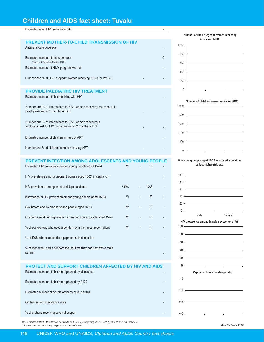#### Estimated adult HIV prevalence rate

## **PREVENT MOTHER-TO-CHILD TRANSMISSION OF HIV**

| Antenatal care coverage                                           | . 1000 |  |
|-------------------------------------------------------------------|--------|--|
|                                                                   | 800    |  |
| Estimated number of births per year<br>υ                          |        |  |
| Source: UN Population Division, 2006                              | 600    |  |
| Estimated number of HIV+ pregnant women                           | 400    |  |
|                                                                   |        |  |
| Number and % of HIV+ pregnant women receiving ARVs for PMTCT<br>- | 200    |  |
|                                                                   |        |  |

### **PROVIDE PAEDIATRIC HIV TREATMENT**

| Estimated number of children living with HIV                       |  |       |                               |
|--------------------------------------------------------------------|--|-------|-------------------------------|
|                                                                    |  |       | Number of children in need re |
| Number and % of infants born to HIV+ women receiving cotrimoxazole |  | 1,000 |                               |
| prophylaxis within 2 months of birth                               |  | 800   |                               |
|                                                                    |  |       |                               |
| Number and % of infants born to HIV+ women receiving a             |  | 600   |                               |
| virological test for HIV diagnosis within 2 months of birth        |  |       |                               |
|                                                                    |  | 400   |                               |
| Estimated number of children in need of ART                        |  | 200   |                               |
|                                                                    |  |       |                               |
| Number and % of children in need receiving ART                     |  |       |                               |

## **PREVENT INFECTION AMONG ADOLESCENTS AND YOUNG PEOPLE**

| Estimated HIV prevalence among young people aged 15-24            | M:   | F:   |                                           | at last liigilei -ilsk s       |  |
|-------------------------------------------------------------------|------|------|-------------------------------------------|--------------------------------|--|
| HIV prevalence among pregnant women aged 15-24 in capital city    |      |      | 100                                       |                                |  |
| HIV prevalence among most-at-risk populations                     | FSW: | IDU: | 80<br>60                                  |                                |  |
| Knowledge of HIV prevention among young people aged 15-24         | M:   | F:   | 40                                        |                                |  |
| Sex before age 15 among young people aged 15-19                   | M:   | F:   | 20                                        |                                |  |
| Condom use at last higher-risk sex among young people aged 15-24  | M:   | F:   | 0                                         | Male                           |  |
| % of sex workers who used a condom with their most recent client  | M:   | F:   | 100                                       | HIV prevalence among female se |  |
|                                                                   |      |      | 80                                        |                                |  |
| % of IDUs who used sterile equipment at last injection            |      |      | 60                                        |                                |  |
| % of men who used a condom the last time they had sex with a male |      |      | $\Lambda$ <sup><math>\Lambda</math></sup> |                                |  |

**PROTECT AND SUPPORT CHILDREN AFFECTED BY HIV AND AIDS**

partner

| Estimated number of children orphaned by all causes |   |     | Orphan school attenda |
|-----------------------------------------------------|---|-----|-----------------------|
| Estimated number of children orphaned by AIDS       |   | 1.5 |                       |
| Estimated number of double orphans by all causes    | - | 1.0 |                       |
| Orphan school attendance ratio                      |   | 0.5 |                       |
| % of orphans receiving external support             |   | 0.0 |                       |

 $*$  Represents the uncertainty range around the estimates *M/F = male/female; FSW = female sex workers; IDU = injecting drug users. Dash (-) means data not available.*

| Number of HIV+ pregnant women receiving |
|-----------------------------------------|
| <b>ARVs for PMTCT</b>                   |

-

-

| 1,000 |  |
|-------|--|
| 800   |  |
| 600   |  |
| 400   |  |
| 200   |  |
| ſ     |  |

|       | Number of children in need receiving ART |
|-------|------------------------------------------|
| 1,000 |                                          |
| 800   |                                          |
| 600   |                                          |
| 400   |                                          |
| 200   |                                          |
|       |                                          |

#### **% of young people aged 15-24 who used a condom at last higher-risk sex**

| 100     |                                             |
|---------|---------------------------------------------|
| 80      |                                             |
| 60      |                                             |
| 40      |                                             |
| 20      |                                             |
| 0       |                                             |
|         | Male<br>Female                              |
| $100 -$ | HIV prevalence among female sex workers (%) |
|         |                                             |
| 80<br>ł |                                             |
| 60      |                                             |
| 40      |                                             |
| 20      |                                             |
| 0       |                                             |
|         | Orphan school attendance ratio              |
| 1.5     |                                             |
|         |                                             |
| 1.0     |                                             |
| 0.5     |                                             |
|         |                                             |
| 0.0     | T                                           |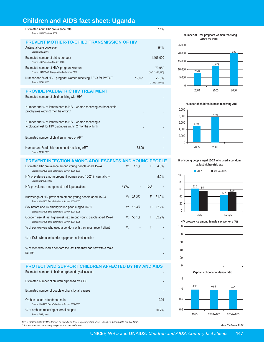## **Children and AIDS fact sheet: Uganda**

| Estimated adult HIV prevalence rate                                                                        | 7.1%                           |                                                       |
|------------------------------------------------------------------------------------------------------------|--------------------------------|-------------------------------------------------------|
| Source: UNAIDS/WHO, 2007                                                                                   |                                | Number of HIV+ pregnant wome<br><b>ARVs for PMTCT</b> |
| <b>PREVENT MOTHER-TO-CHILD TRANSMISSION OF HIV</b>                                                         |                                | 25,000                                                |
| Antenatal care coverage<br>Source: DHS, 2006                                                               | 94%                            |                                                       |
| Estimated number of births per year                                                                        | 1,406,000                      | 20,000                                                |
| Source: UN Population Division, 2006                                                                       |                                | 15,000<br>12.073                                      |
| Estimated number of HIV+ pregnant women<br>Source: UNAIDS/WHO unpublished estimates, 2007                  | 79.950                         | 10,000<br>7,907                                       |
| Number and % of HIV+ pregnant women receiving ARVs for PMTCT<br>19,991                                     | $[70,513 - 92,116]$ *<br>25.0% | 5,000                                                 |
| Source: MOH, 2006                                                                                          | $[21.7\% - 28.4\%]$ *          | $\Omega$                                              |
| <b>PROVIDE PAEDIATRIC HIV TREATMENT</b>                                                                    |                                | 2004<br>2005                                          |
| Estimated number of children living with HIV                                                               |                                |                                                       |
|                                                                                                            |                                | Number of children in need re                         |
| Number and % of infants born to HIV+ women receiving cotrimoxazole<br>prophylaxis within 2 months of birth |                                | 10,000                                                |
|                                                                                                            |                                | 7,800<br>8,000                                        |
| Number and % of infants born to HIV+ women receiving a                                                     |                                | 6,000<br>5,000                                        |
| virological test for HIV diagnosis within 2 months of birth                                                |                                | 4,000                                                 |
| Estimated number of children in need of ART                                                                |                                | 2,000                                                 |
|                                                                                                            |                                |                                                       |

| Number and % of children in need receiving ART<br>Source: MOH, 2006 | 7.800 | - |
|---------------------------------------------------------------------|-------|---|
|                                                                     |       |   |

## **PREVENT INFECTION AMONG ADOLESCENTS AND YOUNG PEOPLE**

| Estimated HIV prevalence among young people aged 15-24                                                                  | M:   | 1.1%  | F:   | 4.3%     |                     |                                           | <b>deal induct-tiple</b> sex |
|-------------------------------------------------------------------------------------------------------------------------|------|-------|------|----------|---------------------|-------------------------------------------|------------------------------|
| Source: HIV/AIDS Sero-Behavioural Survey, 2004-2005                                                                     |      |       |      |          |                     | $\blacksquare$ 2001                       | ■ 2004-200                   |
| HIV prevalence among pregnant women aged 15-24 in capital city<br>Source: UNAIDS, 2006                                  |      |       |      | 5.2%     | 100<br>80           |                                           |                              |
| HIV prevalence among most-at-risk populations                                                                           | FSW: |       | IDU: |          | 60                  | 62.0<br>55.1                              | 44                           |
| Knowledge of HIV prevention among young people aged 15-24<br>Source: HIV/AIDS Sero-Behavioural Survey, 2004-2005        | M:   | 38.2% |      | F: 31.9% | 40<br>20            |                                           |                              |
| Sex before age 15 among young people aged 15-19<br>Source: HIV/AIDS Sero-Behavioural Survey, 2004-2005                  | M:   | 16.3% |      | F: 12.2% |                     |                                           |                              |
| Condom use at last higher-risk sex among young people aged 15-24<br>Source: HIV/AIDS Sero-Behavioural Survey, 2004-2005 | M:   | 55.1% |      | F: 52.9% |                     | Male<br>HIV prevalence among female sex w |                              |
| % of sex workers who used a condom with their most recent client                                                        | M:   |       | F:   |          | 100                 |                                           |                              |
| % of IDUs who used sterile equipment at last injection                                                                  |      |       |      |          | 80<br>60            |                                           |                              |
| % of men who used a condom the last time they had sex with a male                                                       |      |       |      |          | $\Lambda$ $\Lambda$ |                                           |                              |

### **PROTECT AND SUPPORT CHILDREN AFFECTED BY HIV AND AIDS**

| Estimated number of children orphaned by all causes          |       |     |      | Orphan school attenda |
|--------------------------------------------------------------|-------|-----|------|-----------------------|
| Estimated number of children orphaned by AIDS                | -     | 1.5 |      |                       |
| Estimated number of double orphans by all causes             |       | 1.0 | 0.96 | 0.95                  |
| Orphan school attendance ratio                               | 0.94  | 0.5 |      |                       |
| Source: HIV/AIDS Sero-Behavioural Survey, 2004-2005          |       | 0.0 |      |                       |
| % of orphans receiving external support<br>Source: DHS, 2004 | 10.7% |     | 1995 | 2000-2001             |

\* *Represents the uncertainty range around the estimates M/F = male/female; FSW = female sex workers; IDU = injecting drug users. Dash (-) means data not available.*

partner

Rev. 7 March 2008

**Number of HIV+ pregnant women receiving ARVs for PMTCT**



2006 456 **Number of children in need receiving ART**



**% of young people aged 15-24 who used a condom at last higher-risk sex**





## UNICEF, WHO and UNAIDS, Children and AIDS: Country fact sheets 147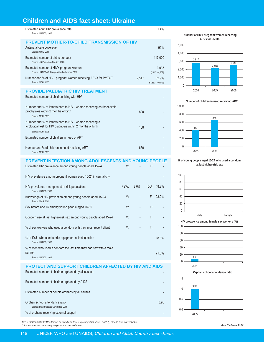## **Children and AIDS fact sheet: Ukraine**

Number and % of infants born to HIV+ women receiving cotrimoxazole Number and % of infants born to HIV+ women receiving cotrimoxazole

Number and % of infants born to HIV+ women receiving a Number and % of infants born to HIV+ women receiving a virological test for HIV diagnosis within 2 months of birth

HIV prevalence among pregnant women aged 15-24 in capital city

Source: MOH, 2006

Source: MOH, 2006

Source: MOH, 2006

Source: MICS, 2005

partner

Estimated number of children in need of ART

Number and % of children in need receiving ART

| Estimated adult HIV prevalence rate                                         | 1.4%                  |       |       |                                                      |
|-----------------------------------------------------------------------------|-----------------------|-------|-------|------------------------------------------------------|
| Source: UNAIDS, 2006                                                        |                       |       |       | Number of HIV+ pregnant wom<br><b>ARVs for PMTCT</b> |
| <b>PREVENT MOTHER-TO-CHILD TRANSMISSION OF HIV</b>                          |                       | 5,000 |       |                                                      |
| Antenatal care coverage                                                     | 99%                   |       |       |                                                      |
| Source: MICS, 2005                                                          |                       | 4,000 |       |                                                      |
| Estimated number of births per year<br>Source: UN Population Division, 2006 | 417.000               | 3,000 | 2,817 |                                                      |
| Estimated number of HIV+ pregnant women                                     | 3.037                 |       |       | 2,168                                                |
| Source: UNAIDS/WHO unpublished estimates, 2007                              | $[1,897 - 4,857]$ *   | 2,000 |       |                                                      |
| Number and % of HIV+ pregnant women receiving ARVs for PMTCT<br>2.517       | 82.9%                 | 1,000 |       |                                                      |
| Source: MOH, 2006                                                           | $[51.8\% - 95.0\%]$ * |       |       |                                                      |
| <b>PROVIDE PAEDIATRIC HIV TREATMENT</b>                                     |                       |       | 2004  | 2005                                                 |
| Estimated number of children living with HIV                                |                       |       |       |                                                      |
|                                                                             |                       |       |       | Number of children in need r                         |
|                                                                             |                       |       |       |                                                      |

**PREVENT INFECTION AMONG ADOLESCENTS AND YOUNG PEOPLE**

168

800

650

HIV prevalence among most-at-risk populations FSW: 8.0% IDU: 48.8%

Knowledge of HIV prevention among young people aged 15-24 M: F: 28.2%

Condom use at last higher-risk sex among young people aged 15-24 M: F: F:

Sex before age 15 among young people aged 15-19 M: And M: The Sex before age 15 among young people aged 15-19

% of sex workers who used a condom with their most recent client  $M: F:$ 

Estimated HIV prevalence among young people aged 15-24 M: - F: -

2,168 2,517 2,817 2,000 3,000 4,000

**Number of HIV+ pregnant women receiving ARVs for PMTCT**



**% of young people aged 15-24 who used a condom** 



-

-

-

**at last higher-risk sex**



Estimated number of double orphans by all causes Orphan school attendance ratio Source: State Statistics Committee, 2005 % of orphans receiving external support 0.98

\* *Represents the uncertainty range around the estimates M/F = male/female; FSW = female sex workers; IDU = injecting drug users. Dash (-) means data not available.*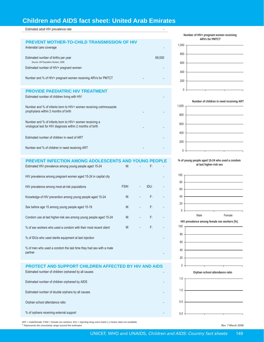# **Children and AIDS fact sheet: United Arab Emirates**

#### Estimated adult HIV prevalence rate

## **PREVENT MOTHER-TO-CHILD TRANSMISSION OF HIV**

| Antenatal care coverage<br>$\overline{\phantom{a}}$                                      |     |  |
|------------------------------------------------------------------------------------------|-----|--|
|                                                                                          | 800 |  |
| Estimated number of births per year<br>69,000                                            |     |  |
| Source: UN Population Division, 2006                                                     | 600 |  |
| Estimated number of HIV+ pregnant women<br>-                                             |     |  |
|                                                                                          | 400 |  |
| Number and % of HIV+ pregnant women receiving ARVs for PMTCT<br>$\overline{\phantom{a}}$ |     |  |
|                                                                                          | 200 |  |

#### **PROVIDE PAEDIATRIC HIV TREATMENT**

| <b>PROVIDE PAEDIATRIC HIV TREATMENT</b>                            |       |                          |
|--------------------------------------------------------------------|-------|--------------------------|
| Estimated number of children living with HIV                       |       |                          |
|                                                                    |       | Number of children in ne |
| Number and % of infants born to HIV+ women receiving cotrimoxazole | 1,000 |                          |
| prophylaxis within 2 months of birth                               | 800   |                          |
|                                                                    |       |                          |
| Number and % of infants born to HIV+ women receiving a             | 600   |                          |
| virological test for HIV diagnosis within 2 months of birth        |       |                          |
|                                                                    | 400   |                          |
| Estimated number of children in need of ART                        |       |                          |
|                                                                    | 200   |                          |
| Number and % of children in need receiving ART                     |       |                          |

#### **PREVENT INFECTION AMONG ADOLESCENTS AND YOUNG PEOPLE**

| Estimated HIV prevalence among young people aged 15-24           | M:   | F:   |     | at last liigilei -ilsk s       |  |
|------------------------------------------------------------------|------|------|-----|--------------------------------|--|
| HIV prevalence among pregnant women aged 15-24 in capital city   |      |      | 100 |                                |  |
| HIV prevalence among most-at-risk populations                    | FSW: | IDU: | 80  |                                |  |
|                                                                  |      |      | 60  |                                |  |
| Knowledge of HIV prevention among young people aged 15-24        | M:   | F:   | 40  |                                |  |
| Sex before age 15 among young people aged 15-19                  | M:   | F:   | 20  |                                |  |
|                                                                  |      |      | 0   |                                |  |
| Condom use at last higher-risk sex among young people aged 15-24 | M:   | F:   |     | Male                           |  |
| % of sex workers who used a condom with their most recent client | M:   | F:   | 100 | HIV prevalence among female se |  |
|                                                                  |      |      | 80  |                                |  |
| % of IDUs who used sterile equipment at last injection           |      |      | 60  |                                |  |
|                                                                  |      |      |     |                                |  |

% of men who used a condom the last time they had sex with a male partner

## **PROTECT AND SUPPORT CHILDREN AFFECTED BY HIV AND AIDS**

| Estimated number of children orphaned by all causes | $\overline{\phantom{0}}$ | Orphan school attenda |
|-----------------------------------------------------|--------------------------|-----------------------|
| Estimated number of children orphaned by AIDS       | -                        | 1.5                   |
| Estimated number of double orphans by all causes    | -                        | 1.0                   |
| Orphan school attendance ratio                      | -                        | 0.5                   |
| % of orphans receiving external support             |                          | 0.0                   |

 $*$  Represents the uncertainty range around the estimates *M/F = male/female; FSW = female sex workers; IDU = injecting drug users.Dash (-) means data not available.*

Rev. 7 March 2008

**Orphan school attendance ratio**

**Number of HIV+ pregnant women receiving ARVs for PMTCT**

**% of young people aged 15-24 who used a condom at last higher-risk sex**

**HIV prevalence among female sex workers (%)**

Male **Female** 

**Number of children in need receiving ART** 

-

 $\Omega$ 200

0

1,000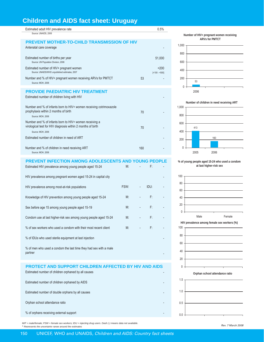# **Children and AIDS fact sheet: Uruguay**

| Estimated adult HIV prevalence rate                                 |     | 0.5%            |                               |
|---------------------------------------------------------------------|-----|-----------------|-------------------------------|
| Source: UNAIDS, 2006                                                |     |                 | Number of HIV+ pregnant wom   |
| <b>PREVENT MOTHER-TO-CHILD TRANSMISSION OF HIV</b>                  |     |                 | <b>ARVs for PMTCT</b>         |
| Antenatal care coverage                                             |     |                 | 1,000                         |
|                                                                     |     |                 | 800                           |
| Estimated number of births per year                                 |     | 51,000          |                               |
| Source: UN Population Division, 2006                                |     |                 | 600                           |
| Estimated number of HIV+ pregnant women                             |     | 200             | 400                           |
| Source: UNAIDS/WHO unpublished estimates, 2007                      |     | $[< 100 - 500]$ |                               |
| Number and % of HIV+ pregnant women receiving ARVs for PMTCT        | 53  |                 | 200<br>53                     |
| Source: MOH. 2006                                                   |     |                 | $\Omega$                      |
| <b>PROVIDE PAEDIATRIC HIV TREATMENT</b>                             |     |                 | 2006                          |
| Estimated number of children living with HIV                        |     |                 |                               |
|                                                                     |     |                 | Number of children in need re |
| Number and % of infants born to HIV+ women receiving cotrimoxazole  |     |                 | 1.000                         |
| prophylaxis within 2 months of birth                                | 70  |                 |                               |
| Source: MOH, 2006                                                   |     |                 | 800                           |
| Number and % of infants born to HIV+ women receiving a              |     |                 | 600                           |
| virological test for HIV diagnosis within 2 months of birth         | 70  |                 | 413                           |
| Source: MOH, 2006                                                   |     |                 | 400                           |
| Estimated number of children in need of ART                         |     |                 | 160<br>200                    |
|                                                                     |     |                 |                               |
| Number and % of children in need receiving ART<br>Source: MOH. 2006 | 160 |                 | 0<br>2005<br>2006             |
|                                                                     |     |                 |                               |
|                                                                     |     |                 |                               |

#### **PREVENT INFECTION AMONG ADOLESCENTS AND YOUNG PEOPLE**

| Estimated HIV prevalence among young people aged 15-24                       | M:   | F:   | at last higher-risk s                 |  |
|------------------------------------------------------------------------------|------|------|---------------------------------------|--|
| HIV prevalence among pregnant women aged 15-24 in capital city               |      |      | 100                                   |  |
| HIV prevalence among most-at-risk populations                                | FSW: | IDU: | 80<br>60                              |  |
| Knowledge of HIV prevention among young people aged 15-24                    | M:   | F:   | 40                                    |  |
| Sex before age 15 among young people aged 15-19                              | M:   | F:   | 20<br>0                               |  |
| Condom use at last higher-risk sex among young people aged 15-24             | M:   | F:   | Male                                  |  |
| % of sex workers who used a condom with their most recent client             | M:   | F:   | HIV prevalence among female se<br>100 |  |
| % of IDUs who used sterile equipment at last injection                       |      |      | 80                                    |  |
| % of men who used a condom the last time they had sex with a male<br>partner |      |      | 60<br>40                              |  |
|                                                                              |      |      |                                       |  |

#### **PROTECT AND SUPPORT CHILDREN AFFECTED BY HIV AND AIDS**

| Estimated number of children orphaned by all causes | $\qquad \qquad \blacksquare$ |     | Orphan school attenda |
|-----------------------------------------------------|------------------------------|-----|-----------------------|
| Estimated number of children orphaned by AIDS       | -                            | 1.5 |                       |
| Estimated number of double orphans by all causes    | -                            | 1.0 |                       |
| Orphan school attendance ratio                      | -                            | 0.5 |                       |
| % of orphans receiving external support             | -                            | 0.0 |                       |

\* *Represents the uncertainty range around the estimates M/F = male/female; FSW = female sex workers; IDU = injecting drug users. Dash (-) means data not available.*





**% of young people aged 15-24 who used a condom at last higher-risk sex**



150 UNICEF, WHO and UNAIDS, Children and AIDS: Country fact sheets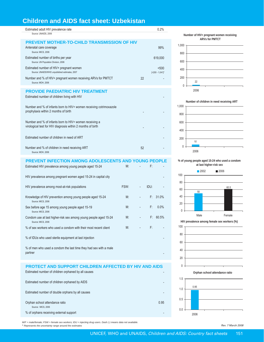## **Children and AIDS fact sheet: Uzbekistan**

| Estimated adult HIV prevalence rate                                                                                  | 0.2%                        |                                    |
|----------------------------------------------------------------------------------------------------------------------|-----------------------------|------------------------------------|
| Source: UNAIDS, 2006                                                                                                 |                             | Number of HIV+ pregnant wome       |
| <b>PREVENT MOTHER-TO-CHILD TRANSMISSION OF HIV</b>                                                                   |                             | <b>ARVs for PMTCT</b><br>1,000     |
| Antenatal care coverage<br>Source: MICS, 2006                                                                        | 99%                         | 800                                |
| Estimated number of births per year<br>Source: UN Population Division, 2006                                          | 619,000                     | 600                                |
| Estimated number of HIV+ pregnant women<br>Source: UNAIDS/WHO unpublished estimates, 2007                            | < 500<br>$[<200 - 1.041]$ * | 400                                |
| Number and % of HIV+ pregnant women receiving ARVs for PMTCT<br>Source: MOH. 2006                                    | 22                          | 200<br>22                          |
|                                                                                                                      |                             | 0                                  |
| <b>PROVIDE PAEDIATRIC HIV TREATMENT</b>                                                                              |                             | 2006                               |
| Estimated number of children living with HIV                                                                         |                             |                                    |
|                                                                                                                      |                             | Number of children in need re      |
| Number and % of infants born to HIV+ women receiving cotrimoxazole<br>prophylaxis within 2 months of birth           |                             | 1,000                              |
|                                                                                                                      |                             | 800                                |
| Number and % of infants born to HIV+ women receiving a                                                               |                             | 600                                |
| virological test for HIV diagnosis within 2 months of birth                                                          |                             |                                    |
|                                                                                                                      |                             | 400                                |
| Estimated number of children in need of ART                                                                          |                             | 200                                |
|                                                                                                                      |                             | 52                                 |
| Number and % of children in need receiving ART<br>Source: MOH, 2006                                                  | 52                          | $\Omega$<br>2006                   |
|                                                                                                                      |                             | % of young people aged 15-24 who u |
| PREVENT INFECTION AMONG ADOLESCENTS AND YOUNG PEOPLE<br>Estimated HIV prevalence among young people aged 15-24<br>M: | F:                          | at last higher-risk sex            |

| Estimated Fire prevalence among young people aged 15-24                                | IVI. |                          | г.   |       |                                        |                |
|----------------------------------------------------------------------------------------|------|--------------------------|------|-------|----------------------------------------|----------------|
|                                                                                        |      |                          |      |       | $\blacksquare$ 2002                    | $\blacksquare$ |
| HIV prevalence among pregnant women aged 15-24 in capital city                         |      |                          |      |       | 100                                    |                |
|                                                                                        |      |                          |      |       | 80                                     |                |
| HIV prevalence among most-at-risk populations                                          | FSW: | $\overline{\phantom{a}}$ | IDU: |       | 60                                     |                |
| Knowledge of HIV prevention among young people aged 15-24<br>Source: MICS, 2006        | M:   | $\overline{a}$           | F:   | 31.0% | 50<br>40                               |                |
| Sex before age 15 among young people aged 15-19<br>Source: MICS, 2006                  | M:   | $\overline{\phantom{a}}$ | F:   | 0.0%  | 20<br>0                                |                |
| Condom use at last higher-risk sex among young people aged 15-24<br>Source: MICS, 2006 | M:   | $\overline{\phantom{a}}$ | F:   | 60.5% | Male<br>HIV prevalence among female se |                |
| % of sex workers who used a condom with their most recent client                       | M:   |                          | F:   |       | 100                                    |                |
| % of IDUs who used sterile equipment at last injection                                 |      |                          |      |       | 80                                     |                |
|                                                                                        |      |                          |      |       | 60                                     |                |
| % of men who used a condom the last time they had sex with a male                      |      |                          |      |       | $\Delta \Omega$                        |                |

### **PROTECT AND SUPPORT CHILDREN AFFECTED BY HIV AND AIDS**

| Estimated number of children orphaned by all causes |      |     | Orphan school attenda |
|-----------------------------------------------------|------|-----|-----------------------|
| Estimated number of children orphaned by AIDS       | -    | 1.5 |                       |
|                                                     |      | 1.0 | 0.95                  |
| Estimated number of double orphans by all causes    | -    |     |                       |
| Orphan school attendance ratio                      | 0.95 | 0.5 |                       |
| Source: MICS, 2006                                  |      | 0.0 |                       |
| % of orphans receiving external support             | -    |     | 2006                  |

*M/F = male/female; FSW = female sex workers; IDU = injecting drug users. Dash (-) means data not available.*<br>\* Represents the uncertainty range around the estimates

partner

**Number of HIV+ pregnant women receiving ARVs for PMTCT**





#### **% of young people aged 15-24 who used a condom at last higher-risk sex**







Rev. 7 March 2008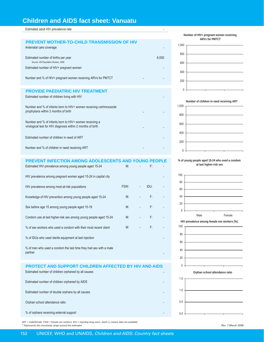### Estimated adult HIV prevalence rate

### **PREVENT MOTHER-TO-CHILD TRANSMISSION OF HIV**

| Antenatal care coverage                                                                  |     |  |
|------------------------------------------------------------------------------------------|-----|--|
|                                                                                          | 800 |  |
| Estimated number of births per year<br>6,000                                             |     |  |
| Source: UN Population Division, 2006                                                     | 600 |  |
| Estimated number of HIV+ pregnant women                                                  | 400 |  |
|                                                                                          |     |  |
| Number and % of HIV+ pregnant women receiving ARVs for PMTCT<br>$\overline{\phantom{a}}$ | 200 |  |
|                                                                                          |     |  |

| <b>PROVIDE PAEDIATRIC HIV TREATMENT</b>                            |       |                               |
|--------------------------------------------------------------------|-------|-------------------------------|
| Estimated number of children living with HIV                       |       |                               |
|                                                                    |       | Number of children in need re |
| Number and % of infants born to HIV+ women receiving cotrimoxazole | 1.000 |                               |
| prophylaxis within 2 months of birth                               | 800   |                               |
|                                                                    |       |                               |
| Number and % of infants born to HIV+ women receiving a             | 600   |                               |
| virological test for HIV diagnosis within 2 months of birth        |       |                               |
|                                                                    | 400   |                               |
| Estimated number of children in need of ART                        |       |                               |
|                                                                    | 200   |                               |

Number and % of children in need receiving ART

## **PREVENT INFECTION AMONG ADOLESCENTS AND YOUNG PEOPLE**

| Estimated HIV prevalence among young people aged 15-24           | M:   | F:   |     | at last liigilei -ilsk s       |
|------------------------------------------------------------------|------|------|-----|--------------------------------|
| HIV prevalence among pregnant women aged 15-24 in capital city   |      |      | 100 |                                |
|                                                                  | FSW: | IDU: | 80  |                                |
| HIV prevalence among most-at-risk populations                    |      |      | 60  |                                |
| Knowledge of HIV prevention among young people aged 15-24        | M:   | F:   | 40  |                                |
| Sex before age 15 among young people aged 15-19                  | M:   | F:   | 20  |                                |
|                                                                  |      |      | 0   | Male                           |
| Condom use at last higher-risk sex among young people aged 15-24 | M:   | F:   |     | HIV prevalence among female se |
| % of sex workers who used a condom with their most recent client | M:   | F:   | 100 |                                |
|                                                                  |      |      | 80  |                                |
| % of IDUs who used sterile equipment at last injection           |      |      | 60  |                                |
|                                                                  |      |      |     |                                |

% of men who used a condom the last time they had sex with a male partner

## **PROTECT AND SUPPORT CHILDREN AFFECTED BY HIV AND AIDS**

| Estimated number of children orphaned by all causes | $\overline{\phantom{0}}$ | Orphan school attenda |
|-----------------------------------------------------|--------------------------|-----------------------|
| Estimated number of children orphaned by AIDS       |                          | 1.5                   |
| Estimated number of double orphans by all causes    | -                        | 1.0                   |
| Orphan school attendance ratio                      |                          | 0.5                   |
| % of orphans receiving external support             |                          | 0.0                   |

 $*$  Represents the uncertainty range around the estimates *M/F = male/female; FSW = female sex workers; IDU = injecting drug users. Dash (-) means data not available.* **Number of HIV+ pregnant women receiving ARVs for PMTCT**

| 1,000 |  |
|-------|--|
| 800   |  |
| 600   |  |
| 400   |  |
| 200   |  |
|       |  |

|       | Number of children in need receiving ART |
|-------|------------------------------------------|
| 1,000 |                                          |
| 800   |                                          |
| 600   |                                          |
| 400   |                                          |
| 200   |                                          |
|       |                                          |

**% of young people aged 15-24 who used a condom at last higher-risk sex**

- -

-

| 100      |                                                     |        |
|----------|-----------------------------------------------------|--------|
| 80       |                                                     |        |
| 60       |                                                     |        |
| 40       |                                                     |        |
| 20       |                                                     |        |
| 0        |                                                     |        |
| $100 -$  | Male<br>HIV prevalence among female sex workers (%) | Female |
| 80       |                                                     |        |
| 60       |                                                     |        |
| 40       |                                                     |        |
| 20       |                                                     |        |
| $\Omega$ |                                                     |        |
|          | Orphan school attendance ratio                      |        |
| 1.5      |                                                     |        |
| 1.0      |                                                     |        |
| 0.5      |                                                     |        |
| 0.0      |                                                     | T      |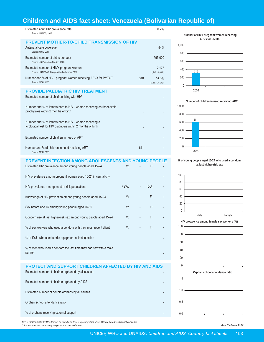# **Children and AIDS fact sheet: Venezuela (Bolivarian Republic of)**

Estimated adult HIV prevalence rate Source: UNAIDS, 2006

Antenatal care coverage

Source: MOH, 2006

partner

94%

**Number of HIV+ pregnant women receiving ARVs for PMTCT**





#### **% of young people aged 15-24 who used a condom at last higher-risk sex**

| 100      |                                             |
|----------|---------------------------------------------|
| 80       |                                             |
| 60       |                                             |
| 40       |                                             |
| 20       |                                             |
| 0        |                                             |
|          | Male<br>Female                              |
|          | HIV prevalence among female sex workers (%) |
| 100      |                                             |
| 80       |                                             |
| 60       |                                             |
| 40       |                                             |
|          |                                             |
| 20       |                                             |
| $\Omega$ |                                             |
|          | Orphan school attendance ratio              |
| 1.5      |                                             |
|          |                                             |
| 1.0      |                                             |
|          |                                             |
| 0.5      |                                             |
| 0.0      |                                             |
|          |                                             |

| Source: MICS, 2000                                                                                                    |                                      | 800                           |  |
|-----------------------------------------------------------------------------------------------------------------------|--------------------------------------|-------------------------------|--|
| Estimated number of births per year<br>Source: UN Population Division, 2006                                           | 595,000                              | 600                           |  |
| Estimated number of HIV+ pregnant women<br>Source: UNAIDS/WHO unpublished estimates, 2007                             | 2,173<br>$[1,242 - 4,086]$ *         | 400<br>310                    |  |
| Number and % of HIV+ pregnant women receiving ARVs for PMTCT<br>Source: MOH, 2006                                     | 14.3%<br>310<br>$[7.6\% - 25.0\%]$ * | 200<br>0                      |  |
| <b>PROVIDE PAEDIATRIC HIV TREATMENT</b>                                                                               |                                      | 2006                          |  |
| Estimated number of children living with HIV                                                                          |                                      | Number of children in need re |  |
| Number and % of infants born to HIV+ women receiving cotrimoxazole<br>prophylaxis within 2 months of birth            |                                      | 1,000                         |  |
|                                                                                                                       |                                      | 800<br>611                    |  |
| Number and % of infants born to HIV+ women receiving a<br>virological test for HIV diagnosis within 2 months of birth |                                      | 600<br>400                    |  |
| Estimated number of children in need of ART                                                                           |                                      | 200                           |  |
| Number and % of children in need receiving ART                                                                        | 611                                  | $\Omega$                      |  |
|                                                                                                                       |                                      |                               |  |

**PREVENT MOTHER-TO-CHILD TRANSMISSION OF HIV**

# **PREVENT INFECTION AMONG ADOLESCENTS AND YOUNG PEOPLE**

| Estimated HIV prevalence among young people aged 15-24            | M:   | F:   |                           | at last higher-risk s                  |
|-------------------------------------------------------------------|------|------|---------------------------|----------------------------------------|
| HIV prevalence among pregnant women aged 15-24 in capital city    |      |      | 100                       |                                        |
| HIV prevalence among most-at-risk populations                     | FSW: | IDU: | 80<br>60                  |                                        |
| Knowledge of HIV prevention among young people aged 15-24         | M:   | F:   | 40                        |                                        |
| Sex before age 15 among young people aged 15-19                   | M:   | F:   | 20<br>0                   |                                        |
| Condom use at last higher-risk sex among young people aged 15-24  | M:   | F:   |                           | Male<br>HIV prevalence among female se |
| % of sex workers who used a condom with their most recent client  | M:   | F:   | 100                       |                                        |
| % of IDUs who used sterile equipment at last injection            |      |      | 80                        |                                        |
| % of men who used a condom the last time they had sex with a male |      |      | 60<br>$\Lambda$ $\Lambda$ |                                        |

### **PROTECT AND SUPPORT CHILDREN AFFECTED BY HIV AND AIDS**

| Estimated number of children orphaned by all causes | $\qquad \qquad \blacksquare$ | Orphan school attenda |
|-----------------------------------------------------|------------------------------|-----------------------|
| Estimated number of children orphaned by AIDS       |                              | 1.5                   |
| Estimated number of double orphans by all causes    | -                            | 1.0                   |
| Orphan school attendance ratio                      |                              | 0.5                   |
| % of orphans receiving external support             |                              | 0.0                   |

\* *Represents the uncertainty range around the estimates M/F = male/female; FSW = female sex workers; IDU = injecting drug users.Dash (-) means data not available.*

Rev. 7 March 2008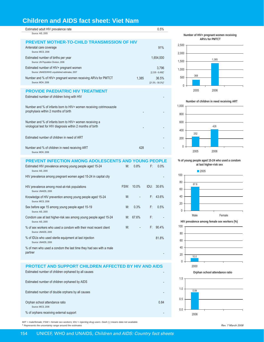## **Children and AIDS fact sheet: Viet Nam**

| Estimated adult HIV prevalence rate                                                     |       | 0.5%                           |       |                               |                                                       |
|-----------------------------------------------------------------------------------------|-------|--------------------------------|-------|-------------------------------|-------------------------------------------------------|
| Source: AIS, 2005                                                                       |       |                                |       |                               | Number of HIV+ pregnant wome<br><b>ARVs for PMTCT</b> |
| <b>PREVENT MOTHER-TO-CHILD TRANSMISSION OF HIV</b>                                      |       |                                | 2,500 |                               |                                                       |
| Antenatal care coverage<br>Source: MICS, 2006                                           |       | 91%                            |       |                               |                                                       |
| Estimated number of births per year                                                     |       | 1,654,000                      | 2,000 |                               |                                                       |
| Source: UN Population Division, 2006                                                    |       |                                | 1,500 |                               | 1.385                                                 |
| Estimated number of HIV+ pregnant women                                                 |       | 3.796                          | 1,000 |                               |                                                       |
| Source: UNAIDS/WHO unpublished estimates, 2007                                          |       | $[2,335 - 6,456]$ *            | 500   | 368                           |                                                       |
| Number and % of HIV+ pregnant women receiving ARVs for PMTCT<br>Source: MOH, 2006       | 1,385 | 36.5%<br>$[21.5\% - 59.3\%]$ * |       |                               |                                                       |
|                                                                                         |       |                                | 0     | 2005                          | 2006                                                  |
| <b>PROVIDE PAEDIATRIC HIV TREATMENT</b><br>Estimated number of children living with HIV |       |                                |       |                               |                                                       |
|                                                                                         |       |                                |       | Number of children in need re |                                                       |
| Number and % of infants born to HIV+ women receiving cotrimoxazole                      |       |                                | 1,000 |                               |                                                       |
| prophylaxis within 2 months of birth                                                    |       |                                | 800   |                               |                                                       |
| Number and % of infants born to HIV+ women receiving a                                  |       |                                | 600   |                               |                                                       |
| virological test for HIV diagnosis within 2 months of birth                             |       |                                |       |                               | 428                                                   |
|                                                                                         |       |                                | 400   | 252                           |                                                       |
| Estimated number of children in need of ART                                             |       |                                | 200   |                               |                                                       |
| Number and % of children in need receiving ART                                          | 428   |                                | 0     |                               |                                                       |
|                                                                                         |       |                                |       |                               |                                                       |

### **PREVENT INFECTION AMONG ADOLESCENTS AND YOUNG PEOPLE**

Source: MOH, 2006

| Estimated HIV prevalence among young people aged 15-24                | M:   | 0.8%  | F: | 0.0%        |     |                                   | <b><i>ALLEY THULFER SEX</i></b> |
|-----------------------------------------------------------------------|------|-------|----|-------------|-----|-----------------------------------|---------------------------------|
| Source: AIS, 2005                                                     |      |       |    |             |     | ■2005                             |                                 |
| HIV prevalence among pregnant women aged 15-24 in capital city        |      |       |    |             | 100 |                                   |                                 |
|                                                                       |      |       |    |             | 80  | 67.6                              |                                 |
| HIV prevalence among most-at-risk populations<br>Source: UNAIDS, 2006 | FSW: | 10.0% |    | IDU: 30.6%  | 60  |                                   |                                 |
| Knowledge of HIV prevention among young people aged 15-24             | M:   |       |    | $F: 43.6\%$ | 40  |                                   |                                 |
| Source: MICS, 2006                                                    |      |       |    |             | 20  |                                   |                                 |
| Sex before age 15 among young people aged 15-19<br>Source: AIS, 2005  | M:   | 0.3%  | F: | 0.5%        |     |                                   |                                 |
| Condom use at last higher-risk sex among young people aged 15-24      | M:   | 67.6% | F: |             |     | Male                              | Fem                             |
| Source: AIS, 2005                                                     |      |       |    |             |     | HIV prevalence among female sex w |                                 |
| % of sex workers who used a condom with their most recent client      | M:   |       |    | $F: 90.4\%$ | 100 |                                   |                                 |
| Source: UNAIDS, 2006                                                  |      |       |    |             | 80  |                                   |                                 |
| % of IDUs who used sterile equipment at last injection                |      |       |    | 81.8%       | 60  |                                   |                                 |
| Source: UNAIDS, 2006                                                  |      |       |    |             |     |                                   |                                 |
| % of men who used a condom the last time they had sex with a male     |      |       |    |             | 40  |                                   |                                 |
| partner                                                               |      |       |    |             | 20  |                                   |                                 |

## **PROTECT AND SUPPORT CHILDREN AFFECTED BY HIV AND AIDS**

| Estimated number of children orphaned by all causes  |                          |     | Orphan school attenda |  |
|------------------------------------------------------|--------------------------|-----|-----------------------|--|
| Estimated number of children orphaned by AIDS        | -                        | 1.5 |                       |  |
| Estimated number of double orphans by all causes     | -                        | 1.0 | 0.84                  |  |
| Orphan school attendance ratio<br>Source: MICS, 2006 | 0.84                     | 0.5 |                       |  |
| % of orphans receiving external support              | $\overline{\phantom{0}}$ | 0.0 | 2006                  |  |

\* *Represents the uncertainty range around the estimates M/F = male/female; FSW = female sex workers; IDU = injecting drug users. Dash (-) means data not available.*







**% of young people aged 15-24 who used a condom at last higher-risk sex**



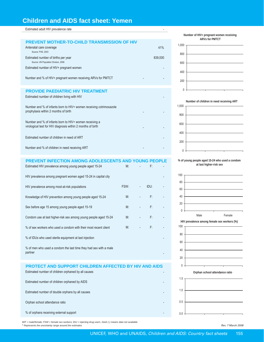## **Children and AIDS fact sheet: Yemen**

#### Estimated adult HIV prevalence rate

partner

## **PREVENT MOTHER-TO-CHILD TRANSMISSION OF HIV**

| Antenatal care coverage                                      | 41%                      | $\cdots$ |  |
|--------------------------------------------------------------|--------------------------|----------|--|
| Source: FHS, 2003                                            |                          | 800      |  |
| Estimated number of births per year                          | 839,000                  |          |  |
| Source: UN Population Division, 2006                         |                          | 600      |  |
| Estimated number of HIV+ pregnant women                      |                          | 400      |  |
|                                                              |                          |          |  |
| Number and % of HIV+ pregnant women receiving ARVs for PMTCT | $\overline{\phantom{a}}$ | 200      |  |

### **PROVIDE PAEDIATRIC HIV TREATMENT**

| Estimated number of children living with HIV                       |        |                               |
|--------------------------------------------------------------------|--------|-------------------------------|
|                                                                    |        | Number of children in need re |
| Number and % of infants born to HIV+ women receiving cotrimoxazole | 1.000  |                               |
| prophylaxis within 2 months of birth                               | 800    |                               |
|                                                                    |        |                               |
| Number and % of infants born to HIV+ women receiving a             | 600    |                               |
| virological test for HIV diagnosis within 2 months of birth        |        |                               |
|                                                                    | 400    |                               |
| Estimated number of children in need of ART                        |        |                               |
|                                                                    | 200    |                               |
| Number and % of children in need receiving ART                     | $\cap$ |                               |

## **PREVENT INFECTION AMONG ADOLESCENTS AND YOUNG PEOPLE**

| Estimated HIV prevalence among young people aged 15-24            | M:   | F:   |                                                 | at last higher-risk s |
|-------------------------------------------------------------------|------|------|-------------------------------------------------|-----------------------|
| HIV prevalence among pregnant women aged 15-24 in capital city    |      |      | 100                                             |                       |
| HIV prevalence among most-at-risk populations                     | FSW: | IDU: | 80<br>60                                        |                       |
| Knowledge of HIV prevention among young people aged 15-24         | M:   | F:   | 40                                              |                       |
| Sex before age 15 among young people aged 15-19                   | M:   | F:   | 20<br>0                                         |                       |
| Condom use at last higher-risk sex among young people aged 15-24  | M:   | F:   | Male<br>HIV prevalence among female se          |                       |
| % of sex workers who used a condom with their most recent client  | M:   | F:   | 100                                             |                       |
| % of IDUs who used sterile equipment at last injection            |      |      | 80                                              |                       |
| % of men who used a condom the last time they had sex with a male |      |      | 60<br>$\Lambda$ <sup><math>\Lambda</math></sup> |                       |

### **PROTECT AND SUPPORT CHILDREN AFFECTED BY HIV AND AIDS**

| Estimated number of children orphaned by all causes | $\overline{\phantom{0}}$ | Orphan school attenda |
|-----------------------------------------------------|--------------------------|-----------------------|
| Estimated number of children orphaned by AIDS       | -                        | 1.5                   |
| Estimated number of double orphans by all causes    | -                        | 1.0                   |
| Orphan school attendance ratio                      | -                        | 0.5                   |
| % of orphans receiving external support             |                          | 0.0                   |

 $*$  Represents the uncertainty range around the estimates *M/F = male/female; FSW = female sex workers; IDU = injecting drug users. Dash (-) means data not available.*

Rev. 7 March 2008

| 800   |                                          |
|-------|------------------------------------------|
| 600   |                                          |
| 400   |                                          |
| 200   |                                          |
|       |                                          |
|       | Number of children in need receiving ART |
| 1,000 |                                          |
| 800   |                                          |

**Number of HIV+ pregnant women receiving ARVs for PMTCT**

| 800 |  |
|-----|--|
|     |  |
| 600 |  |
|     |  |
| 400 |  |
|     |  |
| 200 |  |
|     |  |

**% of young people aged 15-24 who used a condom at last higher-risk sex**

| 100 |                                             |
|-----|---------------------------------------------|
| 80  |                                             |
| 60  |                                             |
| 40  |                                             |
| 20  |                                             |
| 0   |                                             |
|     | Male<br>Female                              |
|     | HIV prevalence among female sex workers (%) |
| 100 |                                             |
| 80  |                                             |
| 60  |                                             |
| 40  |                                             |
| 20  |                                             |
| 0   |                                             |
|     | Orphan school attendance ratio              |
| 1.5 |                                             |
|     |                                             |
| 1.0 |                                             |
| 0.5 |                                             |
|     |                                             |
| 0.0 | ٦                                           |

-

-

1,000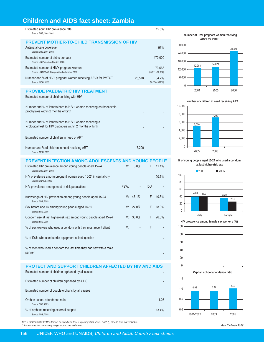## **Children and AIDS fact sheet: Zambia**

| Estimated adult HIV prevalence rate                                                         | 15.6%                          |                              |                               |
|---------------------------------------------------------------------------------------------|--------------------------------|------------------------------|-------------------------------|
| Source: DHS, 2001-2002                                                                      |                                | Number of HIV+ pregnant wome | <b>ARVs for PMTCT</b>         |
| <b>PREVENT MOTHER-TO-CHILD TRANSMISSION OF HIV</b>                                          |                                | 30.000                       |                               |
| Antenatal care coverage<br>Source: DHS. 2001-2002                                           | 93%                            |                              |                               |
| Estimated number of births per year                                                         | 470,000                        | 24,000                       |                               |
| Source: UN Population Division, 2006                                                        |                                | 18,000                       | 14,071                        |
| Estimated number of HIV+ pregnant women                                                     | 73.668                         | 12,983<br>12,000             |                               |
| Source: UNAIDS/WHO unpublished estimates, 2007                                              | [65,911 - 82,984]*             |                              |                               |
| Number and % of HIV+ pregnant women receiving ARVs for PMTCT<br>25,578<br>Source: MOH, 2006 | 34.7%<br>$[30.8\% - 38.8\%]$ * | 6,000                        |                               |
|                                                                                             |                                | $\theta$                     |                               |
| <b>PROVIDE PAEDIATRIC HIV TREATMENT</b>                                                     |                                | 2004                         | 2005                          |
| Estimated number of children living with HIV                                                |                                |                              |                               |
| Number and % of infants born to HIV+ women receiving cotrimoxazole                          |                                | 10.000                       | Number of children in need re |
| prophylaxis within 2 months of birth                                                        |                                |                              |                               |
|                                                                                             |                                | 8,000                        | 7.200                         |
| Number and % of infants born to HIV+ women receiving a                                      |                                | 6,000<br>5,000               |                               |
| virological test for HIV diagnosis within 2 months of birth                                 |                                | 4.000                        |                               |
| Estimated number of children in need of ART                                                 |                                | 2.000                        |                               |
|                                                                                             |                                |                              |                               |

## **PREVENT INFECTION AMONG ADOLESCENTS AND YOUNG PEOPLE**

7,200

-

Number and % of children in need receiving ART

Source: MOH, 2006

partner

| Estimated HIV prevalence among young people aged 15-24                                 | M:   | 3.0%  |      | $F: 11.1\%$ |                     | at last liigilei -ilsk sex        |       |
|----------------------------------------------------------------------------------------|------|-------|------|-------------|---------------------|-----------------------------------|-------|
| Source: DHS, 2001-2002                                                                 |      |       |      |             |                     | $\blacksquare$ 2003               | ■2005 |
| HIV prevalence among pregnant women aged 15-24 in capital city<br>Source: UNAIDS, 2006 |      |       |      | 20.7%       | 100<br>80           |                                   |       |
| HIV prevalence among most-at-risk populations                                          | FSW: |       | IDU: |             | 60                  |                                   |       |
|                                                                                        |      |       |      |             |                     | 40.0<br>38.0                      | 35    |
| Knowledge of HIV prevention among young people aged 15-24<br>Source: SBS, 2005         | M:   | 46.1% |      | F: 40.5%    | 40<br>20            |                                   |       |
| Sex before age 15 among young people aged 15-19<br>Source: SBS, 2005                   | M:   | 27.0% |      | $F: 18.0\%$ |                     |                                   |       |
| Condom use at last higher-risk sex among young people aged 15-24                       | M:   | 38.0% |      | $F: 26.0\%$ |                     | Male                              |       |
| Source: SBS, 2005                                                                      |      |       |      |             |                     | HIV prevalence among female sex w |       |
| % of sex workers who used a condom with their most recent client                       | M:   |       | F:   |             | 100                 |                                   |       |
|                                                                                        |      |       |      |             | 80                  |                                   |       |
| % of IDUs who used sterile equipment at last injection                                 |      |       |      |             | 60                  |                                   |       |
|                                                                                        |      |       |      |             |                     |                                   |       |
| % of men who used a condom the last time they had sex with a male                      |      |       |      |             | $\Lambda$ $\Lambda$ |                                   |       |

### **PROTECT AND SUPPORT CHILDREN AFFECTED BY HIV AND AIDS**

| Estimated number of children orphaned by all causes          | $\overline{\phantom{0}}$ |     |           | Orphan school attenda |
|--------------------------------------------------------------|--------------------------|-----|-----------|-----------------------|
| Estimated number of children orphaned by AIDS                | -                        | 1.5 |           |                       |
| Estimated number of double orphans by all causes             | $\overline{\phantom{0}}$ | 1.0 | 0.91      | 0.92                  |
| Orphan school attendance ratio                               | 1.03                     | 0.5 |           |                       |
| Source: SBS, 2005<br>% of orphans receiving external support | 13.4%                    | 0.0 |           |                       |
| Source: SBS, 2005                                            |                          |     | 2001-2002 | 2003                  |

 $*$  Represents the uncertainty range around the estimates *M/F = male/female; FSW = female sex workers; IDU = injecting drug users. Dash (-) means data not available.* **Number of HIV+ pregnant women receiving ARVs for PMTCT**





**% of young people aged 15-24 who used a condom at last higher-risk sex**





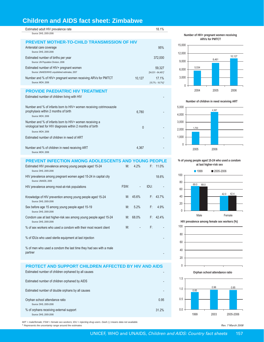# **Children and AIDS fact sheet: Zimbabwe**

| Estimated adult HIV prevalence rate                | 18.1% |
|----------------------------------------------------|-------|
| Source: DHS. 2005-2006                             |       |
| <b>PREVENT MOTHER-TO-CHILD TRANSMISSION OF HIV</b> |       |

| Antenatal care coverage<br>95%                                                                                                | . 0.000 |       |       |  |
|-------------------------------------------------------------------------------------------------------------------------------|---------|-------|-------|--|
| Source: DHS, 2005-2006                                                                                                        | 12.000  |       |       |  |
| Estimated number of births per year<br>372,000<br>Source: UN Population Division, 2006                                        | 9,000   |       | 8,461 |  |
| Estimated number of HIV+ pregnant women<br>59.327<br>Source: UNAIDS/WHO unpublished estimates, 2007<br>[54,031 - 64,481]*     | 6.000   | 5,534 |       |  |
| Number and % of HIV+ pregnant women receiving ARVs for PMTCT<br>10.127<br>17.1%<br>Source: MOH, 2006<br>$[15.7\% - 18.7\%]$ * | 3,000   |       |       |  |
|                                                                                                                               |         |       |       |  |

## **PROVIDE PAEDIATRIC HIV TREATMENT**

| Estimated number of children living with HIV |  |  |
|----------------------------------------------|--|--|
|----------------------------------------------|--|--|

partner

| Estimated number of children living with HIV                                     |       |       |                               |       |  |
|----------------------------------------------------------------------------------|-------|-------|-------------------------------|-------|--|
|                                                                                  |       |       | Number of children in need re |       |  |
| Number and % of infants born to HIV+ women receiving cotrimoxazole               |       | 5,000 |                               |       |  |
| prophylaxis within 2 months of birth<br>Source: MOH, 2006                        | 6.780 | 4,000 |                               | 4,367 |  |
| Number and % of infants born to HIV+ women receiving a                           |       | 3,000 |                               |       |  |
| virological test for HIV diagnosis within 2 months of birth<br>Source: MOH, 2006 | 0     | 2,000 | 1.700                         |       |  |
| Estimated number of children in need of ART                                      |       | 1,000 |                               |       |  |
|                                                                                  |       |       |                               |       |  |
| Number and % of children in need receiving ART<br>Source: MOH, 2006              | 4,367 |       | 2005                          | 2006  |  |

### **PREVENT INFECTION AMONG ADOLESCENTS AND YOUNG PEOPLE**

| Estimated HIV prevalence among young people aged 15-24                                     | M:   | 4.2%  |      | $F: 11.0\%$ |           |                                           | <b>deal induct-tiple</b> sex |
|--------------------------------------------------------------------------------------------|------|-------|------|-------------|-----------|-------------------------------------------|------------------------------|
| Source: DHS, 2005-2006                                                                     |      |       |      |             |           | ■ 1999                                    | 2005-200                     |
| HIV prevalence among pregnant women aged 15-24 in capital city<br>Source: UNAIDS, 2006     |      |       |      | 18.6%       | 100<br>80 |                                           |                              |
| HIV prevalence among most-at-risk populations                                              | FSW: |       | IDU: |             | 60        | 69.0<br>68.0                              | 42                           |
| Knowledge of HIV prevention among young people aged 15-24<br>Source: DHS, 2005-2006        | M:   | 45.6% |      | F: 43.7%    | 40<br>20  |                                           |                              |
| Sex before age 15 among young people aged 15-19<br>Source: DHS, 2005-2006                  | M:   | 5.2%  | F:   | 4.9%        | U         |                                           |                              |
| Condom use at last higher-risk sex among young people aged 15-24<br>Source: DHS, 2005-2006 | M:   | 68.0% |      | F: 42.4%    |           | Male<br>HIV prevalence among female sex w |                              |
| % of sex workers who used a condom with their most recent client                           | M:   |       | F:   |             | 100       |                                           |                              |
| % of IDUs who used sterile equipment at last injection                                     |      |       |      |             | 80<br>60  |                                           |                              |
| % of men who used a condom the last time they had sex with a male                          |      |       |      |             | $\Lambda$ |                                           |                              |

### **PROTECT AND SUPPORT CHILDREN AFFECTED BY HIV AND AIDS**

| Estimated number of children orphaned by all causes               |       | Orphan school attenda |      |      |
|-------------------------------------------------------------------|-------|-----------------------|------|------|
| Estimated number of children orphaned by AIDS                     | -     | 1.5                   |      |      |
| Estimated number of double orphans by all causes                  |       | 1.0                   | 0.85 | 0.96 |
| Orphan school attendance ratio<br>Source: DHS. 2005-2006          | 0.95  | 0.5                   |      |      |
| % of orphans receiving external support<br>Source: DHS. 2005-2006 | 31.2% | 0.0                   | 1999 | 2003 |

*M/F = male/female; FSW = female sex workers; IDU = injecting drug users. Dash (-) means data not available.*

\* *Represents the uncertainty range around the estimates*

**Number of HIV+ pregnant women receiving ARVs for PMTCT**



**Number of children in need receiving ART** 



**% of young people aged 15-24 who used a condom at last higher-risk sex**







Rev. 7 March 2008